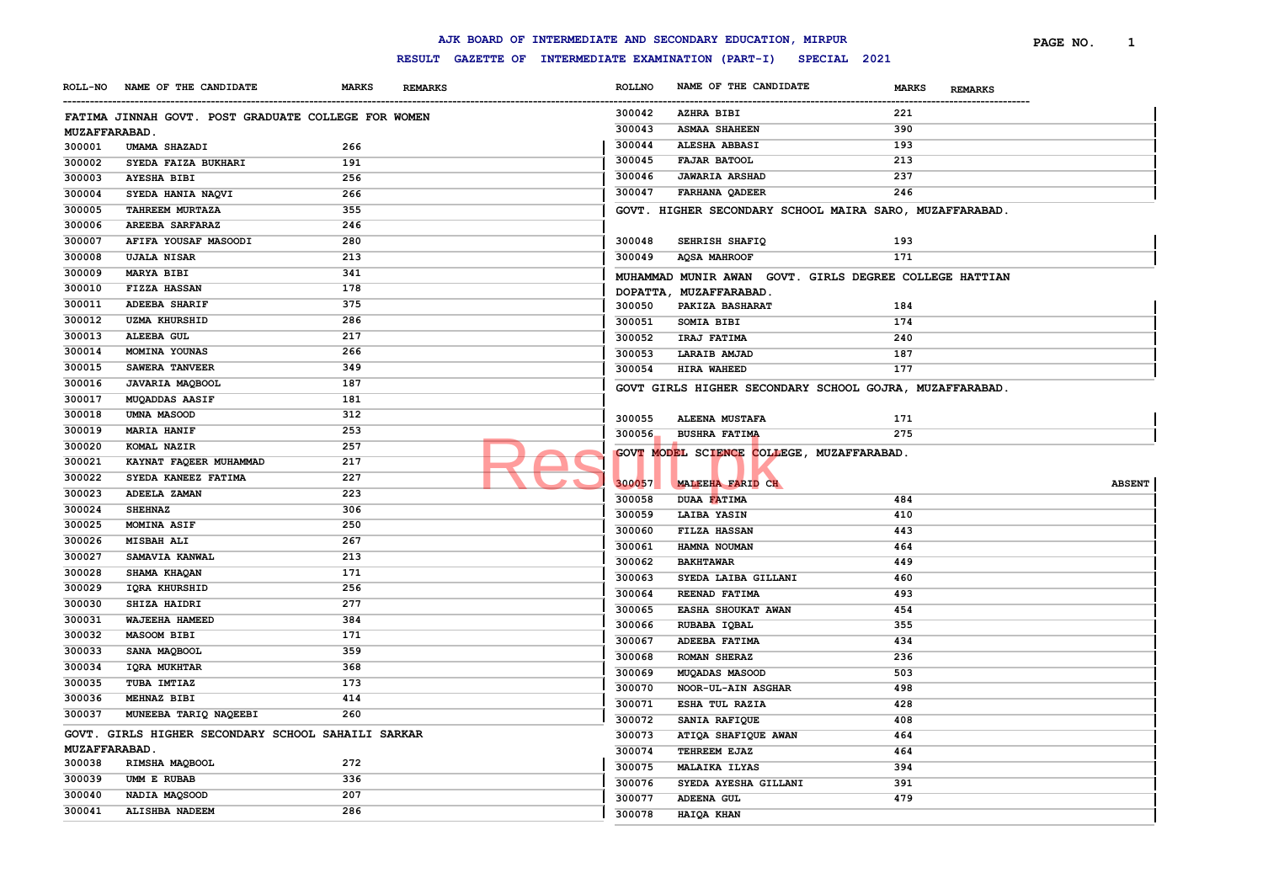|                      |                                                     |              |                                                     |                  | AJK BOARD OF INTERMEDIATE AND SECONDARY EDUCATION, MIRPUR |                                | PAGE NO.<br>1 |
|----------------------|-----------------------------------------------------|--------------|-----------------------------------------------------|------------------|-----------------------------------------------------------|--------------------------------|---------------|
|                      |                                                     |              | RESULT GAZETTE OF INTERMEDIATE EXAMINATION (PART-I) |                  | SPECIAL 2021                                              |                                |               |
| <b>ROLL-NO</b>       | NAME OF THE CANDIDATE                               | <b>MARKS</b> | <b>REMARKS</b>                                      | <b>ROLLNO</b>    | NAME OF THE CANDIDATE                                     | <b>MARKS</b><br><b>REMARKS</b> |               |
|                      | FATIMA JINNAH GOVT. POST GRADUATE COLLEGE FOR WOMEN |              |                                                     | 300042           | <b>AZHRA BIBI</b>                                         | 221                            |               |
| <b>MUZAFFARABAD.</b> |                                                     |              |                                                     | 300043           | <b>ASMAA SHAHEEN</b>                                      | 390                            |               |
| 300001               | UMAMA SHAZADI                                       | 266          |                                                     | 300044           | ALESHA ABBASI                                             | 193                            |               |
| 300002               | SYEDA FAIZA BUKHARI                                 | 191          |                                                     | 300045           | <b>FAJAR BATOOL</b>                                       | 213                            |               |
| 300003               | <b>AYESHA BIBI</b>                                  | 256          |                                                     | 300046           | <b>JAWARIA ARSHAD</b>                                     | 237                            |               |
| 300004               | SYEDA HANIA NAQVI                                   | 266          |                                                     | 300047           | <b>FARHANA QADEER</b>                                     | 246                            |               |
| 300005               | TAHREEM MURTAZA                                     | 355          |                                                     |                  | GOVT. HIGHER SECONDARY SCHOOL MAIRA SARO, MUZAFFARABAD.   |                                |               |
| 300006               | <b>AREEBA SARFARAZ</b>                              | 246          |                                                     |                  |                                                           |                                |               |
| 300007               | AFIFA YOUSAF MASOODI                                | 280          |                                                     | 300048           | SEHRISH SHAFIQ                                            | 193                            |               |
| 300008               | <b>UJALA NISAR</b>                                  | 213          |                                                     | 300049           | <b>AQSA MAHROOF</b>                                       | 171                            |               |
| 300009               | <b>MARYA BIBI</b>                                   | 341          |                                                     |                  | MUHAMMAD MUNIR AWAN GOVT. GIRLS DEGREE COLLEGE HATTIAN    |                                |               |
| 300010               | <b>FIZZA HASSAN</b>                                 | 178          |                                                     |                  | DOPATTA, MUZAFFARABAD.                                    |                                |               |
| 300011               | <b>ADEEBA SHARIF</b>                                | 375          |                                                     | 300050           | PAKIZA BASHARAT                                           | 184                            |               |
| 300012               | <b>UZMA KHURSHID</b>                                | 286          |                                                     | 300051           | SOMIA BIBI                                                | 174                            |               |
| 300013               | ALEEBA GUL                                          | 217          |                                                     | 300052           | IRAJ FATIMA                                               | 240                            |               |
| 300014               | MOMINA YOUNAS                                       | 266          |                                                     | 300053           | <b>LARAIB AMJAD</b>                                       | 187                            |               |
| 300015               | SAWERA TANVEER                                      | 349          |                                                     | 300054           | HIRA WAHEED                                               | 177                            |               |
| 300016               | JAVARIA MAQBOOL                                     | 187          |                                                     |                  | GOVT GIRLS HIGHER SECONDARY SCHOOL GOJRA, MUZAFFARABAD.   |                                |               |
| 300017               | <b>MUQADDAS AASIF</b>                               | 181          |                                                     |                  |                                                           |                                |               |
| 300018               | <b>UMNA MASOOD</b>                                  | 312          |                                                     | 300055           | <b>ALEENA MUSTAFA</b>                                     | 171                            |               |
| 300019               | <b>MARIA HANIF</b>                                  | 253          |                                                     | 300056           | <b>BUSHRA FATIMA</b>                                      | 275                            |               |
| 300020               | KOMAL NAZIR                                         | 257          |                                                     |                  |                                                           |                                |               |
| 300021               | KAYNAT FAQEER MUHAMMAD                              | 217          |                                                     |                  | GOVT MODEL SCIENCE COLLEGE, MUZAFFARABAD.                 |                                |               |
| 300022               | SYEDA KANEEZ FATIMA                                 | 227          |                                                     |                  |                                                           |                                |               |
| 300023               | ADEELA ZAMAN                                        | 223          |                                                     | 300057           | MALEEHA FARID CH                                          |                                | <b>ABSENT</b> |
| 300024               | <b>SHEHNAZ</b>                                      | 306          |                                                     | 300058<br>300059 | DUAA FATIMA<br>LAIBA YASIN                                | 484<br>410                     |               |
| 300025               | MOMINA ASIF                                         | 250          |                                                     | 300060           | FILZA HASSAN                                              | 443                            |               |
| 300026               | <b>MISBAH ALI</b>                                   | 267          |                                                     | 300061           | HAMNA NOUMAN                                              | 464                            |               |
| 300027               | SAMAVIA KANWAL                                      | 213          |                                                     | 300062           | <b>BAKHTAWAR</b>                                          | 449                            |               |
| 300028               | SHAMA KHAQAN                                        | 171          |                                                     |                  |                                                           |                                |               |
| 300029               | IQRA KHURSHID                                       | 256          |                                                     | 300063           | SYEDA LAIBA GILLANI                                       | 460                            |               |
| 300030               | SHIZA HAIDRI                                        | 277          |                                                     | 300064           | REENAD FATIMA                                             | 493                            |               |
| 300031               | WAJEEHA HAMEED                                      | 384          |                                                     | 300065           | EASHA SHOUKAT AWAN                                        | 454                            |               |
| 300032               | <b>MASOOM BIBI</b>                                  | 171          |                                                     | 300066           | RUBABA IQBAL                                              | 355                            |               |
| 300033               | SANA MAQBOOL                                        | 359          |                                                     | 300067           | ADEEBA FATIMA                                             | 434                            |               |
| 300034               | IQRA MUKHTAR                                        | 368          |                                                     | 300068           | ROMAN SHERAZ                                              | 236                            |               |
| 300035               | TUBA IMTIAZ                                         | 173          |                                                     | 300069           | MUQADAS MASOOD                                            | 503                            |               |
| 300036               | MEHNAZ BIBI                                         | 414          |                                                     | 300070           | NOOR-UL-AIN ASGHAR                                        | 498                            |               |
| 300037               | MUNEEBA TARIQ NAQEEBI                               | 260          |                                                     | 300071           | ESHA TUL RAZIA                                            | 428                            |               |
|                      | GOVT. GIRLS HIGHER SECONDARY SCHOOL SAHAILI SARKAR  |              |                                                     | 300072           | SANIA RAFIQUE                                             | 408                            |               |
| <b>MUZAFFARABAD.</b> |                                                     |              |                                                     | 300073           | ATIQA SHAFIQUE AWAN                                       | 464                            |               |
| 300038               | RIMSHA MAQBOOL                                      | 272          |                                                     | 300074           | TEHREEM EJAZ                                              | 464                            |               |
| 300039               | UMM E RUBAB                                         | 336          |                                                     | 300075           | <b>MALAIKA ILYAS</b>                                      | 394                            |               |
| 300040               | NADIA MAQSOOD                                       | 207          |                                                     | 300076           | SYEDA AYESHA GILLANI                                      | 391                            |               |
| 300041               | ALISHBA NADEEM                                      | 286          |                                                     | 300077           | ADEENA GUL                                                | 479                            |               |
|                      |                                                     |              |                                                     | 300078           | HAIQA KHAN                                                |                                |               |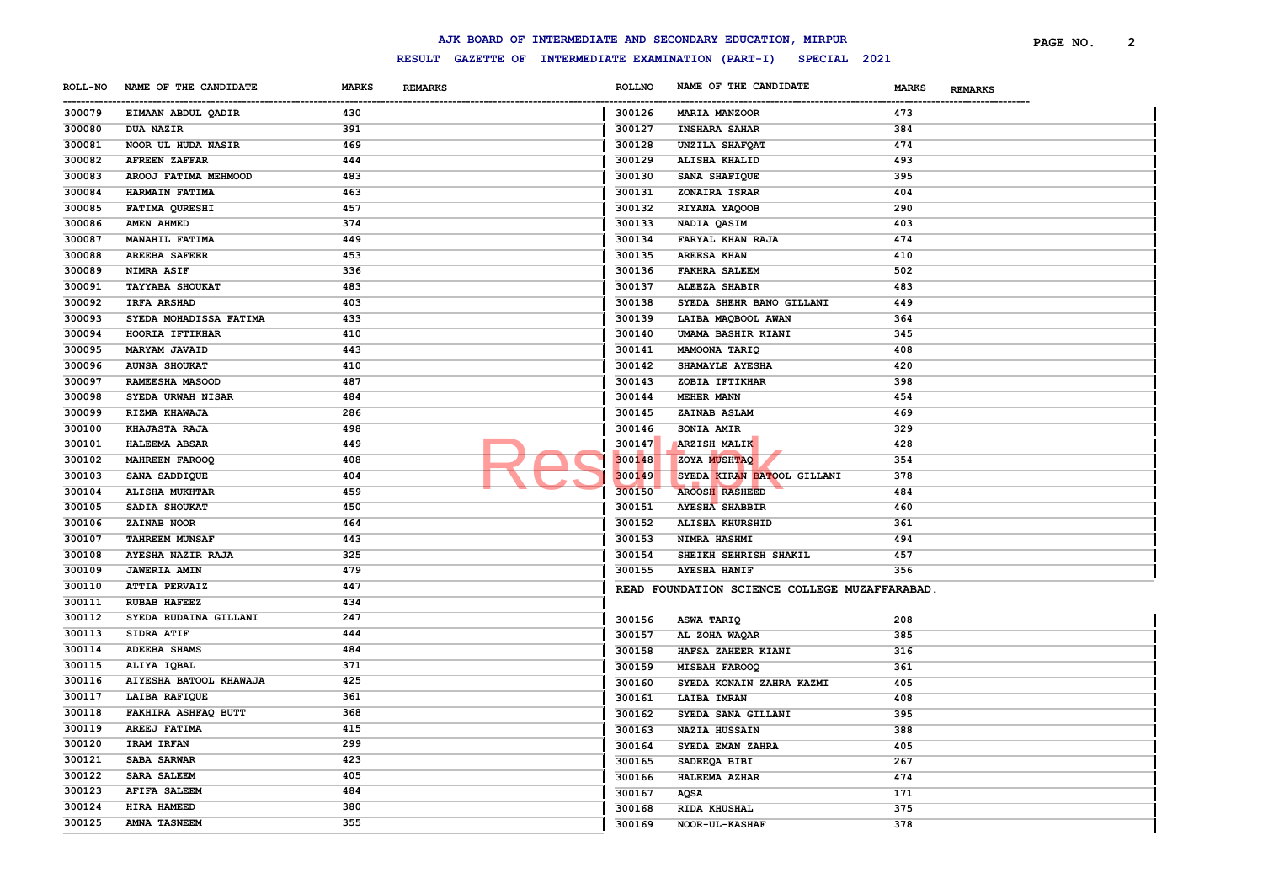|        |                               |              |                                       |                       | AJK BOARD OF INTERMEDIATE AND SECONDARY EDUCATION, MIRPUR        |                                | PAGE NO. | 2 |
|--------|-------------------------------|--------------|---------------------------------------|-----------------------|------------------------------------------------------------------|--------------------------------|----------|---|
|        |                               |              |                                       |                       | RESULT GAZETTE OF INTERMEDIATE EXAMINATION (PART-I) SPECIAL 2021 |                                |          |   |
|        | ROLL-NO NAME OF THE CANDIDATE | <b>MARKS</b> | <b>REMARKS</b>                        | <b>ROLLNO</b>         | NAME OF THE CANDIDATE                                            | <b>MARKS</b><br><b>REMARKS</b> |          |   |
| 300079 | EIMAAN ABDUL QADIR            | 430          | ------------------------------------- | -----------<br>300126 | <b>MARIA MANZOOR</b>                                             | 473                            |          |   |
| 300080 | <b>DUA NAZIR</b>              | 391          |                                       | 300127                | <b>INSHARA SAHAR</b>                                             | 384                            |          |   |
| 300081 | NOOR UL HUDA NASIR            | 469          |                                       | 300128                | UNZILA SHAFQAT                                                   | 474                            |          |   |
| 300082 | <b>AFREEN ZAFFAR</b>          | 444          |                                       | 300129                | ALISHA KHALID                                                    | 493                            |          |   |
| 300083 | AROOJ FATIMA MEHMOOD          | 483          |                                       | 300130                | SANA SHAFIQUE                                                    | 395                            |          |   |
| 300084 | HARMAIN FATIMA                | 463          |                                       | 300131                | ZONAIRA ISRAR                                                    | 404                            |          |   |
| 300085 | FATIMA QURESHI                | 457          |                                       | 300132                | RIYANA YAQOOB                                                    | 290                            |          |   |
| 300086 | AMEN AHMED                    | 374          |                                       | 300133                | NADIA QASIM                                                      | 403                            |          |   |
| 300087 | MANAHIL FATIMA                | 449          |                                       | 300134                | FARYAL KHAN RAJA                                                 | 474                            |          |   |
| 300088 | <b>AREEBA SAFEER</b>          | 453          |                                       | 300135                | <b>AREESA KHAN</b>                                               | 410                            |          |   |
| 300089 | NIMRA ASIF                    | 336          |                                       | 300136                | <b>FAKHRA SALEEM</b>                                             | 502                            |          |   |
| 300091 | <b>TAYYABA SHOUKAT</b>        | 483          |                                       | 300137                | ALEEZA SHABIR                                                    | 483                            |          |   |
| 300092 | <b>IRFA ARSHAD</b>            | 403          |                                       | 300138                | SYEDA SHEHR BANO GILLANI                                         | 449                            |          |   |
| 300093 | SYEDA MOHADISSA FATIMA        | 433          |                                       | 300139                | LAIBA MAQBOOL AWAN                                               | 364                            |          |   |
| 300094 | HOORIA IFTIKHAR               | 410          |                                       | 300140                | UMAMA BASHIR KIANI                                               | 345                            |          |   |
| 300095 | <b>MARYAM JAVAID</b>          | 443          |                                       | 300141                | MAMOONA TARIQ                                                    | 408                            |          |   |
| 300096 | <b>AUNSA SHOUKAT</b>          | 410          |                                       | 300142                | SHAMAYLE AYESHA                                                  | 420                            |          |   |
| 300097 | RAMEESHA MASOOD               | 487          |                                       | 300143                | ZOBIA IFTIKHAR                                                   | 398                            |          |   |
| 300098 | SYEDA URWAH NISAR             | 484          |                                       | 300144                | <b>MEHER MANN</b>                                                | 454                            |          |   |
| 300099 | RIZMA KHAWAJA                 | 286          |                                       | 300145                | ZAINAB ASLAM                                                     | 469                            |          |   |
| 300100 | <b>KHAJASTA RAJA</b>          | 498          |                                       | 300146                | SONIA AMIR                                                       | 329                            |          |   |
| 300101 | <b>HALEEMA ABSAR</b>          | 449          |                                       | 300147                | <b>ARZISH MALIK</b>                                              | 428                            |          |   |
| 300102 | <b>MAHREEN FAROOQ</b>         | 408          |                                       | 300148                | ZOYA MUSHTAQ                                                     | 354                            |          |   |
| 300103 | SANA SADDIQUE                 | 404          |                                       | 300149                | SYEDA KIRAN BATOOL GILLANI                                       | 378                            |          |   |
| 300104 | <b>ALISHA MUKHTAR</b>         | 459          |                                       | 300150                | <b>AROOSH RASHEED</b>                                            | 484                            |          |   |
| 300105 | SADIA SHOUKAT                 | 450          |                                       | 300151                | <b>AYESHA SHABBIR</b>                                            | 460                            |          |   |
| 300106 | ZAINAB NOOR                   | 464          |                                       | 300152                | ALISHA KHURSHID                                                  | 361                            |          |   |
| 300107 | <b>TAHREEM MUNSAF</b>         | 443          |                                       | 300153                | NIMRA HASHMI                                                     | 494                            |          |   |
| 300108 | AYESHA NAZIR RAJA             | 325          |                                       | 300154                | SHEIKH SEHRISH SHAKIL                                            | 457                            |          |   |
| 300109 | <b>JAWERIA AMIN</b>           | 479          |                                       | 300155                | <b>AYESHA HANIF</b>                                              | 356                            |          |   |
| 300110 | <b>ATTIA PERVAIZ</b>          | 447          |                                       |                       |                                                                  |                                |          |   |
| 300111 | <b>RUBAB HAFEEZ</b>           | 434          |                                       |                       | READ FOUNDATION SCIENCE COLLEGE MUZAFFARABAD.                    |                                |          |   |
| 300112 | SYEDA RUDAINA GILLANI         | 247          |                                       | 300156                | <b>ASWA TARIQ</b>                                                | 208                            |          |   |
| 300113 | SIDRA ATIF                    | 444          |                                       |                       |                                                                  | 385                            |          |   |
| 300114 | <b>ADEEBA SHAMS</b>           | 484          |                                       | 300157                | AL ZOHA WAQAR                                                    |                                |          |   |
| 300115 | ALIYA IQBAL                   | 371          |                                       | 300158                | HAFSA ZAHEER KIANI                                               | 316                            |          |   |
| 300116 | AIYESHA BATOOL KHAWAJA        | 425          |                                       | 300159<br>300160      | <b>MISBAH FAROOQ</b>                                             | 361<br>405                     |          |   |
| 300117 | LAIBA RAFIQUE                 | 361          |                                       |                       | SYEDA KONAIN ZAHRA KAZMI                                         |                                |          |   |
| 300118 | FAKHIRA ASHFAQ BUTT           | 368          |                                       | 300161                | <b>LAIBA IMRAN</b>                                               | 408                            |          |   |
| 300119 | AREEJ FATIMA                  | 415          |                                       | 300162                | SYEDA SANA GILLANI                                               | 395                            |          |   |
| 300120 | IRAM IRFAN                    | 299          |                                       | 300163                | <b>NAZIA HUSSAIN</b>                                             | 388                            |          |   |
| 300121 | SABA SARWAR                   | 423          |                                       | 300164                | SYEDA EMAN ZAHRA                                                 | 405                            |          |   |
| 300122 | SARA SALEEM                   | 405          |                                       | 300165                | SADEEQA BIBI                                                     | 267                            |          |   |
| 300123 | <b>AFIFA SALEEM</b>           | 484          |                                       | 300166                | <b>HALEEMA AZHAR</b>                                             | 474                            |          |   |
|        |                               |              |                                       | 300167                | AQSA                                                             | 171                            |          |   |
| 300124 | HIRA HAMEED                   | 380          |                                       | 300168                | RIDA KHUSHAL                                                     | 375                            |          |   |
| 300125 | <b>AMNA TASNEEM</b>           | 355          |                                       | 300169                | NOOR-UL-KASHAF                                                   | 378                            |          |   |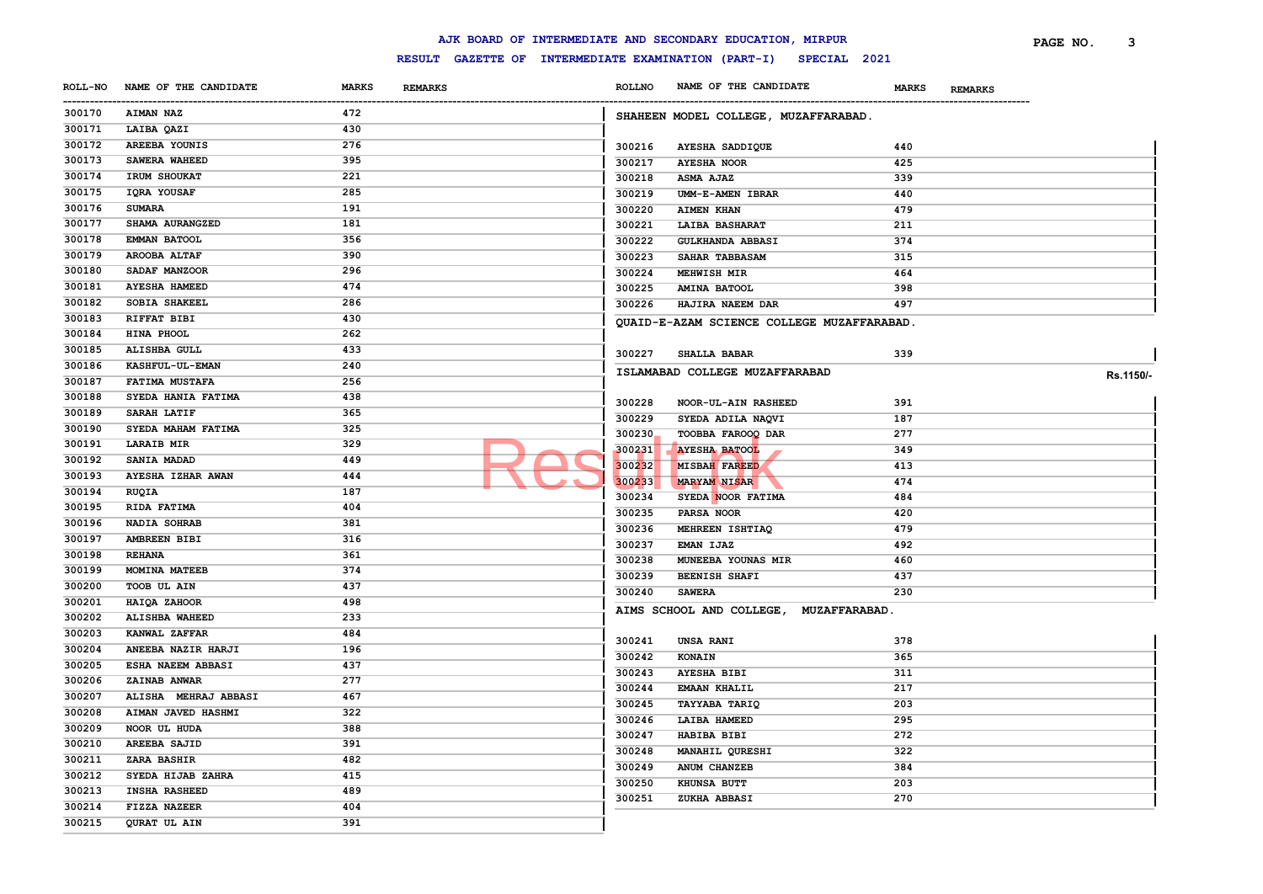|        |                               |              |                                    |               | AJK BOARD OF INTERMEDIATE AND SECONDARY EDUCATION, MIRPUR        |                                | 3<br>PAGE NO. |  |
|--------|-------------------------------|--------------|------------------------------------|---------------|------------------------------------------------------------------|--------------------------------|---------------|--|
|        |                               |              |                                    |               | RESULT GAZETTE OF INTERMEDIATE EXAMINATION (PART-I) SPECIAL 2021 |                                |               |  |
|        | ROLL-NO NAME OF THE CANDIDATE | <b>MARKS</b> | <b>REMARKS</b>                     | <b>ROLLNO</b> | NAME OF THE CANDIDATE                                            | <b>MARKS</b><br><b>REMARKS</b> |               |  |
| 300170 | <b>AIMAN NAZ</b>              | 472          | ---------------------------------- |               | SHAHEEN MODEL COLLEGE, MUZAFFARABAD.                             |                                |               |  |
| 300171 | LAIBA QAZI                    | 430          |                                    |               |                                                                  |                                |               |  |
| 300172 | AREEBA YOUNIS                 | 276          |                                    | 300216        | AYESHA SADDIQUE                                                  | 440                            |               |  |
| 300173 | SAWERA WAHEED                 | 395          |                                    | 300217        | <b>AYESHA NOOR</b>                                               | 425                            |               |  |
| 300174 | IRUM SHOUKAT                  | 221          |                                    | 300218        | <b>ASMA AJAZ</b>                                                 | 339                            |               |  |
| 300175 | IQRA YOUSAF                   | 285          |                                    | 300219        | UMM-E-AMEN IBRAR                                                 | 440                            |               |  |
| 300176 | <b>SUMARA</b>                 | 191          |                                    | 300220        | <b>AIMEN KHAN</b>                                                | 479                            |               |  |
| 300177 | SHAMA AURANGZED               | 181          |                                    | 300221        | LAIBA BASHARAT                                                   | 211                            |               |  |
| 300178 | <b>EMMAN BATOOL</b>           | 356          |                                    | 300222        | <b>GULKHANDA ABBASI</b>                                          | 374                            |               |  |
| 300179 | <b>AROOBA ALTAF</b>           | 390          |                                    | 300223        | SAHAR TABBASAM                                                   | 315                            |               |  |
| 300180 | SADAF MANZOOR                 | 296          |                                    | 300224        | <b>MEHWISH MIR</b>                                               | 464                            |               |  |
| 300181 | <b>AYESHA HAMEED</b>          | 474          |                                    | 300225        | <b>AMINA BATOOL</b>                                              | 398                            |               |  |
| 300182 | <b>SOBIA SHAKEEL</b>          | 286          |                                    | 300226        | HAJIRA NAEEM DAR                                                 | 497                            |               |  |
| 300183 | RIFFAT BIBI                   | 430          |                                    |               | QUAID-E-AZAM SCIENCE COLLEGE MUZAFFARABAD.                       |                                |               |  |
| 300184 | HINA PHOOL                    | 262          |                                    |               |                                                                  |                                |               |  |
| 300185 | ALISHBA GULL                  | 433          |                                    | 300227        | <b>SHALLA BABAR</b>                                              | 339                            |               |  |
| 300186 | KASHFUL-UL-EMAN               | 240          |                                    |               |                                                                  |                                |               |  |
| 300187 | <b>FATIMA MUSTAFA</b>         | 256          |                                    |               | ISLAMABAD COLLEGE MUZAFFARABAD                                   |                                | Rs.1150/-     |  |
| 300188 | SYEDA HANIA FATIMA            | 438          |                                    |               |                                                                  |                                |               |  |
| 300189 | SARAH LATIF                   | 365          |                                    | 300228        | NOOR-UL-AIN RASHEED                                              | 391                            |               |  |
| 300190 | SYEDA MAHAM FATIMA            | 325          |                                    | 300229        | SYEDA ADILA NAQVI                                                | 187                            |               |  |
| 300191 | <b>LARAIB MIR</b>             | 329          |                                    | 300230        | TOOBBA FAROOQ DAR                                                | 277                            |               |  |
| 300192 | SANIA MADAD                   | 449          |                                    | 300231        | <b>AYESHA BATOOL</b>                                             | 349                            |               |  |
| 300193 | AYESHA IZHAR AWAN             | 444          |                                    | 300232        | <b>MISBAH FAREED</b>                                             | 413                            |               |  |
| 300194 | RUQIA                         | 187          |                                    | 300233        | <b>MARYAM NISAR</b>                                              | 474                            |               |  |
| 300195 | RIDA FATIMA                   | 404          |                                    | 300234        | SYEDA NOOR FATIMA                                                | 484                            |               |  |
| 300196 | <b>NADIA SOHRAB</b>           | 381          |                                    | 300235        | PARSA NOOR                                                       | 420                            |               |  |
| 300197 | <b>AMBREEN BIBI</b>           | 316          |                                    | 300236        | MEHREEN ISHTIAQ                                                  | 479                            |               |  |
| 300198 | <b>REHANA</b>                 | 361          |                                    | 300237        | EMAN IJAZ                                                        | 492                            |               |  |
| 300199 | MOMINA MATEEB                 | 374          |                                    | 300238        | MUNEEBA YOUNAS MIR                                               | 460                            |               |  |
| 300200 | TOOB UL AIN                   | 437          |                                    | 300239        | <b>BEENISH SHAFI</b>                                             | 437                            |               |  |
| 300201 | HAIQA ZAHOOR                  | 498          |                                    | 300240        | <b>SAWERA</b>                                                    | 230                            |               |  |
| 300202 | <b>ALISHBA WAHEED</b>         | 233          |                                    |               | AIMS SCHOOL AND COLLEGE, MUZAFFARABAD.                           |                                |               |  |
| 300203 | KANWAL ZAFFAR                 | 484          |                                    |               |                                                                  |                                |               |  |
| 300204 | ANEEBA NAZIR HARJI            | 196          |                                    | 300241        | <b>UNSA RANI</b>                                                 | 378                            |               |  |
| 300205 | ESHA NAEEM ABBASI             | 437          |                                    | 300242        | KONAIN                                                           | 365                            |               |  |
| 300206 | <b>ZAINAB ANWAR</b>           | 277          |                                    | 300243        | <b>AYESHA BIBI</b>                                               | 311                            |               |  |
| 300207 | ALISHA MEHRAJ ABBASI          | 467          |                                    | 300244        | <b>EMAAN KHALIL</b>                                              | 217                            |               |  |
| 300208 | AIMAN JAVED HASHMI            | 322          |                                    | 300245        | <b>TAYYABA TARIQ</b>                                             | 203                            |               |  |
| 300209 | NOOR UL HUDA                  | 388          |                                    | 300246        | <b>LAIBA HAMEED</b>                                              | 295                            |               |  |
| 300210 | <b>AREEBA SAJID</b>           | 391          |                                    | 300247        | HABIBA BIBI                                                      | 272                            |               |  |
|        |                               | 482          |                                    | 300248        | MANAHIL QURESHI                                                  | 322                            |               |  |
| 300211 | <b>ZARA BASHIR</b>            |              |                                    | 300249        | ANUM CHANZEB                                                     | 384                            |               |  |
| 300212 | SYEDA HIJAB ZAHRA             | 415          |                                    | 300250        | KHUNSA BUTT                                                      | 203                            |               |  |
| 300213 | <b>INSHA RASHEED</b>          | 489          |                                    | 300251        | ZUKHA ABBASI                                                     | 270                            |               |  |
| 300214 | FIZZA NAZEER                  | 404          |                                    |               |                                                                  |                                |               |  |
| 300215 | QURAT UL AIN                  | 391          |                                    |               |                                                                  |                                |               |  |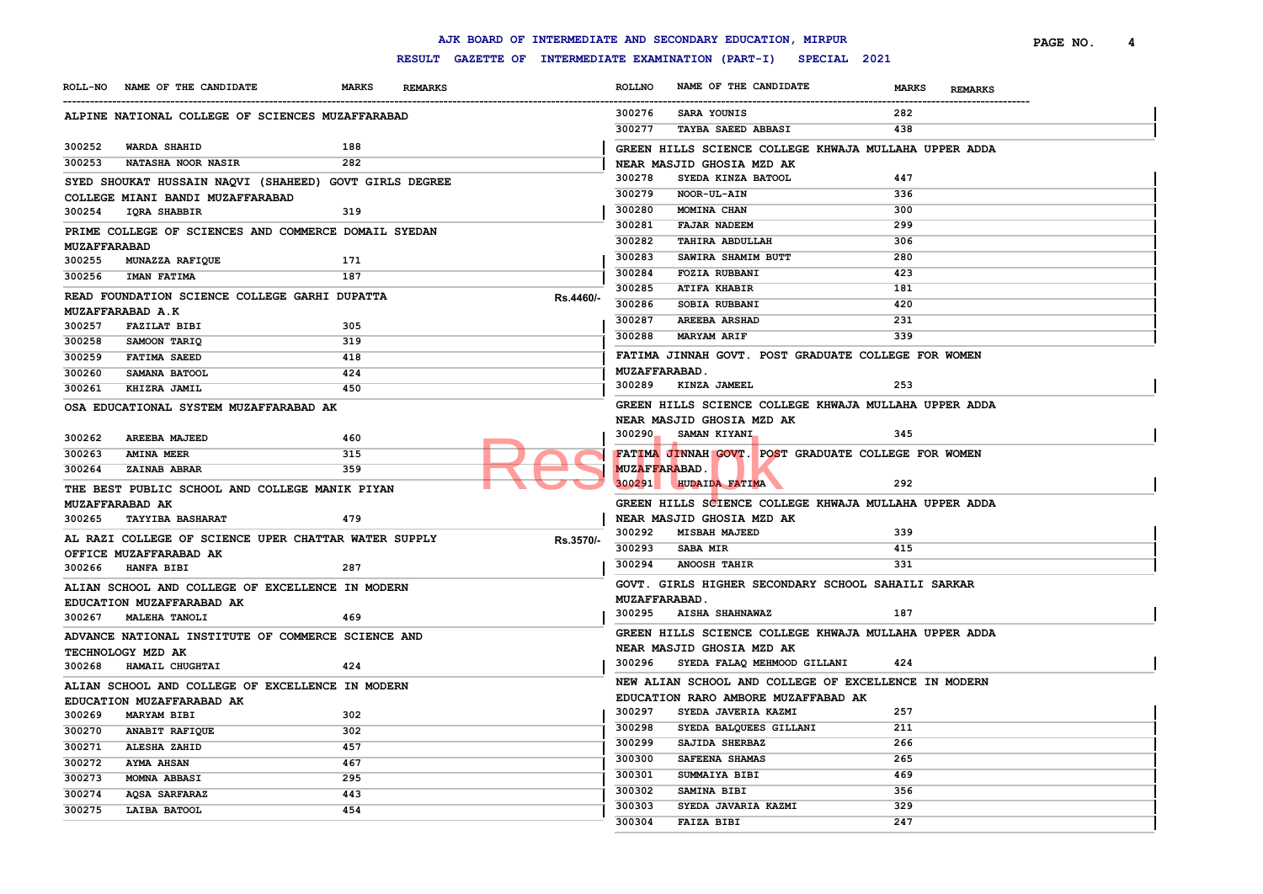|                     |                                                        |              |                |           |                  | AJK BOARD OF INTERMEDIATE AND SECONDARY EDUCATION, MIRPUR                          |              |                | PAGE NO. | 4 |
|---------------------|--------------------------------------------------------|--------------|----------------|-----------|------------------|------------------------------------------------------------------------------------|--------------|----------------|----------|---|
|                     |                                                        |              |                |           |                  | RESULT GAZETTE OF INTERMEDIATE EXAMINATION (PART-I) SPECIAL 2021                   |              |                |          |   |
|                     | ROLL-NO NAME OF THE CANDIDATE                          | <b>MARKS</b> | <b>REMARKS</b> |           | <b>ROLLNO</b>    | NAME OF THE CANDIDATE                                                              | <b>MARKS</b> | <b>REMARKS</b> |          |   |
|                     | ALPINE NATIONAL COLLEGE OF SCIENCES MUZAFFARABAD       |              |                |           | 300276           | SARA YOUNIS                                                                        | 282          |                |          |   |
|                     |                                                        |              |                |           | 300277           | <b>TAYBA SAEED ABBASI</b>                                                          | 438          |                |          |   |
| 300252              | <b>WARDA SHAHID</b>                                    | 188          |                |           |                  | GREEN HILLS SCIENCE COLLEGE KHWAJA MULLAHA UPPER ADDA                              |              |                |          |   |
| 300253              | <b>NATASHA NOOR NASIR</b>                              | 282          |                |           |                  | NEAR MASJID GHOSIA MZD AK                                                          |              |                |          |   |
|                     | SYED SHOUKAT HUSSAIN NAQVI (SHAHEED) GOVT GIRLS DEGREE |              |                |           | 300278           | SYEDA KINZA BATOOL                                                                 | 447          |                |          |   |
|                     | COLLEGE MIANI BANDI MUZAFFARABAD                       |              |                |           | 300279           | NOOR-UL-AIN                                                                        | 336          |                |          |   |
| 300254              | IQRA SHABBIR                                           | 319          |                |           | 300280           | MOMINA CHAN                                                                        | 300          |                |          |   |
|                     | PRIME COLLEGE OF SCIENCES AND COMMERCE DOMAIL SYEDAN   |              |                |           | 300281           | <b>FAJAR NADEEM</b>                                                                | 299          |                |          |   |
| <b>MUZAFFARABAD</b> |                                                        |              |                |           | 300282           | <b>TAHIRA ABDULLAH</b>                                                             | 306          |                |          |   |
| 300255              | <b>MUNAZZA RAFIQUE</b>                                 | 171          |                |           | 300283           | SAWIRA SHAMIM BUTT                                                                 | 280          |                |          |   |
| 300256              | <b>IMAN FATIMA</b>                                     | 187          |                |           | 300284           | <b>FOZIA RUBBANI</b>                                                               | 423          |                |          |   |
|                     | READ FOUNDATION SCIENCE COLLEGE GARHI DUPATTA          |              |                | Rs.4460/- | 300285           | <b>ATIFA KHABIR</b>                                                                | 181          |                |          |   |
|                     | MUZAFFARABAD A.K                                       |              |                |           | 300286           | SOBIA RUBBANI                                                                      | 420          |                |          |   |
| 300257              | <b>FAZILAT BIBI</b>                                    | 305          |                |           | 300287<br>300288 | <b>AREEBA ARSHAD</b><br><b>MARYAM ARIF</b>                                         | 231<br>339   |                |          |   |
| 300258              | SAMOON TARIQ                                           | 319          |                |           |                  |                                                                                    |              |                |          |   |
| 300259              | <b>FATIMA SAEED</b>                                    | 418          |                |           |                  | FATIMA JINNAH GOVT. POST GRADUATE COLLEGE FOR WOMEN                                |              |                |          |   |
| 300260              | SAMANA BATOOL                                          | 424          |                |           |                  | <b>MUZAFFARABAD.</b>                                                               | 253          |                |          |   |
| 300261              | KHIZRA JAMIL                                           | 450          |                |           | 300289           | KINZA JAMEEL                                                                       |              |                |          |   |
|                     | OSA EDUCATIONAL SYSTEM MUZAFFARABAD AK                 |              |                |           |                  | GREEN HILLS SCIENCE COLLEGE KHWAJA MULLAHA UPPER ADDA                              |              |                |          |   |
|                     |                                                        |              |                |           |                  | NEAR MASJID GHOSIA MZD AK<br>300290_ SAMAN KIYANI                                  | 345          |                |          |   |
| 300262              | <b>AREEBA MAJEED</b>                                   | 460          |                |           |                  |                                                                                    |              |                |          |   |
| 300263              | <b>AMINA MEER</b>                                      | 315          |                |           |                  | FATIMA JINNAH GOVT. POST GRADUATE COLLEGE FOR WOMEN                                |              |                |          |   |
| 300264              | ZAINAB ABRAR                                           | 359          |                |           |                  | <b>MUZAFFARABAD.</b><br>300291 HUDAIDA FATIMA                                      | 292          |                |          |   |
|                     | THE BEST PUBLIC SCHOOL AND COLLEGE MANIK PIYAN         |              |                |           |                  |                                                                                    |              |                |          |   |
|                     | MUZAFFARABAD AK                                        |              |                |           |                  | GREEN HILLS SCIENCE COLLEGE KHWAJA MULLAHA UPPER ADDA                              |              |                |          |   |
|                     | 300265 TAYYIBA BASHARAT                                | 479          |                |           | 300292           | NEAR MASJID GHOSIA MZD AK<br><b>MISBAH MAJEED</b>                                  | 339          |                |          |   |
|                     | AL RAZI COLLEGE OF SCIENCE UPER CHATTAR WATER SUPPLY   |              |                | Rs.3570/- | 300293           | <b>SABA MIR</b>                                                                    | 415          |                |          |   |
|                     | OFFICE MUZAFFARABAD AK                                 |              |                |           | 300294           | <b>ANOOSH TAHIR</b>                                                                | 331          |                |          |   |
|                     | 300266 HANFA BIBI                                      | 287          |                |           |                  |                                                                                    |              |                |          |   |
|                     | ALIAN SCHOOL AND COLLEGE OF EXCELLENCE IN MODERN       |              |                |           |                  | GOVT. GIRLS HIGHER SECONDARY SCHOOL SAHAILI SARKAR<br><b>MUZAFFARABAD.</b>         |              |                |          |   |
|                     | EDUCATION MUZAFFARABAD AK                              |              |                |           |                  | 300295 AISHA SHAHNAWAZ                                                             | 187          |                |          |   |
|                     | 300267 MALEHA TANOLI                                   | 469          |                |           |                  |                                                                                    |              |                |          |   |
|                     | ADVANCE NATIONAL INSTITUTE OF COMMERCE SCIENCE AND     |              |                |           |                  | GREEN HILLS SCIENCE COLLEGE KHWAJA MULLAHA UPPER ADDA<br>NEAR MASJID GHOSIA MZD AK |              |                |          |   |
|                     | TECHNOLOGY MZD AK                                      |              |                |           |                  | 300296 SYEDA FALAQ MEHMOOD GILLANI                                                 | 424          |                |          |   |
|                     | 300268 HAMAIL CHUGHTAI                                 | 424          |                |           |                  |                                                                                    |              |                |          |   |
|                     | ALIAN SCHOOL AND COLLEGE OF EXCELLENCE IN MODERN       |              |                |           |                  | NEW ALIAN SCHOOL AND COLLEGE OF EXCELLENCE IN MODERN                               |              |                |          |   |
|                     | EDUCATION MUZAFFARABAD AK                              |              |                |           |                  | EDUCATION RARO AMBORE MUZAFFABAD AK<br>300297 SYEDA JAVERIA KAZMI                  | 257          |                |          |   |
| 300269              | <b>MARYAM BIBI</b>                                     | 302          |                |           | 300298           | SYEDA BALQUEES GILLANI                                                             | 211          |                |          |   |
| 300270              | ANABIT RAFIQUE                                         | 302          |                |           | 300299           | SAJIDA SHERBAZ                                                                     | 266          |                |          |   |
| 300271              | ALESHA ZAHID                                           | 457          |                |           | 300300           | SAFEENA SHAMAS                                                                     | 265          |                |          |   |
| 300272<br>300273    | <b>AYMA AHSAN</b><br>MOMNA ABBASI                      | 467<br>295   |                |           | 300301           | SUMMAIYA BIBI                                                                      | 469          |                |          |   |
| 300274              | <b>AQSA SARFARAZ</b>                                   | 443          |                |           | 300302           | SAMINA BIBI                                                                        | 356          |                |          |   |
| 300275              | LAIBA BATOOL                                           | 454          |                |           | 300303           | SYEDA JAVARIA KAZMI                                                                | 329          |                |          |   |
|                     |                                                        |              |                |           | 300304           | <b>FAIZA BIBI</b>                                                                  | 247          |                |          |   |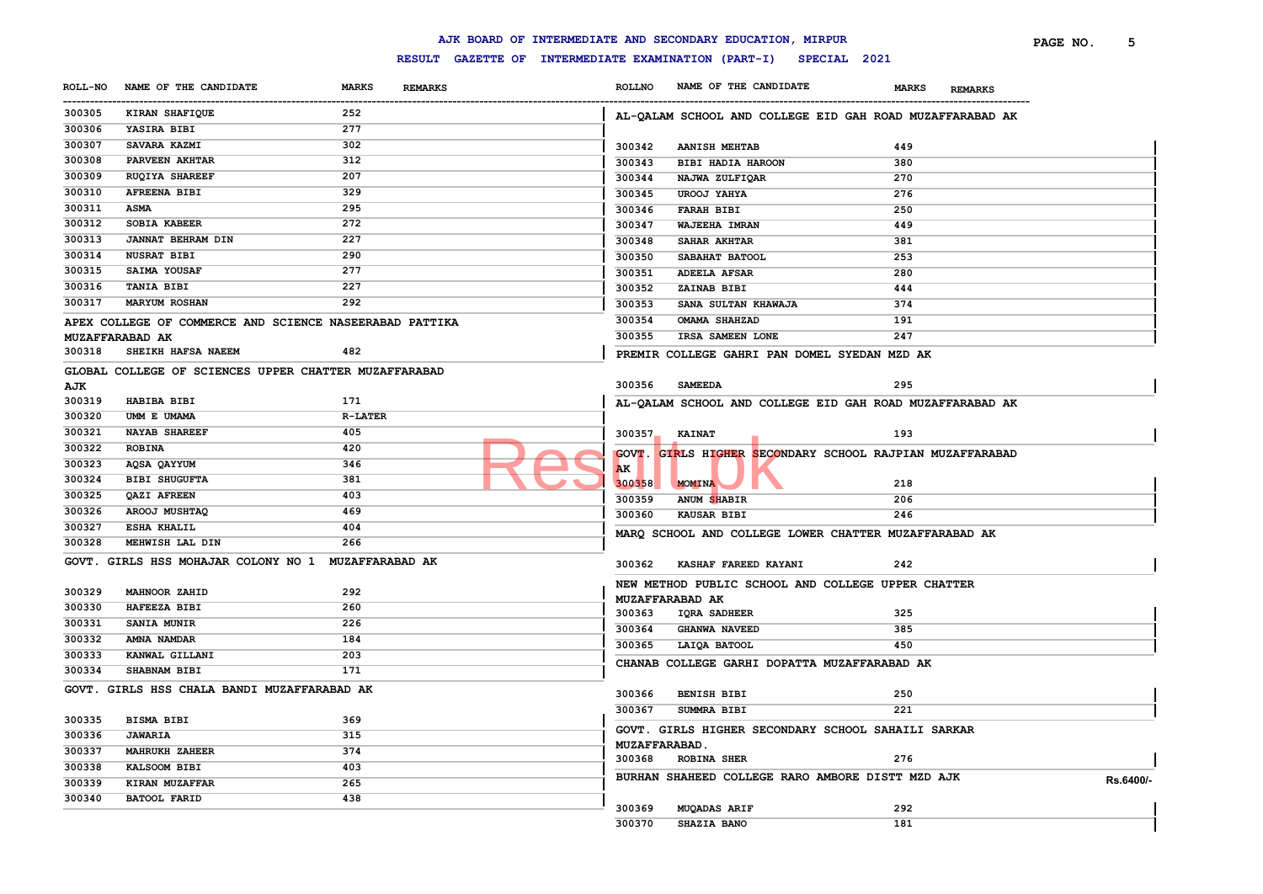#### ------------------------------------------------------------------------------------------------------------------------------------------------------------------------------------------------------------------------ **ROLLNO NAME OF THE CANDIDATE MARKS REMARKS PAGE NO. 5 KIRAN SHAFIQUE 252 YASIRA BIBI 277 SAVARA KAZMI 302 PARVEEN AKHTAR 312 RUQIYA SHAREEF 207 AFREENA BIBI 329 ASMA 295 SOBIA KABEER 272 JANNAT BEHRAM DIN 227 NUSRAT BIBI 290 SAIMA YOUSAF 277 TANIA BIBI 227 MARYUM ROSHAN 292 APEX COLLEGE OF COMMERCE AND SCIENCE NASEERABAD PATTIKA MUZAFFARABAD AK SHEIKH HAFSA NAEEM 482 GLOBAL COLLEGE OF SCIENCES UPPER CHATTER MUZAFFARABAD AJK HABIBA BIBI 171 UMM E UMAMA R-LATER NAYAB SHAREEF 405 ROBINA 420 AQSA QAYYUM 346 BIBI SHUGUFTA 381 QAZI AFREEN 403 AROOJ MUSHTAQ 469 ESHA KHALIL 404 MEHWISH LAL DIN 266 GOVT. GIRLS HSS MOHAJAR COLONY NO 1 MUZAFFARABAD AK MAHNOOR ZAHID 292 HAFEEZA BIBI 260 SANIA MUNIR 226 AMNA NAMDAR 184 KANWAL GILLANI 203 SHABNAM BIBI 171 GOVT. GIRLS HSS CHALA BANDI MUZAFFARABAD AK BISMA BIBI 369 JAWARIA 315 MAHRUKH ZAHEER 374 KALSOOM BIBI 403 KIRAN MUZAFFAR 265 BATOOL FARID 438 AL-QALAM SCHOOL AND COLLEGE EID GAH ROAD MUZAFFARABAD AK AANISH MEHTAB 449 BIBI HADIA HAROON 380 NAJWA ZULFIQAR 270 UROOJ YAHYA 276 FARAH BIBI 250 WAJEEHA IMRAN 449 SAHAR AKHTAR 381 SABAHAT BATOOL 253 ADEELA AFSAR 280 ZAINAB BIBI 444 SANA SULTAN KHAWAJA 374 OMAMA SHAHZAD 191 IRSA SAMEEN LONE 247 PREMIR COLLEGE GAHRI PAN DOMEL SYEDAN MZD AK SAMEEDA 295 AL-QALAM SCHOOL AND COLLEGE EID GAH ROAD MUZAFFARABAD AK KAINAT 193 GOVT. GIRLS HIGHER SECONDARY SCHOOL RAJPIAN MUZAFFARABAD AK MOMINA 218 ANUM SHABIR 206 KAUSAR BIBI 246 MARQ SCHOOL AND COLLEGE LOWER CHATTER MUZAFFARABAD AK KASHAF FAREED KAYANI 242 NEW METHOD PUBLIC SCHOOL AND COLLEGE UPPER CHATTER MUZAFFARABAD AK IQRA SADHEER 325 GHANWA NAVEED 385 LAIQA BATOOL 450 CHANAB COLLEGE GARHI DOPATTA MUZAFFARABAD AK BENISH BIBI 250 SUMMRA BIBI 221 GOVT. GIRLS HIGHER SECONDARY SCHOOL SAHAILI SARKAR MUZAFFARABAD. ROBINA SHER 276 BURHAN SHAHEED COLLEGE RARO AMBORE DISTT MZD AJK Rs.6400/- MUQADAS ARIF 292 SHAZIA BANO 181 RESP. SECOND AND SECONDUM STRAIN SECONDUM AND SPONDING ATTEMPTED SECONDUM STRABIR**

**AJK BOARD OF INTERMEDIATE AND SECONDARY EDUCATION, MIRPUR**

**ROLL-NO NAME OF THE CANDIDATE MARKS REMARKS**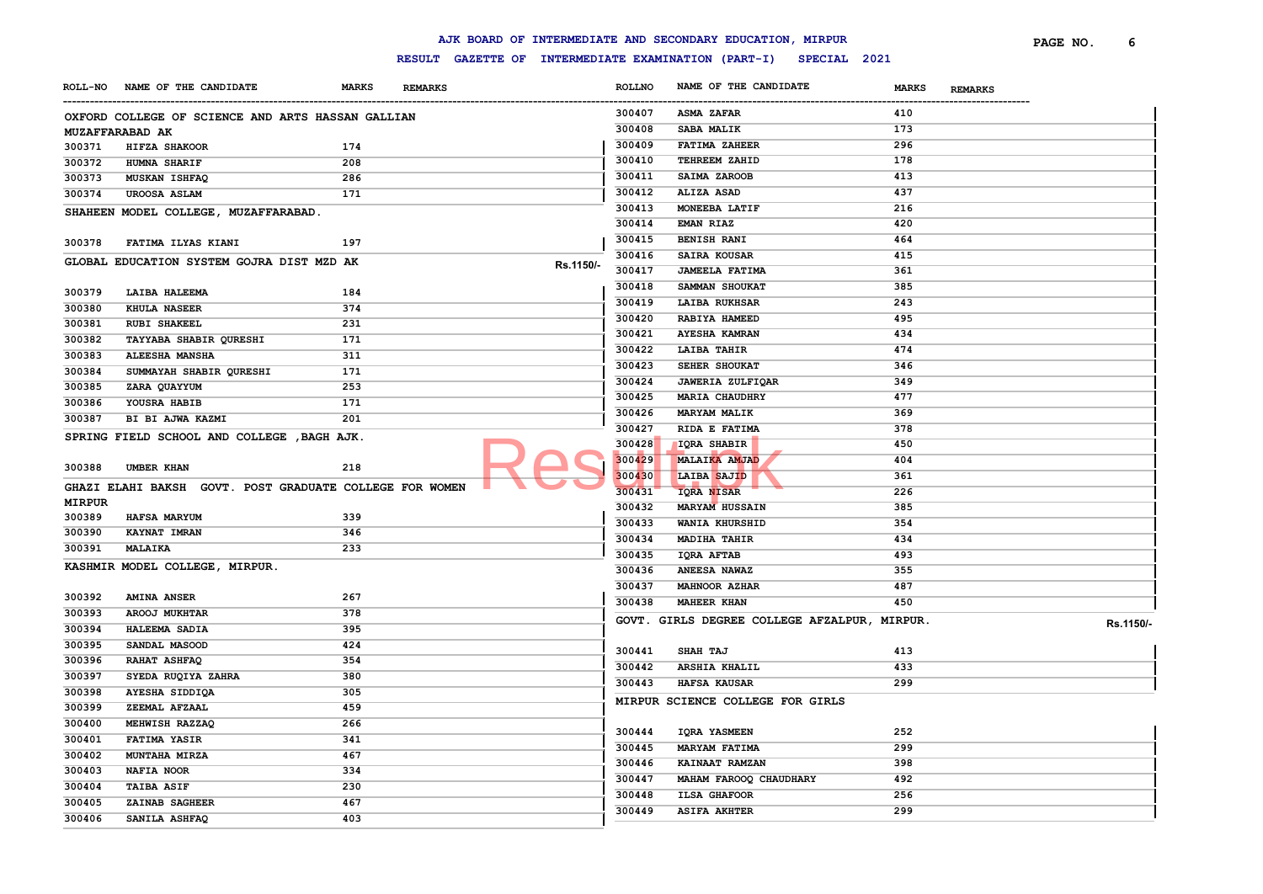|                  |                                                         |              |                |           |               | AJK BOARD OF INTERMEDIATE AND SECONDARY EDUCATION, MIRPUR        |                                | PAGE NO. | 6         |
|------------------|---------------------------------------------------------|--------------|----------------|-----------|---------------|------------------------------------------------------------------|--------------------------------|----------|-----------|
|                  |                                                         |              |                |           |               | RESULT GAZETTE OF INTERMEDIATE EXAMINATION (PART-I) SPECIAL 2021 |                                |          |           |
|                  | ROLL-NO NAME OF THE CANDIDATE                           | <b>MARKS</b> | <b>REMARKS</b> |           | <b>ROLLNO</b> | NAME OF THE CANDIDATE                                            | <b>MARKS</b><br><b>REMARKS</b> |          |           |
|                  | OXFORD COLLEGE OF SCIENCE AND ARTS HASSAN GALLIAN       |              |                |           | 300407        | <b>ASMA ZAFAR</b>                                                | 410                            |          |           |
|                  | MUZAFFARABAD AK                                         |              |                |           | 300408        | <b>SABA MALIK</b>                                                | 173                            |          |           |
| 300371           | HIFZA SHAKOOR                                           | 174          |                |           | 300409        | <b>FATIMA ZAHEER</b>                                             | 296                            |          |           |
| 300372           | <b>HUMNA SHARIF</b>                                     | 208          |                |           | 300410        | TEHREEM ZAHID                                                    | 178                            |          |           |
| 300373           | MUSKAN ISHFAQ                                           | 286          |                |           | 300411        | SAIMA ZAROOB                                                     | 413                            |          |           |
| 300374           | UROOSA ASLAM                                            | 171          |                |           | 300412        | <b>ALIZA ASAD</b>                                                | 437                            |          |           |
|                  | SHAHEEN MODEL COLLEGE, MUZAFFARABAD.                    |              |                |           | 300413        | MONEEBA LATIF                                                    | 216                            |          |           |
|                  |                                                         |              |                |           | 300414        | <b>EMAN RIAZ</b>                                                 | 420                            |          |           |
| 300378           | FATIMA ILYAS KIANI                                      | 197          |                |           | 300415        | <b>BENISH RANI</b>                                               | 464                            |          |           |
|                  | GLOBAL EDUCATION SYSTEM GOJRA DIST MZD AK               |              |                |           | 300416        | <b>SAIRA KOUSAR</b>                                              | 415                            |          |           |
|                  |                                                         |              |                | Rs.1150/- | 300417        | <b>JAMEELA FATIMA</b>                                            | 361                            |          |           |
| 300379           | LAIBA HALEEMA                                           | 184          |                |           | 300418        | SAMMAN SHOUKAT                                                   | 385                            |          |           |
| 300380           | <b>KHULA NASEER</b>                                     | 374          |                |           | 300419        | LAIBA RUKHSAR                                                    | 243                            |          |           |
| 300381           | <b>RUBI SHAKEEL</b>                                     | 231          |                |           | 300420        | RABIYA HAMEED                                                    | 495                            |          |           |
| 300382           | TAYYABA SHABIR QURESHI                                  | 171          |                |           | 300421        | <b>AYESHA KAMRAN</b>                                             | 434                            |          |           |
| 300383           | <b>ALEESHA MANSHA</b>                                   | 311          |                |           | 300422        | <b>LAIBA TAHIR</b>                                               | 474                            |          |           |
| 300384           | SUMMAYAH SHABIR QURESHI                                 | 171          |                |           | 300423        | SEHER SHOUKAT                                                    | 346                            |          |           |
| 300385           | ZARA QUAYYUM                                            | 253          |                |           | 300424        | JAWERIA ZULFIQAR                                                 | 349                            |          |           |
| 300386           | YOUSRA HABIB                                            | 171          |                |           | 300425        | <b>MARIA CHAUDHRY</b>                                            | 477                            |          |           |
| 300387           | BI BI AJWA KAZMI                                        | 201          |                |           | 300426        | <b>MARYAM MALIK</b>                                              | 369                            |          |           |
|                  | SPRING FIELD SCHOOL AND COLLEGE , BAGH AJK.             |              |                |           | 300427        | RIDA E FATIMA                                                    | 378                            |          |           |
|                  |                                                         |              |                |           | 300428        | <b>IQRA SHABIR</b>                                               | 450                            |          |           |
| 300388           | UMBER KHAN                                              | 218          |                |           | 300429        | MALAIKA AMJAD                                                    | 404                            |          |           |
|                  |                                                         |              |                |           | 300430        | LAIBA SAJID                                                      | 361                            |          |           |
|                  | GHAZI ELAHI BAKSH GOVT. POST GRADUATE COLLEGE FOR WOMEN |              |                |           | 300431        | <b>IQRA NISAR</b>                                                | 226                            |          |           |
| MIRPUR<br>300389 | <b>HAFSA MARYUM</b>                                     | 339          |                |           | 300432        | <b>MARYAM HUSSAIN</b>                                            | 385                            |          |           |
| 300390           | <b>KAYNAT IMRAN</b>                                     | 346          |                |           | 300433        | WANIA KHURSHID                                                   | 354                            |          |           |
| 300391           | MALAIKA                                                 | 233          |                |           | 300434        | <b>MADIHA TAHIR</b>                                              | 434                            |          |           |
|                  |                                                         |              |                |           | 300435        | IQRA AFTAB                                                       | 493                            |          |           |
|                  | KASHMIR MODEL COLLEGE, MIRPUR.                          |              |                |           | 300436        | ANEESA NAWAZ                                                     | 355                            |          |           |
|                  |                                                         |              |                |           | 300437        | <b>MAHNOOR AZHAR</b>                                             | 487                            |          |           |
| 300392           | <b>AMINA ANSER</b>                                      | 267          |                |           | 300438        | MAHEER KHAN                                                      | 450                            |          |           |
| 300393           | AROOJ MUKHTAR                                           | 378          |                |           |               | GOVT. GIRLS DEGREE COLLEGE AFZALPUR, MIRPUR.                     |                                |          | Rs.1150/- |
| 300394           | <b>HALEEMA SADIA</b>                                    | 395          |                |           |               |                                                                  |                                |          |           |
| 300395           | SANDAL MASOOD                                           | 424          |                |           | 300441        | SHAH TAJ                                                         | 413                            |          |           |
| 300396           | <b>RAHAT ASHFAQ</b>                                     | 354          |                |           | 300442        | <b>ARSHIA KHALIL</b>                                             | 433                            |          |           |
| 300397           | SYEDA RUQIYA ZAHRA                                      | 380          |                |           | 300443        | <b>HAFSA KAUSAR</b>                                              | 299                            |          |           |
| 300398           | AYESHA SIDDIQA                                          | 305          |                |           |               | MIRPUR SCIENCE COLLEGE FOR GIRLS                                 |                                |          |           |
| 300399           | ZEEMAL AFZAAL                                           | 459          |                |           |               |                                                                  |                                |          |           |
| 300400           | MEHWISH RAZZAQ                                          | 266          |                |           | 300444        | <b>IQRA YASMEEN</b>                                              | 252                            |          |           |
| 300401           | <b>FATIMA YASIR</b>                                     | 341          |                |           | 300445        | <b>MARYAM FATIMA</b>                                             | 299                            |          |           |
| 300402           | MUNTAHA MIRZA                                           | 467          |                |           | 300446        | KAINAAT RAMZAN                                                   | 398                            |          |           |
| 300403           | NAFIA NOOR                                              | 334          |                |           | 300447        | MAHAM FAROOQ CHAUDHARY                                           | 492                            |          |           |
| 300404           | <b>TAIBA ASIF</b>                                       | 230          |                |           | 300448        | <b>ILSA GHAFOOR</b>                                              | 256                            |          |           |
| 300405           | ZAINAB SAGHEER                                          | 467          |                |           | 300449        | <b>ASIFA AKHTER</b>                                              | 299                            |          |           |
| 300406           | SANILA ASHFAQ                                           | 403          |                |           |               |                                                                  |                                |          |           |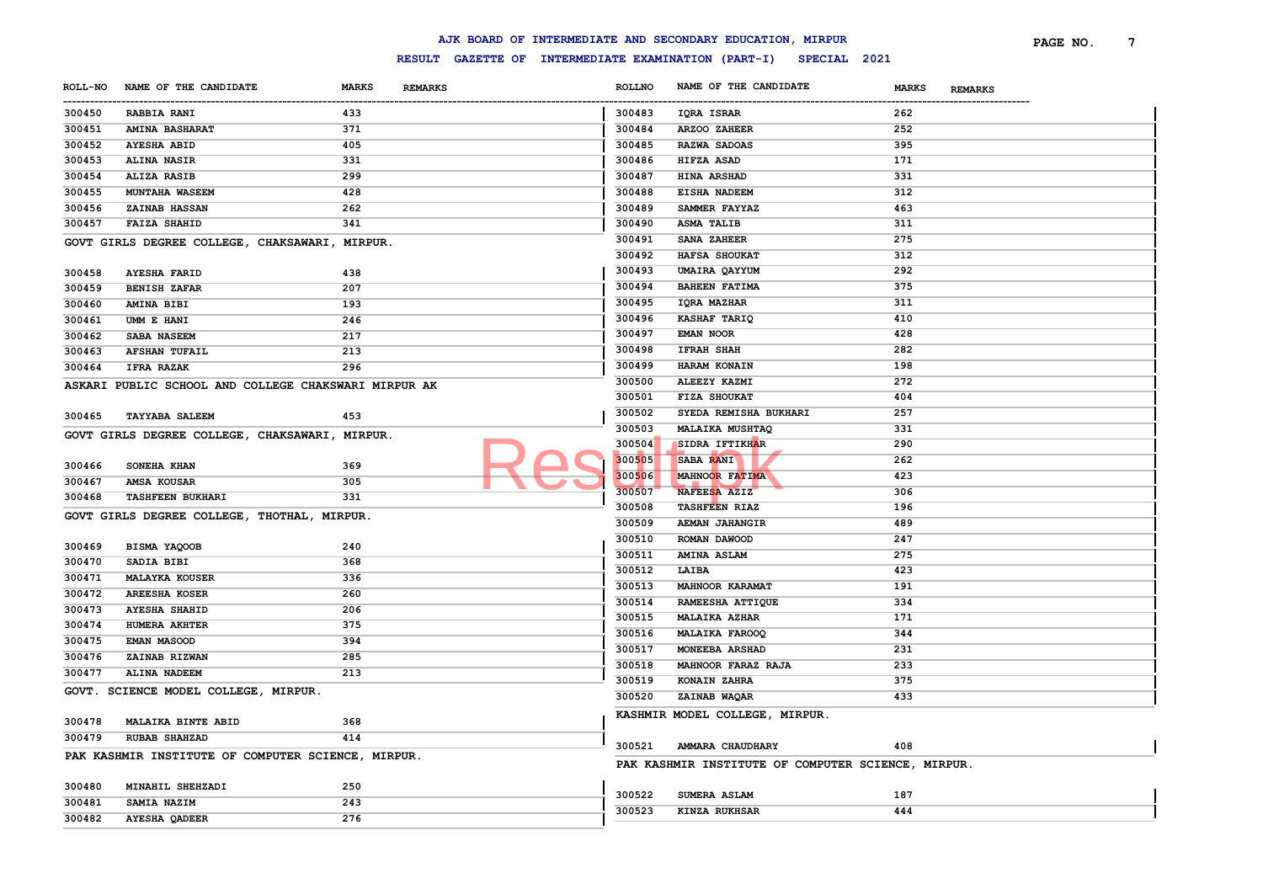|                       |                                                      |                                |                  | AJK BOARD OF INTERMEDIATE AND SECONDARY EDUCATION, MIRPUR        |                         | PAGE NO. | 7 |
|-----------------------|------------------------------------------------------|--------------------------------|------------------|------------------------------------------------------------------|-------------------------|----------|---|
|                       |                                                      |                                |                  | RESULT GAZETTE OF INTERMEDIATE EXAMINATION (PART-I) SPECIAL 2021 |                         |          |   |
| <b>ROLL-NO</b>        | NAME OF THE CANDIDATE                                | <b>MARKS</b><br><b>REMARKS</b> | <b>ROLLNO</b>    | NAME OF THE CANDIDATE                                            | MARKS<br><b>REMARKS</b> |          |   |
| -----------<br>300450 | <b>RABBIA RANI</b>                                   | 433                            | 300483           | IQRA ISRAR                                                       | 262                     |          |   |
| 300451                | <b>AMINA BASHARAT</b>                                | 371                            | 300484           | ARZOO ZAHEER                                                     | 252                     |          |   |
| 300452                | <b>AYESHA ABID</b>                                   | 405                            | 300485           | RAZWA SADOAS                                                     | 395                     |          |   |
| 300453                | <b>ALINA NASIR</b>                                   | 331                            | 300486           | HIFZA ASAD                                                       | 171                     |          |   |
| 300454                | <b>ALIZA RASIB</b>                                   | 299                            | 300487           | HINA ARSHAD                                                      | 331                     |          |   |
| 300455                | <b>MUNTAHA WASEEM</b>                                | 428                            | 300488           | <b>EISHA NADEEM</b>                                              | 312                     |          |   |
| 300456                | <b>ZAINAB HASSAN</b>                                 | 262                            | 300489           | SAMMER FAYYAZ                                                    | 463                     |          |   |
| 300457                | <b>FAIZA SHAHID</b>                                  | 341                            | 300490           | <b>ASMA TALIB</b>                                                | 311                     |          |   |
|                       | GOVT GIRLS DEGREE COLLEGE, CHAKSAWARI, MIRPUR.       |                                | 300491           | SANA ZAHEER                                                      | 275                     |          |   |
|                       |                                                      |                                | 300492           | HAFSA SHOUKAT                                                    | 312                     |          |   |
| 300458                | <b>AYESHA FARID</b>                                  | 438                            | 300493           | UMAIRA QAYYUM                                                    | 292                     |          |   |
| 300459                | <b>BENISH ZAFAR</b>                                  | 207                            | 300494           | <b>BAHEEN FATIMA</b>                                             | 375                     |          |   |
| 300460                | <b>AMINA BIBI</b>                                    | 193                            | 300495           | IQRA MAZHAR                                                      | 311                     |          |   |
| 300461                | UMM E HANI                                           | 246                            | 300496           | KASHAF TARIQ                                                     | 410                     |          |   |
| 300462                | SABA NASEEM                                          | 217                            | 300497           | <b>EMAN NOOR</b>                                                 | 428                     |          |   |
| 300463                | <b>AFSHAN TUFAIL</b>                                 | 213                            | 300498           | <b>IFRAH SHAH</b>                                                | 282                     |          |   |
| 300464                | <b>IFRA RAZAK</b>                                    | 296                            | 300499           | HARAM KONAIN                                                     | 198                     |          |   |
|                       |                                                      |                                | 300500           | ALEEZY KAZMI                                                     | 272                     |          |   |
|                       | ASKARI PUBLIC SCHOOL AND COLLEGE CHAKSWARI MIRPUR AK |                                | 300501           | FIZA SHOUKAT                                                     | 404                     |          |   |
|                       |                                                      |                                | 300502           | SYEDA REMISHA BUKHARI                                            | 257                     |          |   |
| 300465                | <b>TAYYABA SALEEM</b>                                | 453                            | 300503           | MALAIKA MUSHTAQ                                                  | 331                     |          |   |
|                       | GOVT GIRLS DEGREE COLLEGE, CHAKSAWARI, MIRPUR.       |                                | 300504           | SIDRA IFTIKHAR                                                   | 290                     |          |   |
|                       |                                                      |                                | 300505           | SABA RANI                                                        | 262                     |          |   |
| 300466                | SONEHA KHAN                                          | 369                            | 300506           | <b>MAHNOOR FATIMA</b>                                            | 423                     |          |   |
| 300467                | AMSA KOUSAR                                          | 305                            | 300507           | NAFEESA AZIZ                                                     | 306                     |          |   |
| 300468                | <b>TASHFEEN BUKHARI</b>                              | 331                            |                  |                                                                  |                         |          |   |
|                       | GOVT GIRLS DEGREE COLLEGE, THOTHAL, MIRPUR.          |                                | 300508           | <b>TASHFEEN RIAZ</b>                                             | 196                     |          |   |
|                       |                                                      |                                | 300509           | AEMAN JAHANGIR                                                   | 489                     |          |   |
| 300469                | BISMA YAQOOB                                         | 240                            | 300510           | ROMAN DAWOOD                                                     | 247                     |          |   |
| 300470                | SADIA BIBI                                           | 368                            | 300511           | AMINA ASLAM                                                      | 275                     |          |   |
| 300471                | <b>MALAYKA KOUSER</b>                                | 336                            | 300512           | LAIBA                                                            | 423                     |          |   |
| 300472                | <b>AREESHA KOSER</b>                                 | 260                            | 300513           | MAHNOOR KARAMAT                                                  | 191                     |          |   |
| 300473                | <b>AYESHA SHAHID</b>                                 | 206                            | 300514           | RAMEESHA ATTIQUE                                                 | 334                     |          |   |
| 300474                | HUMERA AKHTER                                        | 375                            | 300515           | <b>MALAIKA AZHAR</b>                                             | 171                     |          |   |
| 300475                | <b>EMAN MASOOD</b>                                   | 394                            | 300516           | MALAIKA FAROOQ                                                   | 344                     |          |   |
| 300476                | ZAINAB RIZWAN                                        | 285                            | 300517           | MONEEBA ARSHAD                                                   | 231                     |          |   |
| 300477                | ALINA NADEEM                                         | 213                            | 300518           | MAHNOOR FARAZ RAJA                                               | 233                     |          |   |
|                       | GOVT. SCIENCE MODEL COLLEGE, MIRPUR.                 |                                | 300519           | KONAIN ZAHRA                                                     | 375                     |          |   |
|                       |                                                      |                                | 300520           | ZAINAB WAQAR                                                     | 433                     |          |   |
| 300478                | <b>MALAIKA BINTE ABID</b>                            | 368                            |                  | KASHMIR MODEL COLLEGE, MIRPUR.                                   |                         |          |   |
| 300479                | <b>RUBAB SHAHZAD</b>                                 | 414                            |                  |                                                                  |                         |          |   |
|                       |                                                      |                                | 300521           | AMMARA CHAUDHARY                                                 | 408                     |          |   |
|                       | PAK KASHMIR INSTITUTE OF COMPUTER SCIENCE, MIRPUR.   |                                |                  | PAK KASHMIR INSTITUTE OF COMPUTER SCIENCE, MIRPUR.               |                         |          |   |
|                       |                                                      |                                |                  |                                                                  |                         |          |   |
|                       | MINAHIL SHEHZADI                                     | 250                            |                  |                                                                  |                         |          |   |
| 300480<br>300481      | SAMIA NAZIM                                          | 243                            | 300522<br>300523 | SUMERA ASLAM<br>KINZA RUKHSAR                                    | 187<br>444              |          |   |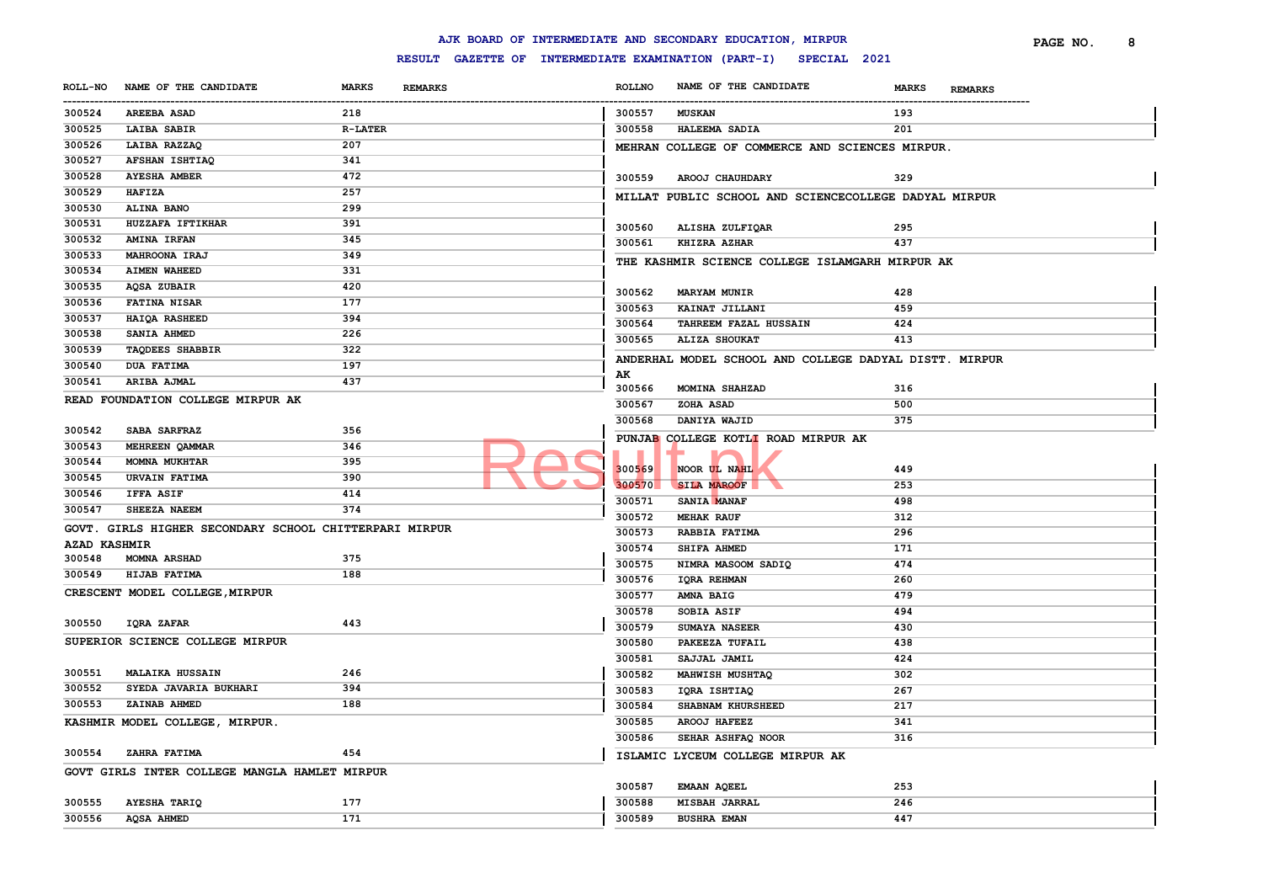|                       |                                                        |                                |               | AJK BOARD OF INTERMEDIATE AND SECONDARY EDUCATION, MIRPUR        |                                | PAGE NO. | 8 |
|-----------------------|--------------------------------------------------------|--------------------------------|---------------|------------------------------------------------------------------|--------------------------------|----------|---|
|                       |                                                        |                                |               | RESULT GAZETTE OF INTERMEDIATE EXAMINATION (PART-I) SPECIAL 2021 |                                |          |   |
|                       | ROLL-NO NAME OF THE CANDIDATE                          | <b>MARKS</b><br><b>REMARKS</b> | <b>ROLLNO</b> | NAME OF THE CANDIDATE                                            | <b>MARKS</b><br><b>REMARKS</b> |          |   |
| -----------<br>300524 | <b>AREEBA ASAD</b>                                     | 218                            | 300557        | <b>MUSKAN</b>                                                    | 193                            |          |   |
| 300525                | LAIBA SABIR                                            | <b>R-LATER</b>                 | 300558        | <b>HALEEMA SADIA</b>                                             | 201                            |          |   |
| 300526                | LAIBA RAZZAQ                                           | 207                            |               | MEHRAN COLLEGE OF COMMERCE AND SCIENCES MIRPUR.                  |                                |          |   |
| 300527                | AFSHAN ISHTIAQ                                         | 341                            |               |                                                                  |                                |          |   |
| 300528                | <b>AYESHA AMBER</b>                                    | 472                            | 300559        | AROOJ CHAUHDARY                                                  | 329                            |          |   |
| 300529                | <b>HAFIZA</b>                                          | 257                            |               | MILLAT PUBLIC SCHOOL AND SCIENCECOLLEGE DADYAL MIRPUR            |                                |          |   |
| 300530                | ALINA BANO                                             | 299                            |               |                                                                  |                                |          |   |
| 300531                | HUZZAFA IFTIKHAR                                       | 391                            | 300560        | ALISHA ZULFIQAR                                                  | 295                            |          |   |
| 300532                | <b>AMINA IRFAN</b>                                     | 345                            | 300561        | <b>KHIZRA AZHAR</b>                                              | 437                            |          |   |
| 300533                | <b>MAHROONA IRAJ</b>                                   | 349                            |               | THE KASHMIR SCIENCE COLLEGE ISLAMGARH MIRPUR AK                  |                                |          |   |
| 300534                | <b>AIMEN WAHEED</b>                                    | 331                            |               |                                                                  |                                |          |   |
| 300535                | AQSA ZUBAIR                                            | 420                            | 300562        | <b>MARYAM MUNIR</b>                                              | 428                            |          |   |
| 300536                | <b>FATINA NISAR</b>                                    | 177                            | 300563        | KAINAT JILLANI                                                   | 459                            |          |   |
| 300537                | HAIQA RASHEED                                          | 394                            | 300564        | TAHREEM FAZAL HUSSAIN                                            | 424                            |          |   |
| 300538                | SANIA AHMED                                            | 226                            | 300565        | ALIZA SHOUKAT                                                    | 413                            |          |   |
| 300539                | <b>TAQDEES SHABBIR</b>                                 | 322                            |               |                                                                  |                                |          |   |
| 300540                | <b>DUA FATIMA</b>                                      | 197                            |               | ANDERHAL MODEL SCHOOL AND COLLEGE DADYAL DISTT. MIRPUR           |                                |          |   |
| 300541                | ARIBA AJMAL                                            | 437                            | AK<br>300566  | MOMINA SHAHZAD                                                   | 316                            |          |   |
|                       | READ FOUNDATION COLLEGE MIRPUR AK                      |                                | 300567        | ZOHA ASAD                                                        | 500                            |          |   |
|                       |                                                        |                                | 300568        | DANIYA WAJID                                                     | 375                            |          |   |
| 300542                | SABA SARFRAZ                                           | 356                            |               |                                                                  |                                |          |   |
| 300543                | MEHREEN QAMMAR                                         | 346                            |               | PUNJAB COLLEGE KOTLI ROAD MIRPUR AK                              |                                |          |   |
| 300544                | <b>MOMNA MUKHTAR</b>                                   | 395                            | 300569        | NOOR UL NAHL                                                     | 449                            |          |   |
| 300545                | <b>URVAIN FATIMA</b>                                   | 390                            | 300570        | <b>SILA MAROOF</b>                                               | 253                            |          |   |
| 300546                | <b>IFFA ASIF</b>                                       | 414                            | 300571        | SANIA MANAF                                                      | 498                            |          |   |
| 300547                | SHEEZA NAEEM                                           | 374                            | 300572        | <b>MEHAK RAUF</b>                                                | 312                            |          |   |
|                       | GOVT. GIRLS HIGHER SECONDARY SCHOOL CHITTERPARI MIRPUR |                                | 300573        | RABBIA FATIMA                                                    | 296                            |          |   |
| <b>AZAD KASHMIR</b>   |                                                        |                                | 300574        | SHIFA AHMED                                                      | 171                            |          |   |
| 300548                | <b>MOMNA ARSHAD</b>                                    | 375                            | 300575        | NIMRA MASOOM SADIQ                                               | 474                            |          |   |
| 300549                | HIJAB FATIMA                                           | 188                            | 300576        | IQRA REHMAN                                                      | 260                            |          |   |
|                       | CRESCENT MODEL COLLEGE, MIRPUR                         |                                | 300577        | AMNA BAIG                                                        | 479                            |          |   |
|                       |                                                        |                                | 300578        | <b>SOBIA ASIF</b>                                                | 494                            |          |   |
| 300550                | <b>IQRA ZAFAR</b>                                      | 443                            | 300579        | SUMAYA NASEER                                                    | 430                            |          |   |
|                       | SUPERIOR SCIENCE COLLEGE MIRPUR                        |                                | 300580        | PAKEEZA TUFAIL                                                   | 438                            |          |   |
|                       |                                                        |                                | 300581        | SAJJAL JAMIL                                                     | 424                            |          |   |
| 300551                | <b>MALAIKA HUSSAIN</b>                                 | 246                            | 300582        | MAHWISH MUSHTAQ                                                  | 302                            |          |   |
| 300552                | SYEDA JAVARIA BUKHARI                                  | 394                            | 300583        | IQRA ISHTIAQ                                                     | 267                            |          |   |
| 300553                | ZAINAB AHMED                                           | 188                            | 300584        | SHABNAM KHURSHEED                                                | 217                            |          |   |
|                       | KASHMIR MODEL COLLEGE, MIRPUR.                         |                                | 300585        | AROOJ HAFEEZ                                                     | 341                            |          |   |
|                       |                                                        |                                | 300586        | SEHAR ASHFAQ NOOR                                                | 316                            |          |   |
| 300554                | ZAHRA FATIMA                                           | 454                            |               |                                                                  |                                |          |   |
|                       | GOVT GIRLS INTER COLLEGE MANGLA HAMLET MIRPUR          |                                |               | ISLAMIC LYCEUM COLLEGE MIRPUR AK                                 |                                |          |   |
|                       |                                                        |                                | 300587        | <b>EMAAN AQEEL</b>                                               | 253                            |          |   |
| 300555                | AYESHA TARIQ                                           | 177                            | 300588        | <b>MISBAH JARRAL</b>                                             | 246                            |          |   |
| 300556                | AQSA AHMED                                             | 171                            | 300589        | <b>BUSHRA EMAN</b>                                               | 447                            |          |   |
|                       |                                                        |                                |               |                                                                  |                                |          |   |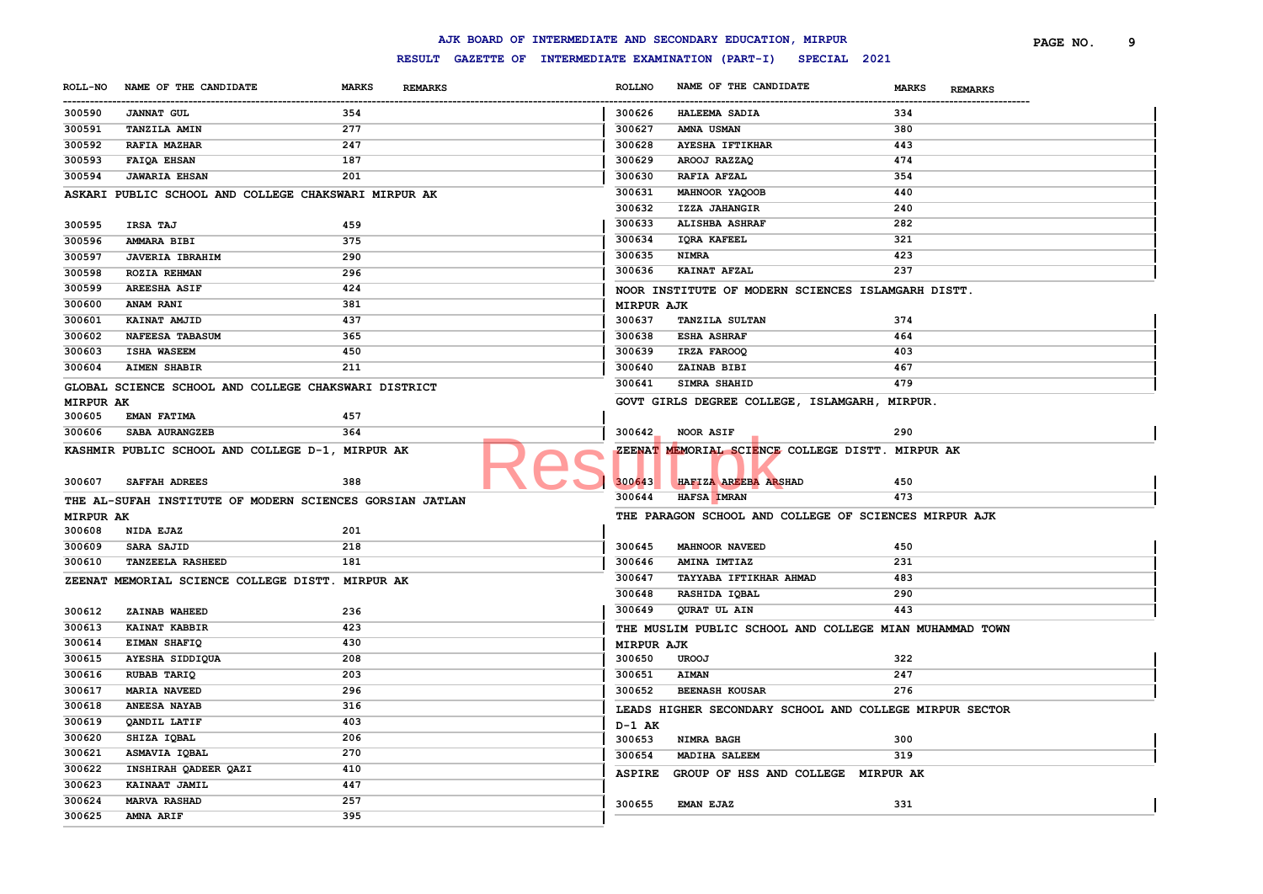|                  |                                                          |              |                                                     |                   | AJK BOARD OF INTERMEDIATE AND SECONDARY EDUCATION, MIRPUR |                                | PAGE NO. | 9 |
|------------------|----------------------------------------------------------|--------------|-----------------------------------------------------|-------------------|-----------------------------------------------------------|--------------------------------|----------|---|
|                  |                                                          |              | RESULT GAZETTE OF INTERMEDIATE EXAMINATION (PART-I) |                   | SPECIAL 2021                                              |                                |          |   |
| <b>ROLL-NO</b>   | NAME OF THE CANDIDATE                                    | <b>MARKS</b> | <b>REMARKS</b>                                      | <b>ROLLNO</b>     | NAME OF THE CANDIDATE                                     | <b>MARKS</b><br><b>REMARKS</b> |          |   |
| <br>300590       | <b>JANNAT GUL</b>                                        | 354          |                                                     | 300626            | HALEEMA SADIA                                             | 334                            |          |   |
| 300591           | <b>TANZILA AMIN</b>                                      | 277          |                                                     | 300627            | AMNA USMAN                                                | 380                            |          |   |
| 300592           | RAFIA MAZHAR                                             | 247          |                                                     | 300628            | <b>AYESHA IFTIKHAR</b>                                    | 443                            |          |   |
| 300593           | FAIQA EHSAN                                              | 187          |                                                     | 300629            | AROOJ RAZZAQ                                              | 474                            |          |   |
| 300594           | <b>JAWARIA EHSAN</b>                                     | 201          |                                                     | 300630            | RAFIA AFZAL                                               | 354                            |          |   |
|                  | ASKARI PUBLIC SCHOOL AND COLLEGE CHAKSWARI MIRPUR AK     |              |                                                     | 300631            | MAHNOOR YAQOOB                                            | 440                            |          |   |
|                  |                                                          |              |                                                     | 300632            | IZZA JAHANGIR                                             | 240                            |          |   |
| 300595           | <b>IRSA TAJ</b>                                          | 459          |                                                     | 300633            | <b>ALISHBA ASHRAF</b>                                     | 282                            |          |   |
| 300596           | AMMARA BIBI                                              | 375          |                                                     | 300634            | IQRA KAFEEL                                               | 321                            |          |   |
| 300597           | <b>JAVERIA IBRAHIM</b>                                   | 290          |                                                     | 300635            | <b>NIMRA</b>                                              | 423                            |          |   |
| 300598           | <b>ROZIA REHMAN</b>                                      | 296          |                                                     | 300636            | KAINAT AFZAL                                              | 237                            |          |   |
| 300599           | <b>AREESHA ASIF</b>                                      | 424          |                                                     |                   | NOOR INSTITUTE OF MODERN SCIENCES ISLAMGARH DISTT.        |                                |          |   |
| 300600           | <b>ANAM RANI</b>                                         | 381          |                                                     | <b>MIRPUR AJK</b> |                                                           |                                |          |   |
| 300601           | KAINAT AMJID                                             | 437          |                                                     | 300637            | <b>TANZILA SULTAN</b>                                     | 374                            |          |   |
| 300602           | NAFEESA TABASUM                                          | 365          |                                                     | 300638            | <b>ESHA ASHRAF</b>                                        | 464                            |          |   |
| 300603           | <b>ISHA WASEEM</b>                                       | 450          |                                                     | 300639            | IRZA FAROOQ                                               | 403                            |          |   |
| 300604           | <b>AIMEN SHABIR</b>                                      | 211          |                                                     | 300640            | ZAINAB BIBI                                               | 467                            |          |   |
|                  | GLOBAL SCIENCE SCHOOL AND COLLEGE CHAKSWARI DISTRICT     |              |                                                     | 300641            | <b>SIMRA SHAHID</b>                                       | 479                            |          |   |
| <b>MIRPUR AK</b> |                                                          |              |                                                     |                   | GOVT GIRLS DEGREE COLLEGE, ISLAMGARH, MIRPUR.             |                                |          |   |
| 300605           | <b>EMAN FATIMA</b>                                       | 457          |                                                     |                   |                                                           |                                |          |   |
| 300606           | SABA AURANGZEB                                           | 364          |                                                     | 300642            | NOOR ASIF                                                 | 290                            |          |   |
|                  | KASHMIR PUBLIC SCHOOL AND COLLEGE D-1, MIRPUR AK         |              |                                                     |                   | ZEENAT MEMORIAL SCIENCE COLLEGE DISTT. MIRPUR AK          |                                |          |   |
| 300607           | <b>SAFFAH ADREES</b>                                     | 388          |                                                     | 300643            | HAFIZA AREEBA ARSHAD                                      | 450                            |          |   |
|                  | THE AL-SUFAH INSTITUTE OF MODERN SCIENCES GORSIAN JATLAN |              |                                                     | 300644            | HAFSA IMRAN                                               | 473                            |          |   |
| <b>MIRPUR AK</b> |                                                          |              |                                                     |                   | THE PARAGON SCHOOL AND COLLEGE OF SCIENCES MIRPUR AJK     |                                |          |   |
| 300608           | NIDA EJAZ                                                | 201          |                                                     |                   |                                                           |                                |          |   |
| 300609           | <b>SARA SAJID</b>                                        | 218          |                                                     | 300645            | <b>MAHNOOR NAVEED</b>                                     | 450                            |          |   |
| 300610           | <b>TANZEELA RASHEED</b>                                  | 181          |                                                     | 300646            | AMINA IMTIAZ                                              | 231                            |          |   |
|                  | ZEENAT MEMORIAL SCIENCE COLLEGE DISTT. MIRPUR AK         |              |                                                     | 300647            | TAYYABA IFTIKHAR AHMAD                                    | 483                            |          |   |
|                  |                                                          |              |                                                     | 300648            | RASHIDA IQBAL                                             | 290                            |          |   |
| 300612           | ZAINAB WAHEED                                            | 236          |                                                     | 300649            | QURAT UL AIN                                              | 443                            |          |   |
| 300613           | <b>KAINAT KABBIR</b>                                     | 423          |                                                     |                   | THE MUSLIM PUBLIC SCHOOL AND COLLEGE MIAN MUHAMMAD TOWN   |                                |          |   |
| 300614           | EIMAN SHAFIQ                                             | 430          |                                                     | <b>MIRPUR AJK</b> |                                                           |                                |          |   |
| 300615           | AYESHA SIDDIQUA                                          | 208          |                                                     | 300650            | <b>UROOJ</b>                                              | 322                            |          |   |
| 300616           | RUBAB TARIQ                                              | 203          |                                                     | 300651            | <b>AIMAN</b>                                              | 247                            |          |   |
| 300617           | <b>MARIA NAVEED</b>                                      | 296          |                                                     | 300652            | <b>BEENASH KOUSAR</b>                                     | 276                            |          |   |
| 300618           | ANEESA NAYAB                                             | 316          |                                                     |                   | LEADS HIGHER SECONDARY SCHOOL AND COLLEGE MIRPUR SECTOR   |                                |          |   |
| 300619           | QANDIL LATIF                                             | 403          |                                                     | D-1 AK            |                                                           |                                |          |   |
| 300620           | SHIZA IQBAL                                              | 206          |                                                     | 300653            | NIMRA BAGH                                                | 300                            |          |   |
| 300621           | ASMAVIA IQBAL                                            | 270          |                                                     | 300654            | <b>MADIHA SALEEM</b>                                      | 319                            |          |   |
| 300622           | INSHIRAH QADEER QAZI                                     | 410          |                                                     | <b>ASPIRE</b>     | GROUP OF HSS AND COLLEGE MIRPUR AK                        |                                |          |   |
| 300623           | KAINAAT JAMIL                                            | 447          |                                                     |                   |                                                           |                                |          |   |
| 300624           | <b>MARVA RASHAD</b>                                      | 257          |                                                     | 300655            | <b>EMAN EJAZ</b>                                          | 331                            |          |   |
| 300625           | <b>AMNA ARIF</b>                                         | 395          |                                                     |                   |                                                           |                                |          |   |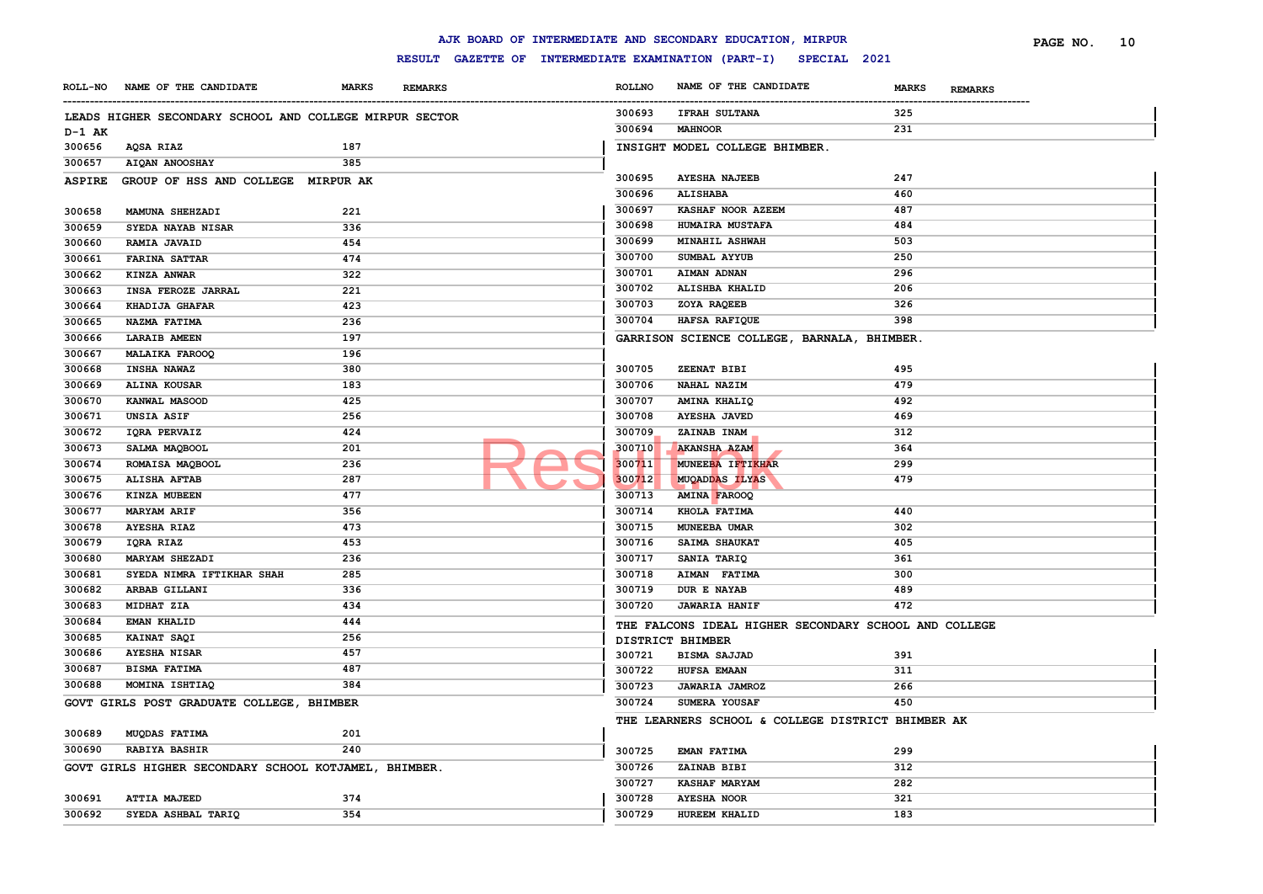|                |                                                         |                                |                                                     |               | AJK BOARD OF INTERMEDIATE AND SECONDARY EDUCATION, MIRPUR |       | PAGE NO.<br>10 |
|----------------|---------------------------------------------------------|--------------------------------|-----------------------------------------------------|---------------|-----------------------------------------------------------|-------|----------------|
|                |                                                         |                                | RESULT GAZETTE OF INTERMEDIATE EXAMINATION (PART-I) |               | SPECIAL 2021                                              |       |                |
| <b>ROLL-NO</b> | NAME OF THE CANDIDATE                                   | <b>MARKS</b><br><b>REMARKS</b> |                                                     | <b>ROLLNO</b> | NAME OF THE CANDIDATE                                     | MARKS | <b>REMARKS</b> |
|                | LEADS HIGHER SECONDARY SCHOOL AND COLLEGE MIRPUR SECTOR |                                |                                                     | 300693        | <b>IFRAH SULTANA</b>                                      | 325   |                |
| D-1 AK         |                                                         |                                |                                                     | 300694        | <b>MAHNOOR</b>                                            | 231   |                |
| 300656         | AQSA RIAZ                                               | 187                            |                                                     |               | INSIGHT MODEL COLLEGE BHIMBER.                            |       |                |
| 300657         | AIQAN ANOOSHAY                                          | 385                            |                                                     |               |                                                           |       |                |
| <b>ASPIRE</b>  | GROUP OF HSS AND COLLEGE MIRPUR AK                      |                                |                                                     | 300695        | <b>AYESHA NAJEEB</b>                                      | 247   |                |
|                |                                                         |                                |                                                     | 300696        | <b>ALISHABA</b>                                           | 460   |                |
| 300658         | MAMUNA SHEHZADI                                         | 221                            |                                                     | 300697        | KASHAF NOOR AZEEM                                         | 487   |                |
| 300659         | SYEDA NAYAB NISAR                                       | 336                            |                                                     | 300698        | HUMAIRA MUSTAFA                                           | 484   |                |
| 300660         | RAMIA JAVAID                                            | 454                            |                                                     | 300699        | MINAHIL ASHWAH                                            | 503   |                |
| 300661         | <b>FARINA SATTAR</b>                                    | 474                            |                                                     | 300700        | SUMBAL AYYUB                                              | 250   |                |
| 300662         | KINZA ANWAR                                             | 322                            |                                                     | 300701        | AIMAN ADNAN                                               | 296   |                |
| 300663         | INSA FEROZE JARRAL                                      | 221                            |                                                     | 300702        | ALISHBA KHALID                                            | 206   |                |
| 300664         | KHADIJA GHAFAR                                          | 423                            |                                                     | 300703        | ZOYA RAQEEB                                               | 326   |                |
| 300665         | NAZMA FATIMA                                            | 236                            |                                                     | 300704        | HAFSA RAFIQUE                                             | 398   |                |
| 300666         | <b>LARAIB AMEEN</b>                                     | 197                            |                                                     |               | GARRISON SCIENCE COLLEGE, BARNALA, BHIMBER.               |       |                |
| 300667         | <b>MALAIKA FAROOQ</b>                                   | 196                            |                                                     |               |                                                           |       |                |
| 300668         | INSHA NAWAZ                                             | 380                            |                                                     | 300705        | ZEENAT BIBI                                               | 495   |                |
| 300669         | ALINA KOUSAR                                            | 183                            |                                                     | 300706        | NAHAL NAZIM                                               | 479   |                |
| 300670         | KANWAL MASOOD                                           | 425                            |                                                     | 300707        | AMINA KHALIQ                                              | 492   |                |
| 300671         | UNSIA ASIF                                              | 256                            |                                                     | 300708        | <b>AYESHA JAVED</b>                                       | 469   |                |
| 300672         | IQRA PERVAIZ                                            | 424                            |                                                     | 300709        | ZAINAB INAM                                               | 312   |                |
| 300673         | SALMA MAQBOOL                                           | 201                            |                                                     | 300710        | <b>AKANSHA AZAM</b>                                       | 364   |                |
| 300674         | ROMAISA MAQBOOL                                         | 236                            |                                                     | 300711        | MUNEEBA IFTIKHAR                                          | 299   |                |
| 300675         | <b>ALISHA AFTAB</b>                                     | 287                            |                                                     | 300712        | <b>MUQADDAS ILYAS</b>                                     | 479   |                |
| 300676         | KINZA MUBEEN                                            | 477                            |                                                     | 300713        | <b>AMINA FAROOQ</b>                                       |       |                |
| 300677         | <b>MARYAM ARIF</b>                                      | 356                            |                                                     | 300714        | KHOLA FATIMA                                              | 440   |                |
| 300678         | <b>AYESHA RIAZ</b>                                      | 473                            |                                                     | 300715        | MUNEEBA UMAR                                              | 302   |                |
| 300679         | IQRA RIAZ                                               | 453                            |                                                     | 300716        | SAIMA SHAUKAT                                             | 405   |                |
| 300680         | MARYAM SHEZADI                                          | 236                            |                                                     | 300717        | SANIA TARIQ                                               | 361   |                |
| 300681         | SYEDA NIMRA IFTIKHAR SHAH                               | 285                            |                                                     | 300718        | AIMAN FATIMA                                              | 300   |                |
| 300682         | ARBAB GILLANI                                           | 336                            |                                                     | 300719        | DUR E NAYAB                                               | 489   |                |
| 300683         | MIDHAT ZIA                                              | 434                            |                                                     | 300720        | <b>JAWARIA HANIF</b>                                      | 472   |                |
| 300684         | EMAN KHALID                                             | 444                            |                                                     |               | THE FALCONS IDEAL HIGHER SECONDARY SCHOOL AND COLLEGE     |       |                |
| 300685         | KAINAT SAQI                                             | 256                            |                                                     |               | DISTRICT BHIMBER                                          |       |                |
| 300686         | <b>AYESHA NISAR</b>                                     | 457                            |                                                     | 300721        | <b>BISMA SAJJAD</b>                                       | 391   |                |
| 300687         | <b>BISMA FATIMA</b>                                     | 487                            |                                                     | 300722        | HUFSA EMAAN                                               | 311   |                |
| 300688         | MOMINA ISHTIAQ                                          | 384                            |                                                     | 300723        | <b>JAWARIA JAMROZ</b>                                     | 266   |                |
|                | GOVT GIRLS POST GRADUATE COLLEGE, BHIMBER               |                                |                                                     | 300724        | SUMERA YOUSAF                                             | 450   |                |
|                |                                                         |                                |                                                     |               | THE LEARNERS SCHOOL & COLLEGE DISTRICT BHIMBER AK         |       |                |
| 300689         | MUQDAS FATIMA                                           | 201                            |                                                     |               |                                                           |       |                |
| 300690         | <b>RABIYA BASHIR</b>                                    | 240                            |                                                     | 300725        | EMAN FATIMA                                               | 299   |                |
|                | GOVT GIRLS HIGHER SECONDARY SCHOOL KOTJAMEL, BHIMBER.   |                                |                                                     | 300726        | ZAINAB BIBI                                               | 312   |                |
|                |                                                         |                                |                                                     | 300727        | <b>KASHAF MARYAM</b>                                      | 282   |                |
| 300691         | <b>ATTIA MAJEED</b>                                     | 374                            |                                                     | 300728        | <b>AYESHA NOOR</b>                                        | 321   |                |
| 300692         | SYEDA ASHBAL TARIQ                                      | 354                            |                                                     | 300729        | HUREEM KHALID                                             | 183   |                |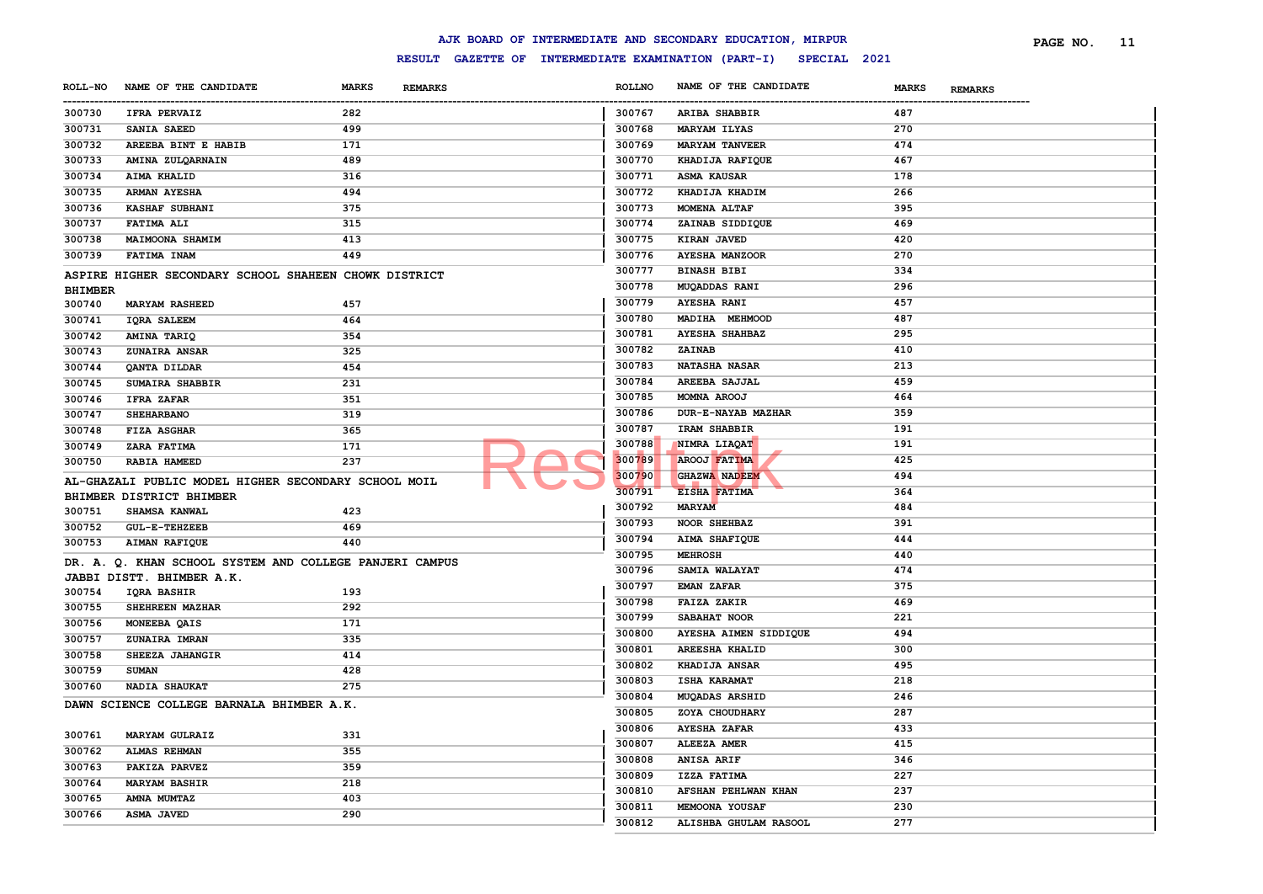|                |                                                         |                                |               | AJK BOARD OF INTERMEDIATE AND SECONDARY EDUCATION, MIRPUR        |                                | PAGE NO. | - 11 |
|----------------|---------------------------------------------------------|--------------------------------|---------------|------------------------------------------------------------------|--------------------------------|----------|------|
|                |                                                         |                                |               | RESULT GAZETTE OF INTERMEDIATE EXAMINATION (PART-I) SPECIAL 2021 |                                |          |      |
| -----------    | ROLL-NO NAME OF THE CANDIDATE                           | <b>MARKS</b><br><b>REMARKS</b> | <b>ROLLNO</b> | NAME OF THE CANDIDATE                                            | <b>MARKS</b><br><b>REMARKS</b> |          |      |
| 300730         | <b>IFRA PERVAIZ</b>                                     | 282                            | 300767        | ARIBA SHABBIR                                                    | 487                            |          |      |
| 300731         | SANIA SAEED                                             | 499                            | 300768        | <b>MARYAM ILYAS</b>                                              | 270                            |          |      |
| 300732         | AREEBA BINT E HABIB                                     | 171                            | 300769        | <b>MARYAM TANVEER</b>                                            | 474                            |          |      |
| 300733         | AMINA ZULQARNAIN                                        | 489                            | 300770        | KHADIJA RAFIQUE                                                  | 467                            |          |      |
| 300734         | AIMA KHALID                                             | 316                            | 300771        | <b>ASMA KAUSAR</b>                                               | 178                            |          |      |
| 300735         | <b>ARMAN AYESHA</b>                                     | 494                            | 300772        | KHADIJA KHADIM                                                   | 266                            |          |      |
| 300736         | <b>KASHAF SUBHANI</b>                                   | 375                            | 300773        | MOMENA ALTAF                                                     | 395                            |          |      |
| 300737         | <b>FATIMA ALI</b>                                       | 315                            | 300774        | ZAINAB SIDDIQUE                                                  | 469                            |          |      |
| 300738         | <b>MAIMOONA SHAMIM</b>                                  | 413                            | 300775        | KIRAN JAVED                                                      | 420                            |          |      |
| 300739         | FATIMA INAM                                             | 449                            | 300776        | <b>AYESHA MANZOOR</b>                                            | 270                            |          |      |
|                | ASPIRE HIGHER SECONDARY SCHOOL SHAHEEN CHOWK DISTRICT   |                                | 300777        | <b>BINASH BIBI</b>                                               | 334                            |          |      |
| <b>BHIMBER</b> |                                                         |                                | 300778        | <b>MUQADDAS RANI</b>                                             | 296                            |          |      |
| 300740         | <b>MARYAM RASHEED</b>                                   | 457                            | 300779        | <b>AYESHA RANI</b>                                               | 457                            |          |      |
| 300741         | IQRA SALEEM                                             | 464                            | 300780        | MADIHA MEHMOOD                                                   | 487                            |          |      |
| 300742         | AMINA TARIQ                                             | 354                            | 300781        | <b>AYESHA SHAHBAZ</b>                                            | 295                            |          |      |
| 300743         | <b>ZUNAIRA ANSAR</b>                                    | 325                            | 300782        | <b>ZAINAB</b>                                                    | 410                            |          |      |
| 300744         | QANTA DILDAR                                            | 454                            | 300783        | <b>NATASHA NASAR</b>                                             | 213                            |          |      |
| 300745         | SUMAIRA SHABBIR                                         | 231                            | 300784        | AREEBA SAJJAL                                                    | 459                            |          |      |
| 300746         | IFRA ZAFAR                                              | 351                            | 300785        | MOMNA AROOJ                                                      | 464                            |          |      |
| 300747         | <b>SHEHARBANO</b>                                       | 319                            | 300786        | <b>DUR-E-NAYAB MAZHAR</b>                                        | 359                            |          |      |
| 300748         | <b>FIZA ASGHAR</b>                                      | 365                            | 300787        | IRAM SHABBIR                                                     | 191                            |          |      |
| 300749         | ZARA FATIMA                                             | 171                            | 300788        | NIMRA LIAQAT                                                     | 191                            |          |      |
| 300750         | RABIA HAMEED                                            | 237                            | 300789        | <b>AROOJ FATIMA</b>                                              | 425                            |          |      |
|                |                                                         |                                | 300790        | <b>GHAZWA NADEEM</b>                                             | 494                            |          |      |
|                | AL-GHAZALI PUBLIC MODEL HIGHER SECONDARY SCHOOL MOIL    |                                | 300791        | EISHA FATIMA                                                     | 364                            |          |      |
| 300751         | BHIMBER DISTRICT BHIMBER<br><b>SHAMSA KANWAL</b>        | 423                            | 300792        | <b>MARYAM</b>                                                    | 484                            |          |      |
| 300752         | <b>GUL-E-TEHZEEB</b>                                    | 469                            | 300793        | NOOR SHEHBAZ                                                     | 391                            |          |      |
| 300753         | <b>AIMAN RAFIQUE</b>                                    | 440                            | 300794        | AIMA SHAFIQUE                                                    | 444                            |          |      |
|                |                                                         |                                | 300795        | <b>MEHROSH</b>                                                   | 440                            |          |      |
|                | DR. A. Q. KHAN SCHOOL SYSTEM AND COLLEGE PANJERI CAMPUS |                                | 300796        | <b>SAMIA WALAYAT</b>                                             | 474                            |          |      |
|                | JABBI DISTT. BHIMBER A.K.                               |                                | 300797        | <b>EMAN ZAFAR</b>                                                | 375                            |          |      |
| 300754         | IQRA BASHIR                                             | 193                            | 300798        | FAIZA ZAKIR                                                      | 469                            |          |      |
| 300755         | SHEHREEN MAZHAR                                         | 292                            | 300799        | SABAHAT NOOR                                                     | 221                            |          |      |
| 300756         | MONEEBA QAIS                                            | 171                            | 300800        | AYESHA AIMEN SIDDIQUE                                            | 494                            |          |      |
| 300757         | <b>ZUNAIRA IMRAN</b>                                    | 335                            | 300801        | AREESHA KHALID                                                   | 300                            |          |      |
| 300758         | SHEEZA JAHANGIR                                         | 414                            | 300802        | KHADIJA ANSAR                                                    | 495                            |          |      |
| 300759         | <b>SUMAN</b>                                            | 428                            | 300803        | <b>ISHA KARAMAT</b>                                              | 218                            |          |      |
| 300760         | <b>NADIA SHAUKAT</b>                                    | 275                            | 300804        | MUQADAS ARSHID                                                   | 246                            |          |      |
|                | DAWN SCIENCE COLLEGE BARNALA BHIMBER A.K.               |                                | 300805        | ZOYA CHOUDHARY                                                   | 287                            |          |      |
|                |                                                         |                                | 300806        | <b>AYESHA ZAFAR</b>                                              | 433                            |          |      |
| 300761         | <b>MARYAM GULRAIZ</b>                                   | 331                            | 300807        | ALEEZA AMER                                                      | 415                            |          |      |
| 300762         | <b>ALMAS REHMAN</b>                                     | 355                            | 300808        | ANISA ARIF                                                       | 346                            |          |      |
| 300763         | PAKIZA PARVEZ                                           | 359                            | 300809        | IZZA FATIMA                                                      | 227                            |          |      |
| 300764         | <b>MARYAM BASHIR</b>                                    | 218                            | 300810        | AFSHAN PEHLWAN KHAN                                              | 237                            |          |      |
| 300765         | AMNA MUMTAZ                                             | 403                            | 300811        | MEMOONA YOUSAF                                                   | 230                            |          |      |
| 300766         | <b>ASMA JAVED</b>                                       | 290                            | 300812        | ALISHBA GHULAM RASOOL                                            | 277                            |          |      |
|                |                                                         |                                |               |                                                                  |                                |          |      |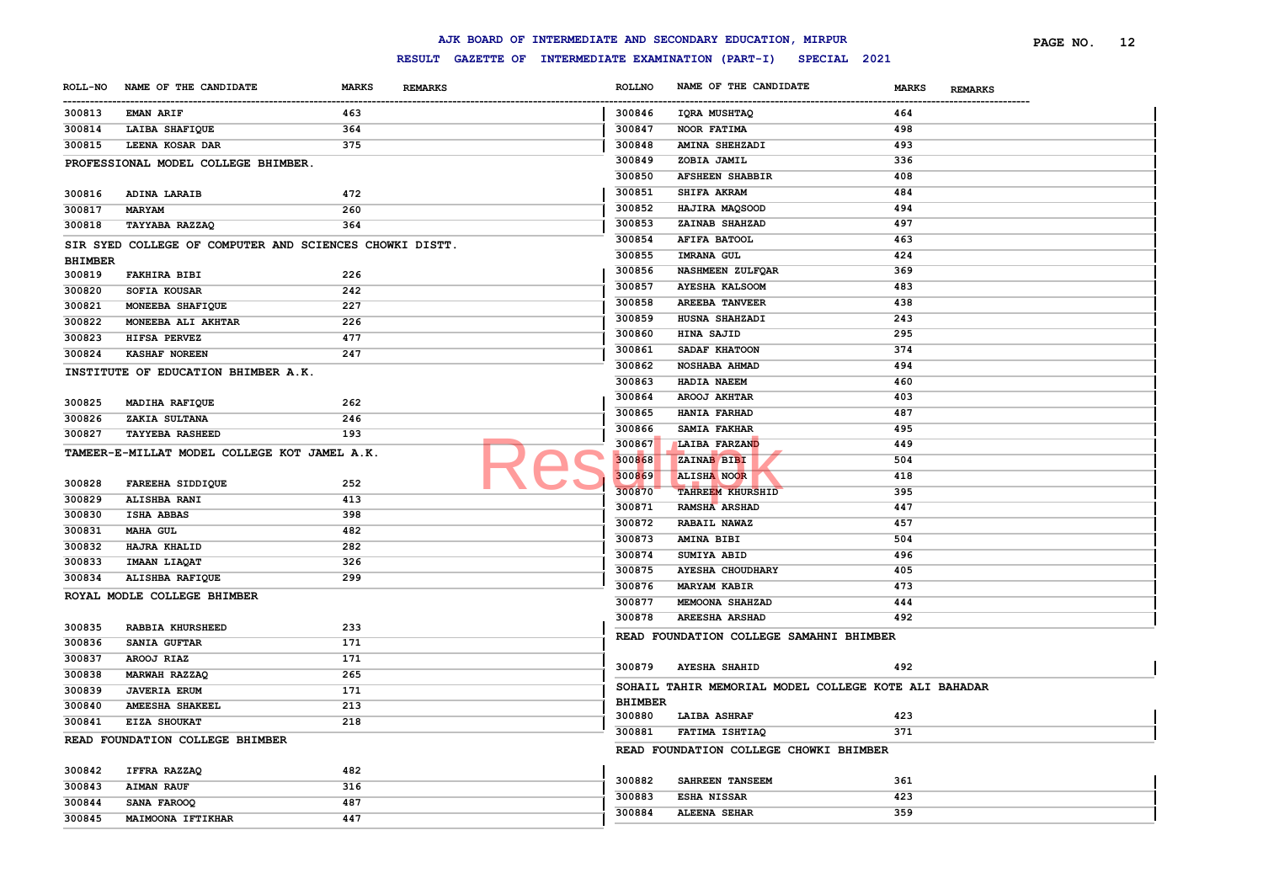|                |                                                         |              |                |                      | AJK BOARD OF INTERMEDIATE AND SECONDARY EDUCATION, MIRPUR        |                                | PAGE NO. | 12 |
|----------------|---------------------------------------------------------|--------------|----------------|----------------------|------------------------------------------------------------------|--------------------------------|----------|----|
|                |                                                         |              |                |                      | RESULT GAZETTE OF INTERMEDIATE EXAMINATION (PART-I) SPECIAL 2021 |                                |          |    |
|                | ROLL-NO NAME OF THE CANDIDATE                           | <b>MARKS</b> | <b>REMARKS</b> | <b>ROLLNO</b>        | NAME OF THE CANDIDATE                                            | <b>MARKS</b><br><b>REMARKS</b> |          |    |
| 300813         | <b>EMAN ARIF</b>                                        | 463          |                | ----------<br>300846 | IQRA MUSHTAQ                                                     | <br>464                        |          |    |
| 300814         | LAIBA SHAFIQUE                                          | 364          |                | 300847               | NOOR FATIMA                                                      | 498                            |          |    |
| 300815         | LEENA KOSAR DAR                                         | 375          |                | 300848               | AMINA SHEHZADI                                                   | 493                            |          |    |
|                | PROFESSIONAL MODEL COLLEGE BHIMBER.                     |              |                | 300849               | ZOBIA JAMIL                                                      | 336                            |          |    |
|                |                                                         |              |                | 300850               | <b>AFSHEEN SHABBIR</b>                                           | 408                            |          |    |
| 300816         | ADINA LARAIB                                            | 472          |                | 300851               | SHIFA AKRAM                                                      | 484                            |          |    |
| 300817         | <b>MARYAM</b>                                           | 260          |                | 300852               | HAJIRA MAQSOOD                                                   | 494                            |          |    |
| 300818         | TAYYABA RAZZAQ                                          | 364          |                | 300853               | ZAINAB SHAHZAD                                                   | 497                            |          |    |
|                | SIR SYED COLLEGE OF COMPUTER AND SCIENCES CHOWKI DISTT. |              |                | 300854               | <b>AFIFA BATOOL</b>                                              | 463                            |          |    |
| <b>BHIMBER</b> |                                                         |              |                | 300855               | <b>IMRANA GUL</b>                                                | 424                            |          |    |
| 300819         | <b>FAKHIRA BIBI</b>                                     | 226          |                | 300856               | NASHMEEN ZULFQAR                                                 | 369                            |          |    |
| 300820         | SOFIA KOUSAR                                            | 242          |                | 300857               | <b>AYESHA KALSOOM</b>                                            | 483                            |          |    |
| 300821         | MONEEBA SHAFIQUE                                        | 227          |                | 300858               | <b>AREEBA TANVEER</b>                                            | 438                            |          |    |
| 300822         | MONEEBA ALI AKHTAR                                      | 226          |                | 300859               | HUSNA SHAHZADI                                                   | 243                            |          |    |
| 300823         | HIFSA PERVEZ                                            | 477          |                | 300860               | HINA SAJID                                                       | 295                            |          |    |
| 300824         | <b>KASHAF NOREEN</b>                                    | 247          |                | 300861               | SADAF KHATOON                                                    | 374                            |          |    |
|                | INSTITUTE OF EDUCATION BHIMBER A.K.                     |              |                | 300862               | NOSHABA AHMAD                                                    | 494                            |          |    |
|                |                                                         |              |                | 300863               | HADIA NAEEM                                                      | 460                            |          |    |
| 300825         | MADIHA RAFIQUE                                          | 262          |                | 300864               | AROOJ AKHTAR                                                     | 403                            |          |    |
| 300826         | ZAKIA SULTANA                                           | 246          |                | 300865               | HANIA FARHAD                                                     | 487                            |          |    |
| 300827         | <b>TAYYEBA RASHEED</b>                                  | 193          |                | 300866               | <b>SAMIA FAKHAR</b>                                              | 495                            |          |    |
|                | TAMEER-E-MILLAT MODEL COLLEGE KOT JAMEL A.K.            |              |                | 300867               | LAIBA FARZAND                                                    | 449                            |          |    |
|                |                                                         |              |                | 300868               | ZAINAB BIBI                                                      | 504                            |          |    |
| 300828         | FAREEHA SIDDIQUE                                        | 252          |                | 300869               | <b>ALISHA NOOR</b>                                               | 418                            |          |    |
| 300829         | ALISHBA RANI                                            | 413          |                | 300870               | <b>TAHREEM KHURSHID</b>                                          | 395                            |          |    |
| 300830         | <b>ISHA ABBAS</b>                                       | 398          |                | 300871               | RAMSHA ARSHAD                                                    | 447                            |          |    |
| 300831         | <b>MAHA GUL</b>                                         | 482          |                | 300872               | RABAIL NAWAZ                                                     | 457                            |          |    |
| 300832         | HAJRA KHALID                                            | 282          |                | 300873               | AMINA BIBI                                                       | 504                            |          |    |
| 300833         | <b>IMAAN LIAQAT</b>                                     | 326          |                | 300874               | SUMIYA ABID                                                      | 496                            |          |    |
| 300834         | ALISHBA RAFIQUE                                         | 299          |                | 300875               | <b>AYESHA CHOUDHARY</b>                                          | 405                            |          |    |
|                | ROYAL MODLE COLLEGE BHIMBER                             |              |                | 300876               | <b>MARYAM KABIR</b>                                              | 473                            |          |    |
|                |                                                         |              |                | 300877               | MEMOONA SHAHZAD                                                  | 444                            |          |    |
| 300835         | RABBIA KHURSHEED                                        | 233          |                | 300878               | AREESHA ARSHAD                                                   | 492                            |          |    |
| 300836         | SANIA GUFTAR                                            | 171          |                |                      | READ FOUNDATION COLLEGE SAMAHNI BHIMBER                          |                                |          |    |
| 300837         | AROOJ RIAZ                                              | 171          |                |                      |                                                                  |                                |          |    |
| 300838         | MARWAH RAZZAQ                                           | 265          |                | 300879               | <b>AYESHA SHAHID</b>                                             | 492                            |          |    |
| 300839         | <b>JAVERIA ERUM</b>                                     | 171          |                |                      | SOHAIL TAHIR MEMORIAL MODEL COLLEGE KOTE ALI BAHADAR             |                                |          |    |
| 300840         | AMEESHA SHAKEEL                                         | 213          |                | <b>BHIMBER</b>       |                                                                  |                                |          |    |
| 300841         | EIZA SHOUKAT                                            | 218          |                | 300880               | <b>LAIBA ASHRAF</b>                                              | 423                            |          |    |
|                | READ FOUNDATION COLLEGE BHIMBER                         |              |                | 300881               | FATIMA ISHTIAQ                                                   | 371                            |          |    |
|                |                                                         |              |                |                      | READ FOUNDATION COLLEGE CHOWKI BHIMBER                           |                                |          |    |
| 300842         | IFFRA RAZZAQ                                            | 482          |                |                      |                                                                  |                                |          |    |
| 300843         | <b>AIMAN RAUF</b>                                       | 316          |                | 300882               | SAHREEN TANSEEM                                                  | 361                            |          |    |
| 300844         | SANA FAROOQ                                             | 487          |                | 300883               | ESHA NISSAR                                                      | 423                            |          |    |
| 300845         | MAIMOONA IFTIKHAR                                       | 447          |                | 300884               | <b>ALEENA SEHAR</b>                                              | 359                            |          |    |
|                |                                                         |              |                |                      |                                                                  |                                |          |    |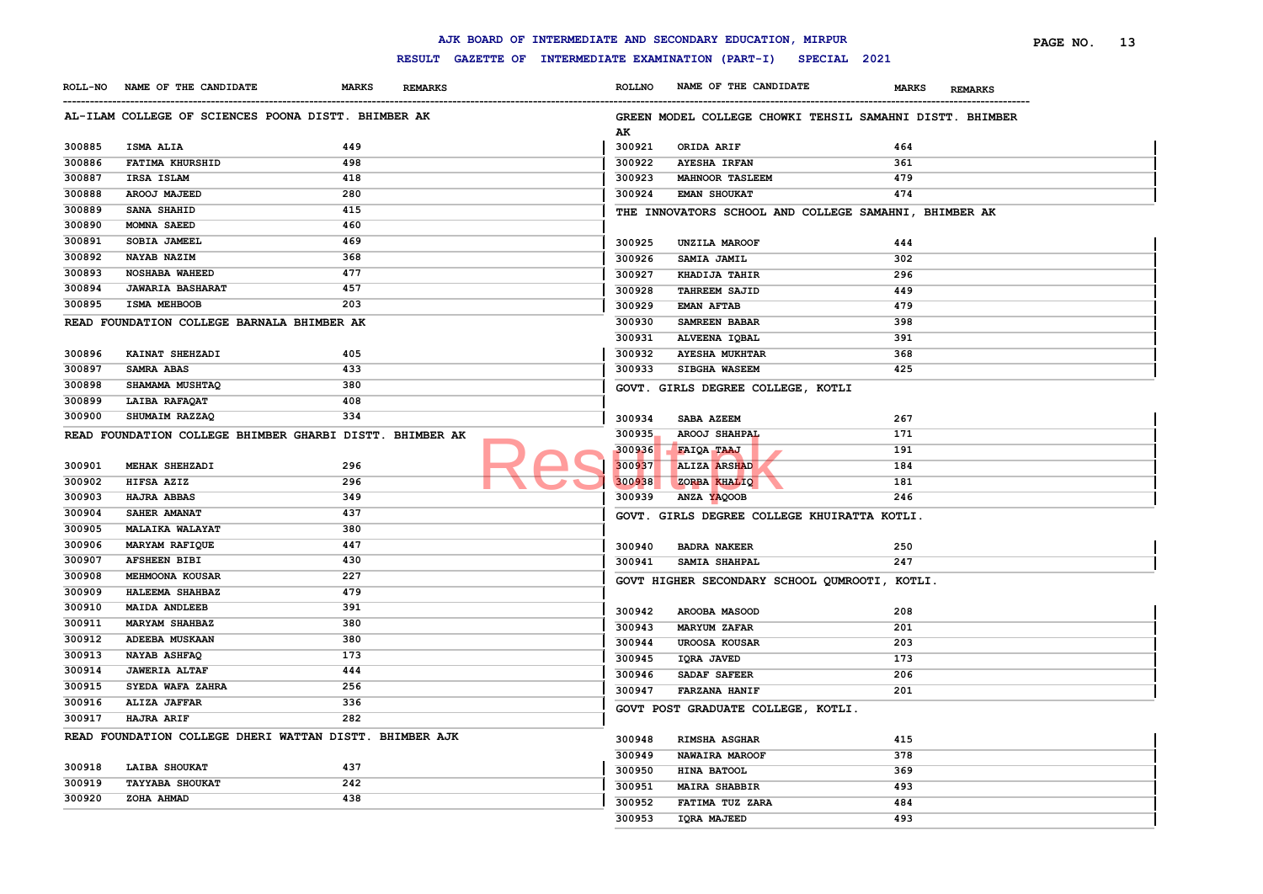#### ------------------------------------------------------------------------------------------------------------------------------------------------------------------------------------------------------------------------ **ROLLNO NAME OF THE CANDIDATE MARKS REMARKS PAGE NO. 13 AL-ILAM COLLEGE OF SCIENCES POONA DISTT. BHIMBER AK ISMA ALIA 449 FATIMA KHURSHID 498 IRSA ISLAM 418 AROOJ MAJEED 280 SANA SHAHID 415 MOMNA SAEED 460 SOBIA JAMEEL 469 NAYAB NAZIM 368 NOSHABA WAHEED 477 JAWARIA BASHARAT 457 ISMA MEHBOOB 203 READ FOUNDATION COLLEGE BARNALA BHIMBER AK KAINAT SHEHZADI 405 SAMRA ABAS 433 SHAMAMA MUSHTAQ 380 LAIBA RAFAQAT 408 SHUMAIM RAZZAQ 334 READ FOUNDATION COLLEGE BHIMBER GHARBI DISTT. BHIMBER AK MEHAK SHEHZADI 296 HIFSA AZIZ 296 HAJRA ABBAS 349 SAHER AMANAT 437 MALAIKA WALAYAT 380 MARYAM RAFIQUE 447 AFSHEEN BIBI 430 MEHMOONA KOUSAR 227 HALEEMA SHAHBAZ 479 MAIDA ANDLEEB 391 MARYAM SHAHBAZ 380 ADEEBA MUSKAAN 380 NAYAB ASHFAQ 173 JAWERIA ALTAF 444 SYEDA WAFA ZAHRA 256 ALIZA JAFFAR 336 HAJRA ARIF 282 READ FOUNDATION COLLEGE DHERI WATTAN DISTT. BHIMBER AJK LAIBA SHOUKAT 437 TAYYABA SHOUKAT 242 ZOHA AHMAD 438 GREEN MODEL COLLEGE CHOWKI TEHSIL SAMAHNI DISTT. BHIMBER AK ORIDA ARIF 464 AYESHA IRFAN 361 MAHNOOR TASLEEM 479 EMAN SHOUKAT 474 THE INNOVATORS SCHOOL AND COLLEGE SAMAHNI, BHIMBER AK UNZILA MAROOF 444 SAMIA JAMIL 302 KHADIJA TAHIR 296 TAHREEM SAJID 449 EMAN AFTAB 479 SAMREEN BABAR 398 ALVEENA IQBAL 391 AYESHA MUKHTAR 368 SIBGHA WASEEM 425 GOVT. GIRLS DEGREE COLLEGE, KOTLI SABA AZEEM 267 AROOJ SHAHPAL 171 FAIQA TAAJ 191 ALIZA ARSHAD 184 ZORBA KHALIQ 181 ANZA YAQOOB 246 GOVT. GIRLS DEGREE COLLEGE KHUIRATTA KOTLI. BADRA NAKEER 250 SAMIA SHAHPAL 247 GOVT HIGHER SECONDARY SCHOOL QUMROOTI, KOTLI. AROOBA MASOOD 208 MARYUM ZAFAR 201 UROOSA KOUSAR 203 IQRA JAVED 173 SADAF SAFEER 206 FARZANA HANIF 201 GOVT POST GRADUATE COLLEGE, KOTLI. RIMSHA ASGHAR 415 NAWAIRA MAROOF 378 HINA BATOOL 369 MAIRA SHABBIR 493 FATIMA TUZ ZARA 484 IQRA MAJEED 493** 300935 AROOJ SHAHPAL

**AJK BOARD OF INTERMEDIATE AND SECONDARY EDUCATION, MIRPUR**

**ROLL-NO NAME OF THE CANDIDATE MARKS REMARKS**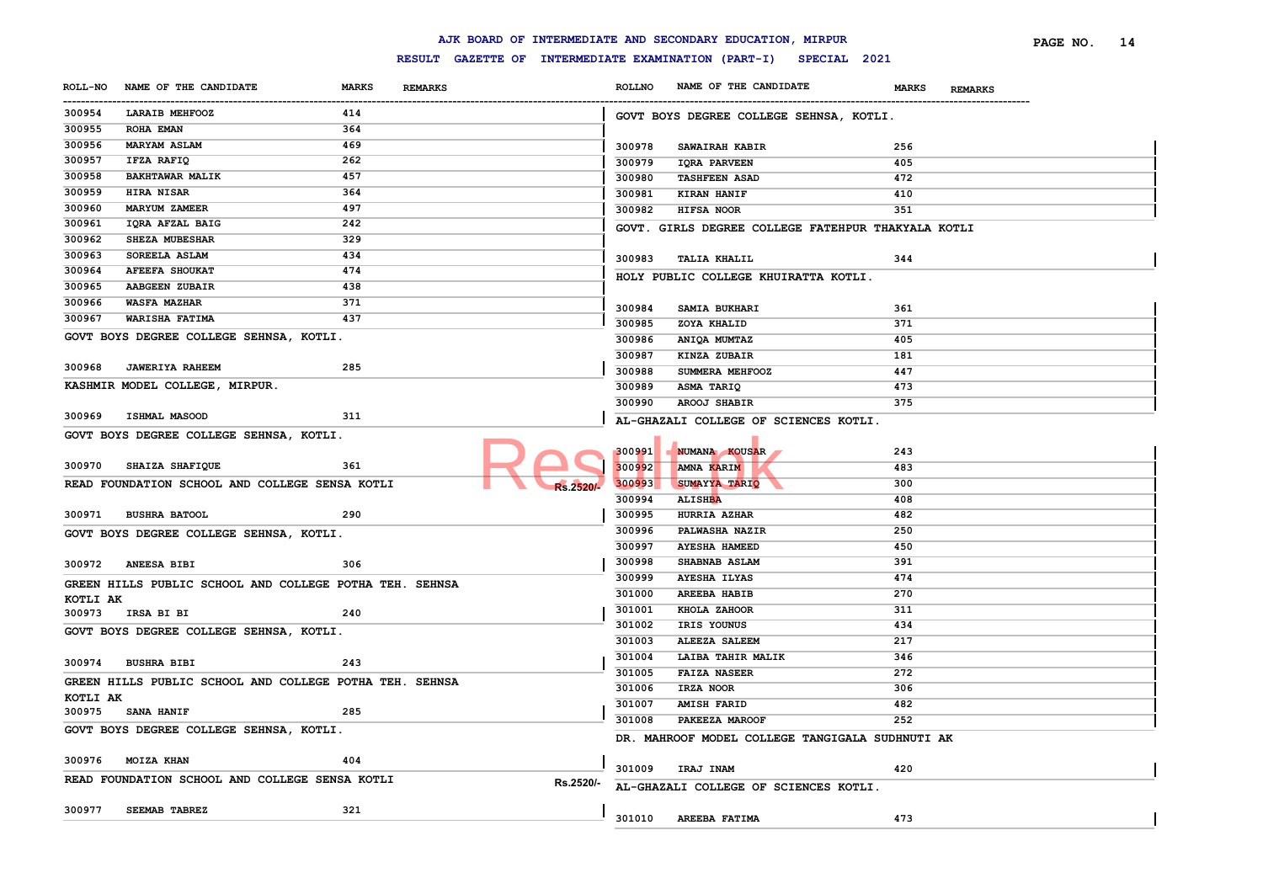|                       |                                                         |              |                |                  |               | AJK BOARD OF INTERMEDIATE AND SECONDARY EDUCATION, MIRPUR        |                                | PAGE NO. 14 |
|-----------------------|---------------------------------------------------------|--------------|----------------|------------------|---------------|------------------------------------------------------------------|--------------------------------|-------------|
|                       |                                                         |              |                |                  |               | RESULT GAZETTE OF INTERMEDIATE EXAMINATION (PART-I) SPECIAL 2021 |                                |             |
|                       | ROLL-NO NAME OF THE CANDIDATE                           | <b>MARKS</b> | <b>REMARKS</b> |                  | <b>ROLLNO</b> | NAME OF THE CANDIDATE                                            | <b>MARKS</b><br><b>REMARKS</b> |             |
| -----------<br>300954 | LARAIB MEHFOOZ                                          | 414          |                |                  |               | GOVT BOYS DEGREE COLLEGE SEHNSA, KOTLI.                          |                                |             |
| 300955                | <b>ROHA EMAN</b>                                        | 364          |                |                  |               |                                                                  |                                |             |
| 300956                | <b>MARYAM ASLAM</b>                                     | 469          |                |                  | 300978        | SAWAIRAH KABIR                                                   | 256                            |             |
| 300957                | IFZA RAFIQ                                              | 262          |                |                  | 300979        | <b>IQRA PARVEEN</b>                                              | 405                            |             |
| 300958                | <b>BAKHTAWAR MALIK</b>                                  | 457          |                |                  | 300980        | <b>TASHFEEN ASAD</b>                                             | 472                            |             |
| 300959                | HIRA NISAR                                              | 364          |                |                  | 300981        | <b>KIRAN HANIF</b>                                               | 410                            |             |
| 300960                | <b>MARYUM ZAMEER</b>                                    | 497          |                |                  | 300982        | HIFSA NOOR                                                       | 351                            |             |
| 300961                | IQRA AFZAL BAIG                                         | 242          |                |                  |               | GOVT. GIRLS DEGREE COLLEGE FATEHPUR THAKYALA KOTLI               |                                |             |
| 300962                | SHEZA MUBESHAR                                          | 329          |                |                  |               |                                                                  |                                |             |
| 300963                | SOREELA ASLAM                                           | 434          |                |                  | 300983        | <b>TALIA KHALIL</b>                                              | 344                            |             |
| 300964                | <b>AFEEFA SHOUKAT</b>                                   | 474          |                |                  |               | HOLY PUBLIC COLLEGE KHUIRATTA KOTLI.                             |                                |             |
| 300965                | <b>AABGEEN ZUBAIR</b>                                   | 438          |                |                  |               |                                                                  |                                |             |
| 300966                | <b>WASFA MAZHAR</b>                                     | 371          |                |                  | 300984        | SAMIA BUKHARI                                                    | 361                            |             |
| 300967                | WARISHA FATIMA                                          | 437          |                |                  | 300985        | ZOYA KHALID                                                      | 371                            |             |
|                       | GOVT BOYS DEGREE COLLEGE SEHNSA, KOTLI.                 |              |                |                  | 300986        | ANIQA MUMTAZ                                                     | 405                            |             |
|                       |                                                         |              |                |                  | 300987        | KINZA ZUBAIR                                                     | 181                            |             |
| 300968                | <b>JAWERIYA RAHEEM</b>                                  | 285          |                |                  | 300988        | SUMMERA MEHFOOZ                                                  | 447                            |             |
|                       | KASHMIR MODEL COLLEGE, MIRPUR.                          |              |                |                  | 300989        | ASMA TARIQ                                                       | 473                            |             |
|                       |                                                         |              |                |                  | 300990        | <b>AROOJ SHABIR</b>                                              | 375                            |             |
| 300969                | <b>ISHMAL MASOOD</b>                                    | 311          |                |                  |               |                                                                  |                                |             |
|                       | GOVT BOYS DEGREE COLLEGE SEHNSA, KOTLI.                 |              |                |                  |               | AL-GHAZALI COLLEGE OF SCIENCES KOTLI.                            |                                |             |
|                       |                                                         |              |                |                  | 300991        | <b>NUMANA KOUSAR</b>                                             | 243                            |             |
| 300970                | <b>SHAIZA SHAFIQUE</b>                                  | 361          |                |                  | 300992        | AMNA KARIM                                                       | 483                            |             |
|                       | READ FOUNDATION SCHOOL AND COLLEGE SENSA KOTLI          |              |                |                  | 300993        | SUMAYYA TARIQ                                                    | 300                            |             |
|                       |                                                         |              |                | <b>Rs.2520/-</b> | 300994        | <b>ALISHBA</b>                                                   | 408                            |             |
|                       | 300971 BUSHRA BATOOL                                    | 290          |                |                  | 300995        | HURRIA AZHAR                                                     | 482                            |             |
|                       |                                                         |              |                |                  | 300996        | <b>PALWASHA NAZIR</b>                                            | 250                            |             |
|                       | GOVT BOYS DEGREE COLLEGE SEHNSA, KOTLI.                 |              |                |                  | 300997        | <b>AYESHA HAMEED</b>                                             | 450                            |             |
|                       |                                                         |              |                |                  | 300998        | <b>SHABNAB ASLAM</b>                                             | 391                            |             |
|                       | 300972 ANEESA BIBI                                      | 306          |                |                  | 300999        | <b>AYESHA ILYAS</b>                                              | 474                            |             |
|                       | GREEN HILLS PUBLIC SCHOOL AND COLLEGE POTHA TEH. SEHNSA |              |                |                  | 301000        | <b>AREEBA HABIB</b>                                              | 270                            |             |
| KOTLI AK              |                                                         |              |                |                  | 301001        | KHOLA ZAHOOR                                                     | 311                            |             |
|                       | 300973 IRSA BI BI                                       | 240          |                |                  | 301002        | IRIS YOUNUS                                                      | 434                            |             |
|                       | GOVT BOYS DEGREE COLLEGE SEHNSA, KOTLI.                 |              |                |                  | 301003        |                                                                  | 217                            |             |
|                       |                                                         |              |                |                  |               | <b>ALEEZA SALEEM</b>                                             |                                |             |
|                       | 300974 BUSHRA BIBI                                      | 243          |                |                  | 301004        | LAIBA TAHIR MALIK                                                | 346                            |             |
|                       | GREEN HILLS PUBLIC SCHOOL AND COLLEGE POTHA TEH. SEHNSA |              |                |                  | 301005        | <b>FAIZA NASEER</b>                                              | 272                            |             |
| KOTLI AK              |                                                         |              |                |                  | 301006        | IRZA NOOR                                                        | 306                            |             |
|                       | 300975 SANA HANIF                                       | 285          |                |                  | 301007        | <b>AMISH FARID</b>                                               | 482                            |             |
|                       | GOVT BOYS DEGREE COLLEGE SEHNSA, KOTLI.                 |              |                |                  |               | 301008 PAKEEZA MAROOF                                            | 252                            |             |
|                       |                                                         |              |                |                  |               | DR. MAHROOF MODEL COLLEGE TANGIGALA SUDHNUTI AK                  |                                |             |
|                       | 300976 MOIZA KHAN                                       | 404          |                |                  |               |                                                                  |                                |             |
|                       | READ FOUNDATION SCHOOL AND COLLEGE SENSA KOTLI          |              |                |                  |               | 301009 IRAJ INAM                                                 | 420                            |             |
|                       |                                                         |              |                | Rs.2520/-        |               | AL-GHAZALI COLLEGE OF SCIENCES KOTLI.                            |                                |             |
|                       | 300977 SEEMAB TABREZ                                    | 321          |                |                  |               |                                                                  |                                |             |
|                       |                                                         |              |                |                  |               | 301010 AREEBA FATIMA                                             | 473                            |             |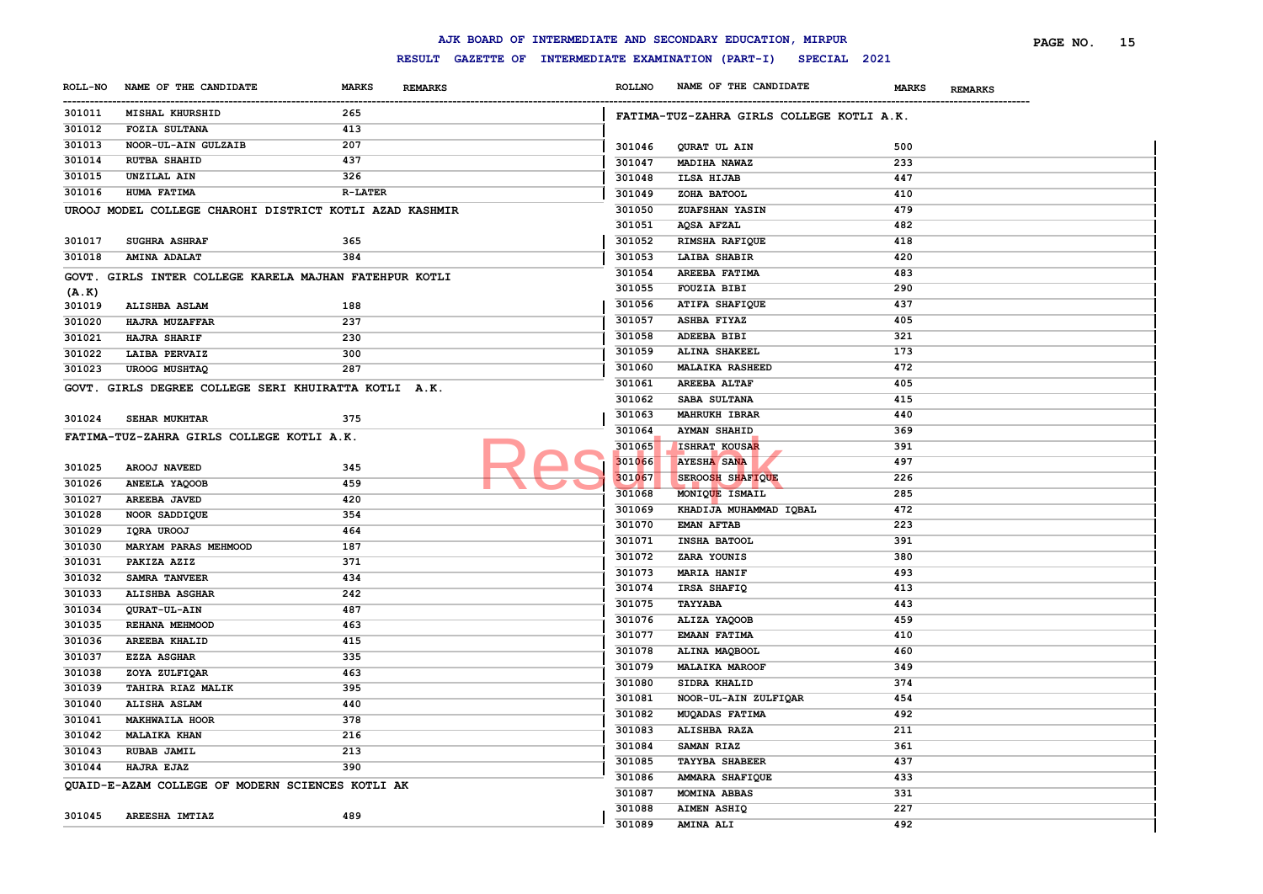|        |                                                         |                |                |               | AJK BOARD OF INTERMEDIATE AND SECONDARY EDUCATION, MIRPUR        |                                | PAGE NO.<br>- 15 |
|--------|---------------------------------------------------------|----------------|----------------|---------------|------------------------------------------------------------------|--------------------------------|------------------|
|        |                                                         |                |                |               | RESULT GAZETTE OF INTERMEDIATE EXAMINATION (PART-I) SPECIAL 2021 |                                |                  |
|        | ROLL-NO NAME OF THE CANDIDATE                           | <b>MARKS</b>   | <b>REMARKS</b> | <b>ROLLNO</b> | NAME OF THE CANDIDATE                                            | <b>MARKS</b><br><b>REMARKS</b> |                  |
| 301011 | <b>MISHAL KHURSHID</b>                                  | 265            |                |               | FATIMA-TUZ-ZAHRA GIRLS COLLEGE KOTLI A.K.                        |                                |                  |
| 301012 | <b>FOZIA SULTANA</b>                                    | 413            |                |               |                                                                  |                                |                  |
| 301013 | NOOR-UL-AIN GULZAIB                                     | 207            |                | 301046        | QURAT UL AIN                                                     | 500                            |                  |
| 301014 | <b>RUTBA SHAHID</b>                                     | 437            |                | 301047        | MADIHA NAWAZ                                                     | 233                            |                  |
| 301015 | UNZILAL AIN                                             | 326            |                | 301048        | ILSA HIJAB                                                       | 447                            |                  |
| 301016 | HUMA FATIMA                                             | <b>R-LATER</b> |                | 301049        | ZOHA BATOOL                                                      | 410                            |                  |
|        | UROOJ MODEL COLLEGE CHAROHI DISTRICT KOTLI AZAD KASHMIR |                |                | 301050        | ZUAFSHAN YASIN                                                   | 479                            |                  |
|        |                                                         |                |                | 301051        | <b>AQSA AFZAL</b>                                                | 482                            |                  |
| 301017 | <b>SUGHRA ASHRAF</b>                                    | 365            |                | 301052        | RIMSHA RAFIQUE                                                   | 418                            |                  |
| 301018 | <b>AMINA ADALAT</b>                                     | 384            |                | 301053        | LAIBA SHABIR                                                     | 420                            |                  |
|        | GOVT. GIRLS INTER COLLEGE KARELA MAJHAN FATEHPUR KOTLI  |                |                | 301054        | AREEBA FATIMA                                                    | 483                            |                  |
| (A.K)  |                                                         |                |                | 301055        | <b>FOUZIA BIBI</b>                                               | 290                            |                  |
| 301019 | <b>ALISHBA ASLAM</b>                                    | 188            |                | 301056        | <b>ATIFA SHAFIQUE</b>                                            | 437                            |                  |
| 301020 | HAJRA MUZAFFAR                                          | 237            |                | 301057        | <b>ASHBA FIYAZ</b>                                               | 405                            |                  |
| 301021 | <b>HAJRA SHARIF</b>                                     | 230            |                | 301058        | ADEEBA BIBI                                                      | 321                            |                  |
| 301022 | LAIBA PERVAIZ                                           | 300            |                | 301059        | ALINA SHAKEEL                                                    | 173                            |                  |
| 301023 | <b>UROOG MUSHTAQ</b>                                    | 287            |                | 301060        | <b>MALAIKA RASHEED</b>                                           | 472                            |                  |
|        | GOVT. GIRLS DEGREE COLLEGE SERI KHUIRATTA KOTLI A.K.    |                |                | 301061        | <b>AREEBA ALTAF</b>                                              | 405                            |                  |
|        |                                                         |                |                | 301062        | SABA SULTANA                                                     | 415                            |                  |
| 301024 | SEHAR MUKHTAR                                           | 375            |                | 301063        | <b>MAHRUKH IBRAR</b>                                             | 440                            |                  |
|        | FATIMA-TUZ-ZAHRA GIRLS COLLEGE KOTLI A.K.               |                |                | 301064        | <b>AYMAN SHAHID</b>                                              | 369                            |                  |
|        |                                                         |                |                | 301065        | ISHRAT KOUSAR                                                    | 391                            |                  |
| 301025 | AROOJ NAVEED                                            | 345            |                | 301066        | <b>AYESHA SANA</b>                                               | 497                            |                  |
| 301026 | ANEELA YAQOOB                                           | 459            |                | 301067        | <b>SEROOSH SHAFIQUE</b>                                          | 226                            |                  |
| 301027 | AREEBA JAVED                                            | 420            |                | 301068        | MONIQUE ISMAIL                                                   | 285                            |                  |
| 301028 | NOOR SADDIQUE                                           | 354            |                | 301069        | KHADIJA MUHAMMAD IQBAL                                           | 472                            |                  |
| 301029 | IQRA UROOJ                                              | 464            |                | 301070        | <b>EMAN AFTAB</b>                                                | 223                            |                  |
| 301030 | MARYAM PARAS MEHMOOD                                    | 187            |                | 301071        | INSHA BATOOL                                                     | 391                            |                  |
| 301031 | PAKIZA AZIZ                                             | 371            |                | 301072        | ZARA YOUNIS                                                      | 380                            |                  |
| 301032 | SAMRA TANVEER                                           | 434            |                | 301073        | <b>MARIA HANIF</b>                                               | 493                            |                  |
| 301033 | <b>ALISHBA ASGHAR</b>                                   | 242            |                | 301074        | IRSA SHAFIQ                                                      | 413                            |                  |
| 301034 | QURAT-UL-AIN                                            | 487            |                | 301075        | <b>TAYYABA</b>                                                   | 443                            |                  |
| 301035 | REHANA MEHMOOD                                          | 463            |                | 301076        | ALIZA YAQOOB                                                     | 459                            |                  |
| 301036 | AREEBA KHALID                                           | 415            |                | 301077        | <b>EMAAN FATIMA</b>                                              | 410                            |                  |
| 301037 | <b>EZZA ASGHAR</b>                                      | 335            |                | 301078        | ALINA MAQBOOL                                                    | 460                            |                  |
| 301038 | ZOYA ZULFIQAR                                           | 463            |                | 301079        | <b>MALAIKA MAROOF</b>                                            | 349                            |                  |
| 301039 | TAHIRA RIAZ MALIK                                       | 395            |                | 301080        | SIDRA KHALID                                                     | 374                            |                  |
| 301040 | ALISHA ASLAM                                            | 440            |                | 301081        | NOOR-UL-AIN ZULFIQAR                                             | 454                            |                  |
| 301041 | <b>MAKHWAILA HOOR</b>                                   | 378            |                | 301082        | <b>MUQADAS FATIMA</b>                                            | 492                            |                  |
| 301042 | <b>MALAIKA KHAN</b>                                     | 216            |                | 301083        | ALISHBA RAZA                                                     | 211                            |                  |
| 301043 | RUBAB JAMIL                                             | 213            |                | 301084        | SAMAN RIAZ                                                       | 361                            |                  |
| 301044 | <b>HAJRA EJAZ</b>                                       | 390            |                | 301085        | <b>TAYYBA SHABEER</b>                                            | 437                            |                  |
|        | QUAID-E-AZAM COLLEGE OF MODERN SCIENCES KOTLI AK        |                |                | 301086        | AMMARA SHAFIQUE                                                  | 433                            |                  |
|        |                                                         |                |                | 301087        | MOMINA ABBAS                                                     | 331                            |                  |
| 301045 | AREESHA IMTIAZ                                          | 489            |                | 301088        | AIMEN ASHIQ                                                      | 227                            |                  |
|        |                                                         |                |                | 301089        | <b>AMINA ALI</b>                                                 | 492                            |                  |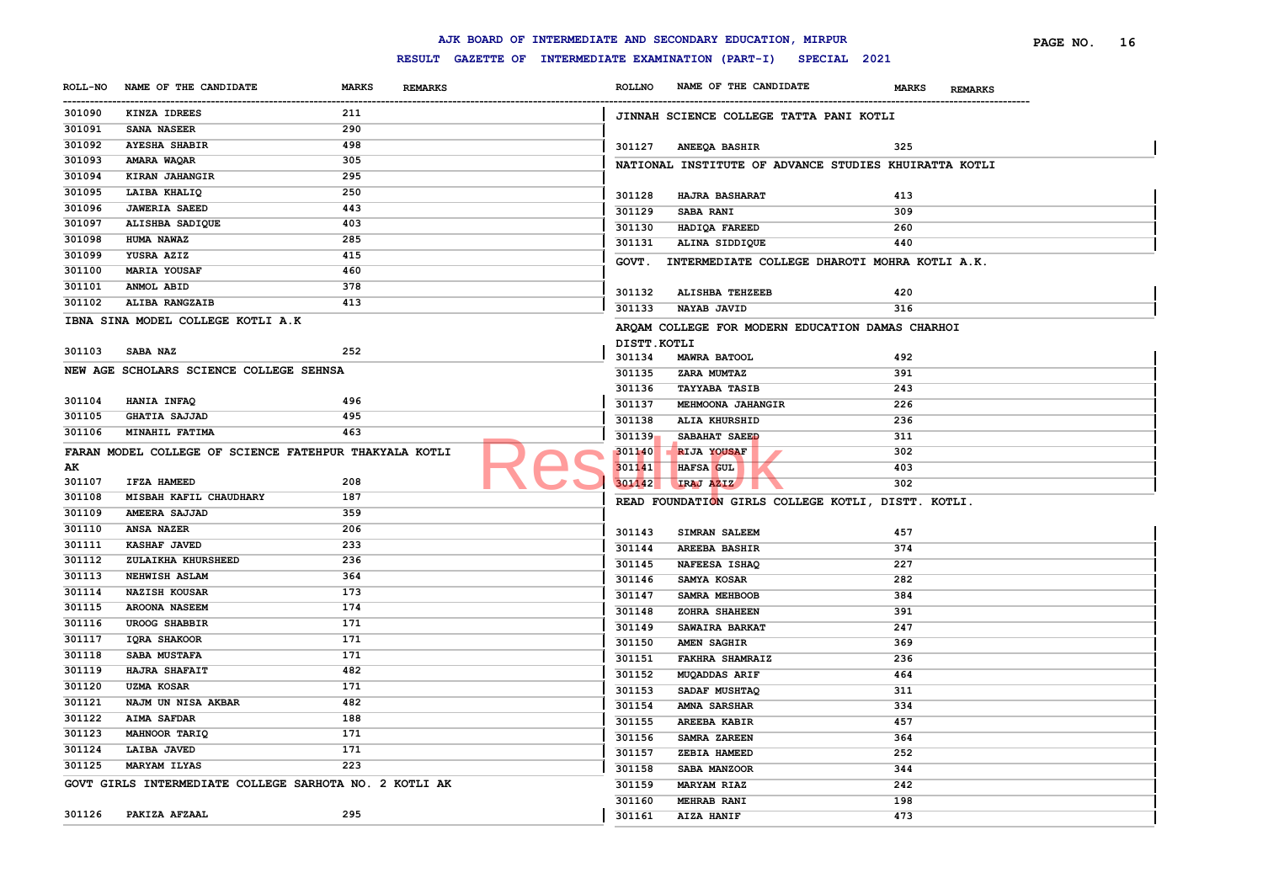|                |                                                        |                                |                                                     |                       | AJK BOARD OF INTERMEDIATE AND SECONDARY EDUCATION, MIRPUR |                                | PAGE NO.<br>16 |
|----------------|--------------------------------------------------------|--------------------------------|-----------------------------------------------------|-----------------------|-----------------------------------------------------------|--------------------------------|----------------|
|                |                                                        |                                | RESULT GAZETTE OF INTERMEDIATE EXAMINATION (PART-I) |                       | SPECIAL 2021                                              |                                |                |
| <b>ROLL-NO</b> | NAME OF THE CANDIDATE                                  | <b>MARKS</b><br><b>REMARKS</b> |                                                     | <b>ROLLNO</b>         | NAME OF THE CANDIDATE                                     | <b>MARKS</b><br><b>REMARKS</b> |                |
| 301090         | KINZA IDREES                                           | 211                            |                                                     |                       | JINNAH SCIENCE COLLEGE TATTA PANI KOTLI                   |                                |                |
| 301091         | SANA NASEER                                            | 290                            |                                                     |                       |                                                           |                                |                |
| 301092         | <b>AYESHA SHABIR</b>                                   | 498                            |                                                     | 301127                | <b>ANEEQA BASHIR</b>                                      | 325                            |                |
| 301093         | AMARA WAQAR                                            | 305                            |                                                     |                       | NATIONAL INSTITUTE OF ADVANCE STUDIES KHUIRATTA KOTLI     |                                |                |
| 301094         | KIRAN JAHANGIR                                         | 295                            |                                                     |                       |                                                           |                                |                |
| 301095         | LAIBA KHALIQ                                           | 250                            |                                                     | 301128                | HAJRA BASHARAT                                            | 413                            |                |
| 301096         | <b>JAWERIA SAEED</b>                                   | 443                            |                                                     | 301129                | <b>SABA RANI</b>                                          | 309                            |                |
| 301097         | ALISHBA SADIQUE                                        | 403                            |                                                     | 301130                | HADIQA FAREED                                             | 260                            |                |
| 301098         | HUMA NAWAZ                                             | 285                            |                                                     | 301131                | ALINA SIDDIQUE                                            | 440                            |                |
| 301099         | YUSRA AZIZ                                             | 415                            |                                                     | GOVT.                 | INTERMEDIATE COLLEGE DHAROTI MOHRA KOTLI A.K.             |                                |                |
| 301100         | <b>MARIA YOUSAF</b>                                    | 460                            |                                                     |                       |                                                           |                                |                |
| 301101         | ANMOL ABID                                             | 378                            |                                                     | 301132                | ALISHBA TEHZEEB                                           | 420                            |                |
| 301102         | ALIBA RANGZAIB                                         | 413                            |                                                     | 301133                | NAYAB JAVID                                               | 316                            |                |
|                | IBNA SINA MODEL COLLEGE KOTLI A.K                      |                                |                                                     |                       |                                                           |                                |                |
|                |                                                        |                                |                                                     |                       | ARQAM COLLEGE FOR MODERN EDUCATION DAMAS CHARHOI          |                                |                |
| 301103         | SABA NAZ                                               | 252                            |                                                     | DISTT.KOTLI<br>301134 |                                                           |                                |                |
|                | NEW AGE SCHOLARS SCIENCE COLLEGE SEHNSA                |                                |                                                     | 301135                | <b>MAWRA BATOOL</b>                                       | 492<br>391                     |                |
|                |                                                        |                                |                                                     | 301136                | <b>ZARA MUMTAZ</b><br><b>TAYYABA TASIB</b>                | 243                            |                |
| 301104         | HANIA INFAQ                                            | 496                            |                                                     | 301137                |                                                           | 226                            |                |
| 301105         | <b>GHATIA SAJJAD</b>                                   | 495                            |                                                     | 301138                | MEHMOONA JAHANGIR                                         |                                |                |
| 301106         | MINAHIL FATIMA                                         | 463                            |                                                     | 301139                | ALIA KHURSHID<br>SABAHAT SAEED                            | 236<br>311                     |                |
|                |                                                        |                                |                                                     | 301140                | <b>RIJA YOUSAF</b>                                        | 302                            |                |
| AК             | FARAN MODEL COLLEGE OF SCIENCE FATEHPUR THAKYALA KOTLI |                                |                                                     | 301141                | HAFSA GUL                                                 | 403                            |                |
| 301107         | IFZA HAMEED                                            | 208                            |                                                     | 301142                | IRAJ AZIZ                                                 | 302                            |                |
| 301108         | MISBAH KAFIL CHAUDHARY                                 | 187                            |                                                     |                       |                                                           |                                |                |
| 301109         | AMEERA SAJJAD                                          | 359                            |                                                     |                       | READ FOUNDATION GIRLS COLLEGE KOTLI, DISTT. KOTLI.        |                                |                |
| 301110         | <b>ANSA NAZER</b>                                      | 206                            |                                                     |                       |                                                           |                                |                |
| 301111         | KASHAF JAVED                                           | 233                            |                                                     | 301143                | <b>SIMRAN SALEEM</b>                                      | 457                            |                |
| 301112         | ZULAIKHA KHURSHEED                                     | 236                            |                                                     | 301144                | <b>AREEBA BASHIR</b>                                      | 374                            |                |
| 301113         | NEHWISH ASLAM                                          | 364                            |                                                     | 301145                | NAFEESA ISHAQ                                             | 227                            |                |
| 301114         | <b>NAZISH KOUSAR</b>                                   | 173                            |                                                     | 301146                | SAMYA KOSAR                                               | 282                            |                |
| 301115         | <b>AROONA NASEEM</b>                                   | 174                            |                                                     | 301147                | SAMRA MEHBOOB                                             | 384                            |                |
| 301116         | <b>UROOG SHABBIR</b>                                   | 171                            |                                                     | 301148                | ZOHRA SHAHEEN                                             | 391                            |                |
| 301117         | <b>IQRA SHAKOOR</b>                                    | 171                            |                                                     | 301149                | SAWAIRA BARKAT                                            | 247                            |                |
| 301118         | <b>SABA MUSTAFA</b>                                    | 171                            |                                                     | 301150                | <b>AMEN SAGHIR</b>                                        | 369                            |                |
| 301119         | HAJRA SHAFAIT                                          | 482                            |                                                     | 301151                | <b>FAKHRA SHAMRAIZ</b>                                    | 236                            |                |
| 301120         | <b>UZMA KOSAR</b>                                      | 171                            |                                                     | 301152                | <b>MUQADDAS ARIF</b>                                      | 464                            |                |
| 301121         | NAJM UN NISA AKBAR                                     | 482                            |                                                     | 301153                | SADAF MUSHTAQ                                             | 311                            |                |
| 301122         | <b>AIMA SAFDAR</b>                                     | 188                            |                                                     | 301154                | <b>AMNA SARSHAR</b>                                       | 334                            |                |
| 301123         | MAHNOOR TARIQ                                          | 171                            |                                                     | 301155                | <b>AREEBA KABIR</b>                                       | 457                            |                |
| 301124         | <b>LAIBA JAVED</b>                                     | 171                            |                                                     | 301156                | SAMRA ZAREEN                                              | 364                            |                |
| 301125         | <b>MARYAM ILYAS</b>                                    | 223                            |                                                     | 301157                | ZEBIA HAMEED                                              | 252                            |                |
|                |                                                        |                                |                                                     | 301158                | SABA MANZOOR                                              | 344                            |                |
|                | GOVT GIRLS INTERMEDIATE COLLEGE SARHOTA NO. 2 KOTLI AK |                                |                                                     | 301159                | <b>MARYAM RIAZ</b>                                        | 242                            |                |
| 301126         |                                                        | 295                            |                                                     | 301160                | <b>MEHRAB RANI</b>                                        | 198                            |                |
|                | PAKIZA AFZAAL                                          |                                |                                                     | 301161                | AIZA HANIF                                                | 473                            |                |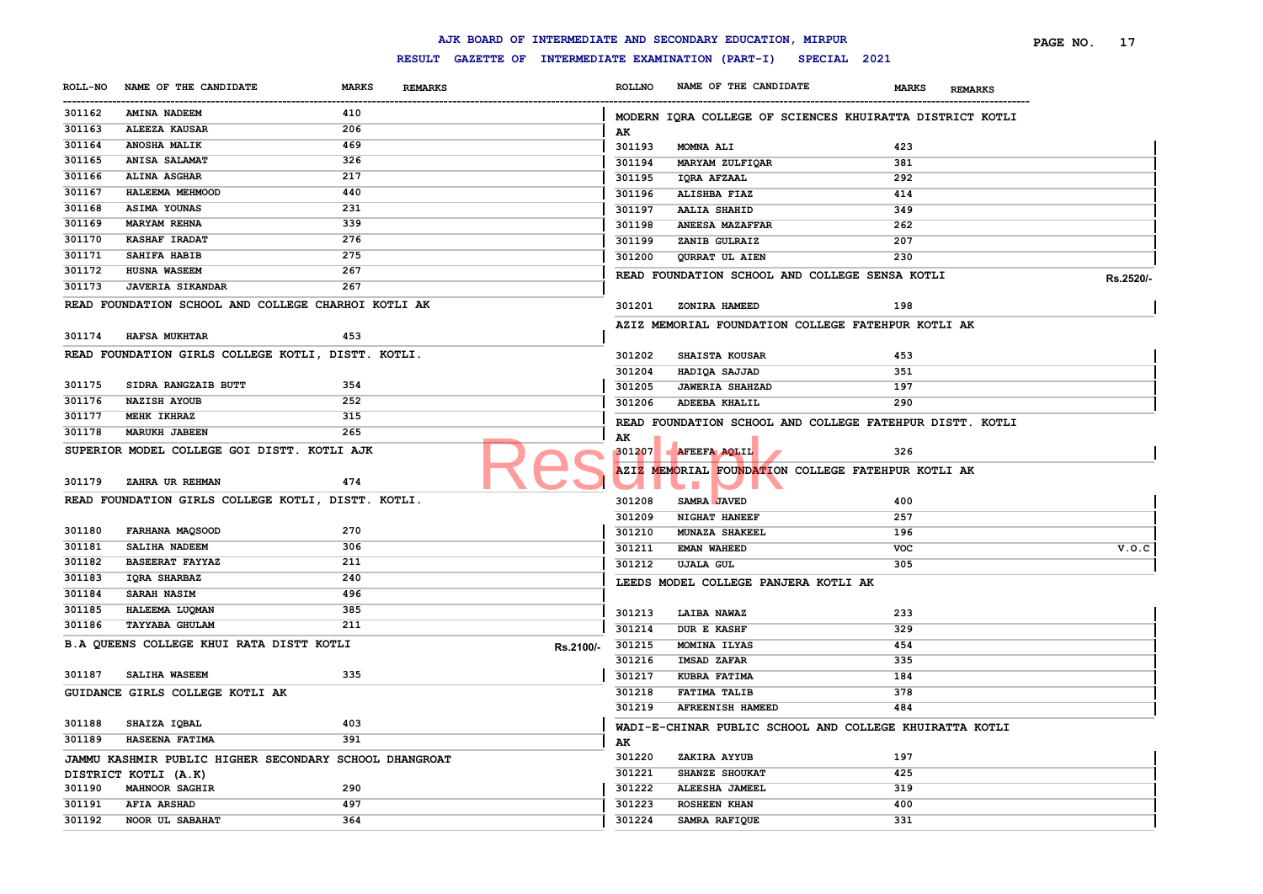#### **ROLL-NO NAME OF THE CANDIDATE MARKS REMARKS** ------------------------------------------------------------------------------------------------------------------------------------------------------------------------------------------------------------------------ **ROLLNO NAME OF THE CANDIDATE MARKS REMARKS PAGE NO. 17 AMINA NADEEM 410 ALEEZA KAUSAR 206 ANOSHA MALIK 469 ANISA SALAMAT 326 ALINA ASGHAR 217 HALEEMA MEHMOOD 440 ASIMA YOUNAS 231 MARYAM REHNA 339 KASHAF IRADAT 276 SAHIFA HABIB 275 HUSNA WASEEM 267 JAVERIA SIKANDAR 267 READ FOUNDATION SCHOOL AND COLLEGE CHARHOI KOTLI AK HAFSA MUKHTAR 453 READ FOUNDATION GIRLS COLLEGE KOTLI, DISTT. KOTLI. SIDRA RANGZAIB BUTT 354 NAZISH AYOUB 252 MEHK IKHRAZ 315 MARUKH JABEEN 265 SUPERIOR MODEL COLLEGE GOI DISTT. KOTLI AJK ZAHRA UR REHMAN 474 READ FOUNDATION GIRLS COLLEGE KOTLI, DISTT. KOTLI. FARHANA MAQSOOD 270 SALIHA NADEEM 306 BASEERAT FAYYAZ 211 IQRA SHARBAZ 240 SARAH NASIM 496 HALEEMA LUQMAN 385 TAYYABA GHULAM 211 B.A QUEENS COLLEGE KHUI RATA DISTT KOTLI RS.2100/- Rs.2100/-** 301215 **SALIHA WASEEM 335 GUIDANCE GIRLS COLLEGE KOTLI AK SHAIZA IQBAL 403 HASEENA FATIMA 391 JAMMU KASHMIR PUBLIC HIGHER SECONDARY SCHOOL DHANGROAT DISTRICT KOTLI (A.K) MAHNOOR SAGHIR 290 AFIA ARSHAD 497 NOOR UL SABAHAT 364 MODERN IQRA COLLEGE OF SCIENCES KHUIRATTA DISTRICT KOTLI AK MOMNA ALI 423 MARYAM ZULFIQAR 381 IQRA AFZAAL 292 ALISHBA FIAZ 414 AALIA SHAHID 349 ANEESA MAZAFFAR 262 ZANIB GULRAIZ 207 QURRAT UL AIEN 230 READ FOUNDATION SCHOOL AND COLLEGE SENSA KOTLI Rs.2520/- ZONIRA HAMEED 198 AZIZ MEMORIAL FOUNDATION COLLEGE FATEHPUR KOTLI AK SHAISTA KOUSAR 453 HADIQA SAJJAD 351 JAWERIA SHAHZAD 197 ADEEBA KHALIL 290 READ FOUNDATION SCHOOL AND COLLEGE FATEHPUR DISTT. KOTLI AK AFEEFA AQLIL 326 AZIZ MEMORIAL FOUNDATION COLLEGE FATEHPUR KOTLI AK SAMRA JAVED 400 NIGHAT HANEEF 257 MUNAZA SHAKEEL 196 EMAN WAHEED VOC V.O.C UJALA GUL 305 LEEDS MODEL COLLEGE PANJERA KOTLI AK LAIBA NAWAZ 233 DUR E KASHF 329 MOMINA ILYAS 454 IMSAD ZAFAR 335 KUBRA FATIMA 184 FATIMA TALIB 378 AFREENISH HAMEED 484 WADI-E-CHINAR PUBLIC SCHOOL AND COLLEGE KHUIRATTA KOTLI AK ZAKIRA AYYUB 197 SHANZE SHOUKAT 425 ALEESHA JAMEEL 319 ROSHEEN KHAN 400 SAMRA RAFIQUE 331** Result AFRICATE APRIL FOUNDATION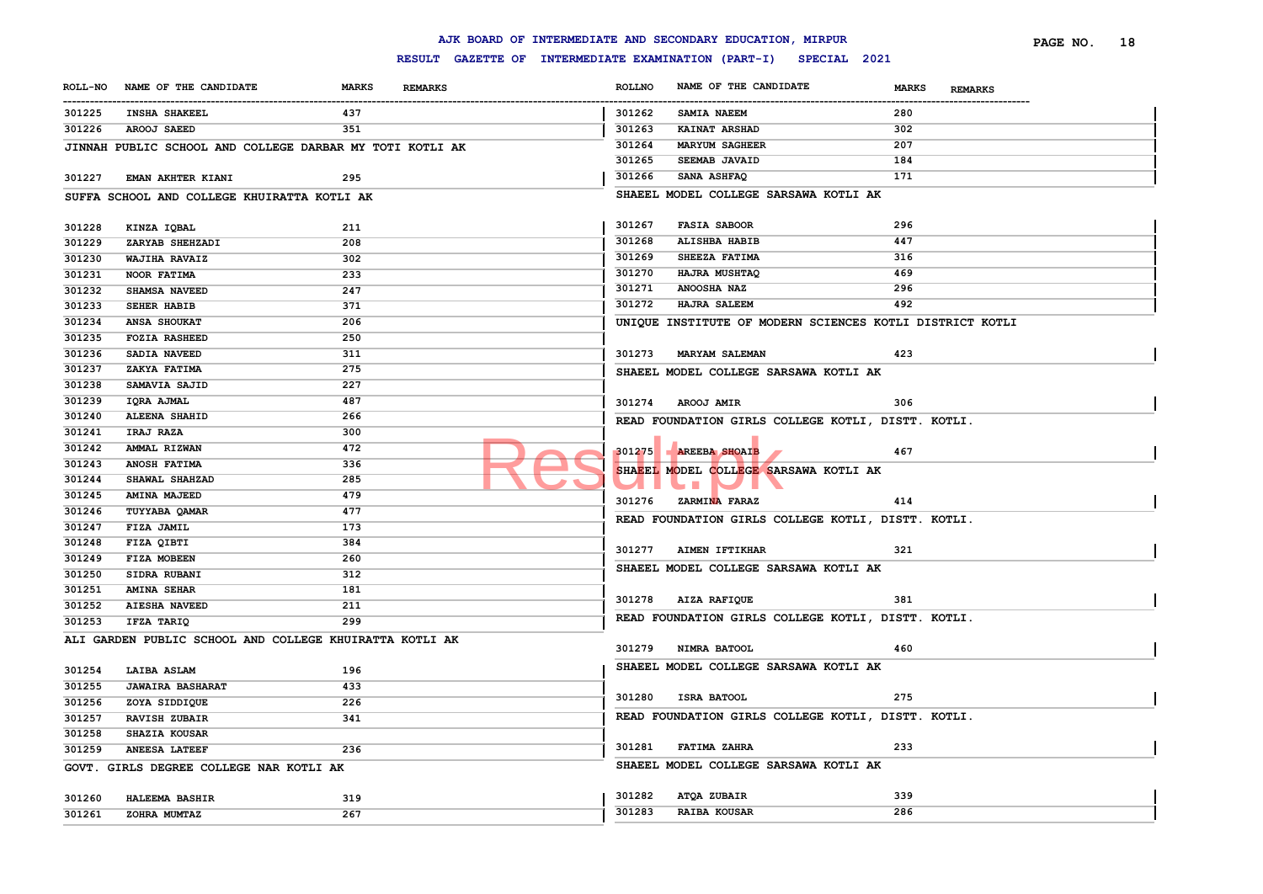|                  |                                                          |              |                |                                                     |               | AJK BOARD OF INTERMEDIATE AND SECONDARY EDUCATION, MIRPUR |                                | PAGE NO. | 18 |
|------------------|----------------------------------------------------------|--------------|----------------|-----------------------------------------------------|---------------|-----------------------------------------------------------|--------------------------------|----------|----|
|                  |                                                          |              |                | RESULT GAZETTE OF INTERMEDIATE EXAMINATION (PART-I) |               |                                                           | SPECIAL 2021                   |          |    |
| <b>ROLL-NO</b>   | NAME OF THE CANDIDATE                                    | <b>MARKS</b> | <b>REMARKS</b> |                                                     | <b>ROLLNO</b> | NAME OF THE CANDIDATE                                     | <b>MARKS</b><br><b>REMARKS</b> |          |    |
| 301225           | <b>INSHA SHAKEEL</b>                                     | 437          |                |                                                     | 301262        | SAMIA NAEEM                                               | --------------------<br>280    |          |    |
| 301226           | AROOJ SAEED                                              | 351          |                |                                                     | 301263        | KAINAT ARSHAD                                             | 302                            |          |    |
|                  | JINNAH PUBLIC SCHOOL AND COLLEGE DARBAR MY TOTI KOTLI AK |              |                |                                                     | 301264        | <b>MARYUM SAGHEER</b>                                     | 207                            |          |    |
|                  |                                                          |              |                |                                                     | 301265        | SEEMAB JAVAID                                             | 184                            |          |    |
| 301227           | EMAN AKHTER KIANI                                        | 295          |                |                                                     | 301266        | SANA ASHFAQ                                               | 171                            |          |    |
|                  | SUFFA SCHOOL AND COLLEGE KHUIRATTA KOTLI AK              |              |                |                                                     |               | SHAEEL MODEL COLLEGE SARSAWA KOTLI AK                     |                                |          |    |
|                  |                                                          |              |                |                                                     |               |                                                           |                                |          |    |
| 301228           | KINZA IQBAL                                              | 211          |                |                                                     | 301267        | <b>FASIA SABOOR</b>                                       | 296                            |          |    |
| 301229           | ZARYAB SHEHZADI                                          | 208          |                |                                                     | 301268        | ALISHBA HABIB                                             | 447                            |          |    |
| 301230           | WAJIHA RAVAIZ                                            | 302          |                |                                                     | 301269        | SHEEZA FATIMA                                             | 316                            |          |    |
| 301231           | <b>NOOR FATIMA</b>                                       | 233          |                |                                                     | 301270        | HAJRA MUSHTAQ                                             | 469                            |          |    |
| 301232           | SHAMSA NAVEED                                            | 247          |                |                                                     | 301271        | <b>ANOOSHA NAZ</b>                                        | 296                            |          |    |
| 301233           | <b>SEHER HABIB</b>                                       | 371          |                |                                                     | 301272        | <b>HAJRA SALEEM</b>                                       | 492                            |          |    |
| 301234           | ANSA SHOUKAT                                             | 206          |                |                                                     |               | UNIQUE INSTITUTE OF MODERN SCIENCES KOTLI DISTRICT KOTLI  |                                |          |    |
| 301235           | <b>FOZIA RASHEED</b>                                     | 250          |                |                                                     |               |                                                           |                                |          |    |
| 301236           | SADIA NAVEED                                             | 311          |                |                                                     | 301273        | <b>MARYAM SALEMAN</b>                                     | 423                            |          |    |
| 301237           | ZAKYA FATIMA                                             | 275          |                |                                                     |               | SHAEEL MODEL COLLEGE SARSAWA KOTLI AK                     |                                |          |    |
| 301238           | SAMAVIA SAJID                                            | 227          |                |                                                     |               |                                                           |                                |          |    |
| 301239           | IQRA AJMAL                                               | 487          |                |                                                     |               | 301274 AROOJ AMIR                                         | 306                            |          |    |
| 301240           | <b>ALEENA SHAHID</b>                                     | 266          |                |                                                     |               | READ FOUNDATION GIRLS COLLEGE KOTLI, DISTT. KOTLI.        |                                |          |    |
| 301241           | IRAJ RAZA                                                | 300          |                |                                                     |               |                                                           |                                |          |    |
| 301242           | AMMAL RIZWAN                                             | 472          |                |                                                     | 301275        | <b>AREEBA SHOAIB</b>                                      | 467                            |          |    |
| 301243           | ANOSH FATIMA                                             | 336          |                |                                                     |               | SHAEEL MODEL COLLEGE SARSAWA KOTLI AK                     |                                |          |    |
| 301244           | SHAWAL SHAHZAD                                           | 285          |                |                                                     |               | $\mathbf{r}$                                              |                                |          |    |
| 301245           | <b>AMINA MAJEED</b>                                      | 479          |                |                                                     | 301276        | ZARMINA FARAZ                                             | 414                            |          |    |
| 301246           | TUYYABA QAMAR                                            | 477          |                |                                                     |               | READ FOUNDATION GIRLS COLLEGE KOTLI, DISTT. KOTLI.        |                                |          |    |
| 301247           | FIZA JAMIL                                               | 173          |                |                                                     |               |                                                           |                                |          |    |
| 301248           | FIZA QIBTI                                               | 384          |                |                                                     | 301277        | <b>AIMEN IFTIKHAR</b>                                     | 321                            |          |    |
| 301249           | FIZA MOBEEN                                              | 260          |                |                                                     |               |                                                           |                                |          |    |
| 301250           | SIDRA RUBANI                                             | 312          |                |                                                     |               | SHAEEL MODEL COLLEGE SARSAWA KOTLI AK                     |                                |          |    |
| 301251           | <b>AMINA SEHAR</b>                                       | 181          |                |                                                     |               |                                                           |                                |          |    |
| 301252           | <b>AIESHA NAVEED</b>                                     | 211          |                |                                                     |               | 301278 AIZA RAFIQUE                                       | 381                            |          |    |
| 301253           | IFZA TARIQ                                               | 299          |                |                                                     |               | READ FOUNDATION GIRLS COLLEGE KOTLI, DISTT. KOTLI.        |                                |          |    |
|                  | ALI GARDEN PUBLIC SCHOOL AND COLLEGE KHUIRATTA KOTLI AK  |              |                |                                                     | 301279        | NIMRA BATOOL                                              | 460                            |          |    |
| 301254           | LAIBA ASLAM                                              | 196          |                |                                                     |               | SHAEEL MODEL COLLEGE SARSAWA KOTLI AK                     |                                |          |    |
| 301255           | <b>JAWAIRA BASHARAT</b>                                  | 433          |                |                                                     |               |                                                           |                                |          |    |
|                  |                                                          | 226          |                |                                                     | 301280        | ISRA BATOOL                                               | 275                            |          |    |
| 301256           | ZOYA SIDDIQUE<br><b>RAVISH ZUBAIR</b>                    | 341          |                |                                                     |               | READ FOUNDATION GIRLS COLLEGE KOTLI, DISTT. KOTLI.        |                                |          |    |
| 301257<br>301258 | <b>SHAZIA KOUSAR</b>                                     |              |                |                                                     |               |                                                           |                                |          |    |
|                  | <b>ANEESA LATEEF</b>                                     | 236          |                |                                                     | 301281        | <b>FATIMA ZAHRA</b>                                       | 233                            |          |    |
| 301259           |                                                          |              |                |                                                     |               |                                                           |                                |          |    |
|                  | GOVT. GIRLS DEGREE COLLEGE NAR KOTLI AK                  |              |                |                                                     |               | SHAEEL MODEL COLLEGE SARSAWA KOTLI AK                     |                                |          |    |
| 301260           | HALEEMA BASHIR                                           | 319          |                |                                                     | 301282        | ATQA ZUBAIR                                               | 339                            |          |    |
| 301261           | ZOHRA MUMTAZ                                             | 267          |                |                                                     | 301283        | <b>RAIBA KOUSAR</b>                                       | 286                            |          |    |
|                  |                                                          |              |                |                                                     |               |                                                           |                                |          |    |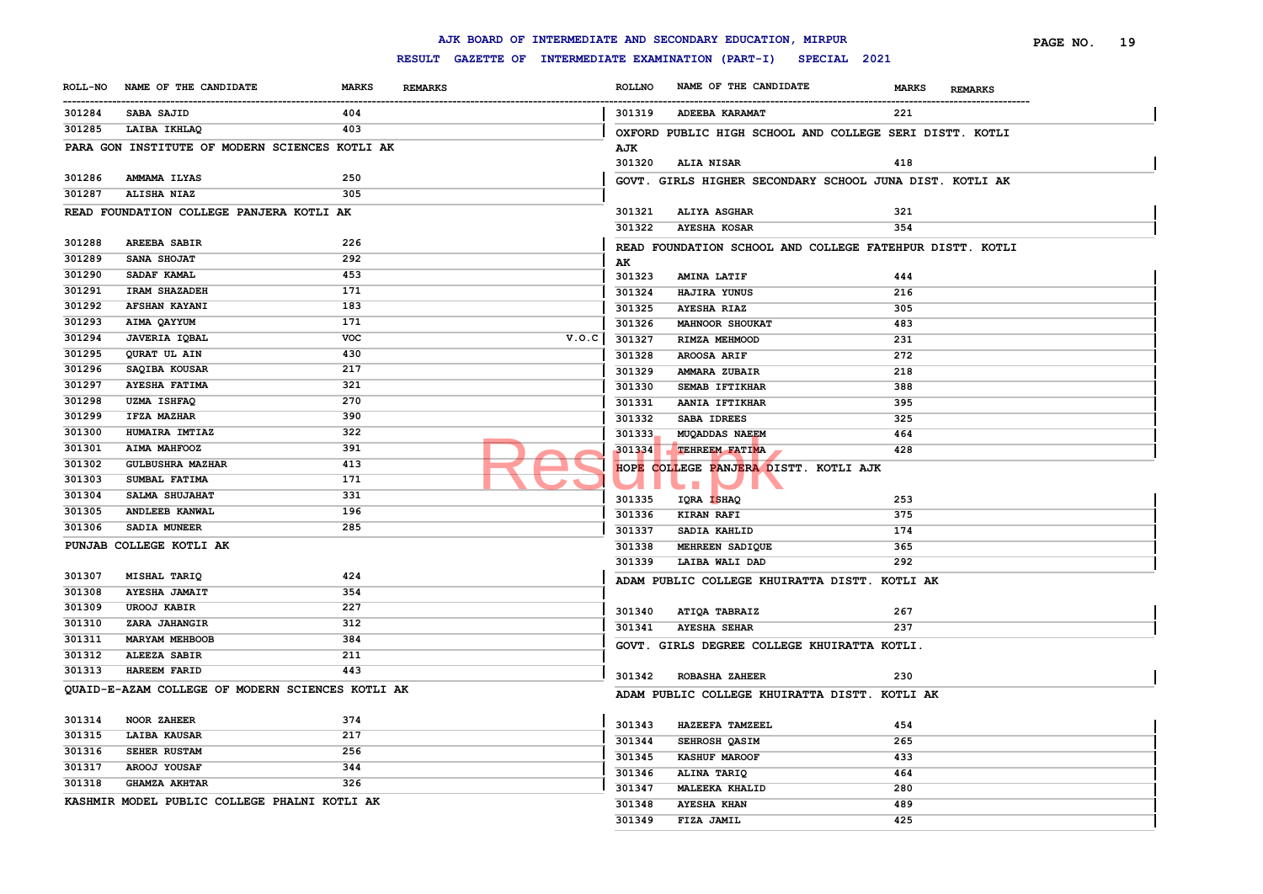|                |                                                  |              |                                                     |       |               | AJK BOARD OF INTERMEDIATE AND SECONDARY EDUCATION, MIRPUR |                                | PAGE NO.<br>19 |
|----------------|--------------------------------------------------|--------------|-----------------------------------------------------|-------|---------------|-----------------------------------------------------------|--------------------------------|----------------|
|                |                                                  |              | RESULT GAZETTE OF INTERMEDIATE EXAMINATION (PART-I) |       |               | SPECIAL 2021                                              |                                |                |
| <b>ROLL-NO</b> | NAME OF THE CANDIDATE                            | <b>MARKS</b> | <b>REMARKS</b>                                      |       | <b>ROLLNO</b> | NAME OF THE CANDIDATE                                     | <b>MARKS</b><br><b>REMARKS</b> |                |
| <br>301284     | <b>SABA SAJID</b>                                | 404          |                                                     |       | 301319        | ADEEBA KARAMAT                                            | 221                            |                |
| 301285         | LAIBA IKHLAQ                                     | 403          |                                                     |       |               | OXFORD PUBLIC HIGH SCHOOL AND COLLEGE SERI DISTT. KOTLI   |                                |                |
|                | PARA GON INSTITUTE OF MODERN SCIENCES KOTLI AK   |              |                                                     |       | AJK           |                                                           |                                |                |
|                |                                                  |              |                                                     |       | 301320        | <b>ALIA NISAR</b>                                         | 418                            |                |
| 301286         | AMMAMA ILYAS                                     | 250          |                                                     |       |               | GOVT. GIRLS HIGHER SECONDARY SCHOOL JUNA DIST. KOTLI AK   |                                |                |
| 301287         | ALISHA NIAZ                                      | 305          |                                                     |       |               |                                                           |                                |                |
|                | READ FOUNDATION COLLEGE PANJERA KOTLI AK         |              |                                                     |       | 301321        | <b>ALIYA ASGHAR</b>                                       | 321                            |                |
|                |                                                  |              |                                                     |       | 301322        | <b>AYESHA KOSAR</b>                                       | 354                            |                |
| 301288         | <b>AREEBA SABIR</b>                              | 226          |                                                     |       |               | READ FOUNDATION SCHOOL AND COLLEGE FATEHPUR DISTT. KOTLI  |                                |                |
| 301289         | SANA SHOJAT                                      | 292          |                                                     |       | AK            |                                                           |                                |                |
| 301290         | SADAF KAMAL                                      | 453          |                                                     |       | 301323        | <b>AMINA LATIF</b>                                        | 444                            |                |
| 301291         | IRAM SHAZADEH                                    | 171          |                                                     |       | 301324        | HAJIRA YUNUS                                              | 216                            |                |
| 301292         | <b>AFSHAN KAYANI</b>                             | 183          |                                                     |       | 301325        | <b>AYESHA RIAZ</b>                                        | 305                            |                |
| 301293         | AIMA QAYYUM                                      | 171          |                                                     |       | 301326        | <b>MAHNOOR SHOUKAT</b>                                    | 483                            |                |
| 301294         | <b>JAVERIA IQBAL</b>                             | voc          |                                                     | V.O.C | 301327        | RIMZA MEHMOOD                                             | 231                            |                |
| 301295         | QURAT UL AIN                                     | 430          |                                                     |       | 301328        | AROOSA ARIF                                               | 272                            |                |
| 301296         | SAQIBA KOUSAR                                    | 217          |                                                     |       | 301329        | AMMARA ZUBAIR                                             | 218                            |                |
| 301297         | <b>AYESHA FATIMA</b>                             | 321          |                                                     |       | 301330        | SEMAB IFTIKHAR                                            | 388                            |                |
| 301298         | <b>UZMA ISHFAQ</b>                               | 270          |                                                     |       | 301331        | AANIA IFTIKHAR                                            | 395                            |                |
| 301299         | IFZA MAZHAR                                      | 390          |                                                     |       | 301332        | SABA IDREES                                               | 325                            |                |
| 301300         | HUMAIRA IMTIAZ                                   | 322          |                                                     |       | 301333        | <b>MUQADDAS NAEEM</b>                                     | 464                            |                |
| 301301         | AIMA MAHFOOZ                                     | 391          |                                                     |       | 301334        | <b>TEHREEM FATIMA</b>                                     | 428                            |                |
| 301302         | <b>GULBUSHRA MAZHAR</b>                          | 413          |                                                     |       |               | HOPE COLLEGE PANJERA DISTT. KOTLI AJK                     |                                |                |
| 301303         | SUMBAL FATIMA                                    | 171          |                                                     |       |               | $\mathcal{L}_{\mathcal{A}}$                               |                                |                |
| 301304         | SALMA SHUJAHAT                                   | 331          |                                                     |       | 301335        | IQRA ISHAQ                                                | 253                            |                |
| 301305         | <b>ANDLEEB KANWAL</b>                            | 196          |                                                     |       | 301336        | KIRAN RAFI                                                | 375                            |                |
| 301306         | SADIA MUNEER                                     | 285          |                                                     |       | 301337        | SADIA KAHLID                                              | 174                            |                |
|                | PUNJAB COLLEGE KOTLI AK                          |              |                                                     |       | 301338        | MEHREEN SADIQUE                                           | 365                            |                |
|                |                                                  |              |                                                     |       | 301339        | LAIBA WALI DAD                                            | 292                            |                |
| 301307         | MISHAL TARIQ                                     | 424          |                                                     |       |               | ADAM PUBLIC COLLEGE KHUIRATTA DISTT. KOTLI AK             |                                |                |
| 301308         | <b>AYESHA JAMAIT</b>                             | 354          |                                                     |       |               |                                                           |                                |                |
| 301309         | <b>UROOJ KABIR</b>                               | 227          |                                                     |       | 301340        | ATIQA TABRAIZ                                             | 267                            |                |
| 301310         | ZARA JAHANGIR                                    | 312          |                                                     |       | 301341        | <b>AYESHA SEHAR</b>                                       | 237                            |                |
| 301311         | <b>MARYAM MEHBOOB</b>                            | 384          |                                                     |       |               | GOVT. GIRLS DEGREE COLLEGE KHUIRATTA KOTLI.               |                                |                |
| 301312         | <b>ALEEZA SABIR</b>                              | 211          |                                                     |       |               |                                                           |                                |                |
| 301313         | <b>HAREEM FARID</b>                              | 443          |                                                     |       | 301342        | ROBASHA ZAHEER                                            | 230                            |                |
|                | QUAID-E-AZAM COLLEGE OF MODERN SCIENCES KOTLI AK |              |                                                     |       |               | ADAM PUBLIC COLLEGE KHUIRATTA DISTT. KOTLI AK             |                                |                |
|                |                                                  |              |                                                     |       |               |                                                           |                                |                |
| 301314         | <b>NOOR ZAHEER</b>                               | 374          |                                                     |       | 301343        | <b>HAZEEFA TAMZEEL</b>                                    | 454                            |                |
| 301315         | LAIBA KAUSAR                                     | 217          |                                                     |       | 301344        | SEHROSH QASIM                                             | 265                            |                |
| 301316         | SEHER RUSTAM                                     | 256          |                                                     |       | 301345        | <b>KASHUF MAROOF</b>                                      | 433                            |                |
| 301317         | AROOJ YOUSAF                                     | 344          |                                                     |       | 301346        | ALINA TARIQ                                               | 464                            |                |
| 301318         | <b>GHAMZA AKHTAR</b>                             | 326          |                                                     |       | 301347        | MALEEKA KHALID                                            | 280                            |                |
|                | KASHMIR MODEL PUBLIC COLLEGE PHALNI KOTLI AK     |              |                                                     |       | 301348        | <b>AYESHA KHAN</b>                                        | 489                            |                |
|                |                                                  |              |                                                     |       | 301349        | FIZA JAMIL                                                | 425                            |                |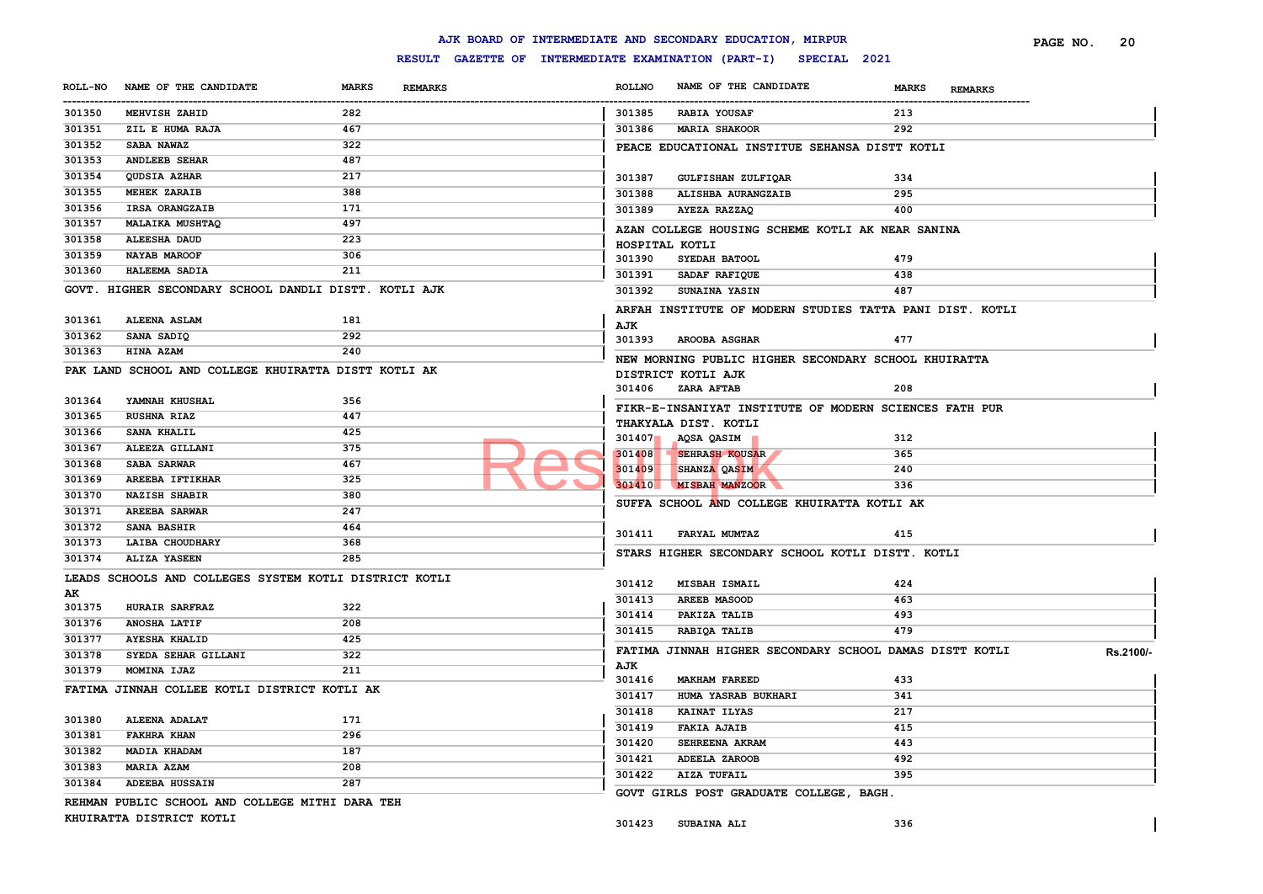#### ------------------------------------------------------------------------------------------------------------------------------------------------------------------------------------------------------------------------ **ROLLNO NAME OF THE CANDIDATE MARKS REMARKS PAGE NO. 20 MEHVISH ZAHID 282 ZIL E HUMA RAJA 467 SABA NAWAZ 322 ANDLEEB SEHAR 487 QUDSIA AZHAR 217 MEHEK ZARAIB 388 IRSA ORANGZAIB 171 MALAIKA MUSHTAQ 497 ALEESHA DAUD 223 NAYAB MAROOF 306 HALEEMA SADIA 211 GOVT. HIGHER SECONDARY SCHOOL DANDLI DISTT. KOTLI AJK ALEENA ASLAM 181 SANA SADIQ 292 HINA AZAM 240 PAK LAND SCHOOL AND COLLEGE KHUIRATTA DISTT KOTLI AK YAMNAH KHUSHAL 356 RUSHNA RIAZ 447 SANA KHALIL 425 ALEEZA GILLANI 375 SABA SARWAR 467 AREEBA IFTIKHAR 325 NAZISH SHABIR 380 AREEBA SARWAR 247 SANA BASHIR 464 LAIBA CHOUDHARY 368 ALIZA YASEEN 285 LEADS SCHOOLS AND COLLEGES SYSTEM KOTLI DISTRICT KOTLI AK HURAIR SARFRAZ 322 ANOSHA LATIF 208 AYESHA KHALID 425 SYEDA SEHAR GILLANI 322 MOMINA IJAZ 211 FATIMA JINNAH COLLEE KOTLI DISTRICT KOTLI AK ALEENA ADALAT 171 FAKHRA KHAN 296 MADIA KHADAM 187 MARIA AZAM 208 ADEEBA HUSSAIN 287 REHMAN PUBLIC SCHOOL AND COLLEGE MITHI DARA TEH KHUIRATTA DISTRICT KOTLI RABIA YOUSAF 213 MARIA SHAKOOR 292 PEACE EDUCATIONAL INSTITUE SEHANSA DISTT KOTLI GULFISHAN ZULFIQAR 334 ALISHBA AURANGZAIB 295 AYEZA RAZZAQ 400 AZAN COLLEGE HOUSING SCHEME KOTLI AK NEAR SANINA HOSPITAL KOTLI SYEDAH BATOOL 479 SADAF RAFIQUE 438 SUNAINA YASIN 487 ARFAH INSTITUTE OF MODERN STUDIES TATTA PANI DIST. KOTLI AJK AROOBA ASGHAR 477 NEW MORNING PUBLIC HIGHER SECONDARY SCHOOL KHUIRATTA DISTRICT KOTLI AJK ZARA AFTAB 208 FIKR-E-INSANIYAT INSTITUTE OF MODERN SCIENCES FATH PUR THAKYALA DIST. KOTLI AQSA QASIM 312 SEHRASH KOUSAR 365 SHANZA QASIM 240 MISBAH MANZOOR 336 SUFFA SCHOOL AND COLLEGE KHUIRATTA KOTLI AK FARYAL MUMTAZ 415 STARS HIGHER SECONDARY SCHOOL KOTLI DISTT. KOTLI MISBAH ISMAIL 424 AREEB MASOOD 463 PAKIZA TALIB 493 RABIQA TALIB 479 FATIMA JINNAH HIGHER SECONDARY SCHOOL DAMAS DISTT KOTLI AJK Rs.2100/- MAKHAM FAREED 433 HUMA YASRAB BUKHARI 341 KAINAT ILYAS 217 FAKIA AJAIB 415 SEHREENA AKRAM 443 ADEELA ZAROOB 492 AIZA TUFAIL 395 GOVT GIRLS POST GRADUATE COLLEGE, BAGH. SUBAINA ALI 336** 301407 AQSA QASIM<br>301409 SEHRASH ROUSAR<br>301410 SHANZA QASIM<br>301410 MISBAH MANZOOR

## **AJK BOARD OF INTERMEDIATE AND SECONDARY EDUCATION, MIRPUR**

**ROLL-NO NAME OF THE CANDIDATE MARKS REMARKS**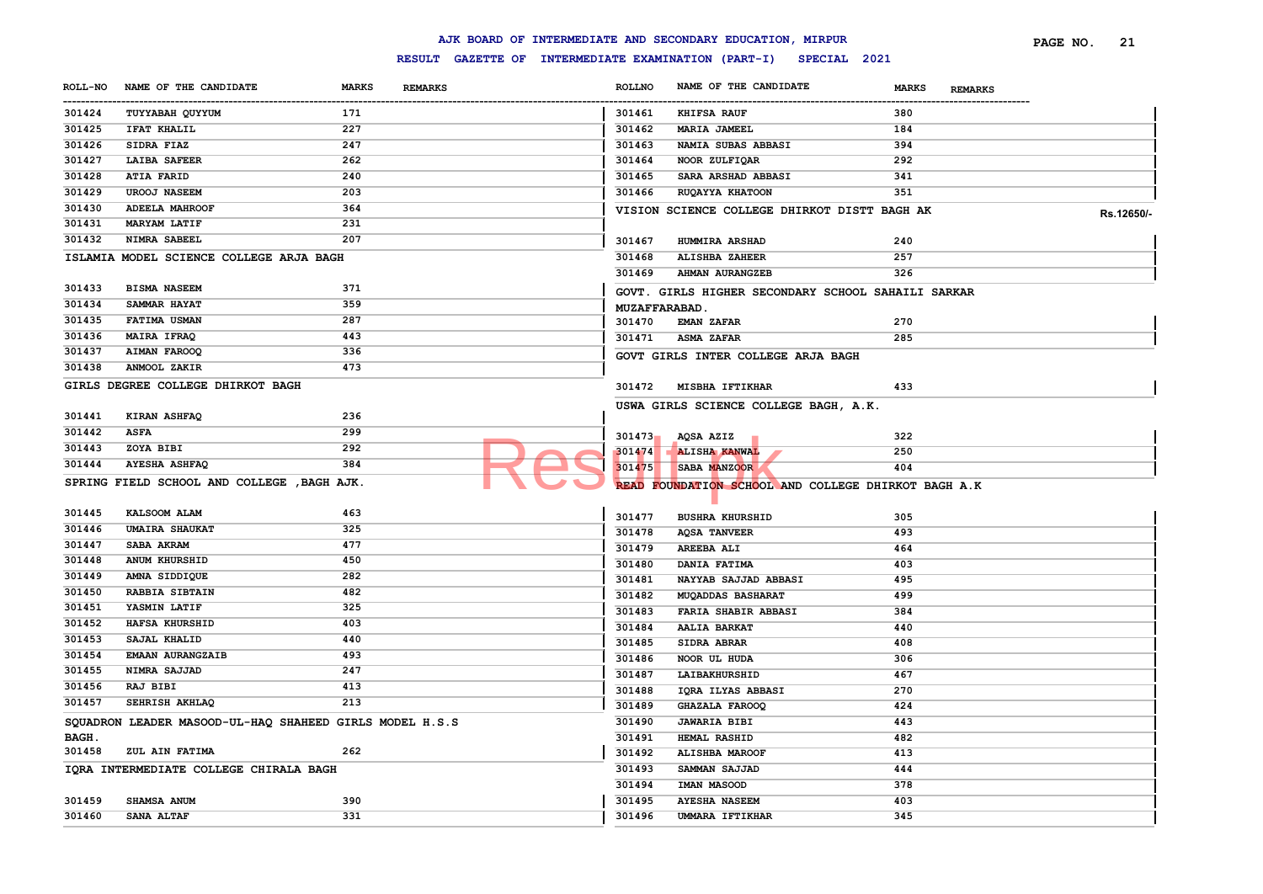| 301437 | <b>AIMAN FAROOQ</b>                                     | 336 |        | GOVT GIRLS INTER COLLEGE ARJA BAGH                  |     |
|--------|---------------------------------------------------------|-----|--------|-----------------------------------------------------|-----|
| 301438 | ANMOOL ZAKIR                                            | 473 |        |                                                     |     |
|        | GIRLS DEGREE COLLEGE DHIRKOT BAGH                       |     | 301472 | <b>MISBHA IFTIKHAR</b>                              | 433 |
|        |                                                         |     |        | USWA GIRLS SCIENCE COLLEGE BAGH, A.K.               |     |
| 301441 | KIRAN ASHFAQ                                            | 236 |        |                                                     |     |
| 301442 | <b>ASFA</b>                                             | 299 | 301473 | AQSA AZIZ                                           | 322 |
| 301443 | ZOYA BIBI                                               | 292 | 301474 | <b>ALISHA KANWAL</b>                                | 250 |
| 301444 | <b>AYESHA ASHFAQ</b>                                    | 384 | 301475 | SABA MANZOOR                                        | 404 |
|        | SPRING FIELD SCHOOL AND COLLEGE , BAGH AJK.             |     |        | READ FOUNDATION SCHOOL AND COLLEGE DHIRKOT BAGH A.K |     |
|        |                                                         |     |        |                                                     |     |
| 301445 | KALSOOM ALAM                                            | 463 | 301477 | <b>BUSHRA KHURSHID</b>                              | 305 |
| 301446 | <b>UMAIRA SHAUKAT</b>                                   | 325 | 301478 | <b>AOSA TANVEER</b>                                 | 493 |
| 301447 | SABA AKRAM                                              | 477 | 301479 | AREEBA ALI                                          | 464 |
| 301448 | ANUM KHURSHID                                           | 450 | 301480 | DANIA FATIMA                                        | 403 |
| 301449 | AMNA SIDDIQUE                                           | 282 | 301481 | NAYYAB SAJJAD ABBASI                                | 495 |
| 301450 | RABBIA SIBTAIN                                          | 482 | 301482 | MUQADDAS BASHARAT                                   | 499 |
| 301451 | YASMIN LATIF                                            | 325 | 301483 | FARIA SHABIR ABBASI                                 | 384 |
| 301452 | HAFSA KHURSHID                                          | 403 | 301484 | <b>AALIA BARKAT</b>                                 | 440 |
| 301453 | SAJAL KHALID                                            | 440 | 301485 | SIDRA ABRAR                                         | 408 |
| 301454 | EMAAN AURANGZAIB                                        | 493 | 301486 | NOOR UL HUDA                                        | 306 |
| 301455 | NIMRA SAJJAD                                            | 247 | 301487 | LAIBAKHURSHID                                       | 467 |
| 301456 | RAJ BIBI                                                | 413 | 301488 | IQRA ILYAS ABBASI                                   | 270 |
| 301457 | SEHRISH AKHLAQ                                          | 213 | 301489 | GHAZALA FAROOQ                                      | 424 |
|        | SQUADRON LEADER MASOOD-UL-HAQ SHAHEED GIRLS MODEL H.S.S |     | 301490 | <b>JAWARIA BIBI</b>                                 | 443 |
| BAGH.  |                                                         |     | 301491 | HEMAL RASHID                                        | 482 |
| 301458 | ZUL AIN FATIMA                                          | 262 | 301492 | <b>ALISHBA MAROOF</b>                               | 413 |
|        | IQRA INTERMEDIATE COLLEGE CHIRALA BAGH                  |     | 301493 | SAMMAN SAJJAD                                       | 444 |
|        |                                                         |     | 301494 | IMAN MASOOD                                         | 378 |
| 301459 | SHAMSA ANUM                                             | 390 | 301495 | <b>AYESHA NASEEM</b>                                | 403 |
| 301460 | SANA ALTAF                                              | 331 | 301496 | UMMARA IFTIKHAR                                     | 345 |
|        |                                                         |     |        |                                                     |     |

#### **ROLL-NO NAME OF THE CANDIDATE MARKS REMARKS** ------------------------------------------------------------------------------------------------------------------------------------------------------------------------------------------------------------------------ **ROLLNO NAME OF THE CANDIDATE MARKS REMARKS PAGE NO. 21 TUYYABAH QUYYUM 171 IFAT KHALIL 227 SIDRA FIAZ 247 LAIBA SAFEER 262 ATIA FARID 240 UROOJ NASEEM 203 ADEELA MAHROOF 364 MARYAM LATIF 231 NIMRA SABEEL 207 ISLAMIA MODEL SCIENCE COLLEGE ARJA BAGH BISMA NASEEM 371 SAMMAR HAYAT 359 FATIMA USMAN 287 MAIRA IFRAQ 443 KHIFSA RAUF 380 MARIA JAMEEL 184 NAMIA SUBAS ABBASI 394 NOOR ZULFIQAR 292 SARA ARSHAD ABBASI 341 RUQAYYA KHATOON 351 VISION SCIENCE COLLEGE DHIRKOT DISTT BAGH AK Rs.12650/- HUMMIRA ARSHAD 240 ALISHBA ZAHEER 257 AHMAN AURANGZEB 326 GOVT. GIRLS HIGHER SECONDARY SCHOOL SAHAILI SARKAR MUZAFFARABAD. EMAN ZAFAR 270 ASMA ZAFAR 285**

#### **RESULT GAZETTE OF INTERMEDIATE EXAMINATION (PART-I) SPECIAL 2021**

**AJK BOARD OF INTERMEDIATE AND SECONDARY EDUCATION, MIRPUR**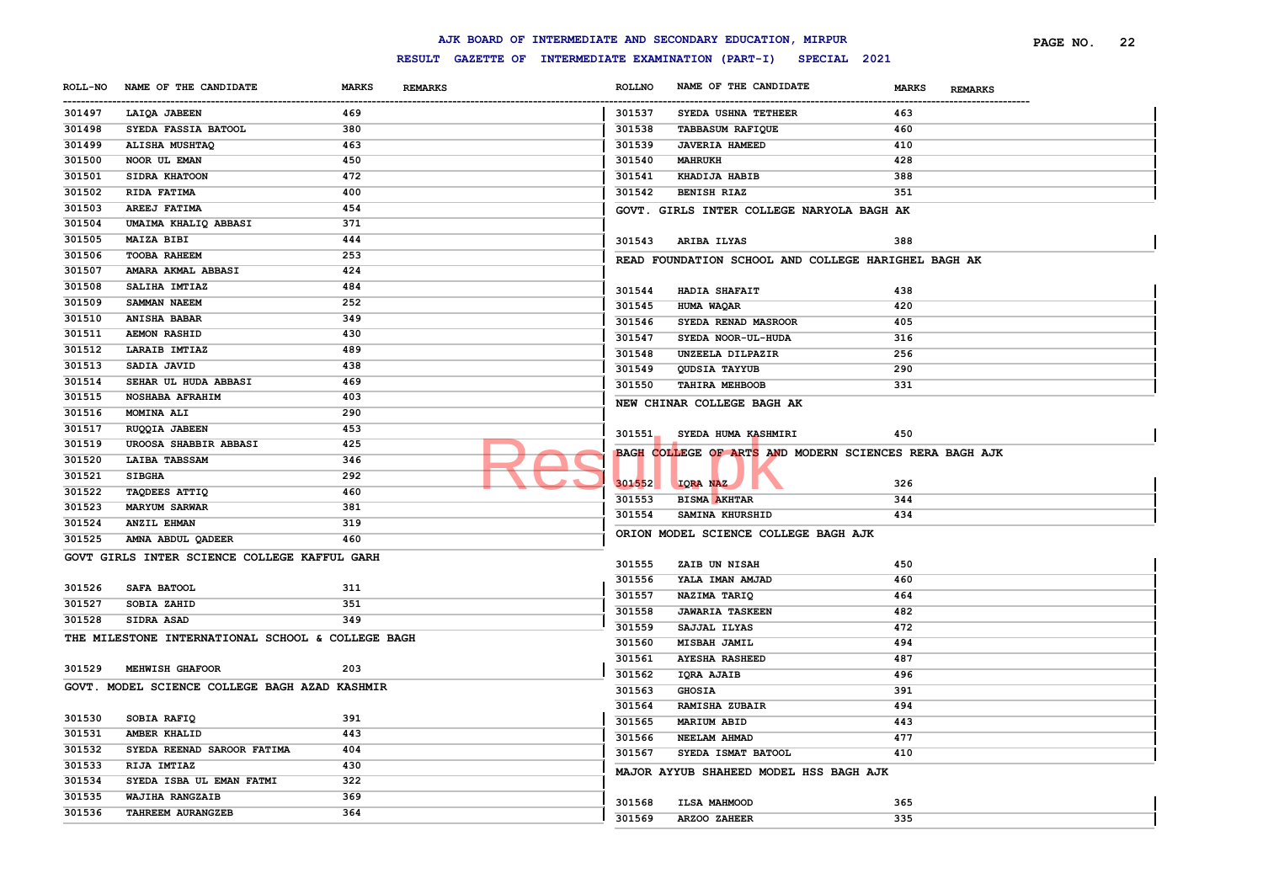|                |                                                   |                                                     |               | AJK BOARD OF INTERMEDIATE AND SECONDARY EDUCATION, MIRPUR |                         | PAGE NO. | 22 |
|----------------|---------------------------------------------------|-----------------------------------------------------|---------------|-----------------------------------------------------------|-------------------------|----------|----|
|                |                                                   | RESULT GAZETTE OF INTERMEDIATE EXAMINATION (PART-I) |               | SPECIAL 2021                                              |                         |          |    |
| <b>ROLL-NO</b> | NAME OF THE CANDIDATE                             | <b>MARKS</b><br><b>REMARKS</b>                      | <b>ROLLNO</b> | NAME OF THE CANDIDATE                                     | MARKS<br><b>REMARKS</b> |          |    |
| 301497         | LAIQA JABEEN                                      | 469                                                 | 301537        | SYEDA USHNA TETHEER                                       | 463                     |          |    |
| 301498         | SYEDA FASSIA BATOOL                               | 380                                                 | 301538        | <b>TABBASUM RAFIQUE</b>                                   | 460                     |          |    |
| 301499         | ALISHA MUSHTAQ                                    | 463                                                 | 301539        | <b>JAVERIA HAMEED</b>                                     | 410                     |          |    |
| 301500         | NOOR UL EMAN                                      | 450                                                 | 301540        | <b>MAHRUKH</b>                                            | 428                     |          |    |
| 301501         | SIDRA KHATOON                                     | 472                                                 | 301541        | KHADIJA HABIB                                             | 388                     |          |    |
| 301502         | RIDA FATIMA                                       | 400                                                 | 301542        | <b>BENISH RIAZ</b>                                        | 351                     |          |    |
| 301503         | AREEJ FATIMA                                      | 454                                                 |               | GOVT. GIRLS INTER COLLEGE NARYOLA BAGH AK                 |                         |          |    |
| 301504         | UMAIMA KHALIQ ABBASI                              | 371                                                 |               |                                                           |                         |          |    |
| 301505         | MAIZA BIBI                                        | 444                                                 | 301543        | ARIBA ILYAS                                               | 388                     |          |    |
| 301506         | <b>TOOBA RAHEEM</b>                               | 253                                                 |               | READ FOUNDATION SCHOOL AND COLLEGE HARIGHEL BAGH AK       |                         |          |    |
| 301507         | AMARA AKMAL ABBASI                                | 424                                                 |               |                                                           |                         |          |    |
| 301508         | SALIHA IMTIAZ                                     | 484                                                 | 301544        | HADIA SHAFAIT                                             | 438                     |          |    |
| 301509         | SAMMAN NAEEM                                      | 252                                                 | 301545        | HUMA WAQAR                                                | 420                     |          |    |
| 301510         | <b>ANISHA BABAR</b>                               | 349                                                 | 301546        | SYEDA RENAD MASROOR                                       | 405                     |          |    |
| 301511         | <b>AEMON RASHID</b>                               | 430                                                 | 301547        | SYEDA NOOR-UL-HUDA                                        | 316                     |          |    |
| 301512         | LARAIB IMTIAZ                                     | 489                                                 | 301548        | UNZEELA DILPAZIR                                          | 256                     |          |    |
| 301513         | SADIA JAVID                                       | 438                                                 | 301549        | <b>QUDSIA TAYYUB</b>                                      | 290                     |          |    |
| 301514         | SEHAR UL HUDA ABBASI                              | 469                                                 | 301550        | TAHIRA MEHBOOB                                            | 331                     |          |    |
| 301515         | NOSHABA AFRAHIM                                   | 403                                                 |               |                                                           |                         |          |    |
| 301516         | MOMINA ALI                                        | 290                                                 |               | NEW CHINAR COLLEGE BAGH AK                                |                         |          |    |
| 301517         | RUQQIA JABEEN                                     | 453                                                 | 301551        | SYEDA HUMA KASHMIRI                                       | 450                     |          |    |
| 301519         | UROOSA SHABBIR ABBASI                             | 425                                                 |               |                                                           |                         |          |    |
| 301520         | LAIBA TABSSAM                                     | 346                                                 |               | BAGH COLLEGE OF ARTS AND MODERN SCIENCES RERA BAGH AJK    |                         |          |    |
| 301521         | <b>SIBGHA</b>                                     | 292                                                 |               |                                                           |                         |          |    |
| 301522         | <b>TAQDEES ATTIQ</b>                              | 460                                                 | 301552        | IQRA NAZ                                                  | 326                     |          |    |
| 301523         | <b>MARYUM SARWAR</b>                              | 381                                                 | 301553        | <b>BISMA AKHTAR</b>                                       | 344                     |          |    |
| 301524         | <b>ANZIL EHMAN</b>                                | 319                                                 | 301554        | SAMINA KHURSHID                                           | 434                     |          |    |
| 301525         | AMNA ABDUL QADEER                                 | 460                                                 |               | ORION MODEL SCIENCE COLLEGE BAGH AJK                      |                         |          |    |
|                | GOVT GIRLS INTER SCIENCE COLLEGE KAFFUL GARH      |                                                     |               |                                                           |                         |          |    |
|                |                                                   |                                                     | 301555        | ZAIB UN NISAH                                             | 450                     |          |    |
| 301526         | SAFA BATOOL                                       | 311                                                 | 301556        | YALA IMAN AMJAD                                           | 460                     |          |    |
| 301527         | SOBIA ZAHID                                       | 351                                                 | 301557        | NAZIMA TARIQ                                              | 464                     |          |    |
| 301528         | SIDRA ASAD                                        | 349                                                 | 301558        | <b>JAWARIA TASKEEN</b>                                    | 482                     |          |    |
|                | THE MILESTONE INTERNATIONAL SCHOOL & COLLEGE BAGH |                                                     | 301559        | SAJJAL ILYAS                                              | 472                     |          |    |
|                |                                                   |                                                     | 301560        | MISBAH JAMIL                                              | 494                     |          |    |
| 301529         | MEHWISH GHAFOOR                                   | 203                                                 | 301561        | <b>AYESHA RASHEED</b>                                     | 487                     |          |    |
|                | GOVT. MODEL SCIENCE COLLEGE BAGH AZAD KASHMIR     |                                                     | 301562        | IQRA AJAIB                                                | 496                     |          |    |
|                |                                                   |                                                     | 301563        | <b>GHOSIA</b>                                             | 391                     |          |    |
| 301530         | SOBIA RAFIQ                                       | 391                                                 | 301564        | <b>RAMISHA ZUBAIR</b>                                     | 494                     |          |    |
| 301531         | <b>AMBER KHALID</b>                               | 443                                                 | 301565        | <b>MARIUM ABID</b>                                        | 443                     |          |    |
| 301532         | SYEDA REENAD SAROOR FATIMA                        | 404                                                 | 301566        | NEELAM AHMAD                                              | 477                     |          |    |
| 301533         | RIJA IMTIAZ                                       | 430                                                 | 301567        | SYEDA ISMAT BATOOL                                        | 410                     |          |    |
| 301534         | SYEDA ISBA UL EMAN FATMI                          | 322                                                 |               | MAJOR AYYUB SHAHEED MODEL HSS BAGH AJK                    |                         |          |    |
| 301535         | WAJIHA RANGZAIB                                   | 369                                                 |               |                                                           |                         |          |    |
| 301536         | TAHREEM AURANGZEB                                 | 364                                                 | 301568        | <b>ILSA MAHMOOD</b>                                       | 365                     |          |    |
|                |                                                   |                                                     | 301569        | ARZOO ZAHEER                                              | 335                     |          |    |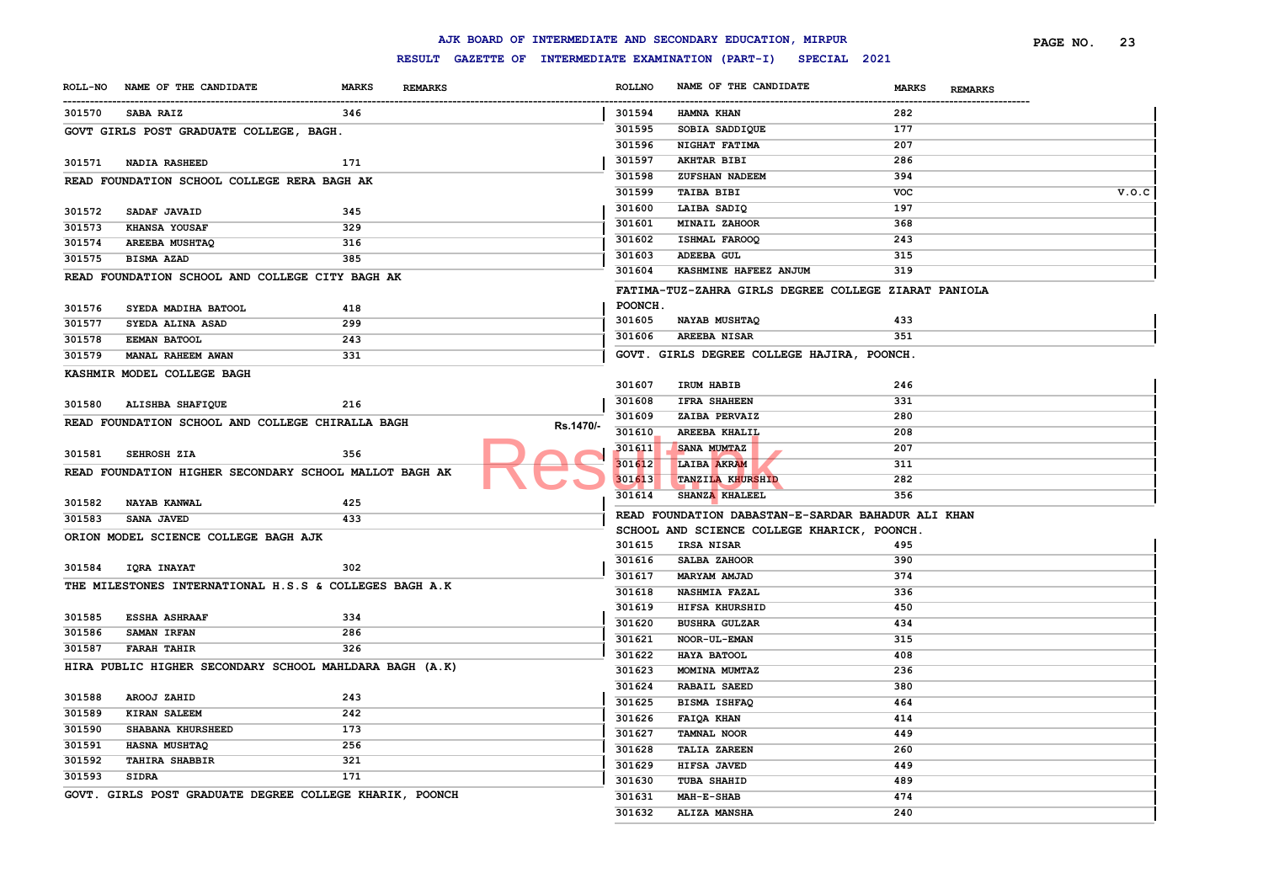|        |                                                         |              |                |                                                     |               | AJK BOARD OF INTERMEDIATE AND SECONDARY EDUCATION, MIRPUR |                                | PAGE NO. | 23    |
|--------|---------------------------------------------------------|--------------|----------------|-----------------------------------------------------|---------------|-----------------------------------------------------------|--------------------------------|----------|-------|
|        |                                                         |              |                | RESULT GAZETTE OF INTERMEDIATE EXAMINATION (PART-I) |               |                                                           | SPECIAL 2021                   |          |       |
|        | ROLL-NO NAME OF THE CANDIDATE                           | <b>MARKS</b> | <b>REMARKS</b> |                                                     | <b>ROLLNO</b> | NAME OF THE CANDIDATE                                     | <b>MARKS</b><br><b>REMARKS</b> |          |       |
| 301570 | <b>SABA RAIZ</b>                                        | 346          |                |                                                     | 301594        | HAMNA KHAN                                                | 282                            |          |       |
|        | GOVT GIRLS POST GRADUATE COLLEGE, BAGH.                 |              |                |                                                     | 301595        | SOBIA SADDIQUE                                            | 177                            |          |       |
|        |                                                         |              |                |                                                     | 301596        | NIGHAT FATIMA                                             | 207                            |          |       |
| 301571 | <b>NADIA RASHEED</b>                                    | 171          |                |                                                     | 301597        | <b>AKHTAR BIBI</b>                                        | 286                            |          |       |
|        | READ FOUNDATION SCHOOL COLLEGE RERA BAGH AK             |              |                |                                                     | 301598        | ZUFSHAN NADEEM                                            | 394                            |          |       |
|        |                                                         |              |                |                                                     | 301599        | <b>TAIBA BIBI</b>                                         | <b>VOC</b>                     |          | V.0.C |
| 301572 | SADAF JAVAID                                            | 345          |                |                                                     | 301600        | LAIBA SADIQ                                               | 197                            |          |       |
| 301573 | KHANSA YOUSAF                                           | 329          |                |                                                     | 301601        | MINAIL ZAHOOR                                             | 368                            |          |       |
| 301574 | <b>AREEBA MUSHTAQ</b>                                   | 316          |                |                                                     | 301602        | ISHMAL FAROOQ                                             | 243                            |          |       |
| 301575 | BISMA AZAD                                              | 385          |                |                                                     | 301603        | <b>ADEEBA GUL</b>                                         | 315                            |          |       |
|        | READ FOUNDATION SCHOOL AND COLLEGE CITY BAGH AK         |              |                |                                                     | 301604        | KASHMINE HAFEEZ ANJUM                                     | 319                            |          |       |
|        |                                                         |              |                |                                                     |               | FATIMA-TUZ-ZAHRA GIRLS DEGREE COLLEGE ZIARAT PANIOLA      |                                |          |       |
| 301576 | SYEDA MADIHA BATOOL                                     | 418          |                |                                                     | POONCH.       |                                                           |                                |          |       |
| 301577 | SYEDA ALINA ASAD                                        | 299          |                |                                                     | 301605        | NAYAB MUSHTAQ                                             | 433                            |          |       |
| 301578 | <b>EEMAN BATOOL</b>                                     | 243          |                |                                                     | 301606        | <b>AREEBA NISAR</b>                                       | 351                            |          |       |
| 301579 | MANAL RAHEEM AWAN                                       | 331          |                |                                                     |               | GOVT. GIRLS DEGREE COLLEGE HAJIRA, POONCH.                |                                |          |       |
|        | KASHMIR MODEL COLLEGE BAGH                              |              |                |                                                     |               |                                                           |                                |          |       |
|        |                                                         |              |                |                                                     | 301607        | IRUM HABIB                                                | 246                            |          |       |
| 301580 | ALISHBA SHAFIQUE                                        | 216          |                |                                                     | 301608        | <b>IFRA SHAHEEN</b>                                       | 331                            |          |       |
|        | READ FOUNDATION SCHOOL AND COLLEGE CHIRALLA BAGH        |              |                |                                                     | 301609        | ZAIBA PERVAIZ                                             | 280                            |          |       |
|        |                                                         |              |                | Rs.1470/-                                           | 301610        | AREEBA KHALIL                                             | 208                            |          |       |
| 301581 | SEHROSH ZIA                                             | 356          |                |                                                     | 301611        | SANA MUMTAZ                                               | 207                            |          |       |
|        | READ FOUNDATION HIGHER SECONDARY SCHOOL MALLOT BAGH AK  |              |                |                                                     | 01612         | LAIBA AKRAM                                               | 311                            |          |       |
|        |                                                         |              |                |                                                     | 301613        | <b>TANZILA KHURSHID</b>                                   | 282                            |          |       |
| 301582 | <b>NAYAB KANWAL</b>                                     | 425          |                |                                                     | 301614        | SHANZA KHALEEL                                            | 356                            |          |       |
| 301583 | <b>SANA JAVED</b>                                       | 433          |                |                                                     |               | READ FOUNDATION DABASTAN-E-SARDAR BAHADUR ALI KHAN        |                                |          |       |
|        | ORION MODEL SCIENCE COLLEGE BAGH AJK                    |              |                |                                                     |               | SCHOOL AND SCIENCE COLLEGE KHARICK, POONCH                |                                |          |       |
|        |                                                         |              |                |                                                     | 301615        | <b>IRSA NISAR</b>                                         | 495                            |          |       |
| 301584 | <b>IQRA INAYAT</b>                                      | 302          |                |                                                     | 301616        | SALBA ZAHOOR                                              | 390                            |          |       |
|        | THE MILESTONES INTERNATIONAL H.S.S & COLLEGES BAGH A.K  |              |                |                                                     | 301617        | MARYAM AMJAD                                              | 374                            |          |       |
|        |                                                         |              |                |                                                     | 301618        | <b>NASHMIA FAZAL</b>                                      | 336                            |          |       |
| 301585 | <b>ESSHA ASHRAAF</b>                                    | 334          |                |                                                     | 301619        | HIFSA KHURSHID                                            | 450                            |          |       |
| 301586 | SAMAN IRFAN                                             | 286          |                |                                                     | 301620        | <b>BUSHRA GULZAR</b>                                      | 434                            |          |       |
| 301587 | <b>FARAH TAHIR</b>                                      | 326          |                |                                                     | 301621        | NOOR-UL-EMAN                                              | 315                            |          |       |
|        |                                                         |              |                |                                                     | 301622        | HAYA BATOOL                                               | 408                            |          |       |
|        | HIRA PUBLIC HIGHER SECONDARY SCHOOL MAHLDARA BAGH (A.K) |              |                |                                                     | 301623        | MOMINA MUMTAZ                                             | 236                            |          |       |
|        |                                                         |              |                |                                                     | 301624        | <b>RABAIL SAEED</b>                                       | 380                            |          |       |
| 301588 | AROOJ ZAHID                                             | 243          |                |                                                     | 301625        | BISMA ISHFAQ                                              | 464                            |          |       |
| 301589 | <b>KIRAN SALEEM</b>                                     | 242          |                |                                                     | 301626        | FAIQA KHAN                                                | 414                            |          |       |
| 301590 | SHABANA KHURSHEED                                       | 173          |                |                                                     | 301627        | <b>TAMNAL NOOR</b>                                        | 449                            |          |       |
| 301591 | HASNA MUSHTAQ                                           | 256          |                |                                                     | 301628        | <b>TALIA ZAREEN</b>                                       | 260                            |          |       |
| 301592 | <b>TAHIRA SHABBIR</b>                                   | 321          |                |                                                     | 301629        | HIFSA JAVED                                               | 449                            |          |       |
| 301593 | <b>SIDRA</b>                                            | 171          |                |                                                     | 301630        | TUBA SHAHID                                               | 489                            |          |       |
|        | GOVT. GIRLS POST GRADUATE DEGREE COLLEGE KHARIK, POONCH |              |                |                                                     | 301631        | MAH-E-SHAB                                                | 474                            |          |       |
|        |                                                         |              |                |                                                     | 301632        | ALIZA MANSHA                                              | 240                            |          |       |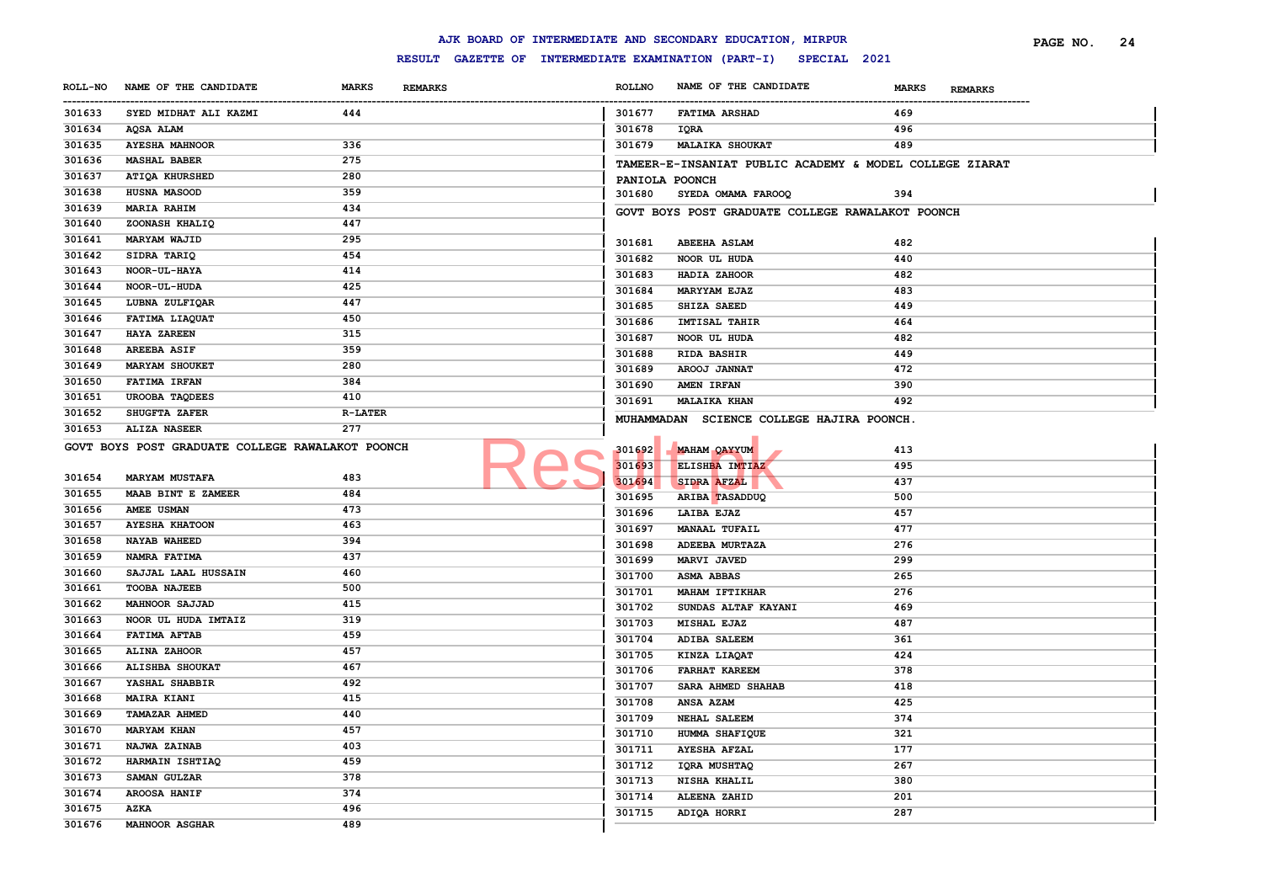|                       |                                                  |                                |                  | AJK BOARD OF INTERMEDIATE AND SECONDARY EDUCATION, MIRPUR        |                                | 24<br>PAGE NO. |
|-----------------------|--------------------------------------------------|--------------------------------|------------------|------------------------------------------------------------------|--------------------------------|----------------|
|                       |                                                  |                                |                  | RESULT GAZETTE OF INTERMEDIATE EXAMINATION (PART-I) SPECIAL 2021 |                                |                |
| <b>ROLL-NO</b>        | NAME OF THE CANDIDATE                            | <b>MARKS</b><br><b>REMARKS</b> | <b>ROLLNO</b>    | NAME OF THE CANDIDATE                                            | <b>MARKS</b><br><b>REMARKS</b> |                |
| -----------<br>301633 | SYED MIDHAT ALI KAZMI                            | 444                            | 301677           | <b>FATIMA ARSHAD</b>                                             | 469                            |                |
| 301634                | AQSA ALAM                                        |                                | 301678           | IQRA                                                             | 496                            |                |
| 301635                | <b>AYESHA MAHNOOR</b>                            | 336                            | 301679           | <b>MALAIKA SHOUKAT</b>                                           | 489                            |                |
| 301636                | <b>MASHAL BABER</b>                              | 275                            |                  | TAMEER-E-INSANIAT PUBLIC ACADEMY & MODEL COLLEGE ZIARAT          |                                |                |
| 301637                | <b>ATIQA KHURSHED</b>                            | 280                            |                  | PANIOLA POONCH                                                   |                                |                |
| 301638                | HUSNA MASOOD                                     | 359                            | 301680           | SYEDA OMAMA FAROOQ                                               | 394                            |                |
| 301639                | MARIA RAHIM                                      | 434                            |                  | GOVT BOYS POST GRADUATE COLLEGE RAWALAKOT POONCH                 |                                |                |
| 301640                | ZOONASH KHALIQ                                   | 447                            |                  |                                                                  |                                |                |
| 301641                | <b>MARYAM WAJID</b>                              | 295                            | 301681           | <b>ABEEHA ASLAM</b>                                              | 482                            |                |
| 301642                | SIDRA TARIQ                                      | 454                            | 301682           | NOOR UL HUDA                                                     | 440                            |                |
| 301643                | NOOR-UL-HAYA                                     | 414                            | 301683           | HADIA ZAHOOR                                                     | 482                            |                |
| 301644                | NOOR-UL-HUDA                                     | 425                            | 301684           | MARYYAM EJAZ                                                     | 483                            |                |
| 301645                | LUBNA ZULFIQAR                                   | 447                            | 301685           | SHIZA SAEED                                                      | 449                            |                |
| 301646                | FATIMA LIAQUAT                                   | 450                            | 301686           | IMTISAL TAHIR                                                    | 464                            |                |
| 301647                | <b>HAYA ZAREEN</b>                               | 315                            | 301687           | NOOR UL HUDA                                                     | 482                            |                |
| 301648                | <b>AREEBA ASIF</b>                               | 359                            | 301688           | <b>RIDA BASHIR</b>                                               | 449                            |                |
| 301649                | <b>MARYAM SHOUKET</b>                            | 280                            | 301689           | AROOJ JANNAT                                                     | 472                            |                |
| 301650                | <b>FATIMA IRFAN</b>                              | 384                            | 301690           | AMEN IRFAN                                                       | 390                            |                |
| 301651                | UROOBA TAQDEES                                   | 410                            | 301691           | <b>MALAIKA KHAN</b>                                              | 492                            |                |
| 301652                | SHUGFTA ZAFER                                    | <b>R-LATER</b>                 |                  |                                                                  |                                |                |
| 301653                | <b>ALIZA NASEER</b>                              | 277                            |                  | MUHAMMADAN SCIENCE COLLEGE HAJIRA POONCH.                        |                                |                |
|                       | GOVT BOYS POST GRADUATE COLLEGE RAWALAKOT POONCH |                                |                  |                                                                  |                                |                |
|                       |                                                  |                                | 301692<br>301693 | <b>MAHAM QAYYUM</b><br>ELISHBA IMTIAZ                            | 413<br>495                     |                |
| 301654                | <b>MARYAM MUSTAFA</b>                            | 483                            |                  |                                                                  | 437                            |                |
| 301655                | MAAB BINT E ZAMEER                               | 484                            | 301694           | SIDRA AFZAL                                                      |                                |                |
| 301656                | <b>AMEE USMAN</b>                                | 473                            | 301695           | ARIBA TASADDUQ                                                   | 500                            |                |
| 301657                | <b>AYESHA KHATOON</b>                            | 463                            | 301696           | LAIBA EJAZ                                                       | 457                            |                |
| 301658                | <b>NAYAB WAHEED</b>                              | 394                            | 301697           | <b>MANAAL TUFAIL</b>                                             | 477                            |                |
| 301659                | NAMRA FATIMA                                     | 437                            | 301698           | ADEEBA MURTAZA                                                   | 276                            |                |
| 301660                | SAJJAL LAAL HUSSAIN                              | 460                            | 301699           | MARVI JAVED                                                      | 299                            |                |
| 301661                | <b>TOOBA NAJEEB</b>                              | 500                            | 301700           | ASMA ABBAS                                                       | 265                            |                |
| 301662                | <b>MAHNOOR SAJJAD</b>                            | 415                            | 301701           | <b>MAHAM IFTIKHAR</b>                                            | 276                            |                |
| 301663                | NOOR UL HUDA IMTAIZ                              | 319                            | 301702           | SUNDAS ALTAF KAYANI                                              | 469                            |                |
| 301664                | <b>FATIMA AFTAB</b>                              | 459                            | 301703           | <b>MISHAL EJAZ</b>                                               | 487                            |                |
| 301665                | ALINA ZAHOOR                                     | 457                            | 301704           | ADIBA SALEEM                                                     | 361                            |                |
| 301666                | ALISHBA SHOUKAT                                  | 467                            | 301705           | KINZA LIAQAT                                                     | 424                            |                |
| 301667                | YASHAL SHABBIR                                   | 492                            | 301706           | <b>FARHAT KAREEM</b>                                             | 378                            |                |
| 301668                | <b>MAIRA KIANI</b>                               | 415                            | 301707           | SARA AHMED SHAHAB                                                | 418                            |                |
| 301669                | <b>TAMAZAR AHMED</b>                             | 440                            | 301708           | ANSA AZAM                                                        | 425                            |                |
| 301670                | <b>MARYAM KHAN</b>                               | 457                            | 301709           | NEHAL SALEEM                                                     | 374                            |                |
| 301671                | NAJWA ZAINAB                                     | 403                            | 301710           | HUMMA SHAFIQUE                                                   | 321                            |                |
| 301672                | HARMAIN ISHTIAQ                                  | 459                            | 301711           | <b>AYESHA AFZAL</b>                                              | 177                            |                |
| 301673                | SAMAN GULZAR                                     | 378                            | 301712           | IQRA MUSHTAQ                                                     | 267                            |                |
| 301674                | AROOSA HANIF                                     | 374                            | 301713           | <b>NISHA KHALIL</b>                                              | 380                            |                |
| 301675                | <b>AZKA</b>                                      | 496                            | 301714           | ALEENA ZAHID                                                     | 201                            |                |
| 301676                | <b>MAHNOOR ASGHAR</b>                            | 489                            | 301715           | ADIQA HORRI                                                      | 287                            |                |
|                       |                                                  |                                |                  |                                                                  |                                |                |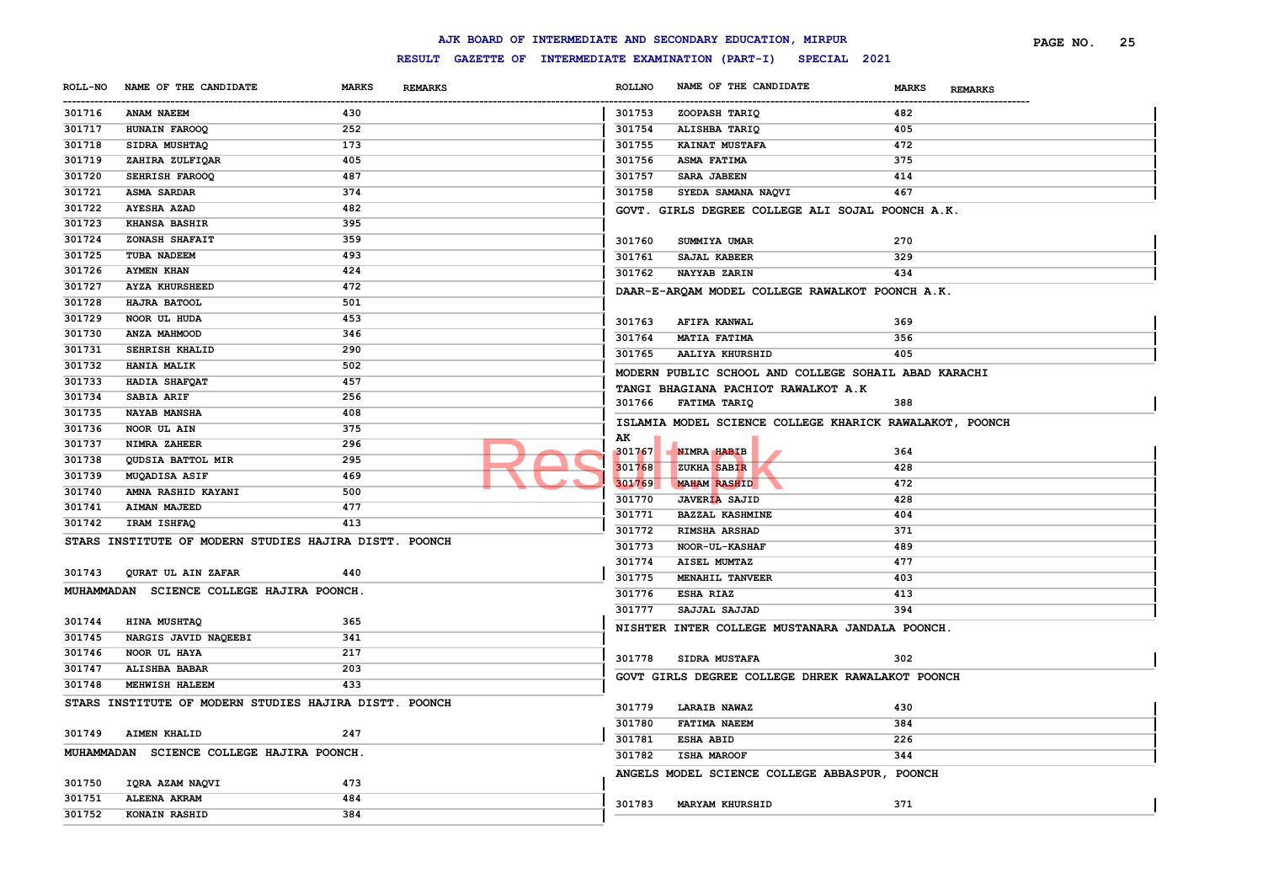|                |                                                        |                                                     |               | AJK BOARD OF INTERMEDIATE AND SECONDARY EDUCATION, MIRPUR |                                | PAGE NO. | 25 |
|----------------|--------------------------------------------------------|-----------------------------------------------------|---------------|-----------------------------------------------------------|--------------------------------|----------|----|
|                |                                                        | RESULT GAZETTE OF INTERMEDIATE EXAMINATION (PART-I) |               | SPECIAL 2021                                              |                                |          |    |
| <b>ROLL-NO</b> | NAME OF THE CANDIDATE                                  | <b>MARKS</b><br><b>REMARKS</b>                      | <b>ROLLNO</b> | NAME OF THE CANDIDATE                                     | <b>MARKS</b><br><b>REMARKS</b> |          |    |
| 301716         | ANAM NAEEM                                             | 430                                                 | 301753        | ZOOPASH TARIQ                                             | 482                            |          |    |
| 301717         | HUNAIN FAROOQ                                          | 252                                                 | 301754        | ALISHBA TARIQ                                             | 405                            |          |    |
| 301718         | SIDRA MUSHTAQ                                          | 173                                                 | 301755        | <b>KAINAT MUSTAFA</b>                                     | 472                            |          |    |
| 301719         | ZAHIRA ZULFIQAR                                        | 405                                                 | 301756        | ASMA FATIMA                                               | 375                            |          |    |
| 301720         | SEHRISH FAROOQ                                         | 487                                                 | 301757        | <b>SARA JABEEN</b>                                        | 414                            |          |    |
| 301721         | <b>ASMA SARDAR</b>                                     | 374                                                 | 301758        | SYEDA SAMANA NAQVI                                        | 467                            |          |    |
| 301722         | <b>AYESHA AZAD</b>                                     | 482                                                 |               | GOVT. GIRLS DEGREE COLLEGE ALI SOJAL POONCH A.K.          |                                |          |    |
| 301723         | <b>KHANSA BASHIR</b>                                   | 395                                                 |               |                                                           |                                |          |    |
| 301724         | ZONASH SHAFAIT                                         | 359                                                 | 301760        | SUMMIYA UMAR                                              | 270                            |          |    |
| 301725         | TUBA NADEEM                                            | 493                                                 | 301761        | SAJAL KABEER                                              | 329                            |          |    |
| 301726         | <b>AYMEN KHAN</b>                                      | 424                                                 | 301762        | NAYYAB ZARIN                                              | 434                            |          |    |
| 301727         | <b>AYZA KHURSHEED</b>                                  | 472                                                 |               | DAAR-E-ARQAM MODEL COLLEGE RAWALKOT POONCH A.K.           |                                |          |    |
| 301728         | HAJRA BATOOL                                           | 501                                                 |               |                                                           |                                |          |    |
| 301729         | NOOR UL HUDA                                           | 453                                                 | 301763        | AFIFA KANWAL                                              | 369                            |          |    |
| 301730         | ANZA MAHMOOD                                           | 346                                                 | 301764        | MATIA FATIMA                                              | 356                            |          |    |
| 301731         | SEHRISH KHALID                                         | 290                                                 | 301765        | <b>AALIYA KHURSHID</b>                                    | 405                            |          |    |
| 301732         | HANIA MALIK                                            | 502                                                 |               |                                                           |                                |          |    |
| 301733         | HADIA SHAFQAT                                          | 457                                                 |               | MODERN PUBLIC SCHOOL AND COLLEGE SOHAIL ABAD KARACHI      |                                |          |    |
| 301734         | SABIA ARIF                                             | 256                                                 | 301766        | TANGI BHAGIANA PACHIOT RAWALKOT A.K<br>FATIMA TARIQ       | 388                            |          |    |
| 301735         | <b>NAYAB MANSHA</b>                                    | 408                                                 |               |                                                           |                                |          |    |
| 301736         | NOOR UL AIN                                            | 375                                                 |               | ISLAMIA MODEL SCIENCE COLLEGE KHARICK RAWALAKOT, POONCH   |                                |          |    |
| 301737         | NIMRA ZAHEER                                           | 296                                                 | AK            |                                                           |                                |          |    |
| 301738         | QUDSIA BATTOL MIR                                      | 295                                                 | 301767        | NIMRA HABIB                                               | 364                            |          |    |
| 301739         | MUQADISA ASIF                                          | 469                                                 | 301768        | ZUKHA SABIR                                               | 428                            |          |    |
| 301740         | AMNA RASHID KAYANI                                     | 500                                                 | 301769        | <b>MAHAM RASHID</b>                                       | 472                            |          |    |
| 301741         | <b>AIMAN MAJEED</b>                                    | 477                                                 | 301770        | <b>JAVERIA SAJID</b>                                      | 428                            |          |    |
| 301742         | IRAM ISHFAQ                                            | 413                                                 | 301771        | <b>BAZZAL KASHMINE</b>                                    | 404                            |          |    |
|                | STARS INSTITUTE OF MODERN STUDIES HAJIRA DISTT. POONCH |                                                     | 301772        | RIMSHA ARSHAD                                             | 371                            |          |    |
|                |                                                        |                                                     | 301773        | NOOR-UL-KASHAF                                            | 489                            |          |    |
| 301743         | QURAT UL AIN ZAFAR                                     | 440                                                 | 301774        | AISEL MUMTAZ                                              | 477                            |          |    |
|                | MUHAMMADAN SCIENCE COLLEGE HAJIRA POONCH.              |                                                     | 301775        | MENAHIL TANVEER                                           | 403                            |          |    |
|                |                                                        |                                                     | 301776        | ESHA RIAZ                                                 | 413                            |          |    |
| 301744         | HINA MUSHTAQ                                           | 365                                                 | 301777        | SAJJAL SAJJAD                                             | 394                            |          |    |
| 301745         | NARGIS JAVID NAQEEBI                                   | 341                                                 |               | NISHTER INTER COLLEGE MUSTANARA JANDALA POONCH.           |                                |          |    |
| 301746         | NOOR UL HAYA                                           | 217                                                 |               |                                                           |                                |          |    |
| 301747         | ALISHBA BABAR                                          | 203                                                 | 301778        | SIDRA MUSTAFA                                             | 302                            |          |    |
| 301748         | MEHWISH HALEEM                                         | 433                                                 |               | GOVT GIRLS DEGREE COLLEGE DHREK RAWALAKOT POONCH          |                                |          |    |
|                | STARS INSTITUTE OF MODERN STUDIES HAJIRA DISTT. POONCH |                                                     |               |                                                           |                                |          |    |
|                |                                                        |                                                     | 301779        | <b>LARAIB NAWAZ</b>                                       | 430                            |          |    |
| 301749         | <b>AIMEN KHALID</b>                                    | 247                                                 | 301780        | <b>FATIMA NAEEM</b>                                       | 384                            |          |    |
|                | MUHAMMADAN SCIENCE COLLEGE HAJIRA POONCH.              |                                                     | 301781        | <b>ESHA ABID</b>                                          | 226                            |          |    |
|                |                                                        |                                                     | 301782        | <b>ISHA MAROOF</b>                                        | 344                            |          |    |
| 301750         | IQRA AZAM NAQVI                                        | 473                                                 |               | ANGELS MODEL SCIENCE COLLEGE ABBASPUR, POONCH             |                                |          |    |
| 301751         | <b>ALEENA AKRAM</b>                                    | 484                                                 |               |                                                           |                                |          |    |
| 301752         | KONAIN RASHID                                          | 384                                                 | 301783        | <b>MARYAM KHURSHID</b>                                    | 371                            |          |    |
|                |                                                        |                                                     |               |                                                           |                                |          |    |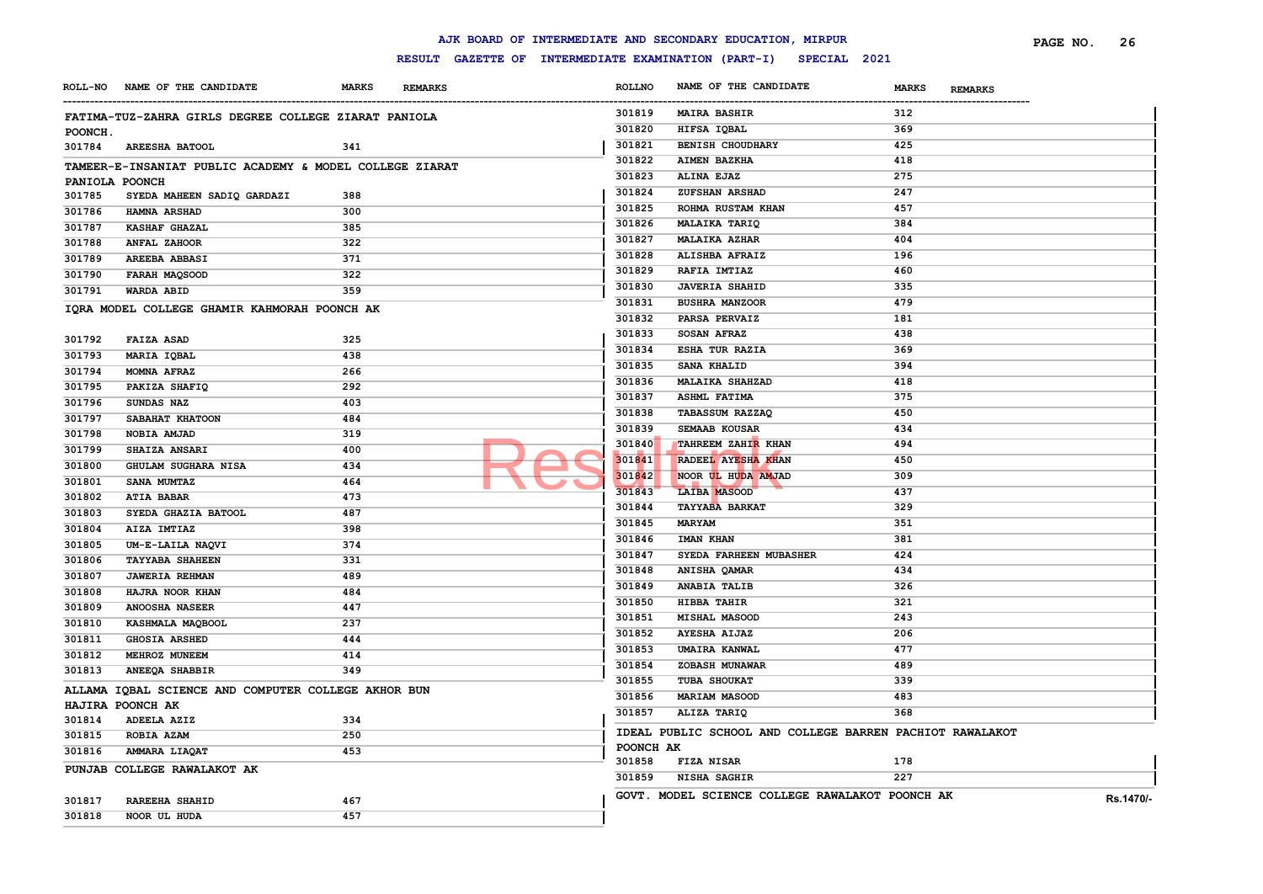#### **ROLL-NO NAME OF THE CANDIDATE MARKS REMARKS** ------------------------------------------------------------------------------------------------------------------------------------------------------------------------------------------------------------------------ **ROLLNO NAME OF THE CANDIDATE MARKS REMARKS PAGE NO. 26 FATIMA-TUZ-ZAHRA GIRLS DEGREE COLLEGE ZIARAT PANIOLA POONCH. AREESHA BATOOL 341 TAMEER-E-INSANIAT PUBLIC ACADEMY & MODEL COLLEGE ZIARAT PANIOLA POONCH SYEDA MAHEEN SADIQ GARDAZI 388 HAMNA ARSHAD 300 KASHAF GHAZAL 385 ANFAL ZAHOOR 322 AREEBA ABBASI 371 FARAH MAQSOOD 322 WARDA ABID 359 IQRA MODEL COLLEGE GHAMIR KAHMORAH POONCH AK FAIZA ASAD 325 MARIA IQBAL 438 MOMNA AFRAZ 266 PAKIZA SHAFIQ 292 SUNDAS NAZ 403 SABAHAT KHATOON 484 NOBIA AMJAD 319 SHAIZA ANSARI 400 GHULAM SUGHARA NISA 434 SANA MUMTAZ 464 ATIA BABAR 473 SYEDA GHAZIA BATOOL 487 AIZA IMTIAZ 398 UM-E-LAILA NAQVI 374 TAYYABA SHAHEEN 331 JAWERIA REHMAN 489 HAJRA NOOR KHAN 484 ANOOSHA NASEER 447 KASHMALA MAQBOOL 237 GHOSIA ARSHED 444 MEHROZ MUNEEM 414 ANEEQA SHABBIR 349 ALLAMA IQBAL SCIENCE AND COMPUTER COLLEGE AKHOR BUN HAJIRA POONCH AK ADEELA AZIZ 334 ROBIA AZAM 250 AMMARA LIAQAT 453 PUNJAB COLLEGE RAWALAKOT AK RAREEHA SHAHID 467 NOOR UL HUDA 457 MAIRA BASHIR 312 HIFSA IQBAL 369 BENISH CHOUDHARY 425 AIMEN BAZKHA 418 ALINA EJAZ 275 ZUFSHAN ARSHAD 247 ROHMA RUSTAM KHAN 457 MALAIKA TARIQ 384 MALAIKA AZHAR 404 ALISHBA AFRAIZ 196 RAFIA IMTIAZ 460 JAVERIA SHAHID 335 BUSHRA MANZOOR 479 PARSA PERVAIZ 181 SOSAN AFRAZ 438 ESHA TUR RAZIA 369 SANA KHALID 394 MALAIKA SHAHZAD 418 ASHML FATIMA 375 TABASSUM RAZZAQ 450 SEMAAB KOUSAR 434 TAHREEM ZAHIR KHAN 494 RADEEL AYESHA KHAN 450 NOOR UL HUDA AMJAD 309 LAIBA MASOOD 437 TAYYABA BARKAT 329 MARYAM 351 IMAN KHAN 381 SYEDA FARHEEN MUBASHER 424 ANISHA QAMAR 434 ANABIA TALIB 326 HIBBA TAHIR 321 MISHAL MASOOD 243 AYESHA AIJAZ 206 UMAIRA KANWAL 477 ZOBASH MUNAWAR 489 TUBA SHOUKAT 339 MARIAM MASOOD 483 ALIZA TARIQ 368 IDEAL PUBLIC SCHOOL AND COLLEGE BARREN PACHIOT RAWALAKOT POONCH AK FIZA NISAR 178 NISHA SAGHIR 227 GOVT. MODEL SCIENCE COLLEGE RAWALAKOT POONCH AK Rs.1470/-** 301841 RADEEL AYESHA KHA

#### **AJK BOARD OF INTERMEDIATE AND SECONDARY EDUCATION, MIRPUR**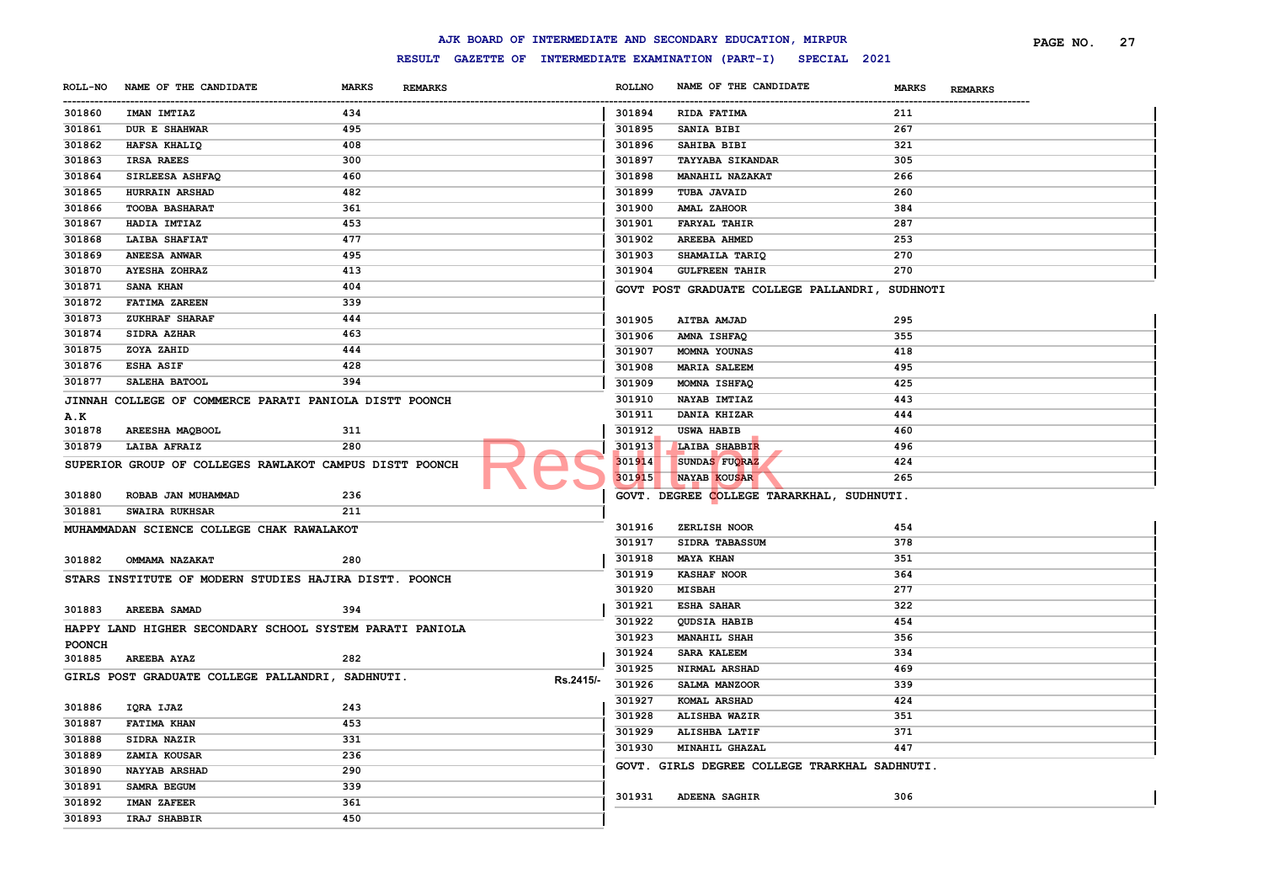|                |                                                          |                                |           |               | AJK BOARD OF INTERMEDIATE AND SECONDARY EDUCATION, MIRPUR        |                                | PAGE NO.<br>27 |
|----------------|----------------------------------------------------------|--------------------------------|-----------|---------------|------------------------------------------------------------------|--------------------------------|----------------|
|                |                                                          |                                |           |               | RESULT GAZETTE OF INTERMEDIATE EXAMINATION (PART-I) SPECIAL 2021 |                                |                |
| <b>ROLL-NO</b> | NAME OF THE CANDIDATE                                    | <b>MARKS</b><br><b>REMARKS</b> |           | <b>ROLLNO</b> | NAME OF THE CANDIDATE                                            | <b>MARKS</b><br><b>REMARKS</b> |                |
| 301860         | <b>IMAN IMTIAZ</b>                                       | 434                            |           | 301894        | RIDA FATIMA                                                      | 211                            |                |
| 301861         | <b>DUR E SHAHWAR</b>                                     | 495                            |           | 301895        | <b>SANIA BIBI</b>                                                | 267                            |                |
| 301862         | HAFSA KHALIQ                                             | 408                            |           | 301896        | SAHIBA BIBI                                                      | 321                            |                |
| 301863         | <b>IRSA RAEES</b>                                        | 300                            |           | 301897        | <b>TAYYABA SIKANDAR</b>                                          | 305                            |                |
| 301864         | SIRLEESA ASHFAQ                                          | 460                            |           | 301898        | <b>MANAHIL NAZAKAT</b>                                           | 266                            |                |
| 301865         | HURRAIN ARSHAD                                           | 482                            |           | 301899        | TUBA JAVAID                                                      | 260                            |                |
| 301866         | <b>TOOBA BASHARAT</b>                                    | 361                            |           | 301900        | <b>AMAL ZAHOOR</b>                                               | 384                            |                |
| 301867         | HADIA IMTIAZ                                             | 453                            |           | 301901        | <b>FARYAL TAHIR</b>                                              | 287                            |                |
| 301868         | <b>LAIBA SHAFIAT</b>                                     | 477                            |           | 301902        | <b>AREEBA AHMED</b>                                              | 253                            |                |
| 301869         | <b>ANEESA ANWAR</b>                                      | 495                            |           | 301903        | SHAMAILA TARIQ                                                   | 270                            |                |
| 301870         | <b>AYESHA ZOHRAZ</b>                                     | 413                            |           | 301904        | <b>GULFREEN TAHIR</b>                                            | 270                            |                |
| 301871         | <b>SANA KHAN</b>                                         | 404                            |           |               | GOVT POST GRADUATE COLLEGE PALLANDRI, SUDHNOTI                   |                                |                |
| 301872         | <b>FATIMA ZAREEN</b>                                     | 339                            |           |               |                                                                  |                                |                |
| 301873         | ZUKHRAF SHARAF                                           | 444                            |           | 301905        | AITBA AMJAD                                                      | 295                            |                |
| 301874         | SIDRA AZHAR                                              | 463                            |           | 301906        | AMNA ISHFAQ                                                      | 355                            |                |
| 301875         | ZOYA ZAHID                                               | 444                            |           |               | MOMNA YOUNAS                                                     | 418                            |                |
| 301876         | <b>ESHA ASIF</b>                                         | 428                            |           | 301907        |                                                                  |                                |                |
| 301877         | SALEHA BATOOL                                            | 394                            |           | 301908        | <b>MARIA SALEEM</b>                                              | 495                            |                |
|                |                                                          |                                |           | 301909        | MOMNA ISHFAQ                                                     | 425                            |                |
|                | JINNAH COLLEGE OF COMMERCE PARATI PANIOLA DISTT POONCH   |                                |           | 301910        | NAYAB IMTIAZ                                                     | 443                            |                |
| <b>A.K</b>     |                                                          |                                |           | 301911        | DANIA KHIZAR                                                     | 444                            |                |
| 301878         | AREESHA MAQBOOL                                          | 311                            |           | 301912        | <b>USWA HABIB</b>                                                | 460                            |                |
| 301879         | <b>LAIBA AFRAIZ</b>                                      | 280                            |           | 301913        | LAIBA SHABBIR                                                    | 496                            |                |
|                | SUPERIOR GROUP OF COLLEGES RAWLAKOT CAMPUS DISTT POONCH  |                                |           | 301914        | SUNDAS FUORAZ                                                    | 424                            |                |
|                |                                                          |                                |           | 301915        | <b>NAYAB KOUSAR</b>                                              | 265                            |                |
| 301880         | ROBAB JAN MUHAMMAD                                       | 236                            |           |               | GOVT. DEGREE COLLEGE TARARKHAL, SUDHNUTI.                        |                                |                |
| 301881         | SWAIRA RUKHSAR                                           | 211                            |           |               |                                                                  |                                |                |
|                | MUHAMMADAN SCIENCE COLLEGE CHAK RAWALAKOT                |                                |           | 301916        | <b>ZERLISH NOOR</b>                                              | 454                            |                |
|                |                                                          |                                |           | 301917        | <b>SIDRA TABASSUM</b>                                            | 378                            |                |
| 301882         | <b>OMMAMA NAZAKAT</b>                                    | 280                            |           | 301918        | <b>MAYA KHAN</b>                                                 | 351                            |                |
|                | STARS INSTITUTE OF MODERN STUDIES HAJIRA DISTT. POONCH   |                                |           | 301919        | <b>KASHAF NOOR</b>                                               | 364                            |                |
|                |                                                          |                                |           | 301920        | <b>MISBAH</b>                                                    | 277                            |                |
| 301883         | <b>AREEBA SAMAD</b>                                      | 394                            |           | 301921        | <b>ESHA SAHAR</b>                                                | 322                            |                |
|                | HAPPY LAND HIGHER SECONDARY SCHOOL SYSTEM PARATI PANIOLA |                                |           | 301922        | QUDSIA HABIB                                                     | 454                            |                |
| <b>POONCH</b>  |                                                          |                                |           | 301923        | <b>MANAHIL SHAH</b>                                              | 356                            |                |
| 301885         | <b>AREEBA AYAZ</b>                                       | 282                            |           | 301924        | <b>SARA KALEEM</b>                                               | 334                            |                |
|                | GIRLS POST GRADUATE COLLEGE PALLANDRI, SADHNUTI.         |                                |           | 301925        | NIRMAL ARSHAD                                                    | 469                            |                |
|                |                                                          |                                | Rs.2415/- | 301926        | SALMA MANZOOR                                                    | 339                            |                |
|                | 301886 IQRA IJAZ                                         | 243                            |           | 301927        | KOMAL ARSHAD                                                     | 424                            |                |
| 301887         | <b>FATIMA KHAN</b>                                       | 453                            |           | 301928        | <b>ALISHBA WAZIR</b>                                             | 351                            |                |
| 301888         | SIDRA NAZIR                                              | 331                            |           | 301929        | ALISHBA LATIF                                                    | 371                            |                |
| 301889         | ZAMIA KOUSAR                                             | 236                            |           | 301930        | MINAHIL GHAZAL                                                   | 447                            |                |
|                |                                                          |                                |           |               | GOVT. GIRLS DEGREE COLLEGE TRARKHAL SADHNUTI.                    |                                |                |
| 301890         | <b>NAYYAB ARSHAD</b>                                     | 290                            |           |               |                                                                  |                                |                |
| 301891         | SAMRA BEGUM                                              | 339                            |           | 301931        | ADEENA SAGHIR                                                    | 306                            |                |
| 301892         | <b>IMAN ZAFEER</b>                                       | 361                            |           |               |                                                                  |                                |                |
| 301893         | IRAJ SHABBIR                                             | 450                            |           |               |                                                                  |                                |                |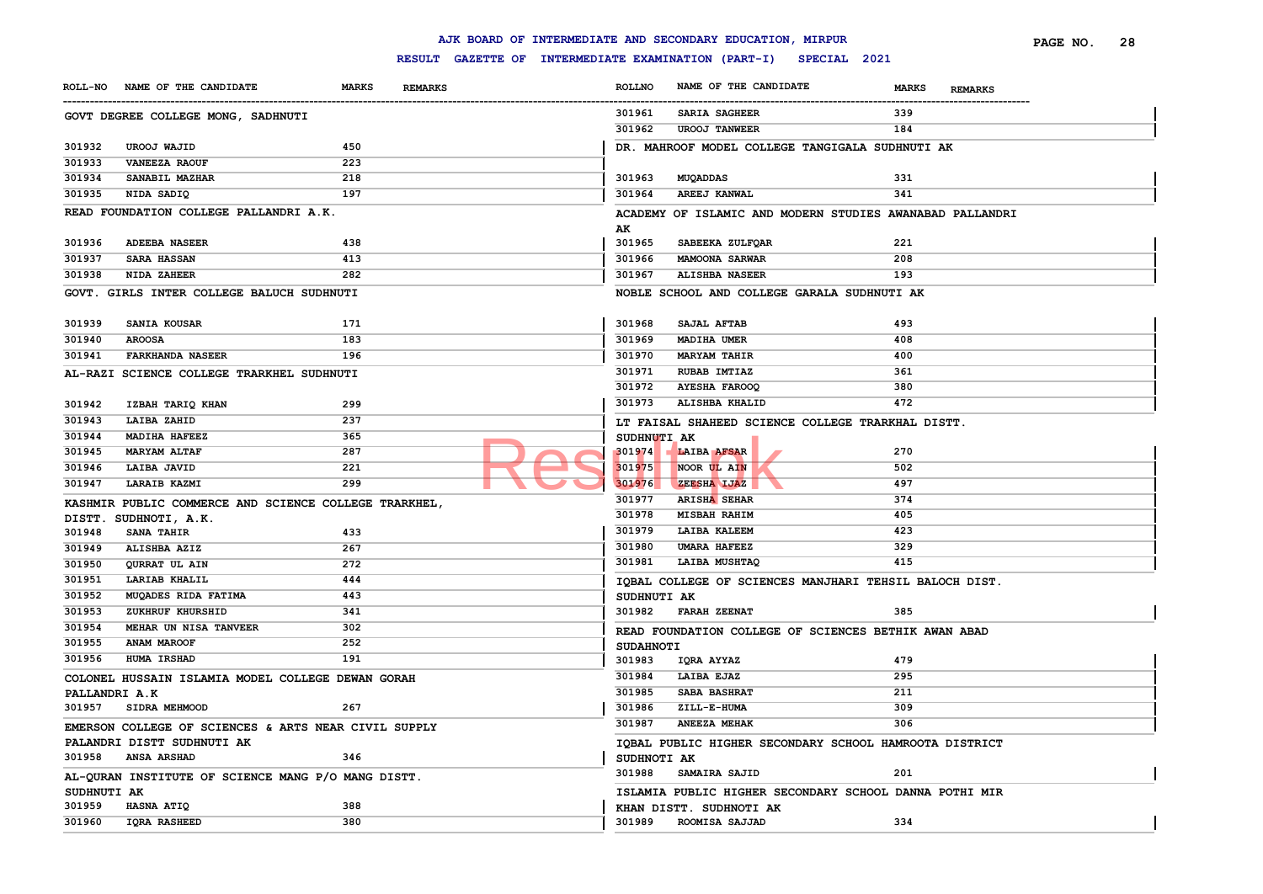|               |                                                       |                                |               | AJK BOARD OF INTERMEDIATE AND SECONDARY EDUCATION, MIRPUR        |                                                          | PAGE NO.       | 28 |
|---------------|-------------------------------------------------------|--------------------------------|---------------|------------------------------------------------------------------|----------------------------------------------------------|----------------|----|
|               |                                                       |                                |               | RESULT GAZETTE OF INTERMEDIATE EXAMINATION (PART-I) SPECIAL 2021 |                                                          |                |    |
|               | ROLL-NO NAME OF THE CANDIDATE                         | <b>MARKS</b><br><b>REMARKS</b> | <b>ROLLNO</b> | NAME OF THE CANDIDATE                                            | <b>MARKS</b>                                             | <b>REMARKS</b> |    |
|               | GOVT DEGREE COLLEGE MONG, SADHNUTI                    |                                | 301961        | <b>SARIA SAGHEER</b>                                             | 339                                                      |                |    |
|               |                                                       |                                |               | 301962<br><b>UROOJ TANWEER</b>                                   | 184                                                      |                |    |
| 301932        | <b>UROOJ WAJID</b>                                    | 450                            |               |                                                                  | DR. MAHROOF MODEL COLLEGE TANGIGALA SUDHNUTI AK          |                |    |
| 301933        | <b>VANEEZA RAOUF</b>                                  | 223                            |               |                                                                  |                                                          |                |    |
| 301934        | SANABIL MAZHAR                                        | 218                            | 301963        | MUQADDAS                                                         | 331                                                      |                |    |
| 301935        | NIDA SADIQ                                            | 197                            | 301964        | <b>AREEJ KANWAL</b>                                              | 341                                                      |                |    |
|               | READ FOUNDATION COLLEGE PALLANDRI A.K.                |                                |               |                                                                  | ACADEMY OF ISLAMIC AND MODERN STUDIES AWANABAD PALLANDRI |                |    |
|               |                                                       |                                | AK            |                                                                  |                                                          |                |    |
| 301936        | <b>ADEEBA NASEER</b>                                  | 438                            | 301965        | SABEEKA ZULFQAR                                                  | 221                                                      |                |    |
| 301937        | <b>SARA HASSAN</b>                                    | 413                            | 301966        | <b>MAMOONA SARWAR</b>                                            | 208                                                      |                |    |
| 301938        | NIDA ZAHEER                                           | 282                            | 301967        | <b>ALISHBA NASEER</b>                                            | 193                                                      |                |    |
|               | GOVT. GIRLS INTER COLLEGE BALUCH SUDHNUTI             |                                |               |                                                                  | NOBLE SCHOOL AND COLLEGE GARALA SUDHNUTI AK              |                |    |
|               |                                                       |                                |               |                                                                  |                                                          |                |    |
| 301939        | SANIA KOUSAR                                          | 171                            | 301968        | SAJAL AFTAB                                                      | 493                                                      |                |    |
| 301940        | <b>AROOSA</b>                                         | 183                            | 301969        | MADIHA UMER                                                      | 408                                                      |                |    |
| 301941        | <b>FARKHANDA NASEER</b>                               | 196                            | 301970        | <b>MARYAM TAHIR</b>                                              | 400                                                      |                |    |
|               | AL-RAZI SCIENCE COLLEGE TRARKHEL SUDHNUTI             |                                | 301971        | <b>RUBAB IMTIAZ</b>                                              | 361                                                      |                |    |
|               |                                                       |                                | 301972        | <b>AYESHA FAROOQ</b>                                             | 380                                                      |                |    |
| 301942        | IZBAH TARIQ KHAN                                      | 299                            | 301973        | ALISHBA KHALID                                                   | 472                                                      |                |    |
| 301943        | LAIBA ZAHID                                           | 237                            |               |                                                                  | LT FAISAL SHAHEED SCIENCE COLLEGE TRARKHAL DISTT.        |                |    |
| 301944        | <b>MADIHA HAFEEZ</b>                                  | 365                            |               | <b>SUDHNUTI AK</b>                                               |                                                          |                |    |
| 301945        | <b>MARYAM ALTAF</b>                                   | 287                            | 301974        | <b>LAIBA AFSAR</b>                                               | 270                                                      |                |    |
| 301946        | LAIBA JAVID                                           | 221                            |               | 301975<br>NOOR UL AIN                                            | 502                                                      |                |    |
| 301947        | LARAIB KAZMI                                          | 299                            |               | 301976<br>ZEESHA IJAZ                                            | 497                                                      |                |    |
|               | KASHMIR PUBLIC COMMERCE AND SCIENCE COLLEGE TRARKHEL, |                                | 301977        | <b>ARISHA SEHAR</b>                                              | 374                                                      |                |    |
|               | DISTT. SUDHNOTI, A.K.                                 |                                | 301978        | MISBAH RAHIM                                                     | 405                                                      |                |    |
| 301948        | <b>SANA TAHIR</b>                                     | 433                            | 301979        | LAIBA KALEEM                                                     | 423                                                      |                |    |
| 301949        | ALISHBA AZIZ                                          | 267                            | 301980        | <b>UMARA HAFEEZ</b>                                              | 329                                                      |                |    |
| 301950        | QURRAT UL AIN                                         | 272                            | 301981        | LAIBA MUSHTAQ                                                    | 415                                                      |                |    |
| 301951        | LARIAB KHALIL                                         | 444                            |               |                                                                  | IQBAL COLLEGE OF SCIENCES MANJHARI TEHSIL BALOCH DIST.   |                |    |
| 301952        | MUQADES RIDA FATIMA                                   | 443                            |               | SUDHNUTI AK                                                      |                                                          |                |    |
| 301953        | ZUKHRUF KHURSHID                                      | 341                            |               | 301982 FARAH ZEENAT                                              | 385                                                      |                |    |
| 301954        | MEHAR UN NISA TANVEER                                 | 302                            |               |                                                                  | READ FOUNDATION COLLEGE OF SCIENCES BETHIK AWAN ABAD     |                |    |
| 301955        | ANAM MAROOF                                           | 252                            |               | <b>SUDAHNOTI</b>                                                 |                                                          |                |    |
| 301956        | <b>HUMA IRSHAD</b>                                    | 191                            | 301983        | IQRA AYYAZ                                                       | 479                                                      |                |    |
|               | COLONEL HUSSAIN ISLAMIA MODEL COLLEGE DEWAN GORAH     |                                | 301984        | LAIBA EJAZ                                                       | 295                                                      |                |    |
| PALLANDRI A.K |                                                       |                                | 301985        | SABA BASHRAT                                                     | 211                                                      |                |    |
|               | 301957 SIDRA MEHMOOD                                  | 267                            |               | 301986<br>ZILL-E-HUMA                                            | 309                                                      |                |    |
|               | EMERSON COLLEGE OF SCIENCES & ARTS NEAR CIVIL SUPPLY  |                                |               | 301987<br><b>ANEEZA MEHAK</b>                                    | 306                                                      |                |    |
|               | PALANDRI DISTT SUDHNUTI AK                            |                                |               |                                                                  | IQBAL PUBLIC HIGHER SECONDARY SCHOOL HAMROOTA DISTRICT   |                |    |
|               | 301958 ANSA ARSHAD                                    | 346                            |               | SUDHNOTI AK                                                      |                                                          |                |    |
|               | AL-QURAN INSTITUTE OF SCIENCE MANG P/O MANG DISTT.    |                                |               | 301988 SAMAIRA SAJID                                             | 201                                                      |                |    |
| SUDHNUTI AK   |                                                       |                                |               |                                                                  | ISLAMIA PUBLIC HIGHER SECONDARY SCHOOL DANNA POTHI MIR   |                |    |
| 301959        | <b>HASNA ATIQ</b>                                     | 388                            |               | KHAN DISTT. SUDHNOTI AK                                          |                                                          |                |    |
| 301960        | <b>IQRA RASHEED</b>                                   | 380                            |               | 301989 ROOMISA SAJJAD                                            | 334                                                      |                |    |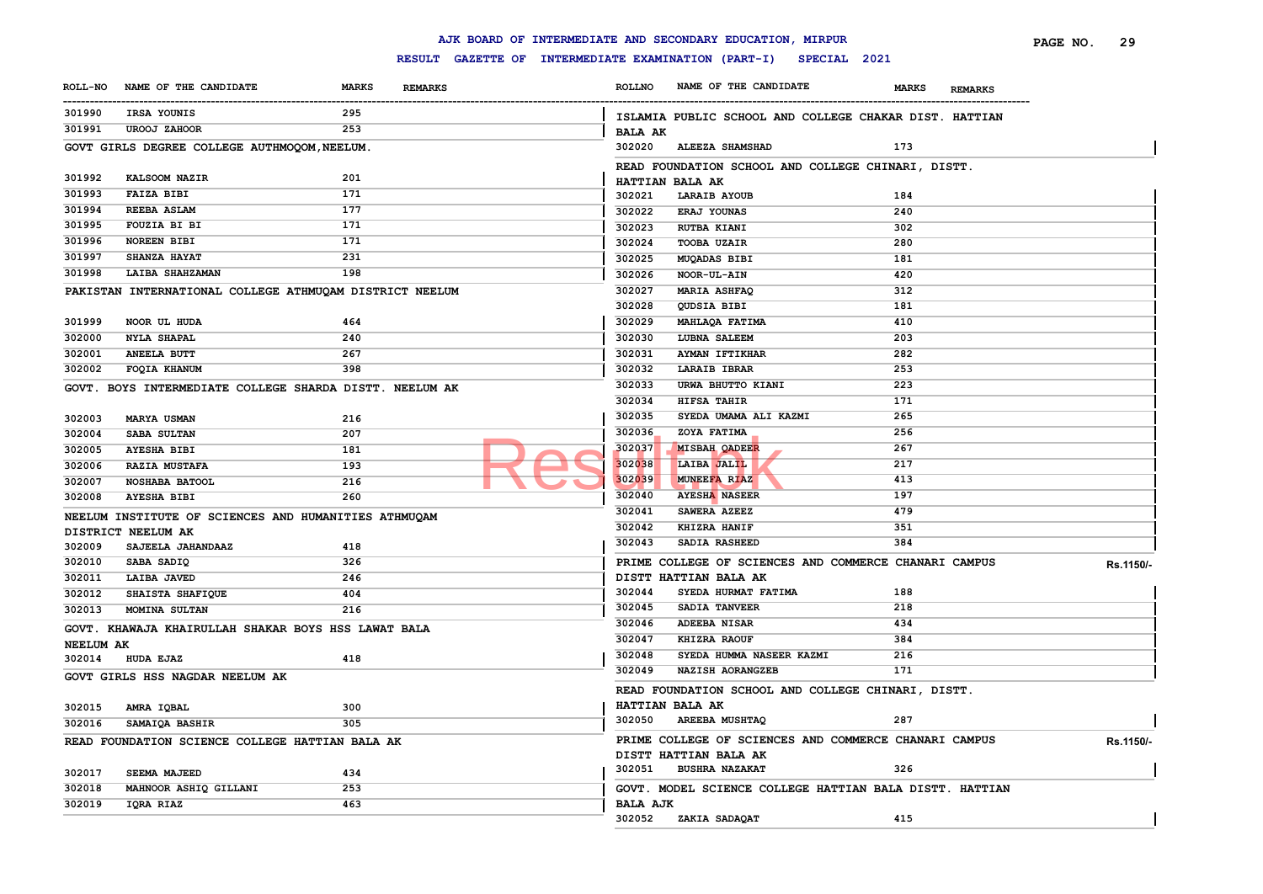|                  |                                                         |              |                                                     |                 | AJK BOARD OF INTERMEDIATE AND SECONDARY EDUCATION, MIRPUR |                         | PAGE NO.<br>29 |
|------------------|---------------------------------------------------------|--------------|-----------------------------------------------------|-----------------|-----------------------------------------------------------|-------------------------|----------------|
|                  |                                                         |              | RESULT GAZETTE OF INTERMEDIATE EXAMINATION (PART-I) |                 | SPECIAL 2021                                              |                         |                |
|                  | ROLL-NO NAME OF THE CANDIDATE                           | <b>MARKS</b> | <b>REMARKS</b>                                      | <b>ROLLNO</b>   | NAME OF THE CANDIDATE                                     | MARKS<br><b>REMARKS</b> |                |
| 301990           | IRSA YOUNIS                                             | 295          |                                                     |                 | ISLAMIA PUBLIC SCHOOL AND COLLEGE CHAKAR DIST. HATTIAN    |                         |                |
| 301991           | <b>UROOJ ZAHOOR</b>                                     | 253          |                                                     | <b>BALA AK</b>  |                                                           |                         |                |
|                  | GOVT GIRLS DEGREE COLLEGE AUTHMOQOM, NEELUM.            |              |                                                     | 302020          | <b>ALEEZA SHAMSHAD</b>                                    | 173                     |                |
|                  |                                                         |              |                                                     |                 | READ FOUNDATION SCHOOL AND COLLEGE CHINARI, DISTT.        |                         |                |
| 301992           | KALSOOM NAZIR                                           | 201          |                                                     |                 | HATTIAN BALA AK                                           |                         |                |
| 301993           | <b>FAIZA BIBI</b>                                       | 171          |                                                     | 302021          | <b>LARAIB AYOUB</b>                                       | 184                     |                |
| 301994           | REEBA ASLAM                                             | 177          |                                                     | 302022          | ERAJ YOUNAS                                               | 240                     |                |
| 301995           | FOUZIA BI BI                                            | 171          |                                                     | 302023          | <b>RUTBA KIANI</b>                                        | 302                     |                |
| 301996           | <b>NOREEN BIBI</b>                                      | 171          |                                                     | 302024          | <b>TOOBA UZAIR</b>                                        | 280                     |                |
| 301997           | SHANZA HAYAT                                            | 231          |                                                     | 302025          | MUQADAS BIBI                                              | 181                     |                |
| 301998           | <b>LAIBA SHAHZAMAN</b>                                  | 198          |                                                     | 302026          | NOOR-UL-AIN                                               | 420                     |                |
|                  | PAKISTAN INTERNATIONAL COLLEGE ATHMUQAM DISTRICT NEELUM |              |                                                     | 302027          | MARIA ASHFAQ                                              | 312                     |                |
|                  |                                                         |              |                                                     | 302028          | QUDSIA BIBI                                               | 181                     |                |
| 301999           | NOOR UL HUDA                                            | 464          |                                                     | 302029          | MAHLAQA FATIMA                                            | 410                     |                |
| 302000           | <b>NYLA SHAPAL</b>                                      | 240          |                                                     | 302030          | <b>LUBNA SALEEM</b>                                       | 203                     |                |
| 302001           | <b>ANEELA BUTT</b>                                      | 267          |                                                     | 302031          | <b>AYMAN IFTIKHAR</b>                                     | 282                     |                |
| 302002           | FOQIA KHANUM                                            | 398          |                                                     | 302032          | <b>LARAIB IBRAR</b>                                       | 253                     |                |
|                  | GOVT. BOYS INTERMEDIATE COLLEGE SHARDA DISTT. NEELUM AK |              |                                                     | 302033          | URWA BHUTTO KIANI                                         | 223                     |                |
|                  |                                                         |              |                                                     | 302034          | <b>HIFSA TAHIR</b>                                        | 171                     |                |
| 302003           | <b>MARYA USMAN</b>                                      | 216          |                                                     | 302035          | SYEDA UMAMA ALI KAZMI                                     | 265                     |                |
| 302004           | SABA SULTAN                                             | 207          |                                                     | 302036          | ZOYA FATIMA                                               | 256                     |                |
| 302005           | <b>AYESHA BIBI</b>                                      | 181          |                                                     | 302037          | MISBAH OADEER                                             | 267                     |                |
| 302006           | <b>RAZIA MUSTAFA</b>                                    | 193          |                                                     | 302038          | LAIBA JALIL                                               | 217                     |                |
| 302007           | NOSHABA BATOOL                                          | 216          |                                                     | 302039          | MUNEEFA RIAZ                                              | 413                     |                |
| 302008           | <b>AYESHA BIBI</b>                                      | 260          |                                                     | 302040          | <b>AYESHA NASEER</b>                                      | 197                     |                |
|                  | NEELUM INSTITUTE OF SCIENCES AND HUMANITIES ATHMUQAM    |              |                                                     | 302041          | SAWERA AZEEZ                                              | 479                     |                |
|                  | DISTRICT NEELUM AK                                      |              |                                                     | 302042          | KHIZRA HANIF                                              | 351                     |                |
| 302009           | SAJEELA JAHANDAAZ                                       | 418          |                                                     | 302043          | SADIA RASHEED                                             | 384                     |                |
| 302010           | SABA SADIQ                                              | 326          |                                                     |                 | PRIME COLLEGE OF SCIENCES AND COMMERCE CHANARI CAMPUS     |                         | Rs.1150/-      |
| 302011           | LAIBA JAVED                                             | 246          |                                                     |                 | DISTT HATTIAN BALA AK                                     |                         |                |
| 302012           | SHAISTA SHAFIQUE                                        | 404          |                                                     | 302044          | SYEDA HURMAT FATIMA                                       | 188                     |                |
| 302013           | <b>MOMINA SULTAN</b>                                    | 216          |                                                     | 302045          | SADIA TANVEER                                             | 218                     |                |
|                  | GOVT. KHAWAJA KHAIRULLAH SHAKAR BOYS HSS LAWAT BALA     |              |                                                     | 302046          | ADEEBA NISAR                                              | 434                     |                |
| <b>NEELUM AK</b> |                                                         |              |                                                     | 302047          | KHIZRA RAOUF                                              | 384                     |                |
| 302014           | <b>HUDA EJAZ</b>                                        | 418          |                                                     | 302048          | SYEDA HUMMA NASEER KAZMI                                  | 216                     |                |
|                  | GOVT GIRLS HSS NAGDAR NEELUM AK                         |              |                                                     | 302049          | NAZISH AORANGZEB                                          | 171                     |                |
|                  |                                                         |              |                                                     |                 | READ FOUNDATION SCHOOL AND COLLEGE CHINARI, DISTT.        |                         |                |
| 302015           | AMRA IQBAL                                              | 300          |                                                     |                 | HATTIAN BALA AK                                           |                         |                |
| 302016           | SAMAIQA BASHIR                                          | 305          |                                                     | 302050          | <b>AREEBA MUSHTAQ</b>                                     | 287                     |                |
|                  | READ FOUNDATION SCIENCE COLLEGE HATTIAN BALA AK         |              |                                                     |                 | PRIME COLLEGE OF SCIENCES AND COMMERCE CHANARI CAMPUS     |                         | Rs.1150/-      |
|                  |                                                         |              |                                                     |                 | DISTT HATTIAN BALA AK                                     |                         |                |
| 302017           | SEEMA MAJEED                                            | 434          |                                                     | 302051          | <b>BUSHRA NAZAKAT</b>                                     | 326                     |                |
| 302018           | MAHNOOR ASHIQ GILLANI                                   | 253          |                                                     |                 | GOVT. MODEL SCIENCE COLLEGE HATTIAN BALA DISTT. HATTIAN   |                         |                |
| 302019           | IQRA RIAZ                                               | 463          |                                                     | <b>BALA AJK</b> |                                                           |                         |                |
|                  |                                                         |              |                                                     |                 | 302052 ZAKIA SADAOAT                                      | 415                     |                |

# **AJK BOARD OF INTERMEDIATE AND SECONDARY EDUCATION, MIRPUR RESULT GAZETTE OF INTERMEDIATE EXAMINATION (PART-I) SPECIAL 2021**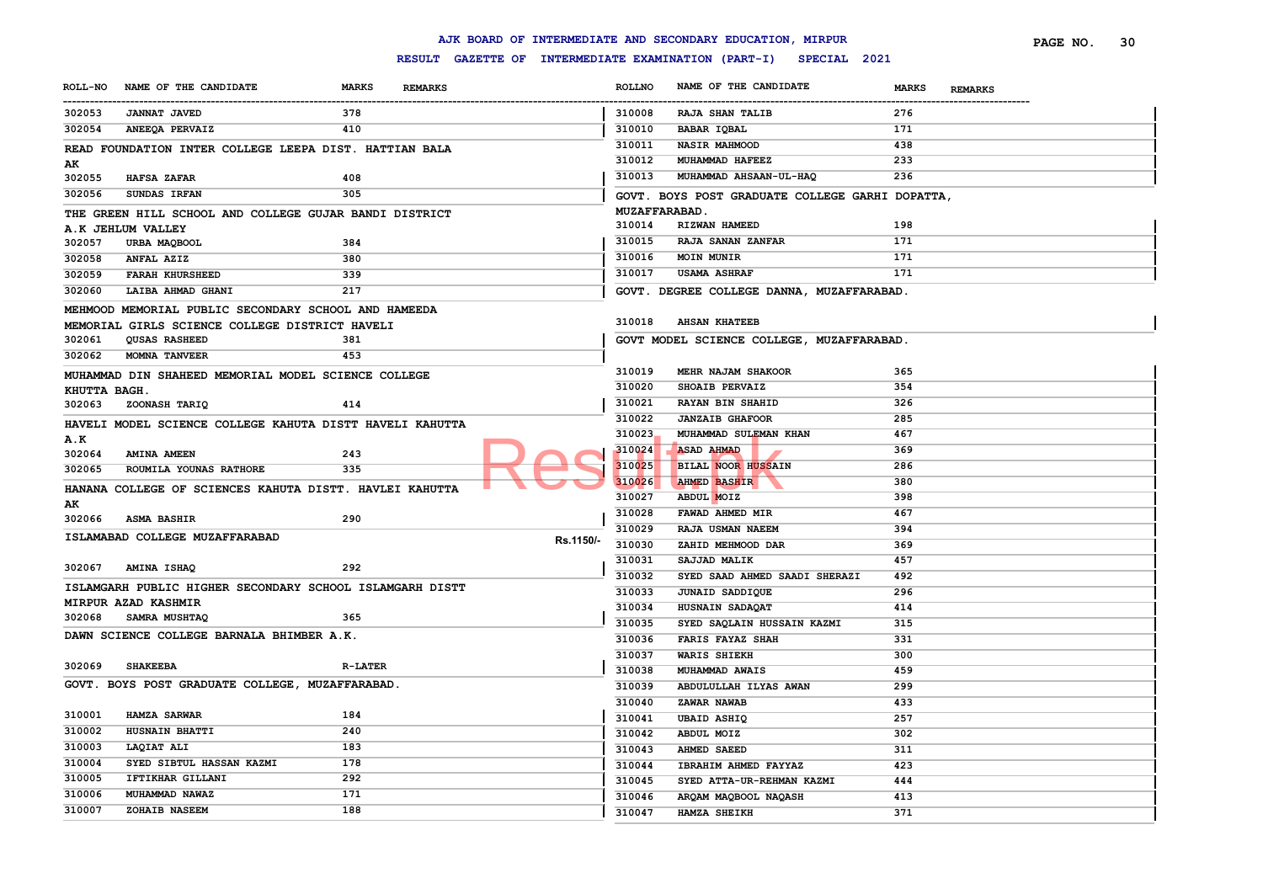|                |                                                                        |                |                |           |               | AJK BOARD OF INTERMEDIATE AND SECONDARY EDUCATION, MIRPUR           |                                | PAGE NO. | 30 |
|----------------|------------------------------------------------------------------------|----------------|----------------|-----------|---------------|---------------------------------------------------------------------|--------------------------------|----------|----|
|                |                                                                        |                |                |           |               | RESULT GAZETTE OF INTERMEDIATE EXAMINATION (PART-I)<br>SPECIAL 2021 |                                |          |    |
| <b>ROLL-NO</b> | NAME OF THE CANDIDATE                                                  | <b>MARKS</b>   | <b>REMARKS</b> |           | <b>ROLLNO</b> | NAME OF THE CANDIDATE                                               | <b>MARKS</b><br><b>REMARKS</b> |          |    |
| 302053         | <b>JANNAT JAVED</b>                                                    | 378            |                |           | 310008        | <b>RAJA SHAN TALIB</b>                                              | 276                            |          |    |
| 302054         | ANEEQA PERVAIZ                                                         | 410            |                |           | 310010        | <b>BABAR IQBAL</b>                                                  | 171                            |          |    |
|                | READ FOUNDATION INTER COLLEGE LEEPA DIST. HATTIAN BALA                 |                |                |           | 310011        | <b>NASIR MAHMOOD</b>                                                | 438                            |          |    |
| AК             |                                                                        |                |                |           | 310012        | MUHAMMAD HAFEEZ                                                     | 233                            |          |    |
| 302055         | <b>HAFSA ZAFAR</b>                                                     | 408            |                |           | 310013        | MUHAMMAD AHSAAN-UL-HAQ                                              | 236                            |          |    |
| 302056         | SUNDAS IRFAN                                                           | 305            |                |           |               | GOVT. BOYS POST GRADUATE COLLEGE GARHI DOPATTA,                     |                                |          |    |
|                | THE GREEN HILL SCHOOL AND COLLEGE GUJAR BANDI DISTRICT                 |                |                |           |               | <b>MUZAFFARABAD.</b>                                                |                                |          |    |
|                | A.K JEHLUM VALLEY                                                      |                |                |           | 310014        | RIZWAN HAMEED                                                       | 198                            |          |    |
| 302057         | URBA MAQBOOL                                                           | 384            |                |           | 310015        | RAJA SANAN ZANFAR                                                   | 171                            |          |    |
| 302058         | ANFAL AZIZ                                                             | 380            |                |           | 310016        | <b>MOIN MUNIR</b>                                                   | 171                            |          |    |
| 302059         | <b>FARAH KHURSHEED</b>                                                 | 339            |                |           | 310017        | <b>USAMA ASHRAF</b>                                                 | 171                            |          |    |
| 302060         | LAIBA AHMAD GHANI                                                      | 217            |                |           |               | GOVT. DEGREE COLLEGE DANNA, MUZAFFARABAD.                           |                                |          |    |
|                |                                                                        |                |                |           |               |                                                                     |                                |          |    |
|                | MEHMOOD MEMORIAL PUBLIC SECONDARY SCHOOL AND HAMEEDA                   |                |                |           | 310018        | <b>AHSAN KHATEEB</b>                                                |                                |          |    |
| 302061         | MEMORIAL GIRLS SCIENCE COLLEGE DISTRICT HAVELI<br><b>QUSAS RASHEED</b> | 381            |                |           |               | GOVT MODEL SCIENCE COLLEGE, MUZAFFARABAD.                           |                                |          |    |
| 302062         | <b>MOMNA TANVEER</b>                                                   | 453            |                |           |               |                                                                     |                                |          |    |
|                |                                                                        |                |                |           | 310019        | MEHR NAJAM SHAKOOR                                                  | 365                            |          |    |
|                | MUHAMMAD DIN SHAHEED MEMORIAL MODEL SCIENCE COLLEGE                    |                |                |           | 310020        | <b>SHOAIB PERVAIZ</b>                                               | 354                            |          |    |
| KHUTTA BAGH.   |                                                                        |                |                |           | 310021        | <b>RAYAN BIN SHAHID</b>                                             | 326                            |          |    |
| 302063         | ZOONASH TARIQ                                                          | 414            |                |           | 310022        | <b>JANZAIB GHAFOOR</b>                                              | 285                            |          |    |
|                | HAVELI MODEL SCIENCE COLLEGE KAHUTA DISTT HAVELI KAHUTTA               |                |                |           | 310023        | MUHAMMAD SULEMAN KHAN                                               | 467                            |          |    |
| A.K            |                                                                        |                |                |           |               |                                                                     |                                |          |    |
| 302064         | AMINA AMEEN                                                            | 243            |                |           | 310024        | <b>ASAD AHMAD</b>                                                   | 369                            |          |    |
| 302065         | ROUMILA YOUNAS RATHORE                                                 | 335            |                |           | 310025        | <b>BILAL NOOR HUSSAIN</b>                                           | 286                            |          |    |
|                | HANANA COLLEGE OF SCIENCES KAHUTA DISTT. HAVLEI KAHUTTA                |                |                |           | 310026        | <b>AHMED BASHIR</b>                                                 | 380                            |          |    |
| AK             |                                                                        |                |                |           | 310027        | ABDUL MOIZ                                                          | 398                            |          |    |
| 302066         | <b>ASMA BASHIR</b>                                                     | 290            |                |           | 310028        | FAWAD AHMED MIR                                                     | 467                            |          |    |
|                | ISLAMABAD COLLEGE MUZAFFARABAD                                         |                |                | Rs.1150/- | 310029        | RAJA USMAN NAEEM                                                    | 394                            |          |    |
|                |                                                                        |                |                |           | 310030        | ZAHID MEHMOOD DAR                                                   | 369                            |          |    |
| 302067         | AMINA ISHAQ                                                            | 292            |                |           | 310031        | SAJJAD MALIK                                                        | 457                            |          |    |
|                | ISLAMGARH PUBLIC HIGHER SECONDARY SCHOOL ISLAMGARH DISTT               |                |                |           | 310032        | SYED SAAD AHMED SAADI SHERAZI                                       | 492                            |          |    |
|                | MIRPUR AZAD KASHMIR                                                    |                |                |           | 310033        | JUNAID SADDIQUE                                                     | 296                            |          |    |
| 302068         | <b>SAMRA MUSHTAQ</b>                                                   | 365            |                |           | 310034        | HUSNAIN SADAQAT                                                     | 414                            |          |    |
|                |                                                                        |                |                |           | 310035        | SYED SAQLAIN HUSSAIN KAZMI                                          | 315                            |          |    |
|                | DAWN SCIENCE COLLEGE BARNALA BHIMBER A.K.                              |                |                |           | 310036        | <b>FARIS FAYAZ SHAH</b>                                             | 331                            |          |    |
|                |                                                                        |                |                |           | 310037        | <b>WARIS SHIEKH</b>                                                 | 300                            |          |    |
| 302069         | <b>SHAKEEBA</b>                                                        | <b>R-LATER</b> |                |           | 310038        | MUHAMMAD AWAIS                                                      | 459                            |          |    |
|                | GOVT. BOYS POST GRADUATE COLLEGE, MUZAFFARABAD.                        |                |                |           | 310039        | ABDULULLAH ILYAS AWAN                                               | 299                            |          |    |
|                |                                                                        |                |                |           | 310040        | ZAWAR NAWAB                                                         | 433                            |          |    |
| 310001         | <b>HAMZA SARWAR</b>                                                    | 184            |                |           | 310041        | <b>UBAID ASHIQ</b>                                                  | 257                            |          |    |
| 310002         | HUSNAIN BHATTI                                                         | 240            |                |           | 310042        | ABDUL MOIZ                                                          | 302                            |          |    |
| 310003         | LAQIAT ALI                                                             | 183            |                |           | 310043        | <b>AHMED SAEED</b>                                                  | 311                            |          |    |
| 310004         | SYED SIBTUL HASSAN KAZMI                                               | 178            |                |           | 310044        | IBRAHIM AHMED FAYYAZ                                                | 423                            |          |    |
| 310005         | IFTIKHAR GILLANI                                                       | 292            |                |           | 310045        | SYED ATTA-UR-REHMAN KAZMI                                           | 444                            |          |    |
| 310006         | MUHAMMAD NAWAZ                                                         | 171            |                |           | 310046        | ARQAM MAQBOOL NAQASH                                                | 413                            |          |    |
| 310007         | ZOHAIB NASEEM                                                          | 188            |                |           | 310047        | HAMZA SHEIKH                                                        | 371                            |          |    |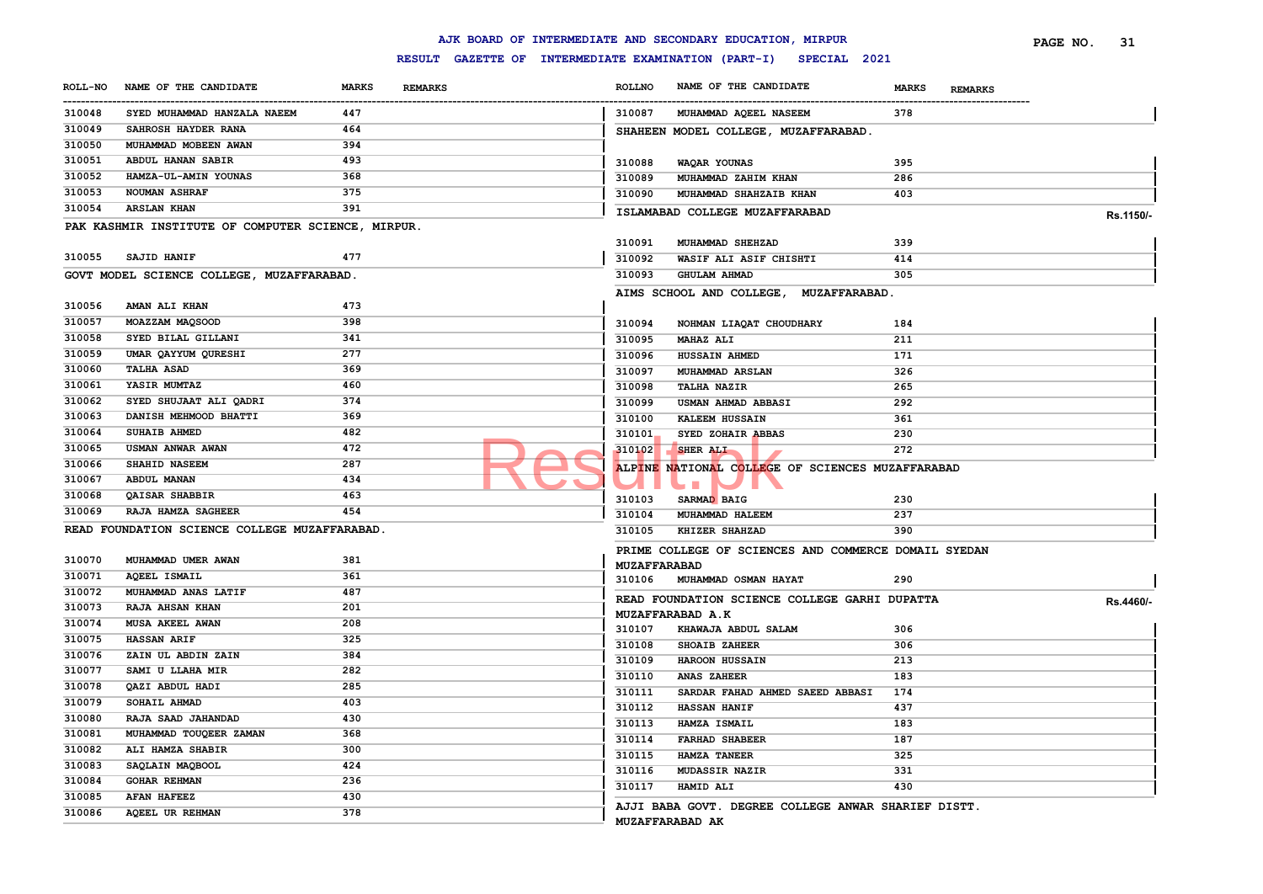|                              |                                                    |              |                |                               | AJK BOARD OF INTERMEDIATE AND SECONDARY EDUCATION, MIRPUR        |                                | PAGE NO. | 31        |
|------------------------------|----------------------------------------------------|--------------|----------------|-------------------------------|------------------------------------------------------------------|--------------------------------|----------|-----------|
|                              |                                                    |              |                |                               | RESULT GAZETTE OF INTERMEDIATE EXAMINATION (PART-I) SPECIAL 2021 |                                |          |           |
| <b>ROLL-NO</b><br>---------- | NAME OF THE CANDIDATE                              | <b>MARKS</b> | <b>REMARKS</b> | <b>ROLLNO</b>                 | NAME OF THE CANDIDATE                                            | <b>MARKS</b><br><b>REMARKS</b> |          |           |
| 310048                       | SYED MUHAMMAD HANZALA NAEEM                        | 447          |                | 310087                        | MUHAMMAD AQEEL NASEEM                                            | 378                            |          |           |
| 310049                       | SAHROSH HAYDER RANA                                | 464          |                |                               | SHAHEEN MODEL COLLEGE, MUZAFFARABAD.                             |                                |          |           |
| 310050                       | MUHAMMAD MOBEEN AWAN                               | 394          |                |                               |                                                                  |                                |          |           |
| 310051                       | ABDUL HANAN SABIR                                  | 493          |                | 310088                        | WAQAR YOUNAS                                                     | 395                            |          |           |
| 310052                       | HAMZA-UL-AMIN YOUNAS                               | 368          |                | 310089                        | MUHAMMAD ZAHIM KHAN                                              | 286                            |          |           |
| 310053                       | <b>NOUMAN ASHRAF</b>                               | 375          |                | 310090                        | MUHAMMAD SHAHZAIB KHAN                                           | 403                            |          |           |
| 310054                       | <b>ARSLAN KHAN</b>                                 | 391          |                |                               | ISLAMABAD COLLEGE MUZAFFARABAD                                   |                                |          |           |
|                              | PAK KASHMIR INSTITUTE OF COMPUTER SCIENCE, MIRPUR. |              |                |                               |                                                                  |                                |          | Rs.1150/- |
|                              |                                                    |              |                | 310091                        | MUHAMMAD SHEHZAD                                                 | 339                            |          |           |
| 310055                       | SAJID HANIF                                        | 477          |                | 310092                        | WASIF ALI ASIF CHISHTI                                           | 414                            |          |           |
|                              | GOVT MODEL SCIENCE COLLEGE, MUZAFFARABAD.          |              |                | 310093                        | <b>GHULAM AHMAD</b>                                              | 305                            |          |           |
|                              |                                                    |              |                |                               | AIMS SCHOOL AND COLLEGE, MUZAFFARABAD.                           |                                |          |           |
| 310056                       | AMAN ALI KHAN                                      | 473          |                |                               |                                                                  |                                |          |           |
| 310057                       | MOAZZAM MAQSOOD                                    | 398          |                | 310094                        | NOHMAN LIAQAT CHOUDHARY                                          | 184                            |          |           |
| 310058                       | SYED BILAL GILLANI                                 | 341          |                | 310095                        | <b>MAHAZ ALI</b>                                                 | 211                            |          |           |
| 310059                       | UMAR QAYYUM QURESHI                                | 277          |                | 310096                        | <b>HUSSAIN AHMED</b>                                             | 171                            |          |           |
| 310060                       | <b>TALHA ASAD</b>                                  | 369          |                | 310097                        | <b>MUHAMMAD ARSLAN</b>                                           | 326                            |          |           |
| 310061                       | YASIR MUMTAZ                                       | 460          |                | 310098                        | <b>TALHA NAZIR</b>                                               | 265                            |          |           |
| 310062                       | SYED SHUJAAT ALI QADRI                             | 374          |                | 310099                        | USMAN AHMAD ABBASI                                               | 292                            |          |           |
| 310063                       | DANISH MEHMOOD BHATTI                              | 369          |                | 310100                        | <b>KALEEM HUSSAIN</b>                                            | 361                            |          |           |
| 310064                       | <b>SUHAIB AHMED</b>                                | 482          |                | 310101                        | SYED ZOHAIR ABBAS                                                | 230                            |          |           |
| 310065                       | USMAN ANWAR AWAN                                   | 472          |                | 310102                        | SHER ALI                                                         | 272                            |          |           |
| 310066                       | SHAHID NASEEM                                      | 287          |                |                               | ALPINE NATIONAL COLLEGE OF SCIENCES MUZAFFARABAD                 |                                |          |           |
| 310067                       | ABDUL MANAN                                        | 434          |                |                               | <b>The Second</b>                                                |                                |          |           |
| 310068                       | QAISAR SHABBIR                                     | 463          |                | 310103                        | SARMAD BAIG                                                      | 230                            |          |           |
| 310069                       | RAJA HAMZA SAGHEER                                 | 454          |                | 310104                        | MUHAMMAD HALEEM                                                  | 237                            |          |           |
|                              | READ FOUNDATION SCIENCE COLLEGE MUZAFFARABAD.      |              |                | 310105                        | KHIZER SHAHZAD                                                   | 390                            |          |           |
|                              |                                                    |              |                |                               |                                                                  |                                |          |           |
| 310070                       | MUHAMMAD UMER AWAN                                 | 381          |                |                               | PRIME COLLEGE OF SCIENCES AND COMMERCE DOMAIL SYEDAN             |                                |          |           |
| 310071                       | <b>AQEEL ISMAIL</b>                                | 361          |                | <b>MUZAFFARABAD</b><br>310106 | MUHAMMAD OSMAN HAYAT                                             | 290                            |          |           |
| 310072                       | MUHAMMAD ANAS LATIF                                | 487          |                |                               |                                                                  |                                |          |           |
| 310073                       | <b>RAJA AHSAN KHAN</b>                             | 201          |                |                               | READ FOUNDATION SCIENCE COLLEGE GARHI DUPATTA                    |                                |          | Rs.4460/- |
| 310074                       | MUSA AKEEL AWAN                                    | 208          |                |                               | MUZAFFARABAD A.K                                                 |                                |          |           |
| 310075                       | <b>HASSAN ARIF</b>                                 | 325          |                | 310107                        | KHAWAJA ABDUL SALAM                                              | 306                            |          |           |
| 310076                       | ZAIN UL ABDIN ZAIN                                 | 384          |                | 310108                        | <b>SHOAIB ZAHEER</b>                                             | 306                            |          |           |
| 310077                       | SAMI U LLAHA MIR                                   | 282          |                | 310109                        | HAROON HUSSAIN                                                   | 213                            |          |           |
| 310078                       | QAZI ABDUL HADI                                    | 285          |                | 310110                        | <b>ANAS ZAHEER</b><br>SARDAR FAHAD AHMED SAEED ABBASI            | 183<br>174                     |          |           |
| 310079                       | SOHAIL AHMAD                                       | 403          |                | 310111<br>310112              |                                                                  | 437                            |          |           |
| 310080                       | RAJA SAAD JAHANDAD                                 | 430          |                | 310113                        | <b>HASSAN HANIF</b><br>HAMZA ISMAIL                              | 183                            |          |           |
| 310081                       | MUHAMMAD TOUQEER ZAMAN                             | 368          |                | 310114                        | <b>FARHAD SHABEER</b>                                            | 187                            |          |           |
| 310082                       | ALI HAMZA SHABIR                                   | 300          |                | 310115                        | HAMZA TANEER                                                     | 325                            |          |           |
| 310083                       | SAQLAIN MAQBOOL                                    | 424          |                | 310116                        | MUDASSIR NAZIR                                                   | 331                            |          |           |
| 310084                       | GOHAR REHMAN                                       | 236          |                | 310117                        | HAMID ALI                                                        | 430                            |          |           |
| 310085                       | <b>AFAN HAFEEZ</b>                                 | 430          |                |                               |                                                                  |                                |          |           |
| 310086                       | AQEEL UR REHMAN                                    | 378          |                |                               | AJJI BABA GOVT. DEGREE COLLEGE ANWAR SHARIEF DISTT.              |                                |          |           |
|                              |                                                    |              |                |                               | <b>MUZAFFARABAD AK</b>                                           |                                |          |           |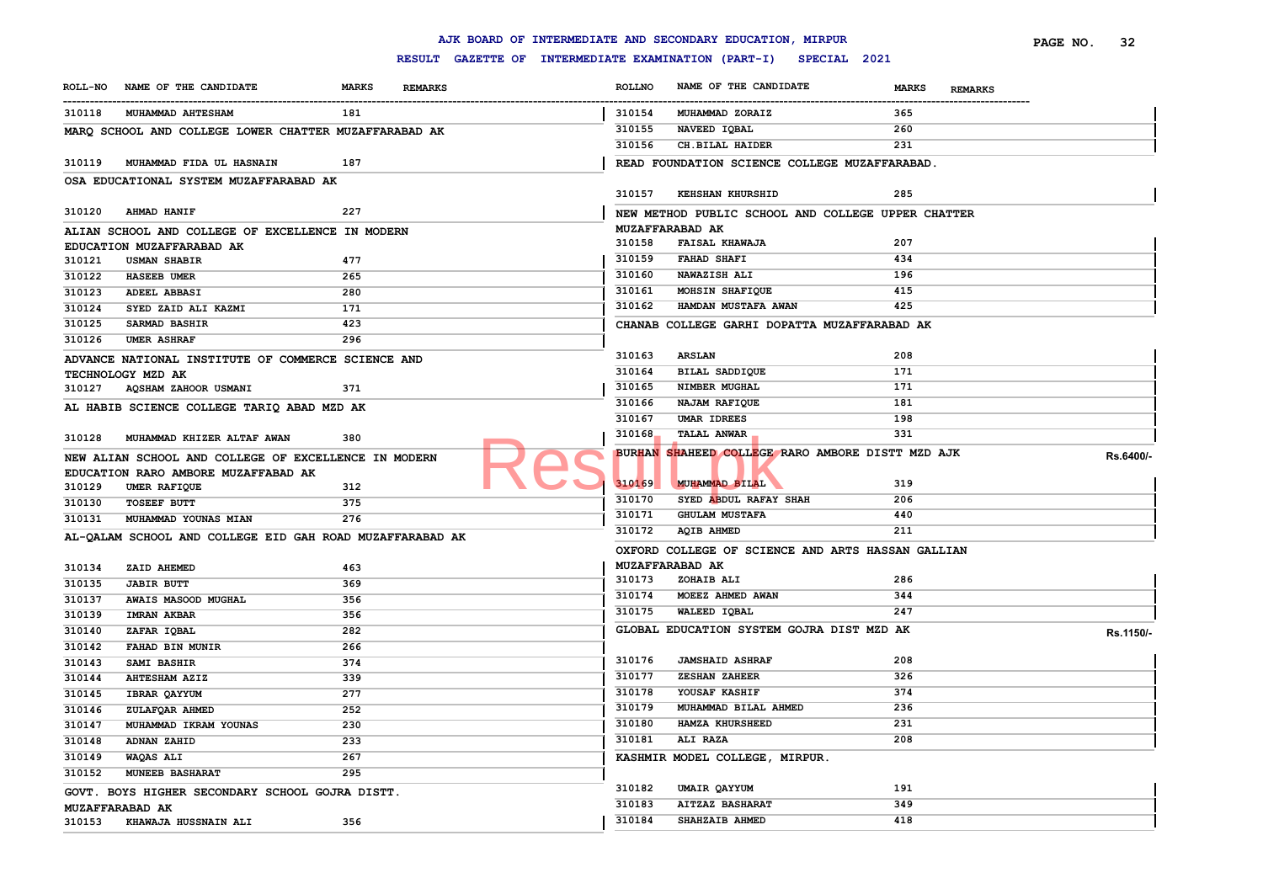|        |                                                                         |              |                |                  | AJK BOARD OF INTERMEDIATE AND SECONDARY EDUCATION, MIRPUR        |              |                | PAGE NO. | 32        |
|--------|-------------------------------------------------------------------------|--------------|----------------|------------------|------------------------------------------------------------------|--------------|----------------|----------|-----------|
|        |                                                                         |              |                |                  | RESULT GAZETTE OF INTERMEDIATE EXAMINATION (PART-I) SPECIAL 2021 |              |                |          |           |
|        | ROLL-NO NAME OF THE CANDIDATE                                           | <b>MARKS</b> | <b>REMARKS</b> | <b>ROLLNO</b>    | NAME OF THE CANDIDATE                                            | <b>MARKS</b> | <b>REMARKS</b> |          |           |
| 310118 | <b>MUHAMMAD AHTESHAM</b>                                                | 181          |                | 310154           | MUHAMMAD ZORAIZ                                                  | 365          |                |          |           |
|        | MARQ SCHOOL AND COLLEGE LOWER CHATTER MUZAFFARABAD AK                   |              |                | 310155           | NAVEED IOBAL                                                     | 260          |                |          |           |
|        |                                                                         |              |                | 310156           | CH.BILAL HAIDER                                                  | 231          |                |          |           |
| 310119 | MUHAMMAD FIDA UL HASNAIN                                                | 187          |                |                  | READ FOUNDATION SCIENCE COLLEGE MUZAFFARABAD.                    |              |                |          |           |
|        | OSA EDUCATIONAL SYSTEM MUZAFFARABAD AK                                  |              |                |                  |                                                                  |              |                |          |           |
|        |                                                                         |              |                | 310157           | KEHSHAN KHURSHID                                                 | 285          |                |          |           |
| 310120 | <b>AHMAD HANIF</b>                                                      | 227          |                |                  | NEW METHOD PUBLIC SCHOOL AND COLLEGE UPPER CHATTER               |              |                |          |           |
|        | ALIAN SCHOOL AND COLLEGE OF EXCELLENCE IN MODERN                        |              |                |                  | MUZAFFARABAD AK                                                  |              |                |          |           |
|        | EDUCATION MUZAFFARABAD AK                                               |              |                | 310158           | <b>FAISAL KHAWAJA</b>                                            | 207          |                |          |           |
| 310121 | <b>USMAN SHABIR</b>                                                     | 477          |                | 310159           | <b>FAHAD SHAFI</b>                                               | 434          |                |          |           |
| 310122 | <b>HASEEB UMER</b>                                                      | 265          |                | 310160           | NAWAZISH ALI                                                     | 196          |                |          |           |
| 310123 | <b>ADEEL ABBASI</b>                                                     | 280          |                | 310161           | MOHSIN SHAFIQUE                                                  | 415          |                |          |           |
| 310124 | SYED ZAID ALI KAZMI                                                     | 171          |                | 310162           | HAMDAN MUSTAFA AWAN                                              | 425          |                |          |           |
| 310125 | <b>SARMAD BASHIR</b>                                                    | 423          |                |                  | CHANAB COLLEGE GARHI DOPATTA MUZAFFARABAD AK                     |              |                |          |           |
| 310126 | <b>UMER ASHRAF</b>                                                      | 296          |                |                  |                                                                  |              |                |          |           |
|        |                                                                         |              |                | 310163           | <b>ARSLAN</b>                                                    | 208          |                |          |           |
|        | ADVANCE NATIONAL INSTITUTE OF COMMERCE SCIENCE AND<br>TECHNOLOGY MZD AK |              |                | 310164           | BILAL SADDIQUE                                                   | 171          |                |          |           |
| 310127 | AQSHAM ZAHOOR USMANI                                                    | 371          |                | 310165           | NIMBER MUGHAL                                                    | 171          |                |          |           |
|        |                                                                         |              |                | 310166           | NAJAM RAFIQUE                                                    | 181          |                |          |           |
|        | AL HABIB SCIENCE COLLEGE TARIQ ABAD MZD AK                              |              |                | 310167           | UMAR IDREES                                                      | 198          |                |          |           |
|        | MUHAMMAD KHIZER ALTAF AWAN                                              | 380          |                | 310168           | <b>TALAL ANWAR</b>                                               | 331          |                |          |           |
| 310128 |                                                                         |              |                |                  | BURHAN SHAHEED COLLEGE RARO AMBORE DISTT MZD AJK                 |              |                |          |           |
|        | NEW ALIAN SCHOOL AND COLLEGE OF EXCELLENCE IN MODERN                    |              |                |                  |                                                                  |              |                |          | Rs.6400/- |
|        | EDUCATION RARO AMBORE MUZAFFABAD AK                                     |              |                | 310169           | MUHAMMAD BILAL                                                   | 319          |                |          |           |
| 310129 | UMER RAFIQUE                                                            | 312          |                | 310170           | SYED ABDUL RAFAY SHAH                                            | 206          |                |          |           |
| 310130 | <b>TOSEEF BUTT</b>                                                      | 375          |                | 310171           | <b>GHULAM MUSTAFA</b>                                            | 440          |                |          |           |
| 310131 | MUHAMMAD YOUNAS MIAN                                                    | 276          |                | 310172           | <b>AQIB AHMED</b>                                                | 211          |                |          |           |
|        | AL-QALAM SCHOOL AND COLLEGE EID GAH ROAD MUZAFFARABAD AK                |              |                |                  |                                                                  |              |                |          |           |
|        |                                                                         |              |                |                  | OXFORD COLLEGE OF SCIENCE AND ARTS HASSAN GALLIAN                |              |                |          |           |
| 310134 | ZAID AHEMED                                                             | 463          |                |                  | MUZAFFARABAD AK                                                  | 286          |                |          |           |
| 310135 | <b>JABIR BUTT</b>                                                       | 369          |                | 310173           | ZOHAIB ALI                                                       | 344          |                |          |           |
| 310137 | AWAIS MASOOD MUGHAL                                                     | 356          |                | 310174<br>310175 | MOEEZ AHMED AWAN<br>WALEED IQBAL                                 | 247          |                |          |           |
| 310139 | <b>IMRAN AKBAR</b>                                                      | 356          |                |                  |                                                                  |              |                |          |           |
| 310140 | ZAFAR IQBAL                                                             | 282          |                |                  | GLOBAL EDUCATION SYSTEM GOJRA DIST MZD AK                        |              |                |          | Rs.1150/- |
| 310142 | FAHAD BIN MUNIR                                                         | 266          |                |                  |                                                                  |              |                |          |           |
| 310143 | SAMI BASHIR                                                             | 374          |                | 310176           | <b>JAMSHAID ASHRAF</b>                                           | 208          |                |          |           |
| 310144 | <b>AHTESHAM AZIZ</b>                                                    | 339          |                | 310177           | <b>ZESHAN ZAHEER</b>                                             | 326          |                |          |           |
| 310145 | <b>IBRAR QAYYUM</b>                                                     | 277          |                | 310178           | YOUSAF KASHIF                                                    | 374          |                |          |           |
| 310146 | ZULAFQAR AHMED                                                          | 252          |                | 310179           | MUHAMMAD BILAL AHMED                                             | 236          |                |          |           |
| 310147 | MUHAMMAD IKRAM YOUNAS                                                   | 230          |                | 310180           | HAMZA KHURSHEED                                                  | 231          |                |          |           |
| 310148 | ADNAN ZAHID                                                             | 233          |                | 310181           | <b>ALI RAZA</b>                                                  | 208          |                |          |           |
| 310149 | <b>WAQAS ALI</b>                                                        | 267          |                |                  | KASHMIR MODEL COLLEGE, MIRPUR.                                   |              |                |          |           |
| 310152 | <b>MUNEEB BASHARAT</b>                                                  | 295          |                |                  |                                                                  |              |                |          |           |
|        | GOVT. BOYS HIGHER SECONDARY SCHOOL GOJRA DISTT.                         |              |                | 310182           | UMAIR QAYYUM                                                     | 191          |                |          |           |
|        | MUZAFFARABAD AK                                                         |              |                | 310183           | <b>AITZAZ BASHARAT</b>                                           | 349          |                |          |           |
| 310153 | KHAWAJA HUSSNAIN ALI                                                    | 356          |                | 310184           | SHAHZAIB AHMED                                                   | 418          |                |          |           |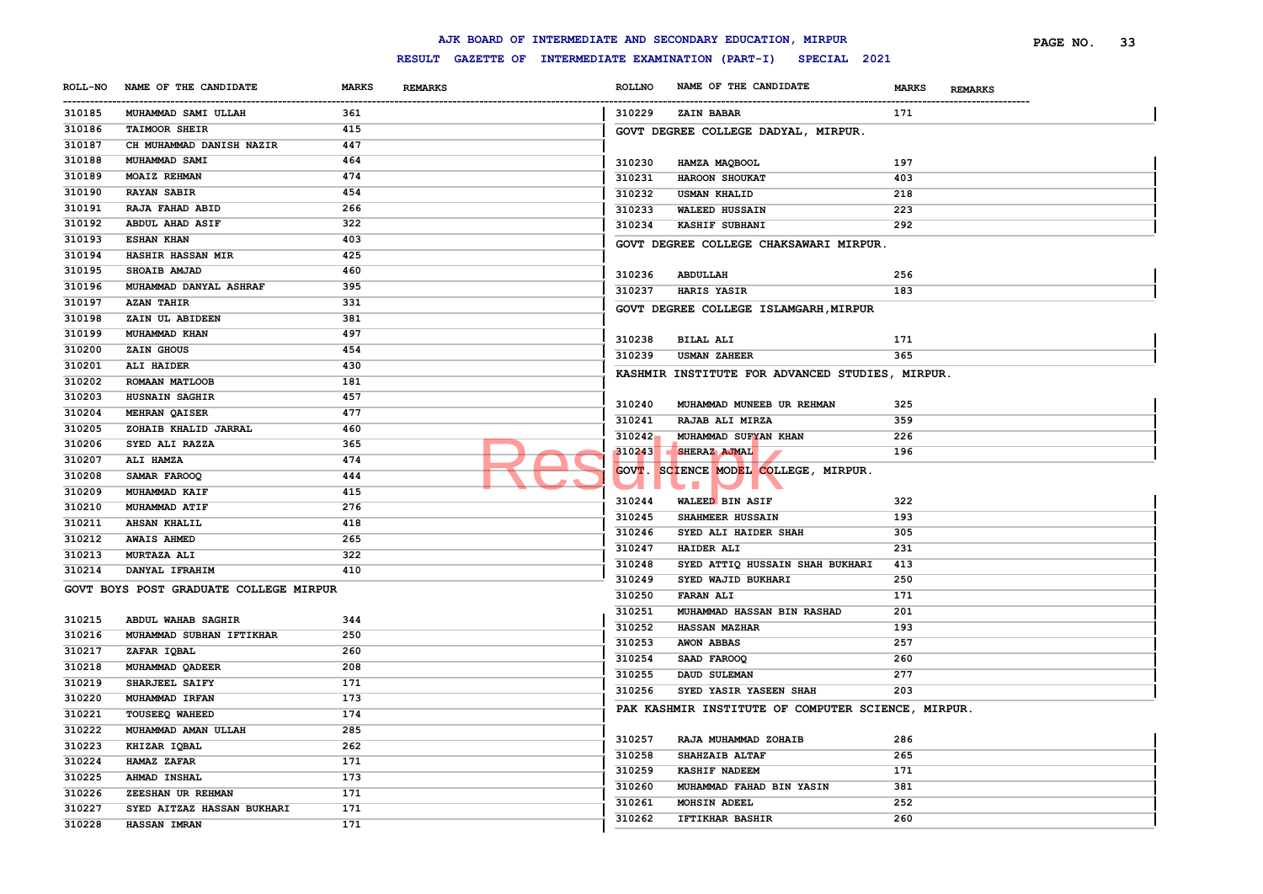|                      |                                        |              |                |               | AJK BOARD OF INTERMEDIATE AND SECONDARY EDUCATION, MIRPUR        |                                | PAGE NO. | 33 |
|----------------------|----------------------------------------|--------------|----------------|---------------|------------------------------------------------------------------|--------------------------------|----------|----|
|                      |                                        |              |                |               | RESULT GAZETTE OF INTERMEDIATE EXAMINATION (PART-I) SPECIAL 2021 |                                |          |    |
| <b>ROLL-NO</b>       | NAME OF THE CANDIDATE                  | <b>MARKS</b> | <b>REMARKS</b> | <b>ROLLNO</b> | NAME OF THE CANDIDATE                                            | <b>MARKS</b><br><b>REMARKS</b> |          |    |
| ----------<br>310185 | MUHAMMAD SAMI ULLAH                    | 361          |                | 310229        | <b>ZAIN BABAR</b>                                                | 171                            |          |    |
| 310186               | <b>TAIMOOR SHEIR</b>                   | 415          |                |               | GOVT DEGREE COLLEGE DADYAL, MIRPUR.                              |                                |          |    |
| 310187               | CH MUHAMMAD DANISH NAZIR               | 447          |                |               |                                                                  |                                |          |    |
| 310188               | MUHAMMAD SAMI                          | 464          |                | 310230        | HAMZA MAQBOOL                                                    | 197                            |          |    |
| 310189               | <b>MOAIZ REHMAN</b>                    | 474          |                | 310231        | HAROON SHOUKAT                                                   | 403                            |          |    |
| 310190               | <b>RAYAN SABIR</b>                     | 454          |                | 310232        | <b>USMAN KHALID</b>                                              | 218                            |          |    |
| 310191               | <b>RAJA FAHAD ABID</b>                 | 266          |                | 310233        | <b>WALEED HUSSAIN</b>                                            | 223                            |          |    |
| 310192               | ABDUL AHAD ASIF                        | 322          |                | 310234        | KASHIF SUBHANI                                                   | 292                            |          |    |
| 310193               | <b>ESHAN KHAN</b>                      | 403          |                |               | GOVT DEGREE COLLEGE CHAKSAWARI MIRPUR.                           |                                |          |    |
| 310194               | HASHIR HASSAN MIR                      | 425          |                |               |                                                                  |                                |          |    |
| 310195               | SHOAIB AMJAD                           | 460          |                | 310236        | ABDULLAH                                                         | 256                            |          |    |
| 310196               | MUHAMMAD DANYAL ASHRAF                 | 395          |                | 310237        | HARIS YASIR                                                      | 183                            |          |    |
| 310197               | <b>AZAN TAHIR</b>                      | 331          |                |               | GOVT DEGREE COLLEGE ISLAMGARH, MIRPUR                            |                                |          |    |
| 310198               | ZAIN UL ABIDEEN                        | 381          |                |               |                                                                  |                                |          |    |
| 310199               | MUHAMMAD KHAN                          | 497          |                | 310238        | <b>BILAL ALI</b>                                                 | 171                            |          |    |
| 310200               | ZAIN GHOUS                             | 454          |                | 310239        | <b>USMAN ZAHEER</b>                                              | 365                            |          |    |
| 310201               | ALI HAIDER                             | 430          |                |               |                                                                  |                                |          |    |
| 310202               | ROMAAN MATLOOB                         | 181          |                |               | KASHMIR INSTITUTE FOR ADVANCED STUDIES, MIRPUR.                  |                                |          |    |
| 310203               | HUSNAIN SAGHIR                         | 457          |                |               |                                                                  |                                |          |    |
| 310204               | MEHRAN QAISER                          | 477          |                | 310240        | MUHAMMAD MUNEEB UR REHMAN                                        | 325                            |          |    |
| 310205               | ZOHAIB KHALID JARRAL                   | 460          |                | 310241        | RAJAB ALI MIRZA                                                  | 359                            |          |    |
| 310206               | SYED ALI RAZZA                         | 365          |                | 310242        | MUHAMMAD SUFYAN KHAN                                             | 226                            |          |    |
| 310207               | ALI HAMZA                              | 474          |                | 310243        | SHERAZ AJMAL                                                     | 196                            |          |    |
| 310208               | SAMAR FAROOQ                           | 444          |                |               | GOVT. SCIENCE MODEL COLLEGE, MIRPUR.                             |                                |          |    |
| 310209               | <b>MUHAMMAD KAIF</b>                   | 415          |                |               | $\mathcal{C}^{\mathcal{A}}$                                      |                                |          |    |
| 310210               | MUHAMMAD ATIF                          | 276          |                | 310244        | <b>WALEED BIN ASIF</b>                                           | 322                            |          |    |
| 310211               | <b>AHSAN KHALIL</b>                    | 418          |                | 310245        | SHAHMEER HUSSAIN                                                 | 193                            |          |    |
| 310212               | <b>AWAIS AHMED</b>                     | 265          |                | 310246        | SYED ALI HAIDER SHAH                                             | 305                            |          |    |
| 310213               | <b>MURTAZA ALI</b>                     | 322          |                | 310247        | <b>HAIDER ALI</b>                                                | 231                            |          |    |
| 310214               | DANYAL IFRAHIM                         | 410          |                | 310248        | SYED ATTIQ HUSSAIN SHAH BUKHARI                                  | 413                            |          |    |
|                      | GOVT BOYS POST GRADUATE COLLEGE MIRPUR |              |                | 310249        | SYED WAJID BUKHARI                                               | 250                            |          |    |
|                      |                                        |              |                | 310250        | <b>FARAN ALI</b>                                                 | 171                            |          |    |
| 310215               | ABDUL WAHAB SAGHIR                     | 344          |                | 310251        | MUHAMMAD HASSAN BIN RASHAD                                       | 201                            |          |    |
| 310216               | MUHAMMAD SUBHAN IFTIKHAR               | 250          |                | 310252        | <b>HASSAN MAZHAR</b>                                             | 193                            |          |    |
| 310217               | ZAFAR IQBAL                            | 260          |                | 310253        | <b>AWON ABBAS</b>                                                | 257                            |          |    |
| 310218               | MUHAMMAD QADEER                        | 208          |                | 310254        | SAAD FAROOQ                                                      | 260                            |          |    |
| 310219               | SHARJEEL SAIFY                         | 171          |                | 310255        | DAUD SULEMAN                                                     | 277                            |          |    |
| 310220               | MUHAMMAD IRFAN                         | 173          |                | 310256        | SYED YASIR YASEEN SHAH                                           | 203                            |          |    |
| 310221               | TOUSEEQ WAHEED                         | 174          |                |               | PAK KASHMIR INSTITUTE OF COMPUTER SCIENCE, MIRPUR.               |                                |          |    |
| 310222               | MUHAMMAD AMAN ULLAH                    | 285          |                |               |                                                                  |                                |          |    |
| 310223               | KHIZAR IQBAL                           | 262          |                | 310257        | RAJA MUHAMMAD ZOHAIB                                             | 286                            |          |    |
| 310224               | HAMAZ ZAFAR                            | 171          |                | 310258        | SHAHZAIB ALTAF                                                   | 265                            |          |    |
| 310225               | AHMAD INSHAL                           | 173          |                | 310259        | <b>KASHIF NADEEM</b>                                             | 171                            |          |    |
| 310226               | ZEESHAN UR REHMAN                      | 171          |                | 310260        | MUHAMMAD FAHAD BIN YASIN                                         | 381                            |          |    |
| 310227               | SYED AITZAZ HASSAN BUKHARI             | 171          |                | 310261        | MOHSIN ADEEL                                                     | 252                            |          |    |
| 310228               | <b>HASSAN IMRAN</b>                    | 171          |                | 310262        | <b>IFTIKHAR BASHIR</b>                                           | 260                            |          |    |
|                      |                                        |              |                |               |                                                                  |                                |          |    |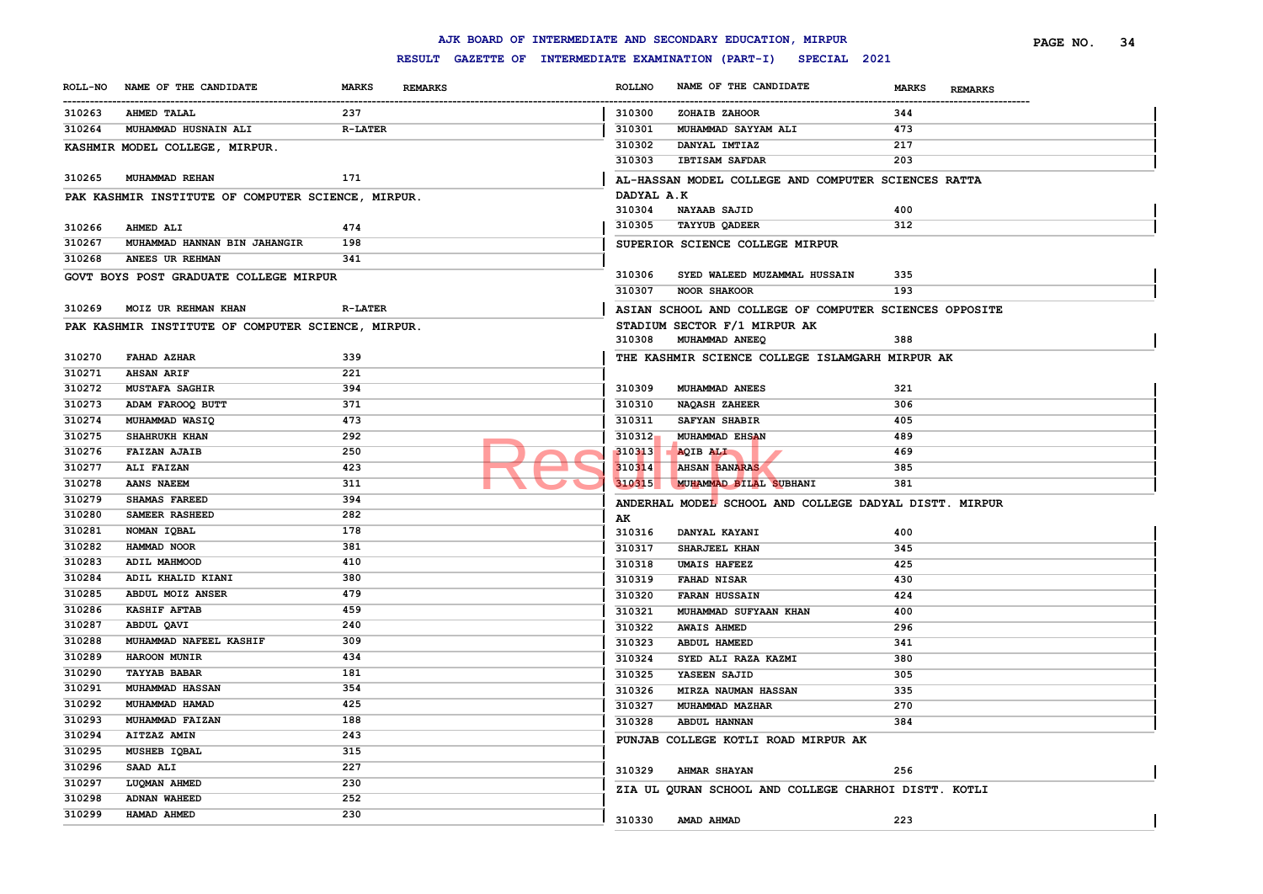|        |                                                    |                                |                                                                                        | AJK BOARD OF INTERMEDIATE AND SECONDARY EDUCATION, MIRPUR        |                                | PAGE NO. | 34 |
|--------|----------------------------------------------------|--------------------------------|----------------------------------------------------------------------------------------|------------------------------------------------------------------|--------------------------------|----------|----|
|        |                                                    |                                |                                                                                        | RESULT GAZETTE OF INTERMEDIATE EXAMINATION (PART-I) SPECIAL 2021 |                                |          |    |
|        | ROLL-NO NAME OF THE CANDIDATE                      | <b>MARKS</b><br><b>REMARKS</b> | <b>ROLLNO</b><br>-----------                                                           | NAME OF THE CANDIDATE                                            | <b>MARKS</b><br><b>REMARKS</b> |          |    |
| 310263 | <b>AHMED TALAL</b>                                 | 237                            | 310300                                                                                 | ZOHAIB ZAHOOR                                                    | 344                            |          |    |
| 310264 | MUHAMMAD HUSNAIN ALI                               | <b>R-LATER</b>                 | 310301                                                                                 | MUHAMMAD SAYYAM ALI                                              | 473                            |          |    |
|        | KASHMIR MODEL COLLEGE, MIRPUR.                     |                                | 310302                                                                                 | DANYAL IMTIAZ                                                    | 217                            |          |    |
|        |                                                    |                                | 310303                                                                                 | <b>IBTISAM SAFDAR</b>                                            | 203                            |          |    |
| 310265 | <b>MUHAMMAD REHAN</b>                              | 171                            |                                                                                        | AL-HASSAN MODEL COLLEGE AND COMPUTER SCIENCES RATTA              |                                |          |    |
|        | PAK KASHMIR INSTITUTE OF COMPUTER SCIENCE, MIRPUR. |                                | DADYAL A.K                                                                             |                                                                  |                                |          |    |
|        |                                                    |                                | 310304                                                                                 | <b>NAYAAB SAJID</b>                                              | 400                            |          |    |
| 310266 | AHMED ALI                                          | 474                            | 310305                                                                                 | <b>TAYYUB QADEER</b>                                             | 312                            |          |    |
| 310267 | MUHAMMAD HANNAN BIN JAHANGIR                       | 198                            |                                                                                        | SUPERIOR SCIENCE COLLEGE MIRPUR                                  |                                |          |    |
| 310268 | ANEES UR REHMAN                                    | 341                            |                                                                                        |                                                                  |                                |          |    |
|        | GOVT BOYS POST GRADUATE COLLEGE MIRPUR             |                                | 310306                                                                                 | SYED WALEED MUZAMMAL HUSSAIN                                     | 335                            |          |    |
|        |                                                    |                                | 310307                                                                                 | <b>NOOR SHAKOOR</b>                                              | 193                            |          |    |
| 310269 | MOIZ UR REHMAN KHAN                                | <b>R-LATER</b>                 |                                                                                        |                                                                  |                                |          |    |
|        | PAK KASHMIR INSTITUTE OF COMPUTER SCIENCE, MIRPUR. |                                | ASIAN SCHOOL AND COLLEGE OF COMPUTER SCIENCES OPPOSITE<br>STADIUM SECTOR F/1 MIRPUR AK |                                                                  |                                |          |    |
|        |                                                    |                                |                                                                                        | 310308 MUHAMMAD ANEEQ                                            | 388                            |          |    |
| 310270 | FAHAD AZHAR                                        | 339                            |                                                                                        | THE KASHMIR SCIENCE COLLEGE ISLAMGARH MIRPUR AK                  |                                |          |    |
| 310271 | <b>AHSAN ARIF</b>                                  | 221                            |                                                                                        |                                                                  |                                |          |    |
| 310272 | <b>MUSTAFA SAGHIR</b>                              | 394                            | 310309                                                                                 | MUHAMMAD ANEES                                                   | 321                            |          |    |
| 310273 | ADAM FAROOQ BUTT                                   | 371                            | 310310                                                                                 | <b>NAQASH ZAHEER</b>                                             | 306                            |          |    |
| 310274 | MUHAMMAD WASIQ                                     | 473                            | 310311                                                                                 | SAFYAN SHABIR                                                    | 405                            |          |    |
| 310275 | SHAHRUKH KHAN                                      | 292                            | $310312_1$                                                                             | MUHAMMAD EHSAN                                                   | 489                            |          |    |
| 310276 | <b>FAIZAN AJAIB</b>                                | 250                            | 310313                                                                                 | AQIB ALI                                                         | 469                            |          |    |
| 310277 | ALI FAIZAN                                         | 423                            | 310314                                                                                 | <b>AHSAN BANARAS</b>                                             | 385                            |          |    |
| 310278 | <b>AANS NAEEM</b>                                  | 311                            | 310315                                                                                 | MUHAMMAD BILAL SUBHANI                                           | 381                            |          |    |
| 310279 | SHAMAS FAREED                                      | 394                            |                                                                                        | ANDERHAL MODEL SCHOOL AND COLLEGE DADYAL DISTT. MIRPUR           |                                |          |    |
| 310280 | SAMEER RASHEED                                     | 282                            | AK                                                                                     |                                                                  |                                |          |    |
| 310281 | NOMAN IQBAL                                        | 178                            | 310316                                                                                 | DANYAL KAYANI                                                    | 400                            |          |    |
| 310282 | HAMMAD NOOR                                        | 381                            | 310317                                                                                 | SHARJEEL KHAN                                                    | 345                            |          |    |
| 310283 | ADIL MAHMOOD                                       | 410                            | 310318                                                                                 | <b>UMAIS HAFEEZ</b>                                              | 425                            |          |    |
| 310284 | ADIL KHALID KIANI                                  | 380                            | 310319                                                                                 | FAHAD NISAR                                                      | 430                            |          |    |
| 310285 | ABDUL MOIZ ANSER                                   | 479                            | 310320                                                                                 | <b>FARAN HUSSAIN</b>                                             | 424                            |          |    |
| 310286 | <b>KASHIF AFTAB</b>                                | 459                            | 310321                                                                                 | MUHAMMAD SUFYAAN KHAN                                            | 400                            |          |    |
| 310287 | ABDUL QAVI                                         | 240                            | 310322                                                                                 | <b>AWAIS AHMED</b>                                               | 296                            |          |    |
| 310288 | MUHAMMAD NAFEEL KASHIF                             | 309                            | 310323                                                                                 | ABDUL HAMEED                                                     | 341                            |          |    |
| 310289 | HAROON MUNIR                                       | 434                            | 310324                                                                                 | SYED ALI RAZA KAZMI                                              | 380                            |          |    |
| 310290 | <b>TAYYAB BABAR</b>                                | 181                            | 310325                                                                                 | YASEEN SAJID                                                     | 305                            |          |    |
| 310291 | <b>MUHAMMAD HASSAN</b>                             | 354                            | 310326                                                                                 | <b>MIRZA NAUMAN HASSAN</b>                                       | 335                            |          |    |
| 310292 | MUHAMMAD HAMAD                                     | 425                            | 310327                                                                                 | MUHAMMAD MAZHAR                                                  | 270                            |          |    |
| 310293 | MUHAMMAD FAIZAN                                    | 188                            | 310328                                                                                 | ABDUL HANNAN                                                     | 384                            |          |    |
| 310294 | AITZAZ AMIN                                        | 243                            |                                                                                        | PUNJAB COLLEGE KOTLI ROAD MIRPUR AK                              |                                |          |    |
| 310295 | MUSHEB IQBAL                                       | 315                            |                                                                                        |                                                                  |                                |          |    |
| 310296 | SAAD ALI                                           | 227                            | 310329                                                                                 | <b>AHMAR SHAYAN</b>                                              | 256                            |          |    |
| 310297 | LUQMAN AHMED                                       | 230                            |                                                                                        | ZIA UL QURAN SCHOOL AND COLLEGE CHARHOI DISTT. KOTLI             |                                |          |    |
| 310298 | <b>ADNAN WAHEED</b>                                | 252                            |                                                                                        |                                                                  |                                |          |    |
| 310299 | HAMAD AHMED                                        | 230                            |                                                                                        | 310330 AMAD AHMAD                                                | 223                            |          |    |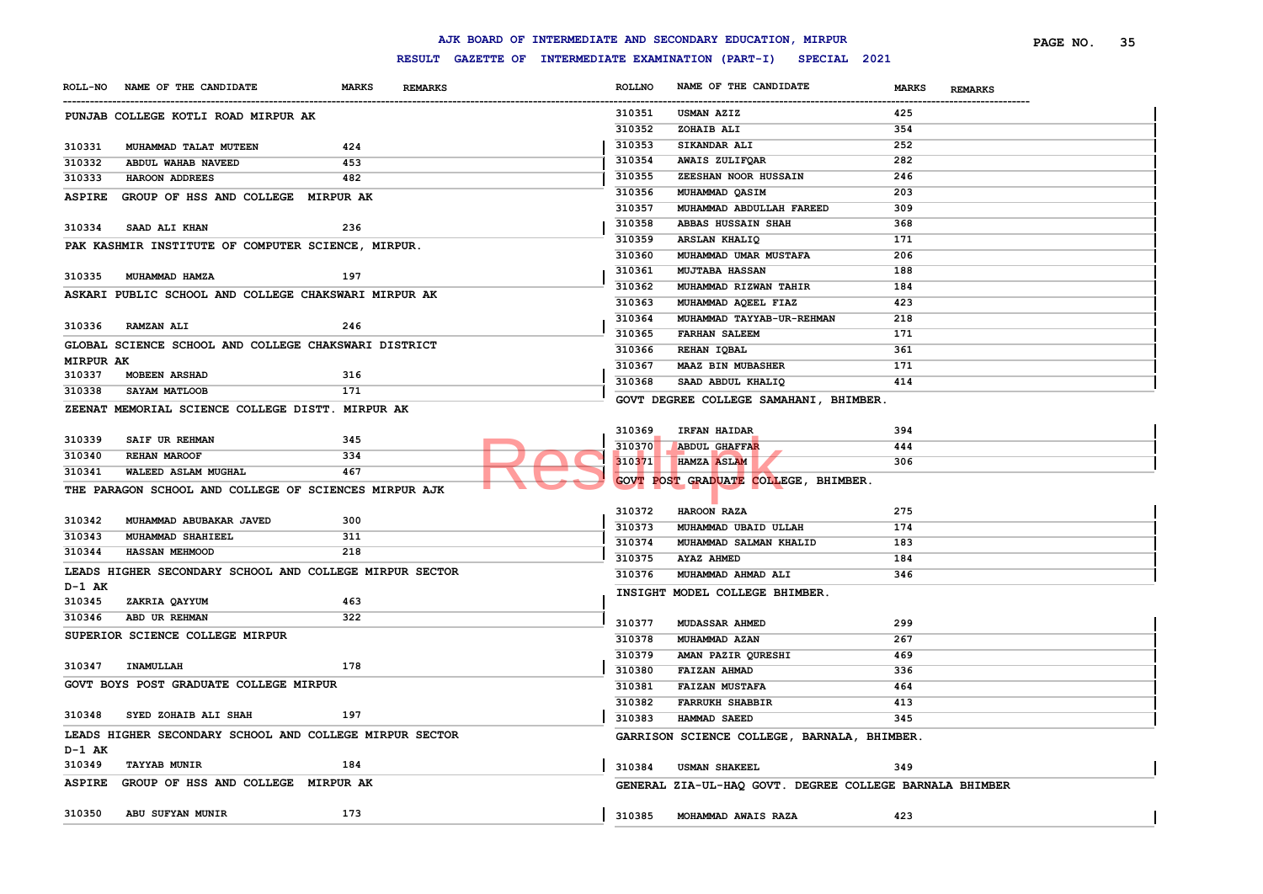| <b>ASPIRE</b>              | GROUP OF HSS AND COLLEGE MIRPUR AK                      |            | 310356 | MUHAMMAD QASIM                                          | 203 |
|----------------------------|---------------------------------------------------------|------------|--------|---------------------------------------------------------|-----|
|                            |                                                         |            | 310357 | MUHAMMAD ABDULLAH FAREED                                | 309 |
| 310334                     | SAAD ALI KHAN                                           | 236        | 310358 | ABBAS HUSSAIN SHAH                                      | 368 |
|                            | PAK KASHMIR INSTITUTE OF COMPUTER SCIENCE, MIRPUR.      |            | 310359 | ARSLAN KHALIQ                                           | 171 |
|                            |                                                         |            | 310360 | MUHAMMAD UMAR MUSTAFA                                   | 206 |
| 310335                     | MUHAMMAD HAMZA                                          | 197        | 310361 | <b>MUJTABA HASSAN</b>                                   | 188 |
|                            | ASKARI PUBLIC SCHOOL AND COLLEGE CHAKSWARI MIRPUR AK    |            | 310362 | MUHAMMAD RIZWAN TAHIR                                   | 184 |
|                            |                                                         |            | 310363 | MUHAMMAD AQEEL FIAZ                                     | 423 |
| 310336                     | <b>RAMZAN ALI</b>                                       | 246        | 310364 | MUHAMMAD TAYYAB-UR-REHMAN                               | 218 |
|                            |                                                         |            | 310365 | <b>FARHAN SALEEM</b>                                    | 171 |
|                            | GLOBAL SCIENCE SCHOOL AND COLLEGE CHAKSWARI DISTRICT    |            | 310366 | REHAN IQBAL                                             | 361 |
| <b>MIRPUR AK</b><br>310337 | <b>MOBEEN ARSHAD</b>                                    | 316        | 310367 | <b>MAAZ BIN MUBASHER</b>                                | 171 |
| 310338                     | SAYAM MATLOOB                                           | 171        | 310368 | SAAD ABDUL KHALIQ                                       | 414 |
|                            |                                                         |            |        | GOVT DEGREE COLLEGE SAMAHANI, BHIMBER.                  |     |
|                            | ZEENAT MEMORIAL SCIENCE COLLEGE DISTT. MIRPUR AK        |            |        |                                                         |     |
|                            |                                                         |            | 310369 | IRFAN HAIDAR                                            | 394 |
| 310339                     | SAIF UR REHMAN                                          | 345        | 310370 | <b>ABDUL GHAFFAR</b>                                    | 444 |
| 310340                     | REHAN MAROOF                                            | 334<br>467 | 310371 | HAMZA ASLAM                                             | 306 |
| 310341                     | WALEED ASLAM MUGHAL                                     |            |        | GOVT POST GRADUATE COLLEGE, BHIMBER.                    |     |
|                            | THE PARAGON SCHOOL AND COLLEGE OF SCIENCES MIRPUR AJK   |            |        |                                                         |     |
|                            |                                                         |            | 310372 | HAROON RAZA                                             | 275 |
| 310342                     | MUHAMMAD ABUBAKAR JAVED                                 | 300        | 310373 | MUHAMMAD UBAID ULLAH                                    | 174 |
| 310343                     | MUHAMMAD SHAHIEEL<br>HASSAN MEHMOOD                     | 311<br>218 | 310374 | MUHAMMAD SALMAN KHALID                                  | 183 |
| 310344                     |                                                         |            | 310375 | AYAZ AHMED                                              | 184 |
|                            | LEADS HIGHER SECONDARY SCHOOL AND COLLEGE MIRPUR SECTOR |            | 310376 | MUHAMMAD AHMAD ALI                                      | 346 |
| D-1 AK                     |                                                         |            |        | INSIGHT MODEL COLLEGE BHIMBER.                          |     |
| 310345                     | ZAKRIA QAYYUM                                           | 463        |        |                                                         |     |
| 310346                     | ABD UR REHMAN                                           | 322        | 310377 | <b>MUDASSAR AHMED</b>                                   | 299 |
|                            | SUPERIOR SCIENCE COLLEGE MIRPUR                         |            | 310378 | MUHAMMAD AZAN                                           | 267 |
|                            |                                                         |            | 310379 | AMAN PAZIR QURESHI                                      | 469 |
| 310347                     | INAMULLAH                                               | 178        | 310380 | FAIZAN AHMAD                                            | 336 |
|                            | GOVT BOYS POST GRADUATE COLLEGE MIRPUR                  |            | 310381 | <b>FAIZAN MUSTAFA</b>                                   | 464 |
|                            |                                                         |            | 310382 | <b>FARRUKH SHABBIR</b>                                  | 413 |
| 310348                     | SYED ZOHAIB ALI SHAH                                    | 197        | 310383 | HAMMAD SAEED                                            | 345 |
|                            | LEADS HIGHER SECONDARY SCHOOL AND COLLEGE MIRPUR SECTOR |            |        | GARRISON SCIENCE COLLEGE, BARNALA, BHIMBER.             |     |
| D-1 AK                     |                                                         |            |        |                                                         |     |
| 310349                     | <b>TAYYAB MUNIR</b>                                     | 184        | 310384 | <b>USMAN SHAKEEL</b>                                    | 349 |
| ASPIRE                     | GROUP OF HSS AND COLLEGE MIRPUR AK                      |            |        | GENERAL ZIA-UL-HAQ GOVT. DEGREE COLLEGE BARNALA BHIMBER |     |
|                            |                                                         |            |        |                                                         |     |
| 310350                     | ABU SUFYAN MUNIR                                        | 173        | 310385 | MOHAMMAD AWAIS RAZA                                     | 423 |

# **RESULT GAZETTE OF INTERMEDIATE EXAMINATION (PART-I) SPECIAL 2021** ------------------------------------------------------------------------------------------------------------------------------------------------------------------------------------------------------------------------ **ROLLNO NAME OF THE CANDIDATE MARKS REMARKS PAGE NO. 35**

 **USMAN AZIZ 425 ZOHAIB ALI 354 SIKANDAR ALI 252 AWAIS ZULIFQAR 282 ZEESHAN NOOR HUSSAIN 246**

**ROLL-NO NAME OF THE CANDIDATE MARKS REMARKS**

**PUNJAB COLLEGE KOTLI ROAD MIRPUR AK**

 **MUHAMMAD TALAT MUTEEN 424 ABDUL WAHAB NAVEED 453 HAROON ADDREES 482**

### **AJK BOARD OF INTERMEDIATE AND SECONDARY EDUCATION, MIRPUR**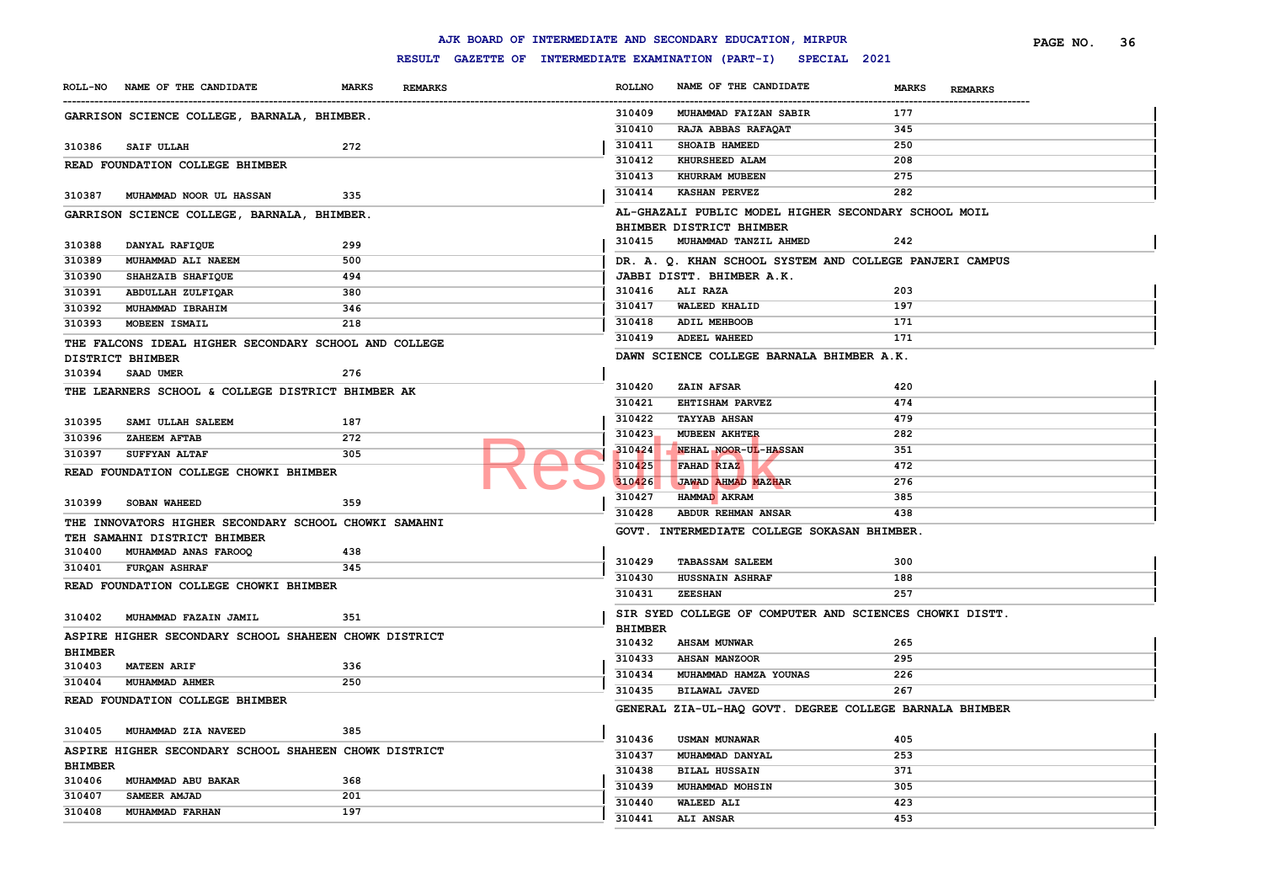|                |                                                                           |                                |                | AJK BOARD OF INTERMEDIATE AND SECONDARY EDUCATION, MIRPUR        |              |                | PAGE NO. | 36 |
|----------------|---------------------------------------------------------------------------|--------------------------------|----------------|------------------------------------------------------------------|--------------|----------------|----------|----|
|                |                                                                           |                                |                | RESULT GAZETTE OF INTERMEDIATE EXAMINATION (PART-I) SPECIAL 2021 |              |                |          |    |
|                | ROLL-NO NAME OF THE CANDIDATE                                             | <b>MARKS</b><br><b>REMARKS</b> | <b>ROLLNO</b>  | NAME OF THE CANDIDATE                                            | <b>MARKS</b> | <b>REMARKS</b> |          |    |
|                | GARRISON SCIENCE COLLEGE, BARNALA, BHIMBER.                               |                                | 310409         | MUHAMMAD FAIZAN SABIR                                            | 177          |                |          |    |
|                |                                                                           |                                | 310410         | RAJA ABBAS RAFAQAT                                               | 345          |                |          |    |
| 310386         | SAIF ULLAH                                                                | 272                            | 310411         | SHOAIB HAMEED                                                    | 250          |                |          |    |
|                | READ FOUNDATION COLLEGE BHIMBER                                           |                                | 310412         | KHURSHEED ALAM                                                   | 208          |                |          |    |
|                |                                                                           |                                | 310413         | KHURRAM MUBEEN                                                   | 275          |                |          |    |
| 310387         | MUHAMMAD NOOR UL HASSAN                                                   | 335                            | 310414         | <b>KASHAN PERVEZ</b>                                             | 282          |                |          |    |
|                | GARRISON SCIENCE COLLEGE, BARNALA, BHIMBER.                               |                                |                | AL-GHAZALI PUBLIC MODEL HIGHER SECONDARY SCHOOL MOIL             |              |                |          |    |
|                |                                                                           |                                |                | BHIMBER DISTRICT BHIMBER                                         |              |                |          |    |
| 310388         | DANYAL RAFIQUE                                                            | 299                            | 310415         | MUHAMMAD TANZIL AHMED                                            | 242          |                |          |    |
| 310389         | MUHAMMAD ALI NAEEM                                                        | 500                            |                | DR. A. Q. KHAN SCHOOL SYSTEM AND COLLEGE PANJERI CAMPUS          |              |                |          |    |
| 310390         | SHAHZAIB SHAFIQUE                                                         | 494                            |                | JABBI DISTT. BHIMBER A.K.                                        |              |                |          |    |
| 310391         | ABDULLAH ZULFIQAR                                                         | 380                            | 310416         | <b>ALI RAZA</b>                                                  | 203          |                |          |    |
| 310392         | MUHAMMAD IBRAHIM                                                          | 346                            | 310417         | <b>WALEED KHALID</b>                                             | 197          |                |          |    |
| 310393         | MOBEEN ISMAIL                                                             | 218                            | 310418         | ADIL MEHBOOB                                                     | 171          |                |          |    |
|                |                                                                           |                                | 310419         | <b>ADEEL WAHEED</b>                                              | 171          |                |          |    |
|                | THE FALCONS IDEAL HIGHER SECONDARY SCHOOL AND COLLEGE<br>DISTRICT BHIMBER |                                |                | DAWN SCIENCE COLLEGE BARNALA BHIMBER A.K.                        |              |                |          |    |
| 310394         | SAAD UMER                                                                 | 276                            |                |                                                                  |              |                |          |    |
|                |                                                                           |                                | 310420         | ZAIN AFSAR                                                       | 420          |                |          |    |
|                | THE LEARNERS SCHOOL & COLLEGE DISTRICT BHIMBER AK                         |                                | 310421         | EHTISHAM PARVEZ                                                  | 474          |                |          |    |
|                |                                                                           |                                | 310422         | <b>TAYYAB AHSAN</b>                                              | 479          |                |          |    |
| 310395         | SAMI ULLAH SALEEM                                                         | 187                            | 310423         | MUBEEN AKHTER                                                    | 282          |                |          |    |
| 310396         | <b>ZAHEEM AFTAB</b>                                                       | 272                            | 310424         | NEHAL NOOR-UL-HASSAN                                             | 351          |                |          |    |
| 310397         | <b>SUFFYAN ALTAF</b>                                                      | 305                            | 310425         | FAHAD RIAZ                                                       | 472          |                |          |    |
|                | READ FOUNDATION COLLEGE CHOWKI BHIMBER                                    |                                | 310426         | <b>JAWAD AHMAD MAZHAR</b>                                        | 276          |                |          |    |
|                |                                                                           |                                | 310427         | HAMMAD AKRAM                                                     | 385          |                |          |    |
| 310399         | <b>SOBAN WAHEED</b>                                                       | 359                            | 310428         | ABDUR REHMAN ANSAR                                               | 438          |                |          |    |
|                | THE INNOVATORS HIGHER SECONDARY SCHOOL CHOWKI SAMAHNI                     |                                |                | GOVT. INTERMEDIATE COLLEGE SOKASAN BHIMBER                       |              |                |          |    |
|                | TEH SAMAHNI DISTRICT BHIMBER                                              |                                |                |                                                                  |              |                |          |    |
| 310400         | MUHAMMAD ANAS FAROOQ                                                      | 438                            | 310429         | <b>TABASSAM SALEEM</b>                                           | 300          |                |          |    |
| 310401         | <b>FURQAN ASHRAF</b>                                                      | 345                            | 310430         | <b>HUSSNAIN ASHRAF</b>                                           | 188          |                |          |    |
|                | READ FOUNDATION COLLEGE CHOWKI BHIMBER                                    |                                | 310431         | <b>ZEESHAN</b>                                                   | 257          |                |          |    |
|                |                                                                           |                                |                |                                                                  |              |                |          |    |
| 310402         | MUHAMMAD FAZAIN JAMIL                                                     | 351                            |                | SIR SYED COLLEGE OF COMPUTER AND SCIENCES CHOWKI DISTT.          |              |                |          |    |
|                | ASPIRE HIGHER SECONDARY SCHOOL SHAHEEN CHOWK DISTRICT                     |                                | <b>BHIMBER</b> |                                                                  |              |                |          |    |
| <b>BHIMBER</b> |                                                                           |                                | 310432         | <b>AHSAM MUNWAR</b>                                              | 265          |                |          |    |
| 310403         | <b>MATEEN ARIF</b>                                                        | 336                            | 310433         | <b>AHSAN MANZOOR</b>                                             | 295          |                |          |    |
| 310404         | MUHAMMAD AHMER                                                            | 250                            | 310434         | MUHAMMAD HAMZA YOUNAS                                            | 226          |                |          |    |
|                | READ FOUNDATION COLLEGE BHIMBER                                           |                                | 310435         | BILAWAL JAVED                                                    | 267          |                |          |    |
|                |                                                                           |                                |                | GENERAL ZIA-UL-HAQ GOVT. DEGREE COLLEGE BARNALA BHIMBER          |              |                |          |    |
| 310405         | MUHAMMAD ZIA NAVEED                                                       | 385                            |                |                                                                  |              |                |          |    |
|                | ASPIRE HIGHER SECONDARY SCHOOL SHAHEEN CHOWK DISTRICT                     |                                | 310436         | <b>USMAN MUNAWAR</b>                                             | 405          |                |          |    |
| <b>BHIMBER</b> |                                                                           |                                | 310437         | MUHAMMAD DANYAL                                                  | 253          |                |          |    |
| 310406         | MUHAMMAD ABU BAKAR                                                        | 368                            | 310438         | <b>BILAL HUSSAIN</b>                                             | 371          |                |          |    |
| 310407         | SAMEER AMJAD                                                              | 201                            | 310439         | MUHAMMAD MOHSIN                                                  | 305          |                |          |    |
| 310408         | MUHAMMAD FARHAN                                                           | 197                            | 310440         | <b>WALEED ALI</b>                                                | 423          |                |          |    |
|                |                                                                           |                                | 310441         | ALI ANSAR                                                        | 453          |                |          |    |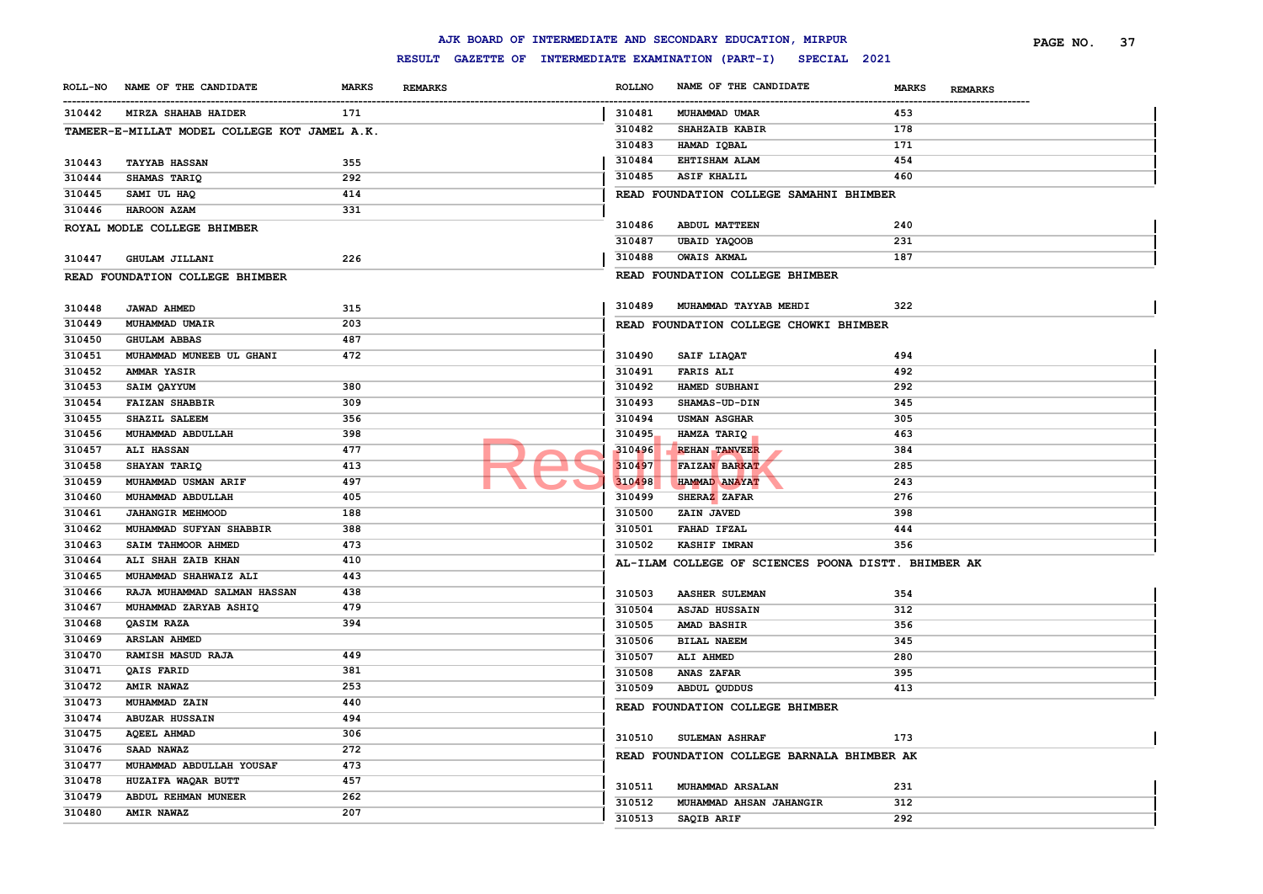|        | TAMEER-E-MILLAT MODEL COLLEGE KOT JAMEL A.K. |     | 310482 | SHAHZAIB KABIR                                      | 178 |
|--------|----------------------------------------------|-----|--------|-----------------------------------------------------|-----|
|        |                                              |     | 310483 | HAMAD IQBAL                                         | 171 |
| 310443 | <b>TAYYAB HASSAN</b>                         | 355 | 310484 | EHTISHAM ALAM                                       | 454 |
| 310444 | SHAMAS TARIQ                                 | 292 | 310485 | <b>ASIF KHALIL</b>                                  | 460 |
| 310445 | SAMI UL HAQ                                  | 414 |        | READ FOUNDATION COLLEGE SAMAHNI BHIMBER             |     |
| 310446 | HAROON AZAM                                  | 331 |        |                                                     |     |
|        | ROYAL MODLE COLLEGE BHIMBER                  |     | 310486 | <b>ABDUL MATTEEN</b>                                | 240 |
|        |                                              |     | 310487 | <b>UBAID YAQOOB</b>                                 | 231 |
| 310447 | GHULAM JILLANI                               | 226 | 310488 | <b>OWAIS AKMAL</b>                                  | 187 |
|        | READ FOUNDATION COLLEGE BHIMBER              |     |        | READ FOUNDATION COLLEGE BHIMBER                     |     |
|        |                                              |     |        |                                                     |     |
| 310448 | <b>JAWAD AHMED</b>                           | 315 | 310489 | MUHAMMAD TAYYAB MEHDI                               | 322 |
| 310449 | MUHAMMAD UMAIR                               | 203 |        | READ FOUNDATION COLLEGE CHOWKI BHIMBER              |     |
| 310450 | <b>GHULAM ABBAS</b>                          | 487 |        |                                                     |     |
| 310451 | MUHAMMAD MUNEEB UL GHANI                     | 472 | 310490 | SAIF LIAQAT                                         | 494 |
| 310452 | AMMAR YASIR                                  |     | 310491 | <b>FARIS ALI</b>                                    | 492 |
| 310453 | SAIM OAYYUM                                  | 380 | 310492 | HAMED SUBHANI                                       | 292 |
| 310454 | <b>FAIZAN SHABBIR</b>                        | 309 | 310493 | SHAMAS-UD-DIN                                       | 345 |
| 310455 | SHAZIL SALEEM                                | 356 | 310494 | <b>USMAN ASGHAR</b>                                 | 305 |
| 310456 | MUHAMMAD ABDULLAH                            | 398 | 310495 | HAMZA TARIQ                                         | 463 |
| 310457 | ALI HASSAN                                   | 477 | 310496 | <b>REHAN TANVEER</b>                                | 384 |
| 310458 | SHAYAN TARIQ                                 | 413 | 310497 | FAIZAN BARKAT                                       | 285 |
| 310459 | MUHAMMAD USMAN ARIF                          | 497 | 310498 | <b>HAMMAD ANAYAT</b>                                | 243 |
| 310460 | MUHAMMAD ABDULLAH                            | 405 | 310499 | SHERAZ ZAFAR                                        | 276 |
| 310461 | <b>JAHANGIR MEHMOOD</b>                      | 188 | 310500 | ZAIN JAVED                                          | 398 |
| 310462 | MUHAMMAD SUFYAN SHABBIR                      | 388 | 310501 | FAHAD IFZAL                                         | 444 |
| 310463 | SAIM TAHMOOR AHMED                           | 473 | 310502 | <b>KASHIF IMRAN</b>                                 | 356 |
| 310464 | ALI SHAH ZAIB KHAN                           | 410 |        | AL-ILAM COLLEGE OF SCIENCES POONA DISTT. BHIMBER AK |     |
| 310465 | MUHAMMAD SHAHWAIZ ALI                        | 443 |        |                                                     |     |
| 310466 | RAJA MUHAMMAD SALMAN HASSAN                  | 438 | 310503 | AASHER SULEMAN                                      | 354 |
| 310467 | MUHAMMAD ZARYAB ASHIQ                        | 479 | 310504 | ASJAD HUSSAIN                                       | 312 |
| 310468 | QASIM RAZA                                   | 394 | 310505 | AMAD BASHIR                                         | 356 |
| 310469 | <b>ARSLAN AHMED</b>                          |     | 310506 | <b>BILAL NAEEM</b>                                  | 345 |
| 310470 | RAMISH MASUD RAJA                            | 449 | 310507 | ALI AHMED                                           | 280 |
| 310471 | QAIS FARID                                   | 381 | 310508 | ANAS ZAFAR                                          | 395 |
| 310472 | <b>AMIR NAWAZ</b>                            | 253 | 310509 | ABDUL QUDDUS                                        | 413 |
| 310473 | MUHAMMAD ZAIN                                | 440 |        | READ FOUNDATION COLLEGE BHIMBER                     |     |
| 310474 | <b>ABUZAR HUSSAIN</b>                        | 494 |        |                                                     |     |
| 310475 | <b>AQEEL AHMAD</b>                           | 306 | 310510 | SULEMAN ASHRAF                                      | 173 |
| 310476 | SAAD NAWAZ                                   | 272 |        |                                                     |     |
| 310477 | MUHAMMAD ABDULLAH YOUSAF                     | 473 |        | READ FOUNDATION COLLEGE BARNALA BHIMBER AK          |     |
| 310478 | HUZAIFA WAQAR BUTT                           | 457 |        |                                                     |     |
| 310479 | ABDUL REHMAN MUNEER                          | 262 | 310511 | MUHAMMAD ARSALAN                                    | 231 |
| 310480 | <b>AMIR NAWAZ</b>                            | 207 | 310512 | MUHAMMAD AHSAN JAHANGIR                             | 312 |
|        |                                              |     | 310513 | SAQIB ARIF                                          | 292 |

# **RESULT GAZETTE OF INTERMEDIATE EXAMINATION (PART-I) SPECIAL 2021** ------------------------------------------------------------------------------------------------------------------------------------------------------------------------------------------------------------------------ **ROLLNO NAME OF THE CANDIDATE MARKS REMARKS PAGE NO. 37**

**MUHAMMAD UMAR 453**

**ROLL-NO NAME OF THE CANDIDATE MARKS REMARKS**

 **MIRZA SHAHAB HAIDER 171 TAMEER-E-MILLAT MODEL COLLEGE KOT JAMEL A.K.**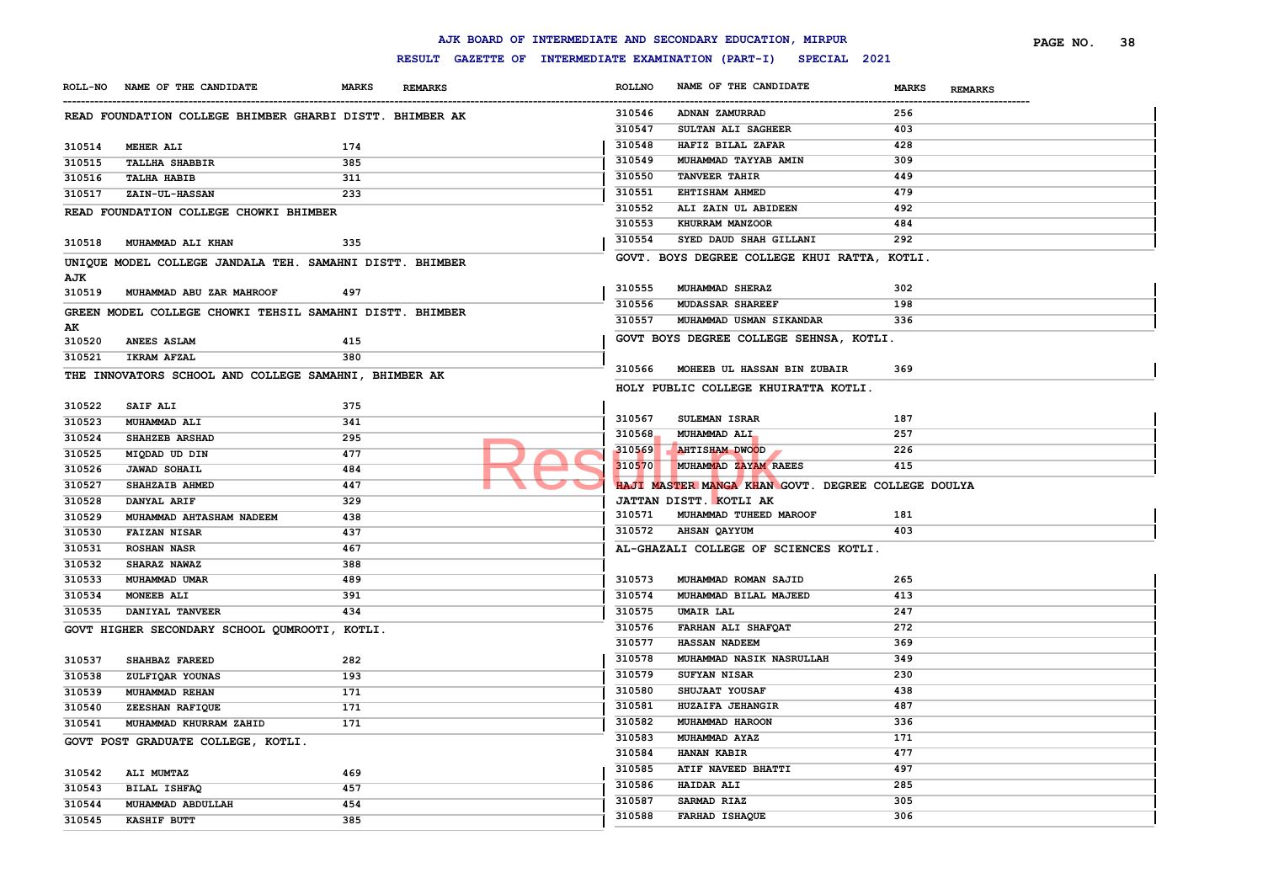|                  |                                                          |              |                |               | AJK BOARD OF INTERMEDIATE AND SECONDARY EDUCATION, MIRPUR        |                                | PAGE NO. | 38 |
|------------------|----------------------------------------------------------|--------------|----------------|---------------|------------------------------------------------------------------|--------------------------------|----------|----|
|                  |                                                          |              |                |               | RESULT GAZETTE OF INTERMEDIATE EXAMINATION (PART-I) SPECIAL 2021 |                                |          |    |
|                  | ROLL-NO NAME OF THE CANDIDATE                            | <b>MARKS</b> | <b>REMARKS</b> | <b>ROLLNO</b> | NAME OF THE CANDIDATE                                            | <b>MARKS</b><br><b>REMARKS</b> |          |    |
|                  | READ FOUNDATION COLLEGE BHIMBER GHARBI DISTT. BHIMBER AK |              |                | 310546        | ADNAN ZAMURRAD                                                   | 256                            |          |    |
|                  |                                                          |              |                | 310547        | SULTAN ALI SAGHEER                                               | 403                            |          |    |
| 310514           | <b>MEHER ALI</b>                                         | 174          |                | 310548        | HAFIZ BILAL ZAFAR                                                | 428                            |          |    |
| 310515           | <b>TALLHA SHABBIR</b>                                    | 385          |                | 310549        | MUHAMMAD TAYYAB AMIN                                             | 309                            |          |    |
| 310516           | <b>TALHA HABIB</b>                                       | 311          |                | 310550        | <b>TANVEER TAHIR</b>                                             | 449                            |          |    |
| 310517           | <b>ZAIN-UL-HASSAN</b>                                    | 233          |                | 310551        | EHTISHAM AHMED                                                   | 479                            |          |    |
|                  | READ FOUNDATION COLLEGE CHOWKI BHIMBER                   |              |                | 310552        | ALI ZAIN UL ABIDEEN                                              | 492                            |          |    |
|                  |                                                          |              |                | 310553        | KHURRAM MANZOOR                                                  | 484                            |          |    |
| 310518           | MUHAMMAD ALI KHAN                                        | 335          |                | 310554        | SYED DAUD SHAH GILLANI                                           | 292                            |          |    |
|                  | UNIQUE MODEL COLLEGE JANDALA TEH. SAMAHNI DISTT. BHIMBER |              |                |               | GOVT. BOYS DEGREE COLLEGE KHUI RATTA, KOTLI.                     |                                |          |    |
| AJK<br>310519    | MUHAMMAD ABU ZAR MAHROOF                                 | 497          |                | 310555        | MUHAMMAD SHERAZ                                                  | 302                            |          |    |
|                  |                                                          |              |                | 310556        | <b>MUDASSAR SHAREEF</b>                                          | 198                            |          |    |
|                  | GREEN MODEL COLLEGE CHOWKI TEHSIL SAMAHNI DISTT. BHIMBER |              |                | 310557        | MUHAMMAD USMAN SIKANDAR                                          | 336                            |          |    |
| AK               |                                                          | 415          |                |               | GOVT BOYS DEGREE COLLEGE SEHNSA, KOTLI.                          |                                |          |    |
| 310520<br>310521 | <b>ANEES ASLAM</b><br><b>IKRAM AFZAL</b>                 | 380          |                |               |                                                                  |                                |          |    |
|                  |                                                          |              |                | 310566        | MOHEEB UL HASSAN BIN ZUBAIR                                      | 369                            |          |    |
|                  | THE INNOVATORS SCHOOL AND COLLEGE SAMAHNI, BHIMBER AK    |              |                |               | HOLY PUBLIC COLLEGE KHUIRATTA KOTLI.                             |                                |          |    |
| 310522           | SAIF ALI                                                 | 375          |                |               |                                                                  |                                |          |    |
| 310523           | MUHAMMAD ALI                                             | 341          |                | 310567        | SULEMAN ISRAR                                                    | 187                            |          |    |
| 310524           | SHAHZEB ARSHAD                                           | 295          |                | 310568        | MUHAMMAD ALI                                                     | 257                            |          |    |
| 310525           | MIQDAD UD DIN                                            | 477          |                | 310569        | <b>AHTISHAM DWOOD</b>                                            | 226                            |          |    |
| 310526           | <b>JAWAD SOHAIL</b>                                      | 484          |                | 310570        | MUHAMMAD ZAYAM RAEES                                             | 415                            |          |    |
| 310527           | SHAHZAIB AHMED                                           | 447          |                |               | HAJI MASTER MANGA KHAN GOVT. DEGREE COLLEGE DOULYA               |                                |          |    |
| 310528           | DANYAL ARIF                                              | 329          |                |               | JATTAN DISTT. KOTLI AK                                           |                                |          |    |
| 310529           | MUHAMMAD AHTASHAM NADEEM                                 | 438          |                | 310571        | MUHAMMAD TUHEED MAROOF                                           | 181                            |          |    |
| 310530           | <b>FAIZAN NISAR</b>                                      | 437          |                | 310572        | <b>AHSAN QAYYUM</b>                                              | 403                            |          |    |
| 310531           | <b>ROSHAN NASR</b>                                       | 467          |                |               | AL-GHAZALI COLLEGE OF SCIENCES KOTLI.                            |                                |          |    |
| 310532           | <b>SHARAZ NAWAZ</b>                                      | 388          |                |               |                                                                  |                                |          |    |
| 310533           | MUHAMMAD UMAR                                            | 489          |                | 310573        | MUHAMMAD ROMAN SAJID                                             | 265                            |          |    |
| 310534           | MONEEB ALI                                               | 391          |                | 310574        | MUHAMMAD BILAL MAJEED                                            | 413                            |          |    |
| 310535           | DANIYAL TANVEER                                          | 434          |                | 310575        | <b>UMAIR LAL</b>                                                 | 247                            |          |    |
|                  | GOVT HIGHER SECONDARY SCHOOL QUMROOTI, KOTLI.            |              |                | 310576        | FARHAN ALI SHAFQAT                                               | 272                            |          |    |
|                  |                                                          |              |                | 310577        | <b>HASSAN NADEEM</b>                                             | 369                            |          |    |
| 310537           | SHAHBAZ FAREED                                           | 282          |                | 310578        | MUHAMMAD NASIK NASRULLAH                                         | 349                            |          |    |
| 310538           | ZULFIQAR YOUNAS                                          | 193          |                | 310579        | SUFYAN NISAR                                                     | 230                            |          |    |
| 310539           | MUHAMMAD REHAN                                           | 171          |                | 310580        | SHUJAAT YOUSAF                                                   | 438                            |          |    |
| 310540           | ZEESHAN RAFIQUE                                          | 171          |                | 310581        | HUZAIFA JEHANGIR                                                 | 487                            |          |    |
| 310541           | MUHAMMAD KHURRAM ZAHID                                   | 171          |                | 310582        | MUHAMMAD HAROON                                                  | 336                            |          |    |
|                  | GOVT POST GRADUATE COLLEGE, KOTLI.                       |              |                | 310583        | MUHAMMAD AYAZ                                                    | 171                            |          |    |
|                  |                                                          |              |                | 310584        | <b>HANAN KABIR</b>                                               | 477                            |          |    |
| 310542           | ALI MUMTAZ                                               | 469          |                | 310585        | ATIF NAVEED BHATTI                                               | 497                            |          |    |
| 310543           | BILAL ISHFAQ                                             | 457          |                | 310586        | <b>HAIDAR ALI</b>                                                | 285                            |          |    |
| 310544           | MUHAMMAD ABDULLAH                                        | 454          |                | 310587        | SARMAD RIAZ                                                      | 305                            |          |    |
| 310545           | <b>KASHIF BUTT</b>                                       | 385          |                | 310588        | FARHAD ISHAQUE                                                   | 306                            |          |    |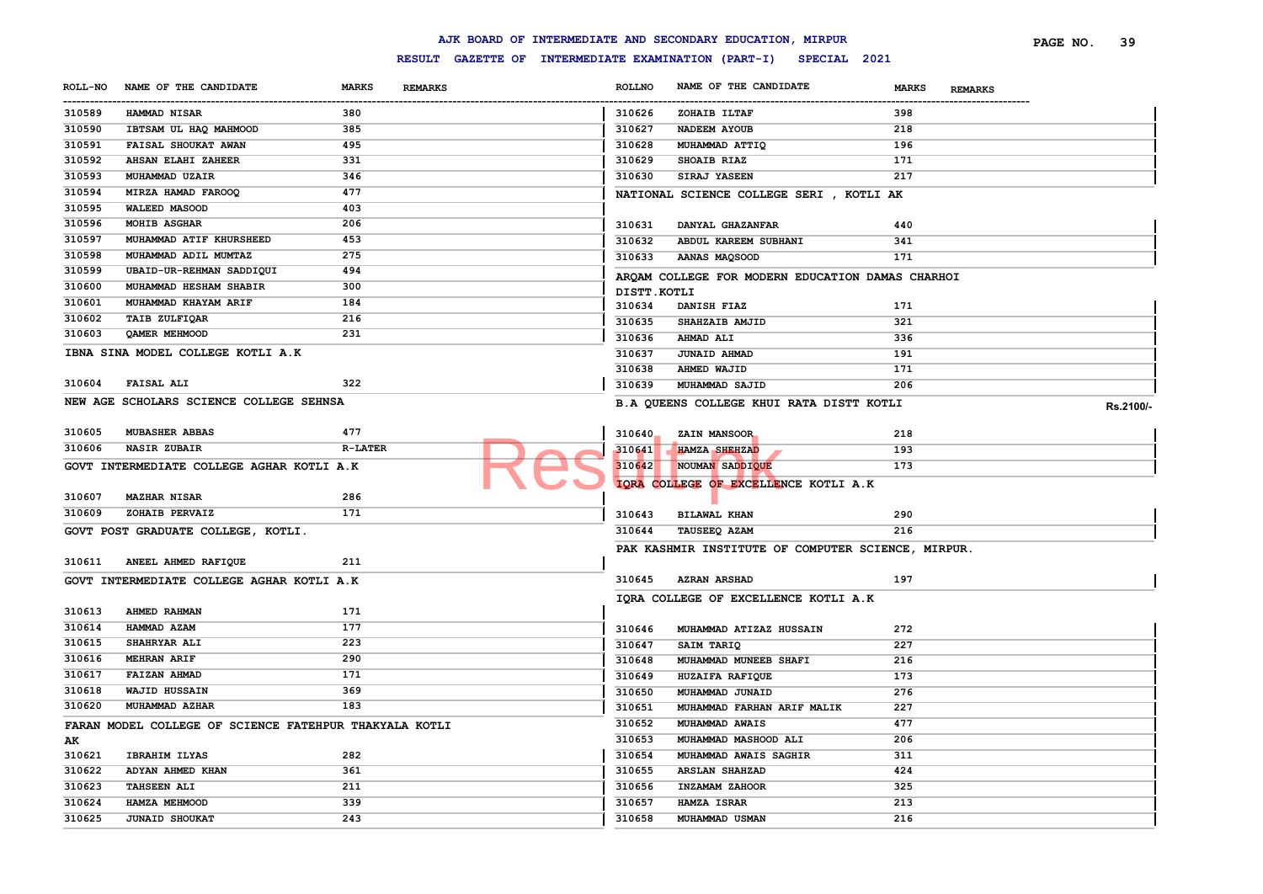|                |                                                        |                |                |               | AJK BOARD OF INTERMEDIATE AND SECONDARY EDUCATION, MIRPUR        |              |                | PAGE NO. | 39        |
|----------------|--------------------------------------------------------|----------------|----------------|---------------|------------------------------------------------------------------|--------------|----------------|----------|-----------|
|                |                                                        |                |                |               | RESULT GAZETTE OF INTERMEDIATE EXAMINATION (PART-I) SPECIAL 2021 |              |                |          |           |
| <b>ROLL-NO</b> | NAME OF THE CANDIDATE                                  | <b>MARKS</b>   | <b>REMARKS</b> | <b>ROLLNO</b> | NAME OF THE CANDIDATE                                            | <b>MARKS</b> | <b>REMARKS</b> |          |           |
| <br>310589     | <b>HAMMAD NISAR</b>                                    | 380            |                | 310626        | ZOHAIB ILTAF                                                     | 398          |                |          |           |
| 310590         | IBTSAM UL HAQ MAHMOOD                                  | 385            |                | 310627        | NADEEM AYOUB                                                     | 218          |                |          |           |
| 310591         | FAISAL SHOUKAT AWAN                                    | 495            |                | 310628        | MUHAMMAD ATTIQ                                                   | 196          |                |          |           |
| 310592         | AHSAN ELAHI ZAHEER                                     | 331            |                | 310629        | SHOAIB RIAZ                                                      | 171          |                |          |           |
| 310593         | MUHAMMAD UZAIR                                         | 346            |                | 310630        | <b>SIRAJ YASEEN</b>                                              | 217          |                |          |           |
| 310594         | MIRZA HAMAD FAROOQ                                     | 477            |                |               | NATIONAL SCIENCE COLLEGE SERI , KOTLI AK                         |              |                |          |           |
| 310595         | <b>WALEED MASOOD</b>                                   | 403            |                |               |                                                                  |              |                |          |           |
| 310596         | <b>MOHIB ASGHAR</b>                                    | 206            |                | 310631        | DANYAL GHAZANFAR                                                 | 440          |                |          |           |
| 310597         | MUHAMMAD ATIF KHURSHEED                                | 453            |                | 310632        | ABDUL KAREEM SUBHANI                                             | 341          |                |          |           |
| 310598         | MUHAMMAD ADIL MUMTAZ                                   | 275            |                | 310633        | AANAS MAQSOOD                                                    | 171          |                |          |           |
| 310599         | UBAID-UR-REHMAN SADDIQUI                               | 494            |                |               |                                                                  |              |                |          |           |
| 310600         | MUHAMMAD HESHAM SHABIR                                 | 300            |                |               | ARQAM COLLEGE FOR MODERN EDUCATION DAMAS CHARHOI                 |              |                |          |           |
| 310601         | MUHAMMAD KHAYAM ARIF                                   | 184            |                | DISTT.KOTLI   |                                                                  |              |                |          |           |
| 310602         | TAIB ZULFIQAR                                          | 216            |                | 310634        | DANISH FIAZ                                                      | 171          |                |          |           |
| 310603         | <b>OAMER MEHMOOD</b>                                   | 231            |                | 310635        | SHAHZAIB AMJID                                                   | 321          |                |          |           |
|                |                                                        |                |                | 310636        | <b>AHMAD ALI</b>                                                 | 336          |                |          |           |
|                | IBNA SINA MODEL COLLEGE KOTLI A.K                      |                |                | 310637        | <b>JUNAID AHMAD</b>                                              | 191          |                |          |           |
|                |                                                        |                |                | 310638        | <b>AHMED WAJID</b>                                               | 171          |                |          |           |
| 310604         | <b>FAISAL ALI</b>                                      | 322            |                | 310639        | MUHAMMAD SAJID                                                   | 206          |                |          |           |
|                | NEW AGE SCHOLARS SCIENCE COLLEGE SEHNSA                |                |                |               | B.A QUEENS COLLEGE KHUI RATA DISTT KOTLI                         |              |                |          | Rs.2100/- |
|                |                                                        |                |                |               |                                                                  |              |                |          |           |
| 310605         | MUBASHER ABBAS                                         | 477            |                | 310640        | ZAIN MANSOOR                                                     | 218          |                |          |           |
| 310606         | <b>NASIR ZUBAIR</b>                                    | <b>R-LATER</b> |                | 310641        | <b>HAMZA SHEHZAD</b>                                             | 193          |                |          |           |
|                | GOVT INTERMEDIATE COLLEGE AGHAR KOTLI A.K              |                |                | 310642        | NOUMAN SADDIQUE                                                  | 173          |                |          |           |
|                |                                                        |                |                |               | IQRA COLLEGE OF EXCELLENCE KOTLI A.K                             |              |                |          |           |
| 310607         | <b>MAZHAR NISAR</b>                                    | 286            |                |               |                                                                  |              |                |          |           |
| 310609         | ZOHAIB PERVAIZ                                         | 171            |                | 310643        | <b>BILAWAL KHAN</b>                                              | 290          |                |          |           |
|                | GOVT POST GRADUATE COLLEGE, KOTLI.                     |                |                | 310644        | TAUSEEQ AZAM                                                     | 216          |                |          |           |
|                |                                                        |                |                |               | PAK KASHMIR INSTITUTE OF COMPUTER SCIENCE, MIRPUR.               |              |                |          |           |
| 310611         | ANEEL AHMED RAFIQUE                                    | 211            |                |               |                                                                  |              |                |          |           |
|                | GOVT INTERMEDIATE COLLEGE AGHAR KOTLI A.K              |                |                | 310645        | <b>AZRAN ARSHAD</b>                                              | 197          |                |          |           |
|                |                                                        |                |                |               | IQRA COLLEGE OF EXCELLENCE KOTLI A.K                             |              |                |          |           |
| 310613         | AHMED RAHMAN                                           | 171            |                |               |                                                                  |              |                |          |           |
| 310614         | HAMMAD AZAM                                            | 177            |                | 310646        | MUHAMMAD ATIZAZ HUSSAIN                                          | 272          |                |          |           |
| 310615         | <b>SHAHRYAR ALI</b>                                    | 223            |                | 310647        | SAIM TARIQ                                                       | 227          |                |          |           |
| 310616         | <b>MEHRAN ARIF</b>                                     | 290            |                | 310648        | MUHAMMAD MUNEEB SHAFI                                            | 216          |                |          |           |
| 310617         | <b>FAIZAN AHMAD</b>                                    | 171            |                | 310649        | HUZAIFA RAFIQUE                                                  | 173          |                |          |           |
| 310618         | WAJID HUSSAIN                                          | 369            |                | 310650        | MUHAMMAD JUNAID                                                  | 276          |                |          |           |
| 310620         | MUHAMMAD AZHAR                                         | 183            |                | 310651        | MUHAMMAD FARHAN ARIF MALIK                                       | 227          |                |          |           |
|                | FARAN MODEL COLLEGE OF SCIENCE FATEHPUR THAKYALA KOTLI |                |                | 310652        | MUHAMMAD AWAIS                                                   | 477          |                |          |           |
| AK             |                                                        |                |                | 310653        | MUHAMMAD MASHOOD ALI                                             | 206          |                |          |           |
| 310621         | <b>IBRAHIM ILYAS</b>                                   | 282            |                | 310654        | MUHAMMAD AWAIS SAGHIR                                            | 311          |                |          |           |
| 310622         | ADYAN AHMED KHAN                                       | 361            |                | 310655        | <b>ARSLAN SHAHZAD</b>                                            | 424          |                |          |           |
| 310623         | <b>TAHSEEN ALI</b>                                     | 211            |                | 310656        | INZAMAM ZAHOOR                                                   | 325          |                |          |           |
| 310624         | HAMZA MEHMOOD                                          | 339            |                | 310657        | <b>HAMZA ISRAR</b>                                               | 213          |                |          |           |
| 310625         |                                                        | 243            |                | 310658        |                                                                  | 216          |                |          |           |
|                | <b>JUNAID SHOUKAT</b>                                  |                |                |               | MUHAMMAD USMAN                                                   |              |                |          |           |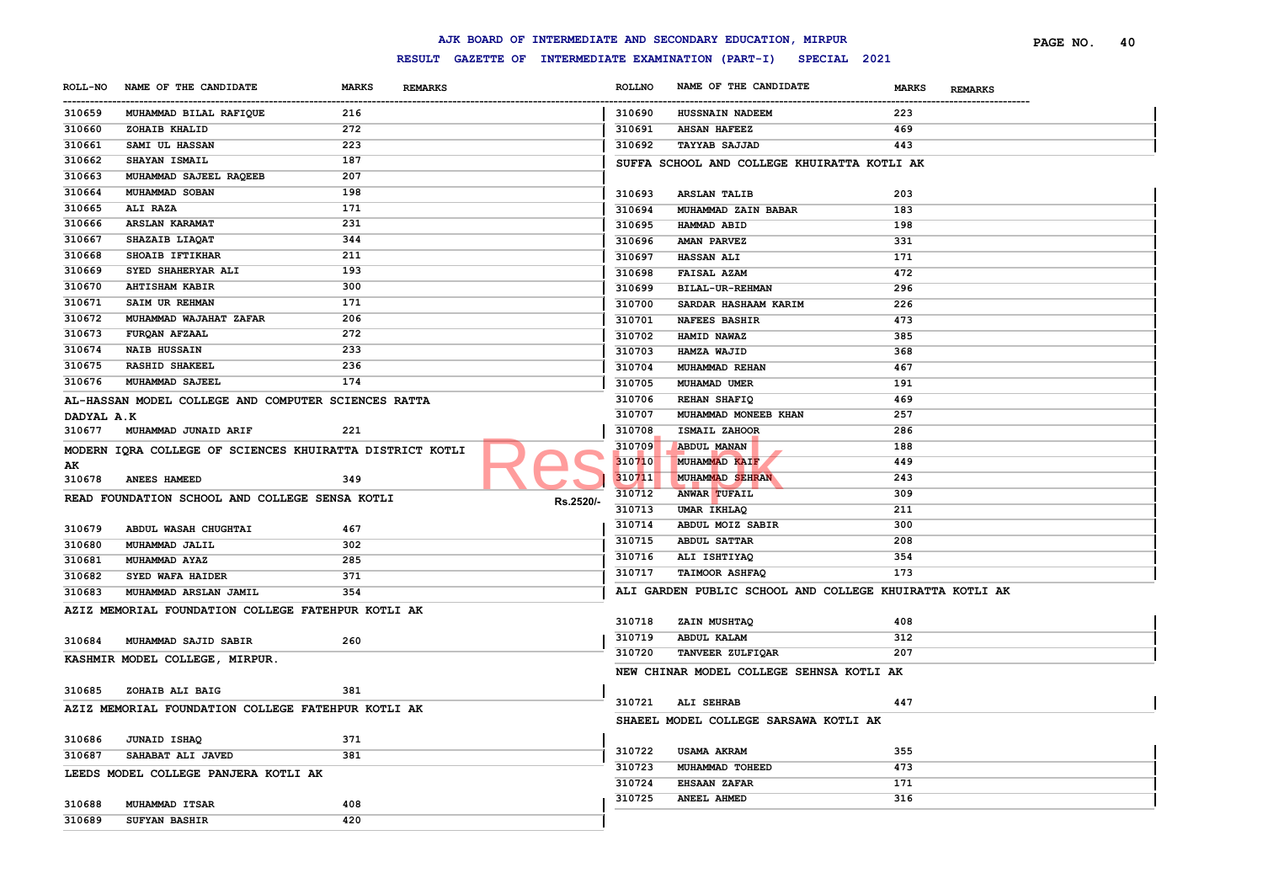|                       |                                                          |                             |                |                       | AJK BOARD OF INTERMEDIATE AND SECONDARY EDUCATION, MIRPUR        |                                | PAGE NO. | 40 |
|-----------------------|----------------------------------------------------------|-----------------------------|----------------|-----------------------|------------------------------------------------------------------|--------------------------------|----------|----|
|                       |                                                          |                             |                |                       | RESULT GAZETTE OF INTERMEDIATE EXAMINATION (PART-I) SPECIAL 2021 |                                |          |    |
| <b>ROLL-NO</b>        | NAME OF THE CANDIDATE                                    | <b>MARKS</b>                | <b>REMARKS</b> | <b>ROLLNO</b>         | NAME OF THE CANDIDATE                                            | <b>MARKS</b><br><b>REMARKS</b> |          |    |
| -----------<br>310659 | MUHAMMAD BILAL RAFIQUE                                   | --------------------<br>216 |                | -----------<br>310690 | <b>HUSSNAIN NADEEM</b>                                           | 223                            |          |    |
| 310660                | ZOHAIB KHALID                                            | 272                         |                | 310691                | <b>AHSAN HAFEEZ</b>                                              | 469                            |          |    |
| 310661                | SAMI UL HASSAN                                           | 223                         |                | 310692                | <b>TAYYAB SAJJAD</b>                                             | 443                            |          |    |
| 310662                | SHAYAN ISMAIL                                            | 187                         |                |                       | SUFFA SCHOOL AND COLLEGE KHUIRATTA KOTLI AK                      |                                |          |    |
| 310663                | MUHAMMAD SAJEEL RAQEEB                                   | 207                         |                |                       |                                                                  |                                |          |    |
| 310664                | MUHAMMAD SOBAN                                           | 198                         |                | 310693                | <b>ARSLAN TALIB</b>                                              | 203                            |          |    |
| 310665                | ALI RAZA                                                 | 171                         |                | 310694                | MUHAMMAD ZAIN BABAR                                              | 183                            |          |    |
| 310666                | <b>ARSLAN KARAMAT</b>                                    | 231                         |                | 310695                | HAMMAD ABID                                                      | 198                            |          |    |
| 310667                | SHAZAIB LIAQAT                                           | 344                         |                | 310696                | <b>AMAN PARVEZ</b>                                               | 331                            |          |    |
| 310668                | SHOAIB IFTIKHAR                                          | 211                         |                | 310697                | <b>HASSAN ALI</b>                                                | 171                            |          |    |
| 310669                | SYED SHAHERYAR ALI                                       | 193                         |                | 310698                | <b>FAISAL AZAM</b>                                               | 472                            |          |    |
| 310670                | <b>AHTISHAM KABIR</b>                                    | 300                         |                | 310699                | BILAL-UR-REHMAN                                                  | 296                            |          |    |
| 310671                | SAIM UR REHMAN                                           | 171                         |                | 310700                | SARDAR HASHAAM KARIM                                             | 226                            |          |    |
| 310672                | MUHAMMAD WAJAHAT ZAFAR                                   | 206                         |                | 310701                | <b>NAFEES BASHIR</b>                                             | 473                            |          |    |
| 310673                | <b>FURQAN AFZAAL</b>                                     | 272                         |                | 310702                | HAMID NAWAZ                                                      | 385                            |          |    |
| 310674                | <b>NAIB HUSSAIN</b>                                      | 233                         |                | 310703                | HAMZA WAJID                                                      | 368                            |          |    |
| 310675                | <b>RASHID SHAKEEL</b>                                    | 236                         |                | 310704                | MUHAMMAD REHAN                                                   | 467                            |          |    |
| 310676                | MUHAMMAD SAJEEL                                          | 174                         |                | 310705                | MUHAMAD UMER                                                     | 191                            |          |    |
|                       | AL-HASSAN MODEL COLLEGE AND COMPUTER SCIENCES RATTA      |                             |                | 310706                | REHAN SHAFIQ                                                     | 469                            |          |    |
| DADYAL A.K            |                                                          |                             |                | 310707                | MUHAMMAD MONEEB KHAN                                             | 257                            |          |    |
| 310677                | MUHAMMAD JUNAID ARIF                                     | 221                         |                | 310708                | ISMAIL ZAHOOR                                                    | 286                            |          |    |
|                       | MODERN IORA COLLEGE OF SCIENCES KHUIRATTA DISTRICT KOTLI |                             |                | 310709                | <b>ABDUL MANAN</b>                                               | 188                            |          |    |
| AK                    |                                                          |                             |                | 310710                | MUHAMMAD KAIF                                                    | 449                            |          |    |
| 310678                | <b>ANEES HAMEED</b>                                      | 349                         |                | 310711                | MUHAMMAD SEHRAN                                                  | 243                            |          |    |
|                       | READ FOUNDATION SCHOOL AND COLLEGE SENSA KOTLI           |                             | Rs.2520/-      | 310712                | <b>ANWAR TUFAIL</b>                                              | 309                            |          |    |
|                       |                                                          |                             |                | 310713                | UMAR IKHLAQ                                                      | 211                            |          |    |
| 310679                | ABDUL WASAH CHUGHTAI                                     | 467                         |                | 310714                | ABDUL MOIZ SABIR                                                 | 300                            |          |    |
| 310680                | MUHAMMAD JALIL                                           | 302                         |                | 310715                | <b>ABDUL SATTAR</b>                                              | 208                            |          |    |
| 310681                | <b>MUHAMMAD AYAZ</b>                                     | 285                         |                | 310716                | ALI ISHTIYAQ                                                     | 354                            |          |    |
| 310682                | SYED WAFA HAIDER                                         | 371                         |                | 310717                | <b>TAIMOOR ASHFAQ</b>                                            | 173                            |          |    |
| 310683                | MUHAMMAD ARSLAN JAMIL                                    | 354                         |                |                       | ALI GARDEN PUBLIC SCHOOL AND COLLEGE KHUIRATTA KOTLI AK          |                                |          |    |
|                       | AZIZ MEMORIAL FOUNDATION COLLEGE FATEHPUR KOTLI AK       |                             |                |                       |                                                                  |                                |          |    |
|                       |                                                          |                             |                | 310718                | ZAIN MUSHTAQ                                                     | 408                            |          |    |
| 310684                | MUHAMMAD SAJID SABIR                                     | 260                         |                | 310719                | ABDUL KALAM                                                      | 312                            |          |    |
|                       | KASHMIR MODEL COLLEGE, MIRPUR.                           |                             |                | 310720                | <b>TANVEER ZULFIQAR</b>                                          | 207                            |          |    |
|                       |                                                          |                             |                |                       | NEW CHINAR MODEL COLLEGE SEHNSA KOTLI AK                         |                                |          |    |
| 310685                | ZOHAIB ALI BAIG                                          | 381                         |                |                       |                                                                  |                                |          |    |
|                       | AZIZ MEMORIAL FOUNDATION COLLEGE FATEHPUR KOTLI AK       |                             |                |                       | 310721 ALI SEHRAB                                                | 447                            |          |    |
|                       |                                                          |                             |                |                       | SHAEEL MODEL COLLEGE SARSAWA KOTLI AK                            |                                |          |    |
| 310686                | <b>JUNAID ISHAQ</b>                                      | 371                         |                |                       |                                                                  |                                |          |    |
| 310687                | SAHABAT ALI JAVED                                        | 381                         |                | 310722                | USAMA AKRAM                                                      | 355                            |          |    |
|                       | LEEDS MODEL COLLEGE PANJERA KOTLI AK                     |                             |                | 310723                | MUHAMMAD TOHEED                                                  | 473                            |          |    |
|                       |                                                          |                             |                | 310724                | <b>EHSAAN ZAFAR</b>                                              | 171                            |          |    |
| 310688                | MUHAMMAD ITSAR                                           | 408                         |                | 310725                | <b>ANEEL AHMED</b>                                               | 316                            |          |    |
| 310689                | <b>SUFYAN BASHIR</b>                                     | 420                         |                |                       |                                                                  |                                |          |    |
|                       |                                                          |                             |                |                       |                                                                  |                                |          |    |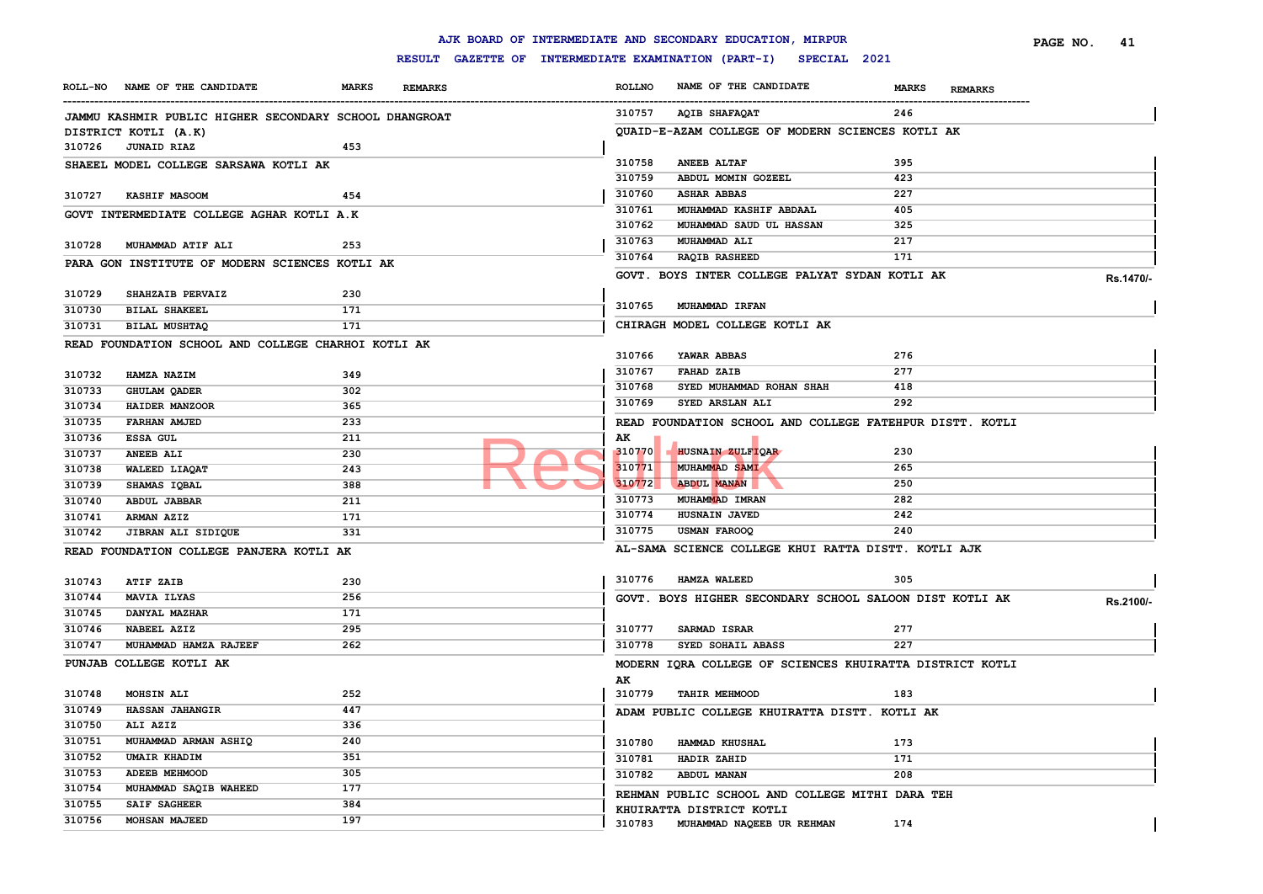|        |                                                        |              |                |               | AJK BOARD OF INTERMEDIATE AND SECONDARY EDUCATION, MIRPUR        |                                | PAGE NO.<br>41 |
|--------|--------------------------------------------------------|--------------|----------------|---------------|------------------------------------------------------------------|--------------------------------|----------------|
|        |                                                        |              |                |               | RESULT GAZETTE OF INTERMEDIATE EXAMINATION (PART-I) SPECIAL 2021 |                                |                |
|        | ROLL-NO NAME OF THE CANDIDATE                          | <b>MARKS</b> | <b>REMARKS</b> | <b>ROLLNO</b> | NAME OF THE CANDIDATE                                            | <b>MARKS</b><br><b>REMARKS</b> |                |
|        | JAMMU KASHMIR PUBLIC HIGHER SECONDARY SCHOOL DHANGROAT |              |                | 310757        | AQIB SHAFAQAT                                                    | 246                            |                |
|        | DISTRICT KOTLI (A.K)                                   |              |                |               | OUAID-E-AZAM COLLEGE OF MODERN SCIENCES KOTLI AK                 |                                |                |
| 310726 | <b>JUNAID RIAZ</b>                                     | 453          |                |               |                                                                  |                                |                |
|        | SHAEEL MODEL COLLEGE SARSAWA KOTLI AK                  |              |                | 310758        | <b>ANEEB ALTAF</b>                                               | 395                            |                |
|        |                                                        |              |                | 310759        | ABDUL MOMIN GOZEEL                                               | 423                            |                |
| 310727 | <b>KASHIF MASOOM</b>                                   | 454          |                | 310760        | <b>ASHAR ABBAS</b>                                               | 227                            |                |
|        | GOVT INTERMEDIATE COLLEGE AGHAR KOTLI A.K              |              |                | 310761        | MUHAMMAD KASHIF ABDAAL                                           | 405                            |                |
|        |                                                        |              |                | 310762        | MUHAMMAD SAUD UL HASSAN                                          | 325                            |                |
| 310728 | MUHAMMAD ATIF ALI                                      | 253          |                | 310763        | MUHAMMAD ALI                                                     | 217                            |                |
|        | PARA GON INSTITUTE OF MODERN SCIENCES KOTLI AK         |              |                | 310764        | <b>RAQIB RASHEED</b>                                             | 171                            |                |
|        |                                                        |              |                |               | GOVT. BOYS INTER COLLEGE PALYAT SYDAN KOTLI AK                   |                                | Rs.1470/-      |
| 310729 | SHAHZAIB PERVAIZ                                       | 230          |                |               |                                                                  |                                |                |
| 310730 | <b>BILAL SHAKEEL</b>                                   | 171          |                | 310765        | MUHAMMAD IRFAN                                                   |                                |                |
| 310731 | BILAL MUSHTAQ                                          | 171          |                |               | CHIRAGH MODEL COLLEGE KOTLI AK                                   |                                |                |
|        | READ FOUNDATION SCHOOL AND COLLEGE CHARHOI KOTLI AK    |              |                |               |                                                                  |                                |                |
|        |                                                        |              |                | 310766        | YAWAR ABBAS                                                      | 276                            |                |
| 310732 | HAMZA NAZIM                                            | 349          |                | 310767        | <b>FAHAD ZAIB</b>                                                | 277                            |                |
| 310733 | <b>GHULAM QADER</b>                                    | 302          |                | 310768        | SYED MUHAMMAD ROHAN SHAH                                         | 418                            |                |
| 310734 | HAIDER MANZOOR                                         | 365          |                | 310769        | SYED ARSLAN ALI                                                  | 292                            |                |
| 310735 | <b>FARHAN AMJED</b>                                    | 233          |                |               | READ FOUNDATION SCHOOL AND COLLEGE FATEHPUR DISTT. KOTLI         |                                |                |
| 310736 | ESSA GUL                                               | 211          |                | AK            |                                                                  |                                |                |
| 310737 | <b>ANEEB ALI</b>                                       | 230          |                | 310770        | HUSNAIN ZULFIOAR                                                 | 230                            |                |
| 310738 | WALEED LIAQAT                                          | 243          |                | 310771        | <b>MUHAMMAD SAMI</b>                                             | 265                            |                |
| 310739 | SHAMAS IQBAL                                           | 388          |                | 310772        | <b>ABDUL MANAN</b>                                               | 250                            |                |
| 310740 | ABDUL JABBAR                                           | 211          |                | 310773        | MUHAMMAD IMRAN                                                   | 282                            |                |
| 310741 | ARMAN AZIZ                                             | 171          |                | 310774        | HUSNAIN JAVED                                                    | 242                            |                |
| 310742 | JIBRAN ALI SIDIQUE                                     | 331          |                | 310775        | <b>USMAN FAROOQ</b>                                              | 240                            |                |
|        | READ FOUNDATION COLLEGE PANJERA KOTLI AK               |              |                |               | AL-SAMA SCIENCE COLLEGE KHUI RATTA DISTT. KOTLI AJK              |                                |                |
| 310743 | <b>ATIF ZAIB</b>                                       | 230          |                | 310776        | <b>HAMZA WALEED</b>                                              | 305                            |                |
| 310744 | <b>MAVIA ILYAS</b>                                     | 256          |                |               | GOVT. BOYS HIGHER SECONDARY SCHOOL SALOON DIST KOTLI AK          |                                | Rs.2100/-      |
| 310745 | DANYAL MAZHAR                                          | 171          |                |               |                                                                  |                                |                |
| 310746 | NABEEL AZIZ                                            | 295          |                | 310777        | SARMAD ISRAR                                                     | 277                            |                |
| 310747 | MUHAMMAD HAMZA RAJEEF                                  | 262          |                | 310778        | SYED SOHAIL ABASS                                                | 227                            |                |
|        | PUNJAB COLLEGE KOTLI AK                                |              |                |               | MODERN IQRA COLLEGE OF SCIENCES KHUIRATTA DISTRICT KOTLI         |                                |                |
|        |                                                        |              |                | AK            |                                                                  |                                |                |
| 310748 | <b>MOHSIN ALI</b>                                      | 252          |                |               | 310779 TAHIR MEHMOOD                                             | 183                            |                |
| 310749 | <b>HASSAN JAHANGIR</b>                                 | 447          |                |               | ADAM PUBLIC COLLEGE KHUIRATTA DISTT. KOTLI AK                    |                                |                |
| 310750 | ALI AZIZ                                               | 336          |                |               |                                                                  |                                |                |
| 310751 | MUHAMMAD ARMAN ASHIQ                                   | 240          |                | 310780        | HAMMAD KHUSHAL                                                   | 173                            |                |
| 310752 | <b>UMAIR KHADIM</b>                                    | 351          |                | 310781        | HADIR ZAHID                                                      | 171                            |                |
| 310753 | ADEEB MEHMOOD                                          | 305          |                | 310782        | ABDUL MANAN                                                      | 208                            |                |
| 310754 | MUHAMMAD SAQIB WAHEED                                  | 177          |                |               |                                                                  |                                |                |
| 310755 | SAIF SAGHEER                                           | 384          |                |               | REHMAN PUBLIC SCHOOL AND COLLEGE MITHI DARA TEH                  |                                |                |
| 310756 | <b>MOHSAN MAJEED</b>                                   | 197          |                | 310783        | KHUIRATTA DISTRICT KOTLI<br>MUHAMMAD NAQEEB UR REHMAN            | 174                            |                |
|        |                                                        |              |                |               |                                                                  |                                |                |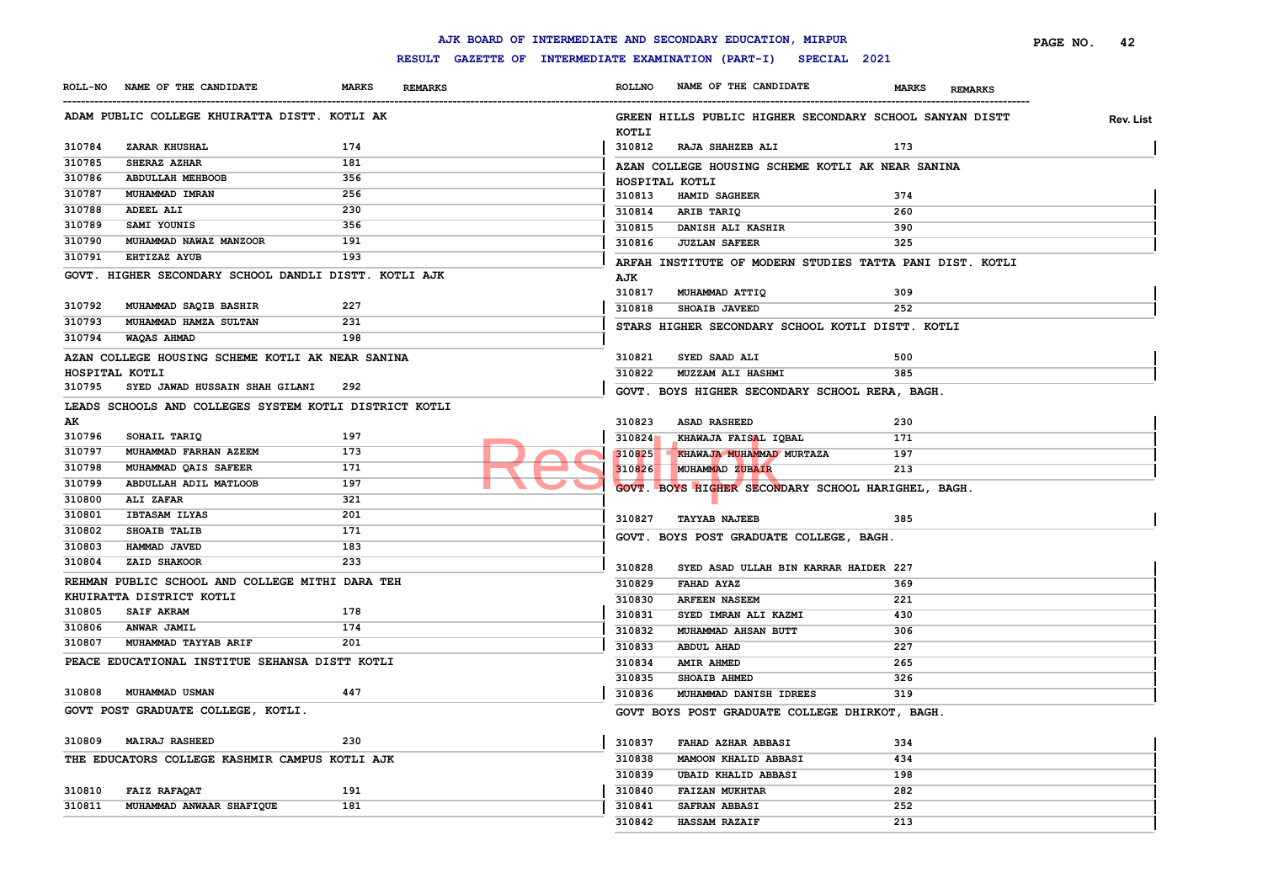|                          |                                                        |              |                |               | AJK BOARD OF INTERMEDIATE AND SECONDARY EDUCATION, MIRPUR        |                                | PAGE NO. | 42        |
|--------------------------|--------------------------------------------------------|--------------|----------------|---------------|------------------------------------------------------------------|--------------------------------|----------|-----------|
|                          |                                                        |              |                |               | RESULT GAZETTE OF INTERMEDIATE EXAMINATION (PART-I) SPECIAL 2021 |                                |          |           |
|                          | ROLL-NO NAME OF THE CANDIDATE                          | <b>MARKS</b> | <b>REMARKS</b> | <b>ROLLNO</b> | NAME OF THE CANDIDATE                                            | <b>MARKS</b><br><b>REMARKS</b> |          |           |
|                          | ADAM PUBLIC COLLEGE KHUIRATTA DISTT. KOTLI AK          |              |                | KOTLI         | GREEN HILLS PUBLIC HIGHER SECONDARY SCHOOL SANYAN DISTT          |                                |          | Rev. List |
| 310784                   | <b>ZARAR KHUSHAL</b>                                   | 174          |                | 310812        | RAJA SHAHZEB ALI                                                 | 173                            |          |           |
| 310785                   | SHERAZ AZHAR                                           | 181          |                |               | AZAN COLLEGE HOUSING SCHEME KOTLI AK NEAR SANINA                 |                                |          |           |
| 310786                   | <b>ABDULLAH MEHBOOB</b>                                | 356          |                |               | HOSPITAL KOTLI                                                   |                                |          |           |
| 310787                   | MUHAMMAD IMRAN                                         | 256          |                | 310813        | HAMID SAGHEER                                                    | 374                            |          |           |
| 310788                   | <b>ADEEL ALI</b>                                       | 230          |                | 310814        | ARIB TARIQ                                                       | 260                            |          |           |
| 310789                   | SAMI YOUNIS                                            | 356          |                | 310815        | DANISH ALI KASHIR                                                | 390                            |          |           |
| 310790                   | MUHAMMAD NAWAZ MANZOOR                                 | 191          |                | 310816        | <b>JUZLAN SAFEER</b>                                             | 325                            |          |           |
| 310791                   | <b>EHTIZAZ AYUB</b>                                    | 193          |                |               |                                                                  |                                |          |           |
|                          | GOVT. HIGHER SECONDARY SCHOOL DANDLI DISTT. KOTLI AJK  |              |                |               | ARFAH INSTITUTE OF MODERN STUDIES TATTA PANI DIST. KOTLI         |                                |          |           |
|                          |                                                        |              |                | AJK<br>310817 | MUHAMMAD ATTIQ                                                   | 309                            |          |           |
| 310792                   | MUHAMMAD SAQIB BASHIR                                  | 227          |                | 310818        | <b>SHOAIB JAVEED</b>                                             | 252                            |          |           |
| 310793                   | MUHAMMAD HAMZA SULTAN                                  | 231          |                |               |                                                                  |                                |          |           |
| 310794                   | <b>WAQAS AHMAD</b>                                     | 198          |                |               | STARS HIGHER SECONDARY SCHOOL KOTLI DISTT. KOTLI                 |                                |          |           |
|                          |                                                        |              |                |               |                                                                  |                                |          |           |
|                          | AZAN COLLEGE HOUSING SCHEME KOTLI AK NEAR SANINA       |              |                | 310821        | SYED SAAD ALI                                                    | 500                            |          |           |
| HOSPITAL KOTLI<br>310795 | SYED JAWAD HUSSAIN SHAH GILANI                         | 292          |                | 310822        | MUZZAM ALI HASHMI                                                | 385                            |          |           |
|                          |                                                        |              |                |               | GOVT. BOYS HIGHER SECONDARY SCHOOL RERA, BAGH.                   |                                |          |           |
|                          | LEADS SCHOOLS AND COLLEGES SYSTEM KOTLI DISTRICT KOTLI |              |                |               |                                                                  |                                |          |           |
| AK                       |                                                        |              |                | 310823        | <b>ASAD RASHEED</b>                                              | 230                            |          |           |
| 310796                   | SOHAIL TARIQ                                           | 197          |                | 310824        | KHAWAJA FAISAL IQBAL                                             | 171                            |          |           |
| 310797                   | MUHAMMAD FARHAN AZEEM                                  | 173          |                | 310825        | KHAWAJA MUHAMMAD MURTAZA                                         | 197                            |          |           |
| 310798                   | MUHAMMAD QAIS SAFEER                                   | 171          |                | 310826        | MUHAMMAD ZUBAIR                                                  | 213                            |          |           |
| 310799                   | ABDULLAH ADIL MATLOOB                                  | 197          |                |               | GOVT. BOYS HIGHER SECONDARY SCHOOL HARIGHEL, BAGH.               |                                |          |           |
| 310800                   | <b>ALI ZAFAR</b>                                       | 321          |                |               |                                                                  |                                |          |           |
| 310801                   | <b>IBTASAM ILYAS</b>                                   | 201          |                | 310827        | <b>TAYYAB NAJEEB</b>                                             | 385                            |          |           |
| 310802                   | SHOAIB TALIB                                           | 171          |                |               | GOVT. BOYS POST GRADUATE COLLEGE, BAGH.                          |                                |          |           |
| 310803                   | HAMMAD JAVED                                           | 183          |                |               |                                                                  |                                |          |           |
| 310804                   | ZAID SHAKOOR                                           | 233          |                | 310828        | SYED ASAD ULLAH BIN KARRAR HAIDER 227                            |                                |          |           |
|                          | REHMAN PUBLIC SCHOOL AND COLLEGE MITHI DARA TEH        |              |                | 310829        | <b>FAHAD AYAZ</b>                                                | 369                            |          |           |
|                          | KHUIRATTA DISTRICT KOTLI                               |              |                | 310830        | <b>ARFEEN NASEEM</b>                                             | 221                            |          |           |
| 310805                   | <b>SAIF AKRAM</b>                                      | 178          |                | 310831        | SYED IMRAN ALI KAZMI                                             | 430                            |          |           |
| 310806                   | ANWAR JAMIL                                            | 174          |                | 310832        | MUHAMMAD AHSAN BUTT                                              | 306                            |          |           |
| 310807                   | MUHAMMAD TAYYAB ARIF                                   | 201          |                | 310833        | <b>ABDUL AHAD</b>                                                | 227                            |          |           |
|                          | PEACE EDUCATIONAL INSTITUE SEHANSA DISTT KOTLI         |              |                | 310834        | <b>AMIR AHMED</b>                                                | 265                            |          |           |
|                          |                                                        |              |                | 310835        | <b>SHOAIB AHMED</b>                                              | 326                            |          |           |
|                          | 310808 MUHAMMAD USMAN                                  | 447          |                | 310836        | MUHAMMAD DANISH IDREES                                           | 319                            |          |           |
|                          | GOVT POST GRADUATE COLLEGE, KOTLI.                     |              |                |               | GOVT BOYS POST GRADUATE COLLEGE DHIRKOT, BAGH.                   |                                |          |           |
| 310809                   | <b>MAIRAJ RASHEED</b>                                  | 230          |                | 310837        | FAHAD AZHAR ABBASI                                               | 334                            |          |           |
|                          | THE EDUCATORS COLLEGE KASHMIR CAMPUS KOTLI AJK         |              |                | 310838        | <b>MAMOON KHALID ABBASI</b>                                      | 434                            |          |           |
|                          |                                                        |              |                | 310839        | <b>UBAID KHALID ABBASI</b>                                       | 198                            |          |           |
| 310810                   | FAIZ RAFAQAT                                           | 191          |                | 310840        | <b>FAIZAN MUKHTAR</b>                                            | 282                            |          |           |
| 310811                   | MUHAMMAD ANWAAR SHAFIQUE                               | 181          |                | 310841        | <b>SAFRAN ABBASI</b>                                             | 252                            |          |           |
|                          |                                                        |              |                | 310842        | <b>HASSAM RAZAIF</b>                                             | 213                            |          |           |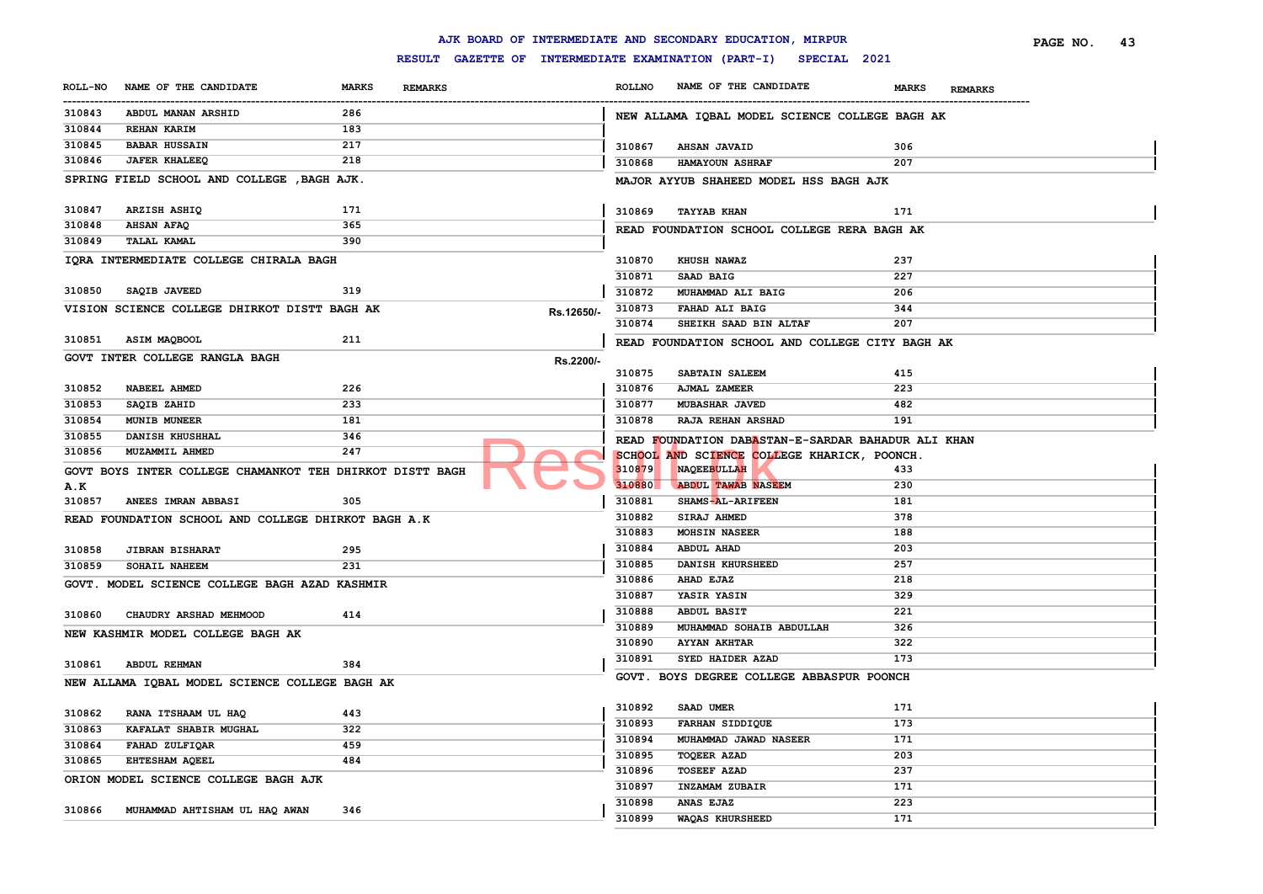|                |                                                          |              |                |                                                     |               | AJK BOARD OF INTERMEDIATE AND SECONDARY EDUCATION, MIRPUR |                                | 43<br>PAGE NO. |
|----------------|----------------------------------------------------------|--------------|----------------|-----------------------------------------------------|---------------|-----------------------------------------------------------|--------------------------------|----------------|
|                |                                                          |              |                | RESULT GAZETTE OF INTERMEDIATE EXAMINATION (PART-I) |               | SPECIAL 2021                                              |                                |                |
| <b>ROLL-NO</b> | NAME OF THE CANDIDATE                                    | <b>MARKS</b> | <b>REMARKS</b> |                                                     | <b>ROLLNO</b> | NAME OF THE CANDIDATE                                     | <b>MARKS</b><br><b>REMARKS</b> |                |
| 310843         | ABDUL MANAN ARSHID                                       | 286          |                |                                                     |               | NEW ALLAMA IQBAL MODEL SCIENCE COLLEGE BAGH AK            |                                |                |
| 310844         | <b>REHAN KARIM</b>                                       | 183          |                |                                                     |               |                                                           |                                |                |
| 310845         | <b>BABAR HUSSAIN</b>                                     | 217          |                |                                                     | 310867        | <b>AHSAN JAVAID</b>                                       | 306                            |                |
| 310846         | <b>JAFER KHALEEQ</b>                                     | 218          |                |                                                     | 310868        | HAMAYOUN ASHRAF                                           | 207                            |                |
|                | SPRING FIELD SCHOOL AND COLLEGE , BAGH AJK.              |              |                |                                                     |               | MAJOR AYYUB SHAHEED MODEL HSS BAGH AJK                    |                                |                |
|                |                                                          |              |                |                                                     |               |                                                           |                                |                |
| 310847         | ARZISH ASHIQ                                             | 171          |                |                                                     | 310869        | <b>TAYYAB KHAN</b>                                        | 171                            |                |
| 310848         | <b>AHSAN AFAQ</b>                                        | 365          |                |                                                     |               | READ FOUNDATION SCHOOL COLLEGE RERA BAGH AK               |                                |                |
| 310849         | <b>TALAL KAMAL</b>                                       | 390          |                |                                                     |               |                                                           |                                |                |
|                | IQRA INTERMEDIATE COLLEGE CHIRALA BAGH                   |              |                |                                                     | 310870        | KHUSH NAWAZ                                               | 237                            |                |
|                |                                                          |              |                |                                                     | 310871        | SAAD BAIG                                                 | 227                            |                |
| 310850         | SAQIB JAVEED                                             | 319          |                |                                                     | 310872        | MUHAMMAD ALI BAIG                                         | 206                            |                |
|                | VISION SCIENCE COLLEGE DHIRKOT DISTT BAGH AK             |              |                | Rs.12650/-                                          | 310873        | FAHAD ALI BAIG                                            | 344                            |                |
|                |                                                          |              |                |                                                     | 310874        | SHEIKH SAAD BIN ALTAF                                     | 207                            |                |
| 310851         | ASIM MAQBOOL                                             | 211          |                |                                                     |               | READ FOUNDATION SCHOOL AND COLLEGE CITY BAGH AK           |                                |                |
|                | GOVT INTER COLLEGE RANGLA BAGH                           |              |                | Rs.2200/-                                           |               |                                                           |                                |                |
|                |                                                          |              |                |                                                     | 310875        | SABTAIN SALEEM                                            | 415                            |                |
| 310852         | <b>NABEEL AHMED</b>                                      | 226          |                |                                                     | 310876        | AJMAL ZAMEER                                              | 223                            |                |
| 310853         | SAQIB ZAHID                                              | 233          |                |                                                     | 310877        | MUBASHAR JAVED                                            | 482                            |                |
| 310854         | <b>MUNIB MUNEER</b>                                      | 181          |                |                                                     | 310878        | <b>RAJA REHAN ARSHAD</b>                                  | 191                            |                |
| 310855         | DANISH KHUSHHAL                                          | 346          |                |                                                     |               | READ FOUNDATION DABASTAN-E-SARDAR BAHADUR ALI KHAN        |                                |                |
| 310856         | MUZAMMIL AHMED                                           | 247          |                |                                                     |               | SCHOOL AND SCIENCE COLLEGE KHARICK, POONCH                |                                |                |
|                | GOVT BOYS INTER COLLEGE CHAMANKOT TEH DHIRKOT DISTT BAGH |              |                |                                                     | 310879        | NAQEEBULLAH                                               | 433                            |                |
| <b>A.K</b>     |                                                          |              |                |                                                     | 310880        | <b>ABDUL TAWAB NASEEM</b>                                 | 230                            |                |
| 310857         | ANEES IMRAN ABBASI                                       | 305          |                |                                                     | 310881        | SHAMS-AL-ARIFEEN                                          | 181                            |                |
|                | READ FOUNDATION SCHOOL AND COLLEGE DHIRKOT BAGH A.K      |              |                |                                                     | 310882        | SIRAJ AHMED                                               | 378                            |                |
|                |                                                          |              |                |                                                     | 310883        | <b>MOHSIN NASEER</b>                                      | 188                            |                |
| 310858         | <b>JIBRAN BISHARAT</b>                                   | 295          |                |                                                     | 310884        | <b>ABDUL AHAD</b>                                         | 203                            |                |
| 310859         | SOHAIL NAHEEM                                            | 231          |                |                                                     | 310885        | DANISH KHURSHEED                                          | 257                            |                |
|                | GOVT. MODEL SCIENCE COLLEGE BAGH AZAD KASHMIR            |              |                |                                                     | 310886        | AHAD EJAZ                                                 | 218                            |                |
|                |                                                          |              |                |                                                     | 310887        | YASIR YASIN                                               | 329                            |                |
| 310860         | CHAUDRY ARSHAD MEHMOOD                                   | 414          |                |                                                     | 310888        | <b>ABDUL BASIT</b>                                        | 221                            |                |
|                | NEW KASHMIR MODEL COLLEGE BAGH AK                        |              |                |                                                     | 310889        | MUHAMMAD SOHAIB ABDULLAH                                  | 326                            |                |
|                |                                                          |              |                |                                                     | 310890        | <b>AYYAN AKHTAR</b>                                       | 322                            |                |
| 310861         | <b>ABDUL REHMAN</b>                                      | 384          |                |                                                     | 310891        | SYED HAIDER AZAD                                          | 173                            |                |
|                | NEW ALLAMA IQBAL MODEL SCIENCE COLLEGE BAGH AK           |              |                |                                                     |               | GOVT. BOYS DEGREE COLLEGE ABBASPUR POONCH                 |                                |                |
|                |                                                          |              |                |                                                     |               |                                                           |                                |                |
| 310862         | RANA ITSHAAM UL HAQ                                      | 443          |                |                                                     | 310892        | SAAD UMER                                                 | 171                            |                |
| 310863         | KAFALAT SHABIR MUGHAL                                    | 322          |                |                                                     | 310893        | <b>FARHAN SIDDIQUE</b>                                    | 173                            |                |
| 310864         | FAHAD ZULFIQAR                                           | 459          |                |                                                     | 310894        | MUHAMMAD JAWAD NASEER                                     | 171                            |                |
| 310865         | EHTESHAM AQEEL                                           | 484          |                |                                                     | 310895        | <b>TOQEER AZAD</b>                                        | 203                            |                |
|                | ORION MODEL SCIENCE COLLEGE BAGH AJK                     |              |                |                                                     | 310896        | <b>TOSEEF AZAD</b>                                        | 237                            |                |
|                |                                                          |              |                |                                                     | 310897        | INZAMAM ZUBAIR                                            | 171                            |                |
| 310866         | MUHAMMAD AHTISHAM UL HAQ AWAN                            | 346          |                |                                                     | 310898        | ANAS EJAZ                                                 | 223                            |                |
|                |                                                          |              |                |                                                     | 310899        | <b>WAQAS KHURSHEED</b>                                    | 171                            |                |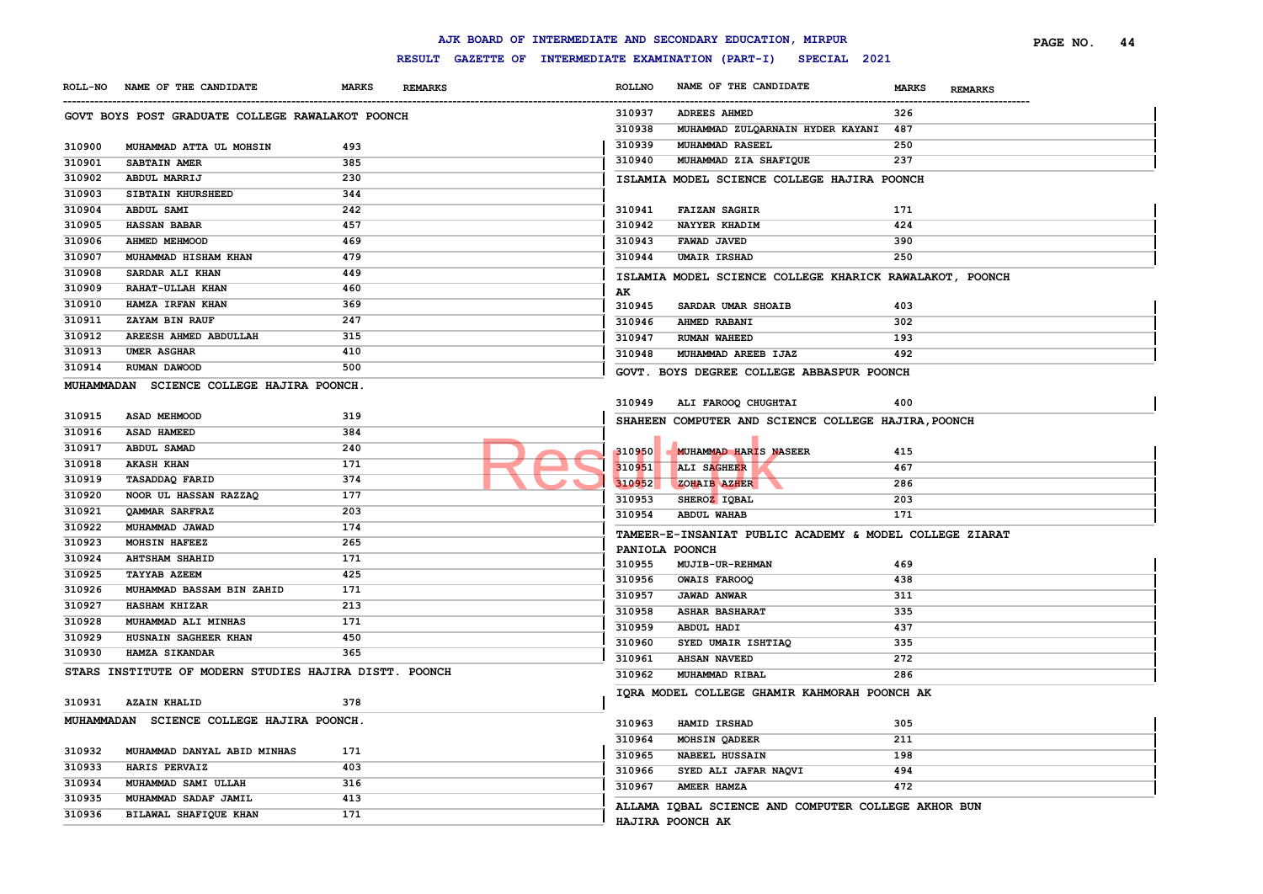|                |                                                        |                                | AJK BOARD OF INTERMEDIATE AND SECONDARY EDUCATION, MIRPUR        | 44<br>PAGE NO. |
|----------------|--------------------------------------------------------|--------------------------------|------------------------------------------------------------------|----------------|
|                |                                                        |                                | RESULT GAZETTE OF INTERMEDIATE EXAMINATION (PART-I) SPECIAL 2021 |                |
| <b>ROLL-NO</b> | NAME OF THE CANDIDATE                                  | <b>MARKS</b><br><b>REMARKS</b> | <b>ROLLNO</b><br>NAME OF THE CANDIDATE<br><b>MARKS</b>           | <b>REMARKS</b> |
|                | GOVT BOYS POST GRADUATE COLLEGE RAWALAKOT POONCH       |                                | 310937<br><b>ADREES AHMED</b><br>326                             |                |
|                |                                                        |                                | 310938<br>MUHAMMAD ZULQARNAIN HYDER KAYANI 487                   |                |
| 310900         | MUHAMMAD ATTA UL MOHSIN                                | 493                            | 310939<br><b>MUHAMMAD RASEEL</b><br>250                          |                |
| 310901         | SABTAIN AMER                                           | 385                            | 237<br>310940<br>MUHAMMAD ZIA SHAFIQUE                           |                |
| 310902         | ABDUL MARRIJ                                           | 230                            | ISLAMIA MODEL SCIENCE COLLEGE HAJIRA POONCH                      |                |
| 310903         | SIBTAIN KHURSHEED                                      | 344                            |                                                                  |                |
| 310904         | <b>ABDUL SAMI</b>                                      | 242                            | 310941<br><b>FAIZAN SAGHIR</b><br>171                            |                |
| 310905         | <b>HASSAN BABAR</b>                                    | 457                            | 310942<br>NAYYER KHADIM<br>424                                   |                |
| 310906         | AHMED MEHMOOD                                          | 469                            | 310943<br>FAWAD JAVED<br>390                                     |                |
| 310907         | MUHAMMAD HISHAM KHAN                                   | 479                            | 310944<br><b>UMAIR IRSHAD</b><br>250                             |                |
| 310908         | SARDAR ALI KHAN                                        | 449                            | ISLAMIA MODEL SCIENCE COLLEGE KHARICK RAWALAKOT, POONCH          |                |
| 310909         | RAHAT-ULLAH KHAN                                       | 460                            | AK                                                               |                |
| 310910         | HAMZA IRFAN KHAN                                       | 369                            | 310945<br>SARDAR UMAR SHOAIB<br>403                              |                |
| 310911         | <b>ZAYAM BIN RAUF</b>                                  | 247                            | 310946<br>AHMED RABANI<br>302                                    |                |
| 310912         | AREESH AHMED ABDULLAH                                  | 315                            | 310947<br>193<br><b>RUMAN WAHEED</b>                             |                |
| 310913         | <b>UMER ASGHAR</b>                                     | 410                            | 492<br>310948<br>MUHAMMAD AREEB IJAZ                             |                |
| 310914         | RUMAN DAWOOD                                           | 500                            | GOVT. BOYS DEGREE COLLEGE ABBASPUR POONCH                        |                |
|                | MUHAMMADAN SCIENCE COLLEGE HAJIRA POONCH.              |                                |                                                                  |                |
|                |                                                        |                                | 310949<br>ALI FAROOQ CHUGHTAI<br>400                             |                |
| 310915         | <b>ASAD MEHMOOD</b>                                    | 319                            | SHAHEEN COMPUTER AND SCIENCE COLLEGE HAJIRA, POONCH              |                |
| 310916         | ASAD HAMEED                                            | 384                            |                                                                  |                |
| 310917         | ABDUL SAMAD                                            | 240                            | 310950<br><b>MUHAMMAD HARIS NASEER</b><br>415                    |                |
| 310918         | <b>AKASH KHAN</b>                                      | 171                            | 310951<br>ALI SAGHEER<br>467                                     |                |
| 310919         | <b>TASADDAQ FARID</b>                                  | 374                            | 310952<br>ZOHAIB AZHER<br>286                                    |                |
| 310920         | NOOR UL HASSAN RAZZAQ                                  | 177                            | 310953<br>203<br>SHEROZ IQBAL                                    |                |
| 310921         | QAMMAR SARFRAZ                                         | 203                            | 171<br>310954<br><b>ABDUL WAHAB</b>                              |                |
| 310922         | MUHAMMAD JAWAD                                         | 174                            | TAMEER-E-INSANIAT PUBLIC ACADEMY & MODEL COLLEGE ZIARAT          |                |
| 310923         | MOHSIN HAFEEZ                                          | 265                            | PANIOLA POONCH                                                   |                |
| 310924         | <b>AHTSHAM SHAHID</b>                                  | 171                            | 310955<br><b>MUJIB-UR-REHMAN</b><br>469                          |                |
| 310925         | <b>TAYYAB AZEEM</b>                                    | 425                            | 310956<br><b>OWAIS FAROOQ</b><br>438                             |                |
| 310926         | MUHAMMAD BASSAM BIN ZAHID                              | 171                            | 310957<br><b>JAWAD ANWAR</b><br>311                              |                |
| 310927         | <b>HASHAM KHIZAR</b>                                   | 213                            | 310958<br>335<br><b>ASHAR BASHARAT</b>                           |                |
| 310928         | MUHAMMAD ALI MINHAS                                    | 171                            | 310959<br>437<br>ABDUL HADI                                      |                |
| 310929         | HUSNAIN SAGHEER KHAN                                   | 450                            | 310960<br>335<br>SYED UMAIR ISHTIAQ                              |                |
| 310930         | HAMZA SIKANDAR                                         | 365                            | 310961<br>272<br><b>AHSAN NAVEED</b>                             |                |
|                | STARS INSTITUTE OF MODERN STUDIES HAJIRA DISTT. POONCH |                                | 310962<br>286<br>MUHAMMAD RIBAL                                  |                |
|                |                                                        |                                | IQRA MODEL COLLEGE GHAMIR KAHMORAH POONCH AK                     |                |
| 310931         | <b>AZAIN KHALID</b>                                    | 378                            |                                                                  |                |
|                | MUHAMMADAN SCIENCE COLLEGE HAJIRA POONCH.              |                                | 310963<br>305<br>HAMID IRSHAD                                    |                |
|                |                                                        |                                | 310964<br>MOHSIN QADEER<br>211                                   |                |
|                |                                                        |                                |                                                                  |                |
| 310932         | MUHAMMAD DANYAL ABID MINHAS                            | 171                            | 310965<br><b>NABEEL HUSSAIN</b><br>198                           |                |
| 310933         | HARIS PERVAIZ                                          | 403                            | 310966<br>SYED ALI JAFAR NAQVI<br>494                            |                |
| 310934         | MUHAMMAD SAMI ULLAH                                    | 316                            | 310967<br>AMEER HAMZA<br>472                                     |                |
| 310935         | MUHAMMAD SADAF JAMIL                                   | 413                            | ALLAMA IQBAL SCIENCE AND COMPUTER COLLEGE AKHOR BUN              |                |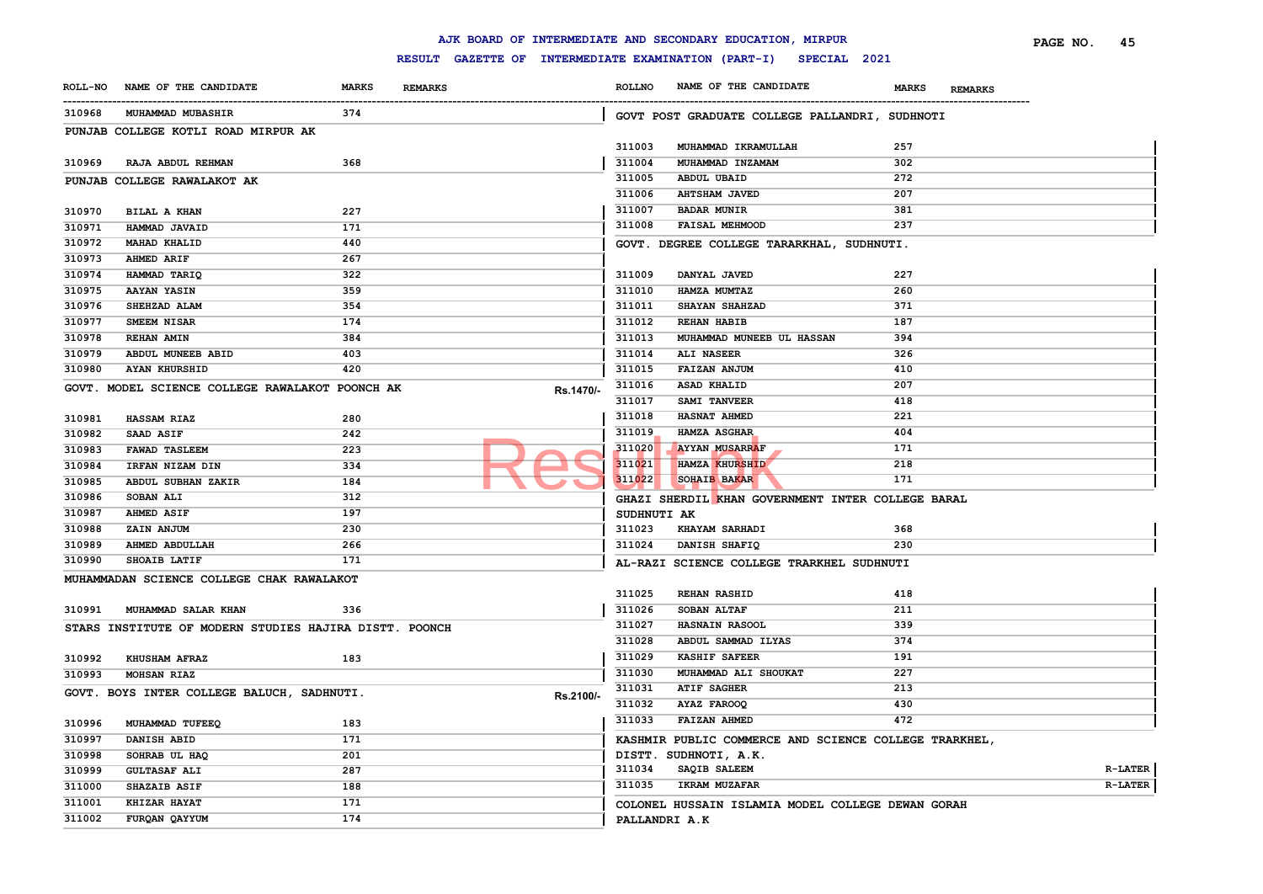|        |                                                        |              |                |           |               | AJK BOARD OF INTERMEDIATE AND SECONDARY EDUCATION, MIRPUR        |                                | 45<br>PAGE NO. |
|--------|--------------------------------------------------------|--------------|----------------|-----------|---------------|------------------------------------------------------------------|--------------------------------|----------------|
|        |                                                        |              |                |           |               | RESULT GAZETTE OF INTERMEDIATE EXAMINATION (PART-I) SPECIAL 2021 |                                |                |
|        | ROLL-NO NAME OF THE CANDIDATE                          | <b>MARKS</b> | <b>REMARKS</b> |           | <b>ROLLNO</b> | NAME OF THE CANDIDATE                                            | <b>MARKS</b><br><b>REMARKS</b> |                |
| 310968 | <b>MUHAMMAD MUBASHIR</b>                               | 374          |                |           |               | GOVT POST GRADUATE COLLEGE PALLANDRI, SUDHNOTI                   |                                |                |
|        | PUNJAB COLLEGE KOTLI ROAD MIRPUR AK                    |              |                |           |               |                                                                  |                                |                |
|        |                                                        |              |                |           | 311003        | MUHAMMAD IKRAMULLAH                                              | 257                            |                |
| 310969 | RAJA ABDUL REHMAN                                      | 368          |                |           | 311004        | MUHAMMAD INZAMAM                                                 | 302                            |                |
|        | PUNJAB COLLEGE RAWALAKOT AK                            |              |                |           | 311005        | <b>ABDUL UBAID</b>                                               | 272                            |                |
|        |                                                        |              |                |           | 311006        | <b>AHTSHAM JAVED</b>                                             | 207                            |                |
| 310970 | <b>BILAL A KHAN</b>                                    | 227          |                |           | 311007        | <b>BADAR MUNIR</b>                                               | 381                            |                |
| 310971 | HAMMAD JAVAID                                          | 171          |                |           | 311008        | <b>FAISAL MEHMOOD</b>                                            | 237                            |                |
| 310972 | <b>MAHAD KHALID</b>                                    | 440          |                |           |               | GOVT. DEGREE COLLEGE TARARKHAL, SUDHNUTI.                        |                                |                |
| 310973 | <b>AHMED ARIF</b>                                      | 267          |                |           |               |                                                                  |                                |                |
| 310974 | HAMMAD TARIQ                                           | 322          |                |           | 311009        | DANYAL JAVED                                                     | 227                            |                |
| 310975 | <b>AAYAN YASIN</b>                                     | 359          |                |           | 311010        | HAMZA MUMTAZ                                                     | 260                            |                |
| 310976 | SHEHZAD ALAM                                           | 354          |                |           | 311011        | <b>SHAYAN SHAHZAD</b>                                            | 371                            |                |
| 310977 | SMEEM NISAR                                            | 174          |                |           | 311012        | <b>REHAN HABIB</b>                                               | 187                            |                |
| 310978 | <b>REHAN AMIN</b>                                      | 384          |                |           | 311013        | MUHAMMAD MUNEEB UL HASSAN                                        | 394                            |                |
| 310979 | ABDUL MUNEEB ABID                                      | 403          |                |           | 311014        | ALI NASEER                                                       | 326                            |                |
| 310980 | <b>AYAN KHURSHID</b>                                   | 420          |                |           | 311015        | FAIZAN ANJUM                                                     | 410                            |                |
|        | GOVT. MODEL SCIENCE COLLEGE RAWALAKOT POONCH AK        |              |                | Rs.1470/- | 311016        | ASAD KHALID                                                      | 207                            |                |
|        |                                                        |              |                |           | 311017        | <b>SAMI TANVEER</b>                                              | 418                            |                |
| 310981 | <b>HASSAM RIAZ</b>                                     | 280          |                |           | 311018        | <b>HASNAT AHMED</b>                                              | 221                            |                |
| 310982 | <b>SAAD ASIF</b>                                       | 242          |                |           | 311019        | <b>HAMZA ASGHAR</b>                                              | 404                            |                |
| 310983 | <b>FAWAD TASLEEM</b>                                   | 223          |                |           | 311020        | <b>AYYAN MUSARRAF</b>                                            | 171                            |                |
| 310984 | IRFAN NIZAM DIN                                        | 334          |                |           | 311021        | <b>HAMZA KHURSHID</b>                                            | 218                            |                |
| 310985 | ABDUL SUBHAN ZAKIR                                     | 184          |                |           | 311022        | <b>SOHAIB BAKAR</b>                                              | 171                            |                |
| 310986 | <b>SOBAN ALI</b>                                       | 312          |                |           |               | GHAZI SHERDIL KHAN GOVERNMENT INTER COLLEGE BARAL                |                                |                |
| 310987 | <b>AHMED ASIF</b>                                      | 197          |                |           |               | SUDHNUTI AK                                                      |                                |                |
| 310988 | ZAIN ANJUM                                             | 230          |                |           | 311023        | <b>KHAYAM SARHADI</b>                                            | 368                            |                |
| 310989 | <b>AHMED ABDULLAH</b>                                  | 266          |                |           | 311024        | DANISH SHAFIQ                                                    | 230                            |                |
| 310990 | SHOAIB LATIF                                           | 171          |                |           |               | AL-RAZI SCIENCE COLLEGE TRARKHEL SUDHNUTI                        |                                |                |
|        | MUHAMMADAN SCIENCE COLLEGE CHAK RAWALAKOT              |              |                |           |               |                                                                  |                                |                |
|        |                                                        |              |                |           | 311025        | <b>REHAN RASHID</b>                                              | 418                            |                |
| 310991 | MUHAMMAD SALAR KHAN                                    | 336          |                |           | 311026        | SOBAN ALTAF                                                      | 211                            |                |
|        | STARS INSTITUTE OF MODERN STUDIES HAJIRA DISTT. POONCH |              |                |           | 311027        | <b>HASNAIN RASOOL</b>                                            | 339                            |                |
|        |                                                        |              |                |           | 311028        | ABDUL SAMMAD ILYAS                                               | 374                            |                |
| 310992 | <b>KHUSHAM AFRAZ</b>                                   | 183          |                |           | 311029        | <b>KASHIF SAFEER</b>                                             | 191                            |                |
| 310993 | MOHSAN RIAZ                                            |              |                |           | 311030        | MUHAMMAD ALI SHOUKAT                                             | 227                            |                |
|        | GOVT. BOYS INTER COLLEGE BALUCH, SADHNUTI.             |              |                |           | 311031        | <b>ATIF SAGHER</b>                                               | 213                            |                |
|        |                                                        |              |                | Rs.2100/- | 311032        | AYAZ FAROOQ                                                      | 430                            |                |
| 310996 |                                                        | 183          |                |           | 311033        | <b>FAIZAN AHMED</b>                                              | 472                            |                |
| 310997 | MUHAMMAD TUFEEQ<br>DANISH ABID                         | 171          |                |           |               | KASHMIR PUBLIC COMMERCE AND SCIENCE COLLEGE TRARKHEL,            |                                |                |
|        |                                                        | 201          |                |           |               | DISTT. SUDHNOTI, A.K.                                            |                                |                |
| 310998 | SOHRAB UL HAQ                                          |              |                |           | 311034        | SAQIB SALEEM                                                     |                                | <b>R-LATER</b> |
| 310999 | <b>GULTASAF ALI</b>                                    | 287          |                |           | 311035        | IKRAM MUZAFAR                                                    |                                | <b>R-LATER</b> |
| 311000 | <b>SHAZAIB ASIF</b><br>KHIZAR HAYAT                    | 188          |                |           |               |                                                                  |                                |                |
| 311001 |                                                        | 171          |                |           |               | COLONEL HUSSAIN ISLAMIA MODEL COLLEGE DEWAN GORAH                |                                |                |
| 311002 | FURQAN QAYYUM                                          | 174          |                |           |               | PALLANDRI A.K                                                    |                                |                |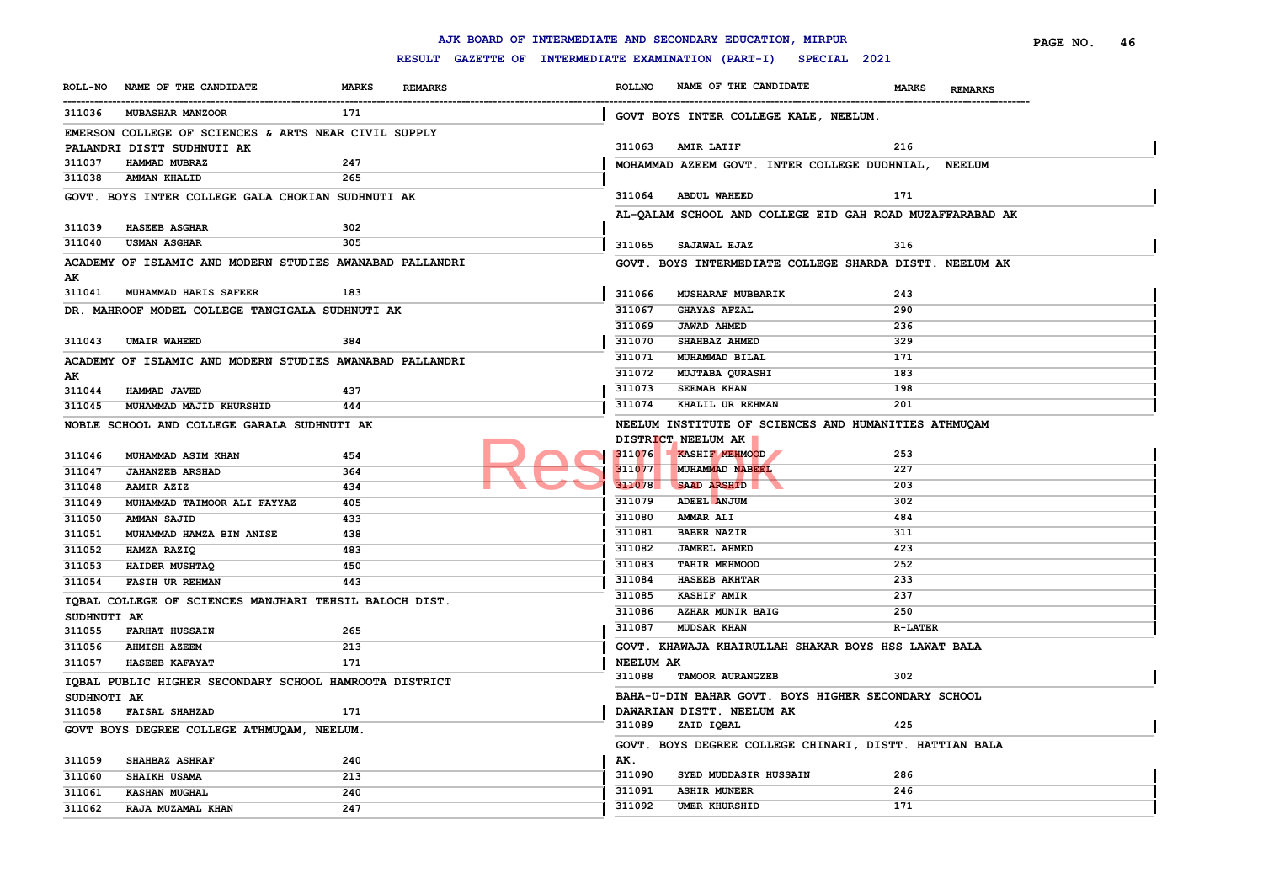|             |                                                          |              |                                                     |                  | AJK BOARD OF INTERMEDIATE AND SECONDARY EDUCATION, MIRPUR |                                | PAGE NO. | 46 |
|-------------|----------------------------------------------------------|--------------|-----------------------------------------------------|------------------|-----------------------------------------------------------|--------------------------------|----------|----|
|             |                                                          |              | RESULT GAZETTE OF INTERMEDIATE EXAMINATION (PART-I) |                  | SPECIAL 2021                                              |                                |          |    |
|             | ROLL-NO NAME OF THE CANDIDATE                            | <b>MARKS</b> | <b>REMARKS</b>                                      | <b>ROLLNO</b>    | NAME OF THE CANDIDATE                                     | <b>MARKS</b><br><b>REMARKS</b> |          |    |
| 311036      | <b>MUBASHAR MANZOOR</b>                                  | 171          |                                                     |                  | GOVT BOYS INTER COLLEGE KALE, NEELUM.                     |                                |          |    |
|             | EMERSON COLLEGE OF SCIENCES & ARTS NEAR CIVIL SUPPLY     |              |                                                     |                  |                                                           |                                |          |    |
|             | PALANDRI DISTT SUDHNUTI AK                               |              |                                                     | 311063           | <b>AMIR LATIF</b>                                         | 216                            |          |    |
| 311037      | HAMMAD MUBRAZ                                            | 247          |                                                     |                  | MOHAMMAD AZEEM GOVT. INTER COLLEGE DUDHNIAL, NEELUM       |                                |          |    |
| 311038      | AMMAN KHALID                                             | 265          |                                                     |                  |                                                           |                                |          |    |
|             | GOVT. BOYS INTER COLLEGE GALA CHOKIAN SUDHNUTI AK        |              |                                                     |                  | 311064 ABDUL WAHEED                                       | 171                            |          |    |
|             |                                                          |              |                                                     |                  | AL-QALAM SCHOOL AND COLLEGE EID GAH ROAD MUZAFFARABAD AK  |                                |          |    |
| 311039      | <b>HASEEB ASGHAR</b>                                     | 302          |                                                     |                  |                                                           |                                |          |    |
| 311040      | <b>USMAN ASGHAR</b>                                      | 305          |                                                     | 311065           | <b>SAJAWAL EJAZ</b>                                       | 316                            |          |    |
|             | ACADEMY OF ISLAMIC AND MODERN STUDIES AWANABAD PALLANDRI |              |                                                     |                  | GOVT. BOYS INTERMEDIATE COLLEGE SHARDA DISTT. NEELUM AK   |                                |          |    |
| AK          |                                                          |              |                                                     |                  |                                                           |                                |          |    |
|             | 311041 MUHAMMAD HARIS SAFEER                             | 183          |                                                     | 311066           | <b>MUSHARAF MUBBARIK</b>                                  | 243                            |          |    |
|             | DR. MAHROOF MODEL COLLEGE TANGIGALA SUDHNUTI AK          |              |                                                     | 311067           | <b>GHAYAS AFZAL</b>                                       | 290                            |          |    |
|             |                                                          |              |                                                     | 311069           | <b>JAWAD AHMED</b>                                        | 236                            |          |    |
| 311043      | <b>UMAIR WAHEED</b>                                      | 384          |                                                     | 311070           | SHAHBAZ AHMED                                             | 329                            |          |    |
|             | ACADEMY OF ISLAMIC AND MODERN STUDIES AWANABAD PALLANDRI |              |                                                     | 311071           | MUHAMMAD BILAL                                            | 171                            |          |    |
| AK          |                                                          |              |                                                     | 311072           | <b>MUJTABA QURASHI</b>                                    | 183                            |          |    |
| 311044      | HAMMAD JAVED                                             | 437          |                                                     | 311073           | <b>SEEMAB KHAN</b>                                        | 198                            |          |    |
| 311045      | MUHAMMAD MAJID KHURSHID                                  | 444          |                                                     | 311074           | KHALIL UR REHMAN                                          | 201                            |          |    |
|             | NOBLE SCHOOL AND COLLEGE GARALA SUDHNUTI AK              |              |                                                     |                  | NEELUM INSTITUTE OF SCIENCES AND HUMANITIES ATHMUQAM      |                                |          |    |
|             |                                                          |              |                                                     |                  | DISTRICT NEELUM AK                                        |                                |          |    |
| 311046      | MUHAMMAD ASIM KHAN                                       | 454          |                                                     | 311076           | KASHIF MEHMOOD                                            | 253                            |          |    |
| 311047      | <b>JAHANZEB ARSHAD</b>                                   | 364          |                                                     | 311077           | MUHAMMAD NABEEL                                           | 227                            |          |    |
| 311048      | AAMIR AZIZ                                               | 434          |                                                     | 311078           | SAAD ARSHID                                               | 203                            |          |    |
| 311049      | MUHAMMAD TAIMOOR ALI FAYYAZ                              | 405          |                                                     | 311079           | ADEEL ANJUM                                               | 302                            |          |    |
| 311050      | AMMAN SAJID                                              | 433          |                                                     | 311080           | <b>AMMAR ALI</b>                                          | 484                            |          |    |
| 311051      | MUHAMMAD HAMZA BIN ANISE                                 | 438          |                                                     | 311081           | <b>BABER NAZIR</b>                                        | 311                            |          |    |
| 311052      | HAMZA RAZIQ                                              | 483          |                                                     | 311082           | <b>JAMEEL AHMED</b>                                       | 423                            |          |    |
| 311053      | HAIDER MUSHTAQ                                           | 450          |                                                     | 311083           | TAHIR MEHMOOD                                             | 252                            |          |    |
| 311054      | <b>FASIH UR REHMAN</b>                                   | 443          |                                                     | 311084           | <b>HASEEB AKHTAR</b>                                      | 233                            |          |    |
|             | IQBAL COLLEGE OF SCIENCES MANJHARI TEHSIL BALOCH DIST.   |              |                                                     | 311085           | <b>KASHIF AMIR</b>                                        | 237                            |          |    |
| SUDHNUTI AK |                                                          |              |                                                     | 311086           | AZHAR MUNIR BAIG                                          | 250                            |          |    |
| 311055      | <b>FARHAT HUSSAIN</b>                                    | 265          |                                                     | 311087           | <b>MUDSAR KHAN</b>                                        | <b>R-LATER</b>                 |          |    |
| 311056      | <b>AHMISH AZEEM</b>                                      | 213          |                                                     |                  | GOVT. KHAWAJA KHAIRULLAH SHAKAR BOYS HSS LAWAT BALA       |                                |          |    |
| 311057      | <b>HASEEB KAFAYAT</b>                                    | 171          |                                                     | <b>NEELUM AK</b> |                                                           |                                |          |    |
|             | IQBAL PUBLIC HIGHER SECONDARY SCHOOL HAMROOTA DISTRICT   |              |                                                     | 311088           | TAMOOR AURANGZEB                                          | 302                            |          |    |
| SUDHNOTI AK |                                                          |              |                                                     |                  | BAHA-U-DIN BAHAR GOVT. BOYS HIGHER SECONDARY SCHOOL       |                                |          |    |
| 311058      | <b>FAISAL SHAHZAD</b>                                    | 171          |                                                     |                  | DAWARIAN DISTT. NEELUM AK                                 |                                |          |    |
|             | GOVT BOYS DEGREE COLLEGE ATHMUQAM, NEELUM.               |              |                                                     |                  | 311089 ZAID IQBAL                                         | 425                            |          |    |
|             |                                                          |              |                                                     |                  | GOVT. BOYS DEGREE COLLEGE CHINARI, DISTT. HATTIAN BALA    |                                |          |    |
| 311059      | <b>SHAHBAZ ASHRAF</b>                                    | 240          |                                                     | AK.              |                                                           |                                |          |    |
| 311060      | <b>SHAIKH USAMA</b>                                      | 213          |                                                     | 311090           | SYED MUDDASIR HUSSAIN                                     | 286                            |          |    |
| 311061      | <b>KASHAN MUGHAL</b>                                     | 240          |                                                     | 311091           | <b>ASHIR MUNEER</b>                                       | 246                            |          |    |
| 311062      | RAJA MUZAMAL KHAN                                        | 247          |                                                     | 311092           | <b>UMER KHURSHID</b>                                      | 171                            |          |    |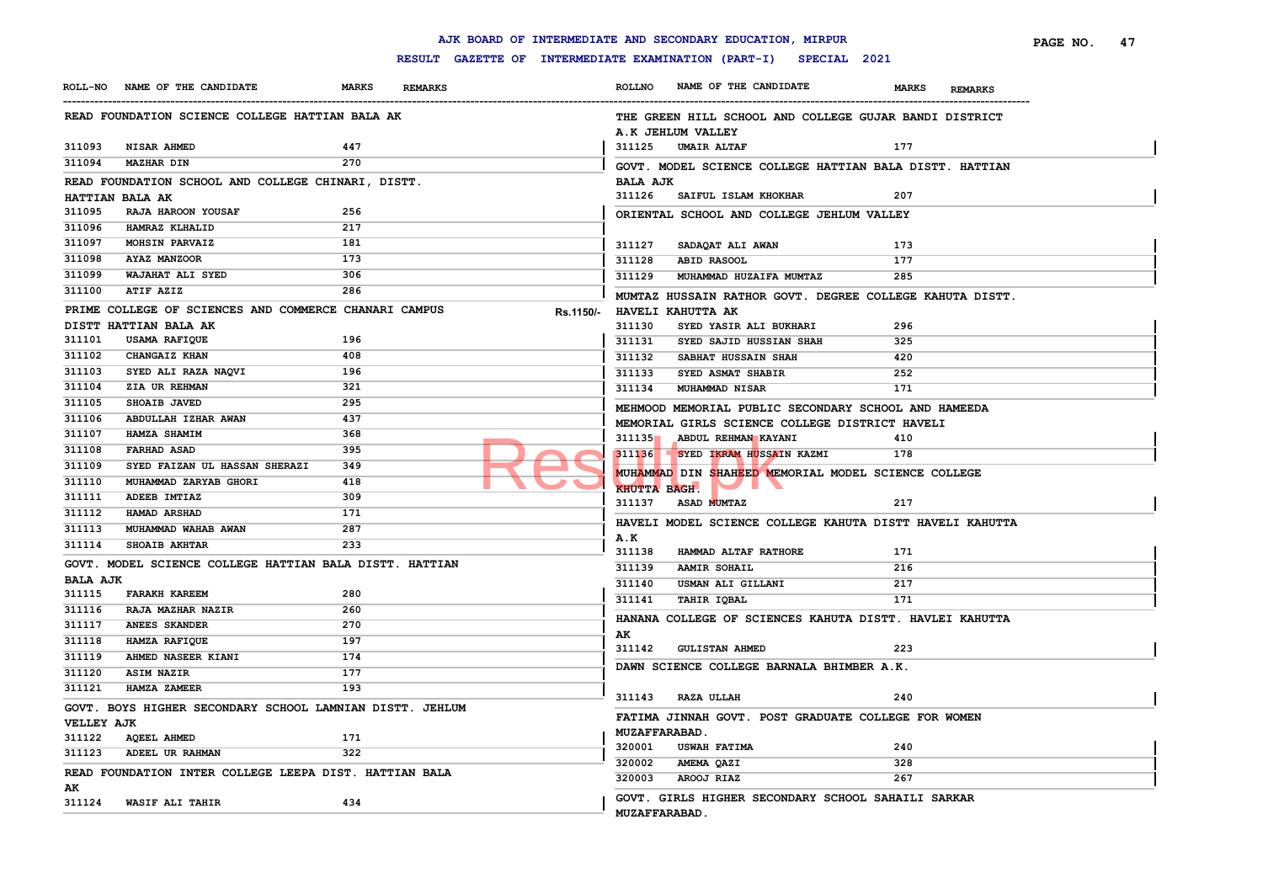|                   |                                                          |              |                |                                                     |                      | AJK BOARD OF INTERMEDIATE AND SECONDARY EDUCATION, MIRPUR |                                | PAGE NO.<br>47 |  |
|-------------------|----------------------------------------------------------|--------------|----------------|-----------------------------------------------------|----------------------|-----------------------------------------------------------|--------------------------------|----------------|--|
|                   |                                                          |              |                | RESULT GAZETTE OF INTERMEDIATE EXAMINATION (PART-I) |                      | SPECIAL 2021                                              |                                |                |  |
|                   | ROLL-NO NAME OF THE CANDIDATE                            | <b>MARKS</b> | <b>REMARKS</b> |                                                     | <b>ROLLNO</b>        | NAME OF THE CANDIDATE                                     | <b>MARKS</b><br><b>REMARKS</b> |                |  |
|                   | READ FOUNDATION SCIENCE COLLEGE HATTIAN BALA AK          |              |                |                                                     |                      | THE GREEN HILL SCHOOL AND COLLEGE GUJAR BANDI DISTRICT    |                                |                |  |
|                   |                                                          |              |                |                                                     |                      | A.K JEHLUM VALLEY                                         |                                |                |  |
| 311093            | <b>NISAR AHMED</b>                                       | 447          |                |                                                     |                      | 311125 UMAIR ALTAF                                        | 177                            |                |  |
| 311094            | <b>MAZHAR DIN</b>                                        | 270          |                |                                                     |                      | GOVT. MODEL SCIENCE COLLEGE HATTIAN BALA DISTT. HATTIAN   |                                |                |  |
|                   | READ FOUNDATION SCHOOL AND COLLEGE CHINARI, DISTT.       |              |                |                                                     | <b>BALA AJK</b>      |                                                           |                                |                |  |
|                   | HATTIAN BALA AK                                          |              |                |                                                     | 311126               | SAIFUL ISLAM KHOKHAR                                      | 207                            |                |  |
| 311095            | RAJA HAROON YOUSAF                                       | 256          |                |                                                     |                      | ORIENTAL SCHOOL AND COLLEGE JEHLUM VALLEY                 |                                |                |  |
| 311096            | HAMRAZ KLHALID                                           | 217          |                |                                                     |                      |                                                           |                                |                |  |
| 311097            | MOHSIN PARVAIZ                                           | 181          |                |                                                     | 311127               | SADAQAT ALI AWAN                                          | 173                            |                |  |
| 311098            | AYAZ MANZOOR                                             | 173          |                |                                                     | 311128               | <b>ABID RASOOL</b>                                        | 177                            |                |  |
| 311099            | WAJAHAT ALI SYED                                         | 306          |                |                                                     | 311129               | MUHAMMAD HUZAIFA MUMTAZ                                   | 285                            |                |  |
| 311100            | ATIF AZIZ                                                | 286          |                |                                                     |                      | MUMTAZ HUSSAIN RATHOR GOVT. DEGREE COLLEGE KAHUTA DISTT.  |                                |                |  |
|                   | PRIME COLLEGE OF SCIENCES AND COMMERCE CHANARI CAMPUS    |              |                | Rs.1150/-                                           |                      | HAVELI KAHUTTA AK                                         |                                |                |  |
|                   | DISTT HATTIAN BALA AK                                    |              |                |                                                     | 311130               | SYED YASIR ALI BUKHARI                                    | 296                            |                |  |
| 311101            | USAMA RAFIQUE                                            | 196          |                |                                                     | 311131               | SYED SAJID HUSSIAN SHAH                                   | 325                            |                |  |
| 311102            | <b>CHANGAIZ KHAN</b>                                     | 408          |                |                                                     | 311132               | SABHAT HUSSAIN SHAH                                       | 420                            |                |  |
| 311103            | SYED ALI RAZA NAQVI                                      | 196          |                |                                                     | 311133               | SYED ASMAT SHABIR                                         | 252                            |                |  |
| 311104            | ZIA UR REHMAN                                            | 321          |                |                                                     | 311134               | MUHAMMAD NISAR                                            | 171                            |                |  |
| 311105            | <b>SHOAIB JAVED</b>                                      | 295          |                |                                                     |                      | MEHMOOD MEMORIAL PUBLIC SECONDARY SCHOOL AND HAMEEDA      |                                |                |  |
| 311106            | ABDULLAH IZHAR AWAN                                      | 437          |                |                                                     |                      | MEMORIAL GIRLS SCIENCE COLLEGE DISTRICT HAVELI            |                                |                |  |
| 311107            | HAMZA SHAMIM                                             | 368          |                |                                                     | 311135               | ABDUL REHMAN KAYANI                                       | 410                            |                |  |
| 311108            | <b>FARHAD ASAD</b>                                       | 395          |                |                                                     |                      | 311136 SYED IKRAM HUSSAIN KAZMI                           | 178                            |                |  |
| 311109            | SYED FAIZAN UL HASSAN SHERAZI                            | 349          |                |                                                     |                      | MUHAMMAD DIN SHAHEED MEMORIAL MODEL SCIENCE COLLEGE       |                                |                |  |
| 311110            | MUHAMMAD ZARYAB GHORI                                    | 418          |                |                                                     | KHUTTA BAGH.         |                                                           |                                |                |  |
| 311111            | ADEEB IMTIAZ                                             | 309          |                |                                                     | 311137               | ASAD MUMTAZ                                               | 217                            |                |  |
| 311112            | HAMAD ARSHAD                                             | 171          |                |                                                     |                      |                                                           |                                |                |  |
| 311113            | MUHAMMAD WAHAB AWAN                                      | 287          |                |                                                     | A.K                  | HAVELI MODEL SCIENCE COLLEGE KAHUTA DISTT HAVELI KAHUTTA  |                                |                |  |
| 311114            | SHOAIB AKHTAR                                            | 233          |                |                                                     | 311138               | HAMMAD ALTAF RATHORE                                      | 171                            |                |  |
|                   | GOVT. MODEL SCIENCE COLLEGE HATTIAN BALA DISTT. HATTIAN  |              |                |                                                     | 311139               | AAMIR SOHAIL                                              | 216                            |                |  |
| <b>BALA AJK</b>   |                                                          |              |                |                                                     | 311140               | USMAN ALI GILLANI                                         | 217                            |                |  |
| 311115            | <b>FARAKH KAREEM</b>                                     | 280          |                |                                                     | 311141               | TAHIR IQBAL                                               | 171                            |                |  |
| 311116            | RAJA MAZHAR NAZIR                                        | 260          |                |                                                     |                      |                                                           |                                |                |  |
| 311117            | <b>ANEES SKANDER</b>                                     | 270          |                |                                                     |                      | HANANA COLLEGE OF SCIENCES KAHUTA DISTT. HAVLEI KAHUTTA   |                                |                |  |
| 311118            | HAMZA RAFIQUE                                            | 197          |                |                                                     | AK<br>311142         |                                                           | 223                            |                |  |
| 311119            | AHMED NASEER KIANI                                       | 174          |                |                                                     |                      | <b>GULISTAN AHMED</b>                                     |                                |                |  |
| 311120            | <b>ASIM NAZIR</b>                                        | 177          |                |                                                     |                      | DAWN SCIENCE COLLEGE BARNALA BHIMBER A.K.                 |                                |                |  |
| 311121            | HAMZA ZAMEER                                             | 193          |                |                                                     |                      |                                                           |                                |                |  |
|                   | GOVT. BOYS HIGHER SECONDARY SCHOOL LAMNIAN DISTT. JEHLUM |              |                |                                                     | 311143               | <b>RAZA ULLAH</b>                                         | 240                            |                |  |
| <b>VELLEY AJK</b> |                                                          |              |                |                                                     |                      | FATIMA JINNAH GOVT. POST GRADUATE COLLEGE FOR WOMEN       |                                |                |  |
| 311122            | <b>AQEEL AHMED</b>                                       | 171          |                |                                                     | MUZAFFARABAD.        |                                                           |                                |                |  |
| 311123            | ADEEL UR RAHMAN                                          | 322          |                |                                                     | 320001               | <b>USWAH FATIMA</b>                                       | 240                            |                |  |
|                   | READ FOUNDATION INTER COLLEGE LEEPA DIST. HATTIAN BALA   |              |                |                                                     | 320002               | AMEMA QAZI                                                | 328                            |                |  |
| AK                |                                                          |              |                |                                                     | 320003               | AROOJ RIAZ                                                | 267                            |                |  |
| 311124            | WASIF ALI TAHIR                                          | 434          |                |                                                     |                      | GOVT. GIRLS HIGHER SECONDARY SCHOOL SAHAILI SARKAR        |                                |                |  |
|                   |                                                          |              |                |                                                     | <b>MUZAFFARABAD.</b> |                                                           |                                |                |  |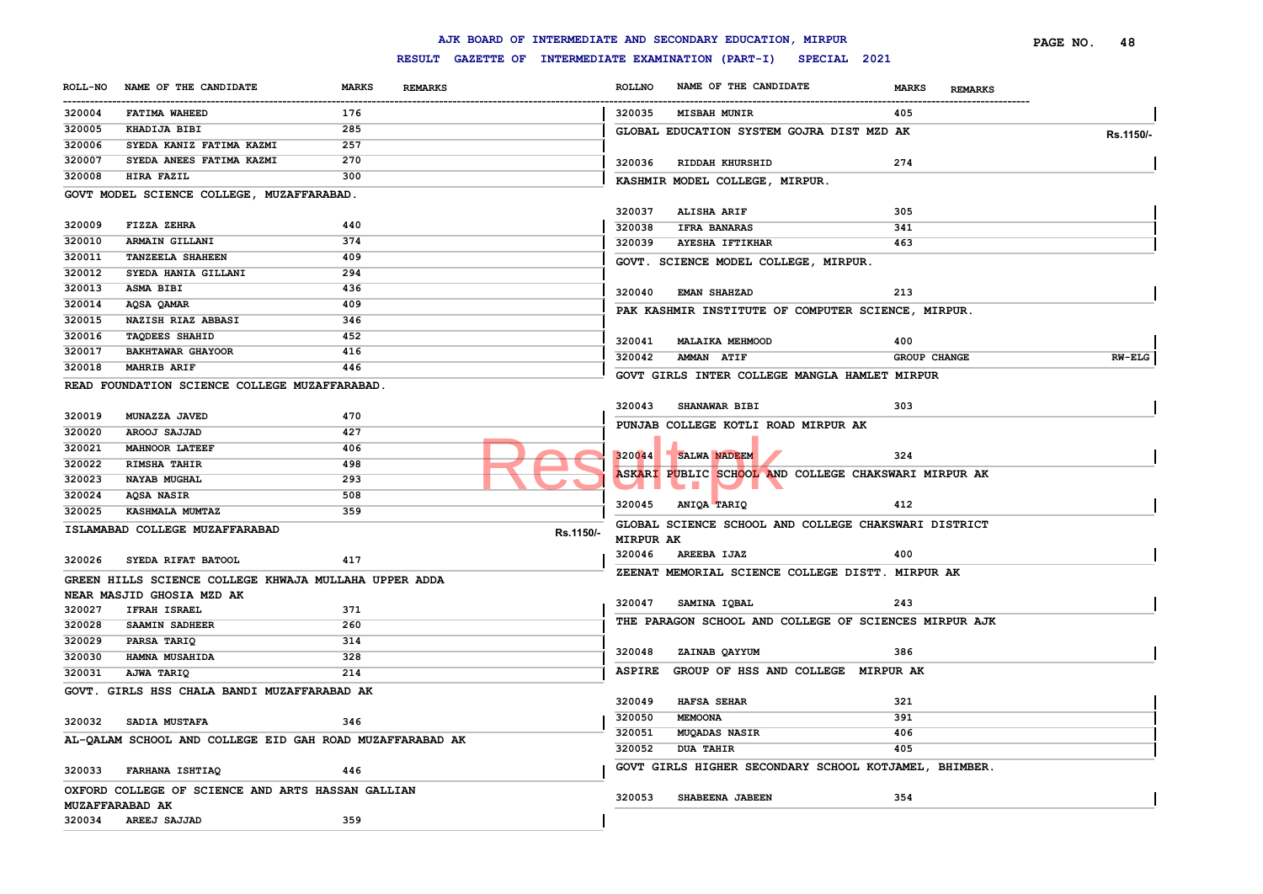|                |                                                          |                                |           |               | AJK BOARD OF INTERMEDIATE AND SECONDARY EDUCATION, MIRPUR            |                                | PAGE NO. | 48            |
|----------------|----------------------------------------------------------|--------------------------------|-----------|---------------|----------------------------------------------------------------------|--------------------------------|----------|---------------|
|                |                                                          |                                |           |               | RESULT GAZETTE OF INTERMEDIATE EXAMINATION (PART-I)<br>SPECIAL 2021  |                                |          |               |
| <b>ROLL-NO</b> | NAME OF THE CANDIDATE                                    | <b>MARKS</b><br><b>REMARKS</b> |           | <b>ROLLNO</b> | NAME OF THE CANDIDATE                                                | <b>MARKS</b><br><b>REMARKS</b> |          |               |
| 320004         | FATIMA WAHEED                                            | 176                            |           | 320035        | <b>MISBAH MUNIR</b>                                                  | 405                            |          |               |
| 320005         | KHADIJA BIBI                                             | 285                            |           |               | GLOBAL EDUCATION SYSTEM GOJRA DIST MZD AK                            |                                |          | Rs.1150/-     |
| 320006         | SYEDA KANIZ FATIMA KAZMI                                 | 257                            |           |               |                                                                      |                                |          |               |
| 320007         | SYEDA ANEES FATIMA KAZMI                                 | 270                            |           | 320036        | RIDDAH KHURSHID                                                      | 274                            |          |               |
| 320008         | <b>HIRA FAZIL</b>                                        | 300                            |           |               | KASHMIR MODEL COLLEGE, MIRPUR.                                       |                                |          |               |
|                | GOVT MODEL SCIENCE COLLEGE, MUZAFFARABAD.                |                                |           |               |                                                                      |                                |          |               |
|                |                                                          |                                |           | 320037        | ALISHA ARIF                                                          | 305                            |          |               |
| 320009         | FIZZA ZEHRA                                              | 440                            |           | 320038        | <b>IFRA BANARAS</b>                                                  | 341                            |          |               |
| 320010         | ARMAIN GILLANI                                           | 374                            |           | 320039        | <b>AYESHA IFTIKHAR</b>                                               | 463                            |          |               |
| 320011         | <b>TANZEELA SHAHEEN</b>                                  | 409                            |           |               | GOVT. SCIENCE MODEL COLLEGE, MIRPUR.                                 |                                |          |               |
| 320012         | SYEDA HANIA GILLANI                                      | 294                            |           |               |                                                                      |                                |          |               |
| 320013         | <b>ASMA BIBI</b>                                         | 436                            |           | 320040        | <b>EMAN SHAHZAD</b>                                                  | 213                            |          |               |
| 320014         | AQSA QAMAR                                               | 409                            |           |               |                                                                      |                                |          |               |
| 320015         | NAZISH RIAZ ABBASI                                       | 346                            |           |               | PAK KASHMIR INSTITUTE OF COMPUTER SCIENCE, MIRPUR.                   |                                |          |               |
| 320016         | <b>TAQDEES SHAHID</b>                                    | 452                            |           | 320041        | <b>MALAIKA MEHMOOD</b>                                               | 400                            |          |               |
| 320017         | <b>BAKHTAWAR GHAYOOR</b>                                 | 416                            |           | 320042        | AMMAN ATIF                                                           | <b>GROUP CHANGE</b>            |          | <b>RW-ELG</b> |
| 320018         | <b>MAHRIB ARIF</b>                                       | 446                            |           |               |                                                                      |                                |          |               |
|                | READ FOUNDATION SCIENCE COLLEGE MUZAFFARABAD.            |                                |           |               | GOVT GIRLS INTER COLLEGE MANGLA HAMLET MIRPUR                        |                                |          |               |
|                |                                                          |                                |           |               |                                                                      | 303                            |          |               |
| 320019         | MUNAZZA JAVED                                            | 470                            |           | 320043        | <b>SHANAWAR BIBI</b>                                                 |                                |          |               |
| 320020         | AROOJ SAJJAD                                             | 427                            |           |               | PUNJAB COLLEGE KOTLI ROAD MIRPUR AK                                  |                                |          |               |
| 320021         | <b>MAHNOOR LATEEF</b>                                    | 406                            |           |               |                                                                      |                                |          |               |
| 320022         | <b>RIMSHA TAHIR</b>                                      | 498                            |           | 320044        | SALWA NADEEM                                                         | 324                            |          |               |
| 320023         | NAYAB MUGHAL                                             | 293                            |           |               | ASKARI PUBLIC SCHOOL AND COLLEGE CHAKSWARI MIRPUR AK<br><b>START</b> |                                |          |               |
| 320024         | AQSA NASIR                                               | 508                            |           |               |                                                                      |                                |          |               |
| 320025         | KASHMALA MUMTAZ                                          | 359                            |           | 320045        | ANIQA TARIQ                                                          | 412                            |          |               |
|                | ISLAMABAD COLLEGE MUZAFFARABAD                           |                                | Rs.1150/- |               | GLOBAL SCIENCE SCHOOL AND COLLEGE CHAKSWARI DISTRICT                 |                                |          |               |
|                |                                                          |                                |           | MIRPUR AK     |                                                                      |                                |          |               |
| 320026         | SYEDA RIFAT BATOOL                                       | 417                            |           | 320046        | <b>AREEBA IJAZ</b>                                                   | 400                            |          |               |
|                | GREEN HILLS SCIENCE COLLEGE KHWAJA MULLAHA UPPER ADDA    |                                |           |               | ZEENAT MEMORIAL SCIENCE COLLEGE DISTT. MIRPUR AK                     |                                |          |               |
|                | NEAR MASJID GHOSIA MZD AK                                |                                |           |               |                                                                      |                                |          |               |
| 320027         | <b>IFRAH ISRAEL</b>                                      | 371                            |           | 320047        | SAMINA IQBAL                                                         | 243                            |          |               |
| 320028         | SAAMIN SADHEER                                           | 260                            |           |               | THE PARAGON SCHOOL AND COLLEGE OF SCIENCES MIRPUR AJK                |                                |          |               |
| 320029         | PARSA TARIQ                                              | 314                            |           |               |                                                                      |                                |          |               |
| 320030         | HAMNA MUSAHIDA                                           | 328                            |           | 320048        | ZAINAB QAYYUM                                                        | 386                            |          |               |
| 320031         | AJWA TARIQ                                               | 214                            |           | ASPIRE        | GROUP OF HSS AND COLLEGE MIRPUR AK                                   |                                |          |               |
|                | GOVT. GIRLS HSS CHALA BANDI MUZAFFARABAD AK              |                                |           |               |                                                                      |                                |          |               |
|                |                                                          |                                |           | 320049        | <b>HAFSA SEHAR</b>                                                   | 321                            |          |               |
| 320032         | SADIA MUSTAFA                                            | 346                            |           | 320050        | MEMOONA                                                              | 391                            |          |               |
|                | AL-OALAM SCHOOL AND COLLEGE EID GAH ROAD MUZAFFARABAD AK |                                |           | 320051        | MUQADAS NASIR                                                        | 406                            |          |               |
|                |                                                          |                                |           | 320052        | <b>DUA TAHIR</b>                                                     | 405                            |          |               |
|                |                                                          | 446                            |           |               | GOVT GIRLS HIGHER SECONDARY SCHOOL KOTJAMEL, BHIMBER.                |                                |          |               |
| 320033         | FARHANA ISHTIAQ                                          |                                |           |               |                                                                      |                                |          |               |
|                | OXFORD COLLEGE OF SCIENCE AND ARTS HASSAN GALLIAN        |                                |           | 320053        | SHABEENA JABEEN                                                      | 354                            |          |               |
|                | MUZAFFARABAD AK                                          |                                |           |               |                                                                      |                                |          |               |
| 320034         | AREEJ SAJJAD                                             | 359                            |           |               |                                                                      |                                |          |               |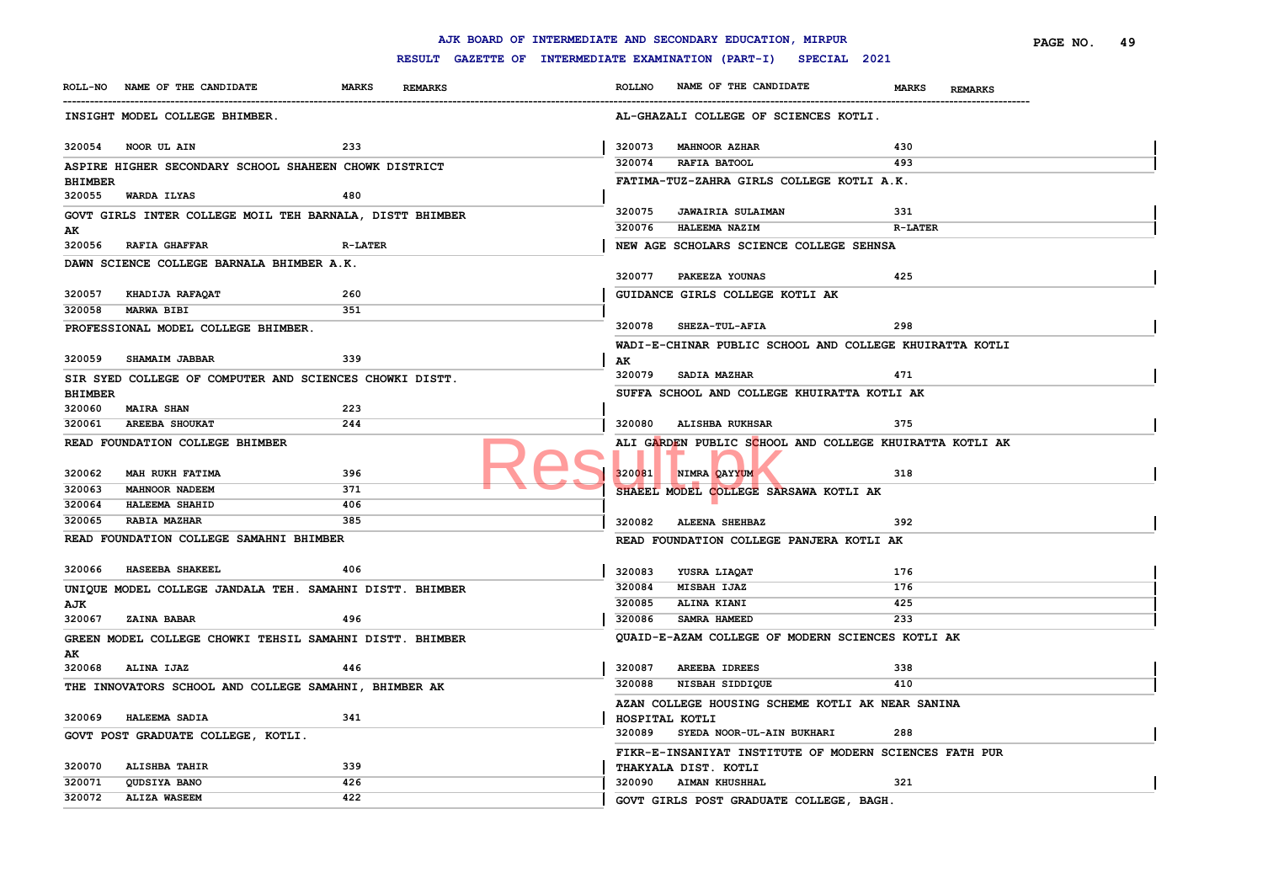|                                                         |                                                          |                | AJK BOARD OF INTERMEDIATE AND SECONDARY EDUCATION, MIRPUR |                                | PAGE NO.<br>49 |
|---------------------------------------------------------|----------------------------------------------------------|----------------|-----------------------------------------------------------|--------------------------------|----------------|
|                                                         | RESULT GAZETTE OF INTERMEDIATE EXAMINATION (PART-I)      |                | SPECIAL 2021                                              |                                |                |
| ROLL-NO NAME OF THE CANDIDATE                           | <b>MARKS</b><br><b>REMARKS</b>                           | <b>ROLLNO</b>  | NAME OF THE CANDIDATE                                     | <b>MARKS</b><br><b>REMARKS</b> |                |
| INSIGHT MODEL COLLEGE BHIMBER.                          |                                                          |                | AL-GHAZALI COLLEGE OF SCIENCES KOTLI.                     |                                |                |
| 320054 NOOR UL AIN                                      | 233                                                      | 320073         | <b>MAHNOOR AZHAR</b>                                      | 430                            |                |
| ASPIRE HIGHER SECONDARY SCHOOL SHAHEEN CHOWK DISTRICT   |                                                          | 320074         | RAFIA BATOOL                                              | 493                            |                |
| <b>BHIMBER</b><br>WARDA ILYAS<br>320055                 | 480                                                      |                | FATIMA-TUZ-ZAHRA GIRLS COLLEGE KOTLI A.K.                 |                                |                |
|                                                         | GOVT GIRLS INTER COLLEGE MOIL TEH BARNALA, DISTT BHIMBER | 320075         | <b>JAWAIRIA SULAIMAN</b>                                  | 331                            |                |
| AK                                                      |                                                          | 320076         | HALEEMA NAZIM                                             | <b>R-LATER</b>                 |                |
| 320056 RAFIA GHAFFAR                                    | <b>R-LATER</b>                                           |                | NEW AGE SCHOLARS SCIENCE COLLEGE SEHNSA                   |                                |                |
| DAWN SCIENCE COLLEGE BARNALA BHIMBER A.K.               |                                                          |                |                                                           |                                |                |
|                                                         |                                                          | 320077         | PAKEEZA YOUNAS                                            | 425                            |                |
| 320057<br>KHADIJA RAFAQAT<br><b>MARWA BIBI</b>          | 260<br>351                                               |                | GUIDANCE GIRLS COLLEGE KOTLI AK                           |                                |                |
| 320058<br>PROFESSIONAL MODEL COLLEGE BHIMBER.           |                                                          | 320078         | <b>SHEZA-TUL-AFIA</b>                                     | 298                            |                |
|                                                         |                                                          |                | WADI-E-CHINAR PUBLIC SCHOOL AND COLLEGE KHUIRATTA KOTLI   |                                |                |
| 320059<br>SHAMAIM JABBAR                                | 339                                                      | AK             |                                                           |                                |                |
| SIR SYED COLLEGE OF COMPUTER AND SCIENCES CHOWKI DISTT. |                                                          |                | 320079 SADIA MAZHAR                                       | 471                            |                |
| <b>BHIMBER</b>                                          |                                                          |                | SUFFA SCHOOL AND COLLEGE KHUIRATTA KOTLI AK               |                                |                |
| 320060<br><b>MAIRA SHAN</b>                             | 223                                                      |                |                                                           |                                |                |
| 320061<br><b>AREEBA SHOUKAT</b>                         | 244                                                      | 320080         | <b>ALISHBA RUKHSAR</b>                                    | 375                            |                |
| READ FOUNDATION COLLEGE BHIMBER                         |                                                          |                | ALI GARDEN PUBLIC SCHOOL AND COLLEGE KHUIRATTA KOTLI AK   |                                |                |
| 320062<br>MAH RUKH FATIMA                               | 396                                                      | 320081         | NIMRA OAYYUM                                              | 318                            |                |
| 320063<br>MAHNOOR NADEEM                                | 371                                                      |                | SHAEEL MODEL COLLEGE SARSAWA KOTLI AK                     |                                |                |
| 320064<br>HALEEMA SHAHID                                | 406                                                      |                |                                                           |                                |                |
| 320065<br>RABIA MAZHAR                                  | 385                                                      | 320082         | <b>ALEENA SHEHBAZ</b>                                     | 392                            |                |
| READ FOUNDATION COLLEGE SAMAHNI BHIMBER                 |                                                          |                | READ FOUNDATION COLLEGE PANJERA KOTLI AK                  |                                |                |
| HASEEBA SHAKEEL<br>320066                               | 406                                                      | 320083         | YUSRA LIAQAT                                              | 176                            |                |
|                                                         | UNIQUE MODEL COLLEGE JANDALA TEH. SAMAHNI DISTT. BHIMBER | 320084         | MISBAH IJAZ                                               | 176                            |                |
| AJK                                                     |                                                          | 320085         | ALINA KIANI                                               | 425                            |                |
| <b>ZAINA BABAR</b><br>320067                            | 496                                                      | 320086         | SAMRA HAMEED                                              | 233                            |                |
|                                                         | GREEN MODEL COLLEGE CHOWKI TEHSIL SAMAHNI DISTT. BHIMBER |                | QUAID-E-AZAM COLLEGE OF MODERN SCIENCES KOTLI AK          |                                |                |
| AK                                                      |                                                          |                |                                                           |                                |                |
| 320068<br>ALINA IJAZ                                    | 446                                                      | 320087         | AREEBA IDREES                                             | 338                            |                |
| THE INNOVATORS SCHOOL AND COLLEGE SAMAHNI, BHIMBER AK   |                                                          | 320088         | NISBAH SIDDIQUE                                           | 410                            |                |
|                                                         |                                                          |                | AZAN COLLEGE HOUSING SCHEME KOTLI AK NEAR SANINA          |                                |                |
| 320069<br><b>HALEEMA SADIA</b>                          | 341                                                      | HOSPITAL KOTLI |                                                           |                                |                |
| GOVT POST GRADUATE COLLEGE, KOTLI.                      |                                                          | 320089         | SYEDA NOOR-UL-AIN BUKHARI                                 | 288                            |                |
|                                                         | 339                                                      |                | FIKR-E-INSANIYAT INSTITUTE OF MODERN SCIENCES FATH PUR    |                                |                |
| 320070<br><b>ALISHBA TAHIR</b><br>320071                | 426                                                      |                | THAKYALA DIST. KOTLI<br>320090 AIMAN KHUSHHAL             | 321                            |                |
| QUDSIYA BANO<br>320072<br><b>ALIZA WASEEM</b>           | 422                                                      |                |                                                           |                                |                |
|                                                         |                                                          |                | GOVT GIRLS POST GRADUATE COLLEGE, BAGH.                   |                                |                |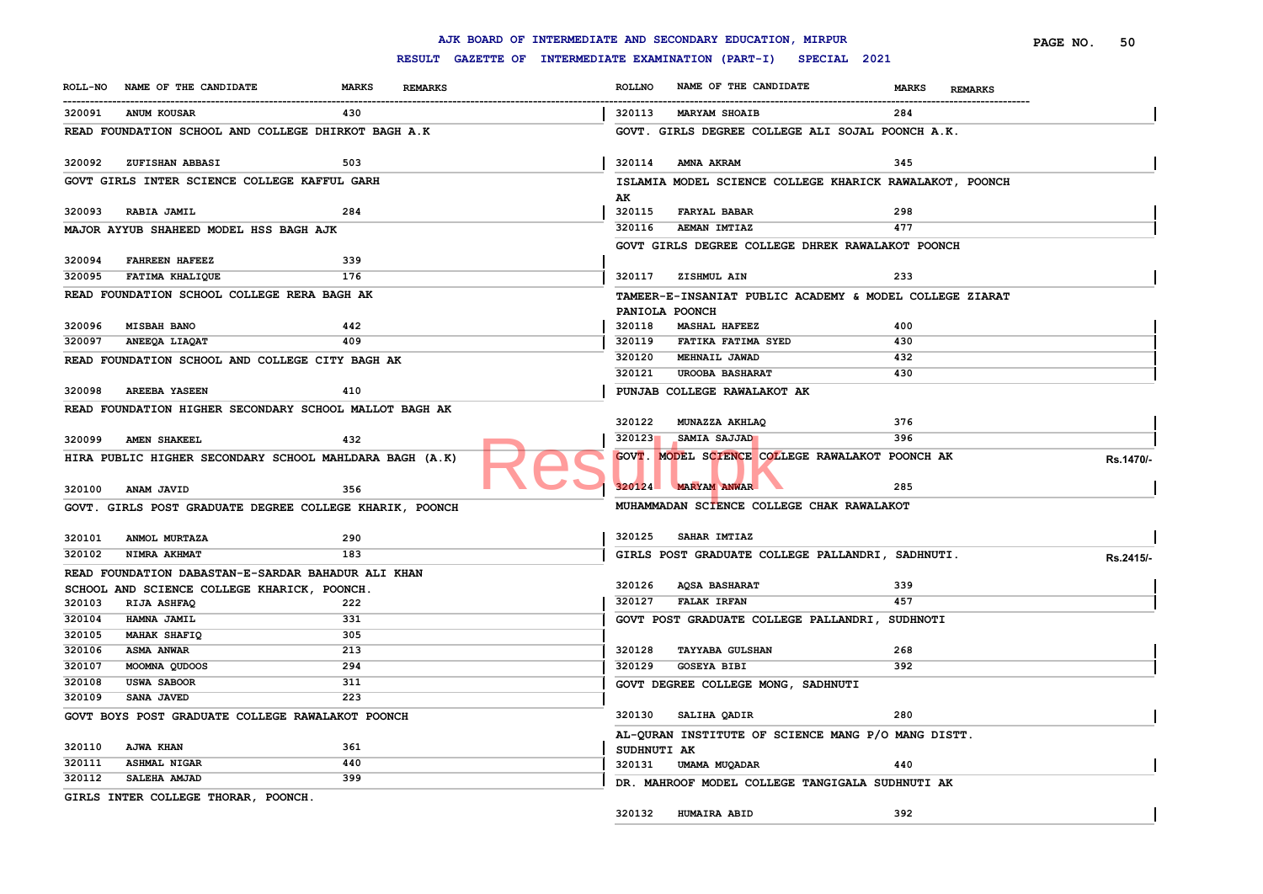|                  |                                                         |              |                |                                                     |               | AJK BOARD OF INTERMEDIATE AND SECONDARY EDUCATION, MIRPUR |                                | PAGE NO.<br>50 |
|------------------|---------------------------------------------------------|--------------|----------------|-----------------------------------------------------|---------------|-----------------------------------------------------------|--------------------------------|----------------|
|                  |                                                         |              |                | RESULT GAZETTE OF INTERMEDIATE EXAMINATION (PART-I) |               | SPECIAL 2021                                              |                                |                |
| <b>ROLL-NO</b>   | NAME OF THE CANDIDATE                                   | <b>MARKS</b> | <b>REMARKS</b> |                                                     | <b>ROLLNO</b> | NAME OF THE CANDIDATE                                     | <b>MARKS</b><br><b>REMARKS</b> |                |
| 320091           | <b>ANUM KOUSAR</b>                                      | 430          |                |                                                     | 320113        | <b>MARYAM SHOAIB</b>                                      | 284                            |                |
|                  | READ FOUNDATION SCHOOL AND COLLEGE DHIRKOT BAGH A.K     |              |                |                                                     |               | GOVT. GIRLS DEGREE COLLEGE ALI SOJAL POONCH A.K.          |                                |                |
| 320092           | ZUFISHAN ABBASI                                         | 503          |                |                                                     | 320114        | AMNA AKRAM                                                | 345                            |                |
|                  | GOVT GIRLS INTER SCIENCE COLLEGE KAFFUL GARH            |              |                |                                                     |               | ISLAMIA MODEL SCIENCE COLLEGE KHARICK RAWALAKOT, POONCH   |                                |                |
|                  | 320093 RABIA JAMIL                                      | 284          |                |                                                     | AK<br>320115  | <b>FARYAL BABAR</b>                                       | 298                            |                |
|                  | MAJOR AYYUB SHAHEED MODEL HSS BAGH AJK                  |              |                |                                                     | 320116        | <b>AEMAN IMTIAZ</b>                                       | 477                            |                |
|                  |                                                         |              |                |                                                     |               | GOVT GIRLS DEGREE COLLEGE DHREK RAWALAKOT POONCH          |                                |                |
| 320094           | <b>FAHREEN HAFEEZ</b>                                   | 339          |                |                                                     |               |                                                           |                                |                |
| 320095           | FATIMA KHALIQUE                                         | 176          |                |                                                     |               | 320117 ZISHMUL AIN                                        | 233                            |                |
|                  | READ FOUNDATION SCHOOL COLLEGE RERA BAGH AK             |              |                |                                                     |               | TAMEER-E-INSANIAT PUBLIC ACADEMY & MODEL COLLEGE ZIARAT   |                                |                |
| 320096           | <b>MISBAH BANO</b>                                      | 442          |                |                                                     | 320118        | PANIOLA POONCH<br><b>MASHAL HAFEEZ</b>                    | 400                            |                |
| 320097           | ANEEQA LIAQAT                                           | 409          |                |                                                     | 320119        | FATIKA FATIMA SYED                                        | 430                            |                |
|                  | READ FOUNDATION SCHOOL AND COLLEGE CITY BAGH AK         |              |                |                                                     | 320120        | MEHNAIL JAWAD                                             | 432                            |                |
|                  |                                                         |              |                |                                                     | 320121        | <b>UROOBA BASHARAT</b>                                    | 430                            |                |
| 320098           | <b>AREEBA YASEEN</b>                                    | 410          |                |                                                     |               | PUNJAB COLLEGE RAWALAKOT AK                               |                                |                |
|                  | READ FOUNDATION HIGHER SECONDARY SCHOOL MALLOT BAGH AK  |              |                |                                                     |               |                                                           |                                |                |
|                  |                                                         |              |                |                                                     | 320122        | MUNAZZA AKHLAQ                                            | 376                            |                |
| 320099           | <b>AMEN SHAKEEL</b>                                     | 432          |                |                                                     | 320123        | SAMIA SAJJAD                                              | 396                            |                |
|                  | HIRA PUBLIC HIGHER SECONDARY SCHOOL MAHLDARA BAGH (A.K) |              |                |                                                     |               | GOVT. MODEL SCIENCE COLLEGE RAWALAKOT POONCH AK           |                                | Rs.1470/-      |
| 320100           | <b>ANAM JAVID</b>                                       | 356          |                |                                                     | 320124        | <b>MARYAM ANWAR</b>                                       | 285                            |                |
|                  | GOVT. GIRLS POST GRADUATE DEGREE COLLEGE KHARIK, POONCH |              |                |                                                     |               | MUHAMMADAN SCIENCE COLLEGE CHAK RAWALAKOT                 |                                |                |
| 320101           | ANMOL MURTAZA                                           | 290          |                |                                                     | 320125        | SAHAR IMTIAZ                                              |                                |                |
| 320102           | NIMRA AKHMAT                                            | 183          |                |                                                     |               | GIRLS POST GRADUATE COLLEGE PALLANDRI, SADHNUTI.          |                                | Rs.2415/-      |
|                  | READ FOUNDATION DABASTAN-E-SARDAR BAHADUR ALI KHAN      |              |                |                                                     |               |                                                           |                                |                |
|                  | SCHOOL AND SCIENCE COLLEGE KHARICK, POONCH.             |              |                |                                                     | 320126        | <b>AQSA BASHARAT</b>                                      | 339                            |                |
| 320103           | RIJA ASHFAQ                                             | 222          |                |                                                     | 320127        | <b>FALAK IRFAN</b>                                        | 457                            |                |
| 320104           | HAMNA JAMIL                                             | 331<br>305   |                |                                                     |               | GOVT POST GRADUATE COLLEGE PALLANDRI, SUDHNOTI            |                                |                |
| 320105<br>320106 | <b>MAHAK SHAFIQ</b><br><b>ASMA ANWAR</b>                | 213          |                |                                                     | 320128        | <b>TAYYABA GULSHAN</b>                                    | 268                            |                |
| 320107           | MOOMNA QUDOOS                                           | 294          |                |                                                     | 320129        | <b>GOSEYA BIBI</b>                                        | 392                            |                |
| 320108           | <b>USWA SABOOR</b>                                      | 311          |                |                                                     |               | GOVT DEGREE COLLEGE MONG, SADHNUTI                        |                                |                |
| 320109           | SANA JAVED                                              | 223          |                |                                                     |               |                                                           |                                |                |
|                  | GOVT BOYS POST GRADUATE COLLEGE RAWALAKOT POONCH        |              |                |                                                     |               | 320130 SALIHA QADIR                                       | 280                            |                |
|                  |                                                         |              |                |                                                     |               | AL-QURAN INSTITUTE OF SCIENCE MANG P/O MANG DISTT.        |                                |                |
| 320110           | <b>AJWA KHAN</b>                                        | 361          |                |                                                     | SUDHNUTI AK   |                                                           |                                |                |
| 320111           | <b>ASHMAL NIGAR</b>                                     | 440          |                |                                                     |               | 320131 UMAMA MUQADAR                                      | 440                            |                |
| 320112           | SALEHA AMJAD                                            | 399          |                |                                                     |               | DR. MAHROOF MODEL COLLEGE TANGIGALA SUDHNUTI AK           |                                |                |
|                  | GIRLS INTER COLLEGE THORAR, POONCH.                     |              |                |                                                     |               |                                                           |                                |                |
|                  |                                                         |              |                |                                                     | 320132        | <b>HUMAIRA ABID</b>                                       | 392                            |                |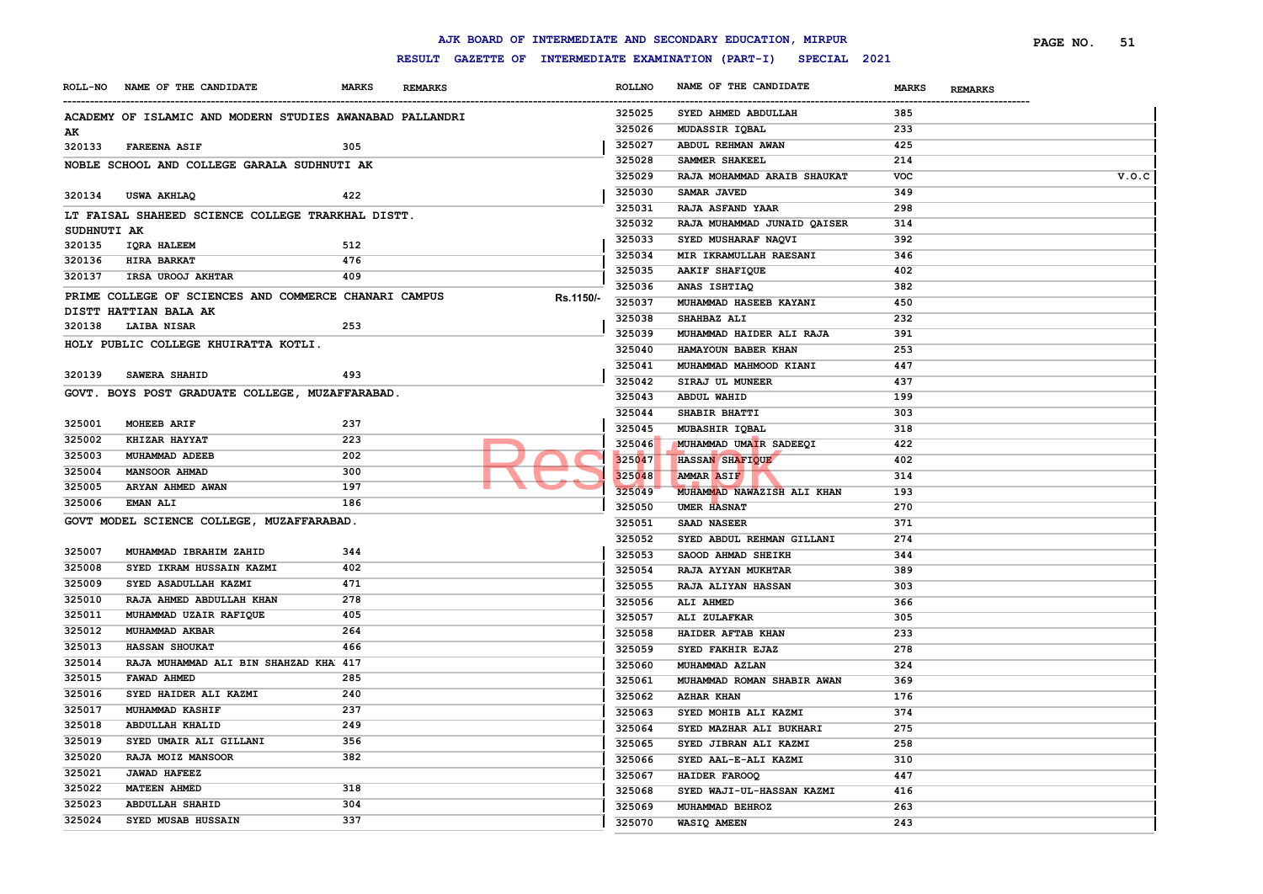|             |                                                          |              |                |           |               | AJK BOARD OF INTERMEDIATE AND SECONDARY EDUCATION, MIRPUR        |              |                | PAGE NO. | 51    |
|-------------|----------------------------------------------------------|--------------|----------------|-----------|---------------|------------------------------------------------------------------|--------------|----------------|----------|-------|
|             |                                                          |              |                |           |               | RESULT GAZETTE OF INTERMEDIATE EXAMINATION (PART-I) SPECIAL 2021 |              |                |          |       |
|             | ROLL-NO NAME OF THE CANDIDATE                            | <b>MARKS</b> | <b>REMARKS</b> |           | <b>ROLLNO</b> | NAME OF THE CANDIDATE                                            | <b>MARKS</b> | <b>REMARKS</b> |          |       |
|             | ACADEMY OF ISLAMIC AND MODERN STUDIES AWANABAD PALLANDRI |              |                |           | 325025        | SYED AHMED ABDULLAH                                              | 385          |                |          |       |
| AK          |                                                          |              |                |           | 325026        | MUDASSIR IQBAL                                                   | 233          |                |          |       |
| 320133      | <b>FAREENA ASIF</b>                                      | 305          |                |           | 325027        | ABDUL REHMAN AWAN                                                | 425          |                |          |       |
|             | NOBLE SCHOOL AND COLLEGE GARALA SUDHNUTI AK              |              |                |           | 325028        | SAMMER SHAKEEL                                                   | 214          |                |          |       |
|             |                                                          |              |                |           | 325029        | RAJA MOHAMMAD ARAIB SHAUKAT                                      | <b>VOC</b>   |                |          | V.0.C |
| 320134      | USWA AKHLAQ                                              | 422          |                |           | 325030        | SAMAR JAVED                                                      | 349          |                |          |       |
|             |                                                          |              |                |           | 325031        | RAJA ASFAND YAAR                                                 | 298          |                |          |       |
| SUDHNUTI AK | LT FAISAL SHAHEED SCIENCE COLLEGE TRARKHAL DISTT.        |              |                |           | 325032        | RAJA MUHAMMAD JUNAID QAISER                                      | 314          |                |          |       |
| 320135      | <b>IQRA HALEEM</b>                                       | 512          |                |           | 325033        | SYED MUSHARAF NAQVI                                              | 392          |                |          |       |
| 320136      | <b>HIRA BARKAT</b>                                       | 476          |                |           | 325034        | MIR IKRAMULLAH RAESANI                                           | 346          |                |          |       |
| 320137      | IRSA UROOJ AKHTAR                                        | 409          |                |           | 325035        | AAKIF SHAFIQUE                                                   | 402          |                |          |       |
|             |                                                          |              |                |           | 325036        | ANAS ISHTIAQ                                                     | 382          |                |          |       |
|             | PRIME COLLEGE OF SCIENCES AND COMMERCE CHANARI CAMPUS    |              |                | Rs.1150/- | 325037        | MUHAMMAD HASEEB KAYANI                                           | 450          |                |          |       |
| 320138      | DISTT HATTIAN BALA AK<br><b>LAIBA NISAR</b>              | 253          |                |           | 325038        | <b>SHAHBAZ ALI</b>                                               | 232          |                |          |       |
|             |                                                          |              |                |           | 325039        | MUHAMMAD HAIDER ALI RAJA                                         | 391          |                |          |       |
|             | HOLY PUBLIC COLLEGE KHUIRATTA KOTLI.                     |              |                |           | 325040        | HAMAYOUN BABER KHAN                                              | 253          |                |          |       |
|             |                                                          |              |                |           | 325041        | MUHAMMAD MAHMOOD KIANI                                           | 447          |                |          |       |
| 320139      | <b>SAWERA SHAHID</b>                                     | 493          |                |           | 325042        | SIRAJ UL MUNEER                                                  | 437          |                |          |       |
|             | GOVT. BOYS POST GRADUATE COLLEGE, MUZAFFARABAD.          |              |                |           | 325043        | ABDUL WAHID                                                      | 199          |                |          |       |
|             |                                                          |              |                |           | 325044        | SHABIR BHATTI                                                    | 303          |                |          |       |
| 325001      | <b>MOHEEB ARIF</b>                                       | 237          |                |           | 325045        | MUBASHIR IOBAL                                                   | 318          |                |          |       |
| 325002      | KHIZAR HAYYAT                                            | 223          |                |           | 325046        | MUHAMMAD UMAIR SADEEQI                                           | 422          |                |          |       |
| 325003      | MUHAMMAD ADEEB                                           | 202          |                |           | 325047        | <b>HASSAN SHAFIQUE</b>                                           | 402          |                |          |       |
| 325004      | <b>MANSOOR AHMAD</b>                                     | 300          |                |           | 325048        | <b>AMMAR ASIF</b>                                                | 314          |                |          |       |
| 325005      | ARYAN AHMED AWAN                                         | 197          |                |           | 325049        | MUHAMMAD NAWAZISH ALI KHAN                                       | 193          |                |          |       |
| 325006      | <b>EMAN ALI</b>                                          | 186          |                |           | 325050        | UMER HASNAT                                                      | 270          |                |          |       |
|             | GOVT MODEL SCIENCE COLLEGE, MUZAFFARABAD.                |              |                |           | 325051        | <b>SAAD NASEER</b>                                               | 371          |                |          |       |
|             |                                                          |              |                |           | 325052        | SYED ABDUL REHMAN GILLANI                                        | 274          |                |          |       |
| 325007      | MUHAMMAD IBRAHIM ZAHID                                   | 344          |                |           | 325053        | SAOOD AHMAD SHEIKH                                               | 344          |                |          |       |
| 325008      | SYED IKRAM HUSSAIN KAZMI                                 | 402          |                |           | 325054        | RAJA AYYAN MUKHTAR                                               | 389          |                |          |       |
| 325009      | SYED ASADULLAH KAZMI                                     | 471          |                |           | 325055        | RAJA ALIYAN HASSAN                                               | 303          |                |          |       |
| 325010      | RAJA AHMED ABDULLAH KHAN                                 | 278          |                |           | 325056        | ALI AHMED                                                        | 366          |                |          |       |
| 325011      | MUHAMMAD UZAIR RAFIQUE                                   | 405          |                |           | 325057        | ALI ZULAFKAR                                                     | 305          |                |          |       |
| 325012      | MUHAMMAD AKBAR                                           | 264          |                |           | 325058        | HAIDER AFTAB KHAN                                                | 233          |                |          |       |
| 325013      | HASSAN SHOUKAT                                           | 466          |                |           | 325059        | SYED FAKHIR EJAZ                                                 | 278          |                |          |       |
| 325014      | RAJA MUHAMMAD ALI BIN SHAHZAD KHA 417                    |              |                |           | 325060        | MUHAMMAD AZLAN                                                   | 324          |                |          |       |
| 325015      | FAWAD AHMED                                              | 285          |                |           | 325061        | MUHAMMAD ROMAN SHABIR AWAN                                       | 369          |                |          |       |
| 325016      | SYED HAIDER ALI KAZMI                                    | 240          |                |           | 325062        | <b>AZHAR KHAN</b>                                                | 176          |                |          |       |
| 325017      | MUHAMMAD KASHIF                                          | 237          |                |           | 325063        | SYED MOHIB ALI KAZMI                                             | 374          |                |          |       |
| 325018      | ABDULLAH KHALID                                          | 249          |                |           | 325064        | SYED MAZHAR ALI BUKHARI                                          | 275          |                |          |       |
| 325019      | SYED UMAIR ALI GILLANI                                   | 356          |                |           | 325065        | SYED JIBRAN ALI KAZMI                                            | 258          |                |          |       |
| 325020      | RAJA MOIZ MANSOOR                                        | 382          |                |           | 325066        | SYED AAL-E-ALI KAZMI                                             | 310          |                |          |       |
| 325021      | <b>JAWAD HAFEEZ</b>                                      |              |                |           | 325067        | HAIDER FAROOQ                                                    | 447          |                |          |       |
| 325022      | <b>MATEEN AHMED</b>                                      | 318          |                |           | 325068        | SYED WAJI-UL-HASSAN KAZMI                                        | 416          |                |          |       |
| 325023      | <b>ABDULLAH SHAHID</b>                                   | 304          |                |           | 325069        | MUHAMMAD BEHROZ                                                  | 263          |                |          |       |
| 325024      | SYED MUSAB HUSSAIN                                       | 337          |                |           | 325070        | WASIQ AMEEN                                                      | 243          |                |          |       |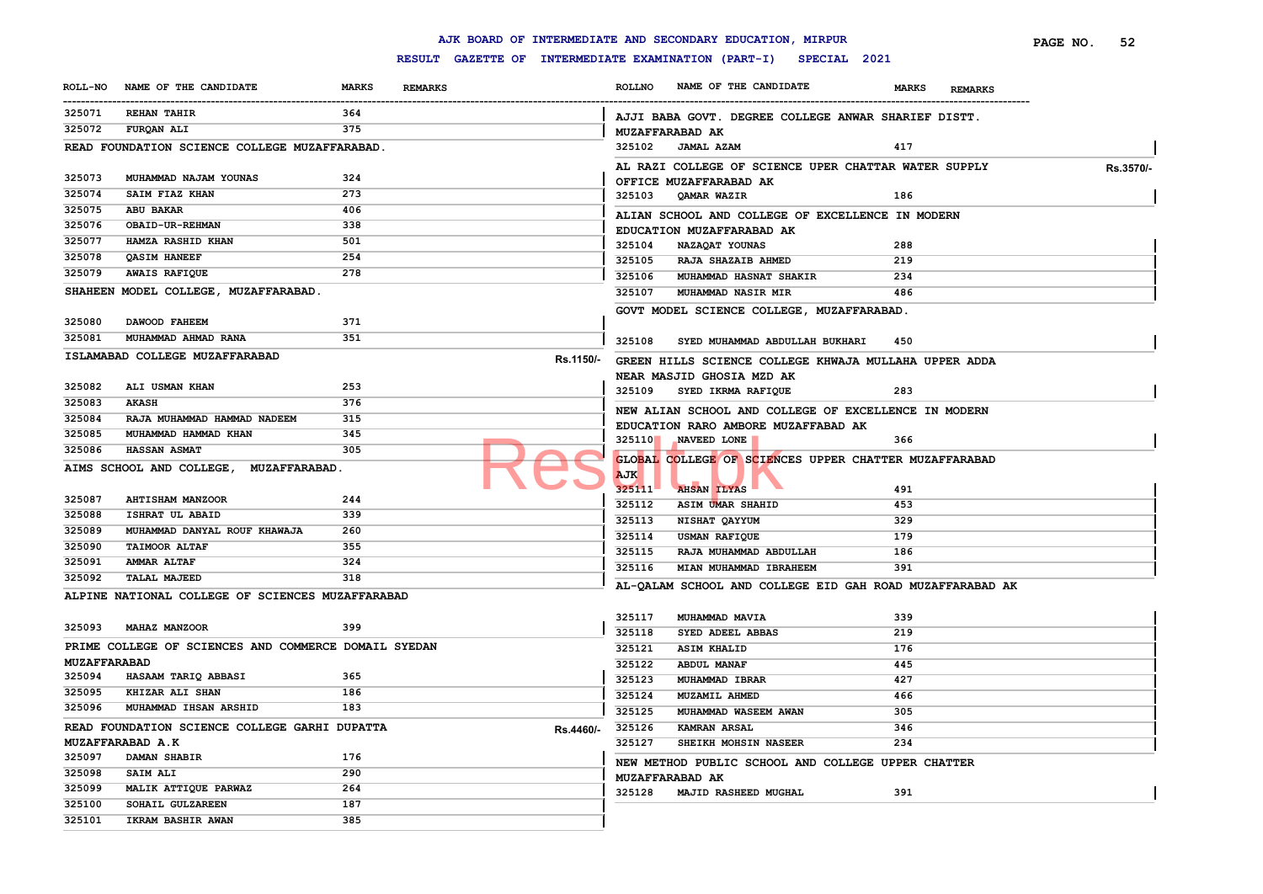|                     |                                                      |              |                |           |               | AJK BOARD OF INTERMEDIATE AND SECONDARY EDUCATION, MIRPUR           |              |                | PAGE NO. | 52        |
|---------------------|------------------------------------------------------|--------------|----------------|-----------|---------------|---------------------------------------------------------------------|--------------|----------------|----------|-----------|
|                     |                                                      |              |                |           |               | RESULT GAZETTE OF INTERMEDIATE EXAMINATION (PART-I)<br>SPECIAL 2021 |              |                |          |           |
| <b>ROLL-NO</b>      | NAME OF THE CANDIDATE                                | <b>MARKS</b> | <b>REMARKS</b> |           | <b>ROLLNO</b> | NAME OF THE CANDIDATE                                               | <b>MARKS</b> | <b>REMARKS</b> |          |           |
| 325071              | <b>REHAN TAHIR</b>                                   | 364          |                |           |               | AJJI BABA GOVT. DEGREE COLLEGE ANWAR SHARIEF DISTT.                 |              |                |          |           |
| 325072              | FURQAN ALI                                           | 375          |                |           |               | <b>MUZAFFARABAD AK</b>                                              |              |                |          |           |
|                     | READ FOUNDATION SCIENCE COLLEGE MUZAFFARABAD.        |              |                |           | 325102        | <b>JAMAL AZAM</b>                                                   | 417          |                |          |           |
|                     |                                                      |              |                |           |               | AL RAZI COLLEGE OF SCIENCE UPER CHATTAR WATER SUPPLY                |              |                |          |           |
| 325073              | MUHAMMAD NAJAM YOUNAS                                | 324          |                |           |               | OFFICE MUZAFFARABAD AK                                              |              |                |          | Rs.3570/- |
| 325074              | SAIM FIAZ KHAN                                       | 273          |                |           | 325103        | QAMAR WAZIR                                                         | 186          |                |          |           |
| 325075              | <b>ABU BAKAR</b>                                     | 406          |                |           |               | ALIAN SCHOOL AND COLLEGE OF EXCELLENCE IN MODERN                    |              |                |          |           |
| 325076              | OBAID-UR-REHMAN                                      | 338          |                |           |               | EDUCATION MUZAFFARABAD AK                                           |              |                |          |           |
| 325077              | HAMZA RASHID KHAN                                    | 501          |                |           | 325104        | NAZAQAT YOUNAS                                                      | 288          |                |          |           |
| 325078              | <b>QASIM HANEEF</b>                                  | 254          |                |           | 325105        | RAJA SHAZAIB AHMED                                                  | 219          |                |          |           |
| 325079              | <b>AWAIS RAFIQUE</b>                                 | 278          |                |           | 325106        | MUHAMMAD HASNAT SHAKIR                                              | 234          |                |          |           |
|                     | SHAHEEN MODEL COLLEGE, MUZAFFARABAD.                 |              |                |           | 325107        | <b>MUHAMMAD NASIR MIR</b>                                           | 486          |                |          |           |
|                     |                                                      |              |                |           |               | GOVT MODEL SCIENCE COLLEGE, MUZAFFARABAD.                           |              |                |          |           |
| 325080              | DAWOOD FAHEEM                                        | 371          |                |           |               |                                                                     |              |                |          |           |
| 325081              | MUHAMMAD AHMAD RANA                                  | 351          |                |           | 325108        | SYED MUHAMMAD ABDULLAH BUKHARI                                      | 450          |                |          |           |
|                     | ISLAMABAD COLLEGE MUZAFFARABAD                       |              |                | Rs.1150/- |               | GREEN HILLS SCIENCE COLLEGE KHWAJA MULLAHA UPPER ADDA               |              |                |          |           |
|                     |                                                      |              |                |           |               | NEAR MASJID GHOSIA MZD AK                                           |              |                |          |           |
| 325082              | ALI USMAN KHAN                                       | 253          |                |           | 325109        | SYED IKRMA RAFIQUE                                                  | 283          |                |          |           |
| 325083              | <b>AKASH</b>                                         | 376          |                |           |               | NEW ALIAN SCHOOL AND COLLEGE OF EXCELLENCE IN MODERN                |              |                |          |           |
| 325084              | RAJA MUHAMMAD HAMMAD NADEEM                          | 315          |                |           |               | EDUCATION RARO AMBORE MUZAFFABAD AK                                 |              |                |          |           |
| 325085              | MUHAMMAD HAMMAD KHAN                                 | 345          |                |           |               | 325110 NAVEED LONE                                                  | 366          |                |          |           |
| 325086              | <b>HASSAN ASMAT</b>                                  | 305          |                |           |               | GLOBAL COLLEGE OF SCIENCES UPPER CHATTER MUZAFFARABAD               |              |                |          |           |
|                     | AIMS SCHOOL AND COLLEGE, MUZAFFARABAD.               |              |                |           | <b>AJK</b>    |                                                                     |              |                |          |           |
|                     |                                                      |              |                |           | 325111        | <b>AHSAN ILYAS</b>                                                  | 491          |                |          |           |
| 325087              | <b>AHTISHAM MANZOOR</b>                              | 244          |                |           | 325112        | ASIM UMAR SHAHID                                                    | 453          |                |          |           |
| 325088              | ISHRAT UL ABAID                                      | 339          |                |           | 325113        | NISHAT QAYYUM                                                       | 329          |                |          |           |
| 325089              | MUHAMMAD DANYAL ROUF KHAWAJA                         | 260          |                |           | 325114        | USMAN RAFIQUE                                                       | 179          |                |          |           |
| 325090              | <b>TAIMOOR ALTAF</b>                                 | 355          |                |           | 325115        | RAJA MUHAMMAD ABDULLAH                                              | 186          |                |          |           |
| 325091              | <b>AMMAR ALTAF</b>                                   | 324          |                |           | 325116        | MIAN MUHAMMAD IBRAHEEM                                              | 391          |                |          |           |
| 325092              | <b>TALAL MAJEED</b>                                  | 318          |                |           |               | AL-QALAM SCHOOL AND COLLEGE EID GAH ROAD MUZAFFARABAD AK            |              |                |          |           |
|                     | ALPINE NATIONAL COLLEGE OF SCIENCES MUZAFFARABAD     |              |                |           |               |                                                                     |              |                |          |           |
|                     |                                                      |              |                |           | 325117        | MUHAMMAD MAVIA                                                      | 339          |                |          |           |
| 325093              | MAHAZ MANZOOR                                        | 399          |                |           | 325118        | SYED ADEEL ABBAS                                                    | 219          |                |          |           |
|                     | PRIME COLLEGE OF SCIENCES AND COMMERCE DOMAIL SYEDAN |              |                |           | 325121        | <b>ASIM KHALID</b>                                                  | 176          |                |          |           |
| <b>MUZAFFARABAD</b> |                                                      |              |                |           | 325122        | <b>ABDUL MANAF</b>                                                  | 445          |                |          |           |
| 325094              | HASAAM TARIQ ABBASI                                  | 365          |                |           | 325123        | MUHAMMAD IBRAR                                                      | 427          |                |          |           |
| 325095              | <b>KHIZAR ALI SHAN</b>                               | 186          |                |           | 325124        | MUZAMIL AHMED                                                       | 466          |                |          |           |
| 325096              | MUHAMMAD IHSAN ARSHID                                | 183          |                |           | 325125        | MUHAMMAD WASEEM AWAN                                                | 305          |                |          |           |
|                     | READ FOUNDATION SCIENCE COLLEGE GARHI DUPATTA        |              |                |           |               | Rs.4460/- 325126 KAMRAN ARSAL                                       | 346          |                |          |           |
|                     | MUZAFFARABAD A.K                                     |              |                |           | 325127        | SHEIKH MOHSIN NASEER                                                | 234          |                |          |           |
| 325097              | <b>DAMAN SHABIR</b>                                  | 176          |                |           |               | NEW METHOD PUBLIC SCHOOL AND COLLEGE UPPER CHATTER                  |              |                |          |           |
| 325098              | <b>SAIM ALI</b>                                      | 290          |                |           |               | <b>MUZAFFARABAD AK</b>                                              |              |                |          |           |
| 325099              | MALIK ATTIQUE PARWAZ                                 | 264          |                |           |               | 325128 MAJID RASHEED MUGHAL                                         | 391          |                |          |           |
| 325100              | SOHAIL GULZAREEN                                     | 187          |                |           |               |                                                                     |              |                |          |           |
| 325101              | <b>IKRAM BASHIR AWAN</b>                             | 385          |                |           |               |                                                                     |              |                |          |           |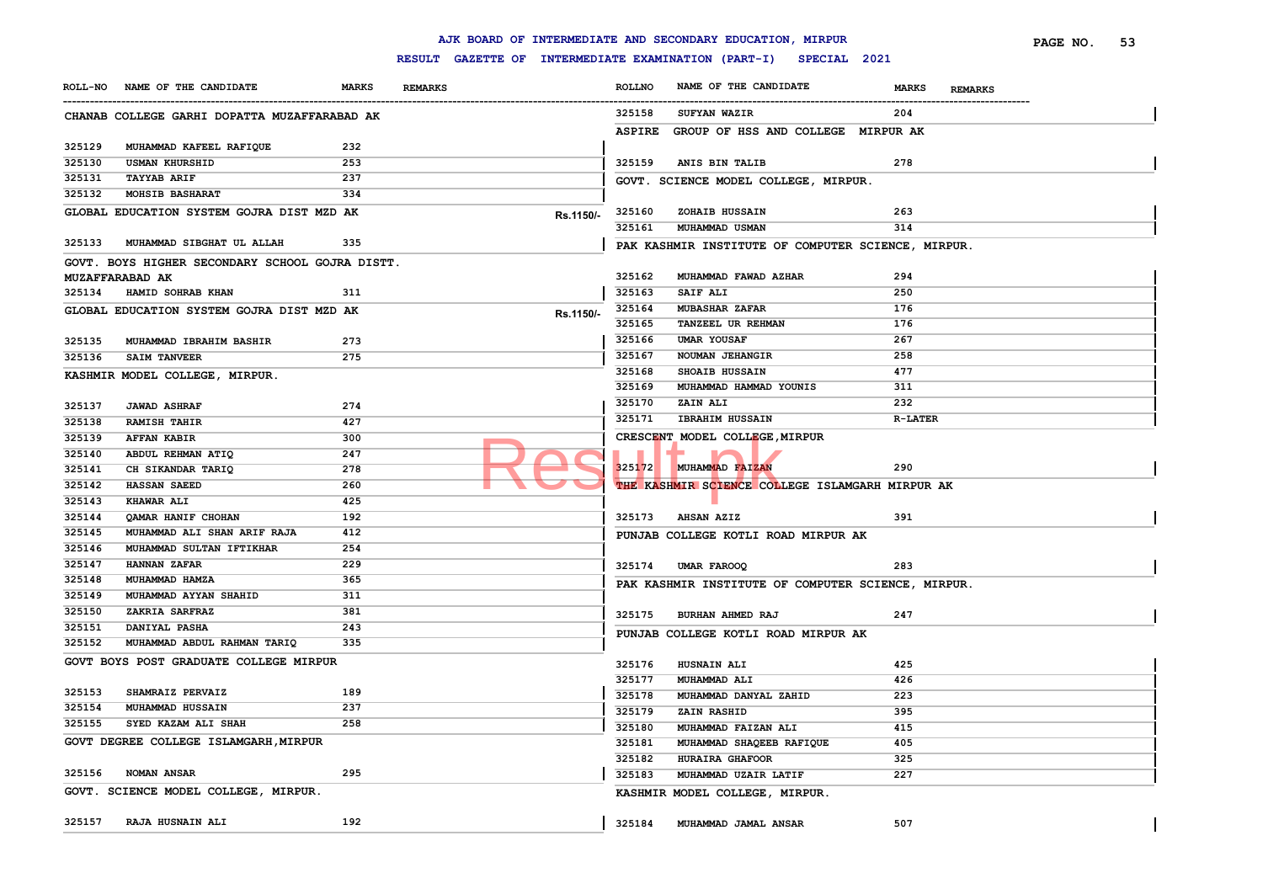|        |                                                 |              |                |           |               | AJK BOARD OF INTERMEDIATE AND SECONDARY EDUCATION, MIRPUR        |                |                | PAGE NO. | 53 |
|--------|-------------------------------------------------|--------------|----------------|-----------|---------------|------------------------------------------------------------------|----------------|----------------|----------|----|
|        |                                                 |              |                |           |               | RESULT GAZETTE OF INTERMEDIATE EXAMINATION (PART-I) SPECIAL 2021 |                |                |          |    |
|        | ROLL-NO NAME OF THE CANDIDATE                   | <b>MARKS</b> | <b>REMARKS</b> |           | <b>ROLLNO</b> | NAME OF THE CANDIDATE                                            | <b>MARKS</b>   | <b>REMARKS</b> |          |    |
|        | CHANAB COLLEGE GARHI DOPATTA MUZAFFARABAD AK    |              |                |           | 325158        | <b>SUFYAN WAZIR</b>                                              | 204            |                |          |    |
|        |                                                 |              |                |           | <b>ASPIRE</b> | GROUP OF HSS AND COLLEGE MIRPUR AK                               |                |                |          |    |
| 325129 | MUHAMMAD KAFEEL RAFIQUE                         | 232          |                |           |               |                                                                  |                |                |          |    |
| 325130 | <b>USMAN KHURSHID</b>                           | 253          |                |           | 325159        | ANIS BIN TALIB                                                   | 278            |                |          |    |
| 325131 | <b>TAYYAB ARIF</b>                              | 237          |                |           |               | GOVT. SCIENCE MODEL COLLEGE, MIRPUR.                             |                |                |          |    |
| 325132 | <b>MOHSIB BASHARAT</b>                          | 334          |                |           |               |                                                                  |                |                |          |    |
|        | GLOBAL EDUCATION SYSTEM GOJRA DIST MZD AK       |              |                | Rs.1150/- | 325160        | ZOHAIB HUSSAIN                                                   | 263            |                |          |    |
|        |                                                 |              |                |           | 325161        | MUHAMMAD USMAN                                                   | 314            |                |          |    |
|        | 325133 MUHAMMAD SIBGHAT UL ALLAH                | 335          |                |           |               | PAK KASHMIR INSTITUTE OF COMPUTER SCIENCE, MIRPUR.               |                |                |          |    |
|        | GOVT. BOYS HIGHER SECONDARY SCHOOL GOJRA DISTT. |              |                |           |               |                                                                  |                |                |          |    |
|        | <b>MUZAFFARABAD AK</b>                          |              |                |           | 325162        | MUHAMMAD FAWAD AZHAR                                             | 294            |                |          |    |
|        | 325134 HAMID SOHRAB KHAN                        | 311          |                |           | 325163        | <b>SAIF ALI</b>                                                  | 250            |                |          |    |
|        | GLOBAL EDUCATION SYSTEM GOJRA DIST MZD AK       |              |                | Rs.1150/- | 325164        | <b>MUBASHAR ZAFAR</b>                                            | 176            |                |          |    |
|        |                                                 |              |                |           | 325165        | TANZEEL UR REHMAN                                                | 176            |                |          |    |
| 325135 | MUHAMMAD IBRAHIM BASHIR                         | 273          |                |           | 325166        | UMAR YOUSAF                                                      | 267            |                |          |    |
| 325136 | <b>SAIM TANVEER</b>                             | 275          |                |           | 325167        | NOUMAN JEHANGIR                                                  | 258            |                |          |    |
|        | KASHMIR MODEL COLLEGE, MIRPUR.                  |              |                |           | 325168        | <b>SHOAIB HUSSAIN</b>                                            | 477            |                |          |    |
|        |                                                 |              |                |           | 325169        | MUHAMMAD HAMMAD YOUNIS                                           | 311            |                |          |    |
| 325137 | <b>JAWAD ASHRAF</b>                             | 274          |                |           | 325170        | ZAIN ALI                                                         | 232            |                |          |    |
| 325138 | <b>RAMISH TAHIR</b>                             | 427          |                |           | 325171        | <b>IBRAHIM HUSSAIN</b>                                           | <b>R-LATER</b> |                |          |    |
| 325139 | <b>AFFAN KABIR</b>                              | 300          |                |           |               | CRESCENT MODEL COLLEGE, MIRPUR                                   |                |                |          |    |
| 325140 | ABDUL REHMAN ATIQ                               | 247          |                |           |               |                                                                  |                |                |          |    |
| 325141 | CH SIKANDAR TARIQ                               | 278          |                |           | 325172        | MUHAMMAD FAIZAN                                                  | 290            |                |          |    |
| 325142 | <b>HASSAN SAEED</b>                             | 260          |                |           |               | THE KASHMIR SCIENCE COLLEGE ISLAMGARH MIRPUR AK                  |                |                |          |    |
| 325143 | <b>KHAWAR ALI</b>                               | 425          |                |           |               |                                                                  |                |                |          |    |
| 325144 | QAMAR HANIF CHOHAN                              | 192          |                |           | 325173        | <b>AHSAN AZIZ</b>                                                | 391            |                |          |    |
| 325145 | MUHAMMAD ALI SHAN ARIF RAJA                     | 412          |                |           |               | PUNJAB COLLEGE KOTLI ROAD MIRPUR AK                              |                |                |          |    |
| 325146 | MUHAMMAD SULTAN IFTIKHAR                        | 254          |                |           |               |                                                                  |                |                |          |    |
| 325147 | <b>HANNAN ZAFAR</b>                             | 229          |                |           | 325174        | <b>UMAR FAROOQ</b>                                               | 283            |                |          |    |
| 325148 | MUHAMMAD HAMZA                                  | 365          |                |           |               | PAK KASHMIR INSTITUTE OF COMPUTER SCIENCE, MIRPUR.               |                |                |          |    |
| 325149 | MUHAMMAD AYYAN SHAHID                           | 311          |                |           |               |                                                                  |                |                |          |    |
| 325150 | ZAKRIA SARFRAZ                                  | 381          |                |           | 325175        | BURHAN AHMED RAJ                                                 | 247            |                |          |    |
| 325151 | DANIYAL PASHA                                   | 243          |                |           |               | PUNJAB COLLEGE KOTLI ROAD MIRPUR AK                              |                |                |          |    |
| 325152 | MUHAMMAD ABDUL RAHMAN TARIQ                     | 335          |                |           |               |                                                                  |                |                |          |    |
|        | GOVT BOYS POST GRADUATE COLLEGE MIRPUR          |              |                |           | 325176        | <b>HUSNAIN ALI</b>                                               | 425            |                |          |    |
|        |                                                 |              |                |           | 325177        | <b>MUHAMMAD ALI</b>                                              | 426            |                |          |    |
| 325153 | SHAMRAIZ PERVAIZ                                | 189          |                |           | 325178        | MUHAMMAD DANYAL ZAHID                                            | 223            |                |          |    |
| 325154 | MUHAMMAD HUSSAIN                                | 237          |                |           | 325179        | <b>ZAIN RASHID</b>                                               | 395            |                |          |    |
| 325155 | SYED KAZAM ALI SHAH                             | 258          |                |           | 325180        | MUHAMMAD FAIZAN ALI                                              | 415            |                |          |    |
|        | GOVT DEGREE COLLEGE ISLAMGARH, MIRPUR           |              |                |           | 325181        | MUHAMMAD SHAQEEB RAFIQUE                                         | 405            |                |          |    |
|        |                                                 |              |                |           | 325182        | <b>HURAIRA GHAFOOR</b>                                           | 325            |                |          |    |
|        | 325156 NOMAN ANSAR                              | 295          |                |           | 325183        | MUHAMMAD UZAIR LATIF                                             | 227            |                |          |    |
|        | GOVT. SCIENCE MODEL COLLEGE, MIRPUR.            |              |                |           |               | KASHMIR MODEL COLLEGE, MIRPUR.                                   |                |                |          |    |
|        |                                                 |              |                |           |               |                                                                  |                |                |          |    |
|        | 325157 RAJA HUSNAIN ALI                         | 192          |                |           | 325184        | MUHAMMAD JAMAL ANSAR                                             | 507            |                |          |    |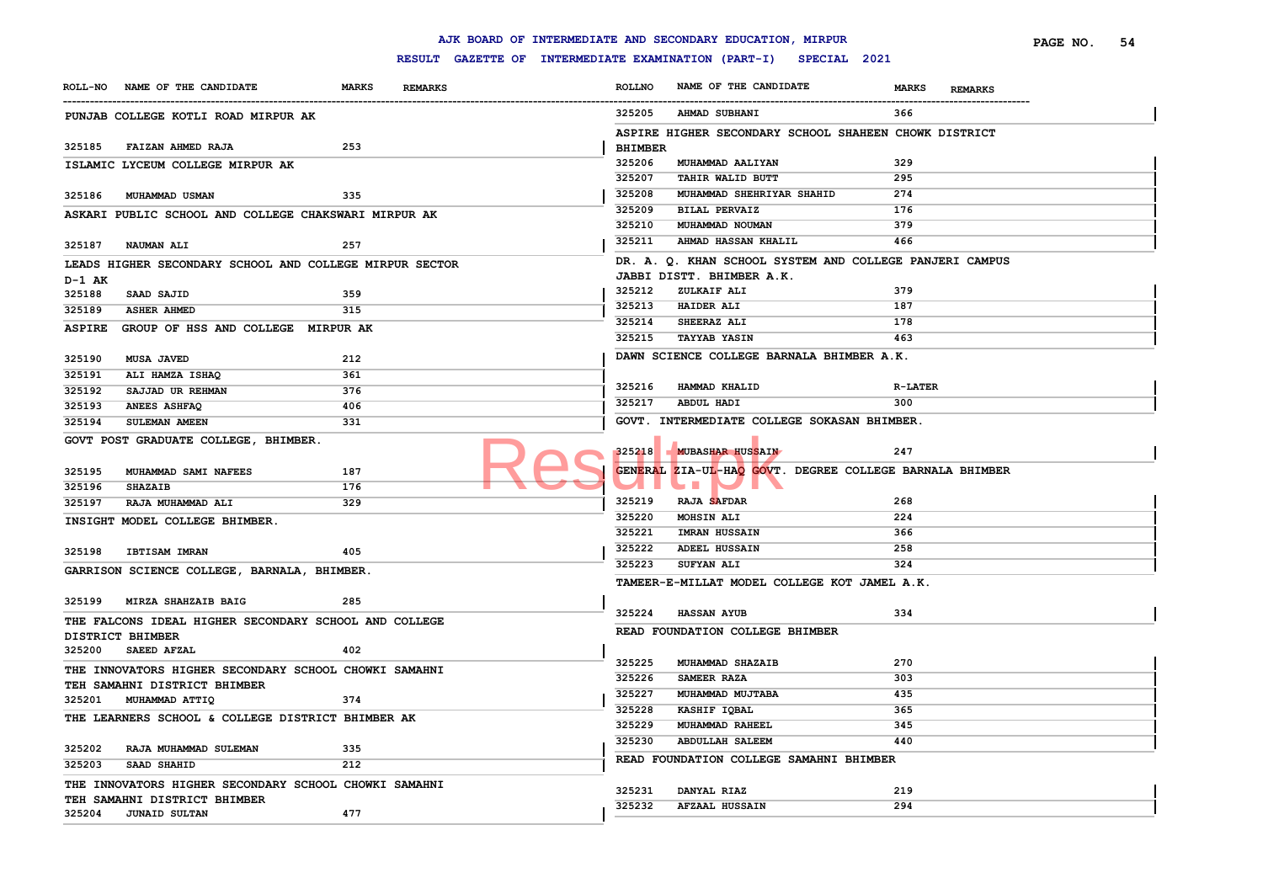|               |                                                         |                                |                                                     |                | AJK BOARD OF INTERMEDIATE AND SECONDARY EDUCATION, MIRPUR |                                                        | PAGE NO.<br>54 |
|---------------|---------------------------------------------------------|--------------------------------|-----------------------------------------------------|----------------|-----------------------------------------------------------|--------------------------------------------------------|----------------|
|               |                                                         |                                | RESULT GAZETTE OF INTERMEDIATE EXAMINATION (PART-I) |                | SPECIAL 2021                                              |                                                        |                |
|               | ROLL-NO NAME OF THE CANDIDATE                           | <b>MARKS</b><br><b>REMARKS</b> |                                                     | <b>ROLLNO</b>  | NAME OF THE CANDIDATE                                     | <b>MARKS</b><br><b>REMARKS</b><br>-------------------- |                |
|               | PUNJAB COLLEGE KOTLI ROAD MIRPUR AK                     |                                |                                                     | 325205         | <b>AHMAD SUBHANI</b>                                      | 366                                                    |                |
|               |                                                         |                                |                                                     |                | ASPIRE HIGHER SECONDARY SCHOOL SHAHEEN CHOWK DISTRICT     |                                                        |                |
| 325185        | FAIZAN AHMED RAJA                                       | 253                            |                                                     | <b>BHIMBER</b> |                                                           |                                                        |                |
|               | ISLAMIC LYCEUM COLLEGE MIRPUR AK                        |                                |                                                     | 325206         | MUHAMMAD AALIYAN                                          | 329                                                    |                |
|               |                                                         |                                |                                                     | 325207         | TAHIR WALID BUTT                                          | 295                                                    |                |
| 325186        | MUHAMMAD USMAN                                          | 335                            |                                                     | 325208         | MUHAMMAD SHEHRIYAR SHAHID                                 | 274                                                    |                |
|               | ASKARI PUBLIC SCHOOL AND COLLEGE CHAKSWARI MIRPUR AK    |                                |                                                     | 325209         | <b>BILAL PERVAIZ</b>                                      | 176                                                    |                |
|               |                                                         |                                |                                                     | 325210         | MUHAMMAD NOUMAN                                           | 379                                                    |                |
| 325187        | <b>NAUMAN ALI</b>                                       | 257                            |                                                     | 325211         | AHMAD HASSAN KHALIL                                       | 466                                                    |                |
|               | LEADS HIGHER SECONDARY SCHOOL AND COLLEGE MIRPUR SECTOR |                                |                                                     |                | DR. A. Q. KHAN SCHOOL SYSTEM AND COLLEGE PANJERI CAMPUS   |                                                        |                |
| D-1 AK        |                                                         |                                |                                                     |                | JABBI DISTT. BHIMBER A.K.                                 |                                                        |                |
| 325188        | SAAD SAJID                                              | 359                            |                                                     | 325212         | ZULKAIF ALI                                               | 379                                                    |                |
| 325189        | <b>ASHER AHMED</b>                                      | 315                            |                                                     | 325213         | <b>HAIDER ALI</b>                                         | 187                                                    |                |
| <b>ASPIRE</b> | GROUP OF HSS AND COLLEGE MIRPUR AK                      |                                |                                                     | 325214         | SHEERAZ ALI                                               | 178                                                    |                |
|               |                                                         |                                |                                                     | 325215         | <b>TAYYAB YASIN</b>                                       | 463                                                    |                |
| 325190        | <b>MUSA JAVED</b>                                       | 212                            |                                                     |                | DAWN SCIENCE COLLEGE BARNALA BHIMBER A.K.                 |                                                        |                |
| 325191        | ALI HAMZA ISHAQ                                         | 361                            |                                                     |                |                                                           |                                                        |                |
| 325192        | SAJJAD UR REHMAN                                        | 376                            |                                                     | 325216         | HAMMAD KHALID                                             | <b>R-LATER</b>                                         |                |
| 325193        | <b>ANEES ASHFAQ</b>                                     | 406                            |                                                     | 325217         | ABDUL HADI                                                | 300                                                    |                |
| 325194        | SULEMAN AMEEN                                           | 331                            |                                                     |                | GOVT. INTERMEDIATE COLLEGE SOKASAN BHIMBER.               |                                                        |                |
|               | GOVT POST GRADUATE COLLEGE, BHIMBER.                    |                                |                                                     |                |                                                           |                                                        |                |
|               |                                                         |                                |                                                     | 325218         | <b>MUBASHAR HUSSAIN</b>                                   | 247                                                    |                |
| 325195        | MUHAMMAD SAMI NAFEES                                    | 187                            |                                                     |                | GENERAL ZIA-UL-HAQ GOVT. DEGREE COLLEGE BARNALA BHIMBER   |                                                        |                |
| 325196        | <b>SHAZAIB</b>                                          | 176                            |                                                     |                | $\mathbf{r}$                                              |                                                        |                |
| 325197        | RAJA MUHAMMAD ALI                                       | 329                            |                                                     | 325219         | RAJA SAFDAR                                               | 268                                                    |                |
|               | INSIGHT MODEL COLLEGE BHIMBER.                          |                                |                                                     | 325220         | MOHSIN ALI                                                | 224                                                    |                |
|               |                                                         |                                |                                                     | 325221         | <b>IMRAN HUSSAIN</b>                                      | 366                                                    |                |
| 325198        | <b>IBTISAM IMRAN</b>                                    | 405                            |                                                     | 325222         | <b>ADEEL HUSSAIN</b>                                      | 258                                                    |                |
|               | GARRISON SCIENCE COLLEGE, BARNALA, BHIMBER.             |                                |                                                     | 325223         | SUFYAN ALI                                                | 324                                                    |                |
|               |                                                         |                                |                                                     |                | TAMEER-E-MILLAT MODEL COLLEGE KOT JAMEL A.K.              |                                                        |                |
|               | 325199 MIRZA SHAHZAIB BAIG                              | 285                            |                                                     |                |                                                           |                                                        |                |
|               | THE FALCONS IDEAL HIGHER SECONDARY SCHOOL AND COLLEGE   |                                |                                                     | 325224         | <b>HASSAN AYUB</b>                                        | 334                                                    |                |
|               | DISTRICT BHIMBER                                        |                                |                                                     |                | READ FOUNDATION COLLEGE BHIMBER                           |                                                        |                |
| 325200        | <b>SAEED AFZAL</b>                                      | 402                            |                                                     |                |                                                           |                                                        |                |
|               | THE INNOVATORS HIGHER SECONDARY SCHOOL CHOWKI SAMAHNI   |                                |                                                     | 325225         | MUHAMMAD SHAZAIB                                          | 270                                                    |                |
|               | TEH SAMAHNI DISTRICT BHIMBER                            |                                |                                                     | 325226         | SAMEER RAZA                                               | 303                                                    |                |
|               | 325201 MUHAMMAD ATTIQ                                   | 374                            |                                                     | 325227         | MUHAMMAD MUJTABA                                          | 435                                                    |                |
|               | THE LEARNERS SCHOOL & COLLEGE DISTRICT BHIMBER AK       |                                |                                                     | 325228         | KASHIF IQBAL                                              | 365                                                    |                |
|               |                                                         |                                |                                                     | 325229         | MUHAMMAD RAHEEL                                           | 345                                                    |                |
| 325202        | RAJA MUHAMMAD SULEMAN                                   | 335                            |                                                     | 325230         | <b>ABDULLAH SALEEM</b>                                    | 440                                                    |                |
| 325203        | SAAD SHAHID                                             | 212                            |                                                     |                | READ FOUNDATION COLLEGE SAMAHNI BHIMBER                   |                                                        |                |
|               |                                                         |                                |                                                     |                |                                                           |                                                        |                |
|               | THE INNOVATORS HIGHER SECONDARY SCHOOL CHOWKI SAMAHNI   |                                |                                                     | 325231         | DANYAL RIAZ                                               | 219                                                    |                |
| 325204        | TEH SAMAHNI DISTRICT BHIMBER<br><b>JUNAID SULTAN</b>    | 477                            |                                                     | 325232         | <b>AFZAAL HUSSAIN</b>                                     | 294                                                    |                |
|               |                                                         |                                |                                                     |                |                                                           |                                                        |                |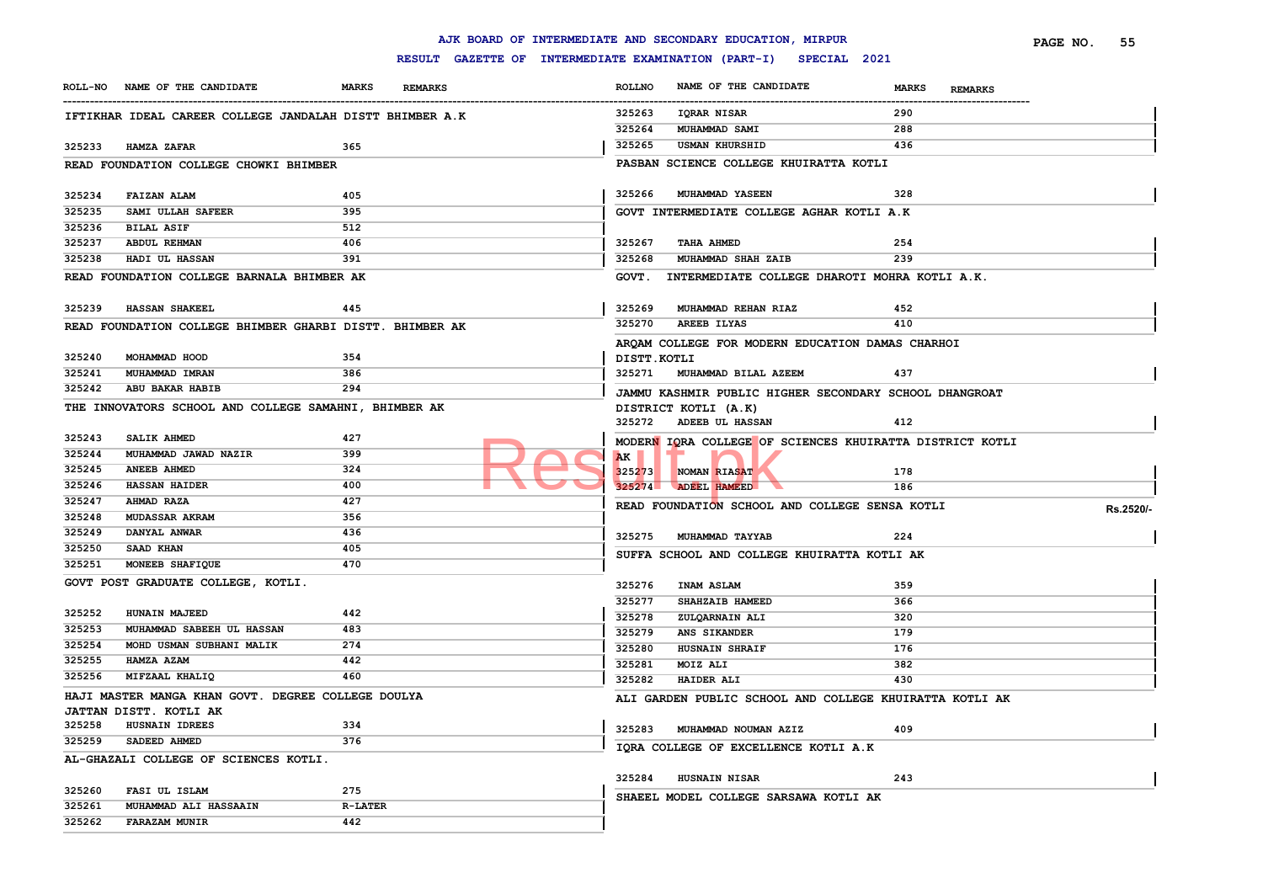#### **ROLL-NO NAME OF THE CANDIDATE MARKS REMARKS** ------------------------------------------------------------------------------------------------------------------------------------------------------------------------------------------------------------------------ **ROLLNO NAME OF THE CANDIDATE MARKS REMARKS PAGE NO. 55 IFTIKHAR IDEAL CAREER COLLEGE JANDALAH DISTT BHIMBER A.K HAMZA ZAFAR 365 READ FOUNDATION COLLEGE CHOWKI BHIMBER FAIZAN ALAM 405 SAMI ULLAH SAFEER 395 BILAL ASIF 512 ABDUL REHMAN 406 HADI UL HASSAN 391 READ FOUNDATION COLLEGE BARNALA BHIMBER AK HASSAN SHAKEEL 445 READ FOUNDATION COLLEGE BHIMBER GHARBI DISTT. BHIMBER AK MOHAMMAD HOOD 354 MUHAMMAD IMRAN 386 ABU BAKAR HABIB 294 THE INNOVATORS SCHOOL AND COLLEGE SAMAHNI, BHIMBER AK SALIK AHMED 427 MUHAMMAD JAWAD NAZIR 399 ANEEB AHMED 324 HASSAN HAIDER 400 AHMAD RAZA 427 MUDASSAR AKRAM 356 DANYAL ANWAR 436 SAAD KHAN 405 MONEEB SHAFIQUE 470 GOVT POST GRADUATE COLLEGE, KOTLI. HUNAIN MAJEED 442 MUHAMMAD SABEEH UL HASSAN 483 MOHD USMAN SUBHANI MALIK 274 HAMZA AZAM 442 MIFZAAL KHALIQ 460 HAJI MASTER MANGA KHAN GOVT. DEGREE COLLEGE DOULYA JATTAN DISTT. KOTLI AK HUSNAIN IDREES 334 SADEED AHMED 376 AL-GHAZALI COLLEGE OF SCIENCES KOTLI. FASI UL ISLAM 275 MUHAMMAD ALI HASSAAIN R-LATER FARAZAM MUNIR 442 IQRAR NISAR 290 MUHAMMAD SAMI 288 USMAN KHURSHID 436 PASBAN SCIENCE COLLEGE KHUIRATTA KOTLI MUHAMMAD YASEEN 328 GOVT INTERMEDIATE COLLEGE AGHAR KOTLI A.K TAHA AHMED 254 MUHAMMAD SHAH ZAIB 239 GOVT. INTERMEDIATE COLLEGE DHAROTI MOHRA KOTLI A.K. MUHAMMAD REHAN RIAZ 452 AREEB ILYAS 410 ARQAM COLLEGE FOR MODERN EDUCATION DAMAS CHARHOI DISTT.KOTLI MUHAMMAD BILAL AZEEM 437 JAMMU KASHMIR PUBLIC HIGHER SECONDARY SCHOOL DHANGROAT DISTRICT KOTLI (A.K) ADEEB UL HASSAN 412 MODERN IQRA COLLEGE OF SCIENCES KHUIRATTA DISTRICT KOTLI AK NOMAN RIASAT 178 ADEEL HAMEED 186 READ FOUNDATION SCHOOL AND COLLEGE SENSA KOTLI <b>RS.2520/- MUHAMMAD TAYYAB 224 SUFFA SCHOOL AND COLLEGE KHUIRATTA KOTLI AK INAM ASLAM 359 SHAHZAIB HAMEED 366 ZULQARNAIN ALI 320 ANS SIKANDER 179 HUSNAIN SHRAIF 176 MOIZ ALI 382 HAIDER ALI 430 ALI GARDEN PUBLIC SCHOOL AND COLLEGE KHUIRATTA KOTLI AK MUHAMMAD NOUMAN AZIZ 409 IQRA COLLEGE OF EXCELLENCE KOTLI A.K HUSNAIN NISAR 243 SHAEEL MODEL COLLEGE SARSAWA KOTLI AK**  MODERN IQRA COLLEGE OF

**AJK BOARD OF INTERMEDIATE AND SECONDARY EDUCATION, MIRPUR**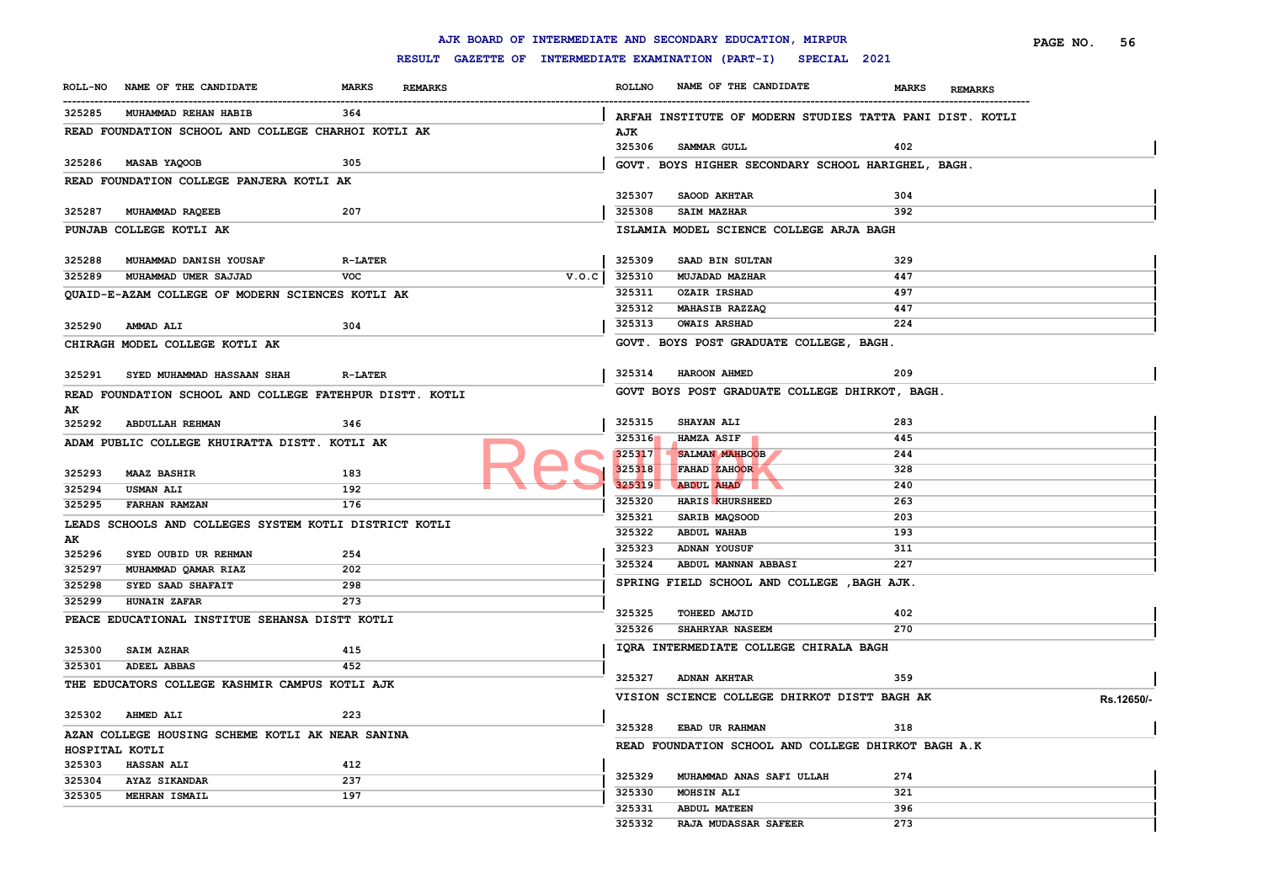|                  |                                                          |                |                |       |                  | AJK BOARD OF INTERMEDIATE AND SECONDARY EDUCATION, MIRPUR        |                                | PAGE NO.<br>56 |
|------------------|----------------------------------------------------------|----------------|----------------|-------|------------------|------------------------------------------------------------------|--------------------------------|----------------|
|                  |                                                          |                |                |       |                  | RESULT GAZETTE OF INTERMEDIATE EXAMINATION (PART-I) SPECIAL 2021 |                                |                |
| <b>ROLL-NO</b>   | NAME OF THE CANDIDATE                                    | <b>MARKS</b>   | <b>REMARKS</b> |       | <b>ROLLNO</b>    | NAME OF THE CANDIDATE                                            | <b>MARKS</b><br><b>REMARKS</b> |                |
| 325285           | MUHAMMAD REHAN HABIB                                     | 364            |                |       |                  | ARFAH INSTITUTE OF MODERN STUDIES TATTA PANI DIST. KOTLI         |                                |                |
|                  | READ FOUNDATION SCHOOL AND COLLEGE CHARHOI KOTLI AK      |                |                |       | AJK              |                                                                  |                                |                |
|                  |                                                          |                |                |       | 325306           | <b>SAMMAR GULL</b>                                               | 402                            |                |
| 325286           | <b>MASAB YAQOOB</b>                                      | 305            |                |       |                  | GOVT. BOYS HIGHER SECONDARY SCHOOL HARIGHEL, BAGH.               |                                |                |
|                  | READ FOUNDATION COLLEGE PANJERA KOTLI AK                 |                |                |       |                  |                                                                  |                                |                |
|                  |                                                          |                |                |       | 325307           | SAOOD AKHTAR                                                     | 304                            |                |
| 325287           | MUHAMMAD RAQEEB                                          | 207            |                |       | 325308           | SAIM MAZHAR                                                      | 392                            |                |
|                  | PUNJAB COLLEGE KOTLI AK                                  |                |                |       |                  | ISLAMIA MODEL SCIENCE COLLEGE ARJA BAGH                          |                                |                |
|                  |                                                          |                |                |       |                  |                                                                  |                                |                |
| 325288           | MUHAMMAD DANISH YOUSAF                                   | <b>R-LATER</b> |                |       | 325309           | SAAD BIN SULTAN                                                  | 329                            |                |
| 325289           | MUHAMMAD UMER SAJJAD                                     | <b>VOC</b>     |                | V.0.C | 325310           | <b>MUJADAD MAZHAR</b>                                            | 447                            |                |
|                  | QUAID-E-AZAM COLLEGE OF MODERN SCIENCES KOTLI AK         |                |                |       | 325311           | <b>OZAIR IRSHAD</b>                                              | 497                            |                |
|                  |                                                          |                |                |       | 325312           | <b>MAHASIB RAZZAQ</b>                                            | 447                            |                |
| 325290           | <b>AMMAD ALI</b>                                         | 304            |                |       | 325313           | <b>OWAIS ARSHAD</b>                                              | 224                            |                |
|                  | CHIRAGH MODEL COLLEGE KOTLI AK                           |                |                |       |                  | GOVT. BOYS POST GRADUATE COLLEGE, BAGH.                          |                                |                |
|                  |                                                          |                |                |       |                  |                                                                  |                                |                |
| 325291           | SYED MUHAMMAD HASSAAN SHAH                               | <b>R-LATER</b> |                |       | 325314           | HAROON AHMED                                                     | 209                            |                |
|                  | READ FOUNDATION SCHOOL AND COLLEGE FATEHPUR DISTT. KOTLI |                |                |       |                  | GOVT BOYS POST GRADUATE COLLEGE DHIRKOT, BAGH.                   |                                |                |
| AK               |                                                          |                |                |       |                  |                                                                  | 283                            |                |
| 325292           | <b>ABDULLAH REHMAN</b>                                   | 346            |                |       | 325315<br>325316 | <b>SHAYAN ALI</b>                                                | 445                            |                |
|                  | ADAM PUBLIC COLLEGE KHUIRATTA DISTT. KOTLI AK            |                |                |       | 325317           | <b>HAMZA ASIF</b><br><b>SALMAN MAHBOOB</b>                       | 244                            |                |
|                  |                                                          |                |                |       | 325318           | FAHAD ZAHOOR                                                     | 328                            |                |
| 325293           | <b>MAAZ BASHIR</b>                                       | 183            |                |       | 325319           | ABDUL AHAD                                                       | 240                            |                |
| 325294           | <b>USMAN ALI</b>                                         | 192            |                |       | 325320           | HARIS KHURSHEED                                                  | 263                            |                |
| 325295           | <b>FARHAN RAMZAN</b>                                     | 176            |                |       | 325321           | SARIB MAQSOOD                                                    | 203                            |                |
|                  | LEADS SCHOOLS AND COLLEGES SYSTEM KOTLI DISTRICT KOTLI   |                |                |       | 325322           | <b>ABDUL WAHAB</b>                                               | 193                            |                |
| AK               |                                                          |                |                |       | 325323           | ADNAN YOUSUF                                                     | 311                            |                |
| 325296           | SYED OUBID UR REHMAN                                     | 254            |                |       | 325324           | ABDUL MANNAN ABBASI                                              | 227                            |                |
| 325297<br>325298 | MUHAMMAD QAMAR RIAZ<br>SYED SAAD SHAFAIT                 | 202<br>298     |                |       |                  | SPRING FIELD SCHOOL AND COLLEGE , BAGH AJK.                      |                                |                |
| 325299           | <b>HUNAIN ZAFAR</b>                                      | 273            |                |       |                  |                                                                  |                                |                |
|                  |                                                          |                |                |       | 325325           | TOHEED AMJID                                                     | 402                            |                |
|                  | PEACE EDUCATIONAL INSTITUE SEHANSA DISTT KOTLI           |                |                |       | 325326           | SHAHRYAR NASEEM                                                  | 270                            |                |
| 325300           | <b>SAIM AZHAR</b>                                        | 415            |                |       |                  | IQRA INTERMEDIATE COLLEGE CHIRALA BAGH                           |                                |                |
| 325301           | <b>ADEEL ABBAS</b>                                       | 452            |                |       |                  |                                                                  |                                |                |
|                  | THE EDUCATORS COLLEGE KASHMIR CAMPUS KOTLI AJK           |                |                |       | 325327           | <b>ADNAN AKHTAR</b>                                              | 359                            |                |
|                  |                                                          |                |                |       |                  | VISION SCIENCE COLLEGE DHIRKOT DISTT BAGH AK                     |                                | Rs.12650/-     |
| 325302           | <b>AHMED ALI</b>                                         | 223            |                |       |                  |                                                                  |                                |                |
|                  | AZAN COLLEGE HOUSING SCHEME KOTLI AK NEAR SANINA         |                |                |       | 325328           | EBAD UR RAHMAN                                                   | 318                            |                |
| HOSPITAL KOTLI   |                                                          |                |                |       |                  | READ FOUNDATION SCHOOL AND COLLEGE DHIRKOT BAGH A.K              |                                |                |
| 325303           | <b>HASSAN ALI</b>                                        | 412            |                |       |                  |                                                                  |                                |                |
| 325304           | AYAZ SIKANDAR                                            | 237            |                |       | 325329           | MUHAMMAD ANAS SAFI ULLAH                                         | 274                            |                |
| 325305           | MEHRAN ISMAIL                                            | 197            |                |       | 325330           | <b>MOHSIN ALI</b>                                                | 321                            |                |
|                  |                                                          |                |                |       | 325331           | <b>ABDUL MATEEN</b>                                              | 396                            |                |
|                  |                                                          |                |                |       | 325332           | <b>RAJA MUDASSAR SAFEER</b>                                      | 273                            |                |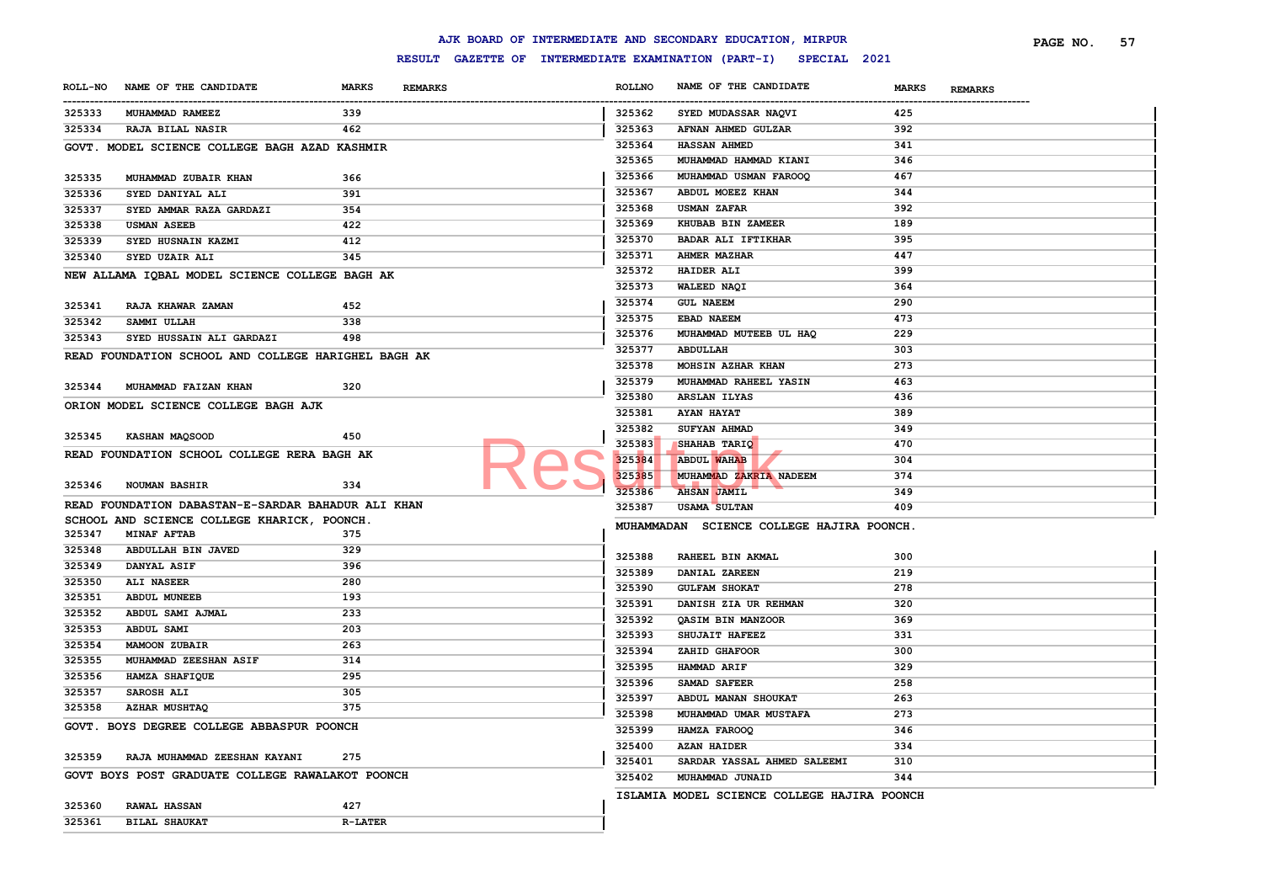|        |                                                     |                |                |               | AJK BOARD OF INTERMEDIATE AND SECONDARY EDUCATION, MIRPUR        |                                | PAGE NO. | 57 |
|--------|-----------------------------------------------------|----------------|----------------|---------------|------------------------------------------------------------------|--------------------------------|----------|----|
|        |                                                     |                |                |               | RESULT GAZETTE OF INTERMEDIATE EXAMINATION (PART-I) SPECIAL 2021 |                                |          |    |
|        | ROLL-NO NAME OF THE CANDIDATE                       | <b>MARKS</b>   | <b>REMARKS</b> | <b>ROLLNO</b> | NAME OF THE CANDIDATE                                            | <b>MARKS</b><br><b>REMARKS</b> |          |    |
| 325333 | MUHAMMAD RAMEEZ                                     | 339            |                | 325362        | SYED MUDASSAR NAQVI                                              | 425                            |          |    |
| 325334 | <b>RAJA BILAL NASIR</b>                             | 462            |                | 325363        | AFNAN AHMED GULZAR                                               | 392                            |          |    |
|        | GOVT. MODEL SCIENCE COLLEGE BAGH AZAD KASHMIR       |                |                | 325364        | <b>HASSAN AHMED</b>                                              | 341                            |          |    |
|        |                                                     |                |                | 325365        | MUHAMMAD HAMMAD KIANI                                            | 346                            |          |    |
| 325335 | MUHAMMAD ZUBAIR KHAN                                | 366            |                | 325366        | MUHAMMAD USMAN FAROOQ                                            | 467                            |          |    |
| 325336 | SYED DANIYAL ALI                                    | 391            |                | 325367        | ABDUL MOEEZ KHAN                                                 | 344                            |          |    |
| 325337 | SYED AMMAR RAZA GARDAZI                             | 354            |                | 325368        | <b>USMAN ZAFAR</b>                                               | 392                            |          |    |
| 325338 | <b>USMAN ASEEB</b>                                  | 422            |                | 325369        | KHUBAB BIN ZAMEER                                                | 189                            |          |    |
| 325339 | SYED HUSNAIN KAZMI                                  | 412            |                | 325370        | <b>BADAR ALI IFTIKHAR</b>                                        | 395                            |          |    |
| 325340 | SYED UZAIR ALI                                      | 345            |                | 325371        | <b>AHMER MAZHAR</b>                                              | 447                            |          |    |
|        | NEW ALLAMA IQBAL MODEL SCIENCE COLLEGE BAGH AK      |                |                | 325372        | <b>HAIDER ALI</b>                                                | 399                            |          |    |
|        |                                                     |                |                | 325373        | WALEED NAQI                                                      | 364                            |          |    |
| 325341 | RAJA KHAWAR ZAMAN                                   | 452            |                | 325374        | <b>GUL NAEEM</b>                                                 | 290                            |          |    |
| 325342 | SAMMI ULLAH                                         | 338            |                | 325375        | EBAD NAEEM                                                       | 473                            |          |    |
| 325343 | SYED HUSSAIN ALI GARDAZI                            | 498            |                | 325376        | MUHAMMAD MUTEEB UL HAQ                                           | 229                            |          |    |
|        |                                                     |                |                | 325377        | ABDULLAH                                                         | 303                            |          |    |
|        | READ FOUNDATION SCHOOL AND COLLEGE HARIGHEL BAGH AK |                |                | 325378        | MOHSIN AZHAR KHAN                                                | 273                            |          |    |
|        |                                                     |                |                | 325379        | MUHAMMAD RAHEEL YASIN                                            | 463                            |          |    |
| 325344 | MUHAMMAD FAIZAN KHAN                                | 320            |                | 325380        | ARSLAN ILYAS                                                     | 436                            |          |    |
|        | ORION MODEL SCIENCE COLLEGE BAGH AJK                |                |                | 325381        | <b>AYAN HAYAT</b>                                                | 389                            |          |    |
|        |                                                     |                |                | 325382        | SUFYAN AHMAD                                                     | 349                            |          |    |
| 325345 | KASHAN MAQSOOD                                      | 450            |                | 325383        | SHAHAB TARIQ                                                     | 470                            |          |    |
|        | READ FOUNDATION SCHOOL COLLEGE RERA BAGH AK         |                |                | 325384        | <b>ABDUL WAHAB</b>                                               | 304                            |          |    |
|        |                                                     |                |                | 325385        | MUHAMMAD ZAKRIA NADEEM                                           | 374                            |          |    |
| 325346 | <b>NOUMAN BASHIR</b>                                | 334            |                | 325386        | <b>AHSAN JAMIL</b>                                               | 349                            |          |    |
|        | READ FOUNDATION DABASTAN-E-SARDAR BAHADUR ALI KHAN  |                |                | 325387        | <b>USAMA SULTAN</b>                                              | 409                            |          |    |
|        | SCHOOL AND SCIENCE COLLEGE KHARICK, POONCH.         |                |                |               | MUHAMMADAN SCIENCE COLLEGE HAJIRA POONCH.                        |                                |          |    |
| 325347 | <b>MINAF AFTAB</b>                                  | 375            |                |               |                                                                  |                                |          |    |
| 325348 | ABDULLAH BIN JAVED                                  | 329            |                | 325388        | RAHEEL BIN AKMAL                                                 | 300                            |          |    |
| 325349 | <b>DANYAL ASIF</b>                                  | 396            |                | 325389        | DANIAL ZAREEN                                                    | 219                            |          |    |
| 325350 | <b>ALI NASEER</b>                                   | 280            |                | 325390        | <b>GULFAM SHOKAT</b>                                             | 278                            |          |    |
| 325351 | <b>ABDUL MUNEEB</b>                                 | 193            |                | 325391        | DANISH ZIA UR REHMAN                                             | 320                            |          |    |
| 325352 | ABDUL SAMI AJMAL                                    | 233            |                | 325392        | QASIM BIN MANZOOR                                                | 369                            |          |    |
| 325353 | ABDUL SAMI                                          | 203            |                | 325393        | SHUJAIT HAFEEZ                                                   | 331                            |          |    |
| 325354 | <b>MAMOON ZUBAIR</b>                                | 263            |                | 325394        | ZAHID GHAFOOR                                                    | 300                            |          |    |
| 325355 | MUHAMMAD ZEESHAN ASIF                               | 314            |                | 325395        | <b>HAMMAD ARIF</b>                                               | 329                            |          |    |
| 325356 | HAMZA SHAFIQUE                                      | 295            |                | 325396        | SAMAD SAFEER                                                     | 258                            |          |    |
| 325357 | SAROSH ALI                                          | 305            |                | 325397        |                                                                  | 263                            |          |    |
| 325358 | <b>AZHAR MUSHTAQ</b>                                | 375            |                |               | ABDUL MANAN SHOUKAT                                              |                                |          |    |
|        | GOVT. BOYS DEGREE COLLEGE ABBASPUR POONCH           |                |                | 325398        | MUHAMMAD UMAR MUSTAFA                                            | 273                            |          |    |
|        |                                                     |                |                | 325399        | HAMZA FAROOQ                                                     | 346                            |          |    |
|        | 325359 RAJA MUHAMMAD ZEESHAN KAYANI                 | 275            |                | 325400        | <b>AZAN HAIDER</b>                                               | 334                            |          |    |
|        | GOVT BOYS POST GRADUATE COLLEGE RAWALAKOT POONCH    |                |                | 325401        | SARDAR YASSAL AHMED SALEEMI                                      | 310                            |          |    |
|        |                                                     |                |                | 325402        | MUHAMMAD JUNAID                                                  | 344                            |          |    |
| 325360 | <b>RAWAL HASSAN</b>                                 | 427            |                |               | ISLAMIA MODEL SCIENCE COLLEGE HAJIRA POONCH                      |                                |          |    |
| 325361 | <b>BILAL SHAUKAT</b>                                | <b>R-LATER</b> |                |               |                                                                  |                                |          |    |
|        |                                                     |                |                |               |                                                                  |                                |          |    |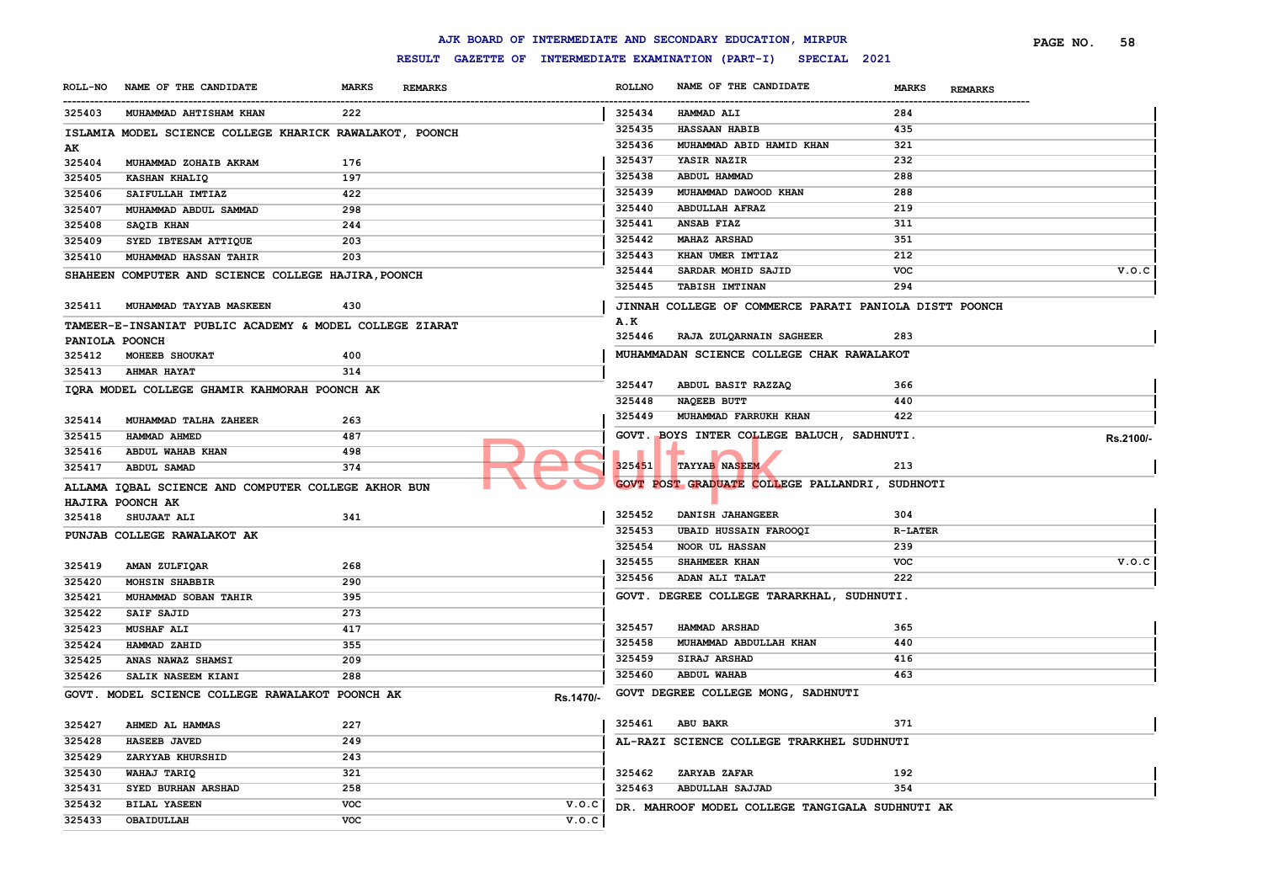|                      |                                                         |              |                                                     |           |               | AJK BOARD OF INTERMEDIATE AND SECONDARY EDUCATION, MIRPUR |                |                | PAGE NO. | 58        |
|----------------------|---------------------------------------------------------|--------------|-----------------------------------------------------|-----------|---------------|-----------------------------------------------------------|----------------|----------------|----------|-----------|
|                      |                                                         |              | RESULT GAZETTE OF INTERMEDIATE EXAMINATION (PART-I) |           |               | SPECIAL 2021                                              |                |                |          |           |
| <b>ROLL-NO</b>       | NAME OF THE CANDIDATE                                   | <b>MARKS</b> | <b>REMARKS</b>                                      |           | <b>ROLLNO</b> | NAME OF THE CANDIDATE                                     | <b>MARKS</b>   | <b>REMARKS</b> |          |           |
| ----------<br>325403 | MUHAMMAD AHTISHAM KHAN                                  | 222          |                                                     |           | 325434        | HAMMAD ALI                                                | 284            |                |          |           |
|                      | ISLAMIA MODEL SCIENCE COLLEGE KHARICK RAWALAKOT, POONCH |              |                                                     |           | 325435        | <b>HASSAAN HABIB</b>                                      | 435            |                |          |           |
| AK                   |                                                         |              |                                                     |           | 325436        | MUHAMMAD ABID HAMID KHAN                                  | 321            |                |          |           |
| 325404               | MUHAMMAD ZOHAIB AKRAM                                   | 176          |                                                     |           | 325437        | YASIR NAZIR                                               | 232            |                |          |           |
| 325405               | KASHAN KHALIQ                                           | 197          |                                                     |           | 325438        | ABDUL HAMMAD                                              | 288            |                |          |           |
| 325406               | SAIFULLAH IMTIAZ                                        | 422          |                                                     |           | 325439        | MUHAMMAD DAWOOD KHAN                                      | 288            |                |          |           |
| 325407               | MUHAMMAD ABDUL SAMMAD                                   | 298          |                                                     |           | 325440        | <b>ABDULLAH AFRAZ</b>                                     | 219            |                |          |           |
| 325408               | SAQIB KHAN                                              | 244          |                                                     |           | 325441        | ANSAB FIAZ                                                | 311            |                |          |           |
| 325409               | SYED IBTESAM ATTIQUE                                    | 203          |                                                     |           | 325442        | <b>MAHAZ ARSHAD</b>                                       | 351            |                |          |           |
| 325410               | <b>MUHAMMAD HASSAN TAHIR</b>                            | 203          |                                                     |           | 325443        | KHAN UMER IMTIAZ                                          | 212            |                |          |           |
|                      | SHAHEEN COMPUTER AND SCIENCE COLLEGE HAJIRA, POONCH     |              |                                                     |           | 325444        | SARDAR MOHID SAJID                                        | <b>VOC</b>     |                |          | V.O.C     |
|                      |                                                         |              |                                                     |           | 325445        | <b>TABISH IMTINAN</b>                                     | 294            |                |          |           |
| 325411               | MUHAMMAD TAYYAB MASKEEN                                 | 430          |                                                     |           |               | JINNAH COLLEGE OF COMMERCE PARATI PANIOLA DISTT POONCH    |                |                |          |           |
|                      | TAMEER-E-INSANIAT PUBLIC ACADEMY & MODEL COLLEGE ZIARAT |              |                                                     |           | A.K           |                                                           |                |                |          |           |
| PANIOLA POONCH       |                                                         |              |                                                     |           | 325446        | RAJA ZULQARNAIN SAGHEER                                   | 283            |                |          |           |
| 325412               | MOHEEB SHOUKAT                                          | 400          |                                                     |           |               | MUHAMMADAN SCIENCE COLLEGE CHAK RAWALAKOT                 |                |                |          |           |
| 325413               | <b>AHMAR HAYAT</b>                                      | 314          |                                                     |           |               |                                                           |                |                |          |           |
|                      | IQRA MODEL COLLEGE GHAMIR KAHMORAH POONCH AK            |              |                                                     |           | 325447        | ABDUL BASIT RAZZAQ                                        | 366            |                |          |           |
|                      |                                                         |              |                                                     |           | 325448        | NAQEEB BUTT                                               | 440            |                |          |           |
| 325414               | MUHAMMAD TALHA ZAHEER                                   | 263          |                                                     |           | 325449        | MUHAMMAD FARRUKH KHAN                                     | 422            |                |          |           |
| 325415               | HAMMAD AHMED                                            | 487          |                                                     |           |               | GOVT. BOYS INTER COLLEGE BALUCH, SADHNUTI.                |                |                |          | Rs.2100/- |
| 325416               | ABDUL WAHAB KHAN                                        | 498          |                                                     |           |               |                                                           |                |                |          |           |
| 325417               | <b>ABDUL SAMAD</b>                                      | 374          |                                                     |           | 325451        | <b>TAYYAB NASEEM</b>                                      | 213            |                |          |           |
|                      | ALLAMA IQBAL SCIENCE AND COMPUTER COLLEGE AKHOR BUN     |              |                                                     |           |               | GOVT POST GRADUATE COLLEGE PALLANDRI, SUDHNOTI            |                |                |          |           |
|                      | HAJIRA POONCH AK                                        |              |                                                     |           |               |                                                           |                |                |          |           |
| 325418               | SHUJAAT ALI                                             | 341          |                                                     |           | 325452        | DANISH JAHANGEER                                          | 304            |                |          |           |
|                      | PUNJAB COLLEGE RAWALAKOT AK                             |              |                                                     |           | 325453        | <b>UBAID HUSSAIN FAROOQI</b>                              | <b>R-LATER</b> |                |          |           |
|                      |                                                         |              |                                                     |           | 325454        | NOOR UL HASSAN                                            | 239            |                |          |           |
| 325419               | AMAN ZULFIQAR                                           | 268          |                                                     |           | 325455        | SHAHMEER KHAN                                             | <b>VOC</b>     |                |          | V.0.C     |
| 325420               | <b>MOHSIN SHABBIR</b>                                   | 290          |                                                     |           | 325456        | ADAN ALI TALAT                                            | 222            |                |          |           |
| 325421               | MUHAMMAD SOBAN TAHIR                                    | 395          |                                                     |           |               | GOVT. DEGREE COLLEGE TARARKHAL, SUDHNUTI.                 |                |                |          |           |
| 325422               | SAIF SAJID                                              | 273          |                                                     |           |               |                                                           |                |                |          |           |
| 325423               | <b>MUSHAF ALI</b>                                       | 417          |                                                     |           | 325457        | HAMMAD ARSHAD                                             | 365            |                |          |           |
| 325424               | HAMMAD ZAHID                                            | 355          |                                                     |           | 325458        | MUHAMMAD ABDULLAH KHAN                                    | 440            |                |          |           |
| 325425               | ANAS NAWAZ SHAMSI                                       | 209          |                                                     |           | 325459        | <b>SIRAJ ARSHAD</b>                                       | 416            |                |          |           |
| 325426               | SALIK NASEEM KIANI                                      | 288          |                                                     |           | 325460        | <b>ABDUL WAHAB</b>                                        | 463            |                |          |           |
|                      | GOVT. MODEL SCIENCE COLLEGE RAWALAKOT POONCH AK         |              |                                                     | Rs.1470/- |               | GOVT DEGREE COLLEGE MONG, SADHNUTI                        |                |                |          |           |
| 325427               | AHMED AL HAMMAS                                         | 227          |                                                     |           | 325461        | <b>ABU BAKR</b>                                           | 371            |                |          |           |
| 325428               | <b>HASEEB JAVED</b>                                     | 249          |                                                     |           |               | AL-RAZI SCIENCE COLLEGE TRARKHEL SUDHNUTI                 |                |                |          |           |
| 325429               | ZARYYAB KHURSHID                                        | 243          |                                                     |           |               |                                                           |                |                |          |           |
| 325430               | WAHAJ TARIO                                             | 321          |                                                     |           | 325462        | <b>ZARYAB ZAFAR</b>                                       | 192            |                |          |           |
| 325431               | SYED BURHAN ARSHAD                                      | 258          |                                                     |           | 325463        | ABDULLAH SAJJAD                                           | 354            |                |          |           |
| 325432               | <b>BILAL YASEEN</b>                                     | <b>VOC</b>   |                                                     | V.O.C     |               | DR. MAHROOF MODEL COLLEGE TANGIGALA SUDHNUTI AK           |                |                |          |           |
| 325433               | OBAIDULLAH                                              | <b>VOC</b>   |                                                     | V.O.C     |               |                                                           |                |                |          |           |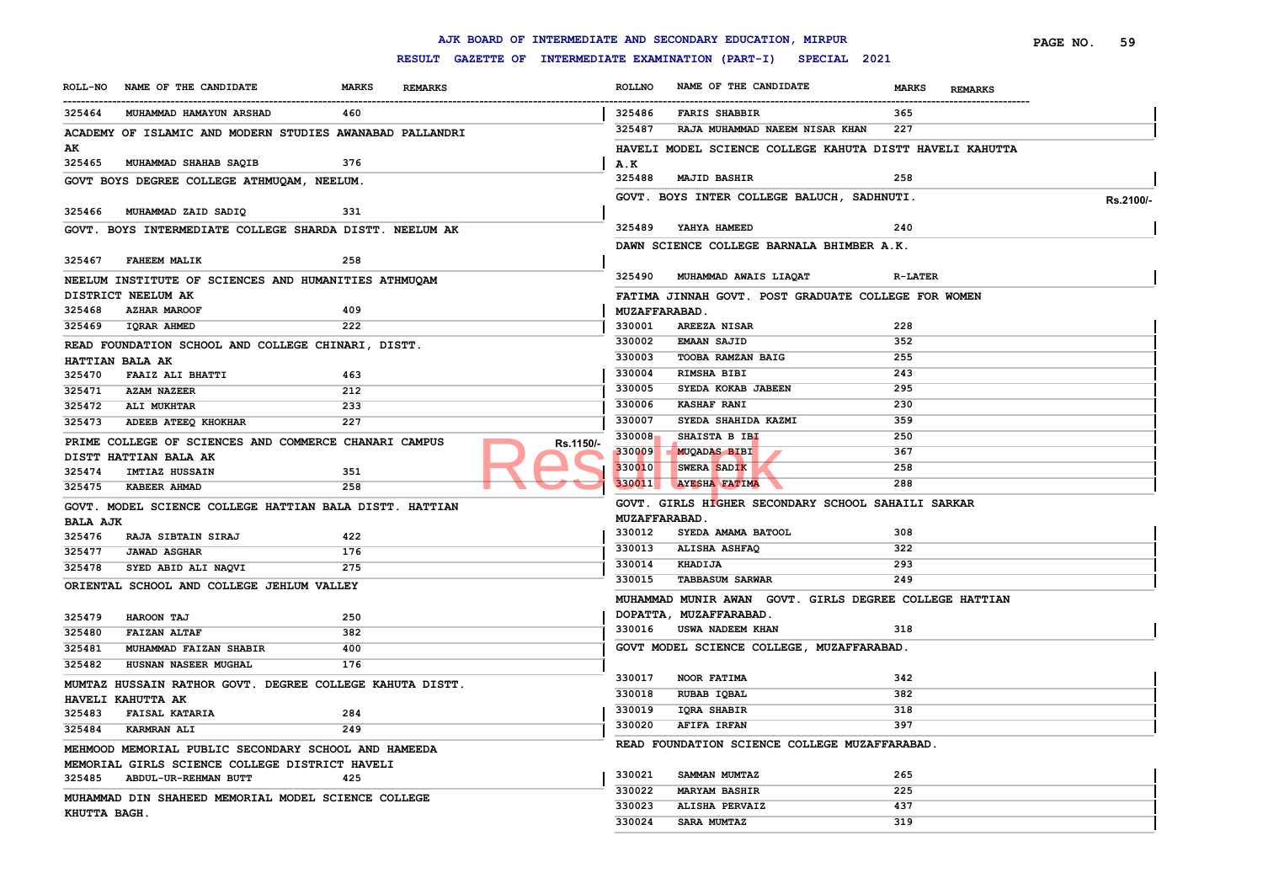|                           |                                                          |              |                |           |                      | AJK BOARD OF INTERMEDIATE AND SECONDARY EDUCATION, MIRPUR        |                                | PAGE NO. | 59        |
|---------------------------|----------------------------------------------------------|--------------|----------------|-----------|----------------------|------------------------------------------------------------------|--------------------------------|----------|-----------|
|                           |                                                          |              |                |           |                      | RESULT GAZETTE OF INTERMEDIATE EXAMINATION (PART-I) SPECIAL 2021 |                                |          |           |
|                           | ROLL-NO NAME OF THE CANDIDATE                            | <b>MARKS</b> | <b>REMARKS</b> |           | <b>ROLLNO</b>        | NAME OF THE CANDIDATE                                            | <b>MARKS</b><br><b>REMARKS</b> |          |           |
| 325464                    | MUHAMMAD HAMAYUN ARSHAD                                  | 460          |                |           | 325486               | <b>FARIS SHABBIR</b>                                             | 365                            |          |           |
|                           | ACADEMY OF ISLAMIC AND MODERN STUDIES AWANABAD PALLANDRI |              |                |           | 325487               | RAJA MUHAMMAD NAEEM NISAR KHAN                                   | 227                            |          |           |
| AK                        |                                                          |              |                |           |                      | HAVELI MODEL SCIENCE COLLEGE KAHUTA DISTT HAVELI KAHUTTA         |                                |          |           |
| 325465                    | MUHAMMAD SHAHAB SAQIB                                    | 376          |                |           | A.K                  |                                                                  |                                |          |           |
|                           | GOVT BOYS DEGREE COLLEGE ATHMUQAM, NEELUM.               |              |                |           | 325488               | <b>MAJID BASHIR</b>                                              | 258                            |          |           |
|                           |                                                          |              |                |           |                      | GOVT. BOYS INTER COLLEGE BALUCH, SADHNUTI.                       |                                |          | Rs.2100/- |
| 325466                    | MUHAMMAD ZAID SADIQ                                      | 331          |                |           |                      |                                                                  |                                |          |           |
|                           | GOVT. BOYS INTERMEDIATE COLLEGE SHARDA DISTT. NEELUM AK  |              |                |           | 325489               | YAHYA HAMEED                                                     | 240                            |          |           |
|                           |                                                          |              |                |           |                      | DAWN SCIENCE COLLEGE BARNALA BHIMBER A.K.                        |                                |          |           |
| 325467                    | <b>FAHEEM MALIK</b>                                      | 258          |                |           |                      |                                                                  |                                |          |           |
|                           | NEELUM INSTITUTE OF SCIENCES AND HUMANITIES ATHMUQAM     |              |                |           | 325490               | MUHAMMAD AWAIS LIAQAT                                            | <b>R-LATER</b>                 |          |           |
|                           | DISTRICT NEELUM AK                                       |              |                |           |                      | FATIMA JINNAH GOVT. POST GRADUATE COLLEGE FOR WOMEN              |                                |          |           |
| 325468                    | <b>AZHAR MAROOF</b>                                      | 409          |                |           | <b>MUZAFFARABAD.</b> |                                                                  |                                |          |           |
| 325469                    | <b>IQRAR AHMED</b>                                       | 222          |                |           | 330001               | AREEZA NISAR                                                     | 228                            |          |           |
|                           | READ FOUNDATION SCHOOL AND COLLEGE CHINARI, DISTT.       |              |                |           | 330002               | <b>EMAAN SAJID</b>                                               | 352                            |          |           |
|                           | HATTIAN BALA AK                                          |              |                |           | 330003               | TOOBA RAMZAN BAIG                                                | 255                            |          |           |
| 325470                    | <b>FAAIZ ALI BHATTI</b>                                  | 463          |                |           | 330004               | RIMSHA BIBI                                                      | 243                            |          |           |
| 325471                    | <b>AZAM NAZEER</b>                                       | 212          |                |           | 330005               | SYEDA KOKAB JABEEN                                               | 295                            |          |           |
| 325472                    | ALI MUKHTAR                                              | 233          |                |           | 330006               | <b>KASHAF RANI</b>                                               | 230                            |          |           |
| 325473                    | ADEEB ATEEQ KHOKHAR                                      | 227          |                |           | 330007               | SYEDA SHAHIDA KAZMI                                              | 359                            |          |           |
|                           |                                                          |              |                |           | 330008               | SHAISTA B IBI                                                    | 250                            |          |           |
|                           | PRIME COLLEGE OF SCIENCES AND COMMERCE CHANARI CAMPUS    |              |                | Rs.1150/- | 330009               | <b>MUQADAS BIBI</b>                                              | 367                            |          |           |
| 325474                    | DISTT HATTIAN BALA AK<br><b>IMTIAZ HUSSAIN</b>           | 351          |                |           | 330010               | SWERA SADIK                                                      | 258                            |          |           |
| 325475                    | <b>KABEER AHMAD</b>                                      | 258          |                |           | 330011               | <b>AYESHA FATIMA</b>                                             | 288                            |          |           |
|                           |                                                          |              |                |           |                      | GOVT. GIRLS HIGHER SECONDARY SCHOOL SAHAILI SARKAR               |                                |          |           |
|                           | GOVT. MODEL SCIENCE COLLEGE HATTIAN BALA DISTT. HATTIAN  |              |                |           | <b>MUZAFFARABAD.</b> |                                                                  |                                |          |           |
| <b>BALA AJK</b><br>325476 | <b>RAJA SIBTAIN SIRAJ</b>                                | 422          |                |           | 330012               | SYEDA AMAMA BATOOL                                               | 308                            |          |           |
| 325477                    | <b>JAWAD ASGHAR</b>                                      | 176          |                |           | 330013               | ALISHA ASHFAQ                                                    | 322                            |          |           |
| 325478                    | SYED ABID ALI NAQVI                                      | 275          |                |           | 330014               | KHADIJA                                                          | 293                            |          |           |
|                           |                                                          |              |                |           | 330015               | <b>TABBASUM SARWAR</b>                                           | 249                            |          |           |
|                           | ORIENTAL SCHOOL AND COLLEGE JEHLUM VALLEY                |              |                |           |                      | MUHAMMAD MUNIR AWAN GOVT. GIRLS DEGREE COLLEGE HATTIAN           |                                |          |           |
| 325479                    |                                                          | 250          |                |           |                      | DOPATTA, MUZAFFARABAD.                                           |                                |          |           |
| 325480                    | <b>HAROON TAJ</b><br><b>FAIZAN ALTAF</b>                 | 382          |                |           | 330016               | USWA NADEEM KHAN                                                 | 318                            |          |           |
| 325481                    | MUHAMMAD FAIZAN SHABIR                                   | 400          |                |           |                      | GOVT MODEL SCIENCE COLLEGE, MUZAFFARABAD.                        |                                |          |           |
| 325482                    | HUSNAN NASEER MUGHAL                                     | 176          |                |           |                      |                                                                  |                                |          |           |
|                           |                                                          |              |                |           | 330017               | NOOR FATIMA                                                      | 342                            |          |           |
|                           | MUMTAZ HUSSAIN RATHOR GOVT. DEGREE COLLEGE KAHUTA DISTT. |              |                |           | 330018               | RUBAB IQBAL                                                      | 382                            |          |           |
|                           | HAVELI KAHUTTA AK                                        |              |                |           | 330019               | IQRA SHABIR                                                      | 318                            |          |           |
| 325483                    | <b>FAISAL KATARIA</b>                                    | 284          |                |           | 330020               | <b>AFIFA IRFAN</b>                                               | 397                            |          |           |
| 325484                    | <b>KARMRAN ALI</b>                                       | 249          |                |           |                      | READ FOUNDATION SCIENCE COLLEGE MUZAFFARABAD.                    |                                |          |           |
|                           | MEHMOOD MEMORIAL PUBLIC SECONDARY SCHOOL AND HAMEEDA     |              |                |           |                      |                                                                  |                                |          |           |
|                           | MEMORIAL GIRLS SCIENCE COLLEGE DISTRICT HAVELI           |              |                |           | 330021               | SAMMAN MUMTAZ                                                    | 265                            |          |           |
| 325485                    | ABDUL-UR-REHMAN BUTT                                     | 425          |                |           | 330022               | <b>MARYAM BASHIR</b>                                             | 225                            |          |           |
|                           | MUHAMMAD DIN SHAHEED MEMORIAL MODEL SCIENCE COLLEGE      |              |                |           | 330023               | ALISHA PERVAIZ                                                   | 437                            |          |           |
| KHUTTA BAGH.              |                                                          |              |                |           | 330024               | <b>SARA MUMTAZ</b>                                               | 319                            |          |           |
|                           |                                                          |              |                |           |                      |                                                                  |                                |          |           |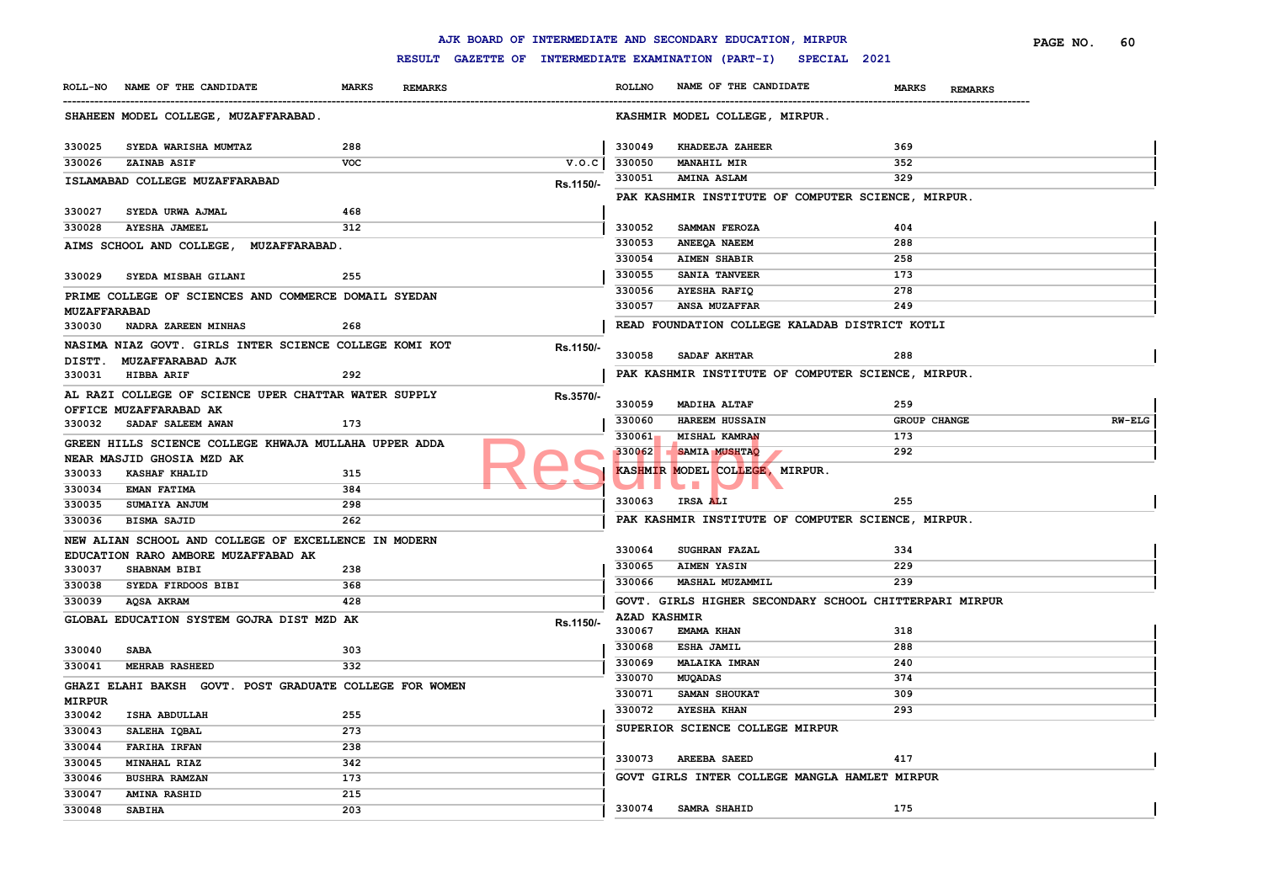|                               |                                                         |                                |                                                     |                     | AJK BOARD OF INTERMEDIATE AND SECONDARY EDUCATION, MIRPUR |                                | PAGE NO.<br>60 |
|-------------------------------|---------------------------------------------------------|--------------------------------|-----------------------------------------------------|---------------------|-----------------------------------------------------------|--------------------------------|----------------|
|                               |                                                         |                                | RESULT GAZETTE OF INTERMEDIATE EXAMINATION (PART-I) |                     | SPECIAL 2021                                              |                                |                |
| <b>ROLL-NO</b>                | NAME OF THE CANDIDATE                                   | <b>MARKS</b><br><b>REMARKS</b> |                                                     | <b>ROLLNO</b>       | NAME OF THE CANDIDATE                                     | <b>MARKS</b><br><b>REMARKS</b> |                |
|                               | SHAHEEN MODEL COLLEGE, MUZAFFARABAD.                    |                                |                                                     |                     | KASHMIR MODEL COLLEGE, MIRPUR.                            |                                |                |
| 330025                        | SYEDA WARISHA MUMTAZ                                    | 288                            |                                                     | 330049              | KHADEEJA ZAHEER                                           | 369                            |                |
| 330026                        | ZAINAB ASIF                                             | <b>VOC</b>                     | V.O.C                                               | 330050              | <b>MANAHIL MIR</b>                                        | 352                            |                |
|                               | ISLAMABAD COLLEGE MUZAFFARABAD                          |                                | Rs.1150/-                                           | 330051              | <b>AMINA ASLAM</b>                                        | 329                            |                |
| 330027                        | SYEDA URWA AJMAL                                        | 468                            |                                                     |                     | PAK KASHMIR INSTITUTE OF COMPUTER SCIENCE, MIRPUR.        |                                |                |
| 330028                        | AYESHA JAMEEL                                           | 312                            |                                                     | 330052              | SAMMAN FEROZA                                             | 404                            |                |
|                               | <b>MUZAFFARABAD.</b><br>AIMS SCHOOL AND COLLEGE,        |                                |                                                     | 330053              | ANEEQA NAEEM                                              | 288                            |                |
|                               |                                                         |                                |                                                     | 330054              | <b>AIMEN SHABIR</b>                                       | 258                            |                |
| 330029                        | SYEDA MISBAH GILANI                                     | 255                            |                                                     | 330055              | <b>SANIA TANVEER</b>                                      | 173                            |                |
|                               |                                                         |                                |                                                     | 330056              | <b>AYESHA RAFIQ</b>                                       | 278                            |                |
|                               | PRIME COLLEGE OF SCIENCES AND COMMERCE DOMAIL SYEDAN    |                                |                                                     | 330057              | <b>ANSA MUZAFFAR</b>                                      | 249                            |                |
| <b>MUZAFFARABAD</b><br>330030 | NADRA ZAREEN MINHAS                                     | 268                            |                                                     |                     | READ FOUNDATION COLLEGE KALADAB DISTRICT KOTLI            |                                |                |
|                               |                                                         |                                |                                                     |                     |                                                           |                                |                |
|                               | NASIMA NIAZ GOVT. GIRLS INTER SCIENCE COLLEGE KOMI KOT  |                                | Rs.1150/-                                           | 330058              | SADAF AKHTAR                                              | 288                            |                |
| DISTT.<br>330031              | <b>MUZAFFARABAD AJK</b><br><b>HIBBA ARIF</b>            | 292                            |                                                     |                     | PAK KASHMIR INSTITUTE OF COMPUTER SCIENCE, MIRPUR.        |                                |                |
|                               |                                                         |                                |                                                     |                     |                                                           |                                |                |
|                               | AL RAZI COLLEGE OF SCIENCE UPER CHATTAR WATER SUPPLY    |                                | Rs.3570/-                                           | 330059              | <b>MADIHA ALTAF</b>                                       | 259                            |                |
|                               | OFFICE MUZAFFARABAD AK                                  |                                |                                                     | 330060              | <b>HAREEM HUSSAIN</b>                                     | GROUP CHANGE                   | <b>RW-ELG</b>  |
| 330032                        | SADAF SALEEM AWAN                                       | 173                            |                                                     | 330061              | MISHAL KAMRAN                                             | 173                            |                |
|                               | GREEN HILLS SCIENCE COLLEGE KHWAJA MULLAHA UPPER ADDA   |                                |                                                     | 330062              | <b>SAMIA MUSHTAQ</b>                                      | 292                            |                |
|                               | NEAR MASJID GHOSIA MZD AK                               |                                |                                                     |                     | KASHMIR MODEL COLLEGE, MIRPUR.                            |                                |                |
| 330033                        | <b>KASHAF KHALID</b>                                    | 315                            |                                                     |                     | <b>The State</b>                                          |                                |                |
| 330034                        | <b>EMAN FATIMA</b>                                      | 384                            |                                                     | 330063              | IRSA ALI                                                  | 255                            |                |
| 330035                        | SUMAIYA ANJUM                                           | 298                            |                                                     |                     |                                                           |                                |                |
| 330036                        | <b>BISMA SAJID</b>                                      | 262                            |                                                     |                     | PAK KASHMIR INSTITUTE OF COMPUTER SCIENCE, MIRPUR.        |                                |                |
|                               | NEW ALIAN SCHOOL AND COLLEGE OF EXCELLENCE IN MODERN    |                                |                                                     |                     |                                                           |                                |                |
|                               | EDUCATION RARO AMBORE MUZAFFABAD AK                     |                                |                                                     | 330064              | <b>SUGHRAN FAZAL</b>                                      | 334                            |                |
| 330037                        | SHABNAM BIBI                                            | 238                            |                                                     | 330065              | <b>AIMEN YASIN</b>                                        | 229                            |                |
| 330038                        | SYEDA FIRDOOS BIBI                                      | 368                            |                                                     | 330066              | MASHAL MUZAMMIL                                           | 239                            |                |
| 330039                        | AQSA AKRAM                                              | 428                            |                                                     |                     | GOVT. GIRLS HIGHER SECONDARY SCHOOL CHITTERPARI MIRPUR    |                                |                |
|                               | GLOBAL EDUCATION SYSTEM GOJRA DIST MZD AK               |                                | Rs.1150/-                                           | <b>AZAD KASHMIR</b> |                                                           |                                |                |
|                               |                                                         |                                |                                                     | 330067              | EMAMA KHAN                                                | 318                            |                |
| 330040                        | <b>SABA</b>                                             | 303                            |                                                     | 330068              | ESHA JAMIL                                                | 288                            |                |
| 330041                        | MEHRAB RASHEED                                          | 332                            |                                                     | 330069              | <b>MALAIKA IMRAN</b>                                      | 240                            |                |
|                               | GHAZI ELAHI BAKSH GOVT. POST GRADUATE COLLEGE FOR WOMEN |                                |                                                     | 330070              | MUQADAS                                                   | 374                            |                |
| <b>MIRPUR</b>                 |                                                         |                                |                                                     | 330071              | SAMAN SHOUKAT                                             | 309                            |                |
| 330042                        | ISHA ABDULLAH                                           | 255                            |                                                     | 330072              | <b>AYESHA KHAN</b>                                        | 293                            |                |
| 330043                        | SALEHA IQBAL                                            | 273                            |                                                     |                     | SUPERIOR SCIENCE COLLEGE MIRPUR                           |                                |                |
| 330044                        | <b>FARIHA IRFAN</b>                                     | 238                            |                                                     |                     |                                                           |                                |                |
| 330045                        | MINAHAL RIAZ                                            | 342                            |                                                     | 330073              | <b>AREEBA SAEED</b>                                       | 417                            |                |
| 330046                        | <b>BUSHRA RAMZAN</b>                                    | 173                            |                                                     |                     | GOVT GIRLS INTER COLLEGE MANGLA HAMLET MIRPUR             |                                |                |
| 330047                        | <b>AMINA RASHID</b>                                     | 215                            |                                                     |                     |                                                           |                                |                |
| 330048                        | <b>SABIHA</b>                                           | 203                            |                                                     | 330074              | SAMRA SHAHID                                              | 175                            |                |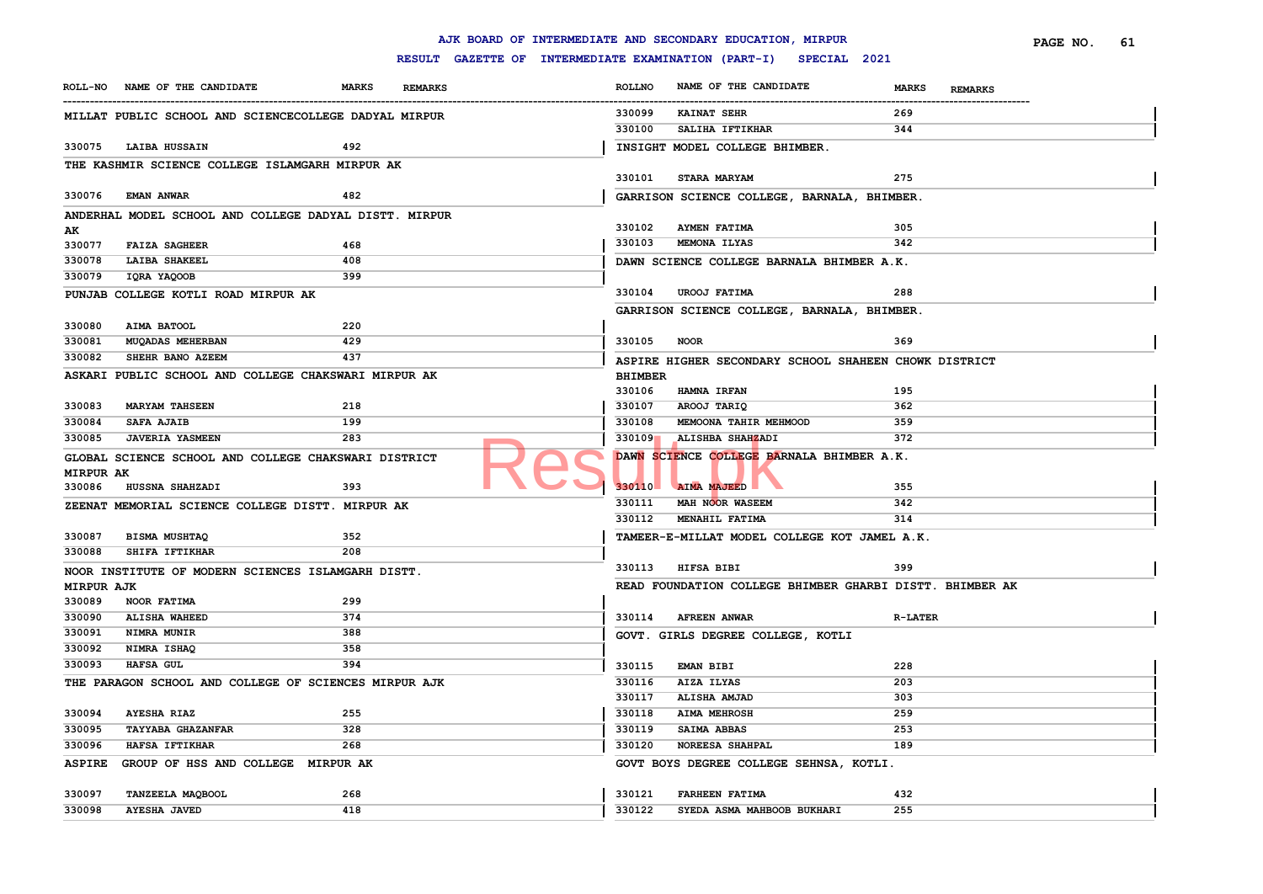|                   |                                                        |              |                |                                                     |                | AJK BOARD OF INTERMEDIATE AND SECONDARY EDUCATION, MIRPUR |                |                | PAGE NO. | 61 |
|-------------------|--------------------------------------------------------|--------------|----------------|-----------------------------------------------------|----------------|-----------------------------------------------------------|----------------|----------------|----------|----|
|                   |                                                        |              |                | RESULT GAZETTE OF INTERMEDIATE EXAMINATION (PART-I) |                | SPECIAL 2021                                              |                |                |          |    |
|                   | ROLL-NO NAME OF THE CANDIDATE                          | <b>MARKS</b> | <b>REMARKS</b> |                                                     | <b>ROLLNO</b>  | NAME OF THE CANDIDATE                                     | <b>MARKS</b>   | <b>REMARKS</b> |          |    |
|                   | MILLAT PUBLIC SCHOOL AND SCIENCECOLLEGE DADYAL MIRPUR  |              |                |                                                     | 330099         | <b>KAINAT SEHR</b>                                        | 269            |                |          |    |
|                   |                                                        |              |                |                                                     | 330100         | SALIHA IFTIKHAR                                           | 344            |                |          |    |
| 330075            | LAIBA HUSSAIN                                          | 492          |                |                                                     |                | INSIGHT MODEL COLLEGE BHIMBER.                            |                |                |          |    |
|                   | THE KASHMIR SCIENCE COLLEGE ISLAMGARH MIRPUR AK        |              |                |                                                     |                |                                                           |                |                |          |    |
|                   |                                                        |              |                |                                                     | 330101         | <b>STARA MARYAM</b>                                       | 275            |                |          |    |
| 330076            | <b>EMAN ANWAR</b>                                      | 482          |                |                                                     |                | GARRISON SCIENCE COLLEGE, BARNALA, BHIMBER.               |                |                |          |    |
|                   | ANDERHAL MODEL SCHOOL AND COLLEGE DADYAL DISTT. MIRPUR |              |                |                                                     |                |                                                           |                |                |          |    |
| AK                |                                                        |              |                |                                                     | 330102         | <b>AYMEN FATIMA</b>                                       | 305            |                |          |    |
| 330077            | <b>FAIZA SAGHEER</b>                                   | 468          |                |                                                     | 330103         | MEMONA ILYAS                                              | 342            |                |          |    |
| 330078            | <b>LAIBA SHAKEEL</b>                                   | 408          |                |                                                     |                | DAWN SCIENCE COLLEGE BARNALA BHIMBER A.K.                 |                |                |          |    |
| 330079            | IQRA YAQOOB                                            | 399          |                |                                                     |                |                                                           |                |                |          |    |
|                   | PUNJAB COLLEGE KOTLI ROAD MIRPUR AK                    |              |                |                                                     | 330104         | <b>UROOJ FATIMA</b>                                       | 288            |                |          |    |
|                   |                                                        |              |                |                                                     |                | GARRISON SCIENCE COLLEGE, BARNALA, BHIMBER.               |                |                |          |    |
| 330080            | AIMA BATOOL                                            | 220          |                |                                                     |                |                                                           |                |                |          |    |
| 330081            | <b>MUQADAS MEHERBAN</b>                                | 429          |                |                                                     | 330105         | <b>NOOR</b>                                               | 369            |                |          |    |
| 330082            | <b>SHEHR BANO AZEEM</b>                                | 437          |                |                                                     |                | ASPIRE HIGHER SECONDARY SCHOOL SHAHEEN CHOWK DISTRICT     |                |                |          |    |
|                   | ASKARI PUBLIC SCHOOL AND COLLEGE CHAKSWARI MIRPUR AK   |              |                |                                                     | <b>BHIMBER</b> |                                                           |                |                |          |    |
|                   |                                                        |              |                |                                                     | 330106         | HAMNA IRFAN                                               | 195            |                |          |    |
| 330083            | <b>MARYAM TAHSEEN</b>                                  | 218          |                |                                                     | 330107         | AROOJ TARIQ                                               | 362            |                |          |    |
| 330084            | <b>SAFA AJAIB</b>                                      | 199          |                |                                                     | 330108         | MEMOONA TAHIR MEHMOOD                                     | 359            |                |          |    |
| 330085            | <b>JAVERIA YASMEEN</b>                                 | 283          |                |                                                     | 330109         | ALISHBA SHAHZADI                                          | 372            |                |          |    |
|                   | GLOBAL SCIENCE SCHOOL AND COLLEGE CHAKSWARI DISTRICT   |              |                |                                                     |                | DAWN SCIENCE COLLEGE BARNALA BHIMBER A.K.                 |                |                |          |    |
| <b>MIRPUR AK</b>  |                                                        |              |                |                                                     |                |                                                           |                |                |          |    |
| 330086            | <b>HUSSNA SHAHZADI</b>                                 | 393          |                |                                                     | 330110         | <b>AIMA MAJEED</b>                                        | 355            |                |          |    |
|                   | ZEENAT MEMORIAL SCIENCE COLLEGE DISTT. MIRPUR AK       |              |                |                                                     | 330111         | MAH NOOR WASEEM                                           | 342            |                |          |    |
|                   |                                                        |              |                |                                                     | 330112         | MENAHIL FATIMA                                            | 314            |                |          |    |
| 330087            | <b>BISMA MUSHTAQ</b>                                   | 352          |                |                                                     |                | TAMEER-E-MILLAT MODEL COLLEGE KOT JAMEL A.K.              |                |                |          |    |
| 330088            | SHIFA IFTIKHAR                                         | 208          |                |                                                     |                |                                                           |                |                |          |    |
|                   | NOOR INSTITUTE OF MODERN SCIENCES ISLAMGARH DISTT.     |              |                |                                                     |                | 330113 HIFSA BIBI                                         | 399            |                |          |    |
| <b>MIRPUR AJK</b> |                                                        |              |                |                                                     |                | READ FOUNDATION COLLEGE BHIMBER GHARBI DISTT. BHIMBER AK  |                |                |          |    |
| 330089            | NOOR FATIMA                                            | 299          |                |                                                     |                |                                                           |                |                |          |    |
| 330090            | <b>ALISHA WAHEED</b>                                   | 374          |                |                                                     | 330114         | <b>AFREEN ANWAR</b>                                       | <b>R-LATER</b> |                |          |    |
| 330091            | NIMRA MUNIR                                            | 388          |                |                                                     |                | GOVT. GIRLS DEGREE COLLEGE, KOTLI                         |                |                |          |    |
| 330092            | NIMRA ISHAQ                                            | 358          |                |                                                     |                |                                                           |                |                |          |    |
| 330093            | <b>HAFSA GUL</b>                                       | 394          |                |                                                     | 330115         | <b>EMAN BIBI</b>                                          | 228            |                |          |    |
|                   | THE PARAGON SCHOOL AND COLLEGE OF SCIENCES MIRPUR AJK  |              |                |                                                     | 330116         | AIZA ILYAS                                                | 203            |                |          |    |
|                   |                                                        |              |                |                                                     | 330117         | ALISHA AMJAD                                              | 303            |                |          |    |
| 330094            | <b>AYESHA RIAZ</b>                                     | 255          |                |                                                     | 330118         | <b>AIMA MEHROSH</b>                                       | 259            |                |          |    |
| 330095            | TAYYABA GHAZANFAR                                      | 328          |                |                                                     | 330119         | <b>SAIMA ABBAS</b>                                        | 253            |                |          |    |
| 330096            | <b>HAFSA IFTIKHAR</b>                                  | 268          |                |                                                     | 330120         | NOREESA SHAHPAL                                           | 189            |                |          |    |
| <b>ASPIRE</b>     | GROUP OF HSS AND COLLEGE MIRPUR AK                     |              |                |                                                     |                | GOVT BOYS DEGREE COLLEGE SEHNSA, KOTLI.                   |                |                |          |    |
| 330097            | TANZEELA MAQBOOL                                       | 268          |                |                                                     | 330121         | <b>FARHEEN FATIMA</b>                                     | 432            |                |          |    |
| 330098            | <b>AYESHA JAVED</b>                                    | 418          |                |                                                     | 330122         | SYEDA ASMA MAHBOOB BUKHARI                                | 255            |                |          |    |
|                   |                                                        |              |                |                                                     |                |                                                           |                |                |          |    |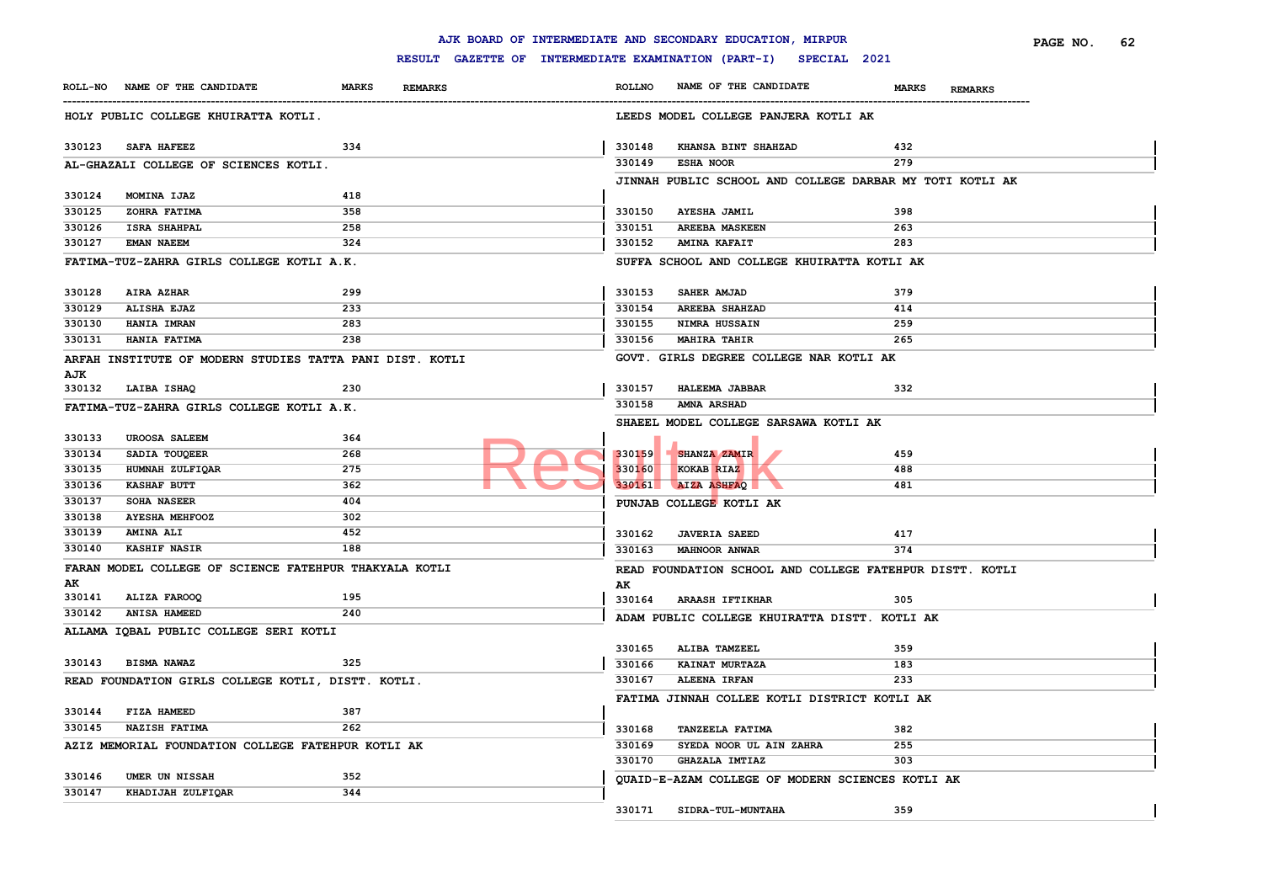|        |                                                          |                                |                                                     |               | AJK BOARD OF INTERMEDIATE AND SECONDARY EDUCATION, MIRPUR |                                | PAGE NO.<br>62 |
|--------|----------------------------------------------------------|--------------------------------|-----------------------------------------------------|---------------|-----------------------------------------------------------|--------------------------------|----------------|
|        |                                                          |                                | RESULT GAZETTE OF INTERMEDIATE EXAMINATION (PART-I) |               | SPECIAL 2021                                              |                                |                |
|        | ROLL-NO NAME OF THE CANDIDATE                            | <b>MARKS</b><br><b>REMARKS</b> |                                                     | <b>ROLLNO</b> | NAME OF THE CANDIDATE                                     | <b>MARKS</b><br><b>REMARKS</b> |                |
|        | HOLY PUBLIC COLLEGE KHUIRATTA KOTLI.                     |                                |                                                     |               | LEEDS MODEL COLLEGE PANJERA KOTLI AK                      |                                |                |
| 330123 | <b>SAFA HAFEEZ</b>                                       | 334                            |                                                     | 330148        | KHANSA BINT SHAHZAD                                       | 432                            |                |
|        | AL-GHAZALI COLLEGE OF SCIENCES KOTLI.                    |                                |                                                     | 330149        | <b>ESHA NOOR</b>                                          | 279                            |                |
|        |                                                          |                                |                                                     |               | JINNAH PUBLIC SCHOOL AND COLLEGE DARBAR MY TOTI KOTLI AK  |                                |                |
| 330124 | MOMINA IJAZ                                              | 418                            |                                                     |               |                                                           |                                |                |
| 330125 | ZOHRA FATIMA                                             | 358                            |                                                     | 330150        | <b>AYESHA JAMIL</b>                                       | 398                            |                |
| 330126 | <b>ISRA SHAHPAL</b>                                      | 258                            |                                                     | 330151        | <b>AREEBA MASKEEN</b>                                     | 263                            |                |
| 330127 | <b>EMAN NAEEM</b>                                        | 324                            |                                                     | 330152        | <b>AMINA KAFAIT</b>                                       | 283                            |                |
|        | FATIMA-TUZ-ZAHRA GIRLS COLLEGE KOTLI A.K.                |                                |                                                     |               | SUFFA SCHOOL AND COLLEGE KHUIRATTA KOTLI AK               |                                |                |
| 330128 | AIRA AZHAR                                               | 299                            |                                                     | 330153        | SAHER AMJAD                                               | 379                            |                |
| 330129 | ALISHA EJAZ                                              | 233                            |                                                     | 330154        | <b>AREEBA SHAHZAD</b>                                     | 414                            |                |
| 330130 | <b>HANIA IMRAN</b>                                       | 283                            |                                                     | 330155        | <b>NIMRA HUSSAIN</b>                                      | 259                            |                |
| 330131 | HANIA FATIMA                                             | 238                            |                                                     | 330156        | <b>MAHIRA TAHIR</b>                                       | 265                            |                |
|        | ARFAH INSTITUTE OF MODERN STUDIES TATTA PANI DIST. KOTLI |                                |                                                     |               | GOVT. GIRLS DEGREE COLLEGE NAR KOTLI AK                   |                                |                |
| AJK    |                                                          |                                |                                                     |               |                                                           |                                |                |
| 330132 | LAIBA ISHAQ                                              | 230                            |                                                     | 330157        | <b>HALEEMA JABBAR</b>                                     | 332                            |                |
|        | FATIMA-TUZ-ZAHRA GIRLS COLLEGE KOTLI A.K.                |                                |                                                     | 330158        | <b>AMNA ARSHAD</b>                                        |                                |                |
|        |                                                          |                                |                                                     |               | SHAEEL MODEL COLLEGE SARSAWA KOTLI AK                     |                                |                |
| 330133 | <b>UROOSA SALEEM</b>                                     | 364                            |                                                     |               |                                                           |                                |                |
| 330134 | SADIA TOUQEER                                            | 268                            |                                                     |               | 330159 SHANZA ZAMIR                                       | 459                            |                |
| 330135 | HUMNAH ZULFIQAR                                          | 275                            |                                                     | 330160        | KOKAB RIAZ                                                | 488                            |                |
| 330136 | <b>KASHAF BUTT</b>                                       | 362                            |                                                     |               | 330161 AIZA ASHFAQ                                        | 481                            |                |
| 330137 | SOHA NASEER                                              | 404                            |                                                     |               | PUNJAB COLLEGE KOTLI AK                                   |                                |                |
| 330138 | <b>AYESHA MEHFOOZ</b>                                    | 302                            |                                                     |               |                                                           |                                |                |
| 330139 | <b>AMINA ALI</b>                                         | 452                            |                                                     | 330162        | <b>JAVERIA SAEED</b>                                      | 417                            |                |
| 330140 | <b>KASHIF NASIR</b>                                      | 188                            |                                                     | 330163        | <b>MAHNOOR ANWAR</b>                                      | 374                            |                |
|        | FARAN MODEL COLLEGE OF SCIENCE FATEHPUR THAKYALA KOTLI   |                                |                                                     |               | READ FOUNDATION SCHOOL AND COLLEGE FATEHPUR DISTT. KOTLI  |                                |                |
| AK     |                                                          |                                |                                                     | AК            |                                                           |                                |                |
| 330141 | ALIZA FAROOQ                                             | 195                            |                                                     | 330164        | <b>ARAASH IFTIKHAR</b>                                    | 305                            |                |
| 330142 | ANISA HAMEED                                             | 240                            |                                                     |               | ADAM PUBLIC COLLEGE KHUIRATTA DISTT. KOTLI AK             |                                |                |
|        | ALLAMA IQBAL PUBLIC COLLEGE SERI KOTLI                   |                                |                                                     |               |                                                           |                                |                |
|        |                                                          |                                |                                                     | 330165        | ALIBA TAMZEEL                                             | 359                            |                |
| 330143 | <b>BISMA NAWAZ</b>                                       | 325                            |                                                     | 330166        | KAINAT MURTAZA                                            | 183                            |                |
|        | READ FOUNDATION GIRLS COLLEGE KOTLI, DISTT. KOTLI.       |                                |                                                     | 330167        | <b>ALEENA IRFAN</b>                                       | 233                            |                |
|        |                                                          |                                |                                                     |               | FATIMA JINNAH COLLEE KOTLI DISTRICT KOTLI AK              |                                |                |
| 330144 | FIZA HAMEED                                              | 387                            |                                                     |               |                                                           |                                |                |
| 330145 | <b>NAZISH FATIMA</b>                                     | 262                            |                                                     | 330168        | TANZEELA FATIMA                                           | 382                            |                |
|        | AZIZ MEMORIAL FOUNDATION COLLEGE FATEHPUR KOTLI AK       |                                |                                                     | 330169        | SYEDA NOOR UL AIN ZAHRA                                   | 255                            |                |
|        |                                                          |                                |                                                     | 330170        | <b>GHAZALA IMTIAZ</b>                                     | 303                            |                |
| 330146 | UMER UN NISSAH                                           | 352                            |                                                     |               | QUAID-E-AZAM COLLEGE OF MODERN SCIENCES KOTLI AK          |                                |                |
| 330147 | KHADIJAH ZULFIQAR                                        | 344                            |                                                     |               |                                                           |                                |                |
|        |                                                          |                                |                                                     | 330171        | SIDRA-TUL-MUNTAHA                                         | 359                            |                |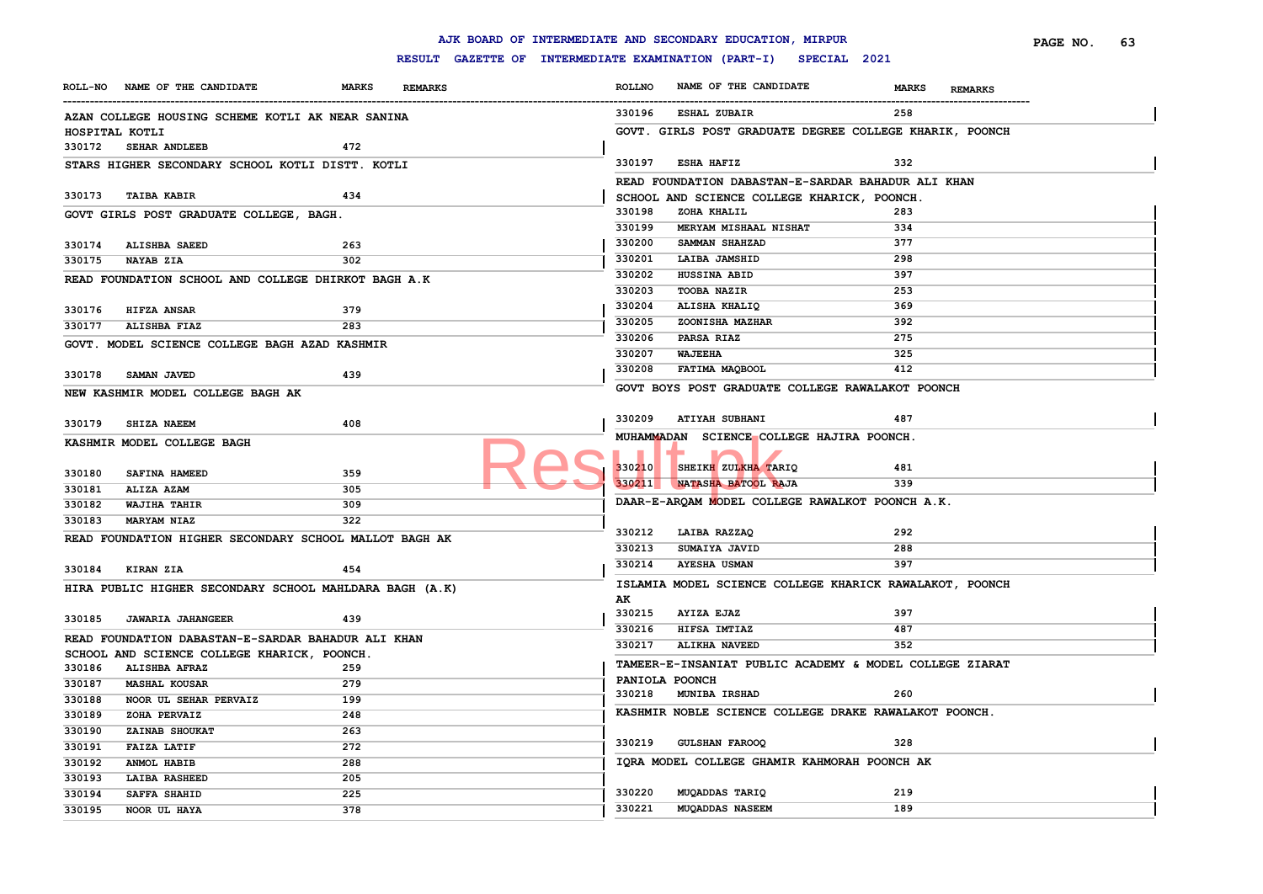|                |                                                         |              |                |               | AJK BOARD OF INTERMEDIATE AND SECONDARY EDUCATION, MIRPUR        |              |                | PAGE NO. | 63 |
|----------------|---------------------------------------------------------|--------------|----------------|---------------|------------------------------------------------------------------|--------------|----------------|----------|----|
|                |                                                         |              |                |               | RESULT GAZETTE OF INTERMEDIATE EXAMINATION (PART-I) SPECIAL 2021 |              |                |          |    |
|                | ROLL-NO NAME OF THE CANDIDATE                           | <b>MARKS</b> | <b>REMARKS</b> | <b>ROLLNO</b> | NAME OF THE CANDIDATE                                            | <b>MARKS</b> | <b>REMARKS</b> |          |    |
|                | AZAN COLLEGE HOUSING SCHEME KOTLI AK NEAR SANINA        |              |                | 330196        | <b>ESHAL ZUBAIR</b>                                              | 258          |                |          |    |
| HOSPITAL KOTLI |                                                         |              |                |               | GOVT. GIRLS POST GRADUATE DEGREE COLLEGE KHARIK, POONCH          |              |                |          |    |
|                | 330172 SEHAR ANDLEEB                                    | 472          |                |               |                                                                  |              |                |          |    |
|                | STARS HIGHER SECONDARY SCHOOL KOTLI DISTT. KOTLI        |              |                | 330197        | <b>ESHA HAFIZ</b>                                                | 332          |                |          |    |
|                |                                                         |              |                |               | READ FOUNDATION DABASTAN-E-SARDAR BAHADUR ALI KHAN               |              |                |          |    |
| 330173         | <b>TAIBA KABIR</b>                                      | 434          |                |               | SCHOOL AND SCIENCE COLLEGE KHARICK, POONCH.                      |              |                |          |    |
|                | GOVT GIRLS POST GRADUATE COLLEGE, BAGH.                 |              |                | 330198        | ZOHA KHALIL                                                      | 283          |                |          |    |
|                |                                                         |              |                | 330199        | MERYAM MISHAAL NISHAT                                            | 334          |                |          |    |
| 330174         | <b>ALISHBA SAEED</b>                                    | 263          |                | 330200        | SAMMAN SHAHZAD                                                   | 377          |                |          |    |
| 330175         | <b>NAYAB ZIA</b>                                        | 302          |                | 330201        | LAIBA JAMSHID                                                    | 298          |                |          |    |
|                | READ FOUNDATION SCHOOL AND COLLEGE DHIRKOT BAGH A.K     |              |                | 330202        | HUSSINA ABID                                                     | 397          |                |          |    |
|                |                                                         |              |                | 330203        | <b>TOOBA NAZIR</b>                                               | 253          |                |          |    |
| 330176         | <b>HIFZA ANSAR</b>                                      | 379          |                | 330204        | ALISHA KHALIQ                                                    | 369          |                |          |    |
| 330177         | ALISHBA FIAZ                                            | 283          |                | 330205        | ZOONISHA MAZHAR                                                  | 392          |                |          |    |
|                | GOVT. MODEL SCIENCE COLLEGE BAGH AZAD KASHMIR           |              |                | 330206        | PARSA RIAZ                                                       | 275          |                |          |    |
|                |                                                         |              |                | 330207        | <b>WAJEEHA</b>                                                   | 325          |                |          |    |
| 330178         | <b>SAMAN JAVED</b>                                      | 439          |                | 330208        | FATIMA MAQBOOL                                                   | 412          |                |          |    |
|                | NEW KASHMIR MODEL COLLEGE BAGH AK                       |              |                |               | GOVT BOYS POST GRADUATE COLLEGE RAWALAKOT POONCH                 |              |                |          |    |
|                |                                                         |              |                |               |                                                                  |              |                |          |    |
| 330179         | <b>SHIZA NAEEM</b>                                      | 408          |                |               | 330209 ATIYAH SUBHANI                                            | 487          |                |          |    |
|                | KASHMIR MODEL COLLEGE BAGH                              |              |                |               | MUHAMMADAN SCIENCE COLLEGE HAJIRA POONCH.                        |              |                |          |    |
|                |                                                         |              |                |               |                                                                  |              |                |          |    |
| 330180         | <b>SAFINA HAMEED</b>                                    | 359          |                | 330210        | SHEIKH ZULKHA TARIQ                                              | 481          |                |          |    |
| 330181         | ALIZA AZAM                                              | 305          |                |               | 330211 NATASHA BATOOL RAJA                                       | 339          |                |          |    |
| 330182         | WAJIHA TAHIR                                            | 309          |                |               | DAAR-E-ARQAM MODEL COLLEGE RAWALKOT POONCH A.K.                  |              |                |          |    |
| 330183         | <b>MARYAM NIAZ</b>                                      | 322          |                |               |                                                                  |              |                |          |    |
|                | READ FOUNDATION HIGHER SECONDARY SCHOOL MALLOT BAGH AK  |              |                | 330212        | LAIBA RAZZAQ                                                     | 292          |                |          |    |
|                |                                                         |              |                | 330213        | SUMAIYA JAVID                                                    | 288          |                |          |    |
| 330184         | <b>KIRAN ZIA</b>                                        | 454          |                | 330214        | <b>AYESHA USMAN</b>                                              | 397          |                |          |    |
|                | HIRA PUBLIC HIGHER SECONDARY SCHOOL MAHLDARA BAGH (A.K) |              |                |               | ISLAMIA MODEL SCIENCE COLLEGE KHARICK RAWALAKOT, POONCH          |              |                |          |    |
|                |                                                         |              |                | AK            |                                                                  |              |                |          |    |
|                | 330185 JAWARIA JAHANGEER                                | 439          |                | 330215        | <b>AYIZA EJAZ</b>                                                | 397          |                |          |    |
|                | READ FOUNDATION DABASTAN-E-SARDAR BAHADUR ALI KHAN      |              |                | 330216        | HIFSA IMTIAZ                                                     | 487          |                |          |    |
|                | SCHOOL AND SCIENCE COLLEGE KHARICK, POONCH.             |              |                | 330217        | <b>ALIKHA NAVEED</b>                                             | 352          |                |          |    |
| 330186         | <b>ALISHBA AFRAZ</b>                                    | 259          |                |               | TAMEER-E-INSANIAT PUBLIC ACADEMY & MODEL COLLEGE ZIARAT          |              |                |          |    |
| 330187         | <b>MASHAL KOUSAR</b>                                    | 279          |                |               | PANIOLA POONCH                                                   |              |                |          |    |
| 330188         | NOOR UL SEHAR PERVAIZ                                   | 199          |                | 330218        | <b>MUNIBA IRSHAD</b>                                             | 260          |                |          |    |
| 330189         | ZOHA PERVAIZ                                            | 248          |                |               | KASHMIR NOBLE SCIENCE COLLEGE DRAKE RAWALAKOT POONCH.            |              |                |          |    |
| 330190         | ZAINAB SHOUKAT                                          | 263          |                |               |                                                                  |              |                |          |    |
| 330191         | <b>FAIZA LATIF</b>                                      | 272          |                | 330219        | GULSHAN FAROOQ                                                   | 328          |                |          |    |
| 330192         | ANMOL HABIB                                             | 288          |                |               | IQRA MODEL COLLEGE GHAMIR KAHMORAH POONCH AK                     |              |                |          |    |
| 330193         | <b>LAIBA RASHEED</b>                                    | 205          |                |               |                                                                  |              |                |          |    |
| 330194         | <b>SAFFA SHAHID</b>                                     | 225          |                | 330220        | MUQADDAS TARIQ                                                   | 219          |                |          |    |
| 330195         | NOOR UL HAYA                                            | 378          |                | 330221        | <b>MUQADDAS NASEEM</b>                                           | 189          |                |          |    |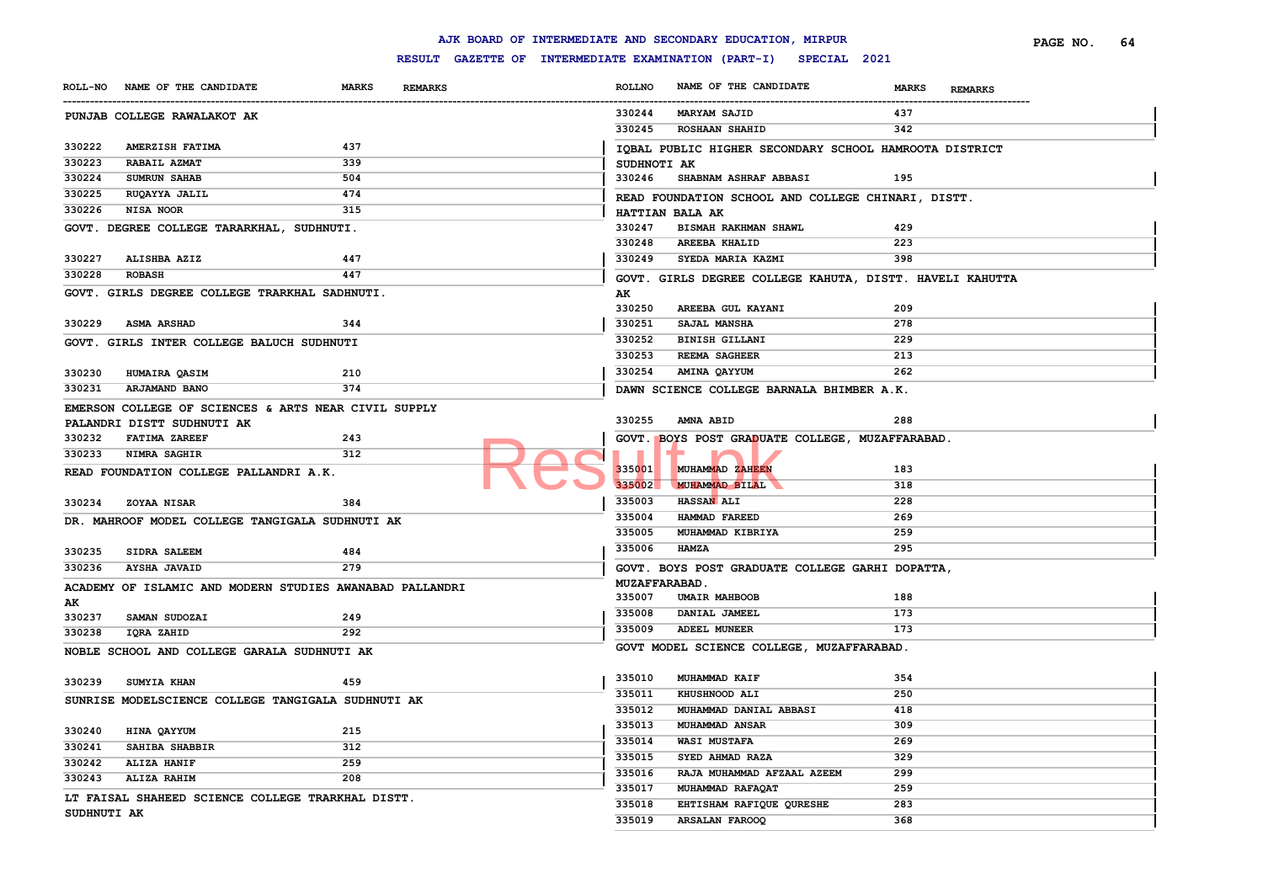|             |                                                          |                                |                      | AJK BOARD OF INTERMEDIATE AND SECONDARY EDUCATION, MIRPUR        |                                | PAGE NO. | 64 |
|-------------|----------------------------------------------------------|--------------------------------|----------------------|------------------------------------------------------------------|--------------------------------|----------|----|
|             |                                                          |                                |                      | RESULT GAZETTE OF INTERMEDIATE EXAMINATION (PART-I) SPECIAL 2021 |                                |          |    |
|             | ROLL-NO NAME OF THE CANDIDATE                            | <b>MARKS</b><br><b>REMARKS</b> | <b>ROLLNO</b>        | NAME OF THE CANDIDATE                                            | <b>MARKS</b><br><b>REMARKS</b> |          |    |
|             | PUNJAB COLLEGE RAWALAKOT AK                              |                                | 330244               | <b>MARYAM SAJID</b>                                              | 437                            |          |    |
|             |                                                          |                                | 330245               | <b>ROSHAAN SHAHID</b>                                            | 342                            |          |    |
| 330222      | AMERZISH FATIMA                                          | 437                            |                      | IQBAL PUBLIC HIGHER SECONDARY SCHOOL HAMROOTA DISTRICT           |                                |          |    |
| 330223      | RABAIL AZMAT                                             | 339                            | SUDHNOTI AK          |                                                                  |                                |          |    |
| 330224      | <b>SUMRUN SAHAB</b>                                      | 504                            |                      | 330246 SHABNAM ASHRAF ABBASI                                     | 195                            |          |    |
| 330225      | RUQAYYA JALIL                                            | 474                            |                      | READ FOUNDATION SCHOOL AND COLLEGE CHINARI, DISTT.               |                                |          |    |
| 330226      | NISA NOOR                                                | 315                            |                      | HATTIAN BALA AK                                                  |                                |          |    |
|             | GOVT. DEGREE COLLEGE TARARKHAL, SUDHNUTI.                |                                | 330247               | BISMAH RAKHMAN SHAWL                                             | 429                            |          |    |
|             |                                                          |                                | 330248               | <b>AREEBA KHALID</b>                                             | 223                            |          |    |
| 330227      | ALISHBA AZIZ                                             | 447                            | 330249               | SYEDA MARIA KAZMI                                                | 398                            |          |    |
| 330228      | <b>ROBASH</b>                                            | 447                            |                      | GOVT. GIRLS DEGREE COLLEGE KAHUTA, DISTT. HAVELI KAHUTTA         |                                |          |    |
|             | GOVT. GIRLS DEGREE COLLEGE TRARKHAL SADHNUTI.            |                                | AK                   |                                                                  |                                |          |    |
|             |                                                          |                                | 330250               | AREEBA GUL KAYANI                                                | 209                            |          |    |
| 330229      | <b>ASMA ARSHAD</b>                                       | 344                            | 330251               | SAJAL MANSHA                                                     | 278                            |          |    |
|             | GOVT. GIRLS INTER COLLEGE BALUCH SUDHNUTI                |                                | 330252               | <b>BINISH GILLANI</b>                                            | 229                            |          |    |
|             |                                                          |                                | 330253               | <b>REEMA SAGHEER</b>                                             | 213                            |          |    |
| 330230      | HUMAIRA QASIM                                            | 210                            | 330254               | AMINA QAYYUM                                                     | 262                            |          |    |
| 330231      | ARJAMAND BANO                                            | 374                            |                      | DAWN SCIENCE COLLEGE BARNALA BHIMBER A.K.                        |                                |          |    |
|             | EMERSON COLLEGE OF SCIENCES & ARTS NEAR CIVIL SUPPLY     |                                |                      |                                                                  |                                |          |    |
|             | PALANDRI DISTT SUDHNUTI AK                               |                                | 330255               | AMNA ABID                                                        | 288                            |          |    |
| 330232      | <b>FATIMA ZAREEF</b>                                     | 243                            |                      | GOVT. BOYS POST GRADUATE COLLEGE, MUZAFFARABAD.                  |                                |          |    |
| 330233      | <b>NIMRA SAGHIR</b>                                      | 312                            |                      |                                                                  |                                |          |    |
|             | READ FOUNDATION COLLEGE PALLANDRI A.K.                   |                                | 335001               | MUHAMMAD ZAHEEN                                                  | 183                            |          |    |
|             |                                                          |                                | 335002               | <b>MUHAMMAD BILAL</b>                                            | 318                            |          |    |
| 330234      | <b>ZOYAA NISAR</b>                                       | 384                            | 335003               | <b>HASSAN ALI</b>                                                | 228                            |          |    |
|             | DR. MAHROOF MODEL COLLEGE TANGIGALA SUDHNUTI AK          |                                | 335004               | HAMMAD FAREED                                                    | 269                            |          |    |
|             |                                                          |                                | 335005               | MUHAMMAD KIBRIYA                                                 | 259                            |          |    |
| 330235      | <b>SIDRA SALEEM</b>                                      | 484                            | 335006               | <b>HAMZA</b>                                                     | 295                            |          |    |
| 330236      | <b>AYSHA JAVAID</b>                                      | 279                            |                      | GOVT. BOYS POST GRADUATE COLLEGE GARHI DOPATTA,                  |                                |          |    |
|             | ACADEMY OF ISLAMIC AND MODERN STUDIES AWANABAD PALLANDRI |                                | <b>MUZAFFARABAD.</b> |                                                                  |                                |          |    |
| AK          |                                                          |                                | 335007               | <b>UMAIR MAHBOOB</b>                                             | 188                            |          |    |
| 330237      | SAMAN SUDOZAI                                            | 249                            | 335008               | DANIAL JAMEEL                                                    | 173                            |          |    |
| 330238      | IQRA ZAHID                                               | 292                            | 335009               | <b>ADEEL MUNEER</b>                                              | 173                            |          |    |
|             | NOBLE SCHOOL AND COLLEGE GARALA SUDHNUTI AK              |                                |                      | GOVT MODEL SCIENCE COLLEGE, MUZAFFARABAD.                        |                                |          |    |
|             |                                                          |                                |                      |                                                                  |                                |          |    |
| 330239      | <b>SUMYIA KHAN</b>                                       | 459                            | 335010               | MUHAMMAD KAIF                                                    | 354                            |          |    |
|             | SUNRISE MODELSCIENCE COLLEGE TANGIGALA SUDHNUTI AK       |                                | 335011               | <b>KHUSHNOOD ALI</b>                                             | 250                            |          |    |
|             |                                                          |                                | 335012               | MUHAMMAD DANIAL ABBASI                                           | 418                            |          |    |
| 330240      | HINA QAYYUM                                              | 215                            | 335013               | <b>MUHAMMAD ANSAR</b>                                            | 309                            |          |    |
| 330241      | SAHIBA SHABBIR                                           | 312                            | 335014               | <b>WASI MUSTAFA</b>                                              | 269                            |          |    |
| 330242      | ALIZA HANIF                                              | 259                            | 335015               | SYED AHMAD RAZA                                                  | 329                            |          |    |
| 330243      | ALIZA RAHIM                                              | 208                            | 335016               | RAJA MUHAMMAD AFZAAL AZEEM                                       | 299                            |          |    |
|             | LT FAISAL SHAHEED SCIENCE COLLEGE TRARKHAL DISTT.        |                                | 335017               | MUHAMMAD RAFAQAT                                                 | 259                            |          |    |
| SUDHNUTI AK |                                                          |                                | 335018               | EHTISHAM RAFIQUE QURESHE                                         | 283                            |          |    |
|             |                                                          |                                | 335019               | ARSALAN FAROOQ                                                   | 368                            |          |    |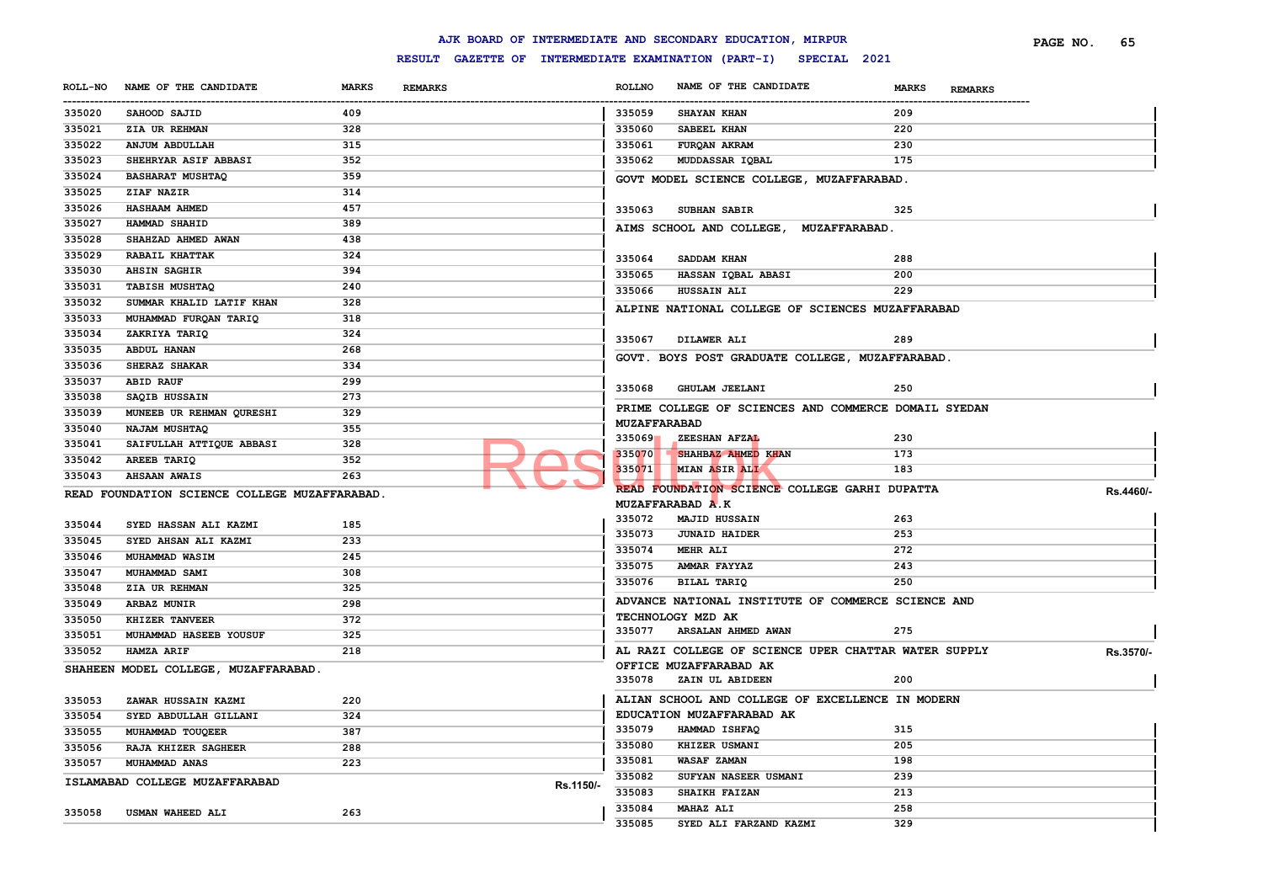| SPECIAL 2021<br>RESULT GAZETTE OF INTERMEDIATE EXAMINATION (PART-I)<br>NAME OF THE CANDIDATE<br><b>MARKS</b><br><b>ROLLNO</b><br>NAME OF THE CANDIDATE<br><b>REMARKS</b><br><b>MARKS</b><br><b>REMARKS</b><br>-----------<br>SAHOOD SAJID<br>409<br>335059<br><b>SHAYAN KHAN</b><br>209<br><b>ZIA UR REHMAN</b><br>328<br>335060<br>SABEEL KHAN<br>220<br>315<br>335061<br>FURQAN AKRAM<br>230<br>ANJUM ABDULLAH<br>SHEHRYAR ASIF ABBASI<br>352<br>335062<br>MUDDASSAR IQBAL<br>175<br>359<br><b>BASHARAT MUSHTAQ</b><br>GOVT MODEL SCIENCE COLLEGE, MUZAFFARABAD.<br>ZIAF NAZIR<br>314<br><b>HASHAAM AHMED</b><br>457<br>335063<br><b>SUBHAN SABIR</b><br>325<br>HAMMAD SHAHID<br>389<br>AIMS SCHOOL AND COLLEGE,<br><b>MUZAFFARABAD</b><br>438<br>SHAHZAD AHMED AWAN<br>RABAIL KHATTAK<br>324<br>335064<br>SADDAM KHAN<br>288<br>394<br><b>AHSIN SAGHIR</b><br>335065<br>HASSAN IQBAL ABASI<br>200<br><b>TABISH MUSHTAQ</b><br>240<br>335066<br><b>HUSSAIN ALI</b><br>229<br>SUMMAR KHALID LATIF KHAN<br>328<br>ALPINE NATIONAL COLLEGE OF SCIENCES MUZAFFARABAD<br>MUHAMMAD FURQAN TARIQ<br>318<br>324<br>ZAKRIYA TARIQ<br>DILAWER ALI<br>335067<br>289<br><b>ABDUL HANAN</b><br>268<br>GOVT. BOYS POST GRADUATE COLLEGE, MUZAFFARABAD.<br>334<br>SHERAZ SHAKAR<br><b>ABID RAUF</b><br>299<br>335068<br>250<br><b>GHULAM JEELANI</b><br>273<br>SAQIB HUSSAIN<br>PRIME COLLEGE OF SCIENCES AND COMMERCE DOMAIL SYEDAN<br>MUNEEB UR REHMAN QURESHI<br>329<br><b>MUZAFFARABAD</b><br>355<br>NAJAM MUSHTAQ<br>335069<br>ZEESHAN AFZAL<br>230<br>328<br>SAIFULLAH ATTIQUE ABBASI<br>SHAHBAZ AHMED KHAN<br>173<br>335070<br>AREEB TARIQ<br>352<br>183<br>335071<br>MIAN ASIR ALI<br><b>AHSAAN AWAIS</b><br>263<br>READ FOUNDATION SCIENCE COLLEGE GARHI DUPATTA<br>Rs.4460/-<br>READ FOUNDATION SCIENCE COLLEGE MUZAFFARABAD.<br>MUZAFFARABAD A.K<br>335072<br><b>MAJID HUSSAIN</b><br>263<br>185<br>SYED HASSAN ALI KAZMI<br>253<br>335073<br><b>JUNAID HAIDER</b><br>SYED AHSAN ALI KAZMI<br>233<br>335074<br><b>MEHR ALI</b><br>272<br>MUHAMMAD WASIM<br>245<br>335075<br>243<br>AMMAR FAYYAZ<br>308<br><b>MUHAMMAD SAMI</b><br>335076<br>BILAL TARIQ<br>250<br>ZIA UR REHMAN<br>325<br>ADVANCE NATIONAL INSTITUTE OF COMMERCE SCIENCE AND<br>ARBAZ MUNIR<br>298<br>TECHNOLOGY MZD AK<br>KHIZER TANVEER<br>372<br>ARSALAN AHMED AWAN<br>275<br>335077<br>325<br>MUHAMMAD HASEEB YOUSUF<br>218<br>AL RAZI COLLEGE OF SCIENCE UPER CHATTAR WATER SUPPLY<br>HAMZA ARIF<br>Rs.3570/-<br>OFFICE MUZAFFARABAD AK<br>SHAHEEN MODEL COLLEGE, MUZAFFARABAD.<br>ZAIN UL ABIDEEN<br>200<br>335078<br>ALIAN SCHOOL AND COLLEGE OF EXCELLENCE IN MODERN<br>220<br>ZAWAR HUSSAIN KAZMI<br>EDUCATION MUZAFFARABAD AK<br>SYED ABDULLAH GILLANI<br>324<br>335079<br>HAMMAD ISHFAQ<br>315<br>387<br>MUHAMMAD TOUQEER<br>335080<br>KHIZER USMANI<br>205<br>288<br>RAJA KHIZER SAGHEER<br>335081<br><b>WASAF ZAMAN</b><br>198<br>223<br><b>MUHAMMAD ANAS</b><br>335082<br>239<br>SUFYAN NASEER USMANI<br>ISLAMABAD COLLEGE MUZAFFARABAD<br>Rs.1150/-<br>335083<br>213<br>SHAIKH FAIZAN<br>335084<br>258<br><b>MAHAZ ALI</b><br>USMAN WAHEED ALI<br>263<br>335085<br>329<br>SYED ALI FARZAND KAZMI |                |  |  |  | AJK BOARD OF INTERMEDIATE AND SECONDARY EDUCATION, MIRPUR | PAGE NO. | 65 |
|-------------------------------------------------------------------------------------------------------------------------------------------------------------------------------------------------------------------------------------------------------------------------------------------------------------------------------------------------------------------------------------------------------------------------------------------------------------------------------------------------------------------------------------------------------------------------------------------------------------------------------------------------------------------------------------------------------------------------------------------------------------------------------------------------------------------------------------------------------------------------------------------------------------------------------------------------------------------------------------------------------------------------------------------------------------------------------------------------------------------------------------------------------------------------------------------------------------------------------------------------------------------------------------------------------------------------------------------------------------------------------------------------------------------------------------------------------------------------------------------------------------------------------------------------------------------------------------------------------------------------------------------------------------------------------------------------------------------------------------------------------------------------------------------------------------------------------------------------------------------------------------------------------------------------------------------------------------------------------------------------------------------------------------------------------------------------------------------------------------------------------------------------------------------------------------------------------------------------------------------------------------------------------------------------------------------------------------------------------------------------------------------------------------------------------------------------------------------------------------------------------------------------------------------------------------------------------------------------------------------------------------------------------------------------------------------------------------------------------------------------------------------------------------------------------------------------------------------------------------------------------------------------------------------------------------------------------------------------------------------------------------------------------------------------------------------------------------------------------------------------------------------------------------------------------|----------------|--|--|--|-----------------------------------------------------------|----------|----|
|                                                                                                                                                                                                                                                                                                                                                                                                                                                                                                                                                                                                                                                                                                                                                                                                                                                                                                                                                                                                                                                                                                                                                                                                                                                                                                                                                                                                                                                                                                                                                                                                                                                                                                                                                                                                                                                                                                                                                                                                                                                                                                                                                                                                                                                                                                                                                                                                                                                                                                                                                                                                                                                                                                                                                                                                                                                                                                                                                                                                                                                                                                                                                                               |                |  |  |  |                                                           |          |    |
|                                                                                                                                                                                                                                                                                                                                                                                                                                                                                                                                                                                                                                                                                                                                                                                                                                                                                                                                                                                                                                                                                                                                                                                                                                                                                                                                                                                                                                                                                                                                                                                                                                                                                                                                                                                                                                                                                                                                                                                                                                                                                                                                                                                                                                                                                                                                                                                                                                                                                                                                                                                                                                                                                                                                                                                                                                                                                                                                                                                                                                                                                                                                                                               | <b>ROLL-NO</b> |  |  |  |                                                           |          |    |
|                                                                                                                                                                                                                                                                                                                                                                                                                                                                                                                                                                                                                                                                                                                                                                                                                                                                                                                                                                                                                                                                                                                                                                                                                                                                                                                                                                                                                                                                                                                                                                                                                                                                                                                                                                                                                                                                                                                                                                                                                                                                                                                                                                                                                                                                                                                                                                                                                                                                                                                                                                                                                                                                                                                                                                                                                                                                                                                                                                                                                                                                                                                                                                               | 335020         |  |  |  |                                                           |          |    |
|                                                                                                                                                                                                                                                                                                                                                                                                                                                                                                                                                                                                                                                                                                                                                                                                                                                                                                                                                                                                                                                                                                                                                                                                                                                                                                                                                                                                                                                                                                                                                                                                                                                                                                                                                                                                                                                                                                                                                                                                                                                                                                                                                                                                                                                                                                                                                                                                                                                                                                                                                                                                                                                                                                                                                                                                                                                                                                                                                                                                                                                                                                                                                                               | 335021         |  |  |  |                                                           |          |    |
|                                                                                                                                                                                                                                                                                                                                                                                                                                                                                                                                                                                                                                                                                                                                                                                                                                                                                                                                                                                                                                                                                                                                                                                                                                                                                                                                                                                                                                                                                                                                                                                                                                                                                                                                                                                                                                                                                                                                                                                                                                                                                                                                                                                                                                                                                                                                                                                                                                                                                                                                                                                                                                                                                                                                                                                                                                                                                                                                                                                                                                                                                                                                                                               | 335022         |  |  |  |                                                           |          |    |
|                                                                                                                                                                                                                                                                                                                                                                                                                                                                                                                                                                                                                                                                                                                                                                                                                                                                                                                                                                                                                                                                                                                                                                                                                                                                                                                                                                                                                                                                                                                                                                                                                                                                                                                                                                                                                                                                                                                                                                                                                                                                                                                                                                                                                                                                                                                                                                                                                                                                                                                                                                                                                                                                                                                                                                                                                                                                                                                                                                                                                                                                                                                                                                               | 335023         |  |  |  |                                                           |          |    |
|                                                                                                                                                                                                                                                                                                                                                                                                                                                                                                                                                                                                                                                                                                                                                                                                                                                                                                                                                                                                                                                                                                                                                                                                                                                                                                                                                                                                                                                                                                                                                                                                                                                                                                                                                                                                                                                                                                                                                                                                                                                                                                                                                                                                                                                                                                                                                                                                                                                                                                                                                                                                                                                                                                                                                                                                                                                                                                                                                                                                                                                                                                                                                                               | 335024         |  |  |  |                                                           |          |    |
|                                                                                                                                                                                                                                                                                                                                                                                                                                                                                                                                                                                                                                                                                                                                                                                                                                                                                                                                                                                                                                                                                                                                                                                                                                                                                                                                                                                                                                                                                                                                                                                                                                                                                                                                                                                                                                                                                                                                                                                                                                                                                                                                                                                                                                                                                                                                                                                                                                                                                                                                                                                                                                                                                                                                                                                                                                                                                                                                                                                                                                                                                                                                                                               | 335025         |  |  |  |                                                           |          |    |
|                                                                                                                                                                                                                                                                                                                                                                                                                                                                                                                                                                                                                                                                                                                                                                                                                                                                                                                                                                                                                                                                                                                                                                                                                                                                                                                                                                                                                                                                                                                                                                                                                                                                                                                                                                                                                                                                                                                                                                                                                                                                                                                                                                                                                                                                                                                                                                                                                                                                                                                                                                                                                                                                                                                                                                                                                                                                                                                                                                                                                                                                                                                                                                               | 335026         |  |  |  |                                                           |          |    |
|                                                                                                                                                                                                                                                                                                                                                                                                                                                                                                                                                                                                                                                                                                                                                                                                                                                                                                                                                                                                                                                                                                                                                                                                                                                                                                                                                                                                                                                                                                                                                                                                                                                                                                                                                                                                                                                                                                                                                                                                                                                                                                                                                                                                                                                                                                                                                                                                                                                                                                                                                                                                                                                                                                                                                                                                                                                                                                                                                                                                                                                                                                                                                                               | 335027         |  |  |  |                                                           |          |    |
|                                                                                                                                                                                                                                                                                                                                                                                                                                                                                                                                                                                                                                                                                                                                                                                                                                                                                                                                                                                                                                                                                                                                                                                                                                                                                                                                                                                                                                                                                                                                                                                                                                                                                                                                                                                                                                                                                                                                                                                                                                                                                                                                                                                                                                                                                                                                                                                                                                                                                                                                                                                                                                                                                                                                                                                                                                                                                                                                                                                                                                                                                                                                                                               | 335028         |  |  |  |                                                           |          |    |
|                                                                                                                                                                                                                                                                                                                                                                                                                                                                                                                                                                                                                                                                                                                                                                                                                                                                                                                                                                                                                                                                                                                                                                                                                                                                                                                                                                                                                                                                                                                                                                                                                                                                                                                                                                                                                                                                                                                                                                                                                                                                                                                                                                                                                                                                                                                                                                                                                                                                                                                                                                                                                                                                                                                                                                                                                                                                                                                                                                                                                                                                                                                                                                               | 335029         |  |  |  |                                                           |          |    |
|                                                                                                                                                                                                                                                                                                                                                                                                                                                                                                                                                                                                                                                                                                                                                                                                                                                                                                                                                                                                                                                                                                                                                                                                                                                                                                                                                                                                                                                                                                                                                                                                                                                                                                                                                                                                                                                                                                                                                                                                                                                                                                                                                                                                                                                                                                                                                                                                                                                                                                                                                                                                                                                                                                                                                                                                                                                                                                                                                                                                                                                                                                                                                                               | 335030         |  |  |  |                                                           |          |    |
|                                                                                                                                                                                                                                                                                                                                                                                                                                                                                                                                                                                                                                                                                                                                                                                                                                                                                                                                                                                                                                                                                                                                                                                                                                                                                                                                                                                                                                                                                                                                                                                                                                                                                                                                                                                                                                                                                                                                                                                                                                                                                                                                                                                                                                                                                                                                                                                                                                                                                                                                                                                                                                                                                                                                                                                                                                                                                                                                                                                                                                                                                                                                                                               | 335031         |  |  |  |                                                           |          |    |
|                                                                                                                                                                                                                                                                                                                                                                                                                                                                                                                                                                                                                                                                                                                                                                                                                                                                                                                                                                                                                                                                                                                                                                                                                                                                                                                                                                                                                                                                                                                                                                                                                                                                                                                                                                                                                                                                                                                                                                                                                                                                                                                                                                                                                                                                                                                                                                                                                                                                                                                                                                                                                                                                                                                                                                                                                                                                                                                                                                                                                                                                                                                                                                               | 335032         |  |  |  |                                                           |          |    |
|                                                                                                                                                                                                                                                                                                                                                                                                                                                                                                                                                                                                                                                                                                                                                                                                                                                                                                                                                                                                                                                                                                                                                                                                                                                                                                                                                                                                                                                                                                                                                                                                                                                                                                                                                                                                                                                                                                                                                                                                                                                                                                                                                                                                                                                                                                                                                                                                                                                                                                                                                                                                                                                                                                                                                                                                                                                                                                                                                                                                                                                                                                                                                                               | 335033         |  |  |  |                                                           |          |    |
|                                                                                                                                                                                                                                                                                                                                                                                                                                                                                                                                                                                                                                                                                                                                                                                                                                                                                                                                                                                                                                                                                                                                                                                                                                                                                                                                                                                                                                                                                                                                                                                                                                                                                                                                                                                                                                                                                                                                                                                                                                                                                                                                                                                                                                                                                                                                                                                                                                                                                                                                                                                                                                                                                                                                                                                                                                                                                                                                                                                                                                                                                                                                                                               | 335034         |  |  |  |                                                           |          |    |
|                                                                                                                                                                                                                                                                                                                                                                                                                                                                                                                                                                                                                                                                                                                                                                                                                                                                                                                                                                                                                                                                                                                                                                                                                                                                                                                                                                                                                                                                                                                                                                                                                                                                                                                                                                                                                                                                                                                                                                                                                                                                                                                                                                                                                                                                                                                                                                                                                                                                                                                                                                                                                                                                                                                                                                                                                                                                                                                                                                                                                                                                                                                                                                               | 335035         |  |  |  |                                                           |          |    |
|                                                                                                                                                                                                                                                                                                                                                                                                                                                                                                                                                                                                                                                                                                                                                                                                                                                                                                                                                                                                                                                                                                                                                                                                                                                                                                                                                                                                                                                                                                                                                                                                                                                                                                                                                                                                                                                                                                                                                                                                                                                                                                                                                                                                                                                                                                                                                                                                                                                                                                                                                                                                                                                                                                                                                                                                                                                                                                                                                                                                                                                                                                                                                                               | 335036         |  |  |  |                                                           |          |    |
|                                                                                                                                                                                                                                                                                                                                                                                                                                                                                                                                                                                                                                                                                                                                                                                                                                                                                                                                                                                                                                                                                                                                                                                                                                                                                                                                                                                                                                                                                                                                                                                                                                                                                                                                                                                                                                                                                                                                                                                                                                                                                                                                                                                                                                                                                                                                                                                                                                                                                                                                                                                                                                                                                                                                                                                                                                                                                                                                                                                                                                                                                                                                                                               | 335037         |  |  |  |                                                           |          |    |
|                                                                                                                                                                                                                                                                                                                                                                                                                                                                                                                                                                                                                                                                                                                                                                                                                                                                                                                                                                                                                                                                                                                                                                                                                                                                                                                                                                                                                                                                                                                                                                                                                                                                                                                                                                                                                                                                                                                                                                                                                                                                                                                                                                                                                                                                                                                                                                                                                                                                                                                                                                                                                                                                                                                                                                                                                                                                                                                                                                                                                                                                                                                                                                               | 335038         |  |  |  |                                                           |          |    |
|                                                                                                                                                                                                                                                                                                                                                                                                                                                                                                                                                                                                                                                                                                                                                                                                                                                                                                                                                                                                                                                                                                                                                                                                                                                                                                                                                                                                                                                                                                                                                                                                                                                                                                                                                                                                                                                                                                                                                                                                                                                                                                                                                                                                                                                                                                                                                                                                                                                                                                                                                                                                                                                                                                                                                                                                                                                                                                                                                                                                                                                                                                                                                                               | 335039         |  |  |  |                                                           |          |    |
|                                                                                                                                                                                                                                                                                                                                                                                                                                                                                                                                                                                                                                                                                                                                                                                                                                                                                                                                                                                                                                                                                                                                                                                                                                                                                                                                                                                                                                                                                                                                                                                                                                                                                                                                                                                                                                                                                                                                                                                                                                                                                                                                                                                                                                                                                                                                                                                                                                                                                                                                                                                                                                                                                                                                                                                                                                                                                                                                                                                                                                                                                                                                                                               | 335040         |  |  |  |                                                           |          |    |
|                                                                                                                                                                                                                                                                                                                                                                                                                                                                                                                                                                                                                                                                                                                                                                                                                                                                                                                                                                                                                                                                                                                                                                                                                                                                                                                                                                                                                                                                                                                                                                                                                                                                                                                                                                                                                                                                                                                                                                                                                                                                                                                                                                                                                                                                                                                                                                                                                                                                                                                                                                                                                                                                                                                                                                                                                                                                                                                                                                                                                                                                                                                                                                               | 335041         |  |  |  |                                                           |          |    |
|                                                                                                                                                                                                                                                                                                                                                                                                                                                                                                                                                                                                                                                                                                                                                                                                                                                                                                                                                                                                                                                                                                                                                                                                                                                                                                                                                                                                                                                                                                                                                                                                                                                                                                                                                                                                                                                                                                                                                                                                                                                                                                                                                                                                                                                                                                                                                                                                                                                                                                                                                                                                                                                                                                                                                                                                                                                                                                                                                                                                                                                                                                                                                                               | 335042         |  |  |  |                                                           |          |    |
|                                                                                                                                                                                                                                                                                                                                                                                                                                                                                                                                                                                                                                                                                                                                                                                                                                                                                                                                                                                                                                                                                                                                                                                                                                                                                                                                                                                                                                                                                                                                                                                                                                                                                                                                                                                                                                                                                                                                                                                                                                                                                                                                                                                                                                                                                                                                                                                                                                                                                                                                                                                                                                                                                                                                                                                                                                                                                                                                                                                                                                                                                                                                                                               | 335043         |  |  |  |                                                           |          |    |
|                                                                                                                                                                                                                                                                                                                                                                                                                                                                                                                                                                                                                                                                                                                                                                                                                                                                                                                                                                                                                                                                                                                                                                                                                                                                                                                                                                                                                                                                                                                                                                                                                                                                                                                                                                                                                                                                                                                                                                                                                                                                                                                                                                                                                                                                                                                                                                                                                                                                                                                                                                                                                                                                                                                                                                                                                                                                                                                                                                                                                                                                                                                                                                               |                |  |  |  |                                                           |          |    |
|                                                                                                                                                                                                                                                                                                                                                                                                                                                                                                                                                                                                                                                                                                                                                                                                                                                                                                                                                                                                                                                                                                                                                                                                                                                                                                                                                                                                                                                                                                                                                                                                                                                                                                                                                                                                                                                                                                                                                                                                                                                                                                                                                                                                                                                                                                                                                                                                                                                                                                                                                                                                                                                                                                                                                                                                                                                                                                                                                                                                                                                                                                                                                                               |                |  |  |  |                                                           |          |    |
|                                                                                                                                                                                                                                                                                                                                                                                                                                                                                                                                                                                                                                                                                                                                                                                                                                                                                                                                                                                                                                                                                                                                                                                                                                                                                                                                                                                                                                                                                                                                                                                                                                                                                                                                                                                                                                                                                                                                                                                                                                                                                                                                                                                                                                                                                                                                                                                                                                                                                                                                                                                                                                                                                                                                                                                                                                                                                                                                                                                                                                                                                                                                                                               | 335044         |  |  |  |                                                           |          |    |
|                                                                                                                                                                                                                                                                                                                                                                                                                                                                                                                                                                                                                                                                                                                                                                                                                                                                                                                                                                                                                                                                                                                                                                                                                                                                                                                                                                                                                                                                                                                                                                                                                                                                                                                                                                                                                                                                                                                                                                                                                                                                                                                                                                                                                                                                                                                                                                                                                                                                                                                                                                                                                                                                                                                                                                                                                                                                                                                                                                                                                                                                                                                                                                               | 335045         |  |  |  |                                                           |          |    |
|                                                                                                                                                                                                                                                                                                                                                                                                                                                                                                                                                                                                                                                                                                                                                                                                                                                                                                                                                                                                                                                                                                                                                                                                                                                                                                                                                                                                                                                                                                                                                                                                                                                                                                                                                                                                                                                                                                                                                                                                                                                                                                                                                                                                                                                                                                                                                                                                                                                                                                                                                                                                                                                                                                                                                                                                                                                                                                                                                                                                                                                                                                                                                                               | 335046         |  |  |  |                                                           |          |    |
|                                                                                                                                                                                                                                                                                                                                                                                                                                                                                                                                                                                                                                                                                                                                                                                                                                                                                                                                                                                                                                                                                                                                                                                                                                                                                                                                                                                                                                                                                                                                                                                                                                                                                                                                                                                                                                                                                                                                                                                                                                                                                                                                                                                                                                                                                                                                                                                                                                                                                                                                                                                                                                                                                                                                                                                                                                                                                                                                                                                                                                                                                                                                                                               | 335047         |  |  |  |                                                           |          |    |
|                                                                                                                                                                                                                                                                                                                                                                                                                                                                                                                                                                                                                                                                                                                                                                                                                                                                                                                                                                                                                                                                                                                                                                                                                                                                                                                                                                                                                                                                                                                                                                                                                                                                                                                                                                                                                                                                                                                                                                                                                                                                                                                                                                                                                                                                                                                                                                                                                                                                                                                                                                                                                                                                                                                                                                                                                                                                                                                                                                                                                                                                                                                                                                               | 335048         |  |  |  |                                                           |          |    |
|                                                                                                                                                                                                                                                                                                                                                                                                                                                                                                                                                                                                                                                                                                                                                                                                                                                                                                                                                                                                                                                                                                                                                                                                                                                                                                                                                                                                                                                                                                                                                                                                                                                                                                                                                                                                                                                                                                                                                                                                                                                                                                                                                                                                                                                                                                                                                                                                                                                                                                                                                                                                                                                                                                                                                                                                                                                                                                                                                                                                                                                                                                                                                                               | 335049         |  |  |  |                                                           |          |    |
|                                                                                                                                                                                                                                                                                                                                                                                                                                                                                                                                                                                                                                                                                                                                                                                                                                                                                                                                                                                                                                                                                                                                                                                                                                                                                                                                                                                                                                                                                                                                                                                                                                                                                                                                                                                                                                                                                                                                                                                                                                                                                                                                                                                                                                                                                                                                                                                                                                                                                                                                                                                                                                                                                                                                                                                                                                                                                                                                                                                                                                                                                                                                                                               | 335050         |  |  |  |                                                           |          |    |
|                                                                                                                                                                                                                                                                                                                                                                                                                                                                                                                                                                                                                                                                                                                                                                                                                                                                                                                                                                                                                                                                                                                                                                                                                                                                                                                                                                                                                                                                                                                                                                                                                                                                                                                                                                                                                                                                                                                                                                                                                                                                                                                                                                                                                                                                                                                                                                                                                                                                                                                                                                                                                                                                                                                                                                                                                                                                                                                                                                                                                                                                                                                                                                               | 335051         |  |  |  |                                                           |          |    |
|                                                                                                                                                                                                                                                                                                                                                                                                                                                                                                                                                                                                                                                                                                                                                                                                                                                                                                                                                                                                                                                                                                                                                                                                                                                                                                                                                                                                                                                                                                                                                                                                                                                                                                                                                                                                                                                                                                                                                                                                                                                                                                                                                                                                                                                                                                                                                                                                                                                                                                                                                                                                                                                                                                                                                                                                                                                                                                                                                                                                                                                                                                                                                                               | 335052         |  |  |  |                                                           |          |    |
|                                                                                                                                                                                                                                                                                                                                                                                                                                                                                                                                                                                                                                                                                                                                                                                                                                                                                                                                                                                                                                                                                                                                                                                                                                                                                                                                                                                                                                                                                                                                                                                                                                                                                                                                                                                                                                                                                                                                                                                                                                                                                                                                                                                                                                                                                                                                                                                                                                                                                                                                                                                                                                                                                                                                                                                                                                                                                                                                                                                                                                                                                                                                                                               |                |  |  |  |                                                           |          |    |
|                                                                                                                                                                                                                                                                                                                                                                                                                                                                                                                                                                                                                                                                                                                                                                                                                                                                                                                                                                                                                                                                                                                                                                                                                                                                                                                                                                                                                                                                                                                                                                                                                                                                                                                                                                                                                                                                                                                                                                                                                                                                                                                                                                                                                                                                                                                                                                                                                                                                                                                                                                                                                                                                                                                                                                                                                                                                                                                                                                                                                                                                                                                                                                               |                |  |  |  |                                                           |          |    |
|                                                                                                                                                                                                                                                                                                                                                                                                                                                                                                                                                                                                                                                                                                                                                                                                                                                                                                                                                                                                                                                                                                                                                                                                                                                                                                                                                                                                                                                                                                                                                                                                                                                                                                                                                                                                                                                                                                                                                                                                                                                                                                                                                                                                                                                                                                                                                                                                                                                                                                                                                                                                                                                                                                                                                                                                                                                                                                                                                                                                                                                                                                                                                                               | 335053         |  |  |  |                                                           |          |    |
|                                                                                                                                                                                                                                                                                                                                                                                                                                                                                                                                                                                                                                                                                                                                                                                                                                                                                                                                                                                                                                                                                                                                                                                                                                                                                                                                                                                                                                                                                                                                                                                                                                                                                                                                                                                                                                                                                                                                                                                                                                                                                                                                                                                                                                                                                                                                                                                                                                                                                                                                                                                                                                                                                                                                                                                                                                                                                                                                                                                                                                                                                                                                                                               | 335054         |  |  |  |                                                           |          |    |
|                                                                                                                                                                                                                                                                                                                                                                                                                                                                                                                                                                                                                                                                                                                                                                                                                                                                                                                                                                                                                                                                                                                                                                                                                                                                                                                                                                                                                                                                                                                                                                                                                                                                                                                                                                                                                                                                                                                                                                                                                                                                                                                                                                                                                                                                                                                                                                                                                                                                                                                                                                                                                                                                                                                                                                                                                                                                                                                                                                                                                                                                                                                                                                               | 335055         |  |  |  |                                                           |          |    |
|                                                                                                                                                                                                                                                                                                                                                                                                                                                                                                                                                                                                                                                                                                                                                                                                                                                                                                                                                                                                                                                                                                                                                                                                                                                                                                                                                                                                                                                                                                                                                                                                                                                                                                                                                                                                                                                                                                                                                                                                                                                                                                                                                                                                                                                                                                                                                                                                                                                                                                                                                                                                                                                                                                                                                                                                                                                                                                                                                                                                                                                                                                                                                                               | 335056         |  |  |  |                                                           |          |    |
|                                                                                                                                                                                                                                                                                                                                                                                                                                                                                                                                                                                                                                                                                                                                                                                                                                                                                                                                                                                                                                                                                                                                                                                                                                                                                                                                                                                                                                                                                                                                                                                                                                                                                                                                                                                                                                                                                                                                                                                                                                                                                                                                                                                                                                                                                                                                                                                                                                                                                                                                                                                                                                                                                                                                                                                                                                                                                                                                                                                                                                                                                                                                                                               | 335057         |  |  |  |                                                           |          |    |
|                                                                                                                                                                                                                                                                                                                                                                                                                                                                                                                                                                                                                                                                                                                                                                                                                                                                                                                                                                                                                                                                                                                                                                                                                                                                                                                                                                                                                                                                                                                                                                                                                                                                                                                                                                                                                                                                                                                                                                                                                                                                                                                                                                                                                                                                                                                                                                                                                                                                                                                                                                                                                                                                                                                                                                                                                                                                                                                                                                                                                                                                                                                                                                               |                |  |  |  |                                                           |          |    |
|                                                                                                                                                                                                                                                                                                                                                                                                                                                                                                                                                                                                                                                                                                                                                                                                                                                                                                                                                                                                                                                                                                                                                                                                                                                                                                                                                                                                                                                                                                                                                                                                                                                                                                                                                                                                                                                                                                                                                                                                                                                                                                                                                                                                                                                                                                                                                                                                                                                                                                                                                                                                                                                                                                                                                                                                                                                                                                                                                                                                                                                                                                                                                                               |                |  |  |  |                                                           |          |    |
|                                                                                                                                                                                                                                                                                                                                                                                                                                                                                                                                                                                                                                                                                                                                                                                                                                                                                                                                                                                                                                                                                                                                                                                                                                                                                                                                                                                                                                                                                                                                                                                                                                                                                                                                                                                                                                                                                                                                                                                                                                                                                                                                                                                                                                                                                                                                                                                                                                                                                                                                                                                                                                                                                                                                                                                                                                                                                                                                                                                                                                                                                                                                                                               | 335058         |  |  |  |                                                           |          |    |
|                                                                                                                                                                                                                                                                                                                                                                                                                                                                                                                                                                                                                                                                                                                                                                                                                                                                                                                                                                                                                                                                                                                                                                                                                                                                                                                                                                                                                                                                                                                                                                                                                                                                                                                                                                                                                                                                                                                                                                                                                                                                                                                                                                                                                                                                                                                                                                                                                                                                                                                                                                                                                                                                                                                                                                                                                                                                                                                                                                                                                                                                                                                                                                               |                |  |  |  |                                                           |          |    |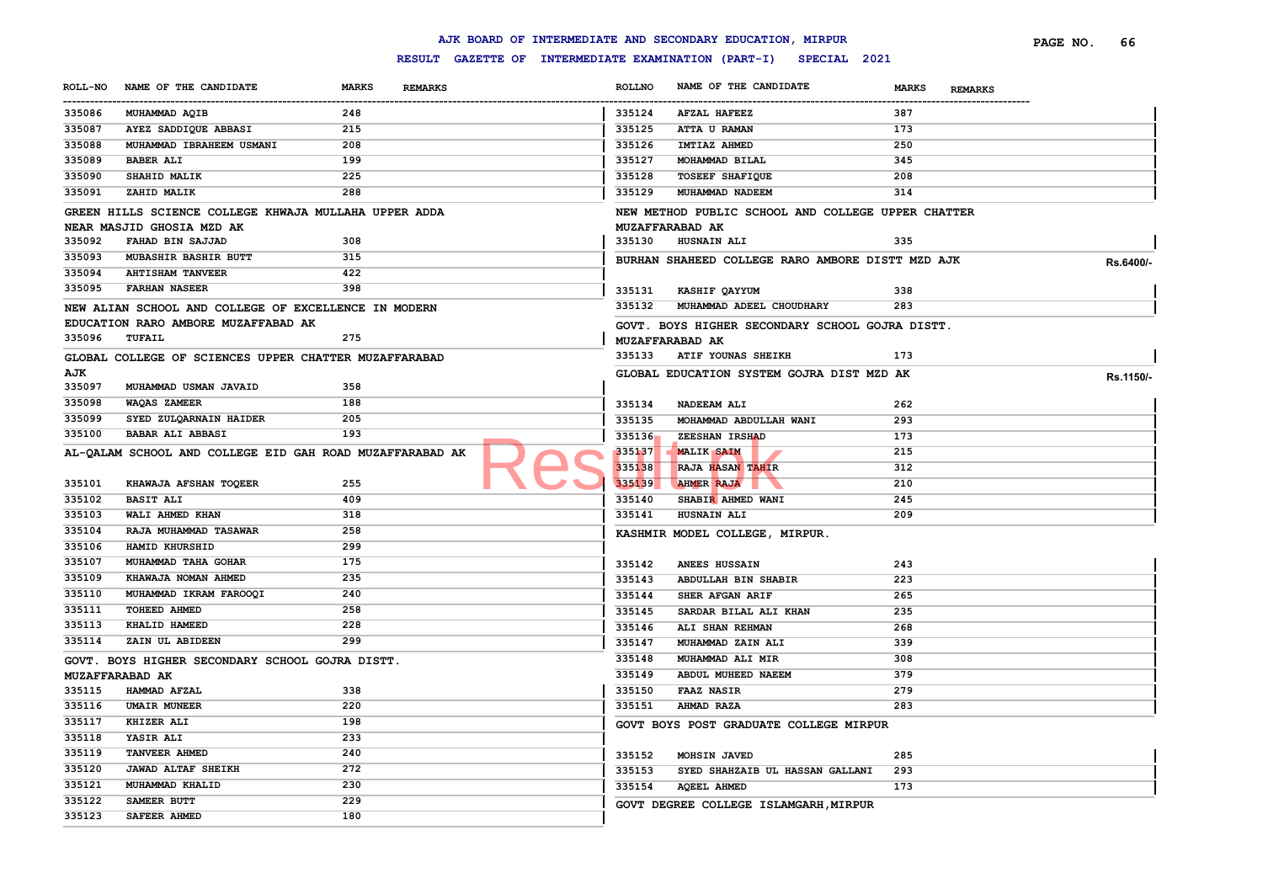#### **ROLL-NO NAME OF THE CANDIDATE MARKS REMARKS** ------------------------------------------------------------------------------------------------------------------------------------------------------------------------------------------------------------------------ **ROLLNO NAME OF THE CANDIDATE MARKS REMARKS PAGE NO. 66 MUHAMMAD AQIB 248 AYEZ SADDIQUE ABBASI 215 MUHAMMAD IBRAHEEM USMANI 208 BABER ALI 199 SHAHID MALIK 225 ZAHID MALIK 288 GREEN HILLS SCIENCE COLLEGE KHWAJA MULLAHA UPPER ADDA NEAR MASJID GHOSIA MZD AK FAHAD BIN SAJJAD 308 MUBASHIR BASHIR BUTT 315 AHTISHAM TANVEER 422 FARHAN NASEER 398 NEW ALIAN SCHOOL AND COLLEGE OF EXCELLENCE IN MODERN EDUCATION RARO AMBORE MUZAFFABAD AK TUFAIL 275 GLOBAL COLLEGE OF SCIENCES UPPER CHATTER MUZAFFARABAD AJK MUHAMMAD USMAN JAVAID 358 WAQAS ZAMEER 188 SYED ZULQARNAIN HAIDER 205 BABAR ALI ABBASI 193 AL-QALAM SCHOOL AND COLLEGE EID GAH ROAD MUZAFFARABAD AK KHAWAJA AFSHAN TOQEER 255 BASIT ALI 409 WALI AHMED KHAN 318 RAJA MUHAMMAD TASAWAR 258 HAMID KHURSHID 299 MUHAMMAD TAHA GOHAR 175 KHAWAJA NOMAN AHMED 235 MUHAMMAD IKRAM FAROOQI 240 TOHEED AHMED 258 KHALID HAMEED 228 ZAIN UL ABIDEEN 299 GOVT. BOYS HIGHER SECONDARY SCHOOL GOJRA DISTT. MUZAFFARABAD AK HAMMAD AFZAL 338 UMAIR MUNEER 220 KHIZER ALI 198 YASIR ALI 233 TANVEER AHMED 240 JAWAD ALTAF SHEIKH 272 MUHAMMAD KHALID 230 SAMEER BUTT 229 SAFEER AHMED 180 AFZAL HAFEEZ 387 ATTA U RAMAN 173 IMTIAZ AHMED 250 MOHAMMAD BILAL 345 TOSEEF SHAFIQUE 208 MUHAMMAD NADEEM 314 NEW METHOD PUBLIC SCHOOL AND COLLEGE UPPER CHATTER MUZAFFARABAD AK HUSNAIN ALI 335 BURHAN SHAHEED COLLEGE RARO AMBORE DISTT MZD AJK Rs.6400/- KASHIF QAYYUM 338 MUHAMMAD ADEEL CHOUDHARY 283 GOVT. BOYS HIGHER SECONDARY SCHOOL GOJRA DISTT. MUZAFFARABAD AK ATIF YOUNAS SHEIKH 173 GLOBAL EDUCATION SYSTEM GOJRA DIST MZD AK Rs.1150/- NADEEAM ALI 262 MOHAMMAD ABDULLAH WANI 293 ZEESHAN IRSHAD 173 MALIK SAIM 215 RAJA HASAN TAHIR 312 AHMER RAJA 210 SHABIR AHMED WANI 245 HUSNAIN ALI 209 KASHMIR MODEL COLLEGE, MIRPUR. ANEES HUSSAIN 243 ABDULLAH BIN SHABIR 223 SHER AFGAN ARIF 265 SARDAR BILAL ALI KHAN 235 ALI SHAN REHMAN 268 MUHAMMAD ZAIN ALI 339 MUHAMMAD ALI MIR 308 ABDUL MUHEED NAEEM 379 FAAZ NASIR 279 AHMAD RAZA 283 GOVT BOYS POST GRADUATE COLLEGE MIRPUR MOHSIN JAVED 285 SYED SHAHZAIB UL HASSAN GALLANI 293 AQEEL AHMED 173 GOVT DEGREE COLLEGE ISLAMGARH,MIRPUR** 335136 ZEESHAN IRSHAD

**AJK BOARD OF INTERMEDIATE AND SECONDARY EDUCATION, MIRPUR**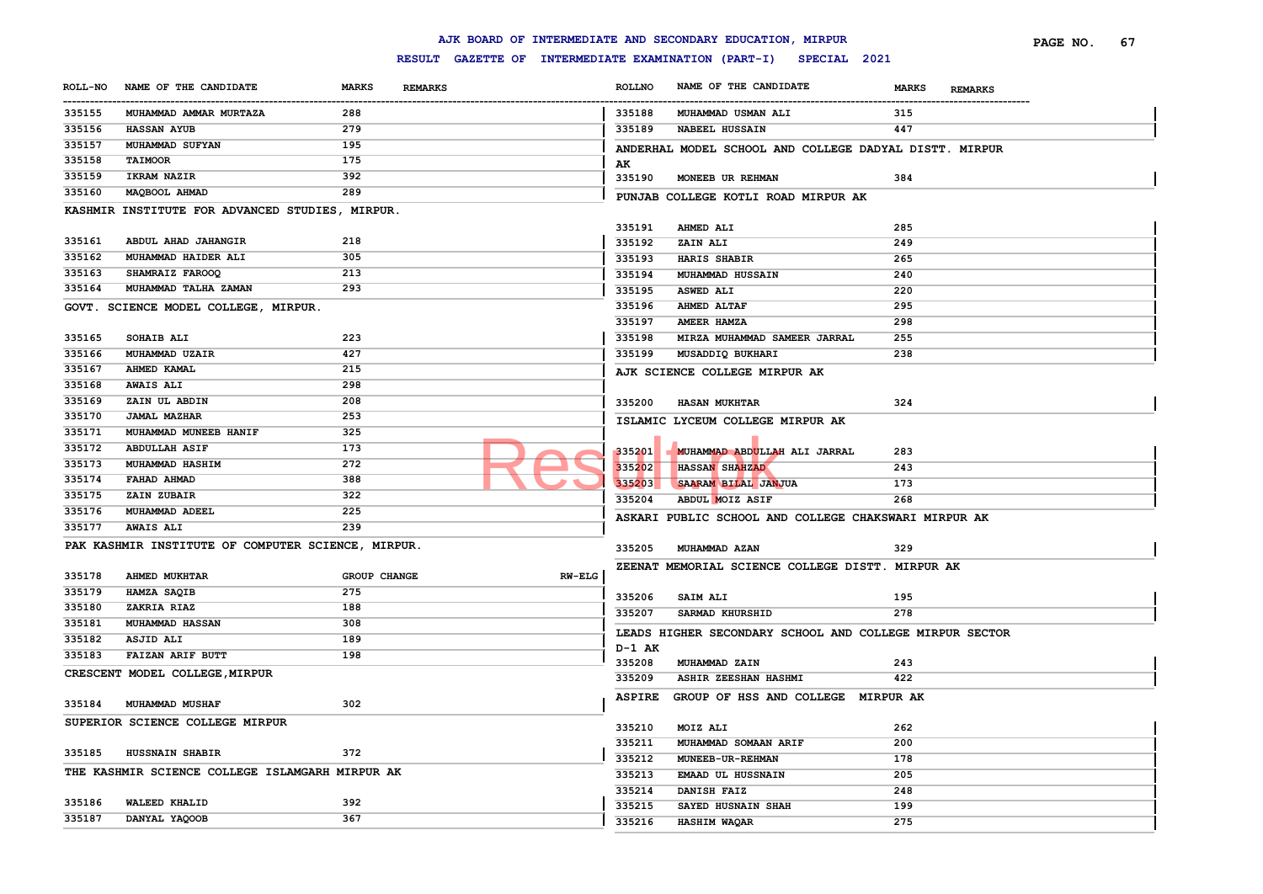#### **ROLL-NO NAME OF THE CANDIDATE MARKS REMARKS** ------------------------------------------------------------------------------------------------------------------------------------------------------------------------------------------------------------------------ **ROLLNO NAME OF THE CANDIDATE MARKS REMARKS PAGE NO. 67 MUHAMMAD AMMAR MURTAZA 288 HASSAN AYUB 279 MUHAMMAD SUFYAN 195 TAIMOOR 175 IKRAM NAZIR 392 MAQBOOL AHMAD 289 KASHMIR INSTITUTE FOR ADVANCED STUDIES, MIRPUR. ABDUL AHAD JAHANGIR 218 MUHAMMAD HAIDER ALI 305 SHAMRAIZ FAROOQ 213 MUHAMMAD TALHA ZAMAN 293 GOVT. SCIENCE MODEL COLLEGE, MIRPUR. SOHAIB ALI 223 MUHAMMAD UZAIR 427 AHMED KAMAL 215 AWAIS ALI 298 ZAIN UL ABDIN 208 JAMAL MAZHAR 253 MUHAMMAD MUNEEB HANIF 325 ABDULLAH ASIF 173 MUHAMMAD HASHIM 272 FAHAD AHMAD 388 ZAIN ZUBAIR 322 MUHAMMAD ADEEL 225 AWAIS ALI 239 PAK KASHMIR INSTITUTE OF COMPUTER SCIENCE, MIRPUR. AHMED MUKHTAR GROUP CHANGE RW-ELG HAMZA SAQIB 275 ZAKRIA RIAZ 188 MUHAMMAD HASSAN 308 ASJID ALI 189 FAIZAN ARIF BUTT 198 CRESCENT MODEL COLLEGE,MIRPUR MUHAMMAD MUSHAF 302 SUPERIOR SCIENCE COLLEGE MIRPUR HUSSNAIN SHABIR 372 THE KASHMIR SCIENCE COLLEGE ISLAMGARH MIRPUR AK WALEED KHALID 392 DANYAL YAQOOB 367 MUHAMMAD USMAN ALI 315 NABEEL HUSSAIN 447 ANDERHAL MODEL SCHOOL AND COLLEGE DADYAL DISTT. MIRPUR AK MONEEB UR REHMAN 384 PUNJAB COLLEGE KOTLI ROAD MIRPUR AK AHMED ALI 285 ZAIN ALI 249 HARIS SHABIR 265 MUHAMMAD HUSSAIN 240 ASWED ALI 220 AHMED ALTAF 295 AMEER HAMZA 298 MIRZA MUHAMMAD SAMEER JARRAL 255 MUSADDIQ BUKHARI 238 AJK SCIENCE COLLEGE MIRPUR AK HASAN MUKHTAR 324 ISLAMIC LYCEUM COLLEGE MIRPUR AK MUHAMMAD ABDULLAH ALI JARRAL 283 HASSAN SHAHZAD 243 SAARAM BILAL JANJUA 173 ABDUL MOIZ ASIF 268 ASKARI PUBLIC SCHOOL AND COLLEGE CHAKSWARI MIRPUR AK MUHAMMAD AZAN 329 ZEENAT MEMORIAL SCIENCE COLLEGE DISTT. MIRPUR AK SAIM ALI 195 SARMAD KHURSHID 278 LEADS HIGHER SECONDARY SCHOOL AND COLLEGE MIRPUR SECTOR D-1 AK MUHAMMAD ZAIN 243 ASHIR ZEESHAN HASHMI 422 ASPIRE GROUP OF HSS AND COLLEGE MIRPUR AK MOIZ ALI 262 MUHAMMAD SOMAAN ARIF 200 MUNEEB-UR-REHMAN 178 EMAAD UL HUSSNAIN 205 DANISH FAIZ 248 SAYED HUSNAIN SHAH 199 HASHIM WAQAR 275** 335201 MUHAMMAD ABDULLAH

#### **AJK BOARD OF INTERMEDIATE AND SECONDARY EDUCATION, MIRPUR**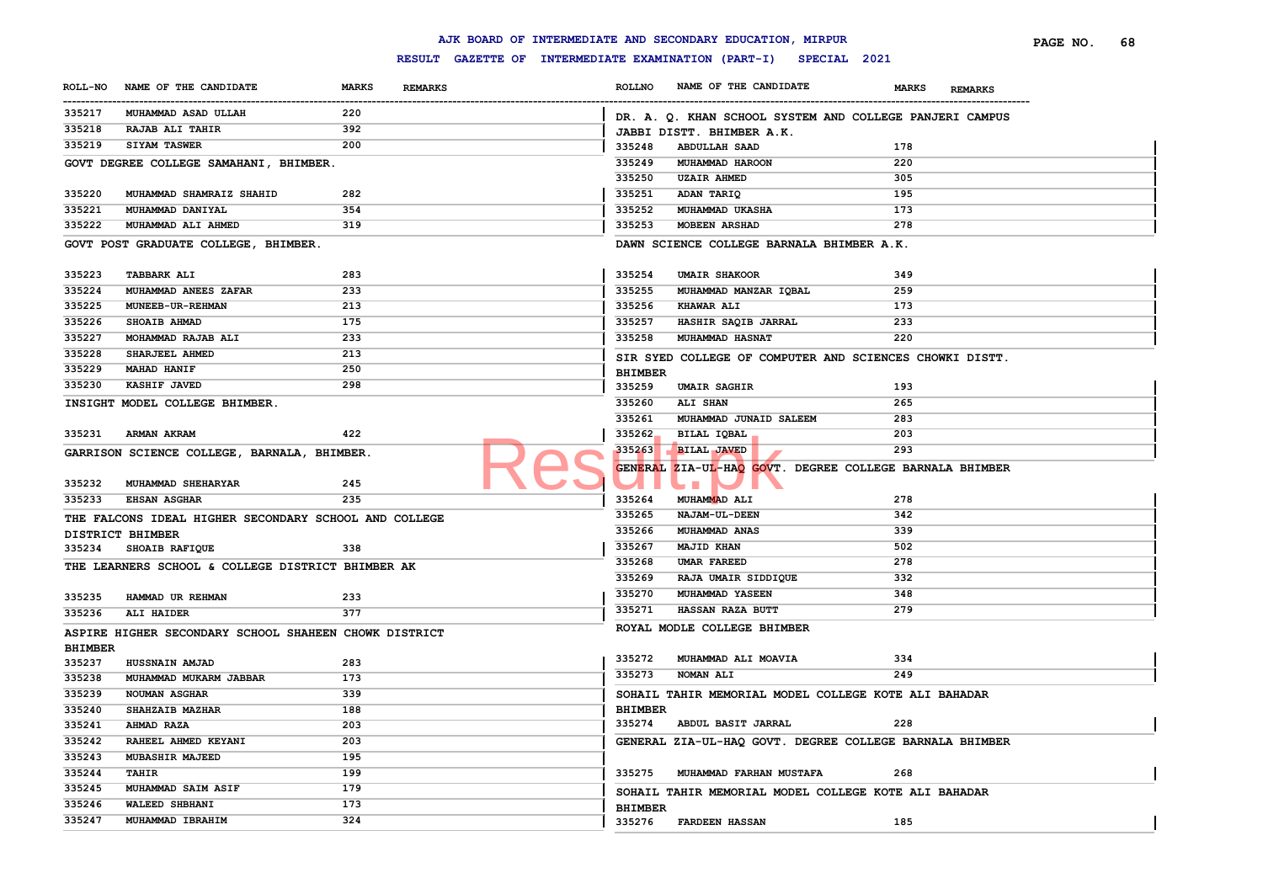|                               |                                                       |                                |                | AJK BOARD OF INTERMEDIATE AND SECONDARY EDUCATION, MIRPUR                                                             |                                | PAGE NO.<br>68 |
|-------------------------------|-------------------------------------------------------|--------------------------------|----------------|-----------------------------------------------------------------------------------------------------------------------|--------------------------------|----------------|
|                               |                                                       |                                |                | RESULT GAZETTE OF INTERMEDIATE EXAMINATION (PART-I) SPECIAL 2021                                                      |                                |                |
| <b>ROLL-NO</b><br>----------- | NAME OF THE CANDIDATE                                 | <b>MARKS</b><br><b>REMARKS</b> | <b>ROLLNO</b>  | NAME OF THE CANDIDATE                                                                                                 | <b>MARKS</b><br><b>REMARKS</b> |                |
| 335217                        | MUHAMMAD ASAD ULLAH                                   | 220                            |                | DR. A. Q. KHAN SCHOOL SYSTEM AND COLLEGE PANJERI CAMPUS                                                               |                                |                |
| 335218                        | RAJAB ALI TAHIR                                       | 392                            |                | JABBI DISTT. BHIMBER A.K.                                                                                             |                                |                |
| 335219                        | <b>SIYAM TASWER</b>                                   | 200                            | 335248         | <b>ABDULLAH SAAD</b>                                                                                                  | 178                            |                |
|                               | GOVT DEGREE COLLEGE SAMAHANI, BHIMBER.                |                                | 335249         | MUHAMMAD HAROON                                                                                                       | 220                            |                |
|                               |                                                       |                                | 335250         | <b>UZAIR AHMED</b>                                                                                                    | 305                            |                |
| 335220                        | MUHAMMAD SHAMRAIZ SHAHID                              | 282                            | 335251         | ADAN TARIQ                                                                                                            | 195                            |                |
| 335221                        | MUHAMMAD DANIYAL                                      | 354                            | 335252         | MUHAMMAD UKASHA                                                                                                       | 173                            |                |
| 335222                        | MUHAMMAD ALI AHMED                                    | 319                            | 335253         | <b>MOBEEN ARSHAD</b>                                                                                                  | 278                            |                |
|                               | GOVT POST GRADUATE COLLEGE, BHIMBER.                  |                                |                | DAWN SCIENCE COLLEGE BARNALA BHIMBER A.K.                                                                             |                                |                |
|                               |                                                       |                                |                |                                                                                                                       |                                |                |
| 335223                        | <b>TABBARK ALI</b>                                    | 283                            | 335254         | <b>UMAIR SHAKOOR</b>                                                                                                  | 349                            |                |
| 335224                        | MUHAMMAD ANEES ZAFAR                                  | 233                            | 335255         | MUHAMMAD MANZAR IQBAL                                                                                                 | 259                            |                |
| 335225                        | <b>MUNEEB-UR-REHMAN</b>                               | 213                            | 335256         | KHAWAR ALI                                                                                                            | 173                            |                |
| 335226                        | SHOAIB AHMAD                                          | 175                            | 335257         | HASHIR SAQIB JARRAL                                                                                                   | 233                            |                |
| 335227                        | MOHAMMAD RAJAB ALI                                    | 233                            | 335258         | <b>MUHAMMAD HASNAT</b>                                                                                                | 220                            |                |
| 335228                        | SHARJEEL AHMED                                        | 213                            |                | SIR SYED COLLEGE OF COMPUTER AND SCIENCES CHOWKI DISTT.                                                               |                                |                |
| 335229                        | <b>MAHAD HANIF</b>                                    | 250                            | <b>BHIMBER</b> |                                                                                                                       |                                |                |
| 335230                        | KASHIF JAVED                                          | 298                            | 335259         | <b>UMAIR SAGHIR</b>                                                                                                   | 193                            |                |
|                               | INSIGHT MODEL COLLEGE BHIMBER.                        |                                | 335260         | ALI SHAN                                                                                                              | 265                            |                |
|                               |                                                       |                                | 335261         | MUHAMMAD JUNAID SALEEM                                                                                                | 283                            |                |
| 335231                        | <b>ARMAN AKRAM</b>                                    | 422                            | 335262         | BILAL IQBAL                                                                                                           | 203                            |                |
|                               | GARRISON SCIENCE COLLEGE, BARNALA, BHIMBER.           |                                | 335263         | <b>BILAL JAVED</b>                                                                                                    | 293                            |                |
|                               |                                                       |                                |                | GENERAL ZIA-UL-HAO GOVT. DEGREE COLLEGE BARNALA BHIMBER                                                               |                                |                |
| 335232                        | MUHAMMAD SHEHARYAR                                    | 245                            |                | <b>The Contract of the Contract of the Contract of the Contract of the Contract of the Contract of the Contract o</b> |                                |                |
| 335233                        | <b>EHSAN ASGHAR</b>                                   | 235                            | 335264         | MUHAMMAD ALI                                                                                                          | 278                            |                |
|                               | THE FALCONS IDEAL HIGHER SECONDARY SCHOOL AND COLLEGE |                                | 335265         | NAJAM-UL-DEEN                                                                                                         | 342                            |                |
|                               | DISTRICT BHIMBER                                      |                                | 335266         | MUHAMMAD ANAS                                                                                                         | 339                            |                |
| 335234                        | SHOAIB RAFIQUE                                        | 338                            | 335267         | <b>MAJID KHAN</b>                                                                                                     | 502                            |                |
|                               | THE LEARNERS SCHOOL & COLLEGE DISTRICT BHIMBER AK     |                                | 335268         | UMAR FAREED                                                                                                           | 278                            |                |
|                               |                                                       |                                | 335269         | RAJA UMAIR SIDDIQUE                                                                                                   | 332                            |                |
| 335235                        | HAMMAD UR REHMAN                                      | 233                            | 335270         | MUHAMMAD YASEEN                                                                                                       | 348                            |                |
| 335236                        | <b>ALI HAIDER</b>                                     | 377                            | 335271         | <b>HASSAN RAZA BUTT</b>                                                                                               | 279                            |                |
|                               | ASPIRE HIGHER SECONDARY SCHOOL SHAHEEN CHOWK DISTRICT |                                |                | ROYAL MODLE COLLEGE BHIMBER                                                                                           |                                |                |
| <b>BHIMBER</b>                |                                                       |                                |                |                                                                                                                       |                                |                |
| 335237                        | HUSSNAIN AMJAD                                        | 283                            | 335272         | MUHAMMAD ALI MOAVIA                                                                                                   | 334                            |                |
| 335238                        | MUHAMMAD MUKARM JABBAR                                | 173                            | 335273         | <b>NOMAN ALI</b>                                                                                                      | 249                            |                |
| 335239                        | <b>NOUMAN ASGHAR</b>                                  | 339                            |                | SOHAIL TAHIR MEMORIAL MODEL COLLEGE KOTE ALI BAHADAR                                                                  |                                |                |
| 335240                        | <b>SHAHZAIB MAZHAR</b>                                | 188                            | <b>BHIMBER</b> |                                                                                                                       |                                |                |
| 335241                        | <b>AHMAD RAZA</b>                                     | 203                            |                | 335274 ABDUL BASIT JARRAL                                                                                             | 228                            |                |
| 335242                        | RAHEEL AHMED KEYANI                                   | 203                            |                | GENERAL ZIA-UL-HAQ GOVT. DEGREE COLLEGE BARNALA BHIMBER                                                               |                                |                |
| 335243                        | <b>MUBASHIR MAJEED</b>                                | 195                            |                |                                                                                                                       |                                |                |
| 335244                        | TAHIR                                                 | 199                            |                | 335275 MUHAMMAD FARHAN MUSTAFA                                                                                        | 268                            |                |
| 335245                        | MUHAMMAD SAIM ASIF                                    | 179                            |                | SOHAIL TAHIR MEMORIAL MODEL COLLEGE KOTE ALI BAHADAR                                                                  |                                |                |
| 335246                        | WALEED SHBHANI                                        | 173                            | <b>BHIMBER</b> |                                                                                                                       |                                |                |
| 335247                        | MUHAMMAD IBRAHIM                                      | 324                            |                | 335276 FARDEEN HASSAN                                                                                                 | 185                            |                |
|                               |                                                       |                                |                |                                                                                                                       |                                |                |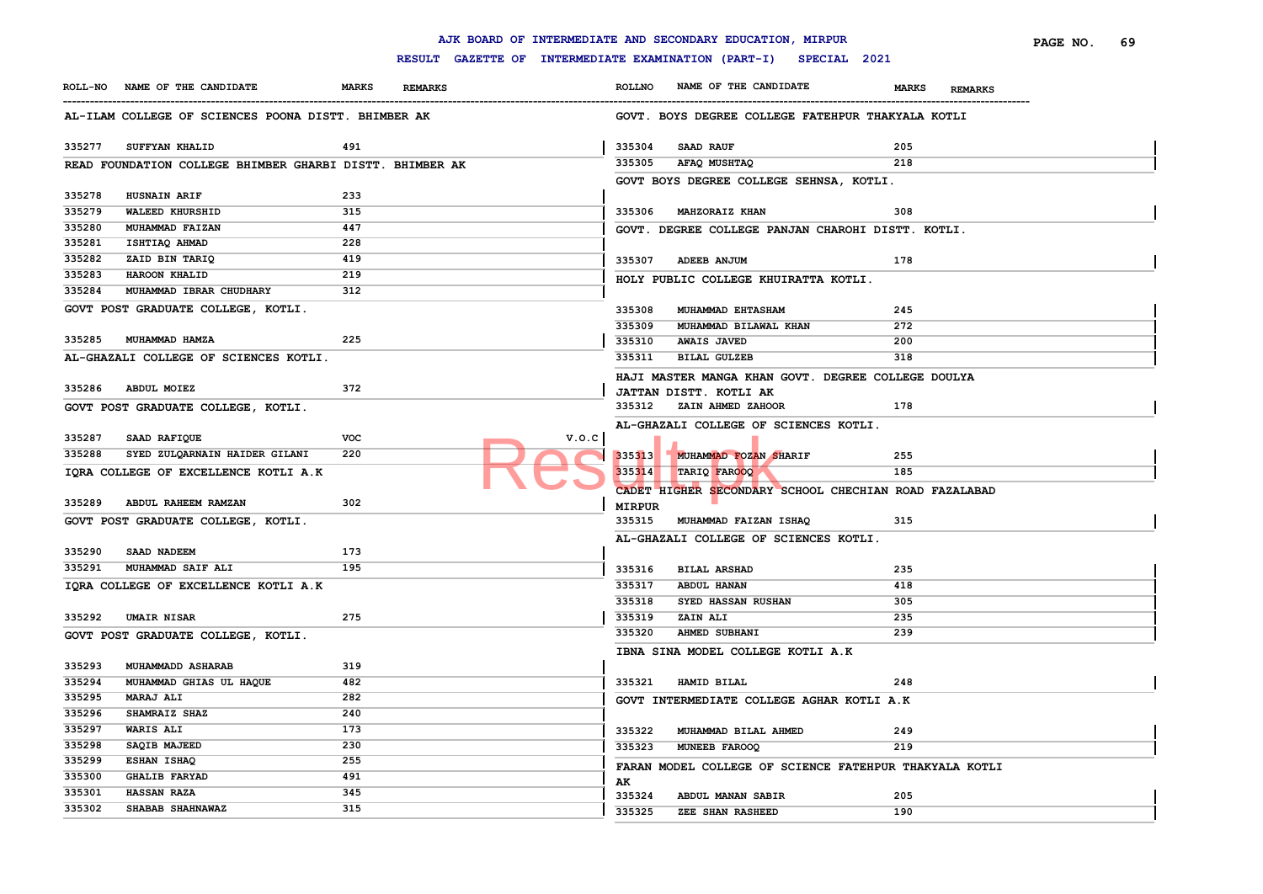|                  |                                                          |              |                |                                                     |               | AJK BOARD OF INTERMEDIATE AND SECONDARY EDUCATION, MIRPUR |                                | PAGE NO.<br>69 |
|------------------|----------------------------------------------------------|--------------|----------------|-----------------------------------------------------|---------------|-----------------------------------------------------------|--------------------------------|----------------|
|                  |                                                          |              |                | RESULT GAZETTE OF INTERMEDIATE EXAMINATION (PART-I) |               | SPECIAL 2021                                              |                                |                |
|                  | ROLL-NO NAME OF THE CANDIDATE                            | <b>MARKS</b> | <b>REMARKS</b> |                                                     | <b>ROLLNO</b> | NAME OF THE CANDIDATE                                     | <b>MARKS</b><br><b>REMARKS</b> |                |
|                  | AL-ILAM COLLEGE OF SCIENCES POONA DISTT. BHIMBER AK      |              |                |                                                     |               | GOVT. BOYS DEGREE COLLEGE FATEHPUR THAKYALA KOTLI         |                                |                |
| 335277           | SUFFYAN KHALID                                           | 491          |                |                                                     | 335304        | SAAD RAUF                                                 | 205                            |                |
|                  | READ FOUNDATION COLLEGE BHIMBER GHARBI DISTT. BHIMBER AK |              |                |                                                     | 335305        | AFAQ MUSHTAQ                                              | 218                            |                |
|                  |                                                          |              |                |                                                     |               | GOVT BOYS DEGREE COLLEGE SEHNSA, KOTLI.                   |                                |                |
| 335278           | HUSNAIN ARIF                                             | 233          |                |                                                     |               |                                                           |                                |                |
| 335279           | WALEED KHURSHID                                          | 315          |                |                                                     | 335306        | MAHZORAIZ KHAN                                            | 308                            |                |
| 335280           | MUHAMMAD FAIZAN                                          | 447          |                |                                                     |               | GOVT. DEGREE COLLEGE PANJAN CHAROHI DISTT. KOTLI.         |                                |                |
| 335281           | ISHTIAQ AHMAD                                            | 228          |                |                                                     |               |                                                           |                                |                |
| 335282           | ZAID BIN TARIQ                                           | 419          |                |                                                     | 335307        | <b>ADEEB ANJUM</b>                                        | 178                            |                |
| 335283           | HAROON KHALID                                            | 219          |                |                                                     |               | HOLY PUBLIC COLLEGE KHUIRATTA KOTLI.                      |                                |                |
| 335284           | MUHAMMAD IBRAR CHUDHARY                                  | 312          |                |                                                     |               |                                                           |                                |                |
|                  | GOVT POST GRADUATE COLLEGE, KOTLI.                       |              |                |                                                     | 335308        | MUHAMMAD EHTASHAM                                         | 245                            |                |
|                  |                                                          |              |                |                                                     | 335309        | MUHAMMAD BILAWAL KHAN                                     | 272                            |                |
| 335285           | MUHAMMAD HAMZA                                           | 225          |                |                                                     | 335310        | <b>AWAIS JAVED</b>                                        | 200                            |                |
|                  | AL-GHAZALI COLLEGE OF SCIENCES KOTLI.                    |              |                |                                                     | 335311        | <b>BILAL GULZEB</b>                                       | 318                            |                |
|                  |                                                          |              |                |                                                     |               | HAJI MASTER MANGA KHAN GOVT. DEGREE COLLEGE DOULYA        |                                |                |
| 335286           | <b>ABDUL MOIEZ</b>                                       | 372          |                |                                                     |               | JATTAN DISTT. KOTLI AK                                    |                                |                |
|                  | GOVT POST GRADUATE COLLEGE, KOTLI.                       |              |                |                                                     | 335312        | ZAIN AHMED ZAHOOR                                         | 178                            |                |
|                  |                                                          |              |                |                                                     |               | AL-GHAZALI COLLEGE OF SCIENCES KOTLI.                     |                                |                |
| 335287           | SAAD RAFIQUE                                             | <b>VOC</b>   |                | V.O.C                                               |               |                                                           |                                |                |
| 335288           | SYED ZULQARNAIN HAIDER GILANI                            | 220          |                |                                                     | 335313        | MUHAMMAD FOZAN SHARIF                                     | 255                            |                |
|                  | IQRA COLLEGE OF EXCELLENCE KOTLI A.K                     |              |                |                                                     | 335314        | TARIQ FAROOQ                                              | 185                            |                |
|                  |                                                          |              |                |                                                     |               | CADET HIGHER SECONDARY SCHOOL CHECHIAN ROAD FAZALABAD     |                                |                |
| 335289           | ABDUL RAHEEM RAMZAN                                      | 302          |                |                                                     | <b>MIRPUR</b> |                                                           |                                |                |
|                  | GOVT POST GRADUATE COLLEGE, KOTLI.                       |              |                |                                                     | 335315        | MUHAMMAD FAIZAN ISHAQ                                     | 315                            |                |
|                  |                                                          |              |                |                                                     |               | AL-GHAZALI COLLEGE OF SCIENCES KOTLI.                     |                                |                |
| 335290           | SAAD NADEEM                                              | 173          |                |                                                     |               |                                                           |                                |                |
| 335291           | MUHAMMAD SAIF ALI                                        | 195          |                |                                                     | 335316        | <b>BILAL ARSHAD</b>                                       | 235                            |                |
|                  | IQRA COLLEGE OF EXCELLENCE KOTLI A.K                     |              |                |                                                     | 335317        | ABDUL HANAN                                               | 418                            |                |
|                  |                                                          |              |                |                                                     | 335318        | SYED HASSAN RUSHAN                                        | 305                            |                |
| 335292           | <b>UMAIR NISAR</b>                                       | 275          |                |                                                     | 335319        | ZAIN ALI                                                  | 235                            |                |
|                  |                                                          |              |                |                                                     | 335320        | AHMED SUBHANI                                             | 239                            |                |
|                  | GOVT POST GRADUATE COLLEGE, KOTLI.                       |              |                |                                                     |               |                                                           |                                |                |
|                  |                                                          |              |                |                                                     |               | IBNA SINA MODEL COLLEGE KOTLI A.K                         |                                |                |
| 335293<br>335294 | MUHAMMADD ASHARAB<br>MUHAMMAD GHIAS UL HAQUE             | 319<br>482   |                |                                                     | 335321        | HAMID BILAL                                               | 248                            |                |
| 335295           | <b>MARAJ ALI</b>                                         | 282          |                |                                                     |               |                                                           |                                |                |
| 335296           | SHAMRAIZ SHAZ                                            | 240          |                |                                                     |               | GOVT INTERMEDIATE COLLEGE AGHAR KOTLI A.K                 |                                |                |
| 335297           | <b>WARIS ALI</b>                                         | 173          |                |                                                     |               |                                                           |                                |                |
| 335298           | SAQIB MAJEED                                             | 230          |                |                                                     | 335322        | MUHAMMAD BILAL AHMED                                      | 249                            |                |
| 335299           | ESHAN ISHAQ                                              | 255          |                |                                                     | 335323        | <b>MUNEEB FAROOQ</b>                                      | 219                            |                |
| 335300           | <b>GHALIB FARYAD</b>                                     | 491          |                |                                                     |               | FARAN MODEL COLLEGE OF SCIENCE FATEHPUR THAKYALA KOTLI    |                                |                |
| 335301           | <b>HASSAN RAZA</b>                                       | 345          |                |                                                     | AK            |                                                           |                                |                |
| 335302           | SHABAB SHAHNAWAZ                                         | 315          |                |                                                     | 335324        | ABDUL MANAN SABIR                                         | 205                            |                |
|                  |                                                          |              |                |                                                     | 335325        | ZEE SHAN RASHEED                                          | 190                            |                |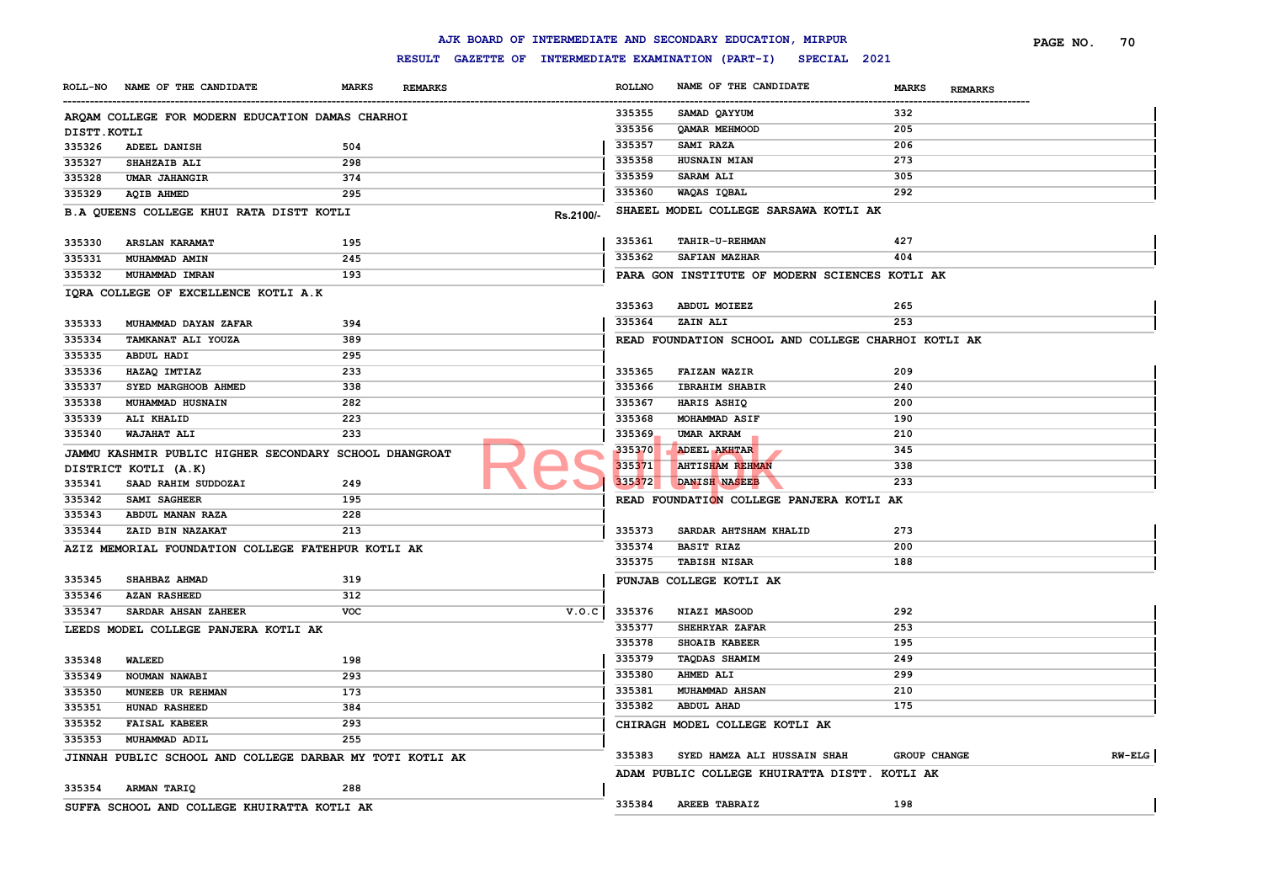|                |                                                          |              |                |                                                     |               | AJK BOARD OF INTERMEDIATE AND SECONDARY EDUCATION, MIRPUR |                                | PAGE NO.<br>70 |
|----------------|----------------------------------------------------------|--------------|----------------|-----------------------------------------------------|---------------|-----------------------------------------------------------|--------------------------------|----------------|
|                |                                                          |              |                | RESULT GAZETTE OF INTERMEDIATE EXAMINATION (PART-I) |               | SPECIAL 2021                                              |                                |                |
| <b>ROLL-NO</b> | NAME OF THE CANDIDATE                                    | <b>MARKS</b> | <b>REMARKS</b> |                                                     | <b>ROLLNO</b> | NAME OF THE CANDIDATE                                     | <b>MARKS</b><br><b>REMARKS</b> |                |
|                | ARQAM COLLEGE FOR MODERN EDUCATION DAMAS CHARHOI         |              |                |                                                     | 335355        | SAMAD QAYYUM                                              | 332                            |                |
| DISTT.KOTLI    |                                                          |              |                |                                                     | 335356        | QAMAR MEHMOOD                                             | 205                            |                |
| 335326         | ADEEL DANISH                                             | 504          |                |                                                     | 335357        | SAMI RAZA                                                 | 206                            |                |
| 335327         | <b>SHAHZAIB ALI</b>                                      | 298          |                |                                                     | 335358        | <b>HUSNAIN MIAN</b>                                       | 273                            |                |
| 335328         | <b>UMAR JAHANGIR</b>                                     | 374          |                |                                                     | 335359        | <b>SARAM ALI</b>                                          | 305                            |                |
| 335329         | <b>AQIB AHMED</b>                                        | 295          |                |                                                     | 335360        | WAQAS IQBAL                                               | 292                            |                |
|                | B.A QUEENS COLLEGE KHUI RATA DISTT KOTLI                 |              |                | Rs.2100/-                                           |               | SHAEEL MODEL COLLEGE SARSAWA KOTLI AK                     |                                |                |
| 335330         | <b>ARSLAN KARAMAT</b>                                    | 195          |                |                                                     | 335361        | TAHIR-U-REHMAN                                            | 427                            |                |
| 335331         | MUHAMMAD AMIN                                            | 245          |                |                                                     | 335362        | SAFIAN MAZHAR                                             | 404                            |                |
| 335332         | MUHAMMAD IMRAN                                           | 193          |                |                                                     |               | PARA GON INSTITUTE OF MODERN SCIENCES KOTLI AK            |                                |                |
|                | IQRA COLLEGE OF EXCELLENCE KOTLI A.K                     |              |                |                                                     |               |                                                           |                                |                |
|                |                                                          |              |                |                                                     | 335363        | ABDUL MOIEEZ                                              | 265                            |                |
| 335333         | MUHAMMAD DAYAN ZAFAR                                     | 394          |                |                                                     | 335364        | ZAIN ALI                                                  | 253                            |                |
| 335334         | TAMKANAT ALI YOUZA                                       | 389          |                |                                                     |               | READ FOUNDATION SCHOOL AND COLLEGE CHARHOI KOTLI AK       |                                |                |
| 335335         | <b>ABDUL HADI</b>                                        | 295          |                |                                                     |               |                                                           |                                |                |
| 335336         | HAZAQ IMTIAZ                                             | 233          |                |                                                     | 335365        | <b>FAIZAN WAZIR</b>                                       | 209                            |                |
| 335337         | SYED MARGHOOB AHMED                                      | 338          |                |                                                     | 335366        | <b>IBRAHIM SHABIR</b>                                     | 240                            |                |
| 335338         | MUHAMMAD HUSNAIN                                         | 282          |                |                                                     | 335367        | HARIS ASHIQ                                               | 200                            |                |
| 335339         | ALI KHALID                                               | 223          |                |                                                     | 335368        | MOHAMMAD ASIF                                             | 190                            |                |
| 335340         | WAJAHAT ALI                                              | 233          |                |                                                     | 335369        | UMAR AKRAM                                                | 210                            |                |
|                | JAMMU KASHMIR PUBLIC HIGHER SECONDARY SCHOOL DHANGROAT   |              |                |                                                     | 335370        | ADEEL AKHTAR                                              | 345                            |                |
|                | DISTRICT KOTLI (A.K)                                     |              |                |                                                     | 335371        | <b>AHTISHAM REHMAN</b>                                    | 338                            |                |
| 335341         | SAAD RAHIM SUDDOZAI                                      | 249          |                |                                                     | 335372        | DANISH NASEEB                                             | 233                            |                |
| 335342         | SAMI SAGHEER                                             | 195          |                |                                                     |               | READ FOUNDATION COLLEGE PANJERA KOTLI AK                  |                                |                |
| 335343         | ABDUL MANAN RAZA                                         | 228          |                |                                                     |               |                                                           |                                |                |
| 335344         | ZAID BIN NAZAKAT                                         | 213          |                |                                                     | 335373        | SARDAR AHTSHAM KHALID                                     | 273                            |                |
|                | AZIZ MEMORIAL FOUNDATION COLLEGE FATEHPUR KOTLI AK       |              |                |                                                     | 335374        | <b>BASIT RIAZ</b>                                         | 200                            |                |
|                |                                                          |              |                |                                                     | 335375        | <b>TABISH NISAR</b>                                       | 188                            |                |
| 335345         | SHAHBAZ AHMAD                                            | 319          |                |                                                     |               | PUNJAB COLLEGE KOTLI AK                                   |                                |                |
| 335346         | <b>AZAN RASHEED</b>                                      | 312          |                |                                                     |               |                                                           |                                |                |
| 335347         | SARDAR AHSAN ZAHEER                                      | <b>VOC</b>   |                | V.O.C                                               | 335376        | NIAZI MASOOD                                              | 292                            |                |
|                | LEEDS MODEL COLLEGE PANJERA KOTLI AK                     |              |                |                                                     | 335377        | SHEHRYAR ZAFAR                                            | 253                            |                |
|                |                                                          |              |                |                                                     | 335378        | SHOAIB KABEER                                             | 195                            |                |
| 335348         | <b>WALEED</b>                                            | 198          |                |                                                     | 335379        | <b>TAQDAS SHAMIM</b>                                      | 249                            |                |
| 335349         | NOUMAN NAWABI                                            | 293          |                |                                                     | 335380        | <b>AHMED ALI</b>                                          | 299                            |                |
| 335350         | MUNEEB UR REHMAN                                         | 173          |                |                                                     | 335381        | <b>MUHAMMAD AHSAN</b>                                     | 210                            |                |
| 335351         | HUNAD RASHEED                                            | 384          |                |                                                     | 335382        | <b>ABDUL AHAD</b>                                         | 175                            |                |
| 335352         | <b>FAISAL KABEER</b>                                     | 293          |                |                                                     |               | CHIRAGH MODEL COLLEGE KOTLI AK                            |                                |                |
| 335353         | MUHAMMAD ADIL                                            | 255          |                |                                                     |               |                                                           |                                |                |
|                | JINNAH PUBLIC SCHOOL AND COLLEGE DARBAR MY TOTI KOTLI AK |              |                |                                                     | 335383        | SYED HAMZA ALI HUSSAIN SHAH                               | <b>GROUP CHANGE</b>            | $RW-ELG$       |
|                |                                                          |              |                |                                                     |               | ADAM PUBLIC COLLEGE KHUIRATTA DISTT. KOTLI AK             |                                |                |
| 335354         | <b>ARMAN TARIQ</b>                                       | 288          |                |                                                     |               |                                                           |                                |                |
|                | SUFFA SCHOOL AND COLLEGE KHUIRATTA KOTLI AK              |              |                |                                                     | 335384        | <b>AREEB TABRAIZ</b>                                      | 198                            |                |
|                |                                                          |              |                |                                                     |               |                                                           |                                |                |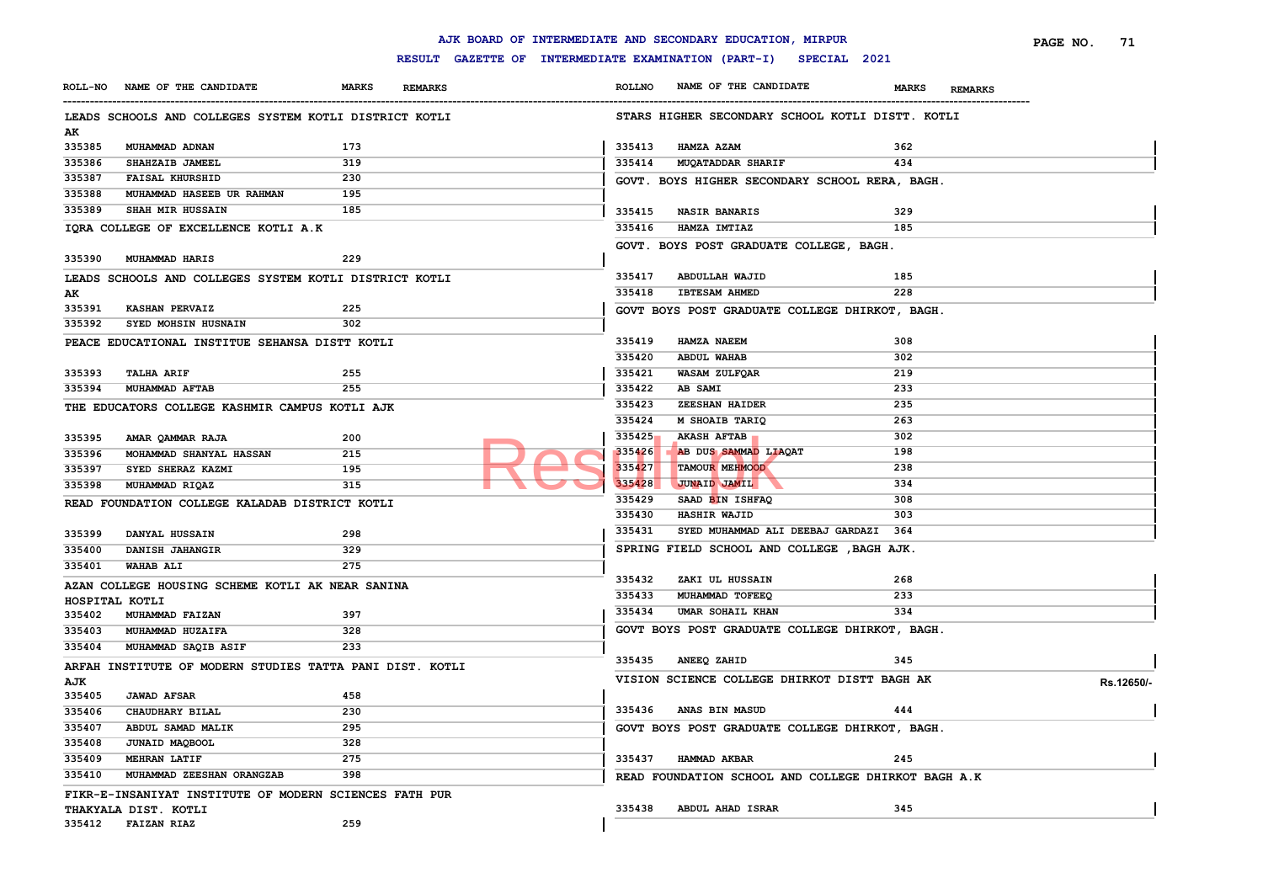|                |                                                          |                                |               | AJK BOARD OF INTERMEDIATE AND SECONDARY EDUCATION, MIRPUR        |                                | PAGE NO.<br>-71 |
|----------------|----------------------------------------------------------|--------------------------------|---------------|------------------------------------------------------------------|--------------------------------|-----------------|
|                |                                                          |                                |               | RESULT GAZETTE OF INTERMEDIATE EXAMINATION (PART-I) SPECIAL 2021 |                                |                 |
|                | ROLL-NO NAME OF THE CANDIDATE                            | <b>MARKS</b><br><b>REMARKS</b> | <b>ROLLNO</b> | NAME OF THE CANDIDATE                                            | <b>MARKS</b><br><b>REMARKS</b> |                 |
|                | LEADS SCHOOLS AND COLLEGES SYSTEM KOTLI DISTRICT KOTLI   |                                |               | STARS HIGHER SECONDARY SCHOOL KOTLI DISTT. KOTLI                 |                                |                 |
| AK             |                                                          |                                |               |                                                                  |                                |                 |
| 335385         | MUHAMMAD ADNAN                                           | 173                            | 335413        | HAMZA AZAM                                                       | 362                            |                 |
| 335386         | SHAHZAIB JAMEEL                                          | 319                            | 335414        | <b>MUQATADDAR SHARIF</b>                                         | 434                            |                 |
| 335387         | <b>FAISAL KHURSHID</b>                                   | 230                            |               | GOVT. BOYS HIGHER SECONDARY SCHOOL RERA, BAGH.                   |                                |                 |
| 335388         | MUHAMMAD HASEEB UR RAHMAN                                | 195                            |               |                                                                  |                                |                 |
| 335389         | SHAH MIR HUSSAIN                                         | 185                            | 335415        | <b>NASIR BANARIS</b>                                             | 329                            |                 |
|                | IQRA COLLEGE OF EXCELLENCE KOTLI A.K                     |                                | 335416        | HAMZA IMTIAZ                                                     | 185                            |                 |
|                |                                                          |                                |               | GOVT. BOYS POST GRADUATE COLLEGE, BAGH.                          |                                |                 |
| 335390         | <b>MUHAMMAD HARIS</b>                                    | 229                            |               |                                                                  |                                |                 |
|                |                                                          |                                | 335417        | <b>ABDULLAH WAJID</b>                                            | 185                            |                 |
|                | LEADS SCHOOLS AND COLLEGES SYSTEM KOTLI DISTRICT KOTLI   |                                | 335418        | <b>IBTESAM AHMED</b>                                             | 228                            |                 |
| AК<br>335391   | <b>KASHAN PERVAIZ</b>                                    | 225                            |               |                                                                  |                                |                 |
| 335392         | SYED MOHSIN HUSNAIN                                      | 302                            |               | GOVT BOYS POST GRADUATE COLLEGE DHIRKOT, BAGH.                   |                                |                 |
|                |                                                          |                                |               |                                                                  |                                |                 |
|                | PEACE EDUCATIONAL INSTITUE SEHANSA DISTT KOTLI           |                                | 335419        | HAMZA NAEEM                                                      | 308                            |                 |
|                |                                                          |                                | 335420        | ABDUL WAHAB                                                      | 302                            |                 |
| 335393         | <b>TALHA ARIF</b>                                        | 255                            | 335421        | WASAM ZULFQAR                                                    | 219                            |                 |
| 335394         | MUHAMMAD AFTAB                                           | 255                            | 335422        | AB SAMI                                                          | 233                            |                 |
|                | THE EDUCATORS COLLEGE KASHMIR CAMPUS KOTLI AJK           |                                | 335423        | ZEESHAN HAIDER                                                   | 235                            |                 |
|                |                                                          |                                | 335424        | M SHOAIB TARIQ                                                   | 263                            |                 |
| 335395         | AMAR QAMMAR RAJA                                         | 200                            | 335425        | <b>AKASH AFTAB</b>                                               | 302                            |                 |
| 335396         | MOHAMMAD SHANYAL HASSAN                                  | 215                            | 335426        | AB DUS SAMMAD LIAQAT                                             | 198                            |                 |
| 335397         | SYED SHERAZ KAZMI                                        | 195                            | 335427        | TAMOUR MEHMOOD                                                   | 238                            |                 |
| 335398         | MUHAMMAD RIQAZ                                           | 315                            | 335428        | <b>JUNAID JAMIL</b>                                              | 334                            |                 |
|                | READ FOUNDATION COLLEGE KALADAB DISTRICT KOTLI           |                                | 335429        | SAAD BIN ISHFAQ                                                  | 308                            |                 |
|                |                                                          |                                | 335430        | <b>HASHIR WAJID</b>                                              | 303                            |                 |
| 335399         | DANYAL HUSSAIN                                           | 298                            | 335431        | SYED MUHAMMAD ALI DEEBAJ GARDAZI                                 | 364                            |                 |
| 335400         | DANISH JAHANGIR                                          | 329                            |               | SPRING FIELD SCHOOL AND COLLEGE, BAGH AJK.                       |                                |                 |
| 335401         | <b>WAHAB ALI</b>                                         | 275                            |               |                                                                  |                                |                 |
|                | AZAN COLLEGE HOUSING SCHEME KOTLI AK NEAR SANINA         |                                | 335432        | ZAKI UL HUSSAIN                                                  | 268                            |                 |
| HOSPITAL KOTLI |                                                          |                                | 335433        | MUHAMMAD TOFEEQ                                                  | 233                            |                 |
| 335402         | MUHAMMAD FAIZAN                                          | 397                            | 335434        | UMAR SOHAIL KHAN                                                 | 334                            |                 |
| 335403         | MUHAMMAD HUZAIFA                                         | 328                            |               | GOVT BOYS POST GRADUATE COLLEGE DHIRKOT, BAGH.                   |                                |                 |
| 335404         | MUHAMMAD SAQIB ASIF                                      | 233                            |               |                                                                  |                                |                 |
|                | ARFAH INSTITUTE OF MODERN STUDIES TATTA PANI DIST. KOTLI |                                | 335435        | ANEEQ ZAHID                                                      | 345                            |                 |
| AJK            |                                                          |                                |               | VISION SCIENCE COLLEGE DHIRKOT DISTT BAGH AK                     |                                | Rs.12650/-      |
| 335405         | <b>JAWAD AFSAR</b>                                       | 458                            |               |                                                                  |                                |                 |
| 335406         | CHAUDHARY BILAL                                          | 230                            |               | 335436 ANAS BIN MASUD                                            | 444                            |                 |
| 335407         | ABDUL SAMAD MALIK                                        | 295                            |               | GOVT BOYS POST GRADUATE COLLEGE DHIRKOT, BAGH.                   |                                |                 |
| 335408         | JUNAID MAQBOOL                                           | 328                            |               |                                                                  |                                |                 |
| 335409         | <b>MEHRAN LATIF</b>                                      | 275                            |               | 335437 HAMMAD AKBAR                                              | 245                            |                 |
| 335410         | MUHAMMAD ZEESHAN ORANGZAB                                | 398                            |               |                                                                  |                                |                 |
|                |                                                          |                                |               | READ FOUNDATION SCHOOL AND COLLEGE DHIRKOT BAGH A.K              |                                |                 |
|                | FIKR-E-INSANIYAT INSTITUTE OF MODERN SCIENCES FATH PUR   |                                |               | 335438 ABDUL AHAD ISRAR                                          | 345                            |                 |
|                | THAKYALA DIST. KOTLI<br>335412 FAIZAN RIAZ               | 259                            |               |                                                                  |                                |                 |
|                |                                                          |                                |               |                                                                  |                                |                 |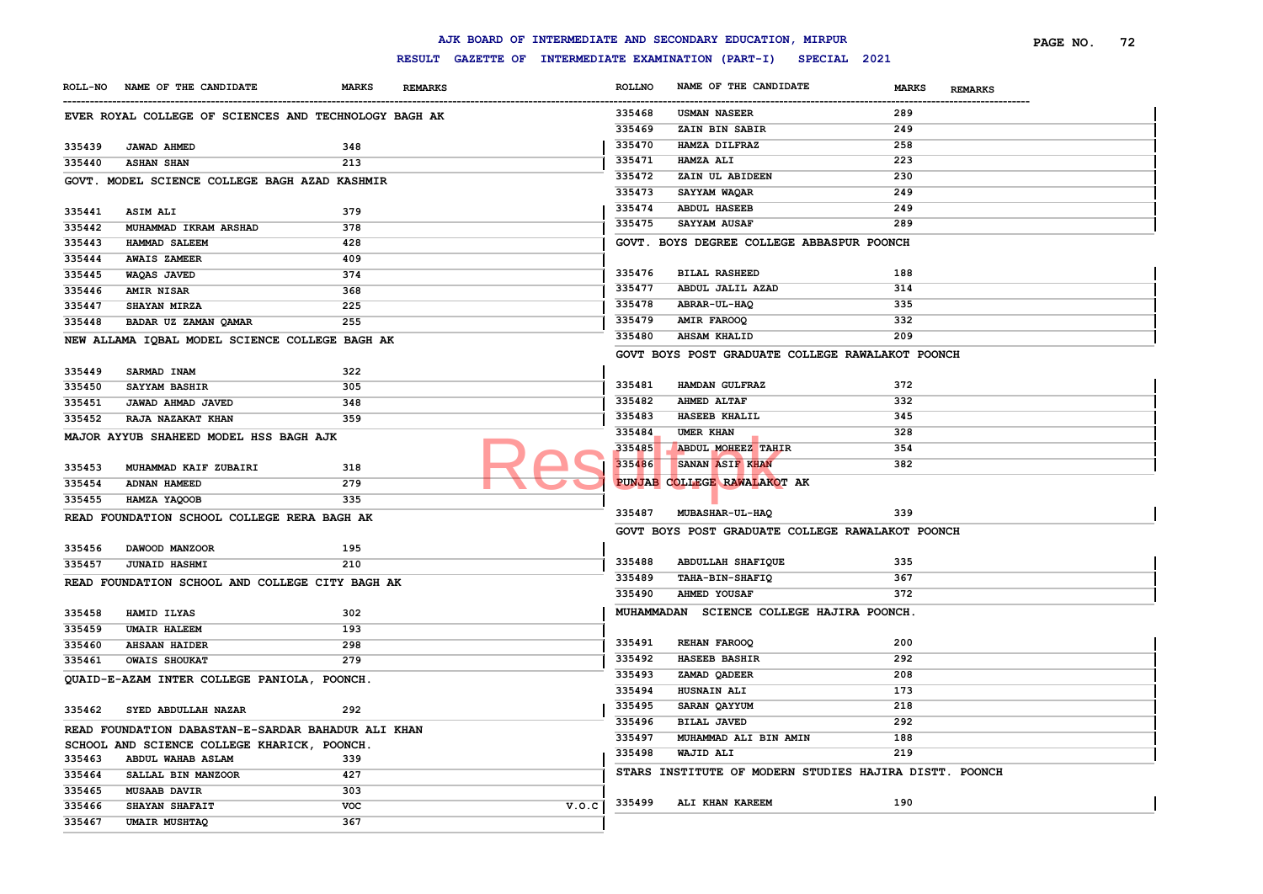|        |                                                       |              |                                                                  |               | AJK BOARD OF INTERMEDIATE AND SECONDARY EDUCATION, MIRPUR |                                | PAGE NO.<br>72 |
|--------|-------------------------------------------------------|--------------|------------------------------------------------------------------|---------------|-----------------------------------------------------------|--------------------------------|----------------|
|        |                                                       |              | RESULT GAZETTE OF INTERMEDIATE EXAMINATION (PART-I) SPECIAL 2021 |               |                                                           |                                |                |
|        | ROLL-NO NAME OF THE CANDIDATE                         | <b>MARKS</b> | <b>REMARKS</b>                                                   | <b>ROLLNO</b> | NAME OF THE CANDIDATE                                     | <b>MARKS</b><br><b>REMARKS</b> |                |
|        | EVER ROYAL COLLEGE OF SCIENCES AND TECHNOLOGY BAGH AK |              |                                                                  | 335468        | <b>USMAN NASEER</b>                                       | 289                            |                |
|        |                                                       |              |                                                                  | 335469        | ZAIN BIN SABIR                                            | 249                            |                |
| 335439 | <b>JAWAD AHMED</b>                                    | 348          |                                                                  | 335470        | HAMZA DILFRAZ                                             | 258                            |                |
| 335440 | <b>ASHAN SHAN</b>                                     | 213          |                                                                  | 335471        | <b>HAMZA ALI</b>                                          | 223                            |                |
|        | GOVT. MODEL SCIENCE COLLEGE BAGH AZAD KASHMIR         |              |                                                                  | 335472        | ZAIN UL ABIDEEN                                           | 230                            |                |
|        |                                                       |              |                                                                  | 335473        | SAYYAM WAQAR                                              | 249                            |                |
| 335441 | <b>ASIM ALI</b>                                       | 379          |                                                                  | 335474        | <b>ABDUL HASEEB</b>                                       | 249                            |                |
| 335442 | MUHAMMAD IKRAM ARSHAD                                 | 378          |                                                                  | 335475        | <b>SAYYAM AUSAF</b>                                       | 289                            |                |
| 335443 | <b>HAMMAD SALEEM</b>                                  | 428          |                                                                  |               | GOVT. BOYS DEGREE COLLEGE ABBASPUR POONCH                 |                                |                |
| 335444 | <b>AWAIS ZAMEER</b>                                   | 409          |                                                                  |               |                                                           |                                |                |
| 335445 | WAQAS JAVED                                           | 374          |                                                                  | 335476        | <b>BILAL RASHEED</b>                                      | 188                            |                |
| 335446 | <b>AMIR NISAR</b>                                     | 368          |                                                                  | 335477        | ABDUL JALIL AZAD                                          | 314                            |                |
| 335447 | <b>SHAYAN MIRZA</b>                                   | 225          |                                                                  | 335478        | <b>ABRAR-UL-HAQ</b>                                       | 335                            |                |
| 335448 | BADAR UZ ZAMAN QAMAR                                  | 255          |                                                                  | 335479        | <b>AMIR FAROOQ</b>                                        | 332                            |                |
|        | NEW ALLAMA IQBAL MODEL SCIENCE COLLEGE BAGH AK        |              |                                                                  | 335480        | <b>AHSAM KHALID</b>                                       | 209                            |                |
|        |                                                       |              |                                                                  |               | GOVT BOYS POST GRADUATE COLLEGE RAWALAKOT POONCH          |                                |                |
| 335449 | SARMAD INAM                                           | 322          |                                                                  |               |                                                           |                                |                |
| 335450 | <b>SAYYAM BASHIR</b>                                  | 305          |                                                                  | 335481        | HAMDAN GULFRAZ                                            | 372                            |                |
| 335451 | JAWAD AHMAD JAVED                                     | 348          |                                                                  | 335482        | <b>AHMED ALTAF</b>                                        | 332                            |                |
| 335452 | RAJA NAZAKAT KHAN                                     | 359          |                                                                  | 335483        | HASEEB KHALIL                                             | 345                            |                |
|        | MAJOR AYYUB SHAHEED MODEL HSS BAGH AJK                |              |                                                                  | 335484        | UMER KHAN                                                 | 328                            |                |
|        |                                                       |              |                                                                  | 335485        | ABDUL MOHEEZ TAHIR                                        | 354                            |                |
| 335453 | MUHAMMAD KAIF ZUBAIRI                                 | 318          |                                                                  | 335486        | SANAN ASIF KHAN                                           | 382                            |                |
| 335454 | ADNAN HAMEED                                          | 279          |                                                                  |               | PUNJAB COLLEGE RAWALAKOT AK                               |                                |                |
| 335455 | HAMZA YAQOOB                                          | 335          |                                                                  |               |                                                           |                                |                |
|        | READ FOUNDATION SCHOOL COLLEGE RERA BAGH AK           |              |                                                                  | 335487        | <b>MUBASHAR-UL-HAQ</b>                                    | 339                            |                |
|        |                                                       |              |                                                                  |               | GOVT BOYS POST GRADUATE COLLEGE RAWALAKOT POONCH          |                                |                |
| 335456 | DAWOOD MANZOOR                                        | 195          |                                                                  |               |                                                           |                                |                |
| 335457 | <b>JUNAID HASHMI</b>                                  | 210          |                                                                  | 335488        | ABDULLAH SHAFIQUE                                         | 335                            |                |
|        |                                                       |              |                                                                  | 335489        | <b>TAHA-BIN-SHAFIQ</b>                                    | 367                            |                |
|        | READ FOUNDATION SCHOOL AND COLLEGE CITY BAGH AK       |              |                                                                  | 335490        | <b>AHMED YOUSAF</b>                                       | 372                            |                |
| 335458 | HAMID ILYAS                                           | 302          |                                                                  |               | MUHAMMADAN SCIENCE COLLEGE HAJIRA POONCH.                 |                                |                |
| 335459 | <b>UMAIR HALEEM</b>                                   | 193          |                                                                  |               |                                                           |                                |                |
| 335460 | <b>AHSAAN HAIDER</b>                                  | 298          |                                                                  | 335491        | <b>REHAN FAROOQ</b>                                       | 200                            |                |
| 335461 | <b>OWAIS SHOUKAT</b>                                  | 279          |                                                                  | 335492        | <b>HASEEB BASHIR</b>                                      | 292                            |                |
|        |                                                       |              |                                                                  | 335493        | ZAMAD QADEER                                              | 208                            |                |
|        | QUAID-E-AZAM INTER COLLEGE PANIOLA, POONCH.           |              |                                                                  | 335494        | HUSNAIN ALI                                               | 173                            |                |
|        | 335462 SYED ABDULLAH NAZAR                            | 292          |                                                                  | 335495        | SARAN QAYYUM                                              | 218                            |                |
|        |                                                       |              |                                                                  | 335496        | <b>BILAL JAVED</b>                                        | 292                            |                |
|        | READ FOUNDATION DABASTAN-E-SARDAR BAHADUR ALI KHAN    |              |                                                                  | 335497        | MUHAMMAD ALI BIN AMIN                                     | 188                            |                |
|        | SCHOOL AND SCIENCE COLLEGE KHARICK, POONCH.           |              |                                                                  | 335498        | WAJID ALI                                                 | 219                            |                |
| 335463 | <b>ABDUL WAHAB ASLAM</b>                              | 339          |                                                                  |               | STARS INSTITUTE OF MODERN STUDIES HAJIRA DISTT. POONCH    |                                |                |
| 335464 | SALLAL BIN MANZOOR                                    | 427          |                                                                  |               |                                                           |                                |                |
| 335465 | <b>MUSAAB DAVIR</b>                                   | 303          |                                                                  | 335499        | ALI KHAN KAREEM                                           | 190                            |                |
| 335466 | SHAYAN SHAFAIT                                        | <b>VOC</b>   | V.0.C                                                            |               |                                                           |                                |                |
| 335467 | <b>UMAIR MUSHTAQ</b>                                  | 367          |                                                                  |               |                                                           |                                |                |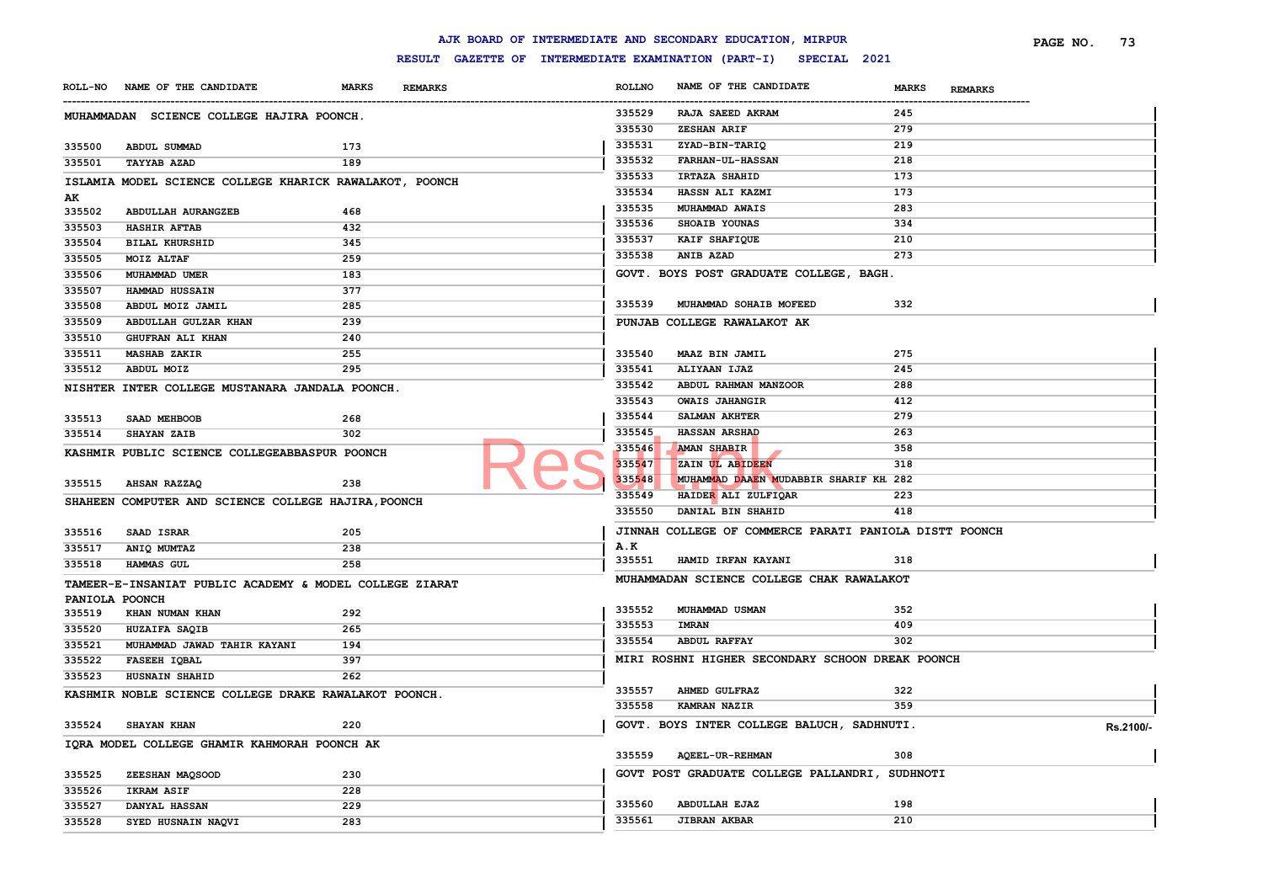|                                             |                                                         |                                |                                                     |               | AJK BOARD OF INTERMEDIATE AND SECONDARY EDUCATION, MIRPUR |                                | PAGE NO. | 73        |
|---------------------------------------------|---------------------------------------------------------|--------------------------------|-----------------------------------------------------|---------------|-----------------------------------------------------------|--------------------------------|----------|-----------|
|                                             |                                                         |                                | RESULT GAZETTE OF INTERMEDIATE EXAMINATION (PART-I) |               | SPECIAL 2021                                              |                                |          |           |
| ROLL-NO NAME OF THE CANDIDATE               |                                                         | <b>MARKS</b><br><b>REMARKS</b> |                                                     | <b>ROLLNO</b> | NAME OF THE CANDIDATE                                     | <b>MARKS</b><br><b>REMARKS</b> |          |           |
|                                             | MUHAMMADAN SCIENCE COLLEGE HAJIRA POONCH.               |                                |                                                     | 335529        | RAJA SAEED AKRAM                                          | 245                            |          |           |
|                                             |                                                         |                                |                                                     | 335530        | ZESHAN ARIF                                               | 279                            |          |           |
| 335500<br>ABDUL SUMMAD                      |                                                         | 173                            |                                                     | 335531        | ZYAD-BIN-TARIQ                                            | 219                            |          |           |
| 335501<br><b>TAYYAB AZAD</b>                |                                                         | 189                            |                                                     | 335532        | <b>FARHAN-UL-HASSAN</b>                                   | 218                            |          |           |
|                                             | ISLAMIA MODEL SCIENCE COLLEGE KHARICK RAWALAKOT, POONCH |                                |                                                     | 335533        | IRTAZA SHAHID                                             | 173                            |          |           |
| AK                                          |                                                         |                                |                                                     | 335534        | HASSN ALI KAZMI                                           | 173                            |          |           |
| 335502                                      | ABDULLAH AURANGZEB                                      | 468                            |                                                     | 335535        | MUHAMMAD AWAIS                                            | 283                            |          |           |
| 335503<br><b>HASHIR AFTAB</b>               |                                                         | 432                            |                                                     | 335536        | SHOAIB YOUNAS                                             | 334                            |          |           |
| 335504<br><b>BILAL KHURSHID</b>             |                                                         | 345                            |                                                     | 335537        | KAIF SHAFIQUE                                             | 210                            |          |           |
| 335505<br>MOIZ ALTAF                        |                                                         | 259                            |                                                     | 335538        | <b>ANIB AZAD</b>                                          | 273                            |          |           |
| 335506<br>MUHAMMAD UMER                     |                                                         | 183                            |                                                     |               | GOVT. BOYS POST GRADUATE COLLEGE, BAGH.                   |                                |          |           |
| 335507<br>HAMMAD HUSSAIN                    |                                                         | 377                            |                                                     |               |                                                           |                                |          |           |
| 335508<br>ABDUL MOIZ JAMIL                  |                                                         | 285                            |                                                     | 335539        | MUHAMMAD SOHAIB MOFEED                                    | 332                            |          |           |
| 335509                                      | ABDULLAH GULZAR KHAN                                    | 239                            |                                                     |               | PUNJAB COLLEGE RAWALAKOT AK                               |                                |          |           |
| 335510<br>GHUFRAN ALI KHAN                  |                                                         | 240                            |                                                     |               |                                                           |                                |          |           |
| 335511<br><b>MASHAB ZAKIR</b>               |                                                         | 255                            |                                                     | 335540        | MAAZ BIN JAMIL                                            | 275                            |          |           |
| 335512<br>ABDUL MOIZ                        |                                                         | 295                            |                                                     | 335541        | ALIYAAN IJAZ                                              | 245                            |          |           |
|                                             | NISHTER INTER COLLEGE MUSTANARA JANDALA POONCH.         |                                |                                                     | 335542        | ABDUL RAHMAN MANZOOR                                      | 288                            |          |           |
|                                             |                                                         |                                |                                                     | 335543        | <b>OWAIS JAHANGIR</b>                                     | 412                            |          |           |
| 335513<br>SAAD MEHBOOB                      |                                                         | 268                            |                                                     | 335544        | SALMAN AKHTER                                             | 279                            |          |           |
| <b>SHAYAN ZAIB</b><br>335514                |                                                         | 302                            |                                                     | 335545        | <b>HASSAN ARSHAD</b>                                      | 263                            |          |           |
|                                             | KASHMIR PUBLIC SCIENCE COLLEGEABBASPUR POONCH           |                                |                                                     | 335546        | AMAN SHABIR                                               | 358                            |          |           |
|                                             |                                                         |                                |                                                     | 335547        | ZAIN UL ABIDEEN                                           | 318                            |          |           |
| 335515<br><b>AHSAN RAZZAQ</b>               |                                                         | 238                            |                                                     | 335548        | MUHAMMAD DAAEN MUDABBIR SHARIF KH 282                     |                                |          |           |
|                                             |                                                         |                                |                                                     | 335549        | HAIDER ALI ZULFIQAR                                       | 223                            |          |           |
|                                             | SHAHEEN COMPUTER AND SCIENCE COLLEGE HAJIRA, POONCH     |                                |                                                     | 335550        | DANIAL BIN SHAHID                                         | 418                            |          |           |
| 335516<br><b>SAAD ISRAR</b>                 |                                                         | 205                            |                                                     |               | JINNAH COLLEGE OF COMMERCE PARATI PANIOLA DISTT POONCH    |                                |          |           |
| 335517<br>ANIQ MUMTAZ                       |                                                         | 238                            |                                                     | A.K           |                                                           |                                |          |           |
| HAMMAS GUL<br>335518                        |                                                         | 258                            |                                                     | 335551        | HAMID IRFAN KAYANI                                        | 318                            |          |           |
|                                             |                                                         |                                |                                                     |               | MUHAMMADAN SCIENCE COLLEGE CHAK RAWALAKOT                 |                                |          |           |
|                                             | TAMEER-E-INSANIAT PUBLIC ACADEMY & MODEL COLLEGE ZIARAT |                                |                                                     |               |                                                           |                                |          |           |
| PANIOLA POONCH<br>335519<br>KHAN NUMAN KHAN |                                                         | 292                            |                                                     | 335552        | MUHAMMAD USMAN                                            | 352                            |          |           |
| 335520<br>HUZAIFA SAQIB                     |                                                         | 265                            |                                                     | 335553        | <b>IMRAN</b>                                              | 409                            |          |           |
| 335521                                      | MUHAMMAD JAWAD TAHIR KAYANI                             | 194                            |                                                     | 335554        | <b>ABDUL RAFFAY</b>                                       | 302                            |          |           |
| 335522<br>FASEEH IQBAL                      |                                                         | 397                            |                                                     |               | MIRI ROSHNI HIGHER SECONDARY SCHOON DREAK POONCH          |                                |          |           |
| 335523<br><b>HUSNAIN SHAHID</b>             |                                                         | 262                            |                                                     |               |                                                           |                                |          |           |
|                                             |                                                         |                                |                                                     | 335557        | <b>AHMED GULFRAZ</b>                                      | 322                            |          |           |
|                                             | KASHMIR NOBLE SCIENCE COLLEGE DRAKE RAWALAKOT POONCH.   |                                |                                                     | 335558        | <b>KAMRAN NAZIR</b>                                       | 359                            |          |           |
| 335524<br><b>SHAYAN KHAN</b>                |                                                         | 220                            |                                                     |               | GOVT. BOYS INTER COLLEGE BALUCH, SADHNUTI.                |                                |          |           |
|                                             |                                                         |                                |                                                     |               |                                                           |                                |          | Rs.2100/- |
|                                             | IQRA MODEL COLLEGE GHAMIR KAHMORAH POONCH AK            |                                |                                                     | 335559        | <b>AQEEL-UR-REHMAN</b>                                    | 308                            |          |           |
| 335525<br>ZEESHAN MAQSOOD                   |                                                         | 230                            |                                                     |               | GOVT POST GRADUATE COLLEGE PALLANDRI, SUDHNOTI            |                                |          |           |
| 335526<br>IKRAM ASIF                        |                                                         | 228                            |                                                     |               |                                                           |                                |          |           |
| 335527<br>DANYAL HASSAN                     |                                                         | 229                            |                                                     | 335560        | <b>ABDULLAH EJAZ</b>                                      | 198                            |          |           |
| 335528                                      | SYED HUSNAIN NAQVI                                      | 283                            |                                                     | 335561        | <b>JIBRAN AKBAR</b>                                       | 210                            |          |           |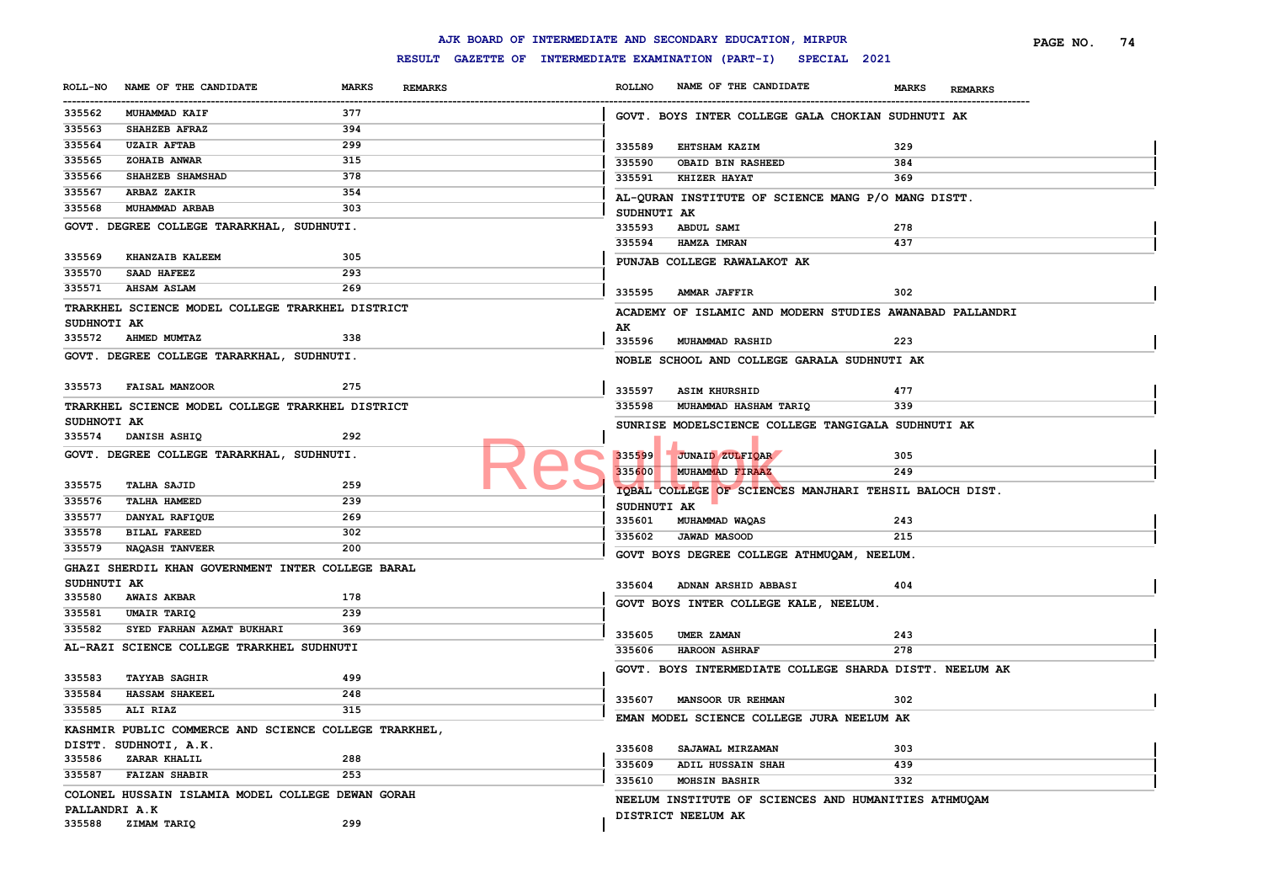|                         |                                                                                |              |                |               | AJK BOARD OF INTERMEDIATE AND SECONDARY EDUCATION, MIRPUR        |              |                | PAGE NO. | 74 |
|-------------------------|--------------------------------------------------------------------------------|--------------|----------------|---------------|------------------------------------------------------------------|--------------|----------------|----------|----|
|                         |                                                                                |              |                |               | RESULT GAZETTE OF INTERMEDIATE EXAMINATION (PART-I) SPECIAL 2021 |              |                |          |    |
| <b>ROLL-NO</b>          | NAME OF THE CANDIDATE                                                          | <b>MARKS</b> | <b>REMARKS</b> | <b>ROLLNO</b> | NAME OF THE CANDIDATE                                            | <b>MARKS</b> | <b>REMARKS</b> |          |    |
| ----------<br>335562    | MUHAMMAD KAIF                                                                  | 377          |                |               | GOVT. BOYS INTER COLLEGE GALA CHOKIAN SUDHNUTI AK                |              |                |          |    |
| 335563                  | SHAHZEB AFRAZ                                                                  | 394          |                |               |                                                                  |              |                |          |    |
| 335564                  | <b>UZAIR AFTAB</b>                                                             | 299          |                | 335589        | <b>EHTSHAM KAZIM</b>                                             | 329          |                |          |    |
| 335565                  | <b>ZOHAIB ANWAR</b>                                                            | 315          |                | 335590        | OBAID BIN RASHEED                                                | 384          |                |          |    |
| 335566                  | SHAHZEB SHAMSHAD                                                               | 378          |                | 335591        | <b>KHIZER HAYAT</b>                                              | 369          |                |          |    |
| 335567                  | ARBAZ ZAKIR                                                                    | 354          |                |               | AL-QURAN INSTITUTE OF SCIENCE MANG P/O MANG DISTT.               |              |                |          |    |
| 335568                  | MUHAMMAD ARBAB                                                                 | 303          |                | SUDHNUTI AK   |                                                                  |              |                |          |    |
|                         | GOVT. DEGREE COLLEGE TARARKHAL, SUDHNUTI.                                      |              |                | 335593        | <b>ABDUL SAMI</b>                                                | 278          |                |          |    |
|                         |                                                                                |              |                | 335594        | HAMZA IMRAN                                                      | 437          |                |          |    |
| 335569                  | <b>KHANZAIB KALEEM</b>                                                         | 305          |                |               | PUNJAB COLLEGE RAWALAKOT AK                                      |              |                |          |    |
| 335570                  | SAAD HAFEEZ                                                                    | 293          |                |               |                                                                  |              |                |          |    |
| 335571                  | <b>AHSAM ASLAM</b>                                                             | 269          |                | 335595        | AMMAR JAFFIR                                                     | 302          |                |          |    |
|                         | TRARKHEL SCIENCE MODEL COLLEGE TRARKHEL DISTRICT                               |              |                |               | ACADEMY OF ISLAMIC AND MODERN STUDIES AWANABAD PALLANDRI         |              |                |          |    |
| SUDHNOTI AK             |                                                                                |              |                | AK            |                                                                  |              |                |          |    |
| 335572                  | <b>AHMED MUMTAZ</b>                                                            | 338          |                | 335596        | <b>MUHAMMAD RASHID</b>                                           | 223          |                |          |    |
|                         | GOVT. DEGREE COLLEGE TARARKHAL, SUDHNUTI.                                      |              |                |               | NOBLE SCHOOL AND COLLEGE GARALA SUDHNUTI AK                      |              |                |          |    |
|                         |                                                                                |              |                |               |                                                                  |              |                |          |    |
|                         | 335573 FAISAL MANZOOR                                                          | 275          |                | 335597        | <b>ASIM KHURSHID</b>                                             | 477          |                |          |    |
|                         | TRARKHEL SCIENCE MODEL COLLEGE TRARKHEL DISTRICT                               |              |                | 335598        | MUHAMMAD HASHAM TARIQ                                            | 339          |                |          |    |
| SUDHNOTI AK             |                                                                                |              |                |               | SUNRISE MODELSCIENCE COLLEGE TANGIGALA SUDHNUTI AK               |              |                |          |    |
|                         | 335574 DANISH ASHIQ                                                            | 292          |                |               |                                                                  |              |                |          |    |
|                         | GOVT. DEGREE COLLEGE TARARKHAL, SUDHNUTI.                                      |              |                | 335599        | JUNAID ZULFIQAR                                                  | 305          |                |          |    |
|                         |                                                                                |              |                | 335600        | MUHAMMAD FIRAAZ                                                  | 249          |                |          |    |
| 335575                  | <b>TALHA SAJID</b>                                                             | 259          |                |               |                                                                  |              |                |          |    |
| 335576                  | <b>TALHA HAMEED</b>                                                            | 239          |                | SUDHNUTI AK   | IOBAL COLLEGE OF SCIENCES MANJHARI TEHSIL BALOCH DIST.           |              |                |          |    |
| 335577                  | DANYAL RAFIQUE                                                                 | 269          |                | 335601        | MUHAMMAD WAQAS                                                   | 243          |                |          |    |
| 335578                  | <b>BILAL FAREED</b>                                                            | 302          |                | 335602        | <b>JAWAD MASOOD</b>                                              | 215          |                |          |    |
| 335579                  | <b>NAQASH TANVEER</b>                                                          | 200          |                |               |                                                                  |              |                |          |    |
|                         | GHAZI SHERDIL KHAN GOVERNMENT INTER COLLEGE BARAL                              |              |                |               | GOVT BOYS DEGREE COLLEGE ATHMUQAM, NEELUM.                       |              |                |          |    |
| SUDHNUTI AK             |                                                                                |              |                | 335604        | ADNAN ARSHID ABBASI                                              | 404          |                |          |    |
| 335580                  | <b>AWAIS AKBAR</b>                                                             | 178          |                |               |                                                                  |              |                |          |    |
| 335581                  | UMAIR TARIQ                                                                    | 239          |                |               | GOVT BOYS INTER COLLEGE KALE, NEELUM.                            |              |                |          |    |
| 335582                  | SYED FARHAN AZMAT BUKHARI                                                      | 369          |                |               |                                                                  |              |                |          |    |
|                         | AL-RAZI SCIENCE COLLEGE TRARKHEL SUDHNUTI                                      |              |                | 335605        | UMER ZAMAN                                                       | 243          |                |          |    |
|                         |                                                                                |              |                | 335606        | <b>HAROON ASHRAF</b>                                             | 278          |                |          |    |
| 335583                  | <b>TAYYAB SAGHIR</b>                                                           | 499          |                |               | GOVT. BOYS INTERMEDIATE COLLEGE SHARDA DISTT. NEELUM AK          |              |                |          |    |
| 335584                  | <b>HASSAM SHAKEEL</b>                                                          | 248          |                |               |                                                                  |              |                |          |    |
| 335585                  | ALI RIAZ                                                                       | 315          |                | 335607        | <b>MANSOOR UR REHMAN</b>                                         | 302          |                |          |    |
|                         |                                                                                |              |                |               | EMAN MODEL SCIENCE COLLEGE JURA NEELUM AK                        |              |                |          |    |
|                         | KASHMIR PUBLIC COMMERCE AND SCIENCE COLLEGE TRARKHEL,<br>DISTT. SUDHNOTI, A.K. |              |                |               |                                                                  |              |                |          |    |
| 335586                  | ZARAR KHALIL                                                                   | 288          |                | 335608        | SAJAWAL MIRZAMAN                                                 | 303          |                |          |    |
| 335587                  | <b>FAIZAN SHABIR</b>                                                           | 253          |                | 335609        | ADIL HUSSAIN SHAH                                                | 439          |                |          |    |
|                         |                                                                                |              |                | 335610        | <b>MOHSIN BASHIR</b>                                             | 332          |                |          |    |
|                         | COLONEL HUSSAIN ISLAMIA MODEL COLLEGE DEWAN GORAH                              |              |                |               | NEELUM INSTITUTE OF SCIENCES AND HUMANITIES ATHMUQAM             |              |                |          |    |
| PALLANDRI A.K<br>335588 | ZIMAM TARIQ                                                                    | 299          |                |               | DISTRICT NEELUM AK                                               |              |                |          |    |
|                         |                                                                                |              |                |               |                                                                  |              |                |          |    |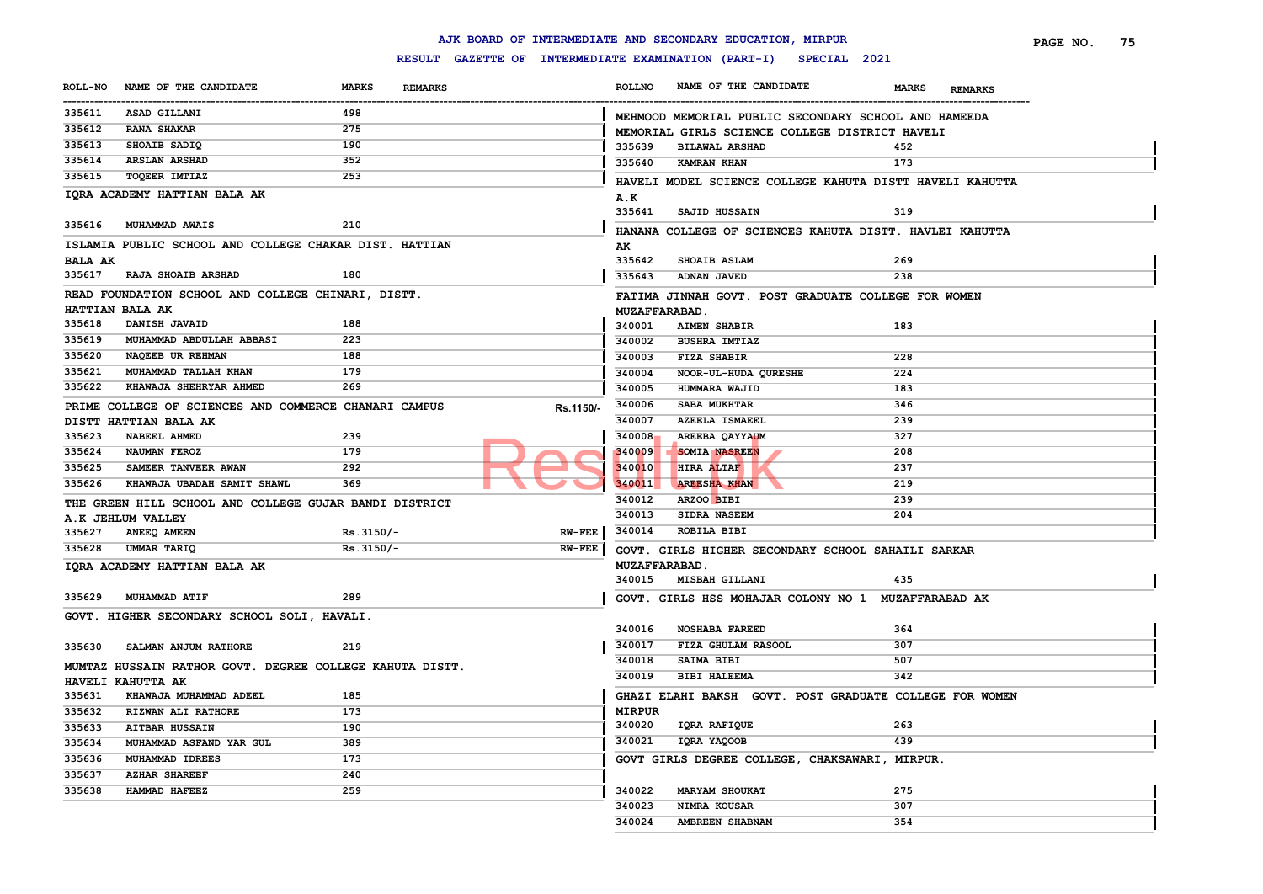|                  |                                                          |                            |                |                           |                                | AJK BOARD OF INTERMEDIATE AND SECONDARY EDUCATION, MIRPUR        |              |                | PAGE NO. | 75 |
|------------------|----------------------------------------------------------|----------------------------|----------------|---------------------------|--------------------------------|------------------------------------------------------------------|--------------|----------------|----------|----|
|                  |                                                          |                            |                |                           |                                | RESULT GAZETTE OF INTERMEDIATE EXAMINATION (PART-I) SPECIAL 2021 |              |                |          |    |
| <b>ROLL-NO</b>   | NAME OF THE CANDIDATE                                    | <b>MARKS</b>               | <b>REMARKS</b> |                           | <b>ROLLNO</b>                  | NAME OF THE CANDIDATE                                            | <b>MARKS</b> | <b>REMARKS</b> |          |    |
| <br>335611       | ASAD GILLANI                                             | 498                        |                |                           |                                | MEHMOOD MEMORIAL PUBLIC SECONDARY SCHOOL AND HAMEEDA             |              |                |          |    |
| 335612           | <b>RANA SHAKAR</b>                                       | 275                        |                |                           |                                | MEMORIAL GIRLS SCIENCE COLLEGE DISTRICT HAVELI                   |              |                |          |    |
| 335613           | SHOAIB SADIQ                                             | 190                        |                |                           | 335639                         | <b>BILAWAL ARSHAD</b>                                            | 452          |                |          |    |
| 335614           | <b>ARSLAN ARSHAD</b>                                     | 352                        |                |                           | 335640                         | KAMRAN KHAN                                                      | 173          |                |          |    |
| 335615           | TOQEER IMTIAZ                                            | 253                        |                |                           |                                | HAVELI MODEL SCIENCE COLLEGE KAHUTA DISTT HAVELI KAHUTTA         |              |                |          |    |
|                  | IORA ACADEMY HATTIAN BALA AK                             |                            |                |                           | A.K                            |                                                                  |              |                |          |    |
|                  |                                                          |                            |                |                           | 335641                         | SAJID HUSSAIN                                                    | 319          |                |          |    |
|                  | 335616 MUHAMMAD AWAIS                                    | 210                        |                |                           |                                | HANANA COLLEGE OF SCIENCES KAHUTA DISTT. HAVLEI KAHUTTA          |              |                |          |    |
|                  | ISLAMIA PUBLIC SCHOOL AND COLLEGE CHAKAR DIST. HATTIAN   |                            |                |                           | AK                             |                                                                  |              |                |          |    |
| <b>BALA AK</b>   |                                                          |                            |                |                           | 335642                         | <b>SHOAIB ASLAM</b>                                              | 269          |                |          |    |
|                  | 335617 RAJA SHOAIB ARSHAD                                | 180                        |                |                           | 335643                         | ADNAN JAVED                                                      | 238          |                |          |    |
|                  | READ FOUNDATION SCHOOL AND COLLEGE CHINARI, DISTT.       |                            |                |                           |                                | FATIMA JINNAH GOVT. POST GRADUATE COLLEGE FOR WOMEN              |              |                |          |    |
|                  | HATTIAN BALA AK                                          |                            |                |                           | <b>MUZAFFARABAD.</b>           |                                                                  |              |                |          |    |
| 335618           | DANISH JAVAID                                            | 188                        |                |                           | 340001                         | <b>AIMEN SHABIR</b>                                              | 183          |                |          |    |
| 335619           | MUHAMMAD ABDULLAH ABBASI                                 | 223                        |                |                           | 340002                         | <b>BUSHRA IMTIAZ</b>                                             |              |                |          |    |
| 335620           | NAQEEB UR REHMAN                                         | 188                        |                |                           | 340003                         | <b>FIZA SHABIR</b>                                               | 228          |                |          |    |
| 335621           | MUHAMMAD TALLAH KHAN                                     | 179                        |                |                           | 340004                         | NOOR-UL-HUDA QURESHE                                             | 224          |                |          |    |
| 335622           | KHAWAJA SHEHRYAR AHMED                                   | 269                        |                |                           | 340005                         | HUMMARA WAJID                                                    | 183          |                |          |    |
|                  | PRIME COLLEGE OF SCIENCES AND COMMERCE CHANARI CAMPUS    |                            |                |                           | 340006                         | <b>SABA MUKHTAR</b>                                              | 346          |                |          |    |
|                  | DISTT HATTIAN BALA AK                                    |                            |                | Rs.1150/-                 | 340007                         | <b>AZEELA ISMAEEL</b>                                            | 239          |                |          |    |
| 335623           | <b>NABEEL AHMED</b>                                      | 239                        |                |                           | 340008                         | AREEBA QAYYAUM                                                   | 327          |                |          |    |
| 335624           | NAUMAN FEROZ                                             | 179                        |                |                           | 340009                         | <b>SOMIA NASREEN</b>                                             | 208          |                |          |    |
| 335625           | SAMEER TANVEER AWAN                                      | 292                        |                |                           | 340010                         | HIRA ALTAF                                                       | 237          |                |          |    |
| 335626           | KHAWAJA UBADAH SAMIT SHAWL                               | 369                        |                |                           | 340011                         | <b>AREESHA KHAN</b>                                              | 219          |                |          |    |
|                  |                                                          |                            |                |                           | 340012                         | ARZOO BIBI                                                       | 239          |                |          |    |
|                  | THE GREEN HILL SCHOOL AND COLLEGE GUJAR BANDI DISTRICT   |                            |                |                           | 340013                         | SIDRA NASEEM                                                     | 204          |                |          |    |
|                  | A.K JEHLUM VALLEY                                        |                            |                |                           | 340014                         | ROBILA BIBI                                                      |              |                |          |    |
| 335627<br>335628 | ANEEQ AMEEN<br>UMMAR TARIQ                               | $Rs.3150/-$<br>$Rs.3150/-$ |                | <b>RW-FEE</b><br>$RW-FEE$ |                                |                                                                  |              |                |          |    |
|                  |                                                          |                            |                |                           |                                | GOVT. GIRLS HIGHER SECONDARY SCHOOL SAHAILI SARKAR               |              |                |          |    |
|                  | IQRA ACADEMY HATTIAN BALA AK                             |                            |                |                           | <b>MUZAFFARABAD.</b><br>340015 | MISBAH GILLANI                                                   | 435          |                |          |    |
|                  |                                                          |                            |                |                           |                                |                                                                  |              |                |          |    |
| 335629           | MUHAMMAD ATIF                                            | 289                        |                |                           |                                | GOVT. GIRLS HSS MOHAJAR COLONY NO 1 MUZAFFARABAD AK              |              |                |          |    |
|                  | GOVT. HIGHER SECONDARY SCHOOL SOLI, HAVALI.              |                            |                |                           |                                |                                                                  |              |                |          |    |
|                  |                                                          |                            |                |                           | 340016                         | <b>NOSHABA FAREED</b>                                            | 364          |                |          |    |
| 335630           | SALMAN ANJUM RATHORE                                     | 219                        |                |                           | 340017                         | FIZA GHULAM RASOOL                                               | 307          |                |          |    |
|                  | MUMTAZ HUSSAIN RATHOR GOVT. DEGREE COLLEGE KAHUTA DISTT. |                            |                |                           | 340018                         | SAIMA BIBI                                                       | 507          |                |          |    |
|                  | <b>HAVELI KAHUTTA AK</b>                                 |                            |                |                           | 340019                         | <b>BIBI HALEEMA</b>                                              | 342          |                |          |    |
| 335631           | KHAWAJA MUHAMMAD ADEEL                                   | 185                        |                |                           |                                | GHAZI ELAHI BAKSH GOVT. POST GRADUATE COLLEGE FOR WOMEN          |              |                |          |    |
|                  | 335632 RIZWAN ALI RATHORE                                | 173                        |                |                           | <b>MIRPUR</b>                  |                                                                  |              |                |          |    |
| 335633           | <b>AITBAR HUSSAIN</b>                                    | 190                        |                |                           | 340020                         | IQRA RAFIQUE                                                     | 263          |                |          |    |
| 335634           | MUHAMMAD ASFAND YAR GUL                                  | 389                        |                |                           | 340021                         | IQRA YAQOOB                                                      | 439          |                |          |    |
| 335636           | MUHAMMAD IDREES                                          | 173                        |                |                           |                                | GOVT GIRLS DEGREE COLLEGE, CHAKSAWARI, MIRPUR.                   |              |                |          |    |
| 335637           | <b>AZHAR SHAREEF</b>                                     | 240                        |                |                           |                                |                                                                  |              |                |          |    |
| 335638           | HAMMAD HAFEEZ                                            | 259                        |                |                           | 340022                         | <b>MARYAM SHOUKAT</b>                                            | 275          |                |          |    |
|                  |                                                          |                            |                |                           | 340023                         | NIMRA KOUSAR                                                     | 307          |                |          |    |
|                  |                                                          |                            |                |                           | 340024                         | AMBREEN SHABNAM                                                  | 354          |                |          |    |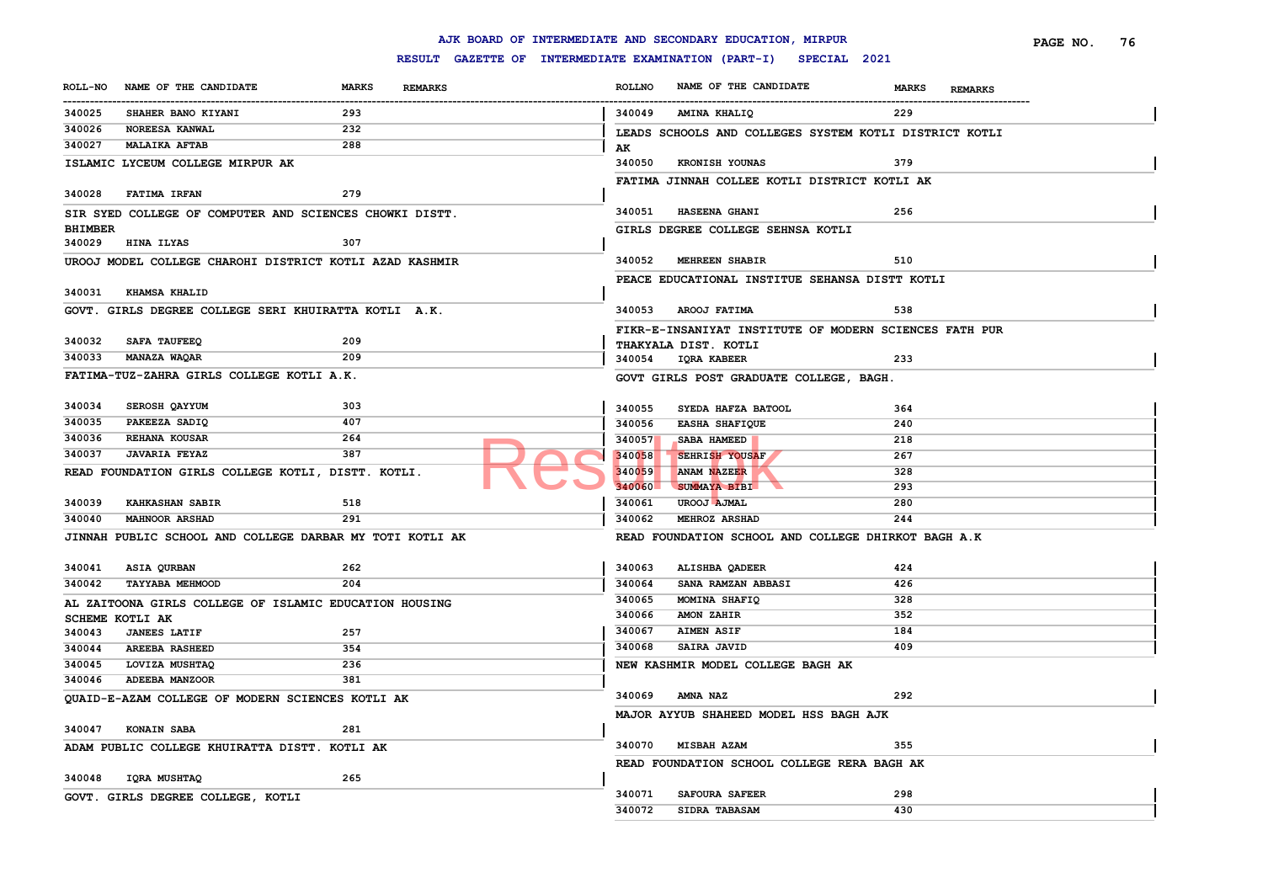|                |                                                          |                                |                                                     |                  | AJK BOARD OF INTERMEDIATE AND SECONDARY EDUCATION, MIRPUR |                                | PAGE NO.<br>76 |
|----------------|----------------------------------------------------------|--------------------------------|-----------------------------------------------------|------------------|-----------------------------------------------------------|--------------------------------|----------------|
|                |                                                          |                                | RESULT GAZETTE OF INTERMEDIATE EXAMINATION (PART-I) |                  | SPECIAL 2021                                              |                                |                |
| <b>ROLL-NO</b> | NAME OF THE CANDIDATE                                    | <b>MARKS</b><br><b>REMARKS</b> |                                                     | <b>ROLLNO</b>    | NAME OF THE CANDIDATE                                     | <b>MARKS</b><br><b>REMARKS</b> |                |
| 340025         | SHAHER BANO KIYANI                                       | 293                            |                                                     | 340049           | AMINA KHALIQ                                              | 229                            |                |
| 340026         | NOREESA KANWAL                                           | 232                            |                                                     |                  | LEADS SCHOOLS AND COLLEGES SYSTEM KOTLI DISTRICT KOTLI    |                                |                |
| 340027         | <b>MALAIKA AFTAB</b>                                     | 288                            |                                                     | AK               |                                                           |                                |                |
|                | ISLAMIC LYCEUM COLLEGE MIRPUR AK                         |                                |                                                     | 340050           | KRONISH YOUNAS                                            | 379                            |                |
|                |                                                          |                                |                                                     |                  | FATIMA JINNAH COLLEE KOTLI DISTRICT KOTLI AK              |                                |                |
| 340028         | <b>FATIMA IRFAN</b>                                      | 279                            |                                                     |                  |                                                           |                                |                |
|                | SIR SYED COLLEGE OF COMPUTER AND SCIENCES CHOWKI DISTT.  |                                |                                                     | 340051           | HASEENA GHANI                                             | 256                            |                |
| <b>BHIMBER</b> |                                                          |                                |                                                     |                  | GIRLS DEGREE COLLEGE SEHNSA KOTLI                         |                                |                |
| 340029         | HINA ILYAS                                               | 307                            |                                                     |                  |                                                           |                                |                |
|                | UROOJ MODEL COLLEGE CHAROHI DISTRICT KOTLI AZAD KASHMIR  |                                |                                                     | 340052           | <b>MEHREEN SHABIR</b>                                     | 510                            |                |
|                |                                                          |                                |                                                     |                  | PEACE EDUCATIONAL INSTITUE SEHANSA DISTT KOTLI            |                                |                |
| 340031         | <b>KHAMSA KHALID</b>                                     |                                |                                                     |                  |                                                           |                                |                |
|                | GOVT. GIRLS DEGREE COLLEGE SERI KHUIRATTA KOTLI A.K.     |                                |                                                     | 340053           | <b>AROOJ FATIMA</b>                                       | 538                            |                |
|                |                                                          |                                |                                                     |                  | FIKR-E-INSANIYAT INSTITUTE OF MODERN SCIENCES FATH PUR    |                                |                |
| 340032         | <b>SAFA TAUFEEQ</b>                                      | 209                            |                                                     |                  | THAKYALA DIST. KOTLI                                      |                                |                |
| 340033         | <b>MANAZA WAQAR</b>                                      | 209                            |                                                     |                  | 340054 IQRA KABEER                                        | 233                            |                |
|                | FATIMA-TUZ-ZAHRA GIRLS COLLEGE KOTLI A.K.                |                                |                                                     |                  | GOVT GIRLS POST GRADUATE COLLEGE, BAGH.                   |                                |                |
| 340034         | SEROSH QAYYUM                                            | 303                            |                                                     |                  |                                                           |                                |                |
| 340035         | PAKEEZA SADIQ                                            | 407                            |                                                     | 340055           | SYEDA HAFZA BATOOL                                        | 364                            |                |
|                |                                                          |                                |                                                     | 340056           | <b>EASHA SHAFIQUE</b>                                     | 240                            |                |
| 340036         | REHANA KOUSAR                                            | 264                            |                                                     | 340057           | SABA HAMEED                                               | 218                            |                |
| 340037         | <b>JAVARIA FEYAZ</b>                                     | 387                            |                                                     | 340058           | SEHRISH YOUSAF                                            | 267                            |                |
|                | READ FOUNDATION GIRLS COLLEGE KOTLI, DISTT. KOTLI.       |                                |                                                     | 340059           | ANAM NAZEER                                               | 328                            |                |
| 340039         | <b>KAHKASHAN SABIR</b>                                   | 518                            |                                                     | 340060<br>340061 | <b>SUMMAYA BIBI</b><br>UROOJ AJMAL                        | 293<br>280                     |                |
|                |                                                          | 291                            |                                                     | 340062           | MEHROZ ARSHAD                                             |                                |                |
| 340040         | <b>MAHNOOR ARSHAD</b>                                    |                                |                                                     |                  |                                                           | 244                            |                |
|                | JINNAH PUBLIC SCHOOL AND COLLEGE DARBAR MY TOTI KOTLI AK |                                |                                                     |                  | READ FOUNDATION SCHOOL AND COLLEGE DHIRKOT BAGH A.K       |                                |                |
| 340041         | ASIA QURBAN                                              | 262                            |                                                     | 340063           | ALISHBA QADEER                                            | 424                            |                |
| 340042         | <b>TAYYABA MEHMOOD</b>                                   | 204                            |                                                     | 340064           | SANA RAMZAN ABBASI                                        | 426                            |                |
|                | AL ZAITOONA GIRLS COLLEGE OF ISLAMIC EDUCATION HOUSING   |                                |                                                     | 340065           | MOMINA SHAFIQ                                             | 328                            |                |
|                | <b>SCHEME KOTLI AK</b>                                   |                                |                                                     | 340066           | <b>AMON ZAHIR</b>                                         | 352                            |                |
| 340043         | <b>JANEES LATIF</b>                                      | 257                            |                                                     | 340067           | <b>AIMEN ASIF</b>                                         | 184                            |                |
| 340044         | <b>AREEBA RASHEED</b>                                    | 354                            |                                                     | 340068           | SAIRA JAVID                                               | 409                            |                |
| 340045         | LOVIZA MUSHTAQ                                           | 236                            |                                                     |                  | NEW KASHMIR MODEL COLLEGE BAGH AK                         |                                |                |
| 340046         | <b>ADEEBA MANZOOR</b>                                    | 381                            |                                                     |                  |                                                           |                                |                |
|                | QUAID-E-AZAM COLLEGE OF MODERN SCIENCES KOTLI AK         |                                |                                                     | 340069           | <b>AMNA NAZ</b>                                           | 292                            |                |
|                |                                                          |                                |                                                     |                  | MAJOR AYYUB SHAHEED MODEL HSS BAGH AJK                    |                                |                |
| 340047         | <b>KONAIN SABA</b>                                       | 281                            |                                                     |                  |                                                           |                                |                |
|                | ADAM PUBLIC COLLEGE KHUIRATTA DISTT. KOTLI AK            |                                |                                                     | 340070           | <b>MISBAH AZAM</b>                                        | 355                            |                |
|                |                                                          |                                |                                                     |                  | READ FOUNDATION SCHOOL COLLEGE RERA BAGH AK               |                                |                |
| 340048         | IQRA MUSHTAQ                                             | 265                            |                                                     |                  |                                                           |                                |                |
|                | GOVT. GIRLS DEGREE COLLEGE, KOTLI                        |                                |                                                     | 340071           | <b>SAFOURA SAFEER</b>                                     | 298                            |                |
|                |                                                          |                                |                                                     | 340072           | SIDRA TABASAM                                             | 430                            |                |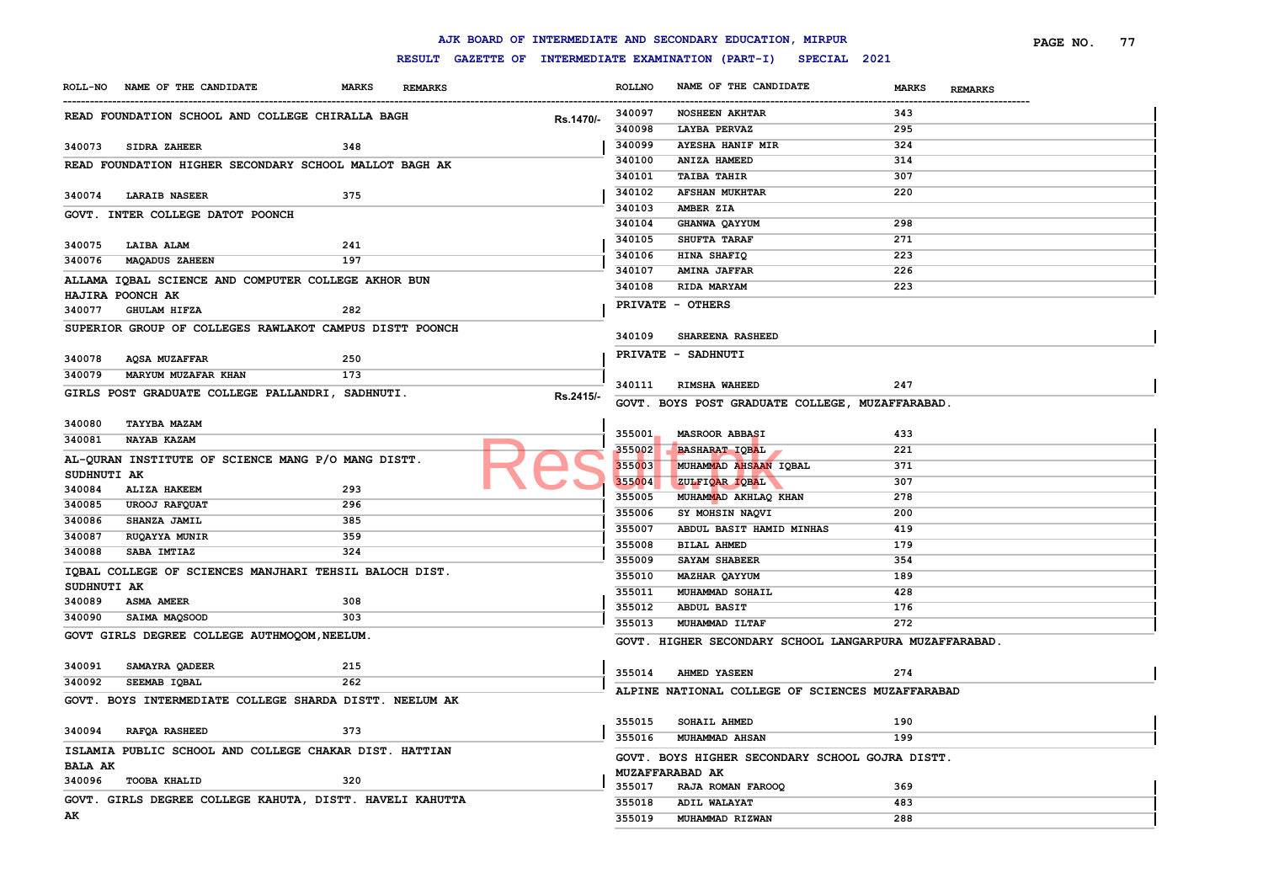|                |                                                          |              |                |           |               | AJK BOARD OF INTERMEDIATE AND SECONDARY EDUCATION, MIRPUR        |                                | PAGE NO.<br>77 |
|----------------|----------------------------------------------------------|--------------|----------------|-----------|---------------|------------------------------------------------------------------|--------------------------------|----------------|
|                |                                                          |              |                |           |               | RESULT GAZETTE OF INTERMEDIATE EXAMINATION (PART-I) SPECIAL 2021 |                                |                |
|                | ROLL-NO NAME OF THE CANDIDATE                            | <b>MARKS</b> | <b>REMARKS</b> |           | <b>ROLLNO</b> | NAME OF THE CANDIDATE                                            | <b>MARKS</b><br><b>REMARKS</b> |                |
|                | READ FOUNDATION SCHOOL AND COLLEGE CHIRALLA BAGH         |              |                |           | 340097        | <b>NOSHEEN AKHTAR</b>                                            | 343                            |                |
|                |                                                          |              |                | Rs.1470/- | 340098        | LAYBA PERVAZ                                                     | 295                            |                |
| 340073         | <b>SIDRA ZAHEER</b>                                      | 348          |                |           | 340099        | <b>AYESHA HANIF MIR</b>                                          | 324                            |                |
|                | READ FOUNDATION HIGHER SECONDARY SCHOOL MALLOT BAGH AK   |              |                |           | 340100        | ANIZA HAMEED                                                     | 314                            |                |
|                |                                                          |              |                |           | 340101        | <b>TAIBA TAHIR</b>                                               | 307                            |                |
| 340074         | <b>LARAIB NASEER</b>                                     | 375          |                |           | 340102        | <b>AFSHAN MUKHTAR</b>                                            | 220                            |                |
|                | GOVT. INTER COLLEGE DATOT POONCH                         |              |                |           | 340103        | AMBER ZIA                                                        |                                |                |
|                |                                                          |              |                |           | 340104        | GHANWA QAYYUM                                                    | 298                            |                |
| 340075         | LAIBA ALAM                                               | 241          |                |           | 340105        | <b>SHUFTA TARAF</b>                                              | 271                            |                |
| 340076         | <b>MAQADUS ZAHEEN</b>                                    | 197          |                |           | 340106        | HINA SHAFIQ                                                      | 223                            |                |
|                | ALLAMA IQBAL SCIENCE AND COMPUTER COLLEGE AKHOR BUN      |              |                |           | 340107        | <b>AMINA JAFFAR</b>                                              | 226                            |                |
|                | <b>HAJIRA POONCH AK</b>                                  |              |                |           | 340108        | RIDA MARYAM                                                      | 223                            |                |
| 340077         | <b>GHULAM HIFZA</b>                                      | 282          |                |           |               | PRIVATE - OTHERS                                                 |                                |                |
|                | SUPERIOR GROUP OF COLLEGES RAWLAKOT CAMPUS DISTT POONCH  |              |                |           |               |                                                                  |                                |                |
|                |                                                          |              |                |           | 340109        | SHAREENA RASHEED                                                 |                                |                |
| 340078         | AQSA MUZAFFAR                                            | 250          |                |           |               | PRIVATE - SADHNUTI                                               |                                |                |
| 340079         | MARYUM MUZAFAR KHAN                                      | 173          |                |           |               |                                                                  |                                |                |
|                | GIRLS POST GRADUATE COLLEGE PALLANDRI, SADHNUTI.         |              |                |           | 340111        | RIMSHA WAHEED                                                    | 247                            |                |
|                |                                                          |              |                | Rs.2415/- |               | GOVT. BOYS POST GRADUATE COLLEGE, MUZAFFARABAD.                  |                                |                |
| 340080         | <b>TAYYBA MAZAM</b>                                      |              |                |           |               |                                                                  |                                |                |
| 340081         | <b>NAYAB KAZAM</b>                                       |              |                |           | 355001        | <b>MASROOR ABBASI</b>                                            | 433                            |                |
|                | AL-QURAN INSTITUTE OF SCIENCE MANG P/O MANG DISTT.       |              |                |           | 355002        | <b>BASHARAT IOBAL</b>                                            | 221                            |                |
| SUDHNUTI AK    |                                                          |              |                |           | 355003        | MUHAMMAD AHSAAN IQBAL                                            | 371                            |                |
| 340084         | <b>ALIZA HAKEEM</b>                                      | 293          |                |           | 355004        | ZULFIQAR IQBAL                                                   | 307                            |                |
| 340085         | UROOJ RAFQUAT                                            | 296          |                |           | 355005        | MUHAMMAD AKHLAQ KHAN                                             | 278                            |                |
| 340086         | SHANZA JAMIL                                             | 385          |                |           | 355006        | SY MOHSIN NAQVI                                                  | 200                            |                |
| 340087         | <b>RUQAYYA MUNIR</b>                                     | 359          |                |           | 355007        | ABDUL BASIT HAMID MINHAS                                         | 419                            |                |
| 340088         | SABA IMTIAZ                                              | 324          |                |           | 355008        | <b>BILAL AHMED</b>                                               | 179                            |                |
|                | IQBAL COLLEGE OF SCIENCES MANJHARI TEHSIL BALOCH DIST.   |              |                |           | 355009        | SAYAM SHABEER                                                    | 354                            |                |
| SUDHNUTI AK    |                                                          |              |                |           | 355010        | <b>MAZHAR QAYYUM</b>                                             | 189                            |                |
| 340089         | <b>ASMA AMEER</b>                                        | 308          |                |           | 355011        | MUHAMMAD SOHAIL                                                  | 428                            |                |
| 340090         | SAIMA MAQSOOD                                            | 303          |                |           | 355012        | <b>ABDUL BASIT</b>                                               | 176                            |                |
|                | GOVT GIRLS DEGREE COLLEGE AUTHMOQOM, NEELUM.             |              |                |           | 355013        | MUHAMMAD ILTAF                                                   | 272                            |                |
|                |                                                          |              |                |           |               | GOVT. HIGHER SECONDARY SCHOOL LANGARPURA MUZAFFARABAD.           |                                |                |
| 340091         | SAMAYRA QADEER                                           | 215          |                |           |               |                                                                  |                                |                |
| 340092         | SEEMAB IQBAL                                             | 262          |                |           | 355014        | <b>AHMED YASEEN</b>                                              | 274                            |                |
|                | GOVT. BOYS INTERMEDIATE COLLEGE SHARDA DISTT. NEELUM AK  |              |                |           |               | ALPINE NATIONAL COLLEGE OF SCIENCES MUZAFFARABAD                 |                                |                |
|                |                                                          |              |                |           |               |                                                                  |                                |                |
| 340094         | <b>RAFOA RASHEED</b>                                     | 373          |                |           | 355015        | SOHAIL AHMED                                                     | 190                            |                |
|                | ISLAMIA PUBLIC SCHOOL AND COLLEGE CHAKAR DIST. HATTIAN   |              |                |           | 355016        | MUHAMMAD AHSAN                                                   | 199                            |                |
| <b>BALA AK</b> |                                                          |              |                |           |               | GOVT. BOYS HIGHER SECONDARY SCHOOL GOJRA DISTT.                  |                                |                |
|                | 340096 TOOBA KHALID                                      | 320          |                |           |               | <b>MUZAFFARABAD AK</b>                                           |                                |                |
|                |                                                          |              |                |           | 355017        | RAJA ROMAN FAROOQ                                                | 369                            |                |
|                | GOVT. GIRLS DEGREE COLLEGE KAHUTA, DISTT. HAVELI KAHUTTA |              |                |           | 355018        | ADIL WALAYAT                                                     | 483                            |                |
| AK             |                                                          |              |                |           | 355019        | MUHAMMAD RIZWAN                                                  | 288                            |                |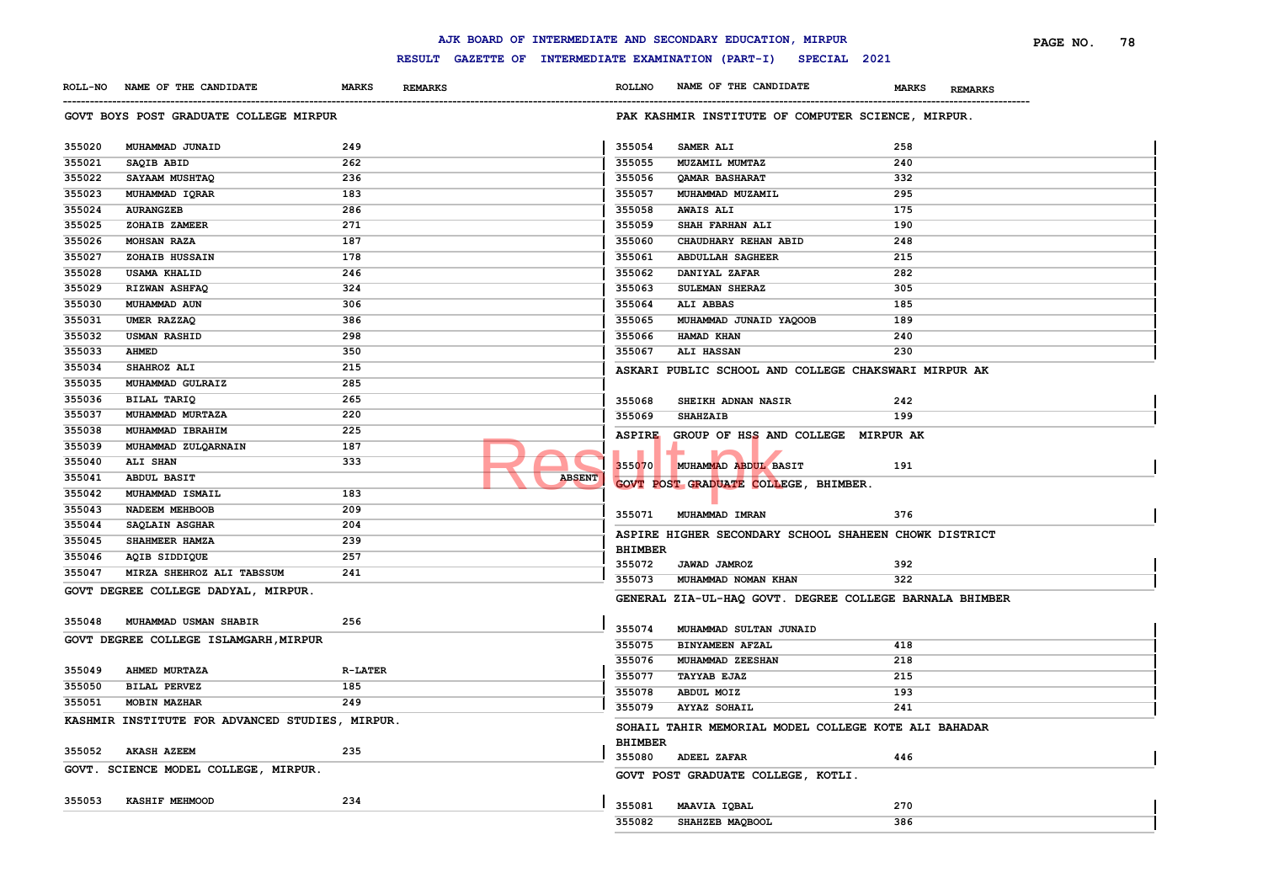|        |                                                 |                |                                                                  |                          | AJK BOARD OF INTERMEDIATE AND SECONDARY EDUCATION, MIRPUR |                                | PAGE NO.<br>78 |
|--------|-------------------------------------------------|----------------|------------------------------------------------------------------|--------------------------|-----------------------------------------------------------|--------------------------------|----------------|
|        |                                                 |                | RESULT GAZETTE OF INTERMEDIATE EXAMINATION (PART-I) SPECIAL 2021 |                          |                                                           |                                |                |
|        | ROLL-NO NAME OF THE CANDIDATE                   | <b>MARKS</b>   | <b>REMARKS</b>                                                   | <b>ROLLNO</b>            | NAME OF THE CANDIDATE                                     | <b>MARKS</b><br><b>REMARKS</b> |                |
|        | GOVT BOYS POST GRADUATE COLLEGE MIRPUR          |                |                                                                  |                          | PAK KASHMIR INSTITUTE OF COMPUTER SCIENCE, MIRPUR.        |                                |                |
| 355020 | MUHAMMAD JUNAID                                 | 249            |                                                                  | 355054                   | SAMER ALI                                                 | 258                            |                |
| 355021 | SAQIB ABID                                      | 262            |                                                                  | 355055                   | MUZAMIL MUMTAZ                                            | 240                            |                |
| 355022 | SAYAAM MUSHTAQ                                  | 236            |                                                                  | 355056                   | QAMAR BASHARAT                                            | 332                            |                |
| 355023 | MUHAMMAD IQRAR                                  | 183            |                                                                  | 355057                   | MUHAMMAD MUZAMIL                                          | 295                            |                |
| 355024 | <b>AURANGZEB</b>                                | 286            |                                                                  | 355058                   | <b>AWAIS ALI</b>                                          | 175                            |                |
| 355025 | ZOHAIB ZAMEER                                   | 271            |                                                                  | 355059                   | SHAH FARHAN ALI                                           | 190                            |                |
| 355026 | MOHSAN RAZA                                     | 187            |                                                                  | 355060                   | CHAUDHARY REHAN ABID                                      | 248                            |                |
| 355027 | ZOHAIB HUSSAIN                                  | 178            |                                                                  | 355061                   | <b>ABDULLAH SAGHEER</b>                                   | 215                            |                |
| 355028 | <b>USAMA KHALID</b>                             | 246            |                                                                  | 355062                   | DANIYAL ZAFAR                                             | 282                            |                |
| 355029 | RIZWAN ASHFAQ                                   | 324            |                                                                  | 355063                   | SULEMAN SHERAZ                                            | 305                            |                |
| 355030 | MUHAMMAD AUN                                    | 306            |                                                                  | 355064                   | ALI ABBAS                                                 | 185                            |                |
| 355031 | UMER RAZZAQ                                     | 386            |                                                                  | 355065                   | MUHAMMAD JUNAID YAQOOB                                    | 189                            |                |
| 355032 | <b>USMAN RASHID</b>                             | 298            |                                                                  | 355066                   | HAMAD KHAN                                                | 240                            |                |
| 355033 | <b>AHMED</b>                                    | 350            |                                                                  | 355067                   | <b>ALI HASSAN</b>                                         | 230                            |                |
| 355034 | SHAHROZ ALI                                     | 215            |                                                                  |                          | ASKARI PUBLIC SCHOOL AND COLLEGE CHAKSWARI MIRPUR AK      |                                |                |
| 355035 | MUHAMMAD GULRAIZ                                | 285            |                                                                  |                          |                                                           |                                |                |
| 355036 | BILAL TARIQ                                     | 265            |                                                                  | 355068                   | SHEIKH ADNAN NASIR                                        | 242                            |                |
| 355037 | MUHAMMAD MURTAZA                                | 220            |                                                                  | 355069                   | <b>SHAHZAIB</b>                                           | 199                            |                |
| 355038 | MUHAMMAD IBRAHIM                                | 225            |                                                                  | <b>ASPIRE</b>            | GROUP OF HSS AND COLLEGE MIRPUR AK                        |                                |                |
| 355039 | MUHAMMAD ZULQARNAIN                             | 187            |                                                                  |                          |                                                           |                                |                |
| 355040 | ALI SHAN                                        | 333            |                                                                  | 355070                   | MUHAMMAD ABDUL BASIT                                      | 191                            |                |
| 355041 | <b>ABDUL BASIT</b>                              |                | <b>ABSENT</b>                                                    |                          | GOVT POST GRADUATE COLLEGE, BHIMBER.                      |                                |                |
| 355042 | MUHAMMAD ISMAIL                                 | 183            |                                                                  |                          |                                                           |                                |                |
| 355043 | NADEEM MEHBOOB                                  | 209            |                                                                  | 355071                   | MUHAMMAD IMRAN                                            | 376                            |                |
| 355044 | SAQLAIN ASGHAR                                  | 204            |                                                                  |                          |                                                           |                                |                |
| 355045 | SHAHMEER HAMZA                                  | 239            |                                                                  |                          | ASPIRE HIGHER SECONDARY SCHOOL SHAHEEN CHOWK DISTRICT     |                                |                |
| 355046 | AQIB SIDDIQUE                                   | 257            |                                                                  | <b>BHIMBER</b><br>355072 | <b>JAWAD JAMROZ</b>                                       | 392                            |                |
| 355047 | MIRZA SHEHROZ ALI TABSSUM                       | 241            |                                                                  | 355073                   | MUHAMMAD NOMAN KHAN                                       | 322                            |                |
|        | GOVT DEGREE COLLEGE DADYAL, MIRPUR.             |                |                                                                  |                          | GENERAL ZIA-UL-HAQ GOVT. DEGREE COLLEGE BARNALA BHIMBER   |                                |                |
| 355048 | MUHAMMAD USMAN SHABIR                           | 256            |                                                                  |                          |                                                           |                                |                |
|        | GOVT DEGREE COLLEGE ISLAMGARH, MIRPUR           |                |                                                                  | 355074                   | MUHAMMAD SULTAN JUNAID                                    |                                |                |
|        |                                                 |                |                                                                  | 355075                   | <b>BINYAMEEN AFZAL</b>                                    | 418                            |                |
| 355049 | AHMED MURTAZA                                   | <b>R-LATER</b> |                                                                  | 355076                   | MUHAMMAD ZEESHAN                                          | 218                            |                |
| 355050 | <b>BILAL PERVEZ</b>                             | 185            |                                                                  | 355077                   | <b>TAYYAB EJAZ</b>                                        | 215                            |                |
| 355051 | <b>MOBIN MAZHAR</b>                             | 249            |                                                                  | 355078                   | ABDUL MOIZ                                                | 193                            |                |
|        | KASHMIR INSTITUTE FOR ADVANCED STUDIES, MIRPUR. |                |                                                                  | 355079                   | <b>AYYAZ SOHAIL</b>                                       | 241                            |                |
|        |                                                 |                |                                                                  |                          | SOHAIL TAHIR MEMORIAL MODEL COLLEGE KOTE ALI BAHADAR      |                                |                |
| 355052 | <b>AKASH AZEEM</b>                              | 235            |                                                                  | <b>BHIMBER</b>           |                                                           |                                |                |
|        | GOVT. SCIENCE MODEL COLLEGE, MIRPUR.            |                |                                                                  | 355080                   | <b>ADEEL ZAFAR</b>                                        | 446                            |                |
|        |                                                 |                |                                                                  |                          | GOVT POST GRADUATE COLLEGE, KOTLI.                        |                                |                |
| 355053 | KASHIF MEHMOOD                                  | 234            |                                                                  | 355081                   | MAAVIA IQBAL                                              | 270                            |                |
|        |                                                 |                |                                                                  | 355082                   | SHAHZEB MAQBOOL                                           | 386                            |                |
|        |                                                 |                |                                                                  |                          |                                                           |                                |                |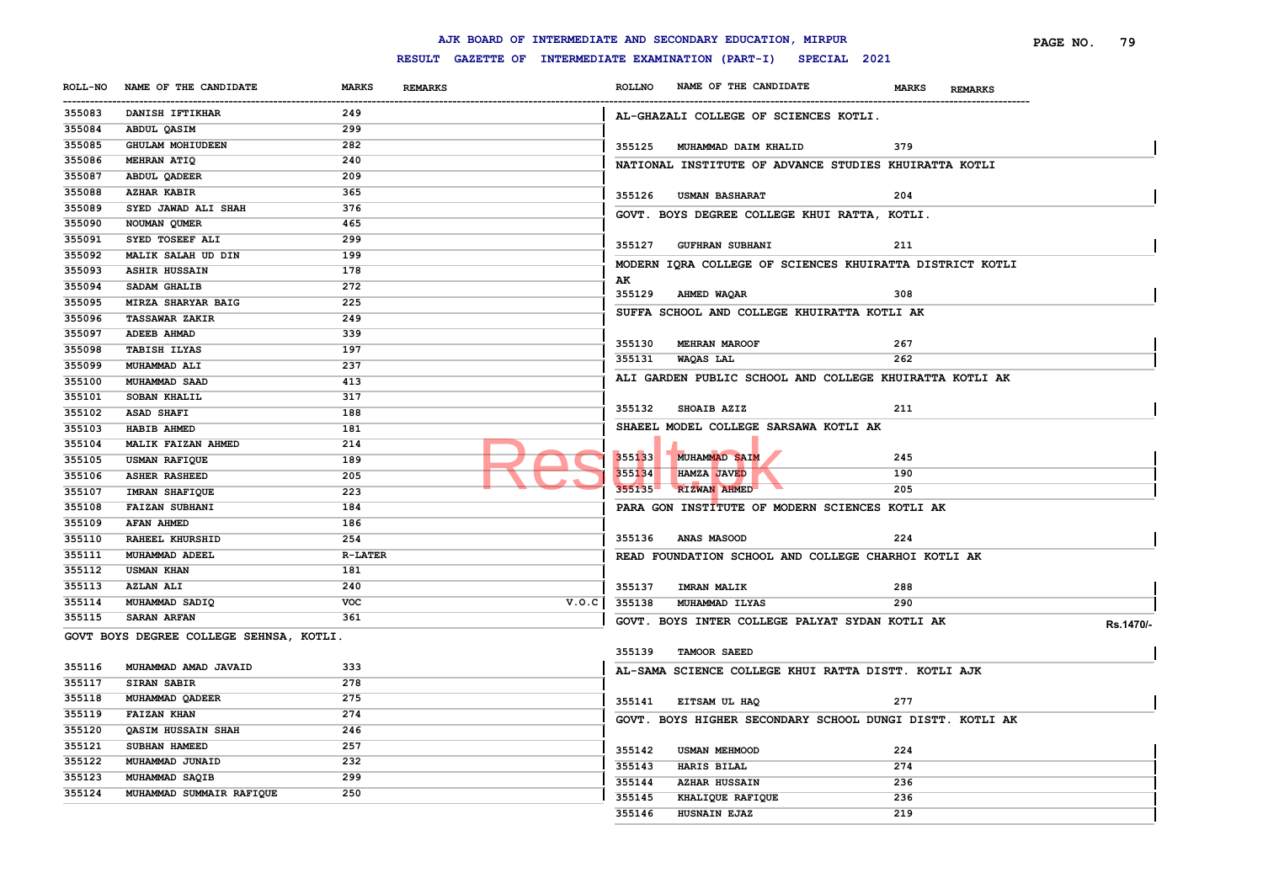|                |                                         |                                                     |               | AJK BOARD OF INTERMEDIATE AND SECONDARY EDUCATION, MIRPUR |                                | PAGE NO.<br>79 |
|----------------|-----------------------------------------|-----------------------------------------------------|---------------|-----------------------------------------------------------|--------------------------------|----------------|
|                |                                         | RESULT GAZETTE OF INTERMEDIATE EXAMINATION (PART-I) |               |                                                           |                                |                |
| <b>ROLL-NO</b> | NAME OF THE CANDIDATE                   | <b>MARKS</b><br><b>REMARKS</b>                      | <b>ROLLNO</b> | NAME OF THE CANDIDATE                                     | <b>MARKS</b><br><b>REMARKS</b> |                |
| 355083         | DANISH IFTIKHAR                         | 249                                                 |               | AL-GHAZALI COLLEGE OF SCIENCES KOTLI.                     |                                |                |
| 355084         | ABDUL QASIM                             | 299                                                 |               |                                                           |                                |                |
| 355085         | <b>GHULAM MOHIUDEEN</b>                 | 282                                                 | 355125        | MUHAMMAD DAIM KHALID                                      | 379                            |                |
| 355086         | MEHRAN ATIQ                             | 240                                                 |               | NATIONAL INSTITUTE OF ADVANCE STUDIES KHUIRATTA KOTLI     |                                |                |
| 355087         | ABDUL QADEER                            | 209                                                 |               |                                                           |                                |                |
| 355088         | <b>AZHAR KABIR</b>                      | 365                                                 | 355126        | <b>USMAN BASHARAT</b>                                     | 204                            |                |
| 355089         | SYED JAWAD ALI SHAH                     | 376                                                 |               | GOVT. BOYS DEGREE COLLEGE KHUI RATTA, KOTLI.              |                                |                |
| 355090         | NOUMAN QUMER                            | 465                                                 |               |                                                           |                                |                |
| 355091         | SYED TOSEEF ALI                         | 299                                                 | 355127        | <b>GUFHRAN SUBHANI</b>                                    | 211                            |                |
| 355092         | MALIK SALAH UD DIN                      | 199                                                 |               |                                                           |                                |                |
| 355093         | <b>ASHIR HUSSAIN</b>                    | 178                                                 |               | MODERN IQRA COLLEGE OF SCIENCES KHUIRATTA DISTRICT KOTLI  |                                |                |
| 355094         | SADAM GHALIB                            | 272                                                 | AK            |                                                           |                                |                |
| 355095         | MIRZA SHARYAR BAIG                      | 225                                                 | 355129        | <b>AHMED WAQAR</b>                                        | 308                            |                |
| 355096         | <b>TASSAWAR ZAKIR</b>                   | 249                                                 |               | SUFFA SCHOOL AND COLLEGE KHUIRATTA KOTLI AK               |                                |                |
| 355097         | ADEEB AHMAD                             | 339                                                 |               |                                                           |                                |                |
| 355098         | <b>TABISH ILYAS</b>                     | 197                                                 | 355130        | <b>MEHRAN MAROOF</b>                                      | 267                            |                |
| 355099         | MUHAMMAD ALI                            | 237                                                 | 355131        | WAQAS LAL                                                 | 262                            |                |
| 355100         | MUHAMMAD SAAD                           | 413                                                 |               | ALI GARDEN PUBLIC SCHOOL AND COLLEGE KHUIRATTA KOTLI AK   |                                |                |
| 355101         | SOBAN KHALIL                            | 317                                                 |               |                                                           |                                |                |
| 355102         | <b>ASAD SHAFI</b>                       | 188                                                 | 355132        | <b>SHOAIB AZIZ</b>                                        | 211                            |                |
| 355103         | HABIB AHMED                             | 181                                                 |               | SHAEEL MODEL COLLEGE SARSAWA KOTLI AK                     |                                |                |
| 355104         | MALIK FAIZAN AHMED                      | 214                                                 |               |                                                           |                                |                |
| 355105         | USMAN RAFIQUE                           | 189                                                 | 355133        | <b>MUHAMMAD SAIM</b>                                      | 245                            |                |
| 355106         | <b>ASHER RASHEED</b>                    | 205                                                 | 355134        | HAMZA JAVED                                               | 190                            |                |
| 355107         | <b>IMRAN SHAFIQUE</b>                   | 223                                                 | 355135        | <b>RIZWAN AHMED</b>                                       | 205                            |                |
| 355108         | <b>FAIZAN SUBHANI</b>                   | 184                                                 |               | PARA GON INSTITUTE OF MODERN SCIENCES KOTLI AK            |                                |                |
| 355109         | <b>AFAN AHMED</b>                       | 186                                                 |               |                                                           |                                |                |
| 355110         | <b>RAHEEL KHURSHID</b>                  | 254                                                 | 355136        | ANAS MASOOD                                               | 224                            |                |
| 355111         | MUHAMMAD ADEEL                          | <b>R-LATER</b>                                      |               | READ FOUNDATION SCHOOL AND COLLEGE CHARHOI KOTLI AK       |                                |                |
| 355112         | <b>USMAN KHAN</b>                       | 181                                                 |               |                                                           |                                |                |
| 355113         | <b>AZLAN ALI</b>                        | 240                                                 | 355137        | <b>IMRAN MALIK</b>                                        | 288                            |                |
| 355114         | MUHAMMAD SADIQ                          | <b>VOC</b><br>V.O.C                                 | 355138        | MUHAMMAD ILYAS                                            | 290                            |                |
| 355115         | <b>SARAN ARFAN</b>                      | 361                                                 |               | GOVT. BOYS INTER COLLEGE PALYAT SYDAN KOTLI AK            |                                |                |
|                | GOVT BOYS DEGREE COLLEGE SEHNSA, KOTLI. |                                                     |               |                                                           |                                | Rs.1470/-      |
|                |                                         |                                                     | 355139        | <b>TAMOOR SAEED</b>                                       |                                |                |
| 355116         | MUHAMMAD AMAD JAVAID                    | 333                                                 |               | AL-SAMA SCIENCE COLLEGE KHUI RATTA DISTT. KOTLI AJK       |                                |                |
| 355117         | SIRAN SABIR                             | 278                                                 |               |                                                           |                                |                |
| 355118         | MUHAMMAD QADEER                         | 275                                                 | 355141        | EITSAM UL HAQ                                             | 277                            |                |
| 355119         | <b>FAIZAN KHAN</b>                      | 274                                                 |               |                                                           |                                |                |
| 355120         | QASIM HUSSAIN SHAH                      | 246                                                 |               | GOVT. BOYS HIGHER SECONDARY SCHOOL DUNGI DISTT. KOTLI AK  |                                |                |
| 355121         | SUBHAN HAMEED                           | 257                                                 |               |                                                           |                                |                |
| 355122         | MUHAMMAD JUNAID                         | 232                                                 | 355142        | <b>USMAN MEHMOOD</b>                                      | 224                            |                |
| 355123         | MUHAMMAD SAQIB                          | 299                                                 | 355143        | HARIS BILAL                                               | 274                            |                |
| 355124         | MUHAMMAD SUMMAIR RAFIQUE                | 250                                                 | 355144        | <b>AZHAR HUSSAIN</b>                                      | 236                            |                |
|                |                                         |                                                     | 355145        | KHALIQUE RAFIQUE                                          | 236                            |                |
|                |                                         |                                                     | 355146        | HUSNAIN EJAZ                                              | 219                            |                |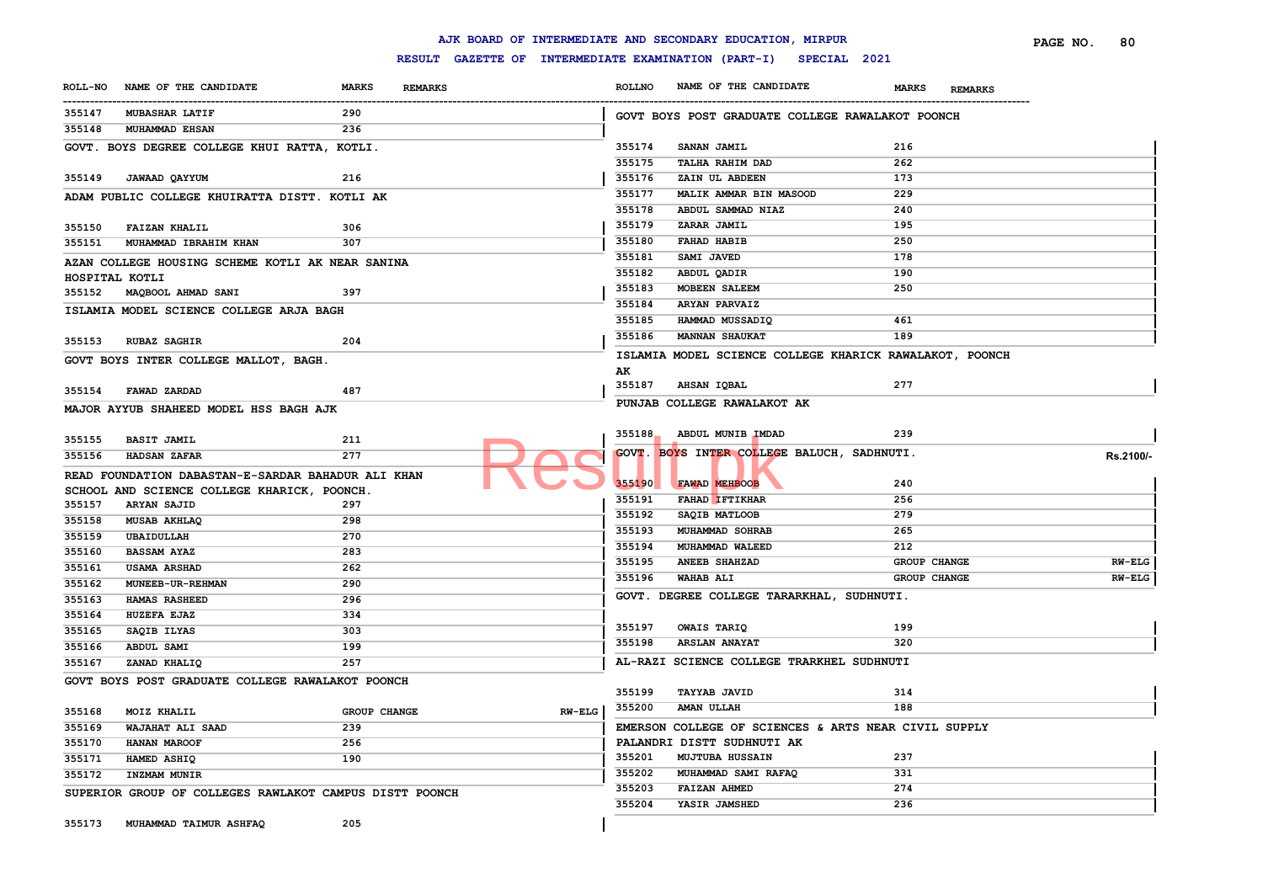|                  |                                                         |                                |                 | AJK BOARD OF INTERMEDIATE AND SECONDARY EDUCATION, MIRPUR        |                     | PAGE NO.<br>80<br><b>REMARKS</b><br>Rs.2100/-<br>$RW-ELG$<br>$RW-ELG$ |
|------------------|---------------------------------------------------------|--------------------------------|-----------------|------------------------------------------------------------------|---------------------|-----------------------------------------------------------------------|
|                  |                                                         |                                |                 | RESULT GAZETTE OF INTERMEDIATE EXAMINATION (PART-I) SPECIAL 2021 |                     |                                                                       |
| <b>ROLL-NO</b>   | NAME OF THE CANDIDATE                                   | <b>MARKS</b><br><b>REMARKS</b> | <b>ROLLNO</b>   | NAME OF THE CANDIDATE                                            | <b>MARKS</b>        |                                                                       |
| 355147           | <b>MUBASHAR LATIF</b>                                   | 290                            |                 | GOVT BOYS POST GRADUATE COLLEGE RAWALAKOT POONCH                 |                     |                                                                       |
| 355148           | <b>MUHAMMAD EHSAN</b>                                   | 236                            |                 |                                                                  |                     |                                                                       |
|                  | GOVT. BOYS DEGREE COLLEGE KHUI RATTA, KOTLI.            |                                | 355174          | SANAN JAMIL                                                      | 216                 |                                                                       |
|                  |                                                         |                                | 355175          | TALHA RAHIM DAD                                                  | 262                 |                                                                       |
| 355149           | JAWAAD QAYYUM                                           | 216                            | 355176          | ZAIN UL ABDEEN                                                   | 173                 |                                                                       |
|                  | ADAM PUBLIC COLLEGE KHUIRATTA DISTT. KOTLI AK           |                                | 355177          | MALIK AMMAR BIN MASOOD                                           | 229                 |                                                                       |
|                  |                                                         |                                | 355178          | ABDUL SAMMAD NIAZ                                                | 240                 |                                                                       |
| 355150           | <b>FAIZAN KHALIL</b>                                    | 306                            | 355179          | ZARAR JAMIL                                                      | 195                 |                                                                       |
| 355151           | MUHAMMAD IBRAHIM KHAN                                   | 307                            | 355180          | <b>FAHAD HABIB</b>                                               | 250                 |                                                                       |
|                  | AZAN COLLEGE HOUSING SCHEME KOTLI AK NEAR SANINA        |                                | 355181          | SAMI JAVED                                                       | 178                 |                                                                       |
| HOSPITAL KOTLI   |                                                         |                                | 355182          | ABDUL QADIR                                                      | 190                 |                                                                       |
|                  | 355152 MAQBOOL AHMAD SANI                               | 397                            | 355183          | <b>MOBEEN SALEEM</b>                                             | 250                 |                                                                       |
|                  | ISLAMIA MODEL SCIENCE COLLEGE ARJA BAGH                 |                                | 355184          | <b>ARYAN PARVAIZ</b>                                             |                     |                                                                       |
|                  |                                                         |                                | 355185          | HAMMAD MUSSADIQ                                                  | 461                 |                                                                       |
| 355153           | <b>RUBAZ SAGHIR</b>                                     | 204                            | 355186          | <b>MANNAN SHAUKAT</b>                                            | 189                 |                                                                       |
|                  | GOVT BOYS INTER COLLEGE MALLOT, BAGH.                   |                                |                 | ISLAMIA MODEL SCIENCE COLLEGE KHARICK RAWALAKOT, POONCH          |                     |                                                                       |
|                  |                                                         |                                | AK              | <b>AHSAN IQBAL</b>                                               | 277                 |                                                                       |
| 355154           | FAWAD ZARDAD                                            | 487                            | 355187          |                                                                  |                     |                                                                       |
|                  | MAJOR AYYUB SHAHEED MODEL HSS BAGH AJK                  |                                |                 | PUNJAB COLLEGE RAWALAKOT AK                                      |                     |                                                                       |
|                  |                                                         |                                | 355188          | ABDUL MUNIB IMDAD                                                | 239                 |                                                                       |
| 355155           | <b>BASIT JAMIL</b>                                      | 211                            |                 |                                                                  |                     |                                                                       |
| 355156           | <b>HADSAN ZAFAR</b>                                     | 277                            |                 | GOVT. BOYS INTER COLLEGE BALUCH, SADHNUTI.                       |                     |                                                                       |
|                  | READ FOUNDATION DABASTAN-E-SARDAR BAHADUR ALI KHAN      |                                | 355190          | FAWAD MEHBOOB                                                    | 240                 |                                                                       |
|                  | SCHOOL AND SCIENCE COLLEGE KHARICK, POONCH.             |                                | 355191          | <b>FAHAD IFTIKHAR</b>                                            | 256                 |                                                                       |
| 355157           | <b>ARYAN SAJID</b>                                      | 297                            | 355192          | SAQIB MATLOOB                                                    | 279                 |                                                                       |
| 355158           | MUSAB AKHLAQ                                            | 298                            | 355193          | MUHAMMAD SOHRAB                                                  | 265                 |                                                                       |
| 355159           | UBAIDULLAH                                              | 270                            | 355194          | MUHAMMAD WALEED                                                  | 212                 |                                                                       |
| 355160           | <b>BASSAM AYAZ</b>                                      | 283                            | 355195          | <b>ANEEB SHAHZAD</b>                                             | GROUP CHANGE        |                                                                       |
| 355161           | <b>USAMA ARSHAD</b>                                     | 262                            | 355196          | <b>WAHAB ALI</b>                                                 | <b>GROUP CHANGE</b> |                                                                       |
| 355162           | MUNEEB-UR-REHMAN                                        | 290                            |                 | GOVT. DEGREE COLLEGE TARARKHAL, SUDHNUTI.                        |                     |                                                                       |
| 355163           | <b>HAMAS RASHEED</b>                                    | 296<br>334                     |                 |                                                                  |                     |                                                                       |
| 355164<br>355165 | HUZEFA EJAZ<br>SAQIB ILYAS                              | 303                            | 355197          | OWAIS TARIQ                                                      | 199                 |                                                                       |
| 355166           | ABDUL SAMI                                              | 199                            | 355198          | <b>ARSLAN ANAYAT</b>                                             | 320                 |                                                                       |
| 355167           | ZANAD KHALIQ                                            | 257                            |                 | AL-RAZI SCIENCE COLLEGE TRARKHEL SUDHNUTI                        |                     |                                                                       |
|                  |                                                         |                                |                 |                                                                  |                     |                                                                       |
|                  | GOVT BOYS POST GRADUATE COLLEGE RAWALAKOT POONCH        |                                | 355199          | <b>TAYYAB JAVID</b>                                              | 314                 |                                                                       |
|                  | 355168 MOIZ KHALIL                                      | GROUP CHANGE                   | RW-ELG   355200 | AMAN ULLAH                                                       | 188                 |                                                                       |
| 355169           | WAJAHAT ALI SAAD                                        | 239                            |                 | EMERSON COLLEGE OF SCIENCES & ARTS NEAR CIVIL SUPPLY             |                     |                                                                       |
| 355170           | HANAN MAROOF                                            | 256                            |                 | PALANDRI DISTT SUDHNUTI AK                                       |                     |                                                                       |
| 355171           | HAMED ASHIQ                                             | 190                            | 355201          | <b>MUJTUBA HUSSAIN</b>                                           | 237                 |                                                                       |
| 355172           | INZMAM MUNIR                                            |                                | 355202          | MUHAMMAD SAMI RAFAQ                                              | 331                 |                                                                       |
|                  | SUPERIOR GROUP OF COLLEGES RAWLAKOT CAMPUS DISTT POONCH |                                | 355203          | <b>FAIZAN AHMED</b>                                              | 274                 |                                                                       |
|                  |                                                         |                                | 355204          | YASIR JAMSHED                                                    | 236                 |                                                                       |
| 355173           | MUHAMMAD TAIMUR ASHFAQ                                  | 205                            |                 |                                                                  |                     |                                                                       |
|                  |                                                         |                                |                 |                                                                  |                     |                                                                       |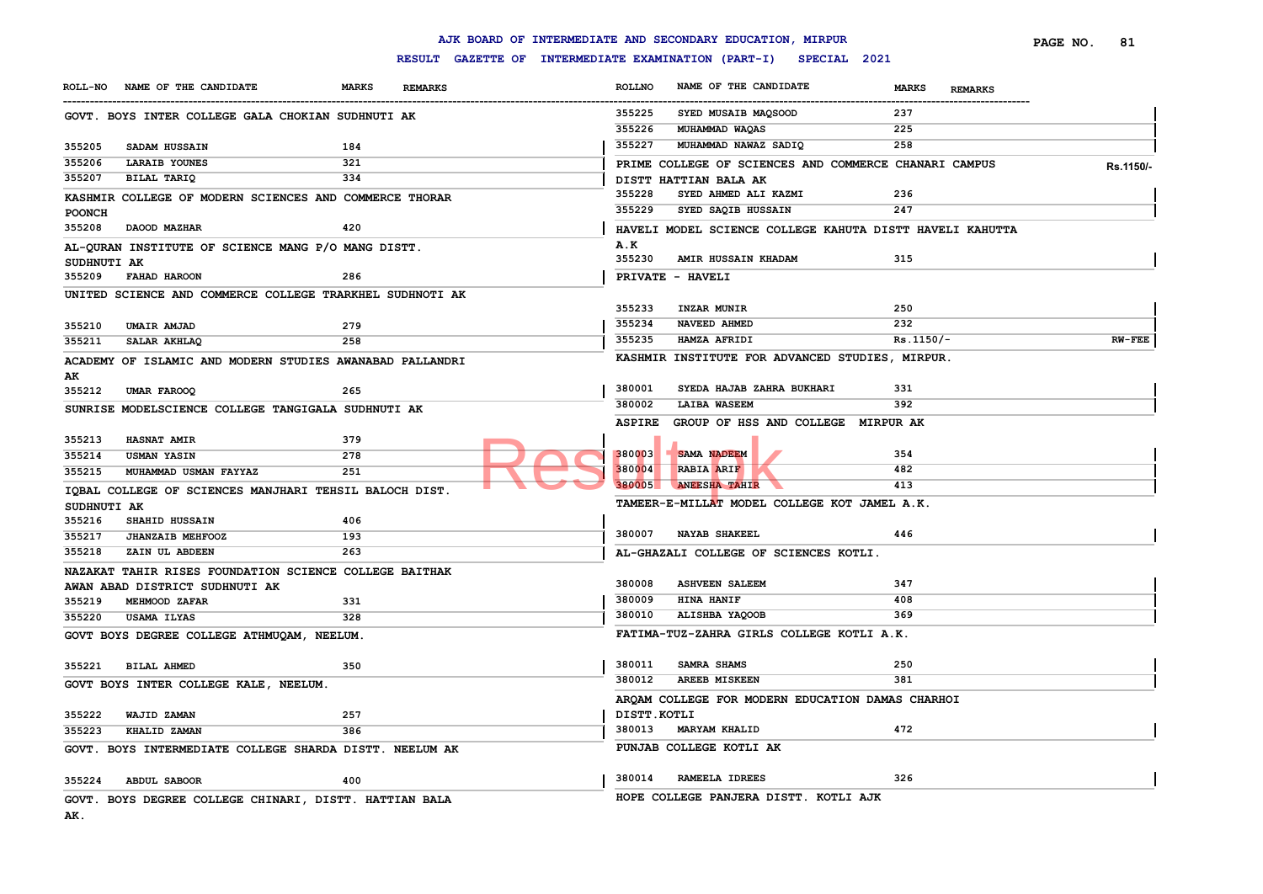### **RESULT GAZETTE OF INTERMEDIATE EXAMINATION (PART-I) SPECIAL 2021**

|                  |                                                          |              |                                                     |                  | AJK BOARD OF INTERMEDIATE AND SECONDARY EDUCATION, MIRPUR |                                | PAGE NO. | 81        |
|------------------|----------------------------------------------------------|--------------|-----------------------------------------------------|------------------|-----------------------------------------------------------|--------------------------------|----------|-----------|
|                  |                                                          |              | RESULT GAZETTE OF INTERMEDIATE EXAMINATION (PART-I) |                  | SPECIAL 2021                                              |                                |          |           |
|                  | ROLL-NO NAME OF THE CANDIDATE                            | <b>MARKS</b> | <b>REMARKS</b>                                      | <b>ROLLNO</b>    | NAME OF THE CANDIDATE                                     | <b>MARKS</b><br><b>REMARKS</b> |          |           |
|                  | GOVT. BOYS INTER COLLEGE GALA CHOKIAN SUDHNUTI AK        |              |                                                     | 355225           | SYED MUSAIB MAQSOOD                                       | 237                            |          |           |
|                  |                                                          |              |                                                     | 355226           | MUHAMMAD WAQAS                                            | 225                            |          |           |
| 355205           | SADAM HUSSAIN                                            | 184          |                                                     | 355227           | MUHAMMAD NAWAZ SADIQ                                      | 258                            |          |           |
| 355206           | LARAIB YOUNES                                            | 321          |                                                     |                  | PRIME COLLEGE OF SCIENCES AND COMMERCE CHANARI CAMPUS     |                                |          | Rs.1150/- |
| 355207           | BILAL TARIQ                                              | 334          |                                                     |                  | DISTT HATTIAN BALA AK                                     |                                |          |           |
|                  | KASHMIR COLLEGE OF MODERN SCIENCES AND COMMERCE THORAR   |              |                                                     | 355228           | SYED AHMED ALI KAZMI                                      | 236                            |          |           |
| <b>POONCH</b>    |                                                          |              |                                                     | 355229           | SYED SAQIB HUSSAIN                                        | 247                            |          |           |
| 355208           | DAOOD MAZHAR                                             | 420          |                                                     |                  | HAVELI MODEL SCIENCE COLLEGE KAHUTA DISTT HAVELI KAHUTTA  |                                |          |           |
| SUDHNUTI AK      | AL-QURAN INSTITUTE OF SCIENCE MANG P/O MANG DISTT.       |              |                                                     | A.K<br>355230    | AMIR HUSSAIN KHADAM                                       | 315                            |          |           |
| 355209           | <b>FAHAD HAROON</b>                                      | 286          |                                                     |                  | PRIVATE - HAVELI                                          |                                |          |           |
|                  | UNITED SCIENCE AND COMMERCE COLLEGE TRARKHEL SUDHNOTI AK |              |                                                     |                  |                                                           |                                |          |           |
|                  |                                                          |              |                                                     | 355233           | INZAR MUNIR                                               | 250                            |          |           |
| 355210           | <b>UMAIR AMJAD</b>                                       | 279          |                                                     | 355234           | NAVEED AHMED                                              | 232                            |          |           |
| 355211           | SALAR AKHLAQ                                             | 258          |                                                     | 355235           | <b>HAMZA AFRIDI</b>                                       | $Rs.1150/-$                    |          | $RW-FEE$  |
|                  | ACADEMY OF ISLAMIC AND MODERN STUDIES AWANABAD PALLANDRI |              |                                                     |                  | KASHMIR INSTITUTE FOR ADVANCED STUDIES, MIRPUR.           |                                |          |           |
| AK               |                                                          |              |                                                     |                  |                                                           |                                |          |           |
| 355212           | UMAR FAROOQ                                              | 265          |                                                     | 380001           | SYEDA HAJAB ZAHRA BUKHARI                                 | 331                            |          |           |
|                  | SUNRISE MODELSCIENCE COLLEGE TANGIGALA SUDHNUTI AK       |              |                                                     | 380002           | <b>LAIBA WASEEM</b>                                       | 392                            |          |           |
|                  |                                                          |              |                                                     | <b>ASPIRE</b>    | GROUP OF HSS AND COLLEGE MIRPUR AK                        |                                |          |           |
| 355213           | <b>HASNAT AMIR</b>                                       | 379          |                                                     |                  |                                                           |                                |          |           |
| 355214           | <b>USMAN YASIN</b>                                       | 278          |                                                     | 380003           | <b>SAMA NADEEM</b>                                        | 354                            |          |           |
| 355215           | MUHAMMAD USMAN FAYYAZ                                    | 251          |                                                     | 380004<br>380005 | RABIA ARIF<br><b>ANEESHA TAHIR</b>                        | 482<br>413                     |          |           |
|                  | IOBAL COLLEGE OF SCIENCES MANJHARI TEHSIL BALOCH DIST.   |              |                                                     |                  |                                                           |                                |          |           |
| SUDHNUTI AK      |                                                          |              |                                                     |                  | TAMEER-E-MILLAT MODEL COLLEGE KOT JAMEL A.K.              |                                |          |           |
| 355216           | SHAHID HUSSAIN                                           | 406          |                                                     | 380007           | <b>NAYAB SHAKEEL</b>                                      | 446                            |          |           |
| 355217<br>355218 | <b>JHANZAIB MEHFOOZ</b><br>ZAIN UL ABDEEN                | 193<br>263   |                                                     |                  |                                                           |                                |          |           |
|                  |                                                          |              |                                                     |                  | AL-GHAZALI COLLEGE OF SCIENCES KOTLI.                     |                                |          |           |
|                  | NAZAKAT TAHIR RISES FOUNDATION SCIENCE COLLEGE BAITHAK   |              |                                                     | 380008           | <b>ASHVEEN SALEEM</b>                                     | 347                            |          |           |
| 355219           | AWAN ABAD DISTRICT SUDHNUTI AK<br>MEHMOOD ZAFAR          | 331          |                                                     | 380009           | <b>HINA HANIF</b>                                         | 408                            |          |           |
| 355220           | USAMA ILYAS                                              | 328          |                                                     | 380010           | ALISHBA YAQOOB                                            | 369                            |          |           |
|                  |                                                          |              |                                                     |                  | FATIMA-TUZ-ZAHRA GIRLS COLLEGE KOTLI A.K.                 |                                |          |           |
|                  | GOVT BOYS DEGREE COLLEGE ATHMUQAM, NEELUM.               |              |                                                     |                  |                                                           |                                |          |           |
| 355221           | <b>BILAL AHMED</b>                                       | 350          |                                                     | 380011           | SAMRA SHAMS                                               | 250                            |          |           |
|                  | GOVT BOYS INTER COLLEGE KALE, NEELUM.                    |              |                                                     | 380012           | <b>AREEB MISKEEN</b>                                      | 381                            |          |           |
|                  |                                                          |              |                                                     |                  | AROAM COLLEGE FOR MODERN EDUCATION DAMAS CHARHOI          |                                |          |           |
| 355222           | WAJID ZAMAN                                              | 257          |                                                     | DISTT.KOTLI      |                                                           |                                |          |           |
| 355223           | KHALID ZAMAN                                             | 386          |                                                     | 380013           | <b>MARYAM KHALID</b>                                      | 472                            |          |           |
|                  | GOVT. BOYS INTERMEDIATE COLLEGE SHARDA DISTT. NEELUM AK  |              |                                                     |                  | PUNJAB COLLEGE KOTLI AK                                   |                                |          |           |
|                  |                                                          |              |                                                     |                  |                                                           |                                |          |           |
| 355224           | <b>ABDUL SABOOR</b>                                      | 400          |                                                     | 380014           | RAMEELA IDREES                                            | 326                            |          |           |
|                  | GOVT. BOYS DEGREE COLLEGE CHINARI, DISTT. HATTIAN BALA   |              |                                                     |                  | HOPE COLLEGE PANJERA DISTT. KOTLI AJK                     |                                |          |           |
|                  |                                                          |              |                                                     |                  |                                                           |                                |          |           |

**AK.**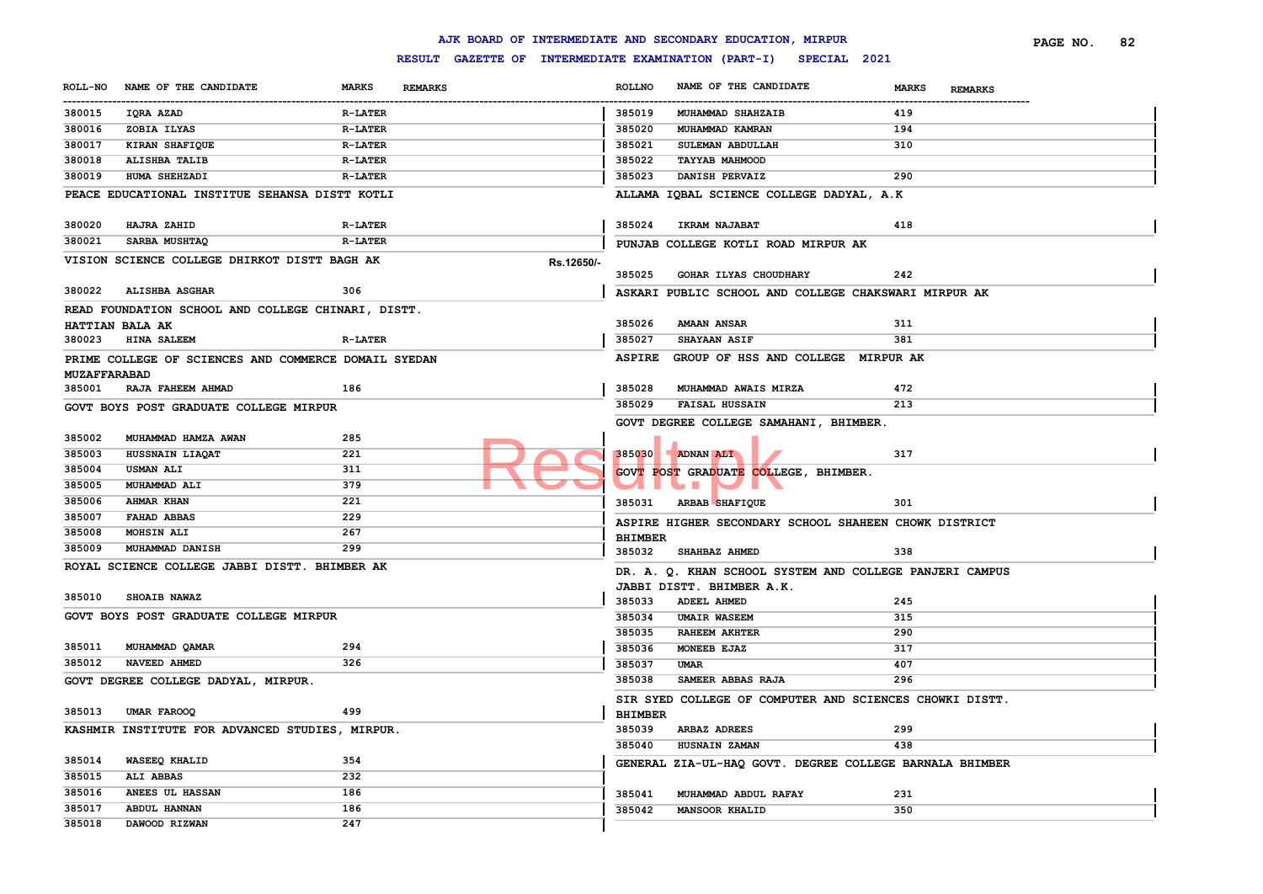|                    |                                                      |                |                |                | AJK BOARD OF INTERMEDIATE AND SECONDARY EDUCATION, MIRPUR        |                                | PAGE NO. | 82 |
|--------------------|------------------------------------------------------|----------------|----------------|----------------|------------------------------------------------------------------|--------------------------------|----------|----|
|                    |                                                      |                |                |                | RESULT GAZETTE OF INTERMEDIATE EXAMINATION (PART-I) SPECIAL 2021 |                                |          |    |
| <b>ROLL-NO</b><br> | NAME OF THE CANDIDATE                                | <b>MARKS</b>   | <b>REMARKS</b> | <b>ROLLNO</b>  | NAME OF THE CANDIDATE                                            | <b>MARKS</b><br><b>REMARKS</b> |          |    |
| 380015             | IQRA AZAD                                            | <b>R-LATER</b> |                | 385019         | MUHAMMAD SHAHZAIB                                                | 419                            |          |    |
| 380016             | ZOBIA ILYAS                                          | <b>R-LATER</b> |                | 385020         | MUHAMMAD KAMRAN                                                  | 194                            |          |    |
| 380017             | KIRAN SHAFIQUE                                       | <b>R-LATER</b> |                | 385021         | SULEMAN ABDULLAH                                                 | 310                            |          |    |
| 380018             | ALISHBA TALIB                                        | <b>R-LATER</b> |                | 385022         | <b>TAYYAB MAHMOOD</b>                                            |                                |          |    |
| 380019             | HUMA SHEHZADI                                        | <b>R-LATER</b> |                | 385023         | DANISH PERVAIZ                                                   | 290                            |          |    |
|                    | PEACE EDUCATIONAL INSTITUE SEHANSA DISTT KOTLI       |                |                |                | ALLAMA IOBAL SCIENCE COLLEGE DADYAL, A.K.                        |                                |          |    |
| 380020             | <b>HAJRA ZAHID</b>                                   | <b>R-LATER</b> |                | 385024         | <b>IKRAM NAJABAT</b>                                             | 418                            |          |    |
| 380021             | <b>SARBA MUSHTAQ</b>                                 | <b>R-LATER</b> |                |                | PUNJAB COLLEGE KOTLI ROAD MIRPUR AK                              |                                |          |    |
|                    | VISION SCIENCE COLLEGE DHIRKOT DISTT BAGH AK         |                | Rs.12650/-     |                |                                                                  |                                |          |    |
|                    |                                                      |                |                | 385025         | GOHAR ILYAS CHOUDHARY                                            | 242                            |          |    |
| 380022             | <b>ALISHBA ASGHAR</b>                                | 306            |                |                | ASKARI PUBLIC SCHOOL AND COLLEGE CHAKSWARI MIRPUR AK             |                                |          |    |
|                    | READ FOUNDATION SCHOOL AND COLLEGE CHINARI, DISTT.   |                |                |                |                                                                  |                                |          |    |
|                    | HATTIAN BALA AK                                      |                |                | 385026         | <b>AMAAN ANSAR</b>                                               | 311                            |          |    |
| 380023             | <b>HINA SALEEM</b>                                   | <b>R-LATER</b> |                | 385027         | <b>SHAYAAN ASIF</b>                                              | 381                            |          |    |
|                    | PRIME COLLEGE OF SCIENCES AND COMMERCE DOMAIL SYEDAN |                |                | <b>ASPIRE</b>  | GROUP OF HSS AND COLLEGE MIRPUR AK                               |                                |          |    |
| MUZAFFARABAD       |                                                      |                |                |                |                                                                  |                                |          |    |
| 385001             | RAJA FAHEEM AHMAD                                    | 186            |                | 385028         | MUHAMMAD AWAIS MIRZA                                             | 472                            |          |    |
|                    | GOVT BOYS POST GRADUATE COLLEGE MIRPUR               |                |                | 385029         | <b>FAISAL HUSSAIN</b>                                            | 213                            |          |    |
|                    |                                                      |                |                |                | GOVT DEGREE COLLEGE SAMAHANI, BHIMBER.                           |                                |          |    |
| 385002             | MUHAMMAD HAMZA AWAN                                  | 285            |                |                |                                                                  |                                |          |    |
| 385003             | HUSSNAIN LIAQAT                                      | 221            |                |                | $385030$ ADNAN ALI                                               | 317                            |          |    |
| 385004             | <b>USMAN ALI</b>                                     | 311            |                |                | GOVT POST GRADUATE COLLEGE, BHIMBER.                             |                                |          |    |
| 385005             | MUHAMMAD ALI                                         | 379            |                |                | <b>SI 19</b>                                                     |                                |          |    |
| 385006             | AHMAR KHAN                                           | 221            |                |                | 385031 ARBAB SHAFIQUE                                            | 301                            |          |    |
| 385007             | FAHAD ABBAS                                          | 229            |                |                |                                                                  |                                |          |    |
| 385008             | <b>MOHSIN ALI</b>                                    | 267            |                |                | ASPIRE HIGHER SECONDARY SCHOOL SHAHEEN CHOWK DISTRICT            |                                |          |    |
| 385009             | MUHAMMAD DANISH                                      | 299            |                | <b>BHIMBER</b> |                                                                  |                                |          |    |
|                    | ROYAL SCIENCE COLLEGE JABBI DISTT. BHIMBER AK        |                |                | 385032         | SHAHBAZ AHMED                                                    | 338                            |          |    |
|                    |                                                      |                |                |                | DR. A. Q. KHAN SCHOOL SYSTEM AND COLLEGE PANJERI CAMPUS          |                                |          |    |
| 385010             | SHOAIB NAWAZ                                         |                |                |                | JABBI DISTT. BHIMBER A.K.                                        |                                |          |    |
|                    |                                                      |                |                | 385033         | <b>ADEEL AHMED</b>                                               | 245                            |          |    |
|                    | GOVT BOYS POST GRADUATE COLLEGE MIRPUR               |                |                | 385034         | <b>UMAIR WASEEM</b>                                              | 315                            |          |    |
|                    |                                                      |                |                | 385035         | <b>RAHEEM AKHTER</b>                                             | 290                            |          |    |
| 385011             | MUHAMMAD QAMAR                                       | 294            |                | 385036         | MONEEB EJAZ                                                      | 317                            |          |    |
| 385012             | NAVEED AHMED                                         | 326            |                | 385037         | UMAR                                                             | 407                            |          |    |
|                    | GOVT DEGREE COLLEGE DADYAL, MIRPUR.                  |                |                | 385038         | SAMEER ABBAS RAJA                                                | 296                            |          |    |
|                    |                                                      |                |                |                | SIR SYED COLLEGE OF COMPUTER AND SCIENCES CHOWKI DISTT.          |                                |          |    |
|                    | 385013 UMAR FAROOQ                                   | 499            |                | <b>BHIMBER</b> |                                                                  |                                |          |    |
|                    | KASHMIR INSTITUTE FOR ADVANCED STUDIES, MIRPUR.      |                |                | 385039         | <b>ARBAZ ADREES</b>                                              | 299                            |          |    |
|                    |                                                      |                |                | 385040         | HUSNAIN ZAMAN                                                    | 438                            |          |    |
| 385014             | WASEEQ KHALID                                        | 354            |                |                | GENERAL ZIA-UL-HAQ GOVT. DEGREE COLLEGE BARNALA BHIMBER          |                                |          |    |
| 385015             | <b>ALI ABBAS</b>                                     | 232            |                |                |                                                                  |                                |          |    |
| 385016             | ANEES UL HASSAN                                      | 186            |                | 385041         | MUHAMMAD ABDUL RAFAY                                             | 231                            |          |    |
| 385017             | ABDUL HANNAN                                         | 186            |                | 385042         | <b>MANSOOR KHALID</b>                                            | 350                            |          |    |
| 385018             | DAWOOD RIZWAN                                        | 247            |                |                |                                                                  |                                |          |    |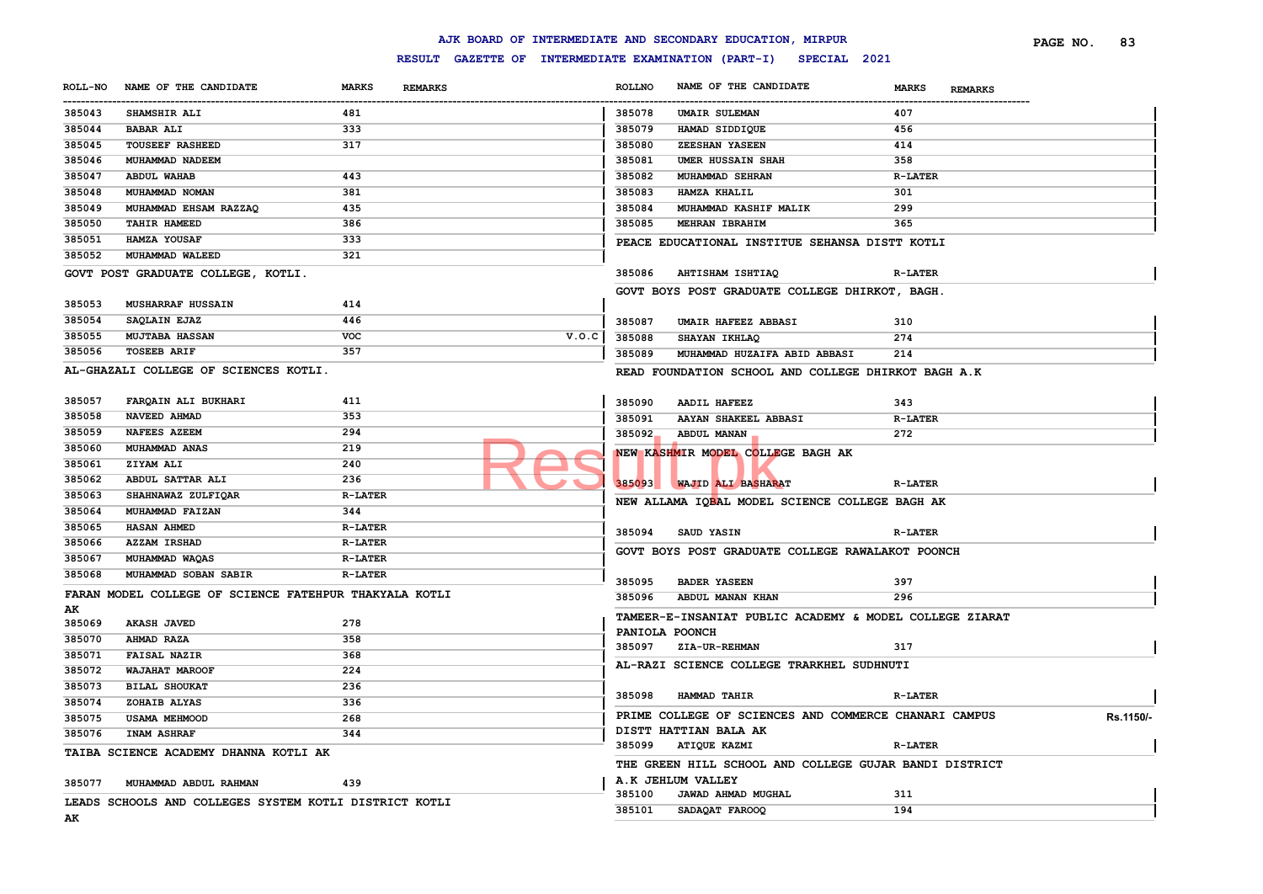### **RESULT GAZETTE OF INTERMEDIATE EXAMINATION (PART-I) SPECIAL 2021**

|                       |                                                        |                                |                                                     |               | AJK BOARD OF INTERMEDIATE AND SECONDARY EDUCATION, MIRPUR                 |                                | 83<br>PAGE NO. |
|-----------------------|--------------------------------------------------------|--------------------------------|-----------------------------------------------------|---------------|---------------------------------------------------------------------------|--------------------------------|----------------|
|                       |                                                        |                                | RESULT GAZETTE OF INTERMEDIATE EXAMINATION (PART-I) |               | SPECIAL 2021                                                              |                                |                |
| <b>ROLL-NO</b>        | NAME OF THE CANDIDATE                                  | <b>MARKS</b><br><b>REMARKS</b> |                                                     | <b>ROLLNO</b> | NAME OF THE CANDIDATE                                                     | <b>MARKS</b><br><b>REMARKS</b> |                |
| -----------<br>385043 | <b>SHAMSHIR ALI</b>                                    | 481                            |                                                     | 385078        | <b>UMAIR SULEMAN</b>                                                      | 407                            |                |
| 385044                | <b>BABAR ALI</b>                                       | 333                            |                                                     | 385079        | HAMAD SIDDIQUE                                                            | 456                            |                |
| 385045                | <b>TOUSEEF RASHEED</b>                                 | 317                            |                                                     | 385080        | ZEESHAN YASEEN                                                            | 414                            |                |
| 385046                | MUHAMMAD NADEEM                                        |                                |                                                     | 385081        | <b>UMER HUSSAIN SHAH</b>                                                  | 358                            |                |
| 385047                | <b>ABDUL WAHAB</b>                                     | 443                            |                                                     | 385082        | MUHAMMAD SEHRAN                                                           | <b>R-LATER</b>                 |                |
| 385048                | MUHAMMAD NOMAN                                         | 381                            |                                                     | 385083        | <b>HAMZA KHALIL</b>                                                       | 301                            |                |
| 385049                | MUHAMMAD EHSAM RAZZAQ                                  | 435                            |                                                     | 385084        | MUHAMMAD KASHIF MALIK                                                     | 299                            |                |
| 385050                | TAHIR HAMEED                                           | 386                            |                                                     | 385085        | MEHRAN IBRAHIM                                                            | 365                            |                |
| 385051                | HAMZA YOUSAF                                           | 333                            |                                                     |               | PEACE EDUCATIONAL INSTITUE SEHANSA DISTT KOTLI                            |                                |                |
| 385052                | MUHAMMAD WALEED                                        | 321                            |                                                     |               |                                                                           |                                |                |
|                       | GOVT POST GRADUATE COLLEGE, KOTLI.                     |                                |                                                     | 385086        | AHTISHAM ISHTIAQ                                                          | <b>R-LATER</b>                 |                |
|                       |                                                        |                                |                                                     |               | GOVT BOYS POST GRADUATE COLLEGE DHIRKOT, BAGH.                            |                                |                |
| 385053                | MUSHARRAF HUSSAIN                                      | 414                            |                                                     |               |                                                                           |                                |                |
| 385054                | SAQLAIN EJAZ                                           | 446                            |                                                     | 385087        | UMAIR HAFEEZ ABBASI                                                       | 310                            |                |
| 385055                | <b>MUJTABA HASSAN</b>                                  | <b>VOC</b>                     | V.O.C                                               | 385088        | SHAYAN IKHLAQ                                                             | 274                            |                |
| 385056                | <b>TOSEEB ARIF</b>                                     | 357                            |                                                     | 385089        | MUHAMMAD HUZAIFA ABID ABBASI                                              | 214                            |                |
|                       | AL-GHAZALI COLLEGE OF SCIENCES KOTLI.                  |                                |                                                     |               | READ FOUNDATION SCHOOL AND COLLEGE DHIRKOT BAGH A.K                       |                                |                |
|                       |                                                        |                                |                                                     |               |                                                                           |                                |                |
| 385057                | FARQAIN ALI BUKHARI                                    | 411                            |                                                     | 385090        | AADIL HAFEEZ                                                              | 343                            |                |
| 385058                | NAVEED AHMAD                                           | 353                            |                                                     | 385091        | AAYAN SHAKEEL ABBASI                                                      | <b>R-LATER</b>                 |                |
| 385059                | <b>NAFEES AZEEM</b>                                    | 294                            |                                                     | 385092        | ABDUL MANAN                                                               | 272                            |                |
| 385060                | MUHAMMAD ANAS                                          | 219                            |                                                     |               | NEW KASHMIR MODEL COLLEGE BAGH AK                                         |                                |                |
| 385061                | ZIYAM ALI                                              | 240                            |                                                     |               |                                                                           |                                |                |
| 385062                | ABDUL SATTAR ALI                                       | 236                            |                                                     |               | 385093 WAJID ALI BASHARAT                                                 | <b>R-LATER</b>                 |                |
| 385063                | SHAHNAWAZ ZULFIQAR                                     | <b>R-LATER</b>                 |                                                     |               | NEW ALLAMA IQBAL MODEL SCIENCE COLLEGE BAGH AK                            |                                |                |
| 385064                | MUHAMMAD FAIZAN                                        | 344                            |                                                     |               |                                                                           |                                |                |
| 385065                | <b>HASAN AHMED</b>                                     | <b>R-LATER</b>                 |                                                     | 385094        | SAUD YASIN                                                                | <b>R-LATER</b>                 |                |
| 385066                | <b>AZZAM IRSHAD</b>                                    | <b>R-LATER</b>                 |                                                     |               | GOVT BOYS POST GRADUATE COLLEGE RAWALAKOT POONCH                          |                                |                |
| 385067                | MUHAMMAD WAQAS                                         | <b>R-LATER</b>                 |                                                     |               |                                                                           |                                |                |
| 385068                | MUHAMMAD SOBAN SABIR                                   | <b>R-LATER</b>                 |                                                     | 385095        | <b>BADER YASEEN</b>                                                       | 397                            |                |
|                       | FARAN MODEL COLLEGE OF SCIENCE FATEHPUR THAKYALA KOTLI |                                |                                                     | 385096        | ABDUL MANAN KHAN                                                          | 296                            |                |
| AК                    |                                                        |                                |                                                     |               |                                                                           |                                |                |
| 385069                | <b>AKASH JAVED</b>                                     | 278                            |                                                     |               | TAMEER-E-INSANIAT PUBLIC ACADEMY & MODEL COLLEGE ZIARAT<br>PANIOLA POONCH |                                |                |
| 385070                | AHMAD RAZA                                             | 358                            |                                                     | 385097        | <b>ZIA-UR-REHMAN</b>                                                      | 317                            |                |
| 385071                | <b>FAISAL NAZIR</b>                                    | 368                            |                                                     |               |                                                                           |                                |                |
| 385072                | WAJAHAT MAROOF                                         | 224                            |                                                     |               | AL-RAZI SCIENCE COLLEGE TRARKHEL SUDHNUTI                                 |                                |                |
| 385073                | <b>BILAL SHOUKAT</b>                                   | 236                            |                                                     | 385098        | HAMMAD TAHIR                                                              | <b>R-LATER</b>                 |                |
| 385074                | ZOHAIB ALYAS                                           | 336                            |                                                     |               |                                                                           |                                |                |
| 385075                | <b>USAMA MEHMOOD</b>                                   | 268                            |                                                     |               | PRIME COLLEGE OF SCIENCES AND COMMERCE CHANARI CAMPUS                     |                                | Rs.1150/-      |
| 385076                | INAM ASHRAF                                            | 344                            |                                                     |               | DISTT HATTIAN BALA AK                                                     |                                |                |
|                       | TAIBA SCIENCE ACADEMY DHANNA KOTLI AK                  |                                |                                                     | 385099        | <b>ATIQUE KAZMI</b>                                                       | <b>R-LATER</b>                 |                |
|                       |                                                        |                                |                                                     |               | THE GREEN HILL SCHOOL AND COLLEGE GUJAR BANDI DISTRICT                    |                                |                |
| 385077                | MUHAMMAD ABDUL RAHMAN                                  | 439                            |                                                     |               | A.K JEHLUM VALLEY                                                         |                                |                |
|                       | LEADS SCHOOLS AND COLLEGES SYSTEM KOTLI DISTRICT KOTLI |                                |                                                     | 385100        | JAWAD AHMAD MUGHAL                                                        | 311                            |                |
|                       |                                                        |                                |                                                     | 385101        | SADAQAT FAROOQ                                                            | 194                            |                |

**AK**